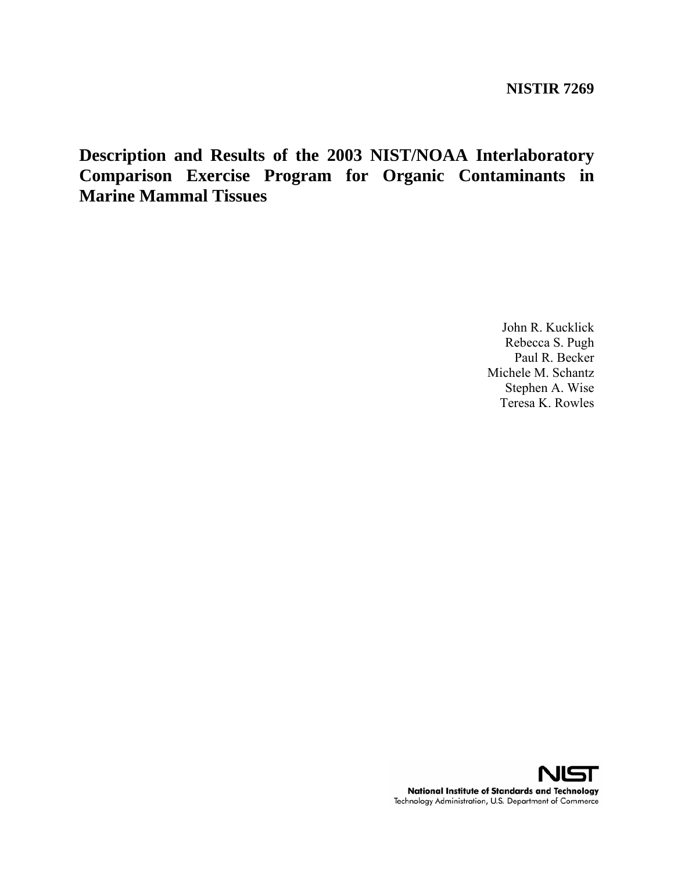**Description and Results of the 2003 NIST/NOAA Interlaboratory Comparison Exercise Program for Organic Contaminants in Marine Mammal Tissues** 

> John R. Kucklick Rebecca S. Pugh Paul R. Becker Michele M. Schantz Stephen A. Wise Teresa K. Rowles

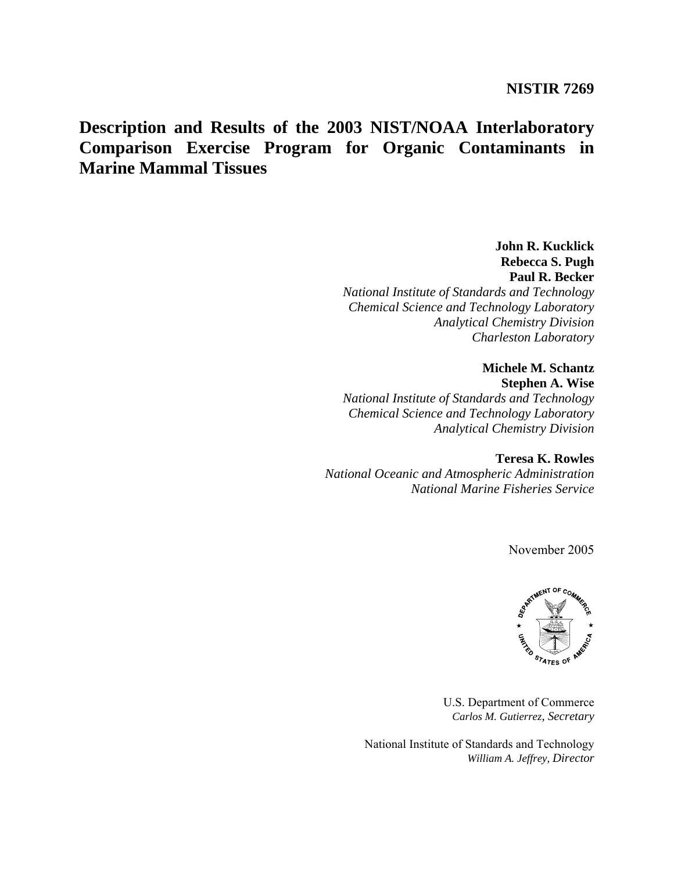# **Description and Results of the 2003 NIST/NOAA Interlaboratory Comparison Exercise Program for Organic Contaminants in Marine Mammal Tissues**

**John R. Kucklick Rebecca S. Pugh Paul R. Becker**  *National Institute of Standards and Technology Chemical Science and Technology Laboratory Analytical Chemistry Division Charleston Laboratory* 

**Michele M. Schantz Stephen A. Wise**  *National Institute of Standards and Technology Chemical Science and Technology Laboratory Analytical Chemistry Division* 

**Teresa K. Rowles**  *National Oceanic and Atmospheric Administration National Marine Fisheries Service* 

November 2005



U.S. Department of Commerce *Carlos M. Gutierrez, Secretary* 

National Institute of Standards and Technology *William A. Jeffrey, Director*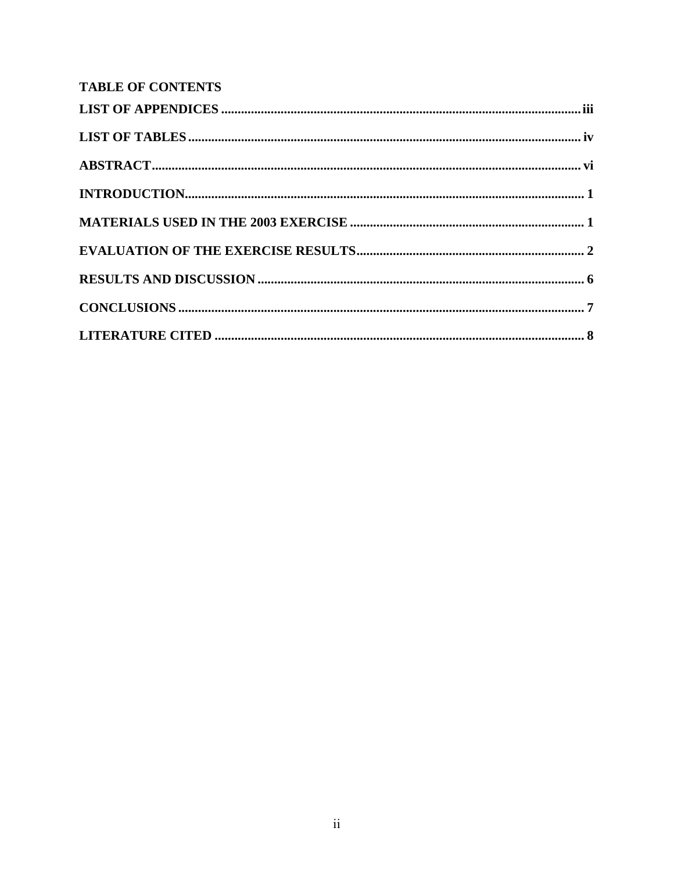# **TABLE OF CONTENTS**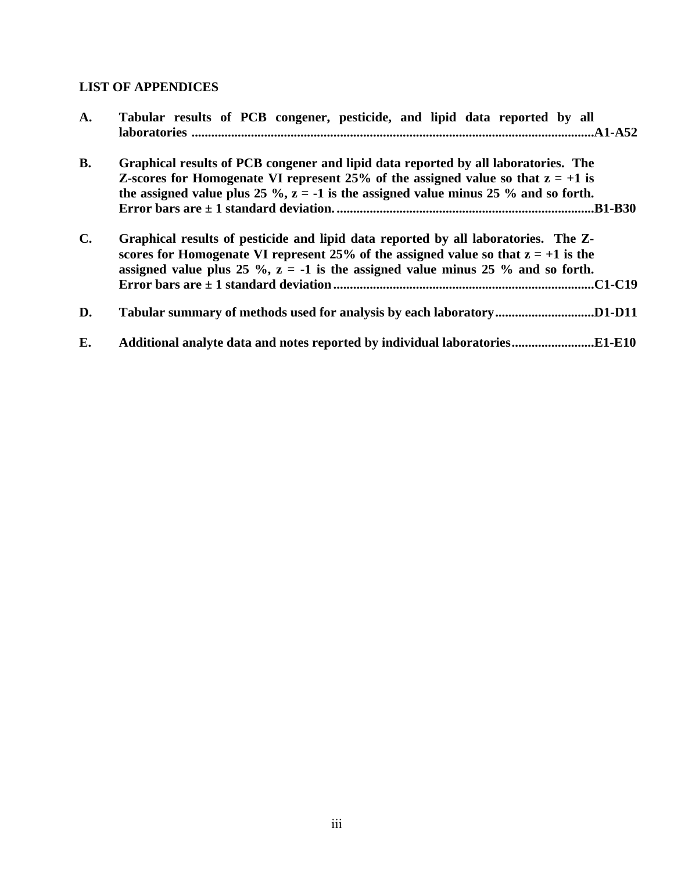# **LIST OF APPENDICES**

| A.             | Tabular results of PCB congener, pesticide, and lipid data reported by all                                                                                                                                                                                                          |
|----------------|-------------------------------------------------------------------------------------------------------------------------------------------------------------------------------------------------------------------------------------------------------------------------------------|
| <b>B.</b>      | Graphical results of PCB congener and lipid data reported by all laboratories. The<br><b>Z-scores for Homogenate VI represent 25% of the assigned value so that <math>z = +1</math> is</b><br>the assigned value plus 25 %, $z = -1$ is the assigned value minus 25 % and so forth. |
| $\mathbf{C}$ . | Graphical results of pesticide and lipid data reported by all laboratories. The Z-<br>scores for Homogenate VI represent 25% of the assigned value so that $z = +1$ is the<br>assigned value plus 25 %, $z = -1$ is the assigned value minus 25 % and so forth.<br>C1-C19           |
| D.             |                                                                                                                                                                                                                                                                                     |
| E.             | Additional analyte data and notes reported by individual laboratoriesE1-E10                                                                                                                                                                                                         |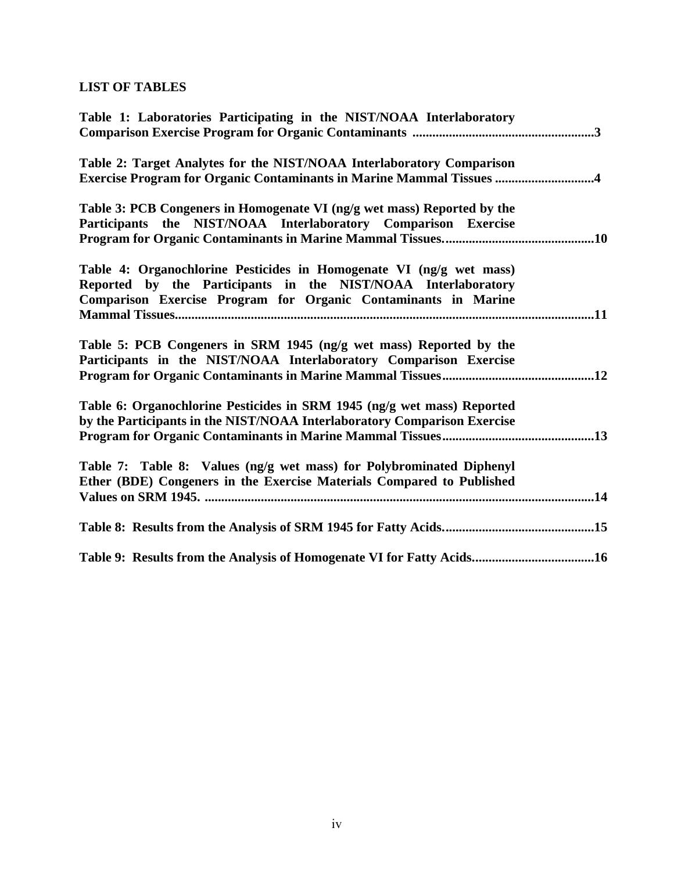# **LIST OF TABLES**

| Table 1: Laboratories Participating in the NIST/NOAA Interlaboratory        |  |
|-----------------------------------------------------------------------------|--|
|                                                                             |  |
| Table 2: Target Analytes for the NIST/NOAA Interlaboratory Comparison       |  |
| <b>Exercise Program for Organic Contaminants in Marine Mammal Tissues 4</b> |  |
| Table 3: PCB Congeners in Homogenate VI (ng/g wet mass) Reported by the     |  |
| Participants the NIST/NOAA Interlaboratory Comparison Exercise              |  |
|                                                                             |  |
| Table 4: Organochlorine Pesticides in Homogenate VI (ng/g wet mass)         |  |
| Reported by the Participants in the NIST/NOAA Interlaboratory               |  |
| Comparison Exercise Program for Organic Contaminants in Marine              |  |
|                                                                             |  |
| Table 5: PCB Congeners in SRM 1945 (ng/g wet mass) Reported by the          |  |
| Participants in the NIST/NOAA Interlaboratory Comparison Exercise           |  |
|                                                                             |  |
| Table 6: Organochlorine Pesticides in SRM 1945 (ng/g wet mass) Reported     |  |
| by the Participants in the NIST/NOAA Interlaboratory Comparison Exercise    |  |
|                                                                             |  |
|                                                                             |  |
| Table 7: Table 8: Values (ng/g wet mass) for Polybrominated Diphenyl        |  |
| Ether (BDE) Congeners in the Exercise Materials Compared to Published       |  |
|                                                                             |  |
|                                                                             |  |
| Table 9: Results from the Analysis of Homogenate VI for Fatty Acids16       |  |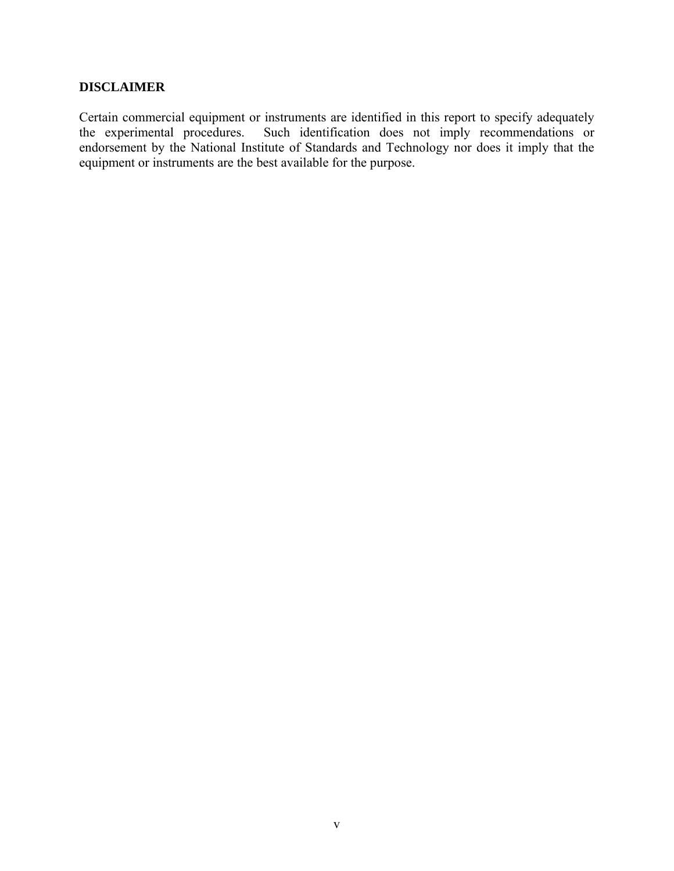## **DISCLAIMER**

Certain commercial equipment or instruments are identified in this report to specify adequately the experimental procedures. Such identification does not imply recommendations or Such identification does not imply recommendations or endorsement by the National Institute of Standards and Technology nor does it imply that the equipment or instruments are the best available for the purpose.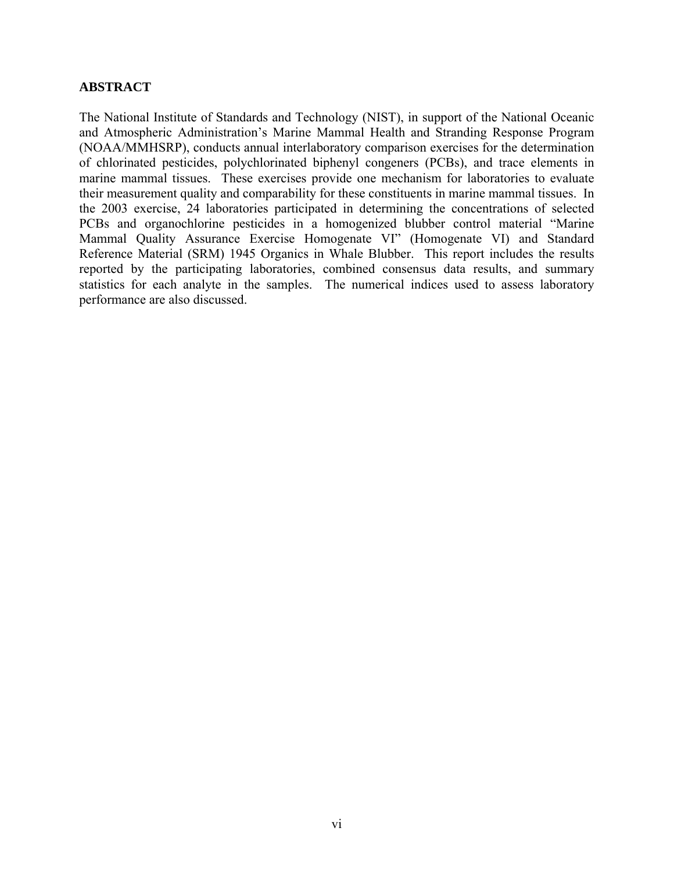## **ABSTRACT**

The National Institute of Standards and Technology (NIST), in support of the National Oceanic and Atmospheric Administration's Marine Mammal Health and Stranding Response Program (NOAA/MMHSRP), conducts annual interlaboratory comparison exercises for the determination of chlorinated pesticides, polychlorinated biphenyl congeners (PCBs), and trace elements in marine mammal tissues. These exercises provide one mechanism for laboratories to evaluate their measurement quality and comparability for these constituents in marine mammal tissues. In the 2003 exercise, 24 laboratories participated in determining the concentrations of selected PCBs and organochlorine pesticides in a homogenized blubber control material "Marine Mammal Quality Assurance Exercise Homogenate VI" (Homogenate VI) and Standard Reference Material (SRM) 1945 Organics in Whale Blubber. This report includes the results reported by the participating laboratories, combined consensus data results, and summary statistics for each analyte in the samples. The numerical indices used to assess laboratory performance are also discussed.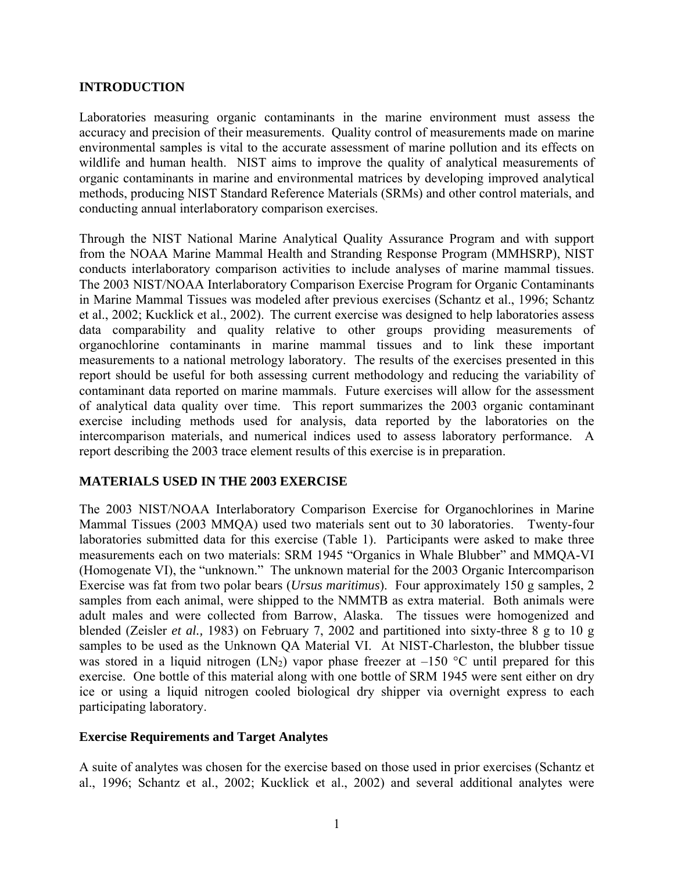## **INTRODUCTION**

Laboratories measuring organic contaminants in the marine environment must assess the accuracy and precision of their measurements. Quality control of measurements made on marine environmental samples is vital to the accurate assessment of marine pollution and its effects on wildlife and human health. NIST aims to improve the quality of analytical measurements of organic contaminants in marine and environmental matrices by developing improved analytical methods, producing NIST Standard Reference Materials (SRMs) and other control materials, and conducting annual interlaboratory comparison exercises.

Through the NIST National Marine Analytical Quality Assurance Program and with support from the NOAA Marine Mammal Health and Stranding Response Program (MMHSRP), NIST conducts interlaboratory comparison activities to include analyses of marine mammal tissues. The 2003 NIST/NOAA Interlaboratory Comparison Exercise Program for Organic Contaminants in Marine Mammal Tissues was modeled after previous exercises (Schantz et al., 1996; Schantz et al., 2002; Kucklick et al., 2002). The current exercise was designed to help laboratories assess data comparability and quality relative to other groups providing measurements of organochlorine contaminants in marine mammal tissues and to link these important measurements to a national metrology laboratory. The results of the exercises presented in this report should be useful for both assessing current methodology and reducing the variability of contaminant data reported on marine mammals. Future exercises will allow for the assessment of analytical data quality over time. This report summarizes the 2003 organic contaminant exercise including methods used for analysis, data reported by the laboratories on the intercomparison materials, and numerical indices used to assess laboratory performance. A report describing the 2003 trace element results of this exercise is in preparation.

## **MATERIALS USED IN THE 2003 EXERCISE**

The 2003 NIST/NOAA Interlaboratory Comparison Exercise for Organochlorines in Marine Mammal Tissues (2003 MMQA) used two materials sent out to 30 laboratories. Twenty-four laboratories submitted data for this exercise (Table 1). Participants were asked to make three measurements each on two materials: SRM 1945 "Organics in Whale Blubber" and MMQA-VI (Homogenate VI), the "unknown." The unknown material for the 2003 Organic Intercomparison Exercise was fat from two polar bears (*Ursus maritimus*). Four approximately 150 g samples, 2 samples from each animal, were shipped to the NMMTB as extra material. Both animals were adult males and were collected from Barrow, Alaska. The tissues were homogenized and blended (Zeisler *et al.,* 1983) on February 7, 2002 and partitioned into sixty-three 8 g to 10 g samples to be used as the Unknown QA Material VI. At NIST-Charleston, the blubber tissue was stored in a liquid nitrogen (LN<sub>2</sub>) vapor phase freezer at  $-150$  °C until prepared for this exercise. One bottle of this material along with one bottle of SRM 1945 were sent either on dry ice or using a liquid nitrogen cooled biological dry shipper via overnight express to each participating laboratory.

## **Exercise Requirements and Target Analytes**

A suite of analytes was chosen for the exercise based on those used in prior exercises (Schantz et al., 1996; Schantz et al., 2002; Kucklick et al., 2002) and several additional analytes were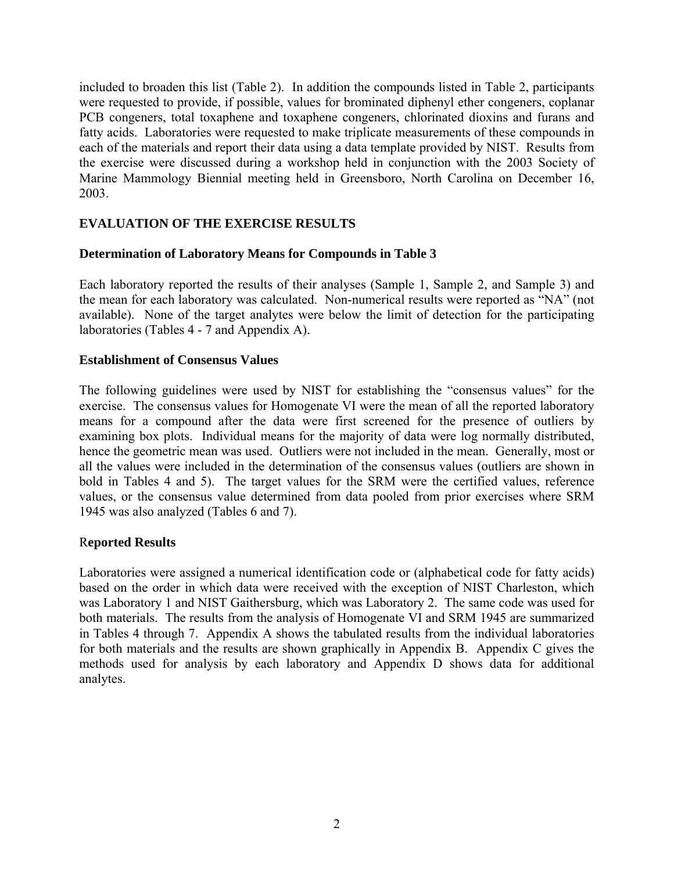included to broaden this list (Table 2). In addition the compounds listed in Table 2, participants were requested to provide, if possible, values for brominated diphenyl ether congeners, coplanar PCB congeners, total toxaphene and toxaphene congeners, chlorinated dioxins and furans and fatty acids. Laboratories were requested to make triplicate measurements of these compounds in each of the materials and report their data using a data template provided by NIST. Results from the exercise were discussed during a workshop held in conjunction with the 2003 Society of Marine Mammology Biennial meeting held in Greensboro, North Carolina on December 16, 2003.

## **EVALUATION OF THE EXERCISE RESULTS**

## **Determination of Laboratory Means for Compounds in Table 3**

Each laboratory reported the results of their analyses (Sample 1, Sample 2, and Sample 3) and the mean for each laboratory was calculated. Non-numerical results were reported as "NA" (not available). None of the target analytes were below the limit of detection for the participating laboratories (Tables 4 - 7 and Appendix A).

## **Establishment of Consensus Values**

The following guidelines were used by NIST for establishing the "consensus values" for the exercise. The consensus values for Homogenate VI were the mean of all the reported laboratory means for a compound after the data were first screened for the presence of outliers by examining box plots. Individual means for the majority of data were log normally distributed, hence the geometric mean was used. Outliers were not included in the mean. Generally, most or all the values were included in the determination of the consensus values (outliers are shown in bold in Tables 4 and 5). The target values for the SRM were the certified values, reference values, or the consensus value determined from data pooled from prior exercises where SRM 1945 was also analyzed (Tables 6 and 7).

## R**eported Results**

Laboratories were assigned a numerical identification code or (alphabetical code for fatty acids) based on the order in which data were received with the exception of NIST Charleston, which was Laboratory 1 and NIST Gaithersburg, which was Laboratory 2. The same code was used for both materials. The results from the analysis of Homogenate VI and SRM 1945 are summarized in Tables 4 through 7. Appendix A shows the tabulated results from the individual laboratories for both materials and the results are shown graphically in Appendix B. Appendix C gives the methods used for analysis by each laboratory and Appendix D shows data for additional analytes.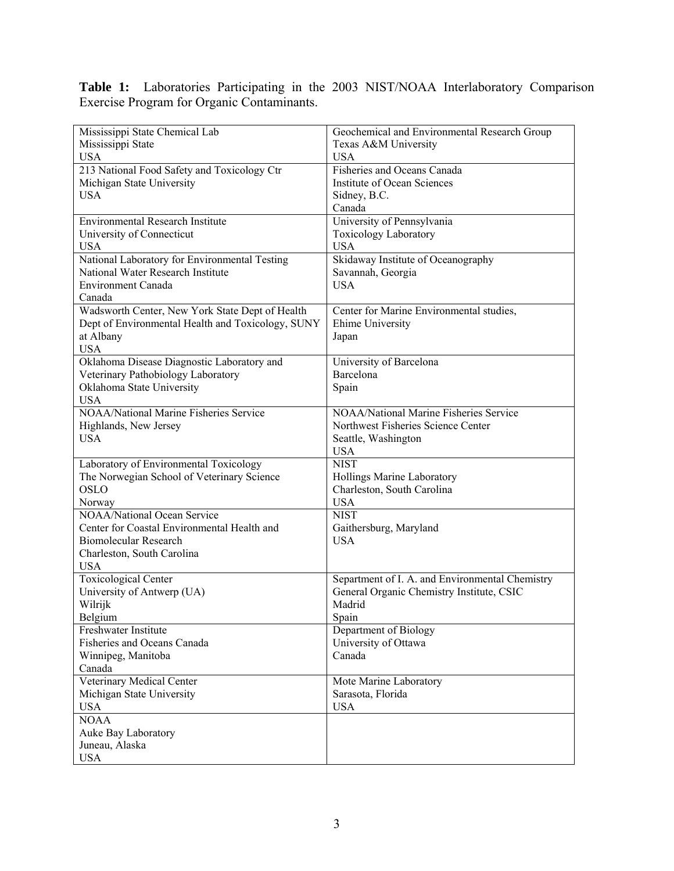**Table 1:** Laboratories Participating in the 2003 NIST/NOAA Interlaboratory Comparison Exercise Program for Organic Contaminants.

| Mississippi State Chemical Lab                    | Geochemical and Environmental Research Group    |
|---------------------------------------------------|-------------------------------------------------|
| Mississippi State                                 | Texas A&M University                            |
| <b>USA</b>                                        | <b>USA</b>                                      |
| 213 National Food Safety and Toxicology Ctr       | Fisheries and Oceans Canada                     |
| Michigan State University                         | Institute of Ocean Sciences                     |
| <b>USA</b>                                        | Sidney, B.C.                                    |
|                                                   | Canada                                          |
| <b>Environmental Research Institute</b>           | University of Pennsylvania                      |
| University of Connecticut                         | Toxicology Laboratory                           |
| <b>USA</b>                                        | <b>USA</b>                                      |
| National Laboratory for Environmental Testing     | Skidaway Institute of Oceanography              |
| National Water Research Institute                 | Savannah, Georgia                               |
| <b>Environment Canada</b>                         | <b>USA</b>                                      |
| Canada                                            |                                                 |
| Wadsworth Center, New York State Dept of Health   | Center for Marine Environmental studies,        |
| Dept of Environmental Health and Toxicology, SUNY | Ehime University                                |
| at Albany                                         | Japan                                           |
| <b>USA</b>                                        |                                                 |
| Oklahoma Disease Diagnostic Laboratory and        | University of Barcelona                         |
| Veterinary Pathobiology Laboratory                | Barcelona                                       |
| Oklahoma State University                         | Spain                                           |
| <b>USA</b>                                        |                                                 |
| <b>NOAA/National Marine Fisheries Service</b>     | NOAA/National Marine Fisheries Service          |
| Highlands, New Jersey                             | Northwest Fisheries Science Center              |
| <b>USA</b>                                        | Seattle, Washington                             |
|                                                   | <b>USA</b>                                      |
| Laboratory of Environmental Toxicology            | <b>NIST</b>                                     |
| The Norwegian School of Veterinary Science        | Hollings Marine Laboratory                      |
| <b>OSLO</b>                                       | Charleston, South Carolina                      |
| Norway                                            | <b>USA</b>                                      |
| <b>NOAA/National Ocean Service</b>                | <b>NIST</b>                                     |
| Center for Coastal Environmental Health and       | Gaithersburg, Maryland                          |
| Biomolecular Research                             | <b>USA</b>                                      |
| Charleston, South Carolina                        |                                                 |
| <b>USA</b>                                        |                                                 |
| <b>Toxicological Center</b>                       | Separtment of I. A. and Environmental Chemistry |
| University of Antwerp (UA)                        | General Organic Chemistry Institute, CSIC       |
| Wilrijk                                           | Madrid                                          |
| Belgium                                           | Spain                                           |
| Freshwater Institute                              | Department of Biology                           |
| Fisheries and Oceans Canada                       | University of Ottawa                            |
| Winnipeg, Manitoba                                | Canada                                          |
| Canada                                            |                                                 |
| Veterinary Medical Center                         | Mote Marine Laboratory                          |
| Michigan State University                         | Sarasota, Florida                               |
| <b>USA</b>                                        | <b>USA</b>                                      |
| <b>NOAA</b>                                       |                                                 |
| Auke Bay Laboratory                               |                                                 |
| Juneau, Alaska                                    |                                                 |
| <b>USA</b>                                        |                                                 |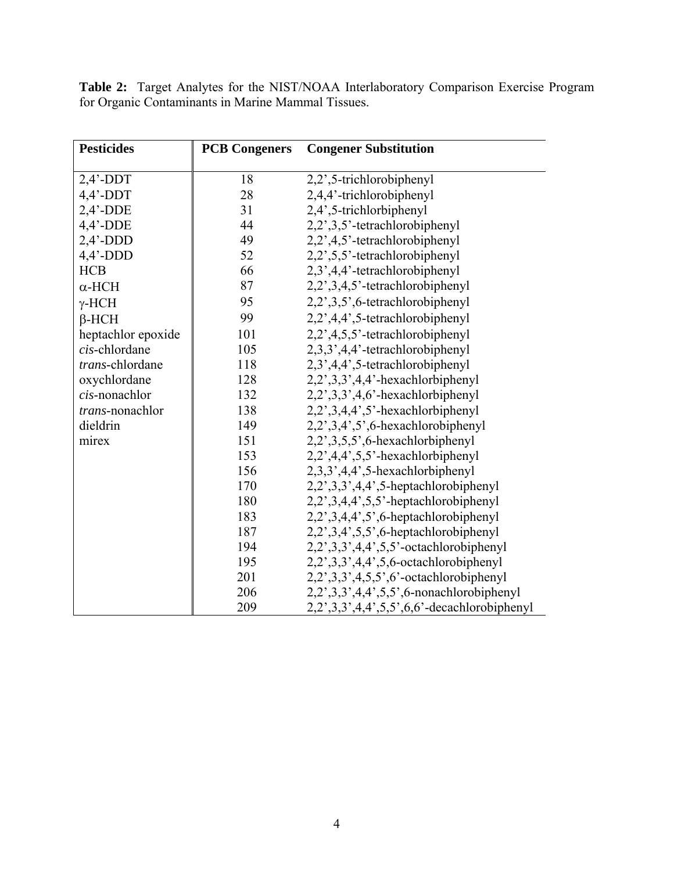**Table 2:** Target Analytes for the NIST/NOAA Interlaboratory Comparison Exercise Program for Organic Contaminants in Marine Mammal Tissues.

| <b>Pesticides</b>  | <b>PCB Congeners</b> | <b>Congener Substitution</b>                       |
|--------------------|----------------------|----------------------------------------------------|
|                    |                      |                                                    |
| $2,4'$ -DDT        | 18                   | 2,2',5-trichlorobiphenyl                           |
| $4,4'$ -DDT        | 28                   | 2,4,4'-trichlorobiphenyl                           |
| $2,4'$ -DDE        | 31                   | 2,4',5-trichlorbiphenyl                            |
| $4,4'$ -DDE        | 44                   | 2,2',3,5'-tetrachlorobiphenyl                      |
| $2,4'$ -DDD        | 49                   | 2,2',4,5'-tetrachlorobiphenyl                      |
| $4,4'$ -DDD        | 52                   | 2,2',5,5'-tetrachlorobiphenyl                      |
| <b>HCB</b>         | 66                   | 2,3',4,4'-tetrachlorobiphenyl                      |
| $\alpha$ -HCH      | 87                   | 2,2',3,4,5'-tetrachlorobiphenyl                    |
| $\gamma$ -HCH      | 95                   | 2,2',3,5',6-tetrachlorobiphenyl                    |
| $\beta$ -HCH       | 99                   | 2,2',4,4',5-tetrachlorobiphenyl                    |
| heptachlor epoxide | 101                  | 2,2',4,5,5'-tetrachlorobiphenyl                    |
| cis-chlordane      | 105                  | 2,3,3',4,4'-tetrachlorobiphenyl                    |
| trans-chlordane    | 118                  | 2,3',4,4',5-tetrachlorobiphenyl                    |
| oxychlordane       | 128                  | $2,2,3,3,4,4$ <sup>2</sup> -hexachlorbiphenyl      |
| cis-nonachlor      | 132                  | $2,2,3,3,4,6$ <sup>-</sup> hexachlorbiphenyl       |
| trans-nonachlor    | 138                  | $2,2,3,4,4,5$ <sup>2</sup> -hexachlorbiphenyl      |
| dieldrin           | 149                  | $2,2,3,4,5,6$ -hexachlorobiphenyl                  |
| mirex              | 151                  | $2,2,3,5,5,6$ -hexachlorbiphenyl                   |
|                    | 153                  | 2,2',4,4',5,5'-hexachlorbiphenyl                   |
|                    | 156                  | $2,3,3',4,4',5$ -hexachlorbiphenyl                 |
|                    | 170                  | $2,2,3,3,4,4,5$ -heptachlorobiphenyl               |
|                    | 180                  | $2,2,3,4,4,5,5$ <sup>-</sup> heptachlorobiphenyl   |
|                    | 183                  | $2,2,3,4,4,5,6$ -heptachlorobiphenyl               |
|                    | 187                  | $2,2,3,4,5,5,6$ -heptachlorobiphenyl               |
|                    | 194                  | $2,2,3,3,4,4,5,5$ <sup>2</sup> -octachlorobiphenyl |
|                    | 195                  | $2,2,3,3,4,4,5,6$ -octachlorobiphenyl              |
|                    | 201                  | $2,2,3,3,4,5,5,6$ <sup>2</sup> -octachlorobiphenyl |
|                    | 206                  | $2,2,3,3,4,4,5,5,6$ -nonachlorobiphenyl            |
|                    | 209                  | 2,2',3,3',4,4',5,5',6,6'-decachlorobiphenyl        |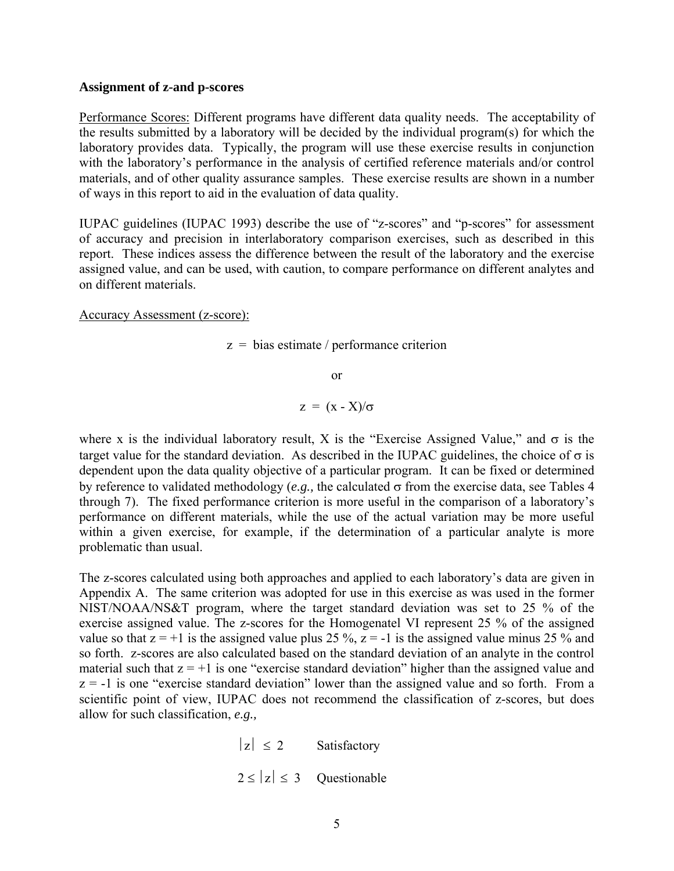## **Assignment of z-and p-scores**

Performance Scores: Different programs have different data quality needs. The acceptability of the results submitted by a laboratory will be decided by the individual program(s) for which the laboratory provides data. Typically, the program will use these exercise results in conjunction with the laboratory's performance in the analysis of certified reference materials and/or control materials, and of other quality assurance samples. These exercise results are shown in a number of ways in this report to aid in the evaluation of data quality.

IUPAC guidelines (IUPAC 1993) describe the use of "z-scores" and "p-scores" for assessment of accuracy and precision in interlaboratory comparison exercises, such as described in this report. These indices assess the difference between the result of the laboratory and the exercise assigned value, and can be used, with caution, to compare performance on different analytes and on different materials.

Accuracy Assessment (z-score):

 $z = \text{bias estimate} / \text{performance criterion}$ 

or

 $z = (x - X)/\sigma$ 

where x is the individual laboratory result, X is the "Exercise Assigned Value," and  $\sigma$  is the target value for the standard deviation. As described in the IUPAC guidelines, the choice of  $\sigma$  is dependent upon the data quality objective of a particular program. It can be fixed or determined by reference to validated methodology (*e.g.,* the calculated σ from the exercise data, see Tables 4 through 7). The fixed performance criterion is more useful in the comparison of a laboratory's performance on different materials, while the use of the actual variation may be more useful within a given exercise, for example, if the determination of a particular analyte is more problematic than usual.

The z-scores calculated using both approaches and applied to each laboratory's data are given in Appendix A. The same criterion was adopted for use in this exercise as was used in the former NIST/NOAA/NS&T program, where the target standard deviation was set to 25 % of the exercise assigned value. The z-scores for the Homogenatel VI represent 25 % of the assigned value so that  $z = +1$  is the assigned value plus 25 %,  $z = -1$  is the assigned value minus 25 % and so forth. z-scores are also calculated based on the standard deviation of an analyte in the control material such that  $z = +1$  is one "exercise standard deviation" higher than the assigned value and  $z = -1$  is one "exercise standard deviation" lower than the assigned value and so forth. From a scientific point of view, IUPAC does not recommend the classification of z-scores, but does allow for such classification, *e.g.,*

> $|z| \leq 2$  Satisfactory  $2 \le |z| \le 3$  Questionable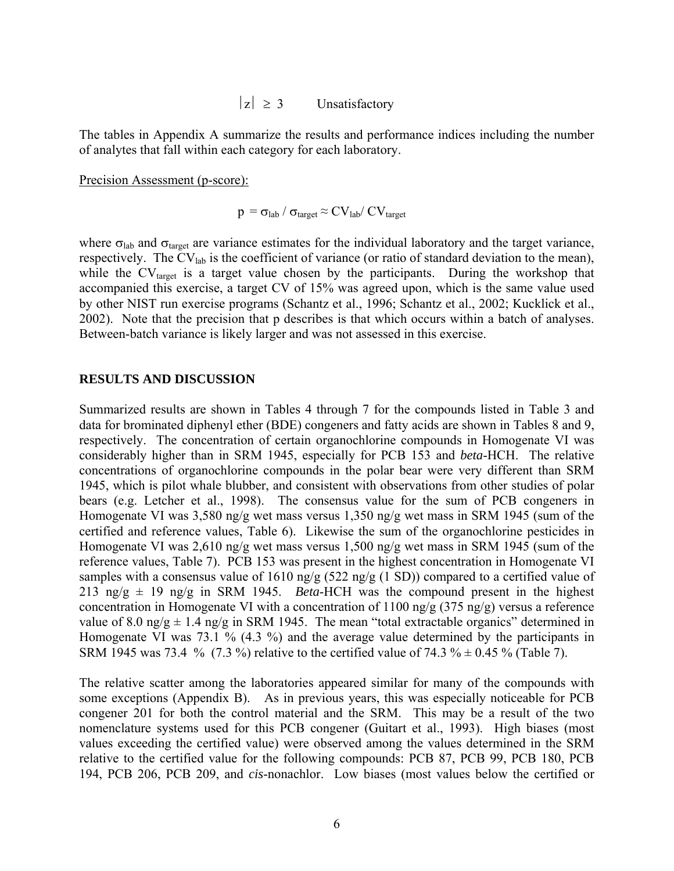$|z| \geq 3$  Unsatisfactory

The tables in Appendix A summarize the results and performance indices including the number of analytes that fall within each category for each laboratory.

Precision Assessment (p-score):

$$
\rm p\, = \sigma_{lab}\, / \, \sigma_{target} \, {\approx}\, CV_{lab}/\, CV_{target}
$$

where  $\sigma_{\text{lab}}$  and  $\sigma_{\text{target}}$  are variance estimates for the individual laboratory and the target variance, respectively. The CVlab is the coefficient of variance (or ratio of standard deviation to the mean), while the  $CV<sub>target</sub>$  is a target value chosen by the participants. During the workshop that accompanied this exercise, a target CV of 15% was agreed upon, which is the same value used by other NIST run exercise programs (Schantz et al., 1996; Schantz et al., 2002; Kucklick et al., 2002). Note that the precision that p describes is that which occurs within a batch of analyses. Between-batch variance is likely larger and was not assessed in this exercise.

### **RESULTS AND DISCUSSION**

Summarized results are shown in Tables 4 through 7 for the compounds listed in Table 3 and data for brominated diphenyl ether (BDE) congeners and fatty acids are shown in Tables 8 and 9, respectively. The concentration of certain organochlorine compounds in Homogenate VI was considerably higher than in SRM 1945, especially for PCB 153 and *beta*-HCH. The relative concentrations of organochlorine compounds in the polar bear were very different than SRM 1945, which is pilot whale blubber, and consistent with observations from other studies of polar bears (e.g. Letcher et al., 1998). The consensus value for the sum of PCB congeners in Homogenate VI was 3,580 ng/g wet mass versus 1,350 ng/g wet mass in SRM 1945 (sum of the certified and reference values, Table 6). Likewise the sum of the organochlorine pesticides in Homogenate VI was 2,610 ng/g wet mass versus 1,500 ng/g wet mass in SRM 1945 (sum of the reference values, Table 7). PCB 153 was present in the highest concentration in Homogenate VI samples with a consensus value of 1610 ng/g (522 ng/g (1 SD)) compared to a certified value of 213 ng/g  $\pm$  19 ng/g in SRM 1945. *Beta*-HCH was the compound present in the highest concentration in Homogenate VI with a concentration of 1100 ng/g (375 ng/g) versus a reference value of 8.0 ng/g  $\pm$  1.4 ng/g in SRM 1945. The mean "total extractable organics" determined in Homogenate VI was 73.1 % (4.3 %) and the average value determined by the participants in SRM 1945 was 73.4 % (7.3 %) relative to the certified value of 74.3 %  $\pm$  0.45 % (Table 7).

The relative scatter among the laboratories appeared similar for many of the compounds with some exceptions (Appendix B). As in previous years, this was especially noticeable for PCB congener 201 for both the control material and the SRM. This may be a result of the two nomenclature systems used for this PCB congener (Guitart et al., 1993). High biases (most values exceeding the certified value) were observed among the values determined in the SRM relative to the certified value for the following compounds: PCB 87, PCB 99, PCB 180, PCB 194, PCB 206, PCB 209, and *cis*-nonachlor. Low biases (most values below the certified or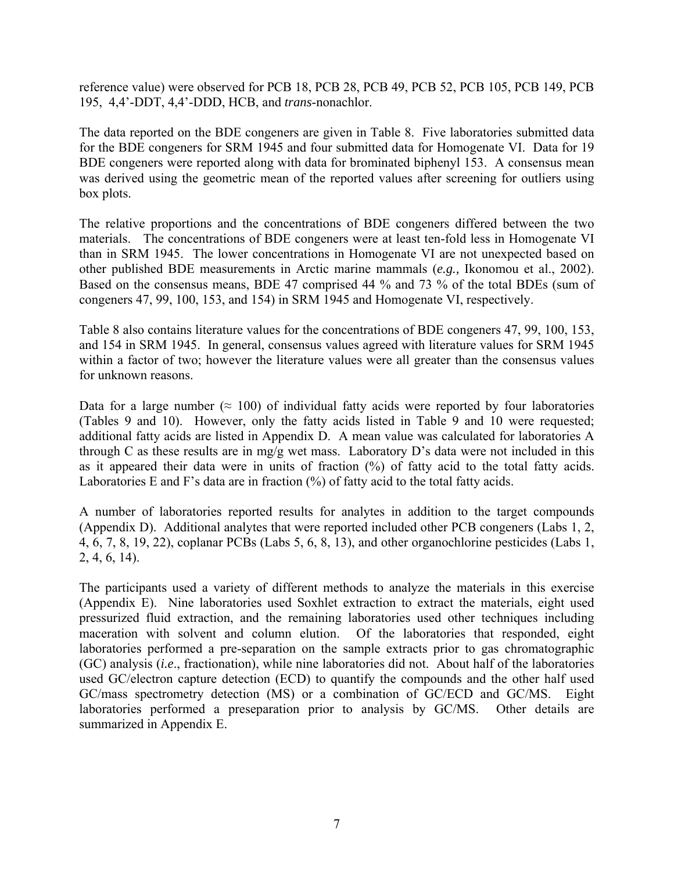reference value) were observed for PCB 18, PCB 28, PCB 49, PCB 52, PCB 105, PCB 149, PCB 195, 4,4'-DDT, 4,4'-DDD, HCB, and *trans*-nonachlor.

The data reported on the BDE congeners are given in Table 8. Five laboratories submitted data for the BDE congeners for SRM 1945 and four submitted data for Homogenate VI. Data for 19 BDE congeners were reported along with data for brominated biphenyl 153. A consensus mean was derived using the geometric mean of the reported values after screening for outliers using box plots.

The relative proportions and the concentrations of BDE congeners differed between the two materials. The concentrations of BDE congeners were at least ten-fold less in Homogenate VI than in SRM 1945. The lower concentrations in Homogenate VI are not unexpected based on other published BDE measurements in Arctic marine mammals (*e.g.,* Ikonomou et al., 2002). Based on the consensus means, BDE 47 comprised 44 % and 73 % of the total BDEs (sum of congeners 47, 99, 100, 153, and 154) in SRM 1945 and Homogenate VI, respectively.

Table 8 also contains literature values for the concentrations of BDE congeners 47, 99, 100, 153, and 154 in SRM 1945. In general, consensus values agreed with literature values for SRM 1945 within a factor of two; however the literature values were all greater than the consensus values for unknown reasons.

Data for a large number ( $\approx 100$ ) of individual fatty acids were reported by four laboratories (Tables 9 and 10). However, only the fatty acids listed in Table 9 and 10 were requested; additional fatty acids are listed in Appendix D. A mean value was calculated for laboratories A through C as these results are in mg/g wet mass. Laboratory D's data were not included in this as it appeared their data were in units of fraction (%) of fatty acid to the total fatty acids. Laboratories E and F's data are in fraction  $(%)$  of fatty acid to the total fatty acids.

A number of laboratories reported results for analytes in addition to the target compounds (Appendix D). Additional analytes that were reported included other PCB congeners (Labs 1, 2, 4, 6, 7, 8, 19, 22), coplanar PCBs (Labs 5, 6, 8, 13), and other organochlorine pesticides (Labs 1, 2, 4, 6, 14).

The participants used a variety of different methods to analyze the materials in this exercise (Appendix E). Nine laboratories used Soxhlet extraction to extract the materials, eight used pressurized fluid extraction, and the remaining laboratories used other techniques including maceration with solvent and column elution. Of the laboratories that responded, eight laboratories performed a pre-separation on the sample extracts prior to gas chromatographic (GC) analysis (*i.e*., fractionation), while nine laboratories did not. About half of the laboratories used GC/electron capture detection (ECD) to quantify the compounds and the other half used GC/mass spectrometry detection (MS) or a combination of GC/ECD and GC/MS. Eight laboratories performed a preseparation prior to analysis by GC/MS. Other details are summarized in Appendix E.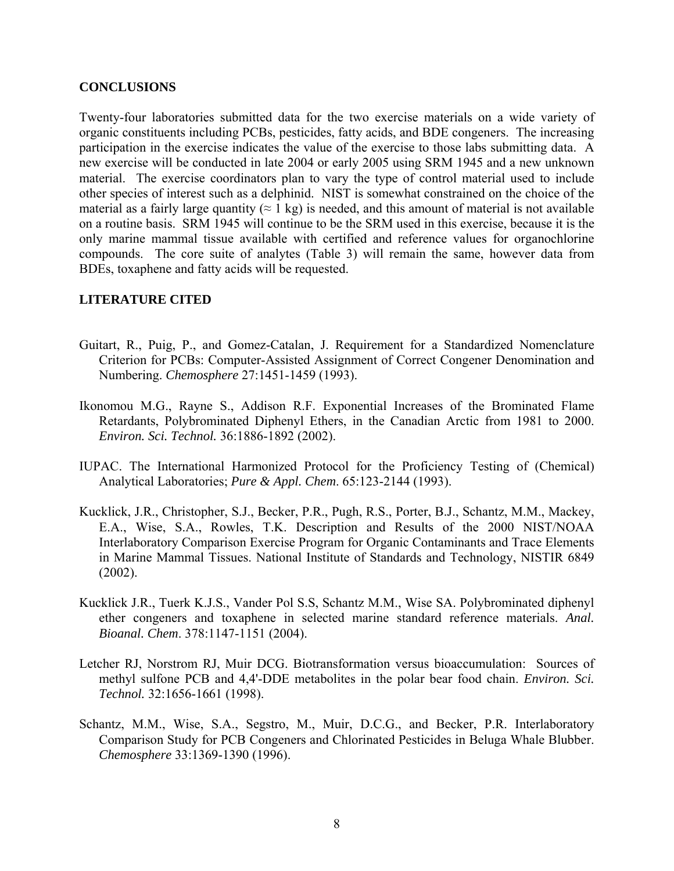## **CONCLUSIONS**

Twenty-four laboratories submitted data for the two exercise materials on a wide variety of organic constituents including PCBs, pesticides, fatty acids, and BDE congeners. The increasing participation in the exercise indicates the value of the exercise to those labs submitting data. A new exercise will be conducted in late 2004 or early 2005 using SRM 1945 and a new unknown material. The exercise coordinators plan to vary the type of control material used to include other species of interest such as a delphinid. NIST is somewhat constrained on the choice of the material as a fairly large quantity  $(\approx 1 \text{ kg})$  is needed, and this amount of material is not available on a routine basis. SRM 1945 will continue to be the SRM used in this exercise, because it is the only marine mammal tissue available with certified and reference values for organochlorine compounds. The core suite of analytes (Table 3) will remain the same, however data from BDEs, toxaphene and fatty acids will be requested.

## **LITERATURE CITED**

- Guitart, R., Puig, P., and Gomez-Catalan, J. Requirement for a Standardized Nomenclature Criterion for PCBs: Computer-Assisted Assignment of Correct Congener Denomination and Numbering. *Chemosphere* 27:1451-1459 (1993).
- Ikonomou M.G., Rayne S., Addison R.F. Exponential Increases of the Brominated Flame Retardants, Polybrominated Diphenyl Ethers, in the Canadian Arctic from 1981 to 2000. *Environ. Sci. Technol.* 36:1886-1892 (2002).
- IUPAC. The International Harmonized Protocol for the Proficiency Testing of (Chemical) Analytical Laboratories; *Pure & Appl. Chem*. 65:123-2144 (1993).
- Kucklick, J.R., Christopher, S.J., Becker, P.R., Pugh, R.S., Porter, B.J., Schantz, M.M., Mackey, E.A., Wise, S.A., Rowles, T.K. Description and Results of the 2000 NIST/NOAA Interlaboratory Comparison Exercise Program for Organic Contaminants and Trace Elements in Marine Mammal Tissues. National Institute of Standards and Technology, NISTIR 6849 (2002).
- Kucklick J.R., Tuerk K.J.S., Vander Pol S.S, Schantz M.M., Wise SA. Polybrominated diphenyl ether congeners and toxaphene in selected marine standard reference materials. *Anal. Bioanal. Chem*. 378:1147-1151 (2004).
- Letcher RJ, Norstrom RJ, Muir DCG. Biotransformation versus bioaccumulation: Sources of methyl sulfone PCB and 4,4'-DDE metabolites in the polar bear food chain. *Environ. Sci. Technol.* 32:1656-1661 (1998).
- Schantz, M.M., Wise, S.A., Segstro, M., Muir, D.C.G., and Becker, P.R. Interlaboratory Comparison Study for PCB Congeners and Chlorinated Pesticides in Beluga Whale Blubber. *Chemosphere* 33:1369-1390 (1996).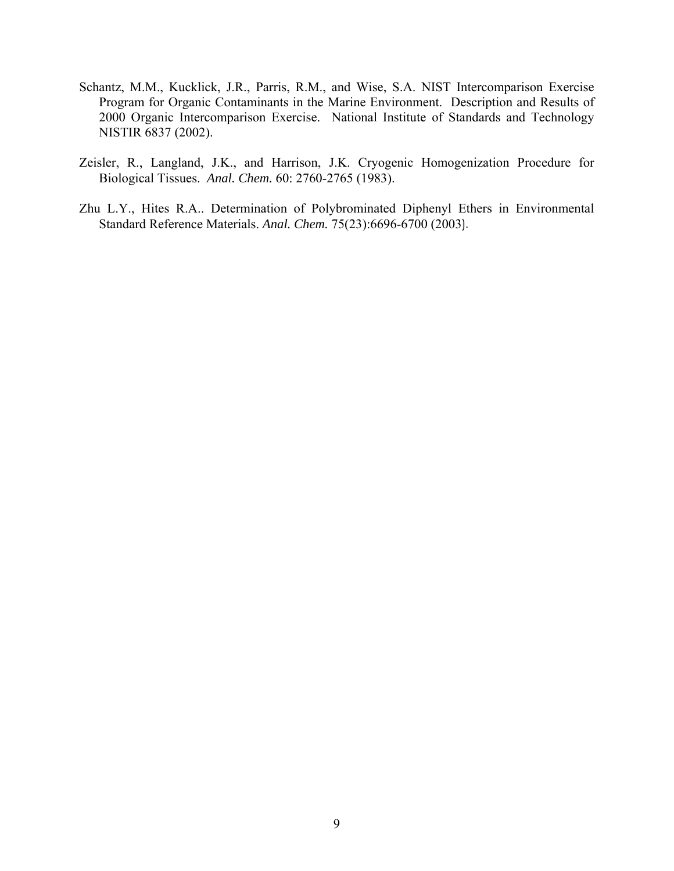- Schantz, M.M., Kucklick, J.R., Parris, R.M., and Wise, S.A. NIST Intercomparison Exercise Program for Organic Contaminants in the Marine Environment. Description and Results of 2000 Organic Intercomparison Exercise. National Institute of Standards and Technology NISTIR 6837 (2002).
- Zeisler, R., Langland, J.K., and Harrison, J.K. Cryogenic Homogenization Procedure for Biological Tissues. *Anal. Chem.* 60: 2760-2765 (1983).
- Zhu L.Y., Hites R.A.. Determination of Polybrominated Diphenyl Ethers in Environmental Standard Reference Materials. *Anal. Chem.* 75(23):6696-6700 (2003).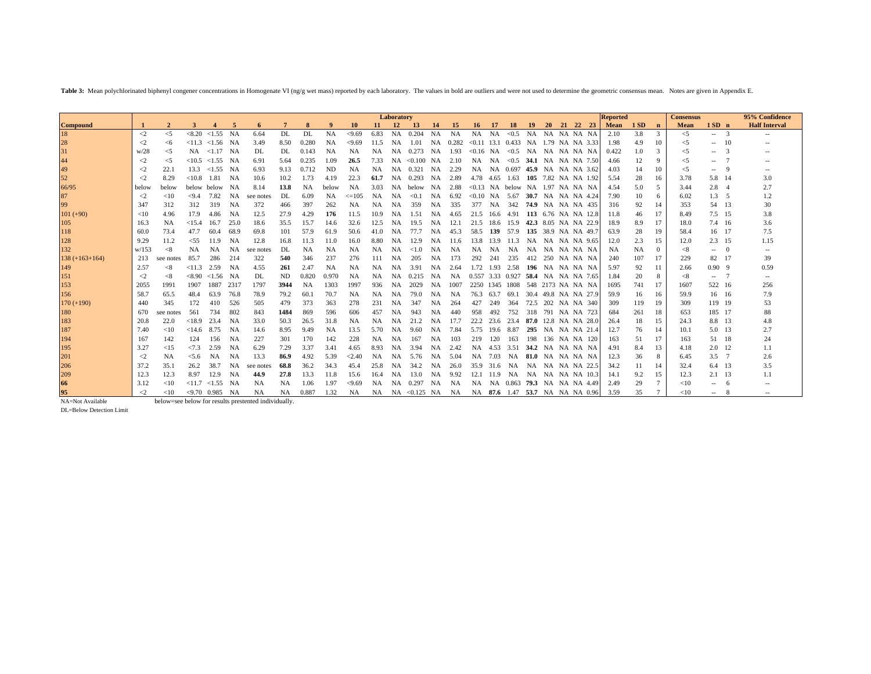Table 3: Mean polychlorinated biphenyl congener concentrations in Homogenate VI (ng/g wet mass) reported by each laboratory. The values in bold are outliers and were not used to determine the geometric consensus mean. Note

|                      |                    |              |        |                           |           |                                                      |              |           |           |            |           | Laboratory |                    |           |           |                 |           |                                        |                           |           |                     | <b>Reported</b> |           |               | <b>Consensus</b> |                |          | 95% Confidence           |
|----------------------|--------------------|--------------|--------|---------------------------|-----------|------------------------------------------------------|--------------|-----------|-----------|------------|-----------|------------|--------------------|-----------|-----------|-----------------|-----------|----------------------------------------|---------------------------|-----------|---------------------|-----------------|-----------|---------------|------------------|----------------|----------|--------------------------|
| <b>Compound</b>      |                    | $\mathbf{2}$ | 3      |                           | 5         | 6                                                    | $\mathbf{7}$ |           | 9         | 10         | 11.       | <b>12</b>  | <b>13</b>          | 14        | 15        | 16 <sup>1</sup> | -17       | 18                                     | <b>19</b>                 | <b>20</b> | 21 22 23            | <b>Mean</b>     | 1 SD      | $\mathbf n$   | Mean             | $1SD$ n        |          | <b>Half Interval</b>     |
| 18                   | $\langle$ 2        | $\leq$ 5     | < 8.20 | < 1.55                    | NA        | 6.64                                                 | DL           | DL        | <b>NA</b> | < 9.69     | 6.83      | <b>NA</b>  | 0.204              | NA        | <b>NA</b> | NA              | <b>NA</b> | < 0.5                                  | <b>NA</b>                 | <b>NA</b> | NA NA NA            | 2.10            | 3.8       | 3             | $\leq 5$         | $\overline{a}$ | -3       |                          |
|                      | $\leq$             | <6           | < 11.3 | $< 1.56$ NA               |           | 3.49                                                 | 8.50         | 0.280     | <b>NA</b> | < 9.69     | 11.5      | NA         | 1.01               | NA        | 0.282     |                 |           | $< 0.11$ 13.1 0.433 NA 1.79 NA NA 3.33 |                           |           |                     | 1.98            | 4.9       | 10            | $\leq$ 5         | $-$            | 10       |                          |
|                      | w/28               | $\leq$ 5     | NA     | $\langle 1.17 \rangle$ NA |           | DL                                                   | DL           | 0.143     | <b>NA</b> | <b>NA</b>  | NA.       | NA         | 0.273              | NA        | 1.93      |                 |           | $< 0.16$ NA $< 0.5$                    | NA NA NA NA NA            |           |                     | 0.422           | 1.0       | $\mathcal{R}$ | $\leq$ 5         | $\overline{a}$ |          |                          |
| 28<br>31<br>44<br>49 | $\scriptstyle{<}2$ | $\leq$       | <10.5  | $< 1.55$ NA               |           | 6.91                                                 | 5.64         | 0.235     | 1.09      | 26.5       | 7.33      | NA         | < 0.100            | NA        | 2.10      | NA              | NA        | $< 0.5$ 34.1 NA NA NA 7.50             |                           |           |                     | 4.66            | 12        | 9             | $<$ 5            | $- -$          |          | $- -$                    |
|                      | $\leq$             | 22.1         | 13.3   | < 1.55                    | NA        | 6.93                                                 | 9.13         | 0.712     | <b>ND</b> | NA         | <b>NA</b> | NA         | 0.321              | NA        | 2.29      | NA.             |           | NA 0.697                               | 45.9 NA NA NA 3.62        |           |                     | 4.03            | 14        | 10            | $\leq$ 5         | $-$            | -9       |                          |
| 52<br>66/95          | $\leq$             | 8.29         | < 10.8 | 1.81                      | NA        | 10.6                                                 | 10.2         | 1.73      | 4.19      | 22.3       | 61.7      | NA         | 0.293              | NA        | 2.89      | 4.78            | 4.65      | 1.63                                   |                           |           | 105 7.82 NA NA 1.92 | 5.54            | 28        | 16            | 3.78             | 5.8            | - 14     | 3.0                      |
|                      | below              | below        | below  | below                     | NA        | 8.14                                                 | 13.8         | <b>NA</b> | below     | <b>NA</b>  | 3.03      | NA         | below              | NA        | 2.88      |                 |           | $< 0.13$ NA below NA 1.97 NA NA NA     |                           |           |                     | 4.54            | 5.0       | 5             | 3.44             | 2.8            |          | 2.7                      |
| 87                   | $\leq$             | <10          | < 9.4  | 7.82                      | <b>NA</b> | see notes                                            | DL           | 6.09      | NA        | $\leq 105$ | <b>NA</b> | NA         | < 0.1              | NA        | 6.92      |                 |           | $< 0.10$ NA 5.67                       | 30.7 NA NA NA 4.24        |           |                     | 7.90            | 10        | 6             | 6.02             | 1.3 5          |          | 1.2                      |
| 99                   | 347                | 312          | 312    | 319                       | <b>NA</b> | 372                                                  | 466          | 397       | 262       | NA         | NA.       | NA         | 359                | NA        | 335       | 377             | <b>NA</b> | 342                                    | <b>74.9</b> NA NA NA 435  |           |                     | 316             | 92        | 14            | 353              | 54 13          |          | 30                       |
| $101 (+90)$          | <10                | 4.96         | 17.9   | 4.86                      | NA        | 12.5                                                 | 27.9         | 4.29      | 176       | 11.5       | 10.9      | NA         | 1.51               | NA        | 4.65      | 21.5            | 16.6      | 4.91                                   |                           |           | 113 6.76 NA NA 12.8 | 11.8            | 46        | 17            | 8.49             | 7.5 15         |          | 3.8                      |
| 105                  | 16.3               | <b>NA</b>    | <15.4  | 16.7                      | 25.0      | 18.6                                                 | 35.5         | 15.7      | 14.6      | 32.6       | 12.5      | NA         | 19.5               | NA        | 12.1      | 21.5            | 18.6      | 15.9                                   | 42.3 8.05 NA NA 22.9      |           |                     | 18.9            | 8.9       | 17            | 18.0             | 7.4 16         |          | 3.6                      |
| 118                  | 60.0               | 73.4         | 47.7   | 60.4                      | 68.9      | 69.8                                                 | 101          | 57.9      | 61.9      | 50.6       | 41.0      | NA         | 77.7               | <b>NA</b> | 45.3      |                 | 58.5 139  | 57.9                                   | 135 38.9 NA NA 49.7       |           |                     | 63.9            | 28        | 19            | 58.4             | 16 17          |          | 7.5                      |
| 128                  | 9.29               | 11.2         | < 55   | 11.9                      | <b>NA</b> | 12.8                                                 | 16.8         | 11.3      | 11.0      | 16.0       | 8.80      | NA         | 12.9               | NA        | 11.6      | 13.8            | 13.9      | 11.3                                   | NA                        |           | NA NA NA 9.65       | 12.0            | 2.3       | 15            | 12.0             | $2.3$ 15       |          | 1.15                     |
| 132                  | w/153              | < 8          | NA     | <b>NA</b>                 | <b>NA</b> | see notes                                            | DL           | NA        | NA        | <b>NA</b>  | <b>NA</b> | NA         | <1.0               | NA        | NA        | NA              | <b>NA</b> | NA                                     | <b>NA</b>                 |           | NA NA NA NA         | <b>NA</b>       | <b>NA</b> | $\Omega$      | < 8              | $\sim$         | $\Omega$ | $\sim$                   |
| $138 (+163+164)$     | 213                | see notes    | 85.7   | 286                       | 214       | 322                                                  | 540          | 346       | 237       | 276        | 111       | <b>NA</b>  | 205                | NA        | 173       | 292             | 241       | 235                                    | 412 250                   |           | NA NA NA            | 240             | 107       | 17            | 229              | 82             | 17       | 39                       |
| 149                  | 2.57               | <8           | <11.3  | 2.59                      | NA        | 4.55                                                 | 261          | 2.47      | NA        | <b>NA</b>  | <b>NA</b> | NA         | 3.91               | NA        | 2.64      |                 |           | 1.72 1.93 2.58                         | 196                       |           | NA NA NA NA         | 5.97            | 92        | 11            | 2.66             | 0.909          |          | 0.59                     |
| 151                  | $\leq$             | <8           | < 8.90 | < 1.56                    | NA        | DL                                                   | <b>ND</b>    | 0.820     | 0.970     | NA         | NA.       | NA         | 0.215              | NA        | NA        |                 |           | 0.557 3.33 0.927                       | 58.4 NA NA NA 7.65        |           |                     | 1.84            | 20        | 8             | < 8              | $-$            |          | $\sim$                   |
| 153                  | 2055               | 1991         | 1907   | 1887                      | 2317      | 1797                                                 | 3944         | <b>NA</b> | 1303      | 1997       | 936       | NA         | 2029               | NA        | 1007      | 2250            |           | 1345 1808                              | 548 2173 NA NA NA         |           |                     | 1695            | 741       | 17            | 1607             | 522 16         |          | 256                      |
| 156                  | 58.7               | 65.5         | 48.4   | 63.9                      | 76.8      | 78.9                                                 | 79.2         | 60.1      | 70.7      | NA         | <b>NA</b> | <b>NA</b>  | 79.0               | NA        | <b>NA</b> | 76.3            | 63.7      | 69.1                                   | 30.4 49.8 NA NA 27.9      |           |                     | 59.9            | 16        | 16            | 59.9             | 16 16          |          | 7.9                      |
| $170 (+190)$         | 440                | 345          | 172    | 410                       | 526       | 505                                                  | 479          | 373       | 363       | 278        | 231       | <b>NA</b>  | 347                | NA        | 264       | 427             | 249       | 364                                    | 72.5 202 NA NA 340        |           |                     | 309             | 119       | 19            | 309              | 119 19         |          | 53                       |
| 180                  | 670                | see notes    | 561    | 734                       | 802       | 843                                                  | 1484         | 869       | 596       | 606        | 457       | NA         | 943                | NA        | 440       | 958             | 492       | 752                                    | 318                       |           | 791 NA NA 723       | 684             | 261       | 18            | 653              | 185 17         |          | 88                       |
| 183<br>187           | 20.8               | 22.0         | < 18.9 | 23.4                      | <b>NA</b> | 33.0                                                 | 50.3         | 26.5      | 31.8      | <b>NA</b>  | <b>NA</b> | <b>NA</b>  | 21.2               | NA        | 17.7      | 22.2            | 23.6      | 23.4                                   | 87.0                      |           | 12.8 NA NA 28.0     | 26.4            | 18        | 15            | 24.3             | 8.8 13         |          | 4.8                      |
|                      | 7.40               | <10          | <14.6  | 8.75                      | NA        | 14.6                                                 | 8.95         | 9.49      | NA        | 13.5       | 5.70      | NA         | 9.60               | NA        | 7.84      | 5.75            |           | 19.6 8.87                              | 295                       |           | NA NA NA 21.4       | 12.7            | 76        | 14            | 10.1             | 5.0 13         |          | 2.7                      |
| 194                  | 167                | 142          | 124    | 156                       | NA        | 227                                                  | 301          | 170       | 142       | 228        | <b>NA</b> | NA         | 167                | NA        | 103       | 219             | 120       | 163                                    | 198                       |           | 136 NA NA 120       | 163             | 51        | 17            | 163              | 51 18          |          | 24                       |
| 195                  | 3.27               | <15          | 27.3   | 2.59                      | <b>NA</b> | 6.29                                                 | 7.29         | 3.37      | 3.41      | 4.65       | 8.93      | NA         | 3.94               | NA        | 2.42      | NA              | 4.53      | 3.51                                   | 34.2 NA NA NA NA          |           |                     | 4.91            | 8.4       | 13            | 4.18             | $2.0 \quad 12$ |          | 1.1                      |
| 201                  | $\langle$ 2        | <b>NA</b>    | < 5.6  | <b>NA</b>                 | <b>NA</b> | 13.3                                                 | 86.9         | 4.92      | 5.39      | < 2.40     | <b>NA</b> | <b>NA</b>  | 5.76               | NA        | 5.04      | NA              | 7.03      | NA                                     | 81.0                      |           | NA NA NA NA         | 12.3            | 36        | 8             | 6.45             | $3.5 \quad 7$  |          | 2.6                      |
| 206                  | 37.2               | 35.1         | 26.2   | 38.7                      | <b>NA</b> | see notes                                            | 68.8         | 36.2      | 34.3      | 45.4       | 25.8      | NA         | 34.2               | NA        | 26.0      | 35.9            | 31.6      | NA                                     | NA                        |           | NA NA NA 22.5       | 34.2            |           | 14            | 32.4             | 6.4 13         |          | 3.5                      |
| 209                  | 12.3               | 12.3         | 8.97   | 12.9                      | <b>NA</b> | 44.9                                                 | 27.8         | 13.3      | 11.8      | 15.6       | 16.4      | NA         | 13.0               | NA        | 9.92      |                 | 12.1 11.9 | NA                                     | NA NA NA NA 10.3          |           |                     | 14.1            | 9.2       | 15            | 12.3             | $2.1$ 13       |          |                          |
| 66                   | 3.12               | <10          | < 11.7 | < 1.55                    | NA        | <b>NA</b>                                            | <b>NA</b>    | 1.06      | 1.97      | < 9.69     | <b>NA</b> | NA         | 0.297              | NA        | NA        | NA              | NA        | 0.863                                  | <b>79.3</b> NA NA NA 4.49 |           |                     | 2.49            | 29        |               | <10              | $-$            | - 6      |                          |
| 95                   | $\leq$             | <10          |        | $< 9.70$ 0.985            | NA        | <b>NA</b>                                            | <b>NA</b>    | 0.887     | 1.32      | <b>NA</b>  | NA        |            | $NA \leq 0.125 NA$ |           | NA        |                 |           | NA 87.6 1.47                           | 53.7 NA NA NA 0.96        |           |                     | 3.59            | 35        |               | <10              | $\sim$         | - 8      | $\overline{\phantom{a}}$ |
| NA=Not Available     |                    |              |        |                           |           | below=see below for results prestented individually. |              |           |           |            |           |            |                    |           |           |                 |           |                                        |                           |           |                     |                 |           |               |                  |                |          |                          |

below=see below for results prestented individually.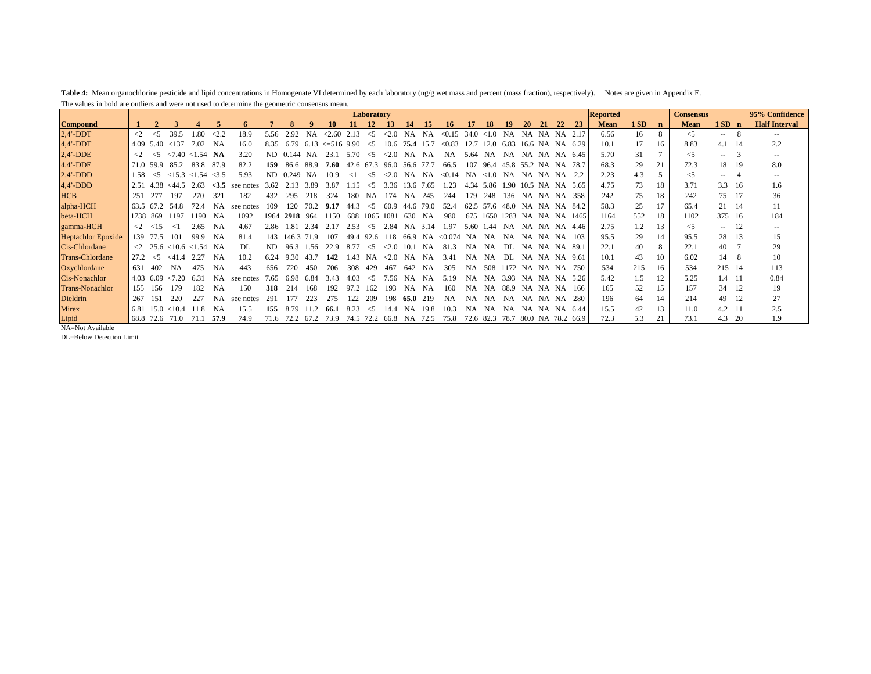**Table 4:** Mean organochlorine pesticide and lipid concentrations in Homogenate VI determined by each laboratory (ng/g wet mass and percent (mass fraction), respectively). Notes are given in Appendix E. The values in bold are outliers and were not used to determine the geometric consensus mean.

|                           |                     |           |                 |                                                       |               |           |      |             |                 |                 |           | Laboratory |            |           |           |         |           |           |                 |           |       |            |                      | <b>Reported</b> |     |             | <b>Consensus</b> |                                                                                                                                                                                                                                                                                                                                                                                                                                                                            |      | 95% Confidence           |
|---------------------------|---------------------|-----------|-----------------|-------------------------------------------------------|---------------|-----------|------|-------------|-----------------|-----------------|-----------|------------|------------|-----------|-----------|---------|-----------|-----------|-----------------|-----------|-------|------------|----------------------|-----------------|-----|-------------|------------------|----------------------------------------------------------------------------------------------------------------------------------------------------------------------------------------------------------------------------------------------------------------------------------------------------------------------------------------------------------------------------------------------------------------------------------------------------------------------------|------|--------------------------|
| <b>Compound</b>           |                     |           |                 |                                                       |               | 6         |      | 8           |                 | 10              |           | 12         | 13         |           |           | 16.     |           | 18        |                 | 20        | 21    | 22         | 23                   | <b>Mean</b>     | 1SD | $\mathbf n$ | <b>Mean</b>      | $1SD$ n                                                                                                                                                                                                                                                                                                                                                                                                                                                                    |      | <b>Half Interval</b>     |
| $2.4'$ -DDT               | $\langle$ 2         | $<$ 5     | 39.5            | 1.80                                                  | $\langle 2.2$ | 18.9      | 5.56 | 2.92        | NA              | <2.60           | 2.13      | $\leq$ 5   | < 2.0      | <b>NA</b> | <b>NA</b> | < 0.15  | 34.0      | <1.0      | <b>NA</b>       | <b>NA</b> | NA.   | - NA       | 2.17                 | 6.56            | 16  | 8           | $<$ 5            | $- -$                                                                                                                                                                                                                                                                                                                                                                                                                                                                      | 8    | $\overline{\phantom{a}}$ |
| $4.4'$ -DDT               | 4.09                | 5.40      | < 137           | 7.02                                                  | NA            | 16.0      | 8.35 | 6.79        | 6.13            | $\leq 516$ 9.90 |           | $\leq$ 5   | 10.6       | 75.4 15.7 |           | < 0.83  | 12.7      | 12.0      | 6.83            |           |       |            | 16.6 NA NA 6.29      | 10.1            | 17  | 16          | 8.83             | 4.1                                                                                                                                                                                                                                                                                                                                                                                                                                                                        | - 14 | 2.2                      |
| $2,4'$ -DDE               | $\langle$ 2         | $\leq$ 5  |                 | $\langle 7.40 \times 1.54 \rangle$ NA                 |               | 3.20      |      | ND 0.144 NA |                 | 23.1            | 5.70      | $\leq$ 5   | $\leq 2.0$ | NA        | NA        | NA      | 5.64      | NA        | NA              |           |       |            | NA NA NA 6.45        | 5.70            | 31  |             | $<$ 5            | $- -$                                                                                                                                                                                                                                                                                                                                                                                                                                                                      | 3    | $- -$                    |
| $4,4'$ -DDE               |                     | 71.0 59.9 | 85.2            | 83.8                                                  | 87.9          | 82.2      | 159  |             | 86.6 88.9       | 7.60            | 42.6 67.3 |            | 96.0       | 56.6      | 77.7      | 66.5    | 107       | 96.4      | 45.8 55.2 NA NA |           |       |            | -78.7                | 68.3            | 29  | 21          | 72.3             | 18                                                                                                                                                                                                                                                                                                                                                                                                                                                                         | 19   | 8.0                      |
| $2,4'$ -DDD               | 1.58                | $\leq$ 5  |                 | $<15.3$ $<1.54$                                       | <3.5          | 5.93      | ND.  | $0.249$ NA  |                 | 10.9            | $\leq$ 1  | $\leq$ 5   | < 2.0      | NA        | NA        | < 0.14  | NA        | <1.0      | NA              | NA NA NA  |       |            |                      | 2.23            | 4.3 | 5           | $\leq$ 5         | $\frac{1}{2} \left( \frac{1}{2} \right) \left( \frac{1}{2} \right) \left( \frac{1}{2} \right) \left( \frac{1}{2} \right) \left( \frac{1}{2} \right) \left( \frac{1}{2} \right) \left( \frac{1}{2} \right) \left( \frac{1}{2} \right) \left( \frac{1}{2} \right) \left( \frac{1}{2} \right) \left( \frac{1}{2} \right) \left( \frac{1}{2} \right) \left( \frac{1}{2} \right) \left( \frac{1}{2} \right) \left( \frac{1}{2} \right) \left( \frac{1}{2} \right) \left( \frac$ | -4   | $- -$                    |
| $4,4'$ -DDD               | 2.51                |           | $4.38 \le 44.5$ | 2.63                                                  | <3.5          | see notes | 3.62 | 2.13        | 3.89            | 3.87            | 1.15      | $\leq$ 5   | 3.36       |           | 13.6 7.65 | 1.23    |           | 4.34 5.86 |                 |           |       |            | 1.90 10.5 NA NA 5.65 | 4.75            | 73  | 18          | 3.71             | $3.3 \quad 16$                                                                                                                                                                                                                                                                                                                                                                                                                                                             |      | 1.6                      |
| <b>HCB</b>                | 251                 | 277       | 197             | 270                                                   | 321           | 182       | 432  | 295         | 218             | 324             | 180       | NA.        | 174        | N A       | 245       | 244     | 179       | 248       | 136             |           |       |            | NA NA NA 358         | 242             | 75  | 18          | 242              | 75 17                                                                                                                                                                                                                                                                                                                                                                                                                                                                      |      | 36                       |
| alpha-HCH                 |                     | 63.5 67.2 | 54.8            | 72.4                                                  | <b>NA</b>     | see notes | 109  | 120         | 70 <sub>2</sub> | 9.17            | 44.3      | $\leq 5$   | 60.9       | 44.6      | 79.0      | 52.4    | 62.5      | 57.6      | 48.0            | <b>NA</b> |       |            | NA NA 84.2           | 58.3            | 25  | 17          | 65.4             | 21 14                                                                                                                                                                                                                                                                                                                                                                                                                                                                      |      | 11                       |
| beta-HCH                  |                     | 1738 869  | 1197            | 1190                                                  | NA            | 1092      | 1964 | 2918        | 964             | 1150            | 688       | 1065       | 1081       | -630      | NA        | -980    | 675       | 1650      | 1283            |           |       |            | NA NA NA 1465        | 1164            | 552 | 18          | 1102             | 375 16                                                                                                                                                                                                                                                                                                                                                                                                                                                                     |      | 184                      |
| gamma-HCH                 | $\langle 2 \rangle$ | <15       | ⊲               | 2.65                                                  | NA            | 4.67      | 2.86 | 1.81        | 2.34            | 2.17            | 2.53      | $\leq$ 5   | 2.84       | NA.       | 3.14      | 1.97    | 5.60      | 1.44      | NA.             | N A       |       |            | NA NA 4.46           | 2.75            | 1.2 | 13          | $\leq$ 5         | $- -$                                                                                                                                                                                                                                                                                                                                                                                                                                                                      | -12  | $\overline{\phantom{m}}$ |
| <b>Heptachlor Epoxide</b> |                     | 139 77.5  | 101             | 99.9                                                  | NA            | 81.4      | 143. | 146.3       | 71.9            | 107             | 49.4      | 92.6       | 118        | 66.9      | NA        | < 0.074 | NA        | NA        | NA              | NA NA NA  |       |            | -103                 | 95.5            | 29  | 14          | 95.5             | 28                                                                                                                                                                                                                                                                                                                                                                                                                                                                         | 13   | 15                       |
| Cis-Chlordane             |                     |           |                 | $\langle 2 \quad 25.6 \quad 10.6 \quad 1.54 \quad NA$ |               | DL        | ND.  | 963         | 1.56            | 22.9            | 8.77      | $\leq 5$   | <2.0       | 10.1      | <b>NA</b> | 81.3    | <b>NA</b> | <b>NA</b> | DL.             | NA.       | NA NA |            | - 89.1               | 22.1            | 40  | 8           | 22.1             | 40                                                                                                                                                                                                                                                                                                                                                                                                                                                                         |      | 29                       |
| <b>Trans-Chlordane</b>    | 27.2                | $\leq$ 5  | $<$ 41.4        | 2.27                                                  | NA            | 10.2      | 6.24 | 9.30        | 43.7            | 142             | 43        | NA.        | ${<}2.0$   | <b>NA</b> | NA.       | 3.41    | NA        | <b>NA</b> | DL.             | N A       |       | NA NA 9.61 |                      | 10.1            | 43  | 10          | 6.02             | 14                                                                                                                                                                                                                                                                                                                                                                                                                                                                         | -8   | 10                       |
| Oxychlordane              | 631                 | 402       | N A             | 475                                                   | <b>NA</b>     | 443       | 656  | 720         | 450             | 706             | 308       | 429        | 467        | 642       | NA        | 305     | NA        | 508       | 1172 NA NA NA   |           |       |            | 750                  | 534             | 215 | 16          | 534              | 215 14                                                                                                                                                                                                                                                                                                                                                                                                                                                                     |      | 113                      |
| Cis-Nonachlor             | 4.03                | 6.09      | 27.20           | 6.31                                                  | <b>NA</b>     | see notes | 7.65 | 6.98        | 6.84            | 3.43            | 4.03      | $\leq 5$   | 7.56       | NA.       | NA.       | 5.19    | NA        | NA        | 3.93            | NA.       |       |            | NA NA 5.26           | 5.42            | 1.5 | 12          | 5.25             | 1.4 11                                                                                                                                                                                                                                                                                                                                                                                                                                                                     |      | 0.84                     |
| <b>Trans-Nonachlor</b>    | 155                 | 156       | 179             | 182                                                   | <b>NA</b>     | 150       | 318  | 214         | 168             | 192             |           | 162        | 193        | <b>NA</b> | <b>NA</b> | 160     | <b>NA</b> | <b>NA</b> | 88.9            | NA.       | NA NA |            | -166                 | 165             | 52  | 15          | 157              | 34 12                                                                                                                                                                                                                                                                                                                                                                                                                                                                      |      | 19                       |
| Dieldrin                  | 267                 | 151       | 220             | 227                                                   | <b>NA</b>     | see notes | 291  | 177         | 223             | 275             | 122       | 209        | 198        | 65.0      | 219       | NA      | NA        | NA.       | NA              | NA.       | NA NA |            | 280                  | 196             | 64  | 14          | 214              | 49                                                                                                                                                                                                                                                                                                                                                                                                                                                                         | -12  | 27                       |
| <b>Mirex</b>              | 6.81                |           | $15.0 \le 10.4$ | 11.8                                                  | NA            | 15.5      | 155  | 8.79        | 11.2            | -66.1           | 8.23      | $\leq$ 5   | 14.4       | NA.       | 19.8      | 10.3    | <b>NA</b> | <b>NA</b> | NA              |           |       |            | NA NA NA 6.44        | 15.5            | 42  | 13          | 11.0             | 4.2 11                                                                                                                                                                                                                                                                                                                                                                                                                                                                     |      | 2.5                      |
| Lipid                     |                     |           | 68.8 72.6 71.0  | 71.1                                                  | 57.9          | 74.9      | 71.6 | 72.2        | 67.2            | 73.9            | 74.5 72.2 |            | 66.8       | NA.       | 72.5      | 75.8    |           | 72.6 82.3 | 78.7            |           |       |            | 80.0 NA 78.2 66.9    | 72.3            | 5.3 | 21          | 73.1             | 4.3                                                                                                                                                                                                                                                                                                                                                                                                                                                                        | - 20 | 1.9                      |
| NA=Not Available          |                     |           |                 |                                                       |               |           |      |             |                 |                 |           |            |            |           |           |         |           |           |                 |           |       |            |                      |                 |     |             |                  |                                                                                                                                                                                                                                                                                                                                                                                                                                                                            |      |                          |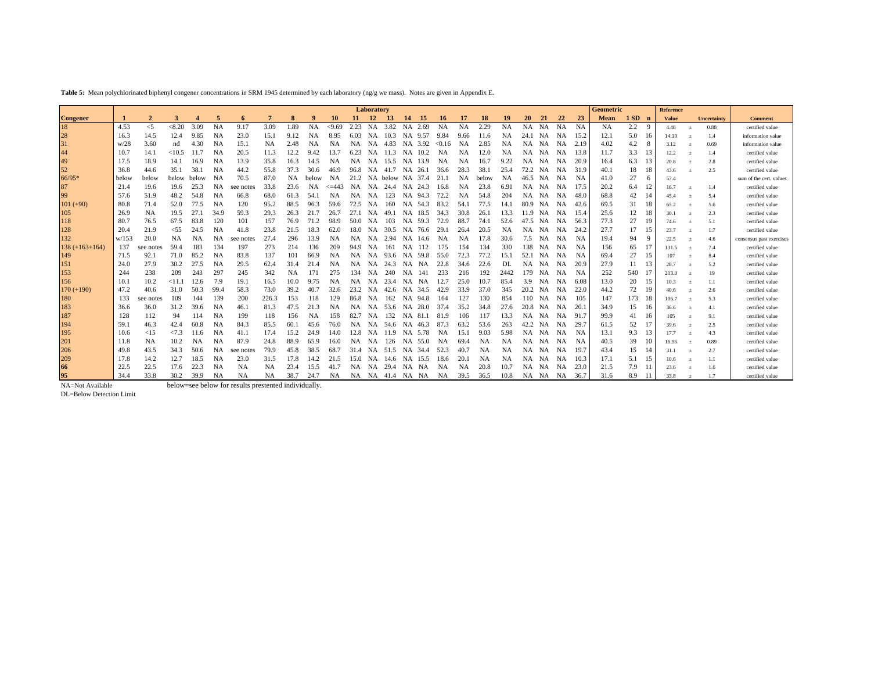**Table 5:** Mean polychlorinated biphenyl congener concentrations in SRM 1945 determined by each laboratory (ng/g we mass). Notes are given in Appendix E.

|                                                         |       |                |               |           |           |                                                      |           |           |           |            |           | Laboratory |            |           |         |           |           |           |           |           |           |           |           | Geometric |         |     | Reference    |                |                    |                          |
|---------------------------------------------------------|-------|----------------|---------------|-----------|-----------|------------------------------------------------------|-----------|-----------|-----------|------------|-----------|------------|------------|-----------|---------|-----------|-----------|-----------|-----------|-----------|-----------|-----------|-----------|-----------|---------|-----|--------------|----------------|--------------------|--------------------------|
| <b>Congener</b>                                         |       | $\overline{2}$ |               |           | 5         | 6                                                    | 7         |           | 9         | 10         | -11       | 12         | - 13       | 14        | - 15    | 16        | 17        | <b>18</b> | 19        | <b>20</b> | 21        | 22        | 23        | Mean      | $1SD$ n |     | <b>Value</b> |                | <b>Uncertainty</b> | <b>Comment</b>           |
| 18                                                      | 4.53  | $<$ 5          | < 8.20        | 3.09      | <b>NA</b> | 9.17                                                 | 3.09      | 1.89      | <b>NA</b> | < 9.69     | 2.23      | NA         | 3.82       |           | NA 2.69 | NA        | <b>NA</b> | 2.29      | <b>NA</b> | <b>NA</b> | <b>NA</b> | NA        | <b>NA</b> | <b>NA</b> | 2.2     | -9  | 4.48         | $\ddot{}$      | 0.88               | certified value          |
|                                                         | 16.3  | 14.5           | 12.4          | 9.85      | NA        | 23.0                                                 | 15.1      | 9.12      | <b>NA</b> | 8.95       | 6.03      | NA         | 10.3       |           | NA 9.57 | 9.84      | 9.66      | 11.6      | <b>NA</b> | 24.1      | NA        | <b>NA</b> | 15.2      | 12.1      | 5.0     | 16  | 14.10        | $\ddot{}$      | 1.4                | information value        |
|                                                         | w/28  | 3.60           | nd            | 4.30      | NA        | 15.1                                                 | <b>NA</b> | 2.48      | <b>NA</b> | NA         | <b>NA</b> | NA         | 4.83       |           | NA 3.92 | <0.16     | NA        | 2.85      | <b>NA</b> | <b>NA</b> | NA        | <b>NA</b> | 2.19      | 4.02      | 4.2     | 8   | 3.12         | $\ddot{}$      | 0.69               | information value        |
| 28<br>31<br>44<br>49<br>52                              | 10.7  | 14.1           | <10.5         | 11.7      | <b>NA</b> | 20.5                                                 | 11.3      | 12.2      | 9.42      | 13.7       | 6.23      | NA         | 11.3       | <b>NA</b> | 10.2    | <b>NA</b> | NA        | 12.0      | <b>NA</b> | <b>NA</b> | NA        | NA        | 13.8      | 11.7      | 3.3     |     | 12.2         | $\pm$          | 1.4                | certified value          |
|                                                         | 17.5  | 18.9           | 14.1          | 16.9      | NA        | 13.9                                                 | 35.8      | 16.3      | 14.5      | <b>NA</b>  | <b>NA</b> | NA         | 15.5       |           | NA 13.9 | NA        | <b>NA</b> | 16.7      | 9.22      | <b>NA</b> | <b>NA</b> | NA        | 20.9      | 16.4      | 6.3     | 13  | 20.8         | $\ddot{}$      | 2.8                | certified value          |
|                                                         | 36.8  | 44.6           | 35.1          | 38.1      | <b>NA</b> | 44.2                                                 | 55.8      | 37.3      | 30.6      | 46.9       | 96.8      | <b>NA</b>  | 41.7       |           | NA 26.1 | 36.6      | 28.3      | 38.       | 25.4      | 72.2      | <b>NA</b> | <b>NA</b> | 31.9      | 40.1      | 18      | 18  | 43.6         | $\ddot{}$      | 2.5                | certified value          |
| 66/95*                                                  | below | below          | below         | below     | NA        | 70.5                                                 | 87.0      | NA        | below     | NA         | 21.2      | NA         | below      |           | NA 37.4 | 21.1      | NA        | below     | NA        | 46.5      | NA        | NA        | NA        | 41.0      | 27      | 6   | 57.4         |                |                    | sum of the cert, values  |
| $\begin{array}{c} 87 \\ 99 \end{array}$                 | 21.4  | 19.6           | 19.6          | 25.3      | <b>NA</b> | see notes                                            | 33.8      | 23.6      | NA        | $\leq$ 443 | <b>NA</b> | NA         | 24.4       | <b>NA</b> | 24.3    | 16.8      | <b>NA</b> | 23.8      | 6.91      | <b>NA</b> | <b>NA</b> | <b>NA</b> | 17.5      | 20.2      | 6.4     |     | 16.7         | $\ddot{}$      | 1.4                | certified value          |
|                                                         | 57.6  | 51.9           | 48.2          | 54.8      | NA        | 66.8                                                 | 68.0      | 61.3      | 54.       | NA         | NA        | NA         | 123        |           | NA 94.3 | 72.2      | <b>NA</b> | 54.8      | 204       | NA        | <b>NA</b> | NA        | 48.0      | 68.8      | 42      |     | 45.4         | $\pm$          | 5.4                | certified value          |
| $101 (+90)$                                             | 80.8  | 71.4           | 52.0          | 77.5      | <b>NA</b> | 120                                                  | 95.2      | 88.5      | 96.3      | 59.6       | 72.5      | NA         | 160        |           | NA 54.3 | 83.2      | 54.1      | 77.5      | 14.1      | 80.9      | <b>NA</b> | NA        | 42.6      | 69.5      | 31      | 18  | 65.2         | $\pm$          | 5.6                | certified value          |
| $\begin{array}{c} 105 \\ 118 \\ 128 \end{array}$        | 26.9  | <b>NA</b>      | 19.5          | 27.1      | 34.9      | 59.3                                                 | 29.3      | 26.3      | 21.7      | 26.7       | 27.1      | NA         | 49.1       | NA        | 18.5    | 34.3      | 30.8      | 26.       | 13.3      | 11.9      | <b>NA</b> | NA        | 15.4      | 25.6      | 12      | 18  | 30.1         | $\pm$          | 2.3                | certified value          |
|                                                         | 80.7  | 76.5           | 67.5          | 83.8      | 120       | 101                                                  | 157       | 76.9      | 71.2      | 98.9       | 50.0      | NA         | 103        | <b>NA</b> | 59.3    | 72.9      | 88.7      | 74.       | 52.6      | 47.5      | <b>NA</b> | NA        | 56.3      | 77.3      | 27      | 19  | 74.6         | $\pm$          | 5.1                | certified value          |
|                                                         | 20.4  | 21.9           | < 55          | 24.5      | NA        | 41.8                                                 | 23.8      | 21.5      | 18.3      | 62.0       | 18.0      | NA         | 30.5       | <b>NA</b> | 76.6    | 29.1      | 26.4      | 20.5      | <b>NA</b> | <b>NA</b> | <b>NA</b> | NA        | 24.2      | 27.7      | 17      | 15  | 23.7         | $\overline{1}$ | 1.7                | certified value          |
| 132                                                     | W/153 | 20.0           | <b>NA</b>     | <b>NA</b> | <b>NA</b> | see notes                                            | 27.4      | 296       | 13.9      | NA         | NA        | NA         | 2.94       |           | NA 14.6 | NA        | <b>NA</b> | 17.8      | 30.6      | 7.5       | <b>NA</b> | NA        | <b>NA</b> | 19.4      | 94      | 9   | 22.5         | $\pm$          | 4.6                | consensus past exercises |
| $138 (+163 + 164)$                                      | 137   | see notes      | 59.4          | 183       | 134       | 197                                                  | 273       | 214       | 136       | 209        | 94.9      | NA         | 161        | NA        | 112     | 175       | 154       | 134       | 330       | 138       | NA        | NA        | NA        | 156       | 65      |     | 131.5        | $\overline{1}$ | 7.4                | certified value          |
| $\frac{149}{151}$                                       | 71.5  | 92.1           | 71.0          | 85.2      | <b>NA</b> | 83.8                                                 | 137       | 101       | 66.9      | NA         | NA        | <b>NA</b>  | 93.6       | NA        | 59.8    | 55.0      | 72.3      | 77.2      | 15.1      | 52.1      | NA        | NA        | NA        | 69.4      | 27      | 15  | 107          | $\pm$          | 8.4                | certified value          |
|                                                         | 24.0  | 27.9           | 30.2          | 27.5      | NA        | 29.5                                                 | 62.4      | 31.4      | 21.4      | NA         | NA.       | NA         | 24.3       | NA        | NA      | 22.8      | 34.6      | 22.6      | DL        | <b>NA</b> | <b>NA</b> | NA        | 20.9      | 27.9      | 11      |     | 28.7         | $\overline{1}$ | 5.2                | certified value          |
| 153                                                     | 244   | 238            | 209           | 243       | 297       | 245                                                  | 342       | <b>NA</b> | 171       | 275        | 134       | NA         | 240        | <b>NA</b> | -141    | 233       | 216       | 192       | 2442      | 179       | NA        | NA        | <b>NA</b> | 252       | 540     |     | 213.0        | $\overline{1}$ | 19                 | certified value          |
| 156                                                     | 10.1  | 10.2           | <11.1         | 12.6      | 7.9       | 19.1                                                 | 16.5      | 10.0      | 9.75      | NA         | NA.       | NA         | 23.4       | NA        | NA      | 12.7      | 25.0      | 10.7      | 85.4      | 3.9       | <b>NA</b> | NA        | 6.08      | 13.0      | 20      | 15  | 10.3         | $\pm$          |                    | certified value          |
| $170 (+190)$                                            | 47.2  | 40.6           | 31.0          | 50.3      | 99.4      | 58.3                                                 | 73.0      | 39.2      | 40.7      | 32.6       | 23.2      | NA         | 42.6       | <b>NA</b> | 34.5    | 42.9      | 33.9      | 37.0      | 345       | 20.2      | NA        | <b>NA</b> | 22.0      | 44.2      | 72      | 19  | 40.6         | $\ddot{}$      | 2.6                | certified value          |
|                                                         | 133   | see notes      | 109           | 144       | 139       | 200                                                  | 226.3     | 153       | 118       | 129        | 86.8      | NA         | 162        | <b>NA</b> | 94.8    | 164       | 127       | 130       | 854       | 110       | NA        | NA        | 105       | 147       | 173     | 18  | 106.7        | $\overline{1}$ | 5.3                | certified value          |
|                                                         | 36.6  | 36.0           | 31.2          | 39.6      | NA        | 46.1                                                 | 81.3      | 47.5      | 21.3      | <b>NA</b>  | <b>NA</b> | <b>NA</b>  | 53.6       |           | NA 28.0 | 37.4      | 35.2      | 34.8      | 27.6      | 20.8      | <b>NA</b> | <b>NA</b> | 20.       | 34.9      | 15      | 16  | 36.6         | $\ddot{}$      | 4.1                | certified value          |
|                                                         | 128   | 112            | 94            | 114       | <b>NA</b> | 199                                                  | 118       | 156       | <b>NA</b> | 158        | 82.7      | NA         | 132        | NA        | 81.1    | 81.9      | 106       | 117       | 13.3      | <b>NA</b> | NA        | <b>NA</b> | 91.7      | 99.9      | 41      | -16 | 105          | $\ddot{}$      | 9.1                | certified value          |
| $\begin{array}{c} 180 \\ 183 \\ 187 \\ 194 \end{array}$ | 59.1  | 46.3           | 42.4          | 60.8      | <b>NA</b> | 84.3                                                 | 85.5      | 60.       | 45.6      | 76.0       | <b>NA</b> | NA         | 54.6       | <b>NA</b> | 46.3    | 87.3      | 63.2      | 53.6      | 263       | 42.2      | <b>NA</b> | <b>NA</b> | 29.       | 61.5      | 52      |     | 39.6         | $^{+}$         | 2.5                | certified value          |
| 195                                                     | 10.6  | <15            | $\langle 7.3$ | 11.6      | NA        | 41.1                                                 | 17.4      | 15.2      | 24.9      | 14.0       | 12.8      | NA         | 11.9       | <b>NA</b> | 5.78    | NA        | 15.1      | 9.03      | 5.98      | <b>NA</b> | <b>NA</b> | NA        | NA        | 13.1      | 9.3     | 13  | 17.7         | $\ddot{}$      | 4.3                | certified value          |
| 201                                                     | 11.8  | <b>NA</b>      | 10.2          | NA        | <b>NA</b> | 87.9                                                 | 24.8      | 88.9      | 65.9      | 16.0       | <b>NA</b> | NA         | 126        |           | NA 55.0 | NA        | 69.4      | <b>NA</b> | <b>NA</b> | <b>NA</b> | NA        | NA        | <b>NA</b> | 40.5      | 39      | 10  | 16.96        | $\pm$          | 0.89               | certified value          |
| 206                                                     | 49.8  | 43.5           | 34.3          | 50.6      | <b>NA</b> | see notes                                            | 79.9      | 45.8      | 38.5      | 68.7       | 31.4      | NA         | 51.5       | NA        | 34.4    | 52.3      | 40.7      | <b>NA</b> | NA        | NA        | NA        | <b>NA</b> | 19.7      | 43.4      | 15      |     | 31.1         | $\ddot{}$      | 2.7                | certified value          |
| 209<br>66<br>95                                         | 17.8  | 14.2           | 12.7          | 18.5      | NA        | 23.0                                                 | 31.5      | 17.8      | 14.2      | 21.5       | 15.0      | NA         | 14.6       |           | NA 15.5 | 18.6      | 20.       | <b>NA</b> | NA        | <b>NA</b> | NA        | NA        | 10.3      | 17.1      | 5.1     |     | 10.6         | $\pm$          | 1.1                | certified value          |
|                                                         | 22.5  | 22.5           | 17.6          | 22.3      | NA        | <b>NA</b>                                            | <b>NA</b> | 23.4      | 15.5      | 41.7       | <b>NA</b> | NA         | 29.4       | NA        | NA      | NA        | <b>NA</b> | 20.8      | 10.7      | <b>NA</b> | NA        | NA        | 23.0      | 21.5      | 7.9     |     | 23.6         | $\ddot{}$      | 1.6                | certified value          |
|                                                         | 34.4  | 33.8           | 30.2          | 39.9      | <b>NA</b> | <b>NA</b>                                            | <b>NA</b> | 38.7      | 24.7      | <b>NA</b>  | NA.       | NA         | 41.4 NA NA |           |         | NA        | 39.5      | 36.5      | 10.8      |           | NA NA NA  |           | 36.7      | 31.6      | 8.9     |     | 33.8         | $\ddot{}$      | 1.7                | certified value          |
| NA=Not Available                                        |       |                |               |           |           | below=see below for results prestented individually. |           |           |           |            |           |            |            |           |         |           |           |           |           |           |           |           |           |           |         |     |              |                |                    |                          |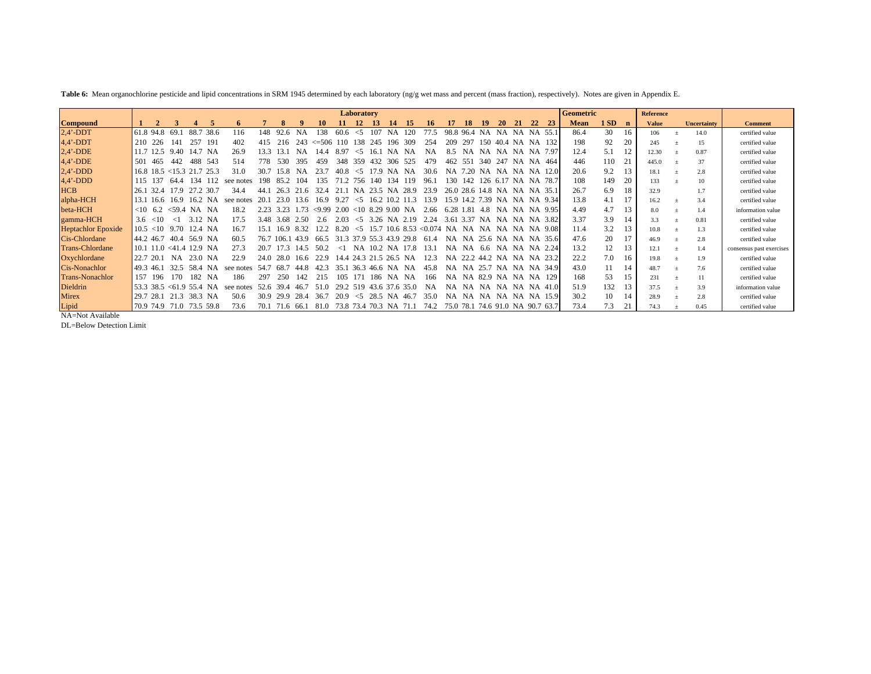Table 6: Mean organochlorine pesticide and lipid concentrations in SRM 1945 determined by each laboratory (ng/g wet mass and percent (mass fraction), respectively). Notes are given in Appendix E.

|                           |           |                |                                     |         |           |           |       |           |           |            |          | Laboratory |         |                |                    |                                             |           |           |                   |           |           |    |                           | Geometric   |     |    | <b>Reference</b> |                    |                          |
|---------------------------|-----------|----------------|-------------------------------------|---------|-----------|-----------|-------|-----------|-----------|------------|----------|------------|---------|----------------|--------------------|---------------------------------------------|-----------|-----------|-------------------|-----------|-----------|----|---------------------------|-------------|-----|----|------------------|--------------------|--------------------------|
| <b>Compound</b>           |           |                |                                     |         |           | 6         |       |           |           | 10         | 11.      | 12         | 13      | 14             | -15                | 16.                                         | 17        | 18        | -19               | <b>20</b> | 21        | 22 | <b>23</b>                 | <b>Mean</b> | 1SD |    | <b>Value</b>     | <b>Uncertainty</b> | <b>Comment</b>           |
| $2.4'$ -DDT               |           | 61.8 94.8      | 69.1                                | 88.7    | 38.6      | 116       | 148.  | 92.6      | <b>NA</b> | 38         | 60.6     | $\leq 5$   |         | NΑ             | 120                | 77.5                                        | 98.8      | 96.4      | <b>NA</b>         | NA        | <b>NA</b> |    | NA 55.1                   | 86.4        | 30  | 16 | 106              | 14.0               | certified value          |
| $4.4'$ -DDT               |           | 210 226        | 141                                 | 257     | -191      | 402       | 415   | 216       | 243       | $\leq 506$ | -110     | 138        | 245     | 196            | 309                | 254                                         | 209       | 297       | -150              | 404       |           |    | NA NA 132                 | 198         | 92  | 20 | 245              | 15                 | certified value          |
| $2.4'$ -DDE               |           | 11.7 12.5      | 9.40                                | 14.7    | N A       | 26.9      | 133   | 13.1      | NA        | 14.4       | 897      | $\leq 5$   |         |                |                    |                                             |           |           |                   | <b>NA</b> | <b>NA</b> |    | NA 7.97                   | 12.4        |     |    | 12.30            | 0.87               | certified value          |
| $4,4'$ -DDE               | 501       | 465            | 442                                 | 488     | 543       | 514       | 778   | -530      | 395       | 459        | 348      | 359        | 432     | 306            | 525                | 479                                         | 462       | 551       | 340               | 247       | <b>NA</b> |    | NA 464                    | 446         | 110 | 21 | 445.0            | 37                 | certified value          |
| $2,4'$ -DDD               |           |                | $16.8$ 18.5 < 15.3 21.7 25.3        |         |           | 31.0      | 30.7  | 15.8      | NA        | 23.7       | 40.8     | $\leq$ 5   | 17.9    | <b>NA</b>      | NA.                | -30.6                                       | <b>NA</b> | 7.20.     | NA.               | - NA      |           |    | NA NA 12.0                | 20.6        | 9.2 | 13 | 18.1             | 2.8                | certified value          |
| $4,4'$ -DDD               | 115       | 137            | 64 4                                | 134     |           | see notes | 198   | 85.2      | 104       | 135        |          | 756        | 140     | 134            | 119                | 96.1                                        | 130       | 142.      | 126               | 6.17      | NA.       |    | NA 78.7                   | 108         | 149 | 20 | 133              | 10                 | certified value          |
| <b>HCB</b>                |           | 26.1 32.4      | 179                                 |         | 30.7      | 34.4      |       | 26.3      | -6        | 32.4       |          | <b>NA</b>  | 23.5 NA |                | 28.9               | 23.9                                        |           |           | 26.0 28.6 14.8    | NA.       | NA.       |    | NA 35.1                   | 26.7        | 6.9 | 18 | 32.9             | 1.7                | certified value          |
| alpha-HCH                 | 13.1      | 16.6           | 16.9                                | 16.2    | <b>NA</b> | see notes | 20.1  | 23.0      | 13.6      | 16.9       | 9.27     | $\leq$ 5   | 16.2    |                | 10.2 11.3          | 13.9                                        |           |           | 15.9 14.2 7.39 NA |           |           |    | NA NA 9.34                | 13.8        | 4.1 |    | 16.2             | 3.4                | certified value          |
| beta-HCH                  | $<$ 10    | 6.2            | < 59.4                              | NA NA   |           | 18.2      | 2.23  | 3.23      | 1.73      | <999200    |          |            |         |                | $<10$ 8.29 9.00 NA | 2.66                                        | 6.28 1.81 |           | 4.8               | NA.       |           |    | NA NA 9.95                | 4.49        | 4.7 | 13 | 8.0              | 1.4                | information value        |
| gamma-HCH                 | 3.6       | <10            |                                     | 3.12 NA |           | 17.5      |       | 3.48 3.68 | 2.50      | 2.6        | 2.03     | $\leq$ 5   | 3.26    | NA.            | 2.19               | 2.24                                        | 3.61      | 3.37      | <b>NA</b>         | NA.       |           |    | NA NA 3.82                | 3.37        | 3.9 |    | 3.3              | 0.81               | certified value          |
| <b>Heptachlor Epoxide</b> |           | $10.5 \leq 10$ | 9.70                                | 12.4 NA |           | 16.7      | 15.1  | 16.9      | 8.32      | 12.2       | 8.20     | $\leq$ 5   | 15.7    |                |                    | 10.6 8.53 < 0.074 NA NA NA NA NA NA NA 9.08 |           |           |                   |           |           |    |                           | 11.4        | 3.2 | 13 | 10.8             | 1.3                | certified value          |
| Cis-Chlordane             |           | 44.2 46.7      | -40.4                               | 56.9 NA |           | 60.5      | 76 7  | 106.1     | 43.9      | 66.5       |          |            |         |                |                    | 31.3 37.9 55.3 43.9 29.8 61.4               |           |           |                   |           |           |    | NA NA 25.6 NA NA NA 35.61 | 47.6        | 20  |    | 46.9             | 2.8                | certified value          |
| <b>Trans-Chlordane</b>    |           |                | $10.1$ $11.0$ $\leq 41.4$ $12.9$ NA |         |           | 27.3      | 20.7  | 17.3      | 14.5      | 50.2       | -1       |            |         |                | NA 10.2 NA 17.8    | 13.1                                        |           |           |                   |           |           |    | NA NA 6.6 NA NA NA 2.24   | 13.2        | 12  |    | 12.1             | 1.4                | consensus past exercises |
| Oxychlordane              | 22.7 20.1 |                | <b>NA</b>                           |         | 23.0 NA   | 22.9      | 24 O  | 28.0      | 16.6      | 22.9       | 14.4     |            |         | 24.3 21.5 26.5 | <b>NA</b>          | 12.3                                        | NA.       |           | 22.2 44.2 NA      |           |           |    | NA NA 23.2                | 22.2        | 7.0 | 16 | 19.8             | 1.9                | certified value          |
| Cis-Nonachlor             | 49.3 46.1 |                | 32.5                                | 58.4    | <b>NA</b> | see notes | 54.7  | 68.7      | 44.8      | 42.3       | 351      | 363        | -46.6   | <b>NA</b>      | NA.                | 45.8                                        | NA.       |           | NA 25.7           | NA        |           |    | NA NA 34.9                | 43.0        |     | 14 | 48.7             | 7.6                | certified value          |
| <b>Trans-Nonachlor</b>    | 157       | -196           | 170                                 |         | 182 NA    | 186       | 297   | 250       | 142       | 215        | 105      | 171        | -186    | <b>NA</b>      | NA.                | 166                                         | NA.       |           | NA 82.9 NA        |           |           |    | NA NA 129                 | 168         | 53  | 15 | 231              | 11                 | certified value          |
| Dieldrin                  |           | 53.3 38.5      | $\leq 61.9$                         | 554 NA  |           | see notes | -52.6 | 39.4      | 46.7      | 51.0       | 29.2 519 |            |         |                | 43.6 37.6 35.0     | <b>NA</b>                                   | NA.       | <b>NA</b> | <b>NA</b>         | NA.       | NA.       |    | NA 41.0                   | 51.9        | 132 |    | 37.5             | 3.9                | information value        |
| <b>Mirex</b>              | 29.7 28.1 |                | 21.3                                | 38.3 NA |           | 50.6      | 30.9  | 29.9      | 28.4      | 36.7       | 20.9     | $\leq 5$   | 28.5    | NA             | 46.7               | 35.0                                        | NA.       | <b>NA</b> | <b>NA</b>         | N A       | <b>NA</b> |    | NA 15.9                   | 30.2        | 10  |    | 28.9             | 2.8                | certified value          |
| Lipid                     |           | 70.9 74.9      | 71.0                                |         | 73.5 59.8 | 73.6      | 70.1  | 71.6      | 66.1      | 81.0       | 73.8     |            |         | 73.4 70.3 NA   | 71.1               | 74.2                                        |           | 75.0 78.1 |                   |           |           |    | 74.6 91.0 NA 90.7 63.7    | 73.4        | 7.3 | 21 | 74.3             | 0.45               | certified value          |

NA=Not Available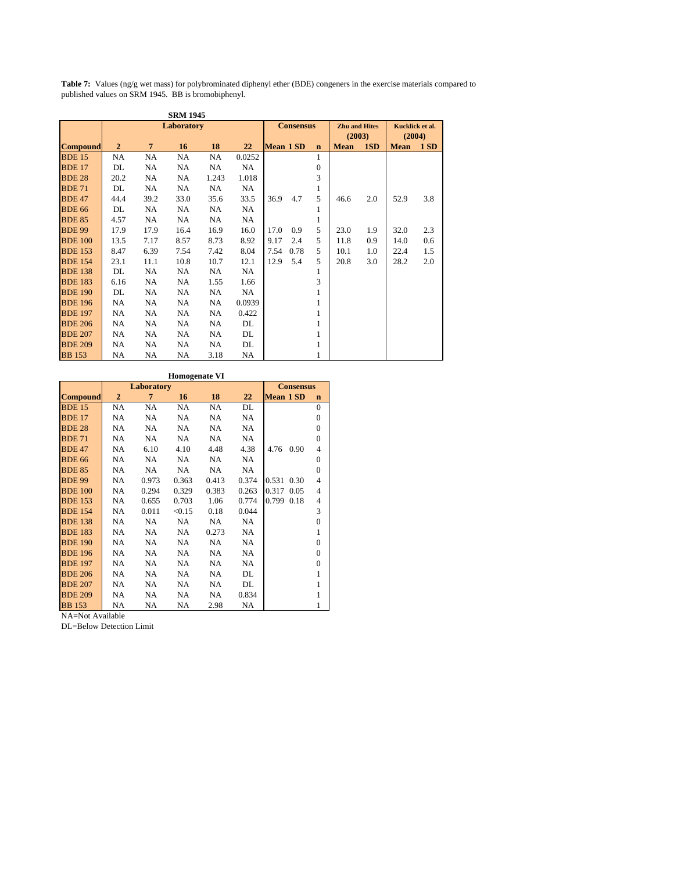**Table 7:** Values (ng/g wet mass) for polybrominated diphenyl ether (BDE) congeners in the exercise materials compared to published values on SRM 1945. BB is bromobiphenyl.

|                 |                |                | <b>SRM 1945</b> |       |        |                  |                  |              |                      |     |                 |     |
|-----------------|----------------|----------------|-----------------|-------|--------|------------------|------------------|--------------|----------------------|-----|-----------------|-----|
|                 |                |                | Laboratory      |       |        |                  | <b>Consensus</b> |              | <b>Zhu and Hites</b> |     | Kucklick et al. |     |
|                 |                |                |                 |       |        |                  |                  |              | (2003)               |     | (2004)          |     |
| <b>Compound</b> | $\overline{2}$ | $\overline{7}$ | 16              | 18    | 22     | <b>Mean 1 SD</b> |                  | $\mathbf n$  | <b>Mean</b>          | 1SD | <b>Mean</b>     | 1SD |
| <b>BDE 15</b>   | NA             | NA             | NA              | NA    | 0.0252 |                  |                  | $\mathbf{1}$ |                      |     |                 |     |
| <b>BDE 17</b>   | DL             | NA             | NA              | NA    | NA     |                  |                  | $\mathbf{0}$ |                      |     |                 |     |
| <b>BDE 28</b>   | 20.2           | NA             | NA              | 1.243 | 1.018  |                  |                  | 3            |                      |     |                 |     |
| <b>BDE 71</b>   | DL             | NA             | NA              | NA    | NA     |                  |                  | 1            |                      |     |                 |     |
| <b>BDE 47</b>   | 44.4           | 39.2           | 33.0            | 35.6  | 33.5   | 36.9             | 4.7              | 5            | 46.6                 | 2.0 | 52.9            | 3.8 |
| <b>BDE 66</b>   | DL             | NA             | NA              | NA    | NA.    |                  |                  | 1            |                      |     |                 |     |
| <b>BDE 85</b>   | 4.57           | NA             | NA              | NA    | NA     |                  |                  | 1            |                      |     |                 |     |
| <b>BDE 99</b>   | 17.9           | 17.9           | 16.4            | 16.9  | 16.0   | 17.0             | 0.9              | 5            | 23.0                 | 1.9 | 32.0            | 2.3 |
| <b>BDE 100</b>  | 13.5           | 7.17           | 8.57            | 8.73  | 8.92   | 9.17             | 2.4              | 5            | 11.8                 | 0.9 | 14.0            | 0.6 |
| <b>BDE 153</b>  | 8.47           | 6.39           | 7.54            | 7.42  | 8.04   | 7.54             | 0.78             | 5            | 10.1                 | 1.0 | 22.4            | 1.5 |
| <b>BDE 154</b>  | 23.1           | 11.1           | 10.8            | 10.7  | 12.1   | 12.9             | 5.4              | 5            | 20.8                 | 3.0 | 28.2            | 2.0 |
| <b>BDE 138</b>  | DL             | NA             | NA              | NA    | NA     |                  |                  | 1            |                      |     |                 |     |
| <b>BDE 183</b>  | 6.16           | NA             | NA              | 1.55  | 1.66   |                  |                  | 3            |                      |     |                 |     |
| <b>BDE 190</b>  | DL             | NA             | NA              | NA    | NA     |                  |                  | 1            |                      |     |                 |     |
| <b>BDE 196</b>  | NA             | NA             | NA              | NA    | 0.0939 |                  |                  |              |                      |     |                 |     |
| <b>BDE 197</b>  | NA             | NA             | NA              | NA    | 0.422  |                  |                  |              |                      |     |                 |     |
| <b>BDE 206</b>  | NA             | NA             | NA              | NA    | DL     |                  |                  | 1            |                      |     |                 |     |
| <b>BDE 207</b>  | NA             | NA             | NA              | NA    | DL     |                  |                  | 1            |                      |     |                 |     |
| <b>BDE 209</b>  | NA             | NA             | NA              | NA    | DL     |                  |                  | 1            |                      |     |                 |     |
| <b>BB</b> 153   | NA             | NA             | NA              | 3.18  | NA     |                  |                  |              |                      |     |                 |     |

|                 |                |            | <b>Homogenate VI</b> |           |           |                  |                  |                |
|-----------------|----------------|------------|----------------------|-----------|-----------|------------------|------------------|----------------|
|                 |                | Laboratory |                      |           |           |                  | <b>Consensus</b> |                |
| <b>Compound</b> | $\overline{2}$ | 7          | 16                   | 18        | 22        | <b>Mean 1 SD</b> |                  | $\mathbf n$    |
| <b>BDE 15</b>   | <b>NA</b>      | <b>NA</b>  | <b>NA</b>            | <b>NA</b> | DL        |                  |                  | $\theta$       |
| <b>BDE 17</b>   | <b>NA</b>      | NA         | <b>NA</b>            | <b>NA</b> | <b>NA</b> |                  |                  | $\theta$       |
| <b>BDE 28</b>   | NA             | NA         | <b>NA</b>            | <b>NA</b> | NA        |                  |                  | $\mathbf{0}$   |
| <b>BDE 71</b>   | <b>NA</b>      | NA.        | NA.                  | <b>NA</b> | <b>NA</b> |                  |                  | $\theta$       |
| <b>BDE 47</b>   | NA             | 6.10       | 4.10                 | 4.48      | 4.38      | 4.76             | 0.90             | 4              |
| <b>BDE 66</b>   | <b>NA</b>      | NA.        | NA.                  | <b>NA</b> | NA.       |                  |                  | $\mathbf{0}$   |
| <b>BDE 85</b>   | NA             | NA         | NA                   | NA        | NA        |                  |                  | $\overline{0}$ |
| <b>BDE 99</b>   | NA             | 0.973      | 0.363                | 0.413     | 0.374     | 0.531            | 0.30             | 4              |
| <b>BDE 100</b>  | NA             | 0.294      | 0.329                | 0.383     | 0.263     | 0.317            | 0.05             | 4              |
| <b>BDE 153</b>  | NA             | 0.655      | 0.703                | 1.06      | 0.774     | 0.799            | 0.18             | $\overline{4}$ |
| <b>BDE 154</b>  | <b>NA</b>      | 0.011      | < 0.15               | 0.18      | 0.044     |                  |                  | 3              |
| <b>BDE 138</b>  | <b>NA</b>      | NA.        | <b>NA</b>            | NA.       | NA        |                  |                  | $\theta$       |
| <b>BDE 183</b>  | NA             | NA.        | <b>NA</b>            | 0.273     | <b>NA</b> |                  |                  | 1              |
| <b>BDE 190</b>  | <b>NA</b>      | <b>NA</b>  | <b>NA</b>            | <b>NA</b> | NA        |                  |                  | $\theta$       |
| <b>BDE 196</b>  | NA             | NA.        | <b>NA</b>            | NA        | <b>NA</b> |                  |                  | $\theta$       |
| <b>BDE 197</b>  | <b>NA</b>      | NA.        | NA.                  | <b>NA</b> | NA        |                  |                  | $\mathbf{0}$   |
| <b>BDE 206</b>  | <b>NA</b>      | NA         | NA                   | NA        | DL        |                  |                  | 1              |
| <b>BDE 207</b>  | NA             | NA.        | <b>NA</b>            | <b>NA</b> | DL        |                  |                  | 1              |
| <b>BDE 209</b>  | NA             | NA         | <b>NA</b>            | <b>NA</b> | 0.834     |                  |                  | 1              |
| <b>BB</b> 153   | NA             | NA         | <b>NA</b>            | 2.98      | NA        |                  |                  | 1              |

NA=Not Available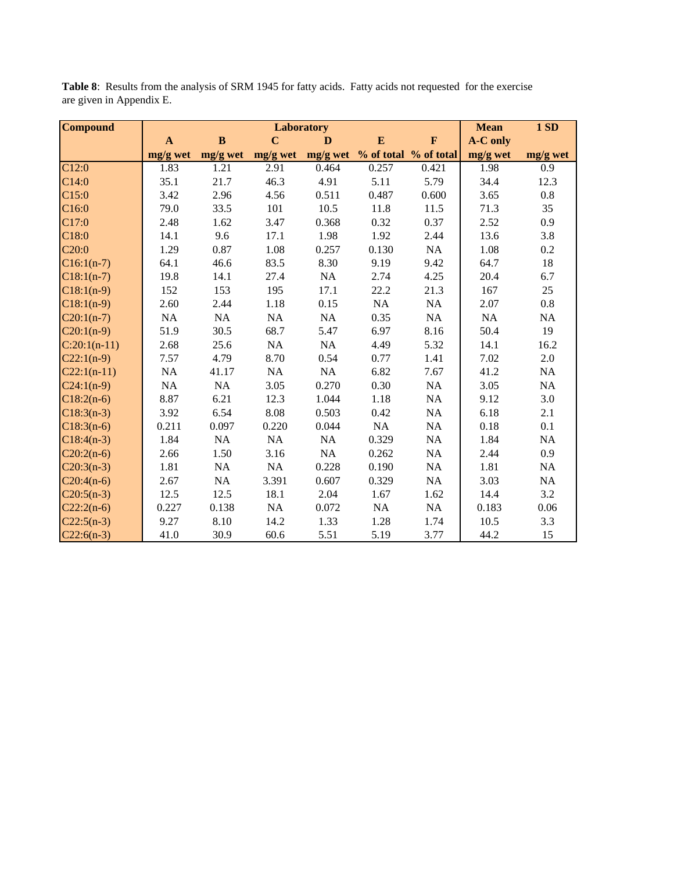| <b>Compound</b>    |              |          |                | Laboratory |                                |             | <b>Mean</b>     | 1SD              |
|--------------------|--------------|----------|----------------|------------|--------------------------------|-------------|-----------------|------------------|
|                    | $\mathbf{A}$ | $\bf{B}$ | $\overline{C}$ | D          | ${\bf E}$                      | $\mathbf F$ | <b>A-C</b> only |                  |
|                    | mg/g wet     | mg/g wet | mg/g wet       |            | mg/g wet % of total % of total |             | mg/g wet        | $mg/g$ wet       |
| $\overline{C}12:0$ | 1.83         | 1.21     | 2.91           | 0.464      | 0.257                          | 0.421       | 1.98            | $\overline{0.9}$ |
| C14:0              | 35.1         | 21.7     | 46.3           | 4.91       | 5.11                           | 5.79        | 34.4            | 12.3             |
| C15:0              | 3.42         | 2.96     | 4.56           | 0.511      | 0.487                          | 0.600       | 3.65            | 0.8              |
| C <sub>16:0</sub>  | 79.0         | 33.5     | 101            | 10.5       | 11.8                           | 11.5        | 71.3            | 35               |
| C17:0              | 2.48         | 1.62     | 3.47           | 0.368      | 0.32                           | 0.37        | 2.52            | 0.9              |
| C18:0              | 14.1         | 9.6      | 17.1           | 1.98       | 1.92                           | 2.44        | 13.6            | 3.8              |
| C20:0              | 1.29         | 0.87     | 1.08           | 0.257      | 0.130                          | NA          | 1.08            | 0.2              |
| $C16:1(n-7)$       | 64.1         | 46.6     | 83.5           | 8.30       | 9.19                           | 9.42        | 64.7            | 18               |
| $C18:1(n-7)$       | 19.8         | 14.1     | 27.4           | NA         | 2.74                           | 4.25        | 20.4            | 6.7              |
| $C18:1(n-9)$       | 152          | 153      | 195            | 17.1       | 22.2                           | 21.3        | 167             | 25               |
| $C18:1(n-9)$       | 2.60         | 2.44     | 1.18           | 0.15       | NA                             | NA          | 2.07            | $0.8\,$          |
| $C20:1(n-7)$       | NA           | $\rm NA$ | NA             | NA         | 0.35                           | NA          | $\rm NA$        | NA               |
| $C20:1(n-9)$       | 51.9         | 30.5     | 68.7           | 5.47       | 6.97                           | 8.16        | 50.4            | 19               |
| $C:20:1(n-11)$     | 2.68         | 25.6     | NA             | NA         | 4.49                           | 5.32        | 14.1            | 16.2             |
| $C22:1(n-9)$       | 7.57         | 4.79     | 8.70           | 0.54       | 0.77                           | 1.41        | 7.02            | 2.0              |
| $C22:1(n-11)$      | NA           | 41.17    | NA             | NA         | 6.82                           | 7.67        | 41.2            | NA               |
| $C24:1(n-9)$       | NA           | $\rm NA$ | 3.05           | 0.270      | 0.30                           | NA          | 3.05            | NA               |
| $C18:2(n-6)$       | 8.87         | 6.21     | 12.3           | 1.044      | 1.18                           | NA          | 9.12            | 3.0              |
| $C18:3(n-3)$       | 3.92         | 6.54     | 8.08           | 0.503      | 0.42                           | NA          | 6.18            | 2.1              |
| $C18:3(n-6)$       | 0.211        | 0.097    | 0.220          | 0.044      | NA                             | NA          | 0.18            | 0.1              |
| $C18:4(n-3)$       | 1.84         | $\rm NA$ | NA             | NA         | 0.329                          | $\rm NA$    | 1.84            | NA               |
| $C20:2(n-6)$       | 2.66         | 1.50     | 3.16           | NA         | 0.262                          | NA          | 2.44            | 0.9              |
| $C20:3(n-3)$       | 1.81         | NA       | NA             | 0.228      | 0.190                          | NA          | 1.81            | NA               |
| $C20:4(n-6)$       | 2.67         | NA       | 3.391          | 0.607      | 0.329                          | NA          | 3.03            | NA               |
| $C20:5(n-3)$       | 12.5         | 12.5     | 18.1           | 2.04       | 1.67                           | 1.62        | 14.4            | 3.2              |
| $C22:2(n-6)$       | 0.227        | 0.138    | NA             | 0.072      | NA                             | NA          | 0.183           | 0.06             |
| $C22:5(n-3)$       | 9.27         | 8.10     | 14.2           | 1.33       | 1.28                           | 1.74        | 10.5            | 3.3              |
| $C22:6(n-3)$       | 41.0         | 30.9     | 60.6           | 5.51       | 5.19                           | 3.77        | 44.2            | 15               |

**Table 8**: Results from the analysis of SRM 1945 for fatty acids. Fatty acids not requested for the exercise are given in Appendix E.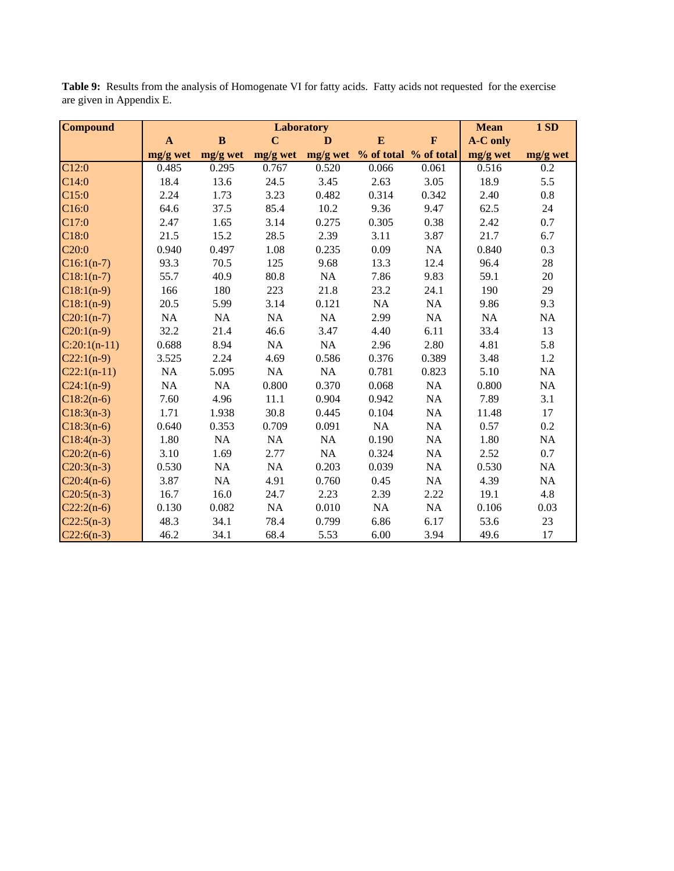| <b>Compound</b>    |              |              | Laboratory     |            |           |                       | <b>Mean</b>     | 1SD              |
|--------------------|--------------|--------------|----------------|------------|-----------|-----------------------|-----------------|------------------|
|                    | $\mathbf{A}$ | $\, {\bf B}$ | $\overline{C}$ | D          | ${\bf E}$ | $\mathbf F$           | <b>A-C</b> only |                  |
|                    | mg/g wet     | mg/g wet     | mg/g wet       | $mg/g$ wet |           | % of total % of total | mg/g wet        | mg/g wet         |
| $\overline{C12:0}$ | 0.485        | 0.295        | 0.767          | 0.520      | 0.066     | 0.061                 | 0.516           | $\overline{0.2}$ |
| C14:0              | 18.4         | 13.6         | 24.5           | 3.45       | 2.63      | 3.05                  | 18.9            | 5.5              |
| C <sub>15:0</sub>  | 2.24         | 1.73         | 3.23           | 0.482      | 0.314     | 0.342                 | 2.40            | $0.8\,$          |
| C16:0              | 64.6         | 37.5         | 85.4           | 10.2       | 9.36      | 9.47                  | 62.5            | 24               |
| C17:0              | 2.47         | 1.65         | 3.14           | 0.275      | 0.305     | 0.38                  | 2.42            | 0.7              |
| C18:0              | 21.5         | 15.2         | 28.5           | 2.39       | 3.11      | 3.87                  | 21.7            | 6.7              |
| C <sub>20:0</sub>  | 0.940        | 0.497        | 1.08           | 0.235      | 0.09      | NA                    | 0.840           | 0.3              |
| $C16:1(n-7)$       | 93.3         | 70.5         | 125            | 9.68       | 13.3      | 12.4                  | 96.4            | 28               |
| $C18:1(n-7)$       | 55.7         | 40.9         | 80.8           | NA         | 7.86      | 9.83                  | 59.1            | 20               |
| $C18:1(n-9)$       | 166          | 180          | 223            | 21.8       | 23.2      | 24.1                  | 190             | 29               |
| $C18:1(n-9)$       | 20.5         | 5.99         | 3.14           | 0.121      | $\rm NA$  | NA                    | 9.86            | 9.3              |
| $C20:1(n-7)$       | NA           | $\rm NA$     | NA             | NA         | 2.99      | NA                    | $\rm NA$        | NA               |
| $C20:1(n-9)$       | 32.2         | 21.4         | 46.6           | 3.47       | 4.40      | 6.11                  | 33.4            | 13               |
| $C:20:1(n-11)$     | 0.688        | 8.94         | NA             | NA         | 2.96      | 2.80                  | 4.81            | 5.8              |
| $C22:1(n-9)$       | 3.525        | 2.24         | 4.69           | 0.586      | 0.376     | 0.389                 | 3.48            | 1.2              |
| $C22:1(n-11)$      | NA           | 5.095        | NA             | NA         | 0.781     | 0.823                 | 5.10            | $\rm NA$         |
| $C24:1(n-9)$       | NA           | $\rm NA$     | 0.800          | 0.370      | 0.068     | $\rm NA$              | 0.800           | NA               |
| $C18:2(n-6)$       | 7.60         | 4.96         | 11.1           | 0.904      | 0.942     | NA                    | 7.89            | 3.1              |
| $C18:3(n-3)$       | 1.71         | 1.938        | 30.8           | 0.445      | 0.104     | NA                    | 11.48           | 17               |
| $C18:3(n-6)$       | 0.640        | 0.353        | 0.709          | 0.091      | NA        | $\rm NA$              | 0.57            | 0.2              |
| $C18:4(n-3)$       | 1.80         | $\rm NA$     | NA             | NA         | 0.190     | NA                    | 1.80            | NA               |
| $C20:2(n-6)$       | 3.10         | 1.69         | 2.77           | NA         | 0.324     | NA                    | 2.52            | 0.7              |
| $C20:3(n-3)$       | 0.530        | $\rm NA$     | NA             | 0.203      | 0.039     | NA                    | 0.530           | $\rm NA$         |
| $C20:4(n-6)$       | 3.87         | NA           | 4.91           | 0.760      | 0.45      | NA                    | 4.39            | NA               |
| $C20:5(n-3)$       | 16.7         | 16.0         | 24.7           | 2.23       | 2.39      | 2.22                  | 19.1            | 4.8              |
| $C22:2(n-6)$       | 0.130        | 0.082        | NA             | 0.010      | $\rm NA$  | NA                    | 0.106           | 0.03             |
| $C22:5(n-3)$       | 48.3         | 34.1         | 78.4           | 0.799      | 6.86      | 6.17                  | 53.6            | 23               |
| $C22:6(n-3)$       | 46.2         | 34.1         | 68.4           | 5.53       | 6.00      | 3.94                  | 49.6            | 17               |

**Table 9:** Results from the analysis of Homogenate VI for fatty acids. Fatty acids not requested for the exercise are given in Appendix E.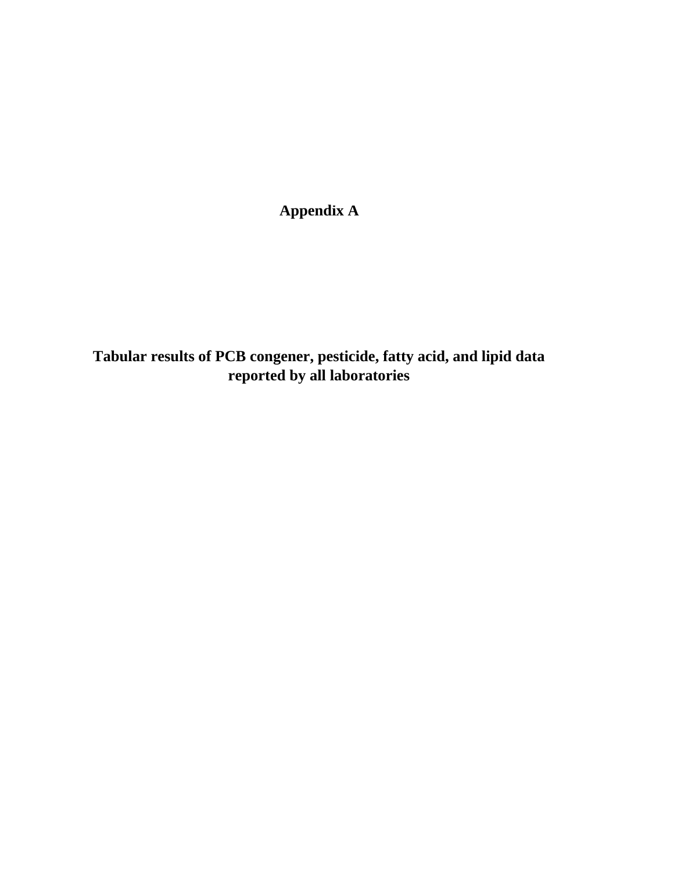**Appendix A**

**Tabular results of PCB congener, pesticide, fatty acid, and lipid data reported by all laboratories**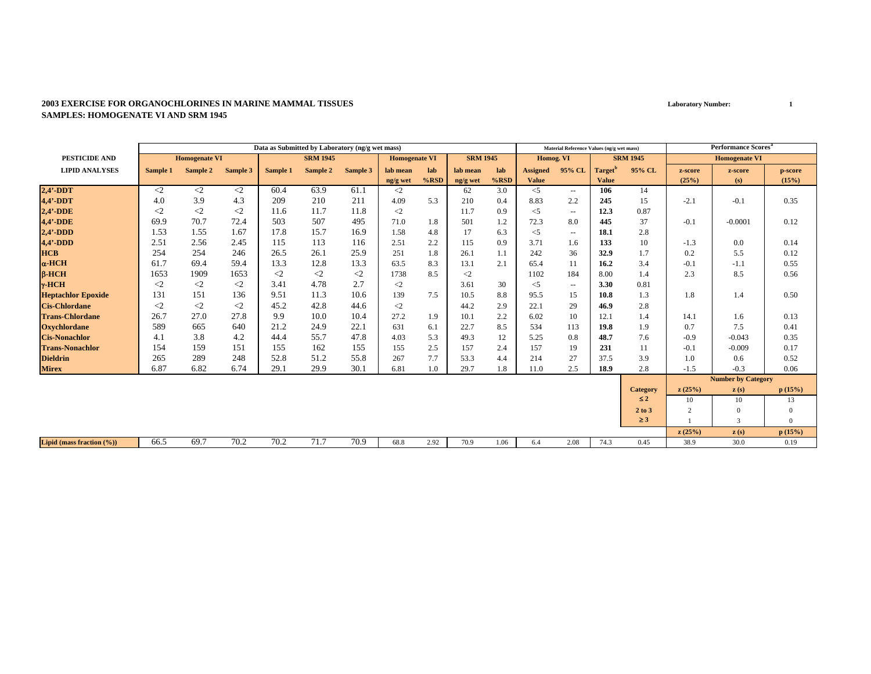#### **2003 EXERCISE FOR ORGANOCHLORINES IN MARINE MAMMAL TISSUESSAMPLES: HOMOGENATE VI AND SRM 1945**

|                           |             |                      |          |          | Data as Submitted by Laboratory (ng/g wet mass) |          |                      |         |                 |         |                 | Material Reference Values (ng/g wet mass) |                     |                 |                | <b>Performance Scores</b> <sup>8</sup> |              |
|---------------------------|-------------|----------------------|----------|----------|-------------------------------------------------|----------|----------------------|---------|-----------------|---------|-----------------|-------------------------------------------|---------------------|-----------------|----------------|----------------------------------------|--------------|
| <b>PESTICIDE AND</b>      |             | <b>Homogenate VI</b> |          |          | <b>SRM 1945</b>                                 |          | <b>Homogenate VI</b> |         | <b>SRM 1945</b> |         | Homog. VI       |                                           |                     | <b>SRM 1945</b> |                | <b>Homogenate VI</b>                   |              |
| <b>LIPID ANALYSES</b>     | Sample 1    | Sample 2             | Sample 3 | Sample 1 | Sample 2                                        | Sample 3 | lab mean             | lab     | lab mean        | lab     | <b>Assigned</b> | 95% CL                                    | Target <sup>'</sup> | 95% CL          | z-score        | z-score                                | p-score      |
|                           |             |                      |          |          |                                                 |          | ng/g wet             | $%$ RSD | ng/g wet        | $%$ RSD | <b>Value</b>    |                                           | <b>Value</b>        |                 | (25%)          | (s)                                    | (15%)        |
| $2,4'$ -DDT               | $\langle 2$ | $\langle 2 \rangle$  | $\leq$   | 60.4     | 63.9                                            | 61.1     | $\langle 2 \rangle$  |         | 62              | 3.0     | $\leq$          | $\sim$ $\sim$                             | 106                 | 14              |                |                                        |              |
| 4,4'-DDT                  | 4.0         | 3.9                  | 4.3      | 209      | 210                                             | 211      | 4.09                 | 5.3     | 210             | 0.4     | 8.83            | 2.2                                       | 245                 | 15              | $-2.1$         | $-0.1$                                 | 0.35         |
| $2,4'$ -DDE               | $\leq$      | $\langle 2 \rangle$  | $\leq$   | 11.6     | 11.7                                            | 11.8     | $\langle 2 \rangle$  |         | 11.7            | 0.9     | $<$ 5           | $\overline{\phantom{a}}$                  | 12.3                | 0.87            |                |                                        |              |
| <b>4,4'-DDE</b>           | 69.9        | 70.7                 | 72.4     | 503      | 507                                             | 495      | 71.0                 | 1.8     | 501             | 1.2     | 72.3            | 8.0                                       | 445                 | 37              | $-0.1$         | $-0.0001$                              | 0.12         |
| $2.4' - DDD$              | 1.53        | 1.55                 | 1.67     | 17.8     | 15.7                                            | 16.9     | 1.58                 | 4.8     | 17              | 6.3     | $<$ 5           | $\sim$ $\sim$                             | 18.1                | 2.8             |                |                                        |              |
| $4,4'$ -DDD               | 2.51        | 2.56                 | 2.45     | 115      | 113                                             | 116      | 2.51                 | 2.2     | 115             | 0.9     | 3.71            | 1.6                                       | 133                 | 10              | $-1.3$         | 0.0                                    | 0.14         |
| <b>HCB</b>                | 254         | 254                  | 246      | 26.5     | 26.1                                            | 25.9     | 251                  | 1.8     | 26.1            | 1.1     | 242             | 36                                        | 32.9                | 1.7             | 0.2            | 5.5                                    | 0.12         |
| $\alpha$ -HCH             | 61.7        | 69.4                 | 59.4     | 13.3     | 12.8                                            | 13.3     | 63.5                 | 8.3     | 13.1            | 2.1     | 65.4            | 11                                        | 16.2                | 3.4             | $-0.1$         | $-1.1$                                 | 0.55         |
| $B-HCH$                   | 1653        | 1909                 | 1653     | $\leq$ 2 | $\langle 2$                                     | $\leq$ 2 | 1738                 | 8.5     | $\leq$          |         | 1102            | 184                                       | 8.00                | 1.4             | 2.3            | 8.5                                    | 0.56         |
| $\gamma$ -HCH             | $\leq$ 2    | $\langle 2 \rangle$  | $<$ 2    | 3.41     | 4.78                                            | 2.7      | $\langle 2 \rangle$  |         | 3.61            | 30      | $<$ 5           | $\sim$ $\sim$                             | 3.30                | 0.81            |                |                                        |              |
| <b>Heptachlor Epoxide</b> | 131         | 151                  | 136      | 9.51     | 11.3                                            | 10.6     | 139                  | 7.5     | 10.5            | 8.8     | 95.5            | 15                                        | 10.8                | 1.3             | 1.8            | 1.4                                    | 0.50         |
| <b>Cis-Chlordane</b>      | $\leq$      | $\leq$               | $\leq$   | 45.2     | 42.8                                            | 44.6     | $\langle 2 \rangle$  |         | 44.2            | 2.9     | 22.1            | 29                                        | 46.9                | 2.8             |                |                                        |              |
| <b>Trans-Chlordane</b>    | 26.7        | 27.0                 | 27.8     | 9.9      | 10.0                                            | 10.4     | 27.2                 | 1.9     | 10.1            | 2.2     | 6.02            | 10                                        | 12.1                | 1.4             | 14.1           | 1.6                                    | 0.13         |
| <b>Oxychlordane</b>       | 589         | 665                  | 640      | 21.2     | 24.9                                            | 22.1     | 631                  | 6.1     | 22.7            | 8.5     | 534             | 113                                       | 19.8                | 1.9             | 0.7            | 7.5                                    | 0.41         |
| <b>Cis-Nonachlor</b>      | 4.1         | 3.8                  | 4.2      | 44.4     | 55.7                                            | 47.8     | 4.03                 | 5.3     | 49.3            | 12      | 5.25            | 0.8                                       | 48.7                | 7.6             | $-0.9$         | $-0.043$                               | 0.35         |
| <b>Trans-Nonachlor</b>    | 154         | 159                  | 151      | 155      | 162                                             | 155      | 155                  | 2.5     | 157             | 2.4     | 157             | 19                                        | 231                 | 11              | $-0.1$         | $-0.009$                               | 0.17         |
| <b>Dieldrin</b>           | 265         | 289                  | 248      | 52.8     | 51.2                                            | 55.8     | 267                  | 7.7     | 53.3            | 4.4     | 214             | 27                                        | 37.5                | 3.9             | 1.0            | 0.6                                    | 0.52         |
| <b>Mirex</b>              | 6.87        | 6.82                 | 6.74     | 29.1     | 29.9                                            | 30.1     | 6.81                 | 1.0     | 29.7            | 1.8     | 11.0            | 2.5                                       | 18.9                | 2.8             | $-1.5$         | $-0.3$                                 | 0.06         |
|                           |             |                      |          |          |                                                 |          |                      |         |                 |         |                 |                                           |                     |                 |                | <b>Number by Category</b>              |              |
|                           |             |                      |          |          |                                                 |          |                      |         |                 |         |                 |                                           |                     | <b>Category</b> | z(25%)         | $\mathbf{z}(s)$                        | p(15%)       |
|                           |             |                      |          |          |                                                 |          |                      |         |                 |         |                 |                                           |                     | $\leq 2$        | 10             | 10                                     | 13           |
|                           |             |                      |          |          |                                                 |          |                      |         |                 |         |                 |                                           |                     | 2 to 3          | $\overline{2}$ | $\Omega$                               | $\mathbf{0}$ |
|                           |             |                      |          |          |                                                 |          |                      |         |                 |         |                 |                                           |                     | $\geq$ 3        |                | 3                                      | $\Omega$     |
|                           |             |                      |          |          |                                                 |          |                      |         |                 |         |                 |                                           |                     |                 | z(25%)         | $\mathbf{z}(s)$                        | p(15%)       |
| Lipid (mass fraction (%)) | 66.5        | 69.7                 | 70.2     | 70.2     | 71.7                                            | 70.9     | 68.8                 | 2.92    | 70.9            | 1.06    | 6.4             | 2.08                                      | 74.3                | 0.45            | 38.9           | 30.0                                   | 0.19         |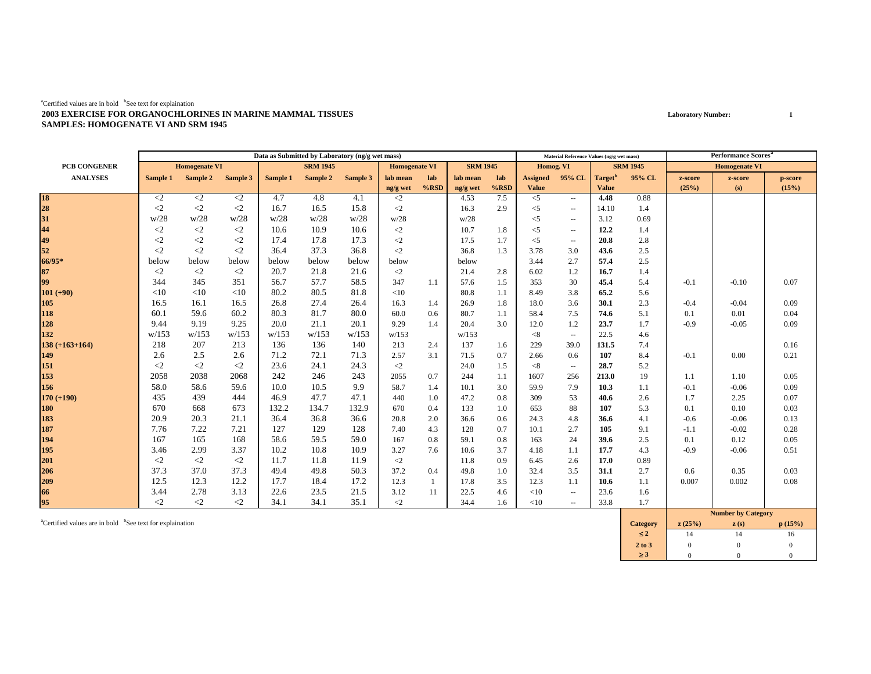#### ${}^{a}$ Certified values are in bold  ${}^{b}$ See text for explaination **2003 EXERCISE FOR ORGANOCHLORINES IN MARINE MAMMAL TISSUESSAMPLES: HOMOGENATE VI AND SRM 1945**

|                                  |             |                      |                     |          | Data as Submitted by Laboratory (ng/g wet mass) |          |                      |         |                 |         |                 | Material Reference Values (ng/g wet mass) |              |                 |         | <b>Performance Scores</b>                                                |         |
|----------------------------------|-------------|----------------------|---------------------|----------|-------------------------------------------------|----------|----------------------|---------|-----------------|---------|-----------------|-------------------------------------------|--------------|-----------------|---------|--------------------------------------------------------------------------|---------|
| PCB CONGENER                     |             | <b>Homogenate VI</b> |                     |          | <b>SRM 1945</b>                                 |          | <b>Homogenate VI</b> |         | <b>SRM 1945</b> |         | Homog. VI       |                                           |              | <b>SRM 1945</b> |         | <b>Homogenate VI</b>                                                     |         |
| <b>ANALYSES</b>                  | Sample 1    | Sample 2             | Sample 3            | Sample 1 | Sample 2                                        | Sample 3 | lab mean             | lab     | lab mean        | lab     | <b>Assigned</b> | 95% CL                                    | Target"      | 95% CL          | z-score | z-score                                                                  | p-score |
|                                  |             |                      |                     |          |                                                 |          | ng/g wet             | $%$ RSD | ng/g wet        | $%$ RSD | <b>Value</b>    |                                           | <b>Value</b> |                 | (25%)   | (s)                                                                      | (15%)   |
| 18<br>28<br>31<br>44<br>49<br>52 | $\leq$      | $\langle 2 \rangle$  | $\langle 2 \rangle$ | 4.7      | 4.8                                             | 4.1      | $\langle 2$          |         | 4.53            | 7.5     | $<$ 5           | $\overline{\phantom{a}}$                  | 4.48         | 0.88            |         |                                                                          |         |
|                                  | $\leq$      | $\leq$               | $\leq$              | 16.7     | 16.5                                            | 15.8     | $\langle 2$          |         | 16.3            | 2.9     | $<$ 5           | $\sim$                                    | 14.10        | 1.4             |         |                                                                          |         |
|                                  | w/28        | w/28                 | w/28                | w/28     | w/28                                            | w/28     | w/28                 |         | w/28            |         | $<$ 5           | $\sim$                                    | 3.12         | 0.69            |         |                                                                          |         |
|                                  | $\leq$      | $\ll$                | $\leq$              | 10.6     | 10.9                                            | 10.6     | $\langle 2$          |         | 10.7            | 1.8     | $<$ 5           | $\overline{\phantom{a}}$                  | 12.2         | 1.4             |         |                                                                          |         |
|                                  | $\leq$      | $\leq$               | $\leq$              | 17.4     | 17.8                                            | 17.3     | $\langle 2$          |         | 17.5            | 1.7     | $<$ 5           | $\overline{\phantom{a}}$                  | 20.8         | 2.8             |         |                                                                          |         |
|                                  | $\leq$ 2    | $\leq$               | $\langle 2$         | 36.4     | 37.3                                            | 36.8     | $\langle 2 \rangle$  |         | 36.8            | 1.3     | 3.78            | 3.0                                       | 43.6         | 2.5             |         |                                                                          |         |
| 66/95*                           | below       | below                | below               | below    | below                                           | below    | below                |         | below           |         | 3.44            | 2.7                                       | 57.4         | 2.5             |         |                                                                          |         |
| 87<br>99                         | $\langle 2$ | $\langle 2 \rangle$  | $\langle 2 \rangle$ | 20.7     | 21.8                                            | 21.6     | $\langle 2 \rangle$  |         | 21.4            | 2.8     | 6.02            | 1.2                                       | 16.7         | 1.4             |         |                                                                          |         |
|                                  | 344         | 345                  | 351                 | 56.7     | 57.7                                            | 58.5     | 347                  | 1.1     | 57.6            | 1.5     | 353             | 30                                        | 45.4         | 5.4             | $-0.1$  | $-0.10$                                                                  | 0.07    |
| $101 (+90)$                      | <10         | <10                  | <10                 | 80.2     | 80.5                                            | 81.8     | <10                  |         | 80.8            | 1.1     | 8.49            | 3.8                                       | 65.2         | 5.6             |         |                                                                          |         |
|                                  | 16.5        | 16.1                 | 16.5                | 26.8     | 27.4                                            | 26.4     | 16.3                 | 1.4     | 26.9            | 1.8     | 18.0            | 3.6                                       | 30.1         | 2.3             | $-0.4$  | $-0.04$                                                                  | 0.09    |
| 105<br>118<br>128                | 60.1        | 59.6                 | 60.2                | 80.3     | 81.7                                            | 80.0     | 60.0                 | 0.6     | 80.7            | 1.1     | 58.4            | 7.5                                       | 74.6         | 5.1             | 0.1     | 0.01                                                                     | 0.04    |
|                                  | 9.44        | 9.19                 | 9.25                | 20.0     | 21.1                                            | 20.1     | 9.29                 | 1.4     | 20.4            | 3.0     | 12.0            | 1.2                                       | 23.7         | 1.7             | $-0.9$  | $-0.05$                                                                  | 0.09    |
| 132                              | W/153       | w/153                | w/153               | w/153    | w/153                                           | w/153    | w/153                |         | w/153           |         | < 8             | $\sim$                                    | 22.5         | 4.6             |         |                                                                          |         |
| $138 (+163+164)$                 | 218         | 207                  | 213                 | 136      | 136                                             | 140      | 213                  | 2.4     | 137             | 1.6     | 229             | 39.0                                      | 131.5        | 7.4             |         |                                                                          | 0.16    |
| 149                              | 2.6         | 2.5                  | 2.6                 | 71.2     | 72.1                                            | 71.3     | 2.57                 | 3.1     | 71.5            | 0.7     | 2.66            | 0.6                                       | 107          | 8.4             | $-0.1$  | 0.00                                                                     | 0.21    |
| 151                              | $\langle 2$ | $\leq$               | $\leq$ 2            | 23.6     | 24.1                                            | 24.3     | $\langle 2 \rangle$  |         | 24.0            | 1.5     | < 8             | $\sim$                                    | 28.7         | 5.2             |         |                                                                          |         |
| 153                              | 2058        | 2038                 | 2068                | 242      | 246                                             | 243      | 2055                 | 0.7     | 244             | 1.1     | 1607            | 256                                       | 213.0        | 19              | 1.1     | 1.10                                                                     | 0.05    |
| 156                              | 58.0        | 58.6                 | 59.6                | 10.0     | 10.5                                            | 9.9      | 58.7                 | 1.4     | 10.1            | 3.0     | 59.9            | 7.9                                       | 10.3         | 1.1             | $-0.1$  | $-0.06$                                                                  | 0.09    |
| $170 (+190)$                     | 435         | 439                  | 444                 | 46.9     | 47.7                                            | 47.1     | 440                  | 1.0     | 47.2            | 0.8     | 309             | 53                                        | 40.6         | 2.6             | 1.7     | 2.25                                                                     | 0.07    |
| 180                              | 670         | 668                  | 673                 | 132.2    | 134.7                                           | 132.9    | 670                  | 0.4     | 133             | 1.0     | 653             | 88                                        | 107          | 5.3             | 0.1     | 0.10                                                                     | 0.03    |
| 183<br>187<br>194                | 20.9        | 20.3                 | 21.1                | 36.4     | 36.8                                            | 36.6     | 20.8                 | 2.0     | 36.6            | 0.6     | 24.3            | 4.8                                       | 36.6         | 4.1             | $-0.6$  | $-0.06$                                                                  | 0.13    |
|                                  | 7.76        | 7.22                 | 7.21                | 127      | 129                                             | 128      | 7.40                 | 4.3     | 128             | 0.7     | 10.1            | 2.7                                       | 105          | 9.1             | $-1.1$  | $-0.02$                                                                  | 0.28    |
|                                  | 167         | 165                  | 168                 | 58.6     | 59.5                                            | 59.0     | 167                  | 0.8     | 59.1            | 0.8     | 163             | 24                                        | 39.6         | 2.5             | 0.1     | 0.12                                                                     | 0.05    |
| 195                              | 3.46        | 2.99                 | 3.37                | 10.2     | 10.8                                            | 10.9     | 3.27                 | 7.6     | 10.6            | 3.7     | 4.18            | 1.1                                       | 17.7         | 4.3             | $-0.9$  | $-0.06$                                                                  | 0.51    |
| 201                              | $\leq$      | $\langle 2$          | $\leq$              | 11.7     | 11.8                                            | 11.9     | $\langle 2 \rangle$  |         | 11.8            | 0.9     | 6.45            | 2.6                                       | 17.0         | 0.89            |         |                                                                          |         |
| 206                              | 37.3        | 37.0                 | 37.3                | 49.4     | 49.8                                            | 50.3     | 37.2                 | 0.4     | 49.8            | 1.0     | 32.4            | 3.5                                       | 31.1         | 2.7             | 0.6     | 0.35                                                                     | 0.03    |
| 209                              | 12.5        | 12.3                 | 12.2                | 17.7     | 18.4                                            | 17.2     | 12.3                 | -1      | 17.8            | 3.5     | 12.3            | 1.1                                       | 10.6         | 1.1             | 0.007   | 0.002                                                                    | 0.08    |
| 66                               | 3.44        | 2.78                 | 3.13                | 22.6     | 23.5                                            | 21.5     | 3.12                 | 11      | 22.5            | 4.6     | <10             | $\overline{\phantom{a}}$                  | 23.6         | 1.6             |         |                                                                          |         |
| 95                               | $\leq$ 2    | $\leq$               | $\leq$              | 34.1     | 34.1                                            | 35.1     | $\triangle$          |         | 34.4            | 1.6     | <10             | $\sim$                                    | 33.8         | 1.7             |         | $\mathbf{v}$ , $\mathbf{v}$ , $\mathbf{v}$ , $\mathbf{v}$ , $\mathbf{v}$ |         |

acertified values are in bold bSee text for explaination **p** (15%) **c** (s) **c** (15%) **c** (s) **p** (15%) ≤ **2** 14 14 16 $16$ **2 to 3**3 0 0 0 0 ≥ **3**3 0 0 0  $\overline{0}$ **Number by Category**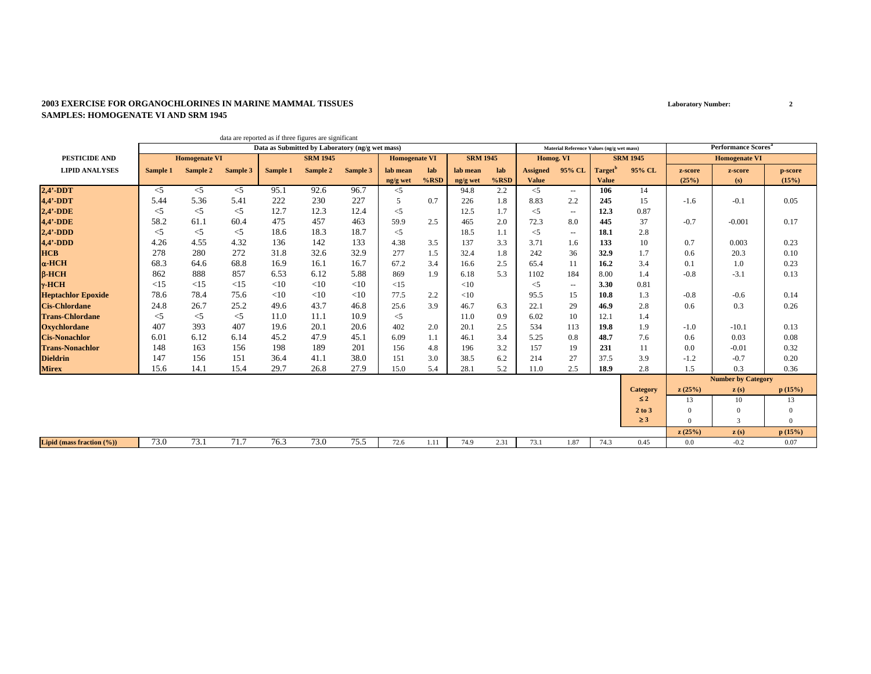#### **2003 EXERCISE FOR ORGANOCHLORINES IN MARINE MAMMAL TISSUESSAMPLES: HOMOGENATE VI AND SRM 1945**

|                           |          |                      |          |          | data are reported as if three figures are significant |          |                      |         |                 |         |                 |                                           |                     |                 |              |                                        |          |
|---------------------------|----------|----------------------|----------|----------|-------------------------------------------------------|----------|----------------------|---------|-----------------|---------|-----------------|-------------------------------------------|---------------------|-----------------|--------------|----------------------------------------|----------|
|                           |          |                      |          |          | Data as Submitted by Laboratory (ng/g wet mass)       |          |                      |         |                 |         |                 | Material Reference Values (ng/g wet mass) |                     |                 |              | <b>Performance Scores</b> <sup>a</sup> |          |
| <b>PESTICIDE AND</b>      |          | <b>Homogenate VI</b> |          |          | <b>SRM 1945</b>                                       |          | <b>Homogenate VI</b> |         | <b>SRM 1945</b> |         | Homog. VI       |                                           |                     | <b>SRM 1945</b> |              | <b>Homogenate VI</b>                   |          |
| <b>LIPID ANALYSES</b>     | Sample 1 | Sample 2             | Sample 3 | Sample 1 | Sample 2                                              | Sample 3 | lab mean             | lab     | lab mean        | lab     | <b>Assigned</b> | 95% CL                                    | Target <sup>t</sup> | 95% CL          | z-score      | z-score                                | p-score  |
|                           |          |                      |          |          |                                                       |          | ng/g wet             | $%$ RSD | ng/g wet        | $%$ RSD | <b>Value</b>    |                                           | <b>Value</b>        |                 | (25%)        | (s)                                    | (15%)    |
| $2,4'$ -DDT               | $<$ 5    | $\leq$               | $\leq$ 5 | 95.1     | 92.6                                                  | 96.7     | $<$ 5                |         | 94.8            | 2.2     | $<$ 5           | $\overline{\phantom{a}}$                  | 106                 | 14              |              |                                        |          |
| $4,4'$ -DDT               | 5.44     | 5.36                 | 5.41     | 222      | 230                                                   | 227      | 5                    | 0.7     | 226             | 1.8     | 8.83            | 2.2                                       | 245                 | 15              | $-1.6$       | $-0.1$                                 | 0.05     |
| $2,4'$ -DDE               | $<$ 5    | $\leq$ 5             | $<$ 5    | 12.7     | 12.3                                                  | 12.4     | $<$ 5                |         | 12.5            | 1.7     | $<$ 5           | $\sim$                                    | 12.3                | 0.87            |              |                                        |          |
| $4.4'$ -DDE               | 58.2     | 61.1                 | 60.4     | 475      | 457                                                   | 463      | 59.9                 | 2.5     | 465             | 2.0     | 72.3            | 8.0                                       | 445                 | 37              | $-0.7$       | $-0.001$                               | 0.17     |
| $2,4'$ -DDD               | $<$ 5    | $<$ 5                | $<$ 5    | 18.6     | 18.3                                                  | 18.7     | $<$ 5                |         | 18.5            | 1.1     | $<$ 5           | $\overline{\phantom{a}}$                  | 18.1                | 2.8             |              |                                        |          |
| $4,4'$ -DDD               | 4.26     | 4.55                 | 4.32     | 136      | 142                                                   | 133      | 4.38                 | 3.5     | 137             | 3.3     | 3.71            | 1.6                                       | 133                 | 10              | 0.7          | 0.003                                  | 0.23     |
| <b>HCB</b>                | 278      | 280                  | 272      | 31.8     | 32.6                                                  | 32.9     | 277                  | 1.5     | 32.4            | 1.8     | 242             | 36                                        | 32.9                | 1.7             | 0.6          | 20.3                                   | 0.10     |
| $\alpha$ -HCH             | 68.3     | 64.6                 | 68.8     | 16.9     | 16.1                                                  | 16.7     | 67.2                 | 3.4     | 16.6            | 2.5     | 65.4            | 11                                        | 16.2                | 3.4             | 0.1          | 1.0                                    | 0.23     |
| $B-HCH$                   | 862      | 888                  | 857      | 6.53     | 6.12                                                  | 5.88     | 869                  | 1.9     | 6.18            | 5.3     | 1102            | 184                                       | 8.00                | 1.4             | $-0.8$       | $-3.1$                                 | 0.13     |
| $\gamma$ -HCH             | <15      | $\leq$ 15            | <15      | <10      | $<$ 10                                                | <10      | <15                  |         | <10             |         | $\leq$ 5        | $\overline{\phantom{a}}$                  | 3.30                | 0.81            |              |                                        |          |
| <b>Heptachlor Epoxide</b> | 78.6     | 78.4                 | 75.6     | <10      | <10                                                   | <10      | 77.5                 | 2.2     | <10             |         | 95.5            | 15                                        | 10.8                | 1.3             | $-0.8$       | $-0.6$                                 | 0.14     |
| <b>Cis-Chlordane</b>      | 24.8     | 26.7                 | 25.2     | 49.6     | 43.7                                                  | 46.8     | 25.6                 | 3.9     | 46.7            | 6.3     | 22.1            | 29                                        | 46.9                | 2.8             | 0.6          | 0.3                                    | 0.26     |
| <b>Trans-Chlordane</b>    | $<$ 5    | $<$ 5                | $<$ 5    | 11.0     | 11.1                                                  | 10.9     | $<$ 5                |         | 11.0            | 0.9     | 6.02            | 10                                        | 12.1                | 1.4             |              |                                        |          |
| <b>Oxychlordane</b>       | 407      | 393                  | 407      | 19.6     | 20.1                                                  | 20.6     | 402                  | 2.0     | 20.1            | 2.5     | 534             | 113                                       | 19.8                | 1.9             | $-1.0$       | $-10.1$                                | 0.13     |
| <b>Cis-Nonachlor</b>      | 6.01     | 6.12                 | 6.14     | 45.2     | 47.9                                                  | 45.1     | 6.09                 | 1.1     | 46.1            | 3.4     | 5.25            | 0.8                                       | 48.7                | 7.6             | 0.6          | 0.03                                   | 0.08     |
| <b>Trans-Nonachlor</b>    | 148      | 163                  | 156      | 198      | 189                                                   | 201      | 156                  | 4.8     | 196             | 3.2     | 157             | 19                                        | 231                 | 11              | 0.0          | $-0.01$                                | 0.32     |
| <b>Dieldrin</b>           | 147      | 156                  | 151      | 36.4     | 41.1                                                  | 38.0     | 151                  | 3.0     | 38.5            | 6.2     | 214             | 27                                        | 37.5                | 3.9             | $-1.2$       | $-0.7$                                 | 0.20     |
| <b>Mirex</b>              | 15.6     | 14.1                 | 15.4     | 29.7     | 26.8                                                  | 27.9     | 15.0                 | 5.4     | 28.1            | 5.2     | 11.0            | 2.5                                       | 18.9                | 2.8             | 1.5          | 0.3                                    | 0.36     |
|                           |          |                      |          |          |                                                       |          |                      |         |                 |         |                 |                                           |                     |                 |              | <b>Number by Category</b>              |          |
|                           |          |                      |          |          |                                                       |          |                      |         |                 |         |                 |                                           |                     | <b>Category</b> | z(25%)       | $\mathbf{z}(s)$                        | p(15%)   |
|                           |          |                      |          |          |                                                       |          |                      |         |                 |         |                 |                                           |                     | $\leq 2$        | 13           | 10                                     | 13       |
|                           |          |                      |          |          |                                                       |          |                      |         |                 |         |                 |                                           |                     | 2 to 3          | $\mathbf{0}$ | $\Omega$                               | $\Omega$ |
|                           |          |                      |          |          |                                                       |          |                      |         |                 |         |                 |                                           |                     | $\geq$ 3        | $\Omega$     | $\overline{3}$                         | $\Omega$ |
|                           |          |                      |          |          |                                                       |          |                      |         |                 |         |                 |                                           |                     |                 | z(25%)       | z(s)                                   | p(15%)   |
| Lipid (mass fraction (%)) | 73.0     | 73.1                 | 71.7     | 76.3     | 73.0                                                  | 75.5     | 72.6                 | 1.11    | 74.9            | 2.31    | 73.1            | 1.87                                      | 74.3                | 0.45            | 0.0          | $-0.2$                                 | 0.07     |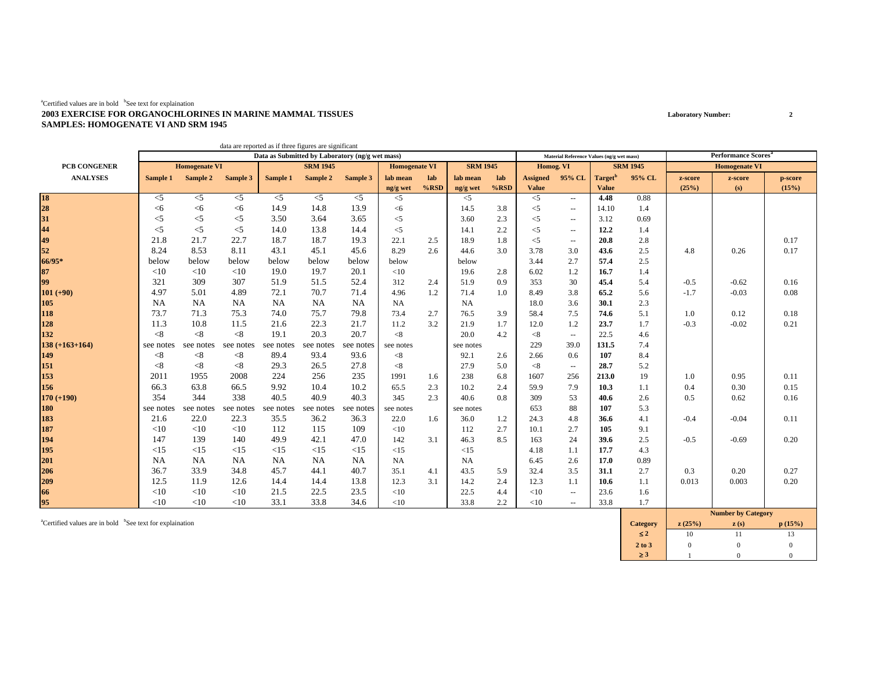#### ${}^{a}$ Certified values are in bold  ${}^{b}$ See text for explaination **2003 EXERCISE FOR ORGANOCHLORINES IN MARINE MAMMAL TISSUESSAMPLES: HOMOGENATE VI AND SRM 1945**

|                                  |           |                      |           |           | data are reported as if three figures are significant |                                                 |                      |         |                 |         |                 |                                           |                     |                 |         |                                        |         |
|----------------------------------|-----------|----------------------|-----------|-----------|-------------------------------------------------------|-------------------------------------------------|----------------------|---------|-----------------|---------|-----------------|-------------------------------------------|---------------------|-----------------|---------|----------------------------------------|---------|
|                                  |           |                      |           |           |                                                       | Data as Submitted by Laboratory (ng/g wet mass) |                      |         |                 |         |                 | Material Reference Values (ng/g wet mass) |                     |                 |         | <b>Performance Scores</b> <sup>a</sup> |         |
| PCB CONGENER                     |           | <b>Homogenate VI</b> |           |           | <b>SRM 1945</b>                                       |                                                 | <b>Homogenate VI</b> |         | <b>SRM 1945</b> |         | Homog. VI       |                                           |                     | <b>SRM 1945</b> |         | <b>Homogenate VI</b>                   |         |
| <b>ANALYSES</b>                  | Sample 1  | Sample 2             | Sample 3  | Sample 1  | Sample 2                                              | Sample 3                                        | lab mean             | lab     | lab mean        | lab     | <b>Assigned</b> | 95% CL                                    | Target <sup>b</sup> | 95% CL          | z-score | z-score                                | p-score |
|                                  |           |                      |           |           |                                                       |                                                 | ng/g wet             | $%$ RSD | ng/g wet        | $%$ RSD | <b>Value</b>    |                                           | <b>Value</b>        |                 | (25%)   | (s)                                    | (15%)   |
| 18<br>28<br>31<br>44<br>49<br>52 | $<$ 5     | $<$ 5                | $<$ 5     | $<$ 5     | $<$ 5                                                 | $<$ 5                                           | $<$ 5                |         | $\leq$          |         | $<$ 5           | $\sim$ $\sim$                             | 4.48                | 0.88            |         |                                        |         |
|                                  | <6        | <6                   | $<$ 6     | 14.9      | 14.8                                                  | 13.9                                            | $<$ 6                |         | 14.5            | 3.8     | $<$ 5           | $\mathbf{u}$                              | 14.10               | 1.4             |         |                                        |         |
|                                  | $<$ 5     | $<$ 5                | $<$ 5     | 3.50      | 3.64                                                  | 3.65                                            | $<$ 5                |         | 3.60            | 2.3     | $<$ 5           | $\overline{\phantom{a}}$                  | 3.12                | 0.69            |         |                                        |         |
|                                  | $<$ 5     | $<$ 5                | $<$ 5     | 14.0      | 13.8                                                  | 14.4                                            | $<$ 5                |         | 14.1            | 2.2     | $<$ 5           | $\overline{\phantom{a}}$                  | 12.2                | 1.4             |         |                                        |         |
|                                  | 21.8      | 21.7                 | 22.7      | 18.7      | 18.7                                                  | 19.3                                            | 22.1                 | 2.5     | 18.9            | 1.8     | $<$ 5           | $\overline{\phantom{a}}$                  | 20.8                | 2.8             |         |                                        | 0.17    |
|                                  | 8.24      | 8.53                 | 8.11      | 43.1      | 45.1                                                  | 45.6                                            | 8.29                 | 2.6     | 44.6            | 3.0     | 3.78            | 3.0                                       | 43.6                | 2.5             | 4.8     | 0.26                                   | 0.17    |
| 66/95*                           | below     | below                | below     | below     | below                                                 | below                                           | below                |         | below           |         | 3.44            | 2.7                                       | 57.4                | 2.5             |         |                                        |         |
| 87                               | <10       | <10                  | <10       | 19.0      | 19.7                                                  | 20.1                                            | <10                  |         | 19.6            | 2.8     | 6.02            | 1.2                                       | 16.7                | 1.4             |         |                                        |         |
| 99                               | 321       | 309                  | 307       | 51.9      | 51.5                                                  | 52.4                                            | 312                  | 2.4     | 51.9            | 0.9     | 353             | 30                                        | 45.4                | 5.4             | $-0.5$  | $-0.62$                                | 0.16    |
| $101 (+90)$                      | 4.97      | 5.01                 | 4.89      | 72.1      | 70.7                                                  | 71.4                                            | 4.96                 | 1.2     | 71.4            | 1.0     | 8.49            | 3.8                                       | 65.2                | 5.6             | $-1.7$  | $-0.03$                                | 0.08    |
| 105                              | <b>NA</b> | <b>NA</b>            | <b>NA</b> | <b>NA</b> | <b>NA</b>                                             | <b>NA</b>                                       | <b>NA</b>            |         | <b>NA</b>       |         | 18.0            | 3.6                                       | 30.1                | 2.3             |         |                                        |         |
| 118                              | 73.7      | 71.3                 | 75.3      | 74.0      | 75.7                                                  | 79.8                                            | 73.4                 | 2.7     | 76.5            | 3.9     | 58.4            | 7.5                                       | 74.6                | 5.1             | 1.0     | 0.12                                   | 0.18    |
| 128                              | 11.3      | 10.8                 | 11.5      | 21.6      | 22.3                                                  | 21.7                                            | 11.2                 | 3.2     | 21.9            | 1.7     | 12.0            | 1.2                                       | 23.7                | 1.7             | $-0.3$  | $-0.02$                                | 0.21    |
| 132                              | < 8       | < 8                  | < 8       | 19.1      | 20.3                                                  | 20.7                                            | $<\!\!8$             |         | 20.0            | 4.2     | < 8             | $\overline{\phantom{a}}$                  | 22.5                | 4.6             |         |                                        |         |
| $138 (+163+164)$                 | see notes | see notes            | see notes | see notes | see notes                                             | see notes                                       | see notes            |         | see notes       |         | 229             | 39.0                                      | 131.5               | 7.4             |         |                                        |         |
| 149                              | < 8       | $< \!\! 8$           | < 8       | 89.4      | 93.4                                                  | 93.6                                            | < 8                  |         | 92.1            | 2.6     | 2.66            | 0.6                                       | 107                 | 8.4             |         |                                        |         |
| 151                              | < 8       | $< \!\! 8$           | < 8       | 29.3      | 26.5                                                  | 27.8                                            | < 8                  |         | 27.9            | 5.0     | < 8             | $\mathbf{u}$                              | 28.7                | 5.2             |         |                                        |         |
| 153                              | 2011      | 1955                 | 2008      | 224       | 256                                                   | 235                                             | 1991                 | 1.6     | 238             | 6.8     | 1607            | 256                                       | 213.0               | 19              | 1.0     | 0.95                                   | 0.11    |
| 156                              | 66.3      | 63.8                 | 66.5      | 9.92      | 10.4                                                  | 10.2                                            | 65.5                 | 2.3     | 10.2            | 2.4     | 59.9            | 7.9                                       | 10.3                | 1.1             | 0.4     | 0.30                                   | 0.15    |
| $170 (+190)$                     | 354       | 344                  | 338       | 40.5      | 40.9                                                  | 40.3                                            | 345                  | 2.3     | 40.6            | 0.8     | 309             | 53                                        | 40.6                | 2.6             | 0.5     | 0.62                                   | 0.16    |
| 180                              | see notes | see notes            | see notes | see notes | see notes                                             | see notes                                       | see notes            |         | see notes       |         | 653             | 88                                        | 107                 | 5.3             |         |                                        |         |
| 183                              | 21.6      | 22.0                 | 22.3      | 35.5      | 36.2                                                  | 36.3                                            | 22.0                 | 1.6     | 36.0            | 1.2     | 24.3            | 4.8                                       | 36.6                | 4.1             | $-0.4$  | $-0.04$                                | 0.11    |
| 187                              | <10       | <10                  | <10       | 112       | 115                                                   | 109                                             | <10                  |         | 112             | 2.7     | 10.1            | 2.7                                       | 105                 | 9.1             |         |                                        |         |
| 194<br>195                       | 147       | 139                  | 140       | 49.9      | 42.1                                                  | 47.0                                            | 142                  | 3.1     | 46.3            | 8.5     | 163             | 24                                        | 39.6                | 2.5             | $-0.5$  | $-0.69$                                | 0.20    |
|                                  | <15       | <15                  | <15       | <15       | <15                                                   | <15                                             | <15                  |         | <15             |         | 4.18            | 1.1                                       | 17.7                | 4.3             |         |                                        |         |
| 201                              | <b>NA</b> | NA                   | NA        | <b>NA</b> | NA                                                    | <b>NA</b>                                       | <b>NA</b>            |         | <b>NA</b>       |         | 6.45            | 2.6                                       | 17.0                | 0.89            |         |                                        |         |
| 206                              | 36.7      | 33.9                 | 34.8      | 45.7      | 44.1                                                  | 40.7                                            | 35.1                 | 4.1     | 43.5            | 5.9     | 32.4            | 3.5                                       | 31.1                | 2.7             | 0.3     | 0.20                                   | 0.27    |
| 209                              | 12.5      | 11.9                 | 12.6      | 14.4      | 14.4                                                  | 13.8                                            | 12.3                 | 3.1     | 14.2            | 2.4     | 12.3            | 1.1                                       | 10.6                | 1.1             | 0.013   | 0.003                                  | 0.20    |
| 66                               | <10       | <10                  | <10       | 21.5      | 22.5                                                  | 23.5                                            | <10                  |         | 22.5            | 4.4     | <10             | $\mathbf{u}$                              | 23.6                | 1.6             |         |                                        |         |
| 95                               | <10       | <10                  | <10       | 33.1      | 33.8                                                  | 34.6                                            | <10                  |         | 33.8            | 2.2     | <10             | $\overline{\phantom{a}}$                  | 33.8                | 1.7             |         |                                        |         |

acertified values are in bold bSee text for explaination **p** (15%) **c** (15%) **c** (15%) **c** (15%) ≤ **2**2 10 11 13  $13$ **2 to 3**3 0 0 0 0 ≥ **3**3 1 0 0  $\overline{0}$ **Number by Category**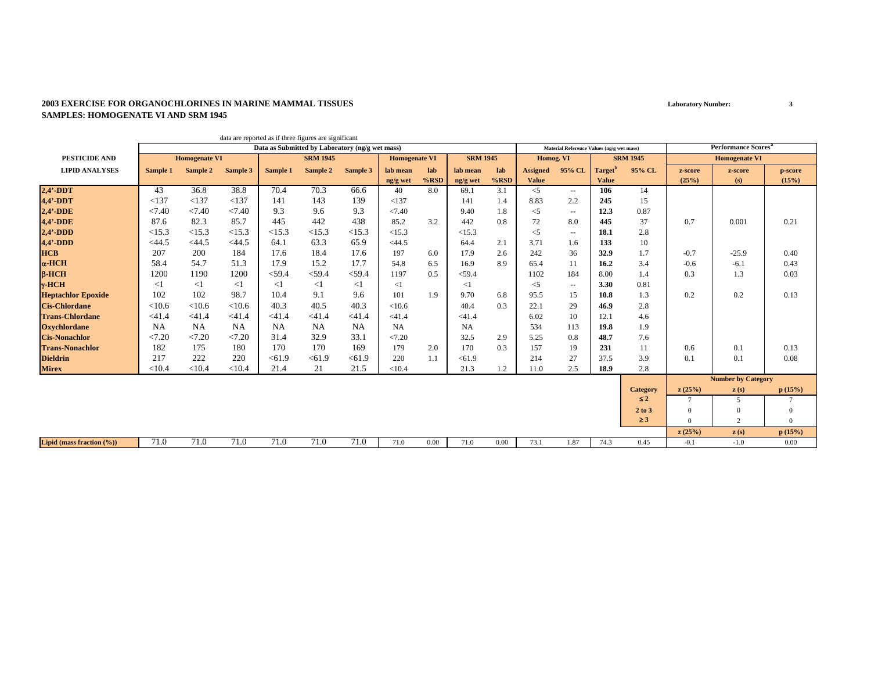#### **2003 EXERCISE FOR ORGANOCHLORINES IN MARINE MAMMAL TISSUESSAMPLES: HOMOGENATE VI AND SRM 1945**

|                           |           |                      | data are reported as if three figures are significant |                                                 |                 |           |                      |         |                 |         |                 |                                           |                     |                 |          |                                        |              |
|---------------------------|-----------|----------------------|-------------------------------------------------------|-------------------------------------------------|-----------------|-----------|----------------------|---------|-----------------|---------|-----------------|-------------------------------------------|---------------------|-----------------|----------|----------------------------------------|--------------|
|                           |           |                      |                                                       | Data as Submitted by Laboratory (ng/g wet mass) |                 |           |                      |         |                 |         |                 | Material Reference Values (ng/g wet mass) |                     |                 |          | <b>Performance Scores</b> <sup>a</sup> |              |
| <b>PESTICIDE AND</b>      |           | <b>Homogenate VI</b> |                                                       |                                                 | <b>SRM 1945</b> |           | <b>Homogenate VI</b> |         | <b>SRM 1945</b> |         | Homog. VI       |                                           |                     | <b>SRM 1945</b> |          | <b>Homogenate VI</b>                   |              |
| <b>LIPID ANALYSES</b>     | Sample 1  | Sample 2             | Sample 3                                              | Sample 1                                        | Sample 2        | Sample 3  | lab mean             | lab     | lab mean        | lab     | <b>Assigned</b> | 95% CL                                    | Target <sup>b</sup> | 95% CL          | z-score  | z-score                                | p-score      |
|                           |           |                      |                                                       |                                                 |                 |           | ng/g wet             | $%$ RSD | ng/g wet        | $%$ RSD | <b>Value</b>    |                                           | <b>Value</b>        |                 | (25%)    | (s)                                    | (15%)        |
| $2,4'$ -DDT               | 43        | 36.8                 | 38.8                                                  | 70.4                                            | 70.3            | 66.6      | 40                   | 8.0     | 69.1            | 3.1     | $<$ 5           | $\sim$                                    | 106                 | 14              |          |                                        |              |
| $4,4'$ -DDT               | <137      | <137                 | < 137                                                 | 141                                             | 143             | 139       | <137                 |         | 141             | 1.4     | 8.83            | 2.2                                       | 245                 | 15              |          |                                        |              |
| $2,4'$ -DDE               | < 7.40    | < 7.40               | < 7.40                                                | 9.3                                             | 9.6             | 9.3       | < 7.40               |         | 9.40            | 1.8     | $<$ 5           | $\sim$                                    | 12.3                | 0.87            |          |                                        |              |
| 4,4'-DDE                  | 87.6      | 82.3                 | 85.7                                                  | 445                                             | 442             | 438       | 85.2                 | 3.2     | 442             | 0.8     | 72              | 8.0                                       | 445                 | 37              | 0.7      | 0.001                                  | 0.21         |
| $2,4'$ -DDD               | <15.3     | <15.3                | <15.3                                                 | <15.3                                           | <15.3           | <15.3     | <15.3                |         | <15.3           |         | $<$ 5           | $\sim$                                    | 18.1                | 2.8             |          |                                        |              |
| $4,4'$ -DDD               | $<$ 44.5  | $<$ 44.5             | $<$ 44.5                                              | 64.1                                            | 63.3            | 65.9      | $<$ 44.5             |         | 64.4            | 2.1     | 3.71            | 1.6                                       | 133                 | 10              |          |                                        |              |
| <b>HCB</b>                | 207       | 200                  | 184                                                   | 17.6                                            | 18.4            | 17.6      | 197                  | 6.0     | 17.9            | 2.6     | 242             | 36                                        | 32.9                | 1.7             | $-0.7$   | $-25.9$                                | 0.40         |
| $\alpha$ -HCH             | 58.4      | 54.7                 | 51.3                                                  | 17.9                                            | 15.2            | 17.7      | 54.8                 | 6.5     | 16.9            | 8.9     | 65.4            | 11                                        | 16.2                | 3.4             | $-0.6$   | $-6.1$                                 | 0.43         |
| $\beta$ -HCH              | 1200      | 1190                 | 1200                                                  | $<$ 59.4                                        | $<$ 59.4        | $<$ 59.4  | 1197                 | 0.5     | $<$ 59.4        |         | 1102            | 184                                       | 8.00                | 1.4             | 0.3      | 1.3                                    | 0.03         |
| $\gamma$ -HCH             | $<$ 1     | $\leq$ 1             | $<$ 1                                                 | $\leq$ 1                                        | $\leq$ 1        | $\leq$ 1  | $\leq$ 1             |         | $\leq$ 1        |         | $<$ 5           | $\sim$                                    | 3.30                | 0.81            |          |                                        |              |
| <b>Heptachlor Epoxide</b> | 102       | 102                  | 98.7                                                  | 10.4                                            | 9.1             | 9.6       | 101                  | 1.9     | 9.70            | 6.8     | 95.5            | 15                                        | 10.8                | 1.3             | 0.2      | 0.2                                    | 0.13         |
| <b>Cis-Chlordane</b>      | < 10.6    | < 10.6               | < 10.6                                                | 40.3                                            | 40.5            | 40.3      | < 10.6               |         | 40.4            | 0.3     | 22.1            | 29                                        | 46.9                | 2.8             |          |                                        |              |
| <b>Trans-Chlordane</b>    | < 41.4    | < 41.4               | < 41.4                                                | $<$ 41.4                                        | < 41.4          | < 41.4    | < 41.4               |         | < 41.4          |         | 6.02            | 10                                        | 12.1                | 4.6             |          |                                        |              |
| <b>Oxychlordane</b>       | <b>NA</b> | <b>NA</b>            | <b>NA</b>                                             | NA                                              | NA              | <b>NA</b> | NA                   |         | <b>NA</b>       |         | 534             | 113                                       | 19.8                | 1.9             |          |                                        |              |
| <b>Cis-Nonachlor</b>      | < 7.20    | < 7.20               | < 7.20                                                | 31.4                                            | 32.9            | 33.1      | < 7.20               |         | 32.5            | 2.9     | 5.25            | 0.8                                       | 48.7                | 7.6             |          |                                        |              |
| <b>Trans-Nonachlor</b>    | 182       | 175                  | 180                                                   | 170                                             | 170             | 169       | 179                  | 2.0     | 170             | 0.3     | 157             | 19                                        | 231                 | 11              | 0.6      | 0.1                                    | 0.13         |
| <b>Dieldrin</b>           | 217       | 222                  | 220                                                   | < 61.9                                          | < 61.9          | < 61.9    | 220                  | 1.1     | < 61.9          |         | 214             | 27                                        | 37.5                | 3.9             | 0.1      | 0.1                                    | 0.08         |
| <b>Mirex</b>              | < 10.4    | < 10.4               | < 10.4                                                | 21.4                                            | 21              | 21.5      | < 10.4               |         | 21.3            | 1.2     | 11.0            | 2.5                                       | 18.9                | 2.8             |          |                                        |              |
|                           |           |                      |                                                       |                                                 |                 |           |                      |         |                 |         |                 |                                           |                     |                 |          | <b>Number by Category</b>              |              |
|                           |           |                      |                                                       |                                                 |                 |           |                      |         |                 |         |                 |                                           |                     | <b>Category</b> | z(25%)   | $\mathbf{z}(s)$                        | p(15%)       |
|                           |           |                      |                                                       |                                                 |                 |           |                      |         |                 |         |                 |                                           |                     | $\leq 2$        | 7        | 5.                                     |              |
|                           |           |                      |                                                       |                                                 |                 |           |                      |         |                 |         |                 |                                           |                     | 2 to 3          | $\Omega$ | $\Omega$                               | $\mathbf{0}$ |
|                           |           |                      |                                                       |                                                 |                 |           |                      |         |                 |         |                 |                                           |                     | $\geq$ 3        | $\Omega$ | 2                                      | $\Omega$     |
|                           |           |                      |                                                       |                                                 |                 |           |                      |         |                 |         |                 |                                           |                     |                 | z(25%)   | $\mathbf{z}(s)$                        | p(15%)       |
| Lipid (mass fraction (%)) | 71.0      | 71.0                 | 71.0                                                  | 71.0                                            | 71.0            | 71.0      | 71.0                 | 0.00    | 71.0            | 0.00    | 73.1            | 1.87                                      | 74.3                | 0.45            | $-0.1$   | $-1.0$                                 | 0.00         |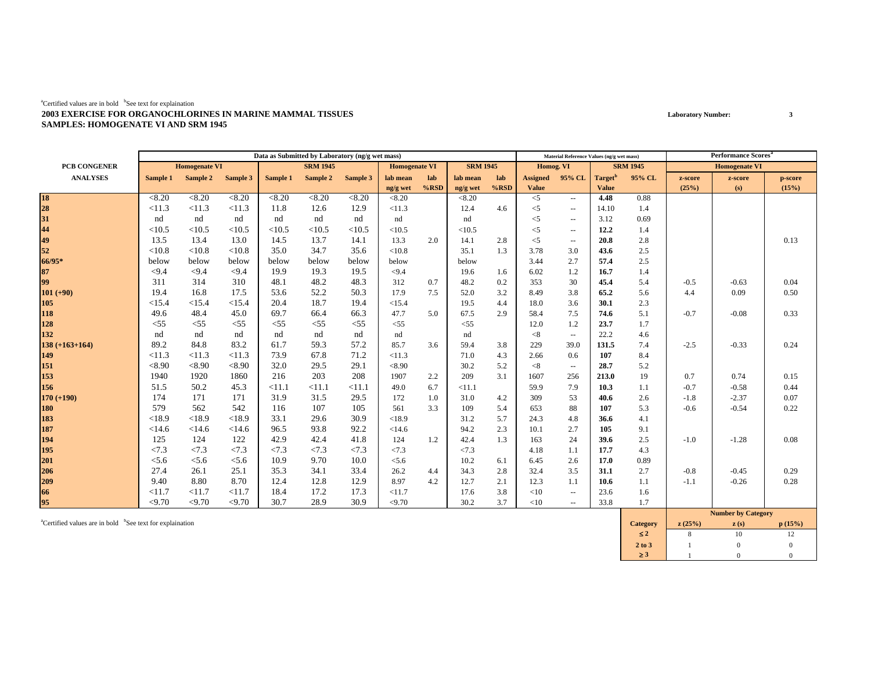#### ${}^{a}$ Certified values are in bold  ${}^{b}$ See text for explaination **2003 EXERCISE FOR ORGANOCHLORINES IN MARINE MAMMAL TISSUESSAMPLES: HOMOGENATE VI AND SRM 1945**

|                      |          |                      |          |          | Data as Submitted by Laboratory (ng/g wet mass) |          |                      |         |                 |         |                 | Material Reference Values (ng/g wet mass) |                     |                 |         | <b>Performance Scores</b> |         |
|----------------------|----------|----------------------|----------|----------|-------------------------------------------------|----------|----------------------|---------|-----------------|---------|-----------------|-------------------------------------------|---------------------|-----------------|---------|---------------------------|---------|
| <b>PCB CONGENER</b>  |          | <b>Homogenate VI</b> |          |          | <b>SRM 1945</b>                                 |          | <b>Homogenate VI</b> |         | <b>SRM 1945</b> |         | Homog. VI       |                                           |                     | <b>SRM 1945</b> |         | <b>Homogenate VI</b>      |         |
| <b>ANALYSES</b>      | Sample 1 | Sample 2             | Sample 3 | Sample 1 | Sample 2                                        | Sample 3 | lab mean             | lab     | lab mean        | lab     | <b>Assigned</b> | 95% CL                                    | Target <sup>o</sup> | 95% CL          | z-score | z-score                   | p-score |
|                      |          |                      |          |          |                                                 |          | ng/g wet             | $%$ RSD | ng/g wet        | $%$ RSD | <b>Value</b>    |                                           | <b>Value</b>        |                 | (25%)   | (s)                       | (15%)   |
| 18<br>28<br>31<br>44 | < 8.20   | < 8.20               | < 8.20   | < 8.20   | < 8.20                                          | < 8.20   | < 8.20               |         | < 8.20          |         | $<$ 5           | $\sim$                                    | 4.48                | 0.88            |         |                           |         |
|                      | <11.3    | <11.3                | <11.3    | 11.8     | 12.6                                            | 12.9     | <11.3                |         | 12.4            | 4.6     | $<$ 5           | $\overline{\phantom{a}}$                  | 14.10               | 1.4             |         |                           |         |
|                      | nd       | nd                   | nd       | nd       | nd                                              | nd       | nd                   |         | nd              |         | $<$ 5           | $\hspace{0.05cm} -$                       | 3.12                | 0.69            |         |                           |         |
|                      | <10.5    | <10.5                | <10.5    | <10.5    | <10.5                                           | <10.5    | <10.5                |         | <10.5           |         | $<$ 5           | $\sim$                                    | 12.2                | 1.4             |         |                           |         |
| 49                   | 13.5     | 13.4                 | 13.0     | 14.5     | 13.7                                            | 14.1     | 13.3                 | 2.0     | 14.1            | 2.8     | $<$ 5           | $\overline{\phantom{a}}$                  | 20.8                | 2.8             |         |                           | 0.13    |
| 52                   | < 10.8   | < 10.8               | < 10.8   | 35.0     | 34.7                                            | 35.6     | < 10.8               |         | 35.1            | 1.3     | 3.78            | 3.0                                       | 43.6                | 2.5             |         |                           |         |
| 66/95*               | below    | below                | below    | below    | below                                           | below    | below                |         | below           |         | 3.44            | 2.7                                       | 57.4                | 2.5             |         |                           |         |
| 87                   | < 9.4    | < 9.4                | < 9.4    | 19.9     | 19.3                                            | 19.5     | < 9.4                |         | 19.6            | 1.6     | 6.02            | 1.2                                       | 16.7                | 1.4             |         |                           |         |
| 99                   | 311      | 314                  | 310      | 48.1     | 48.2                                            | 48.3     | 312                  | 0.7     | 48.2            | 0.2     | 353             | 30                                        | 45,4                | 5.4             | $-0.5$  | $-0.63$                   | 0.04    |
| $101 (+90)$          | 19.4     | 16.8                 | 17.5     | 53.6     | 52.2                                            | 50.3     | 17.9                 | 7.5     | 52.0            | 3.2     | 8.49            | 3.8                                       | 65.2                | 5.6             | 4.4     | 0.09                      | 0.50    |
| 105                  | <15.4    | <15.4                | <15.4    | 20.4     | 18.7                                            | 19.4     | <15.4                |         | 19.5            | 4.4     | 18.0            | 3.6                                       | 30.1                | 2.3             |         |                           |         |
| 118                  | 49.6     | 48.4                 | 45.0     | 69.7     | 66.4                                            | 66.3     | 47.7                 | 5.0     | 67.5            | 2.9     | 58.4            | 7.5                                       | 74.6                | 5.1             | $-0.7$  | $-0.08$                   | 0.33    |
| 128                  | $<$ 55   | $<$ 55               | $<$ 55   | $<$ 55   | $<$ 55                                          | $<$ 55   | $<$ 55               |         | $<$ 55          |         | 12.0            | 1.2                                       | 23.7                | 1.7             |         |                           |         |
| 132                  | nd       | nd                   | nd       | nd       | nd                                              | nd       | nd                   |         | nd              |         | < 8             | $\sim$                                    | 22.2                | 4.6             |         |                           |         |
| $138 (+163+164)$     | 89.2     | 84.8                 | 83.2     | 61.7     | 59.3                                            | 57.2     | 85.7                 | 3.6     | 59.4            | 3.8     | 229             | 39.0                                      | 131.5               | 7.4             | $-2.5$  | $-0.33$                   | 0.24    |
| 149                  | <11.3    | <11.3                | <11.3    | 73.9     | 67.8                                            | 71.2     | <11.3                |         | 71.0            | 4.3     | 2.66            | 0.6                                       | 107                 | 8.4             |         |                           |         |
| 151                  | < 8.90   | < 8.90               | < 8.90   | 32.0     | 29.5                                            | 29.1     | < 8.90               |         | 30.2            | 5.2     | < 8             | $\overline{\phantom{a}}$                  | 28.7                | 5.2             |         |                           |         |
| 153                  | 1940     | 1920                 | 1860     | 216      | 203                                             | 208      | 1907                 | 2.2     | 209             | 3.1     | 1607            | 256                                       | 213.0               | 19              | 0.7     | 0.74                      | 0.15    |
| 156                  | 51.5     | 50.2                 | 45.3     | < 11.1   | < 11.1                                          | <11.1    | 49.0                 | 6.7     | <11.1           |         | 59.9            | 7.9                                       | 10.3                | 1.1             | $-0.7$  | $-0.58$                   | 0.44    |
| $170 (+190)$         | 174      | 171                  | 171      | 31.9     | 31.5                                            | 29.5     | 172                  | 1.0     | 31.0            | 4.2     | 309             | 53                                        | 40.6                | 2.6             | $-1.8$  | $-2.37$                   | 0.07    |
| 180                  | 579      | 562                  | 542      | 116      | 107                                             | 105      | 561                  | 3.3     | 109             | 5.4     | 653             | 88                                        | 107                 | 5.3             | $-0.6$  | $-0.54$                   | 0.22    |
| 183                  | < 18.9   | < 18.9               | < 18.9   | 33.1     | 29.6                                            | 30.9     | < 18.9               |         | 31.2            | 5.7     | 24.3            | 4.8                                       | 36.6                | 4.1             |         |                           |         |
| 187                  | $<$ 14.6 | $<$ 14.6             | $<$ 14.6 | 96.5     | 93.8                                            | 92.2     | $<$ 14.6             |         | 94.2            | 2.3     | 10.1            | 2.7                                       | 105                 | 9.1             |         |                           |         |
| 194                  | 125      | 124                  | 122      | 42.9     | 42.4                                            | 41.8     | 124                  | 1.2     | 42.4            | 1.3     | 163             | 24                                        | 39.6                | 2.5             | $-1.0$  | $-1.28$                   | 0.08    |
| 195                  | < 7.3    | < 7.3                | < 7.3    | < 7.3    | < 7.3                                           | < 7.3    | < 7.3                |         | < 7.3           |         | 4.18            | 1.1                                       | 17.7                | 4.3             |         |                           |         |
| 201                  | < 5.6    | < 5.6                | < 5.6    | 10.9     | 9.70                                            | 10.0     | < 5.6                |         | 10.2            | 6.1     | 6.45            | 2.6                                       | 17.0                | 0.89            |         |                           |         |
| 206                  | 27.4     | 26.1                 | 25.1     | 35.3     | 34.1                                            | 33.4     | 26.2                 | 4.4     | 34.3            | 2.8     | 32.4            | 3.5                                       | 31.1                | 2.7             | $-0.8$  | $-0.45$                   | 0.29    |
| 209                  | 9.40     | 8.80                 | 8.70     | 12.4     | 12.8                                            | 12.9     | 8.97                 | 4.2     | 12.7            | 2.1     | 12.3            | 1.1                                       | 10.6                | 1.1             | $-1.1$  | $-0.26$                   | 0.28    |
| 66                   | <11.7    | <11.7                | <11.7    | 18.4     | 17.2                                            | 17.3     | <11.7                |         | 17.6            | 3.8     | <10             | $\overline{\phantom{a}}$                  | 23.6                | 1.6             |         |                           |         |
| 95                   | < 9.70   | < 9.70               | < 9.70   | 30.7     | 28.9                                            | 30.9     | < 9.70               |         | 30.2            | 3.7     | <10             | $\overline{\phantom{a}}$                  | 33.8                | 1.7             |         |                           |         |
|                      |          |                      |          |          |                                                 |          |                      |         |                 |         |                 |                                           |                     |                 |         | March on the Cat-         |         |

acertified values are in bold bSee text for explaination **p** (15%) **c** (s) **c** (15%) **c** (s) **p** (15%) ≤ **2** 8 10 12 $12$ **2 to 3**3 1 0 0 ≥ **3**3 1 0 0  $\overline{0}$ **Number by Category**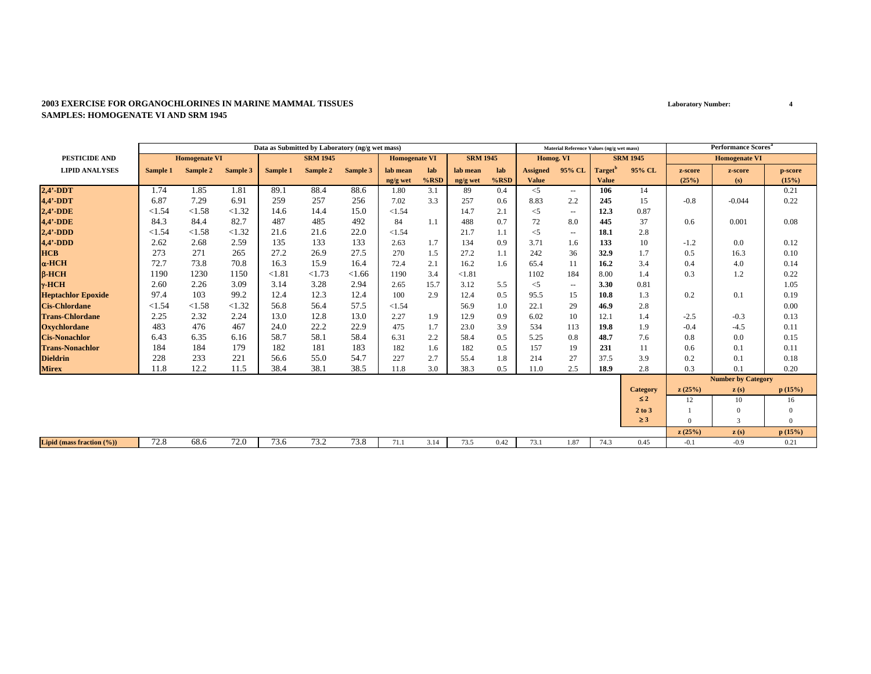#### **2003 EXERCISE FOR ORGANOCHLORINES IN MARINE MAMMAL TISSUESSAMPLES: HOMOGENATE VI AND SRM 1945**

|                           |          |                      |          | Data as Submitted by Laboratory (ng/g wet mass) |                 |          |                      |         |                 |         |                 | Material Reference Values (ng/g wet mass) |                     |                 |          | <b>Performance Scores</b> <sup>a</sup> |                |
|---------------------------|----------|----------------------|----------|-------------------------------------------------|-----------------|----------|----------------------|---------|-----------------|---------|-----------------|-------------------------------------------|---------------------|-----------------|----------|----------------------------------------|----------------|
| <b>PESTICIDE AND</b>      |          | <b>Homogenate VI</b> |          |                                                 | <b>SRM 1945</b> |          | <b>Homogenate VI</b> |         | <b>SRM 1945</b> |         | Homog. VI       |                                           |                     | <b>SRM 1945</b> |          | <b>Homogenate VI</b>                   |                |
| <b>LIPID ANALYSES</b>     | Sample 1 | Sample 2             | Sample 3 | Sample 1                                        | Sample 2        | Sample 3 | lab mean             | lab     | lab mean        | lab     | <b>Assigned</b> | 95% CL                                    | Target <sup>'</sup> | 95% CL          | z-score  | z-score                                | p-score        |
|                           |          |                      |          |                                                 |                 |          | ng/g wet             | $%$ RSD | ng/g wet        | $%$ RSD | <b>Value</b>    |                                           | <b>Value</b>        |                 | (25%)    | (s)                                    | (15%)          |
| $2,4'$ -DDT               | 1.74     | 1.85                 | 1.81     | 89.1                                            | 88.4            | 88.6     | 1.80                 | 3.1     | 89              | 0.4     | $\leq$ 5        | $\overline{\phantom{a}}$                  | 106                 | 14              |          |                                        | 0.21           |
| $4,4'$ -DDT               | 6.87     | 7.29                 | 6.91     | 259                                             | 257             | 256      | 7.02                 | 3.3     | 257             | 0.6     | 8.83            | 2.2                                       | 245                 | 15              | $-0.8$   | $-0.044$                               | 0.22           |
| $2,4'$ -DDE               | < 1.54   | < 1.58               | <1.32    | 14.6                                            | 14.4            | 15.0     | < 1.54               |         | 14.7            | 2.1     | $<$ 5           | $\sim$                                    | 12.3                | 0.87            |          |                                        |                |
| 4,4'-DDE                  | 84.3     | 84.4                 | 82.7     | 487                                             | 485             | 492      | 84                   | 1.1     | 488             | 0.7     | 72              | 8.0                                       | 445                 | 37              | 0.6      | 0.001                                  | 0.08           |
| $2,4'$ -DDD               | < 1.54   | < 1.58               | <1.32    | 21.6                                            | 21.6            | 22.0     | < 1.54               |         | 21.7            | 1.1     | $<$ 5           | $\sim$                                    | 18.1                | 2.8             |          |                                        |                |
| $4,4'$ -DDD               | 2.62     | 2.68                 | 2.59     | 135                                             | 133             | 133      | 2.63                 | 1.7     | 134             | 0.9     | 3.71            | 1.6                                       | 133                 | 10              | $-1.2$   | 0.0                                    | 0.12           |
| <b>HCB</b>                | 273      | 271                  | 265      | 27.2                                            | 26.9            | 27.5     | 270                  | 1.5     | 27.2            | 1.1     | 242             | 36                                        | 32.9                | 1.7             | 0.5      | 16.3                                   | 0.10           |
| $\alpha$ -HCH             | 72.7     | 73.8                 | 70.8     | 16.3                                            | 15.9            | 16.4     | 72.4                 | 2.1     | 16.2            | 1.6     | 65.4            | 11                                        | 16.2                | 3.4             | 0.4      | 4.0                                    | 0.14           |
| $B-HCH$                   | 1190     | 1230                 | 1150     | < 1.81                                          | < 1.73          | < 1.66   | 1190                 | 3.4     | < 1.81          |         | 1102            | 184                                       | 8.00                | 1.4             | 0.3      | 1.2                                    | 0.22           |
| $\gamma$ -HCH             | 2.60     | 2.26                 | 3.09     | 3.14                                            | 3.28            | 2.94     | 2.65                 | 15.7    | 3.12            | 5.5     | $<$ 5           | $\sim$                                    | 3.30                | 0.81            |          |                                        | 1.05           |
| <b>Heptachlor Epoxide</b> | 97.4     | 103                  | 99.2     | 12.4                                            | 12.3            | 12.4     | 100                  | 2.9     | 12.4            | 0.5     | 95.5            | 15                                        | 10.8                | 1.3             | 0.2      | 0.1                                    | 0.19           |
| <b>Cis-Chlordane</b>      | < 1.54   | < 1.58               | <1.32    | 56.8                                            | 56.4            | 57.5     | < 1.54               |         | 56.9            | 1.0     | 22.1            | 29                                        | 46.9                | 2.8             |          |                                        | 0.00           |
| <b>Trans-Chlordane</b>    | 2.25     | 2.32                 | 2.24     | 13.0                                            | 12.8            | 13.0     | 2.27                 | 1.9     | 12.9            | 0.9     | 6.02            | 10                                        | 12.1                | 1.4             | $-2.5$   | $-0.3$                                 | 0.13           |
| <b>Oxychlordane</b>       | 483      | 476                  | 467      | 24.0                                            | 22.2            | 22.9     | 475                  | 1.7     | 23.0            | 3.9     | 534             | 113                                       | 19.8                | 1.9             | $-0.4$   | $-4.5$                                 | 0.11           |
| <b>Cis-Nonachlor</b>      | 6.43     | 6.35                 | 6.16     | 58.7                                            | 58.1            | 58.4     | 6.31                 | 2.2     | 58.4            | 0.5     | 5.25            | 0.8                                       | 48.7                | 7.6             | 0.8      | 0.0                                    | 0.15           |
| <b>Trans-Nonachlor</b>    | 184      | 184                  | 179      | 182                                             | 181             | 183      | 182                  | 1.6     | 182             | 0.5     | 157             | 19                                        | 231                 | 11              | 0.6      | 0.1                                    | 0.11           |
| <b>Dieldrin</b>           | 228      | 233                  | 221      | 56.6                                            | 55.0            | 54.7     | 227                  | 2.7     | 55.4            | 1.8     | 214             | 27                                        | 37.5                | 3.9             | 0.2      | 0.1                                    | 0.18           |
| <b>Mirex</b>              | 11.8     | 12.2                 | 11.5     | 38.4                                            | 38.1            | 38.5     | 11.8                 | 3.0     | 38.3            | 0.5     | 11.0            | 2.5                                       | 18.9                | 2.8             | 0.3      | 0.1                                    | 0.20           |
|                           |          |                      |          |                                                 |                 |          |                      |         |                 |         |                 |                                           |                     |                 |          | <b>Number by Category</b>              |                |
|                           |          |                      |          |                                                 |                 |          |                      |         |                 |         |                 |                                           |                     | <b>Category</b> | z(25%)   | $\mathbf{z}(s)$                        | p(15%)         |
|                           |          |                      |          |                                                 |                 |          |                      |         |                 |         |                 |                                           |                     | $\leq 2$        | 12       | 10                                     | 16             |
|                           |          |                      |          |                                                 |                 |          |                      |         |                 |         |                 |                                           |                     | 2 to 3          |          | $\Omega$                               | $\Omega$       |
|                           |          |                      |          |                                                 |                 |          |                      |         |                 |         |                 |                                           |                     | $\geq$ 3        | $\Omega$ | 3                                      | $\overline{0}$ |
|                           |          |                      |          |                                                 |                 |          |                      |         |                 |         |                 |                                           |                     |                 | z(25%)   | $\mathbf{z}(s)$                        | p(15%)         |
| Lipid (mass fraction (%)) | 72.8     | 68.6                 | 72.0     | 73.6                                            | 73.2            | 73.8     | 71.1                 | 3.14    | 73.5            | 0.42    | 73.1            | 1.87                                      | 74.3                | 0.45            | $-0.1$   | $-0.9$                                 | 0.21           |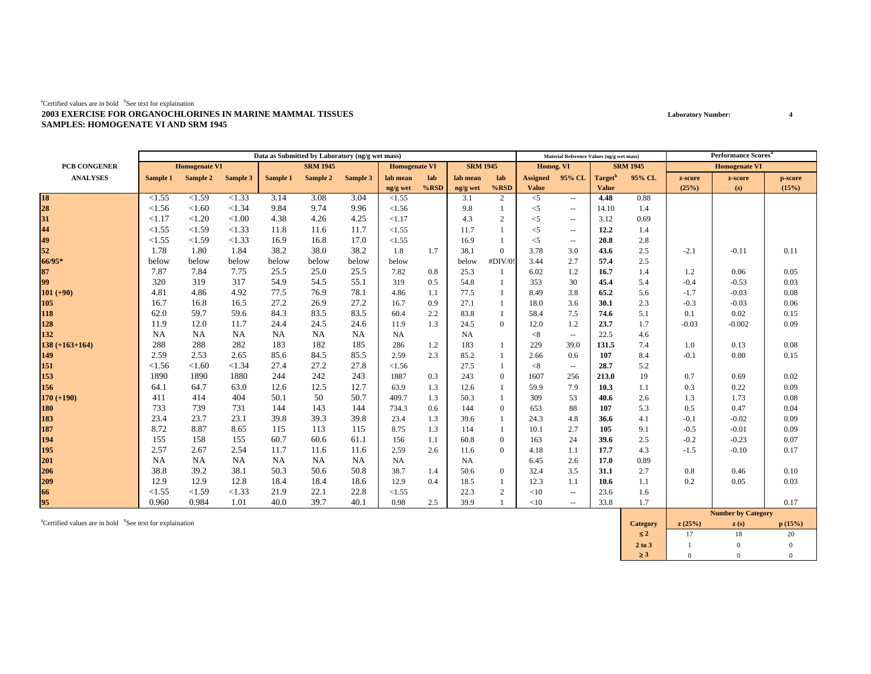#### ${}^{a}$ Certified values are in bold  ${}^{b}$ See text for explaination **2003 EXERCISE FOR ORGANOCHLORINES IN MARINE MAMMAL TISSUESSAMPLES: HOMOGENATE VI AND SRM 1945**

|                  |           |                      |          |          | Data as Submitted by Laboratory (ng/g wet mass) |           |                      |         |                 |                  |                 | Material Reference Values (ng/g wet mass) |                     |                 |         | <b>Performance Scores</b> <sup>a</sup> |         |
|------------------|-----------|----------------------|----------|----------|-------------------------------------------------|-----------|----------------------|---------|-----------------|------------------|-----------------|-------------------------------------------|---------------------|-----------------|---------|----------------------------------------|---------|
| PCB CONGENER     |           | <b>Homogenate VI</b> |          |          | <b>SRM 1945</b>                                 |           | <b>Homogenate VI</b> |         | <b>SRM 1945</b> |                  | Homog. VI       |                                           |                     | <b>SRM 1945</b> |         | <b>Homogenate VI</b>                   |         |
| <b>ANALYSES</b>  | Sample 1  | Sample 2             | Sample 3 | Sample 1 | Sample 2                                        | Sample 3  | lab mean             | lab     | lab mean        | lab              | <b>Assigned</b> | 95% CL                                    | Target <sup>"</sup> | 95% CL          | z-score | z-score                                | p-score |
|                  |           |                      |          |          |                                                 |           | ng/g wet             | $%$ RSD | ng/g wet        | $%$ RSD          | <b>Value</b>    |                                           | <b>Value</b>        |                 | (25%)   | (s)                                    | (15%)   |
| 18<br>28<br>31   | < 1.55    | < 1.59               | <1.33    | 3.14     | 3.08                                            | 3.04      | < 1.55               |         | 3.1             | $\overline{2}$   | $<$ 5           | $\sim$ $\sim$                             | 4.48                | 0.88            |         |                                        |         |
|                  | < 1.56    | < 1.60               | < 1.34   | 9.84     | 9.74                                            | 9.96      | < 1.56               |         | 9.8             |                  | $<$ 5           | $\sim$ $\sim$                             | 14.10               | 1.4             |         |                                        |         |
|                  | <1.17     | < 1.20               | < 1.00   | 4.38     | 4.26                                            | 4.25      | <1.17                |         | 4.3             | 2                | $<$ 5           | $\overline{\phantom{a}}$                  | 3.12                | 0.69            |         |                                        |         |
| 44               | < 1.55    | < 1.59               | <1.33    | 11.8     | 11.6                                            | 11.7      | < 1.55               |         | 11.7            |                  | $<$ 5           | $\overline{\phantom{a}}$                  | 12.2                | 1.4             |         |                                        |         |
| 49               | < 1.55    | < 1.59               | < 1.33   | 16.9     | 16.8                                            | 17.0      | <1.55                |         | 16.9            | $\mathbf{1}$     | $<$ 5           | $\sim$                                    | 20.8                | 2.8             |         |                                        |         |
| 52               | 1.78      | 1.80                 | 1.84     | 38.2     | 38.0                                            | 38.2      | 1.8                  | 1.7     | 38.1            | $\overline{0}$   | 3.78            | 3.0                                       | 43.6                | 2.5             | $-2.1$  | $-0.11$                                | 0.11    |
| 66/95*           | below     | below                | below    | below    | below                                           | below     | below                |         | below           | #DIV/0           | 3.44            | 2.7                                       | 57.4                | 2.5             |         |                                        |         |
| 87               | 7.87      | 7.84                 | 7.75     | 25.5     | 25.0                                            | 25.5      | 7.82                 | 0.8     | 25.3            | -1               | 6.02            | 1.2                                       | 16.7                | 1.4             | 1.2     | 0.06                                   | 0.05    |
| 99               | 320       | 319                  | 317      | 54.9     | 54.5                                            | 55.1      | 319                  | 0.5     | 54.8            |                  | 353             | 30                                        | 45.4                | 5.4             | $-0.4$  | $-0.53$                                | 0.03    |
| $101 (+90)$      | 4.81      | 4.86                 | 4.92     | 77.5     | 76.9                                            | 78.1      | 4.86                 | 1.1     | 77.5            |                  | 8.49            | 3.8                                       | 65.2                | 5.6             | $-1.7$  | $-0.03$                                | 0.08    |
| 105              | 16.7      | 16.8                 | 16.5     | 27.2     | 26.9                                            | 27.2      | 16.7                 | 0.9     | 27.1            |                  | 18.0            | 3.6                                       | 30.1                | 2.3             | $-0.3$  | $-0.03$                                | 0.06    |
| 118              | 62.0      | 59.7                 | 59.6     | 84.3     | 83.5                                            | 83.5      | 60.4                 | 2.2     | 83.8            | -1               | 58.4            | 7.5                                       | 74.6                | 5.1             | 0.1     | 0.02                                   | 0.15    |
| 128              | 11.9      | 12.0                 | 11.7     | 24.4     | 24.5                                            | 24.6      | 11.9                 | 1.3     | 24.5            | $\mathbf{0}$     | 12.0            | 1.2                                       | 23.7                | 1.7             | $-0.03$ | $-0.002$                               | 0.09    |
| 132              | <b>NA</b> | NA                   | NA       | NA       | NA                                              | <b>NA</b> | <b>NA</b>            |         | <b>NA</b>       |                  | < 8             | $\overline{\phantom{a}}$                  | 22.5                | 4.6             |         |                                        |         |
| $138 (+163+164)$ | 288       | 288                  | 282      | 183      | 182                                             | 185       | 286                  | 1.2     | 183             | $\mathbf{1}$     | 229             | 39.0                                      | 131.5               | 7.4             | 1.0     | 0.13                                   | 0.08    |
| 149              | 2.59      | 2.53                 | 2.65     | 85.6     | 84.5                                            | 85.5      | 2.59                 | 2.3     | 85.2            | -1               | 2.66            | 0.6                                       | 107                 | 8.4             | $-0.1$  | 0.00                                   | 0.15    |
| 151              | < 1.56    | < 1.60               | < 1.34   | 27.4     | 27.2                                            | 27.8      | < 1.56               |         | 27.5            | -1               | < 8             | $\overline{\phantom{a}}$                  | 28.7                | 5.2             |         |                                        |         |
| 153              | 1890      | 1890                 | 1880     | 244      | 242                                             | 243       | 1887                 | 0.3     | 243             | $\mathbf{0}$     | 1607            | 256                                       | 213.0               | 19              | 0.7     | 0.69                                   | 0.02    |
| 156              | 64.1      | 64.7                 | 63.0     | 12.6     | 12.5                                            | 12.7      | 63.9                 | 1.3     | 12.6            | -1               | 59.9            | 7.9                                       | 10.3                | 1.1             | 0.3     | 0.22                                   | 0.09    |
| $170 (+190)$     | 411       | 414                  | 404      | 50.1     | 50                                              | 50.7      | 409.7                | 1.3     | 50.3            | -1               | 309             | 53                                        | 40.6                | 2.6             | 1.3     | 1.73                                   | 0.08    |
| 180              | 733       | 739                  | 731      | 144      | 143                                             | 144       | 734.3                | 0.6     | 144             | $\boldsymbol{0}$ | 653             | 88                                        | 107                 | 5.3             | 0.5     | 0.47                                   | 0.04    |
| 183              | 23.4      | 23.7                 | 23.1     | 39.8     | 39.3                                            | 39.8      | 23.4                 | 1.3     | 39.6            | -1               | 24.3            | 4.8                                       | 36.6                | 4.1             | $-0.1$  | $-0.02$                                | 0.09    |
| 187              | 8.72      | 8.87                 | 8.65     | 115      | 113                                             | 115       | 8.75                 | 1.3     | 114             | -1               | 10.1            | 2.7                                       | 105                 | 9.1             | $-0.5$  | $-0.01$                                | 0.09    |
| 194              | 155       | 158                  | 155      | 60.7     | 60.6                                            | 61.1      | 156                  | 1.1     | 60.8            | $\mathbf{0}$     | 163             | 24                                        | 39.6                | 2.5             | $-0.2$  | $-0.23$                                | 0.07    |
| 195              | 2.57      | 2.67                 | 2.54     | 11.7     | 11.6                                            | 11.6      | 2.59                 | 2.6     | 11.6            | $\overline{0}$   | 4.18            | 1.1                                       | 17.7                | 4.3             | $-1.5$  | $-0.10$                                | 0.17    |
| 201              | <b>NA</b> | NA                   | NA       | NA       | NA                                              | <b>NA</b> | <b>NA</b>            |         | <b>NA</b>       |                  | 6.45            | 2.6                                       | 17.0                | 0.89            |         |                                        |         |
| 206              | 38.8      | 39.2                 | 38.1     | 50.3     | 50.6                                            | 50.8      | 38.7                 | 1.4     | 50.6            | $\mathbf{0}$     | 32.4            | 3.5                                       | 31.1                | 2.7             | 0.8     | 0.46                                   | 0.10    |
| 209              | 12.9      | 12.9                 | 12.8     | 18.4     | 18.4                                            | 18.6      | 12.9                 | 0.4     | 18.5            | -1               | 12.3            | 1.1                                       | 10.6                | 1.1             | 0.2     | 0.05                                   | 0.03    |
| 66               | < 1.55    | < 1.59               | < 1.33   | 21.9     | 22.1                                            | 22.8      | < 1.55               |         | 22.3            | 2                | <10             | $\overline{\phantom{a}}$                  | 23.6                | 1.6             |         |                                        |         |
| 95               | 0.960     | 0.984                | 1.01     | 40.0     | 39.7                                            | 40.1      | 0.98                 | 2.5     | 39.9            |                  | <10             | $\sim$                                    | 33.8                | 1.7             |         |                                        | 0.17    |
|                  |           |                      |          |          |                                                 |           |                      |         |                 |                  |                 |                                           |                     |                 |         | Number by Cotons                       |         |

acertified values are in bold bSee text for explaination **p** (15%) **c** (15%) **c** (15%) **c** (15%) ≤ **2**2 17 18 20  $20\,$ **2 to 3**3 1 0 0 ≥ **3**3 0 0 0  $\overline{0}$ **Number by Category**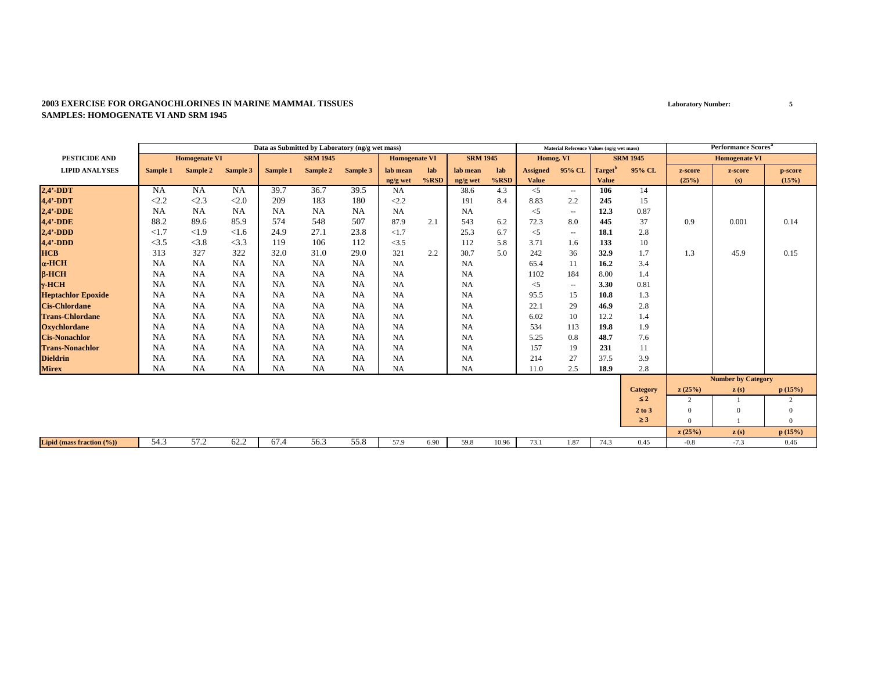#### **2003 EXERCISE FOR ORGANOCHLORINES IN MARINE MAMMAL TISSUESSAMPLES: HOMOGENATE VI AND SRM 1945**

|                               |           |                      |           |           | Data as Submitted by Laboratory (ng/g wet mass) |           |                      |         |                 |       |                 | Material Reference Values (ng/g wet mass) |                     |                 |                | <b>Performance Scores<sup>a</sup></b> |                |
|-------------------------------|-----------|----------------------|-----------|-----------|-------------------------------------------------|-----------|----------------------|---------|-----------------|-------|-----------------|-------------------------------------------|---------------------|-----------------|----------------|---------------------------------------|----------------|
| PESTICIDE AND                 |           | <b>Homogenate VI</b> |           |           | <b>SRM 1945</b>                                 |           | <b>Homogenate VI</b> |         | <b>SRM 1945</b> |       | Homog. VI       |                                           |                     | <b>SRM 1945</b> |                | <b>Homogenate VI</b>                  |                |
| <b>LIPID ANALYSES</b>         | Sample 1  | Sample 2             | Sample 3  | Sample 1  | Sample 2                                        | Sample 3  | lab mean             | lab     | lab mean        | lab   | <b>Assigned</b> | 95% CL                                    | Target <sup>'</sup> | 95% CL          | z-score        | z-score                               | p-score        |
|                               |           |                      |           |           |                                                 |           | ng/g wet             | $%$ RSD | ng/g wet        | %RSD  | <b>Value</b>    |                                           | <b>Value</b>        |                 | (25%)          | (s)                                   | (15%)          |
| $2,4'$ -DDT                   | <b>NA</b> | NA                   | <b>NA</b> | 39.7      | 36.7                                            | 39.5      | <b>NA</b>            |         | 38.6            | 4.3   | $\leq$ 5        | $  \,$                                    | 106                 | 14              |                |                                       |                |
| 4,4'-DDT                      | <2.2      | < 2.3                | < 2.0     | 209       | 183                                             | 180       | <2.2                 |         | 191             | 8.4   | 8.83            | 2.2                                       | 245                 | 15              |                |                                       |                |
| $2,4'$ -DDE                   | <b>NA</b> | <b>NA</b>            | <b>NA</b> | <b>NA</b> | <b>NA</b>                                       | <b>NA</b> | <b>NA</b>            |         | <b>NA</b>       |       | $<$ 5           | $\overline{\phantom{a}}$                  | 12.3                | 0.87            |                |                                       |                |
| 4,4'-DDE                      | 88.2      | 89.6                 | 85.9      | 574       | 548                                             | 507       | 87.9                 | 2.1     | 543             | 6.2   | 72.3            | 8.0                                       | 445                 | 37              | 0.9            | 0.001                                 | 0.14           |
| $2,4'$ -DDD                   | <1.7      | <1.9                 | < 1.6     | 24.9      | 27.1                                            | 23.8      | <1.7                 |         | 25.3            | 6.7   | $<$ 5           | $\sim$ $\sim$                             | 18.1                | 2.8             |                |                                       |                |
| $4,4'$ -DDD                   | <3.5      | < 3.8                | <3.3      | 119       | 106                                             | 112       | <3.5                 |         | 112             | 5.8   | 3.71            | 1.6                                       | 133                 | 10              |                |                                       |                |
| <b>HCB</b>                    | 313       | 327                  | 322       | 32.0      | 31.0                                            | 29.0      | 321                  | 2.2     | 30.7            | 5.0   | 242             | 36                                        | 32.9                | 1.7             | 1.3            | 45.9                                  | 0.15           |
| $\alpha$ -HCH                 | <b>NA</b> | <b>NA</b>            | NA        | <b>NA</b> | <b>NA</b>                                       | <b>NA</b> | <b>NA</b>            |         | NA              |       | 65.4            | 11                                        | 16.2                | 3.4             |                |                                       |                |
| $\beta$ -HCH                  | <b>NA</b> | NA                   | <b>NA</b> | <b>NA</b> | <b>NA</b>                                       | <b>NA</b> | <b>NA</b>            |         | NA              |       | 1102            | 184                                       | 8.00                | 1.4             |                |                                       |                |
| $\gamma$ -HCH                 | <b>NA</b> | <b>NA</b>            | <b>NA</b> | <b>NA</b> | <b>NA</b>                                       | <b>NA</b> | <b>NA</b>            |         | <b>NA</b>       |       | $<$ 5           | $\overline{\phantom{a}}$                  | 3.30                | 0.81            |                |                                       |                |
| <b>Heptachlor Epoxide</b>     | <b>NA</b> | <b>NA</b>            | <b>NA</b> | NA        | <b>NA</b>                                       | <b>NA</b> | <b>NA</b>            |         | <b>NA</b>       |       | 95.5            | 15                                        | 10.8                | 1.3             |                |                                       |                |
| <b>Cis-Chlordane</b>          | <b>NA</b> | <b>NA</b>            | NA        | <b>NA</b> | <b>NA</b>                                       | <b>NA</b> | NA                   |         | <b>NA</b>       |       | 22.1            | 29                                        | 46.9                | 2.8             |                |                                       |                |
| <b>Trans-Chlordane</b>        | NA        | <b>NA</b>            | NA        | <b>NA</b> | <b>NA</b>                                       | <b>NA</b> | NA                   |         | NA              |       | 6.02            | 10                                        | 12.2                | 1.4             |                |                                       |                |
| <b>Oxychlordane</b>           | <b>NA</b> | <b>NA</b>            | <b>NA</b> | NA        | <b>NA</b>                                       | <b>NA</b> | <b>NA</b>            |         | <b>NA</b>       |       | 534             | 113                                       | 19.8                | 1.9             |                |                                       |                |
| <b>Cis-Nonachlor</b>          | <b>NA</b> | <b>NA</b>            | <b>NA</b> | NA        | NA                                              | <b>NA</b> | <b>NA</b>            |         | <b>NA</b>       |       | 5.25            | 0.8                                       | 48.7                | 7.6             |                |                                       |                |
| <b>Trans-Nonachlor</b>        | <b>NA</b> | <b>NA</b>            | NA        | NA        | <b>NA</b>                                       | <b>NA</b> | <b>NA</b>            |         | <b>NA</b>       |       | 157             | 19                                        | 231                 | 11              |                |                                       |                |
| <b>Dieldrin</b>               | <b>NA</b> | <b>NA</b>            | <b>NA</b> | <b>NA</b> | NA                                              | <b>NA</b> | <b>NA</b>            |         | NA              |       | 214             | 27                                        | 37.5                | 3.9             |                |                                       |                |
| <b>Mirex</b>                  | <b>NA</b> | <b>NA</b>            | <b>NA</b> | <b>NA</b> | NA                                              | <b>NA</b> | <b>NA</b>            |         | NA              |       | 11.0            | 2.5                                       | 18.9                | 2.8             |                |                                       |                |
|                               |           |                      |           |           |                                                 |           |                      |         |                 |       |                 |                                           |                     |                 |                | <b>Number by Category</b>             |                |
|                               |           |                      |           |           |                                                 |           |                      |         |                 |       |                 |                                           |                     | <b>Category</b> | z(25%)         | $\mathbf{z}(s)$                       | p(15%)         |
|                               |           |                      |           |           |                                                 |           |                      |         |                 |       |                 |                                           |                     | $\leq 2$        | $\overline{c}$ |                                       | 2              |
|                               |           |                      |           |           |                                                 |           |                      |         |                 |       |                 |                                           |                     | 2 to 3          | $\Omega$       | $\Omega$                              | $\mathbf{0}$   |
|                               |           |                      |           |           |                                                 |           |                      |         |                 |       |                 |                                           |                     | $\geq 3$        | $\Omega$       |                                       | $\overline{0}$ |
|                               |           |                      |           |           |                                                 |           |                      |         |                 |       |                 |                                           |                     |                 | z(25%)         | z(s)                                  | p(15%)         |
| Lipid (mass fraction $(\%)$ ) | 54.3      | 57.2                 | 62.2      | 67.4      | 56.3                                            | 55.8      | 57.9                 | 6.90    | 59.8            | 10.96 | 73.1            | 1.87                                      | 74.3                | 0.45            | $-0.8$         | $-7.3$                                | 0.46           |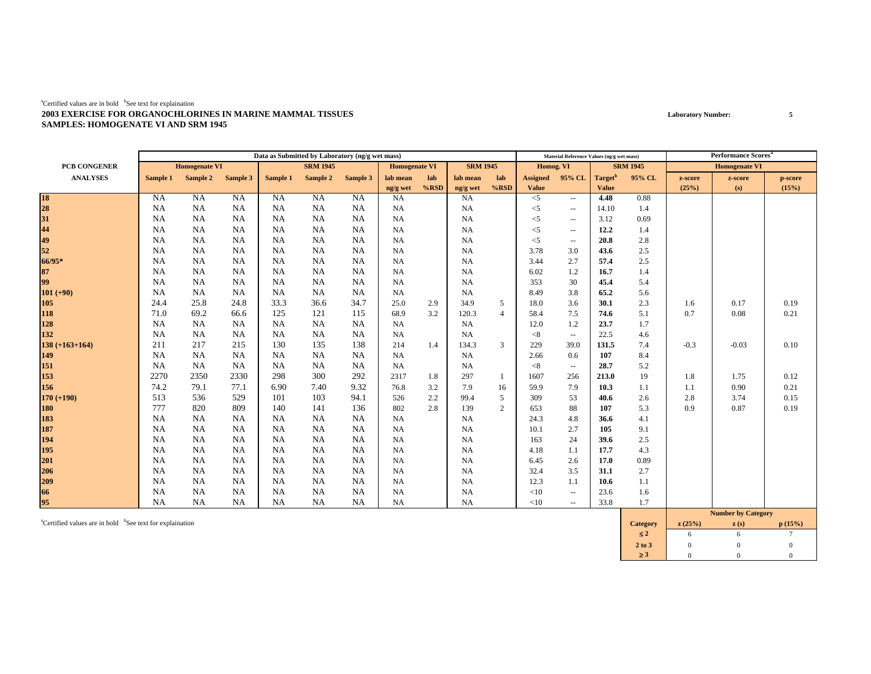#### ${}^{a}$ Certified values are in bold  ${}^{b}$ See text for explaination **2003 EXERCISE FOR ORGANOCHLORINES IN MARINE MAMMAL TISSUESSAMPLES: HOMOGENATE VI AND SRM 1945**

|                  |           |                      |           |           | Data as Submitted by Laboratory (ng/g wet mass) |           |                      |         |                 |                |                 | Material Reference Values (ng/g wet mass) |                     |                 |         | <b>Performance Scores<sup>a</sup></b> |         |
|------------------|-----------|----------------------|-----------|-----------|-------------------------------------------------|-----------|----------------------|---------|-----------------|----------------|-----------------|-------------------------------------------|---------------------|-----------------|---------|---------------------------------------|---------|
| PCB CONGENER     |           | <b>Homogenate VI</b> |           |           | <b>SRM 1945</b>                                 |           | <b>Homogenate VI</b> |         | <b>SRM 1945</b> |                | Homog. VI       |                                           |                     | <b>SRM 1945</b> |         | <b>Homogenate VI</b>                  |         |
| <b>ANALYSES</b>  | Sample 1  | Sample 2             | Sample 3  | Sample 1  | Sample 2                                        | Sample 3  | lab mean             | lab     | lab mean        | lab            | <b>Assigned</b> | 95% CL                                    | Target <sup>b</sup> | 95% CL          | z-score | z-score                               | p-score |
|                  |           |                      |           |           |                                                 |           | ng/g wet             | $%$ RSD | ng/g wet        | $%$ RSD        | <b>Value</b>    |                                           | <b>Value</b>        |                 | (25%)   | (s)                                   | (15%)   |
| 18<br>28<br>31   | <b>NA</b> | <b>NA</b>            | NA        | <b>NA</b> | <b>NA</b>                                       | NA        | NA                   |         | <b>NA</b>       |                | $<$ 5           | $\sim$                                    | 4.48                | 0.88            |         |                                       |         |
|                  | <b>NA</b> | <b>NA</b>            | NA        | NA        | NA                                              | NA        | <b>NA</b>            |         | <b>NA</b>       |                | $<$ 5           | $\overline{\phantom{a}}$                  | 14.10               | 1.4             |         |                                       |         |
|                  | <b>NA</b> | NA                   | NA        | NA        | NA                                              | NA        | <b>NA</b>            |         | <b>NA</b>       |                | $<$ 5           | $\overline{\phantom{a}}$                  | 3.12                | 0.69            |         |                                       |         |
| 44               | <b>NA</b> | NA                   | NA        | NA        | NA                                              | NA        | <b>NA</b>            |         | NA              |                | $<$ 5           | $\overline{\phantom{a}}$                  | 12.2                | 1.4             |         |                                       |         |
| 49               | <b>NA</b> | <b>NA</b>            | NA        | NA        | NA                                              | <b>NA</b> | <b>NA</b>            |         | NA              |                | $<$ 5           | $\overline{\phantom{a}}$                  | 20.8                | 2.8             |         |                                       |         |
| 52               | <b>NA</b> | NA                   | NA        | NA        | NA                                              | <b>NA</b> | <b>NA</b>            |         | NA              |                | 3.78            | 3.0                                       | 43.6                | 2.5             |         |                                       |         |
| 66/95*           | NA        | <b>NA</b>            | NA        | NA        | NA                                              | NA.       | <b>NA</b>            |         | <b>NA</b>       |                | 3.44            | 2.7                                       | 57.4                | 2.5             |         |                                       |         |
| 87               | <b>NA</b> | NA                   | NA        | NA        | NA                                              | NA        | <b>NA</b>            |         | NA              |                | 6.02            | 1.2                                       | 16.7                | 1.4             |         |                                       |         |
| 99               | <b>NA</b> | <b>NA</b>            | NA        | NA        | NA                                              | NA        | <b>NA</b>            |         | NA              |                | 353             | 30                                        | 45.4                | 5.4             |         |                                       |         |
| $101 (+90)$      | <b>NA</b> | <b>NA</b>            | NA        | NA        | NA                                              | NA        | <b>NA</b>            |         | <b>NA</b>       |                | 8.49            | 3.8                                       | 65.2                | 5.6             |         |                                       |         |
| 105              | 24.4      | 25.8                 | 24.8      | 33.3      | 36.6                                            | 34.7      | 25.0                 | 2.9     | 34.9            | 5              | 18.0            | 3.6                                       | 30.1                | 2.3             | 1.6     | 0.17                                  | 0.19    |
| 118              | 71.0      | 69.2                 | 66.6      | 125       | 121                                             | 115       | 68.9                 | 3.2     | 120.3           | $\overline{4}$ | 58.4            | 7.5                                       | 74.6                | 5.1             | 0.7     | 0.08                                  | 0.21    |
| 128              | <b>NA</b> | <b>NA</b>            | NA        | NA        | <b>NA</b>                                       | <b>NA</b> | <b>NA</b>            |         | <b>NA</b>       |                | 12.0            | 1.2                                       | 23.7                | 1.7             |         |                                       |         |
| 132              | <b>NA</b> | <b>NA</b>            | <b>NA</b> | NA        | NA                                              | <b>NA</b> | NA                   |         | <b>NA</b>       |                | < 8             | $\sim$                                    | 22.5                | 4.6             |         |                                       |         |
| $138 (+163+164)$ | 211       | 217                  | 215       | 130       | 135                                             | 138       | 214                  | 1.4     | 134.3           | 3              | 229             | 39.0                                      | 131.5               | 7.4             | $-0.3$  | $-0.03$                               | 0.10    |
| 149              | NA        | NA                   | NA        | NA        | NA                                              | NA.       | NA                   |         | <b>NA</b>       |                | 2.66            | 0.6                                       | 107                 | 8.4             |         |                                       |         |
| 151              | <b>NA</b> | NA                   | NA        | <b>NA</b> | NA                                              | <b>NA</b> | NA                   |         | NA              |                | < 8             | $\overline{\phantom{a}}$                  | 28.7                | 5.2             |         |                                       |         |
| 153              | 2270      | 2350                 | 2330      | 298       | 300                                             | 292       | 2317                 | 1.8     | 297             | $\mathbf{1}$   | 1607            | 256                                       | 213.0               | 19              | 1.8     | 1.75                                  | 0.12    |
| 156              | 74.2      | 79.1                 | 77.1      | 6.90      | 7.40                                            | 9.32      | 76.8                 | 3.2     | 7.9             | 16             | 59.9            | 7.9                                       | 10.3                | 1.1             | 1.1     | 0.90                                  | 0.21    |
| $170 (+190)$     | 513       | 536                  | 529       | 101       | 103                                             | 94.1      | 526                  | 2.2     | 99.4            | 5              | 309             | 53                                        | 40.6                | 2.6             | 2.8     | 3.74                                  | 0.15    |
| 180              | 777       | 820                  | 809       | 140       | 141                                             | 136       | 802                  | 2.8     | 139             | 2              | 653             | 88                                        | 107                 | 5.3             | 0.9     | 0.87                                  | 0.19    |
| 183              | <b>NA</b> | <b>NA</b>            | <b>NA</b> | NA        | NA                                              | <b>NA</b> | NA                   |         | NA              |                | 24.3            | 4.8                                       | 36.6                | 4.1             |         |                                       |         |
| 187              | <b>NA</b> | <b>NA</b>            | NA        | <b>NA</b> | <b>NA</b>                                       | NA        | <b>NA</b>            |         | <b>NA</b>       |                | 10.1            | 2.7                                       | 105                 | 9.1             |         |                                       |         |
| 194              | NA        | <b>NA</b>            | NA        | NA        | NA                                              | NA.       | <b>NA</b>            |         | <b>NA</b>       |                | 163             | 24                                        | 39.6                | 2.5             |         |                                       |         |
| 195              | <b>NA</b> | <b>NA</b>            | NA        | NA        | NA                                              | NA        | <b>NA</b>            |         | NA              |                | 4.18            | 1.1                                       | 17.7                | 4.3             |         |                                       |         |
| 201              | NA        | <b>NA</b>            | NA        | NA        | NA                                              | NA        | <b>NA</b>            |         | NA              |                | 6.45            | 2.6                                       | 17.0                | 0.89            |         |                                       |         |
| 206              | NA        | <b>NA</b>            | NA        | NA        | NA                                              | NA        | <b>NA</b>            |         | NA              |                | 32.4            | 3.5                                       | 31.1                | 2.7             |         |                                       |         |
| 209              | <b>NA</b> | <b>NA</b>            | NA        | NA        | NA                                              | NA        | <b>NA</b>            |         | <b>NA</b>       |                | 12.3            | 1.1                                       | 10.6                | 1.1             |         |                                       |         |
| 66               | <b>NA</b> | NA                   | NA        | NA        | NA                                              | NA        | <b>NA</b>            |         | <b>NA</b>       |                | <10             | $\overline{\phantom{a}}$                  | 23.6                | 1.6             |         |                                       |         |
| 95               | <b>NA</b> | <b>NA</b>            | NA        | <b>NA</b> | <b>NA</b>                                       | <b>NA</b> | <b>NA</b>            |         | NA              |                | <10             | $\overline{\phantom{a}}$                  | 33.8                | 1.7             |         |                                       |         |
|                  |           |                      |           |           |                                                 |           |                      |         |                 |                |                 |                                           |                     |                 |         | <b>Number by Category</b>             |         |

**Laboratory Number: 5**

acertified values are in bold bSee text for explaination **p** (15%) **category z** (s) **c c c p** (15%) **p** (15%) ≤ **2**2 6 6 7 **2 to 3**3 0 0 0 0 ≥ **3**3 0 0 0  $\overline{0}$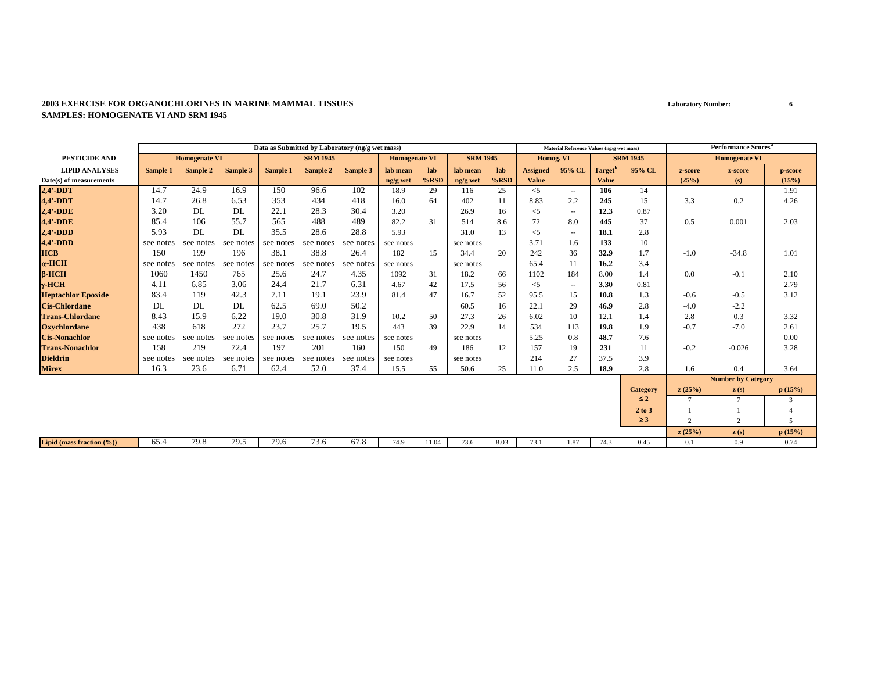#### **2003 EXERCISE FOR ORGANOCHLORINES IN MARINE MAMMAL TISSUESSAMPLES: HOMOGENATE VI AND SRM 1945**

|                           |           |                      |           |           | Data as Submitted by Laboratory (ng/g wet mass) |           |                      |         |                 |         |                 | Material Reference Values (ng/g wet mass) |                     |                 |               | <b>Performance Scores</b> <sup>a</sup> |         |
|---------------------------|-----------|----------------------|-----------|-----------|-------------------------------------------------|-----------|----------------------|---------|-----------------|---------|-----------------|-------------------------------------------|---------------------|-----------------|---------------|----------------------------------------|---------|
| <b>PESTICIDE AND</b>      |           | <b>Homogenate VI</b> |           |           | <b>SRM 1945</b>                                 |           | <b>Homogenate VI</b> |         | <b>SRM 1945</b> |         | Homog. VI       |                                           |                     | <b>SRM 1945</b> |               | <b>Homogenate VI</b>                   |         |
| <b>LIPID ANALYSES</b>     | Sample 1  | Sample 2             | Sample 3  | Sample 1  | Sample 2                                        | Sample 3  | lab mean             | lab     | lab mean        | lab     | <b>Assigned</b> | 95% CL                                    | Target <sup>'</sup> | 95% CL          | z-score       | z-score                                | p-score |
| Date(s) of measurements   |           |                      |           |           |                                                 |           | ng/g wet             | $%$ RSD | ng/g wet        | $%$ RSD | <b>Value</b>    |                                           | <b>Value</b>        |                 | (25%)         | (s)                                    | (15%)   |
| $2,4'$ -DDT               | 14.7      | 24.9                 | 16.9      | 150       | 96.6                                            | 102       | 18.9                 | 29      | 116             | 25      | $<$ 5           | $\overline{\phantom{a}}$                  | 106                 | 14              |               |                                        | 1.91    |
| 4,4'-DDT                  | 14.7      | 26.8                 | 6.53      | 353       | 434                                             | 418       | 16.0                 | 64      | 402             | 11      | 8.83            | 2.2                                       | 245                 | 15              | 3.3           | 0.2                                    | 4.26    |
| $2,4'$ -DDE               | 3.20      | DL                   | DL        | 22.1      | 28.3                                            | 30.4      | 3.20                 |         | 26.9            | 16      | $<$ 5           | $\sim$                                    | 12.3                | 0.87            |               |                                        |         |
| $4,4'$ -DDE               | 85.4      | 106                  | 55.7      | 565       | 488                                             | 489       | 82.2                 | 31      | 514             | 8.6     | 72              | 8.0                                       | 445                 | 37              | 0.5           | 0.001                                  | 2.03    |
| $2,4'$ -DDD               | 5.93      | DL                   | DL        | 35.5      | 28.6                                            | 28.8      | 5.93                 |         | 31.0            | 13      | $<$ 5           | $\overline{\phantom{a}}$                  | 18.1                | 2.8             |               |                                        |         |
| $4,4'$ -DDD               | see notes | see notes            | see notes | see notes | see notes                                       | see notes | see notes            |         | see notes       |         | 3.71            | 1.6                                       | 133                 | 10              |               |                                        |         |
| <b>HCB</b>                | 150       | 199                  | 196       | 38.1      | 38.8                                            | 26.4      | 182                  | 15      | 34.4            | 20      | 242             | 36                                        | 32.9                | 1.7             | $-1.0$        | $-34.8$                                | 1.01    |
| $\alpha$ -HCH             | see notes | see notes            | see notes | see notes | see notes                                       | see notes | see notes            |         | see notes       |         | 65.4            | 11                                        | 16.2                | 3.4             |               |                                        |         |
| $B-HCH$                   | 1060      | 1450                 | 765       | 25.6      | 24.7                                            | 4.35      | 1092                 | 31      | 18.2            | 66      | 1102            | 184                                       | 8.00                | 1.4             | 0.0           | $-0.1$                                 | 2.10    |
| $v$ -HCH                  | 4.11      | 6.85                 | 3.06      | 24.4      | 21.7                                            | 6.31      | 4.67                 | 42      | 17.5            | 56      | $<$ 5           | $\sim$ $\sim$                             | 3.30                | 0.81            |               |                                        | 2.79    |
| <b>Heptachlor Epoxide</b> | 83.4      | 119                  | 42.3      | 7.11      | 19.1                                            | 23.9      | 81.4                 | 47      | 16.7            | 52      | 95.5            | 15                                        | 10.8                | 1.3             | $-0.6$        | $-0.5$                                 | 3.12    |
| <b>Cis-Chlordane</b>      | DL        | DL                   | DL.       | 62.5      | 69.0                                            | 50.2      |                      |         | 60.5            | 16      | 22.1            | 29                                        | 46.9                | 2.8             | $-4.0$        | $-2.2$                                 |         |
| <b>Trans-Chlordane</b>    | 8.43      | 15.9                 | 6.22      | 19.0      | 30.8                                            | 31.9      | 10.2                 | 50      | 27.3            | 26      | 6.02            | 10                                        | 12.1                | 1.4             | 2.8           | 0.3                                    | 3.32    |
| <b>Oxychlordane</b>       | 438       | 618                  | 272       | 23.7      | 25.7                                            | 19.5      | 443                  | 39      | 22.9            | 14      | 534             | 113                                       | 19.8                | 1.9             | $-0.7$        | $-7.0$                                 | 2.61    |
| <b>Cis-Nonachlor</b>      | see notes | see notes            | see notes | see notes | see notes                                       | see notes | see notes            |         | see notes       |         | 5.25            | 0.8                                       | 48.7                | 7.6             |               |                                        | 0.00    |
| <b>Trans-Nonachlor</b>    | 158       | 219                  | 72.4      | 197       | 201                                             | 160       | 150                  | 49      | 186             | 12      | 157             | 19                                        | 231                 | 11              | $-0.2$        | $-0.026$                               | 3.28    |
| <b>Dieldrin</b>           | see notes | see notes            | see notes | see notes | see notes                                       | see notes | see notes            |         | see notes       |         | 214             | 27                                        | 37.5                | 3.9             |               |                                        |         |
| <b>Mirex</b>              | 16.3      | 23.6                 | 6.71      | 62.4      | 52.0                                            | 37.4      | 15.5                 | 55      | 50.6            | 25      | 11.0            | 2.5                                       | 18.9                | 2.8             | 1.6           | 0.4                                    | 3.64    |
|                           |           |                      |           |           |                                                 |           |                      |         |                 |         |                 |                                           |                     |                 |               | <b>Number by Category</b>              |         |
|                           |           |                      |           |           |                                                 |           |                      |         |                 |         |                 |                                           |                     | <b>Category</b> | z(25%)        | $\mathbf{z}(s)$                        | p(15%)  |
|                           |           |                      |           |           |                                                 |           |                      |         |                 |         |                 |                                           |                     | $\leq 2$        |               |                                        | 3       |
|                           |           |                      |           |           |                                                 |           |                      |         |                 |         |                 |                                           |                     | 2 to 3          |               |                                        |         |
|                           |           |                      |           |           |                                                 |           |                      |         |                 |         |                 |                                           |                     | $\geq$ 3        | $\mathcal{L}$ | $\overline{c}$                         | 5       |
|                           |           |                      |           |           |                                                 |           |                      |         |                 |         |                 |                                           |                     |                 | z(25%)        | $\mathbf{z}(s)$                        | p(15%)  |
| Lipid (mass fraction (%)) | 65.4      | 79.8                 | 79.5      | 79.6      | 73.6                                            | 67.8      | 74.9                 | 11.04   | 73.6            | 8.03    | 73.1            | 1.87                                      | 74.3                | 0.45            | 0.1           | 0.9                                    | 0.74    |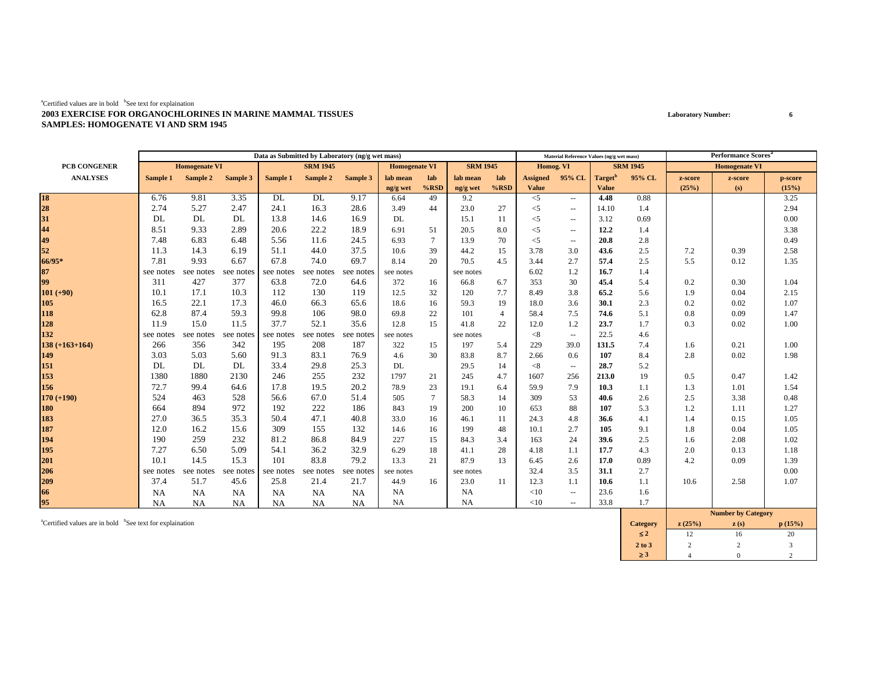#### ${}^{a}$ Certified values are in bold  ${}^{b}$ See text for explaination **2003 EXERCISE FOR ORGANOCHLORINES IN MARINE MAMMAL TISSUESSAMPLES: HOMOGENATE VI AND SRM 1945**

|                     | Data as Submitted by Laboratory (ng/g wet mass) |           |           |                 |           |                      |           |                 | Material Reference Values (ng/g wet mass) |                |                 |                          | <b>Performance Scores</b> <sup>a</sup> |                      |         |                                                     |         |
|---------------------|-------------------------------------------------|-----------|-----------|-----------------|-----------|----------------------|-----------|-----------------|-------------------------------------------|----------------|-----------------|--------------------------|----------------------------------------|----------------------|---------|-----------------------------------------------------|---------|
| <b>PCB CONGENER</b> | <b>Homogenate VI</b>                            |           |           | <b>SRM 1945</b> |           | <b>Homogenate VI</b> |           | <b>SRM 1945</b> |                                           | Homog. VI      |                 | <b>SRM 1945</b>          |                                        | <b>Homogenate VI</b> |         |                                                     |         |
| <b>ANALYSES</b>     | Sample 1                                        | Sample 2  | Sample 3  | Sample 1        | Sample 2  | Sample 3             | lab mean  | lab             | lab mean                                  | lab            | <b>Assigned</b> | 95% CL                   | Target <sup>"</sup>                    | 95% CL               | z-score | z-score                                             | p-score |
|                     |                                                 |           |           |                 |           |                      | ng/g wet  | $%$ RSD         | ng/g wet                                  | $%$ RSD        | <b>Value</b>    |                          | <b>Value</b>                           |                      | (25%)   | (s)                                                 | (15%)   |
| 18<br>28<br>31      | 6.76                                            | 9.81      | 3.35      | DL              | DL        | 9.17                 | 6.64      | 49              | 9.2                                       |                | $<$ 5           | $\sim$ $\sim$            | 4.48                                   | 0.88                 |         |                                                     | 3.25    |
|                     | 2.74                                            | 5.27      | 2.47      | 24.1            | 16.3      | 28.6                 | 3.49      | 44              | 23.0                                      | 27             | $<$ 5           | $\sim$ $\sim$            | 14.10                                  | 1.4                  |         |                                                     | 2.94    |
|                     | DL                                              | DL        | DL        | 13.8            | 14.6      | 16.9                 | DL        |                 | 15.1                                      | 11             | $<$ 5           | $\sim$                   | 3.12                                   | 0.69                 |         |                                                     | 0.00    |
| 44                  | 8.51                                            | 9.33      | 2.89      | 20.6            | 22.2      | 18.9                 | 6.91      | 51              | 20.5                                      | 8.0            | $<$ 5           | $\sim$ $\sim$            | 12.2                                   | 1.4                  |         |                                                     | 3.38    |
| 49                  | 7.48                                            | 6.83      | 6.48      | 5.56            | 11.6      | 24.5                 | 6.93      | $7\phantom{.0}$ | 13.9                                      | 70             | $<$ 5           | $\sim$ $\sim$            | 20.8                                   | 2.8                  |         |                                                     | 0.49    |
| 52                  | 11.3                                            | 14.3      | 6.19      | 51.1            | 44.0      | 37.5                 | 10.6      | 39              | 44.2                                      | 15             | 3.78            | 3.0                      | 43.6                                   | 2.5                  | 7.2     | 0.39                                                | 2.58    |
| 66/95*              | 7.81                                            | 9.93      | 6.67      | 67.8            | 74.0      | 69.7                 | 8.14      | 20              | 70.5                                      | 4.5            | 3.44            | 2.7                      | 57.4                                   | 2.5                  | 5.5     | 0.12                                                | 1.35    |
| 87                  | see notes                                       | see notes | see notes | see notes       | see notes | see notes            | see notes |                 | see notes                                 |                | 6.02            | 1.2                      | 16.7                                   | 1.4                  |         |                                                     |         |
| 99                  | 311                                             | 427       | 377       | 63.8            | 72.0      | 64.6                 | 372       | 16              | 66.8                                      | 6.7            | 353             | 30                       | 45.4                                   | 5.4                  | 0.2     | 0.30                                                | 1.04    |
| $101 (+90)$         | 10.1                                            | 17.1      | 10.3      | 112             | 130       | 119                  | 12.5      | 32              | 120                                       | 7.7            | 8.49            | 3.8                      | 65.2                                   | 5.6                  | 1.9     | 0.04                                                | 2.15    |
| 105                 | 16.5                                            | 22.1      | 17.3      | 46.0            | 66.3      | 65.6                 | 18.6      | 16              | 59.3                                      | 19             | 18.0            | 3.6                      | 30.1                                   | 2.3                  | 0.2     | 0.02                                                | 1.07    |
| 118                 | 62.8                                            | 87.4      | 59.3      | 99.8            | 106       | 98.0                 | 69.8      | 22              | 101                                       | $\overline{4}$ | 58.4            | 7.5                      | 74.6                                   | 5.1                  | 0.8     | 0.09                                                | 1.47    |
| 128                 | 11.9                                            | 15.0      | 11.5      | 37.7            | 52.1      | 35.6                 | 12.8      | 15              | 41.8                                      | 22             | 12.0            | 1.2                      | 23.7                                   | 1.7                  | 0.3     | 0.02                                                | 1.00    |
| 132                 | see notes                                       | see notes | see notes | see notes       | see notes | see notes            | see notes |                 | see notes                                 |                | < 8             | $\overline{\phantom{a}}$ | 22.5                                   | 4.6                  |         |                                                     |         |
| $138 (+163+164)$    | 266                                             | 356       | 342       | 195             | 208       | 187                  | 322       | 15              | 197                                       | 5.4            | 229             | 39.0                     | 131.5                                  | 7.4                  | 1.6     | 0.21                                                | 1.00    |
| 149                 | 3.03                                            | 5.03      | 5.60      | 91.3            | 83.1      | 76.9                 | 4.6       | 30              | 83.8                                      | 8.7            | 2.66            | 0.6                      | 107                                    | 8.4                  | 2.8     | 0.02                                                | 1.98    |
| 151                 | DL                                              | DL        | DL        | 33.4            | 29.8      | 25.3                 | DL        |                 | 29.5                                      | 14             | < 8             | $\sim$ $\sim$            | 28.7                                   | 5.2                  |         |                                                     |         |
| 153                 | 1380                                            | 1880      | 2130      | 246             | 255       | 232                  | 1797      | 21              | 245                                       | 4.7            | 1607            | 256                      | 213.0                                  | 19                   | 0.5     | 0.47                                                | 1.42    |
| 156                 | 72.7                                            | 99.4      | 64.6      | 17.8            | 19.5      | 20.2                 | 78.9      | 23              | 19.1                                      | 6.4            | 59.9            | 7.9                      | 10.3                                   | 1.1                  | 1.3     | 1.01                                                | 1.54    |
| $170 (+190)$        | 524                                             | 463       | 528       | 56.6            | 67.0      | 51.4                 | 505       | $\overline{7}$  | 58.3                                      | 14             | 309             | 53                       | 40.6                                   | 2.6                  | 2.5     | 3.38                                                | 0.48    |
| 180                 | 664                                             | 894       | 972       | 192             | 222       | 186                  | 843       | 19              | 200                                       | 10             | 653             | 88                       | 107                                    | 5.3                  | 1.2     | 1.11                                                | 1.27    |
| 183                 | 27.0                                            | 36.5      | 35.3      | 50.4            | 47.1      | 40.8                 | 33.0      | 16              | 46.1                                      | -11            | 24.3            | 4.8                      | 36.6                                   | 4.1                  | 1.4     | 0.15                                                | 1.05    |
| 187                 | 12.0                                            | 16.2      | 15.6      | 309             | 155       | 132                  | 14.6      | 16              | 199                                       | 48             | 10.1            | 2.7                      | 105                                    | 9.1                  | 1.8     | 0.04                                                | 1.05    |
| 194                 | 190                                             | 259       | 232       | 81.2            | 86.8      | 84.9                 | 227       | 15              | 84.3                                      | 3.4            | 163             | 24                       | 39.6                                   | 2.5                  | 1.6     | 2.08                                                | 1.02    |
| 195                 | 7.27                                            | 6.50      | 5.09      | 54.1            | 36.2      | 32.9                 | 6.29      | 18              | 41.1                                      | 28             | 4.18            | 1.1                      | 17.7                                   | 4.3                  | 2.0     | 0.13                                                | 1.18    |
| 201                 | 10.1                                            | 14.5      | 15.3      | 101             | 83.8      | 79.2                 | 13.3      | 21              | 87.9                                      | 13             | 6.45            | 2.6                      | 17.0                                   | 0.89                 | 4.2     | 0.09                                                | 1.39    |
| 206                 | see notes                                       | see notes | see notes | see notes       | see notes | see notes            | see notes |                 | see notes                                 |                | 32.4            | 3.5                      | 31.1                                   | 2.7                  |         |                                                     | 0.00    |
| 209                 | 37.4                                            | 51.7      | 45.6      | 25.8            | 21.4      | 21.7                 | 44.9      | 16              | 23.0                                      | 11             | 12.3            | 1.1                      | 10.6                                   | 1.1                  | 10.6    | 2.58                                                | 1.07    |
| 66                  | <b>NA</b>                                       | <b>NA</b> | NA        | <b>NA</b>       | NA        | NA                   | <b>NA</b> |                 | <b>NA</b>                                 |                | <10             | $\overline{\phantom{a}}$ | 23.6                                   | 1.6                  |         |                                                     |         |
| 95                  | <b>NA</b>                                       | NA        | NA.       | NA              | <b>NA</b> | NA                   | NA        |                 | NA                                        |                | <10             | $\sim$ $\sim$            | 33.8                                   | 1.7                  |         | $\mathbf{M}$ $\mathbf{I}$ $\mathbf{M}$ $\mathbf{M}$ |         |

<sup>**aCertified values are in bold <sup>b</sup>See text for explaination</sup>** 

|                 | <b>Number by Category</b> |      |        |  |  |  |  |  |
|-----------------|---------------------------|------|--------|--|--|--|--|--|
| <b>Category</b> | z(25%)                    | z(s) | p(15%) |  |  |  |  |  |
| $\leq 2$        |                           | 16   | 20     |  |  |  |  |  |
| 2 to 3          |                           |      |        |  |  |  |  |  |
| >3              |                           |      |        |  |  |  |  |  |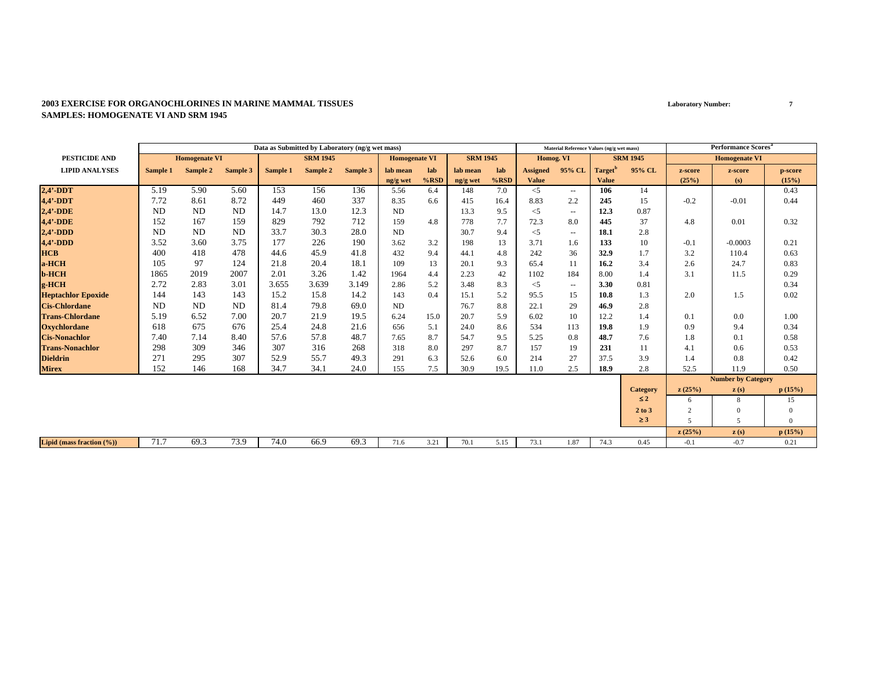|                           | Data as Submitted by Laboratory (ng/g wet mass) |                      |           |          |                 |          |                      |         |                 |         |                 | Material Reference Values (ng/g wet mass) |                     |                 |                          | <b>Performance Scores<sup>a</sup></b> |                |
|---------------------------|-------------------------------------------------|----------------------|-----------|----------|-----------------|----------|----------------------|---------|-----------------|---------|-----------------|-------------------------------------------|---------------------|-----------------|--------------------------|---------------------------------------|----------------|
| <b>PESTICIDE AND</b>      |                                                 | <b>Homogenate VI</b> |           |          | <b>SRM 1945</b> |          | <b>Homogenate VI</b> |         | <b>SRM 1945</b> |         | Homog. VI       |                                           |                     | <b>SRM 1945</b> |                          | <b>Homogenate VI</b>                  |                |
| <b>LIPID ANALYSES</b>     | Sample 1                                        | Sample 2             | Sample 3  | Sample 1 | Sample 2        | Sample 3 | lab mean             | lab     | lab mean        | lab     | <b>Assigned</b> | 95% CL                                    | Target <sup>'</sup> | 95% CL          | z-score                  | z-score                               | p-score        |
|                           |                                                 |                      |           |          |                 |          | ng/g wet             | $%$ RSD | ng/g wet        | $%$ RSD | <b>Value</b>    |                                           | <b>Value</b>        |                 | (25%)                    | (s)                                   | (15%)          |
| $2,4'$ -DDT               | 5.19                                            | 5.90                 | 5.60      | 153      | 156             | 136      | 5.56                 | 6.4     | 148             | 7.0     | $\leq$ 5        | $\overline{\phantom{a}}$                  | 106                 | 14              |                          |                                       | 0.43           |
| $4,4'$ -DDT               | 7.72                                            | 8.61                 | 8.72      | 449      | 460             | 337      | 8.35                 | 6.6     | 415             | 16.4    | 8.83            | 2.2                                       | 245                 | 15              | $-0.2$                   | $-0.01$                               | 0.44           |
| $2,4'$ -DDE               | <b>ND</b>                                       | ND                   | ND        | 14.7     | 13.0            | 12.3     | ND                   |         | 13.3            | 9.5     | $<$ 5           | $\sim$                                    | 12.3                | 0.87            |                          |                                       |                |
| 4,4'-DDE                  | 152                                             | 167                  | 159       | 829      | 792             | 712      | 159                  | 4.8     | 778             | 7.7     | 72.3            | 8.0                                       | 445                 | 37              | 4.8                      | 0.01                                  | 0.32           |
| $2,4'$ -DDD               | <b>ND</b>                                       | ND                   | <b>ND</b> | 33.7     | 30.3            | 28.0     | ND                   |         | 30.7            | 9.4     | $<$ 5           | $\sim$                                    | 18.1                | 2.8             |                          |                                       |                |
| $4,4'$ -DDD               | 3.52                                            | 3.60                 | 3.75      | 177      | 226             | 190      | 3.62                 | 3.2     | 198             | 13      | 3.71            | 1.6                                       | 133                 | 10              | $-0.1$                   | $-0.0003$                             | 0.21           |
| <b>HCB</b>                | 400                                             | 418                  | 478       | 44.6     | 45.9            | 41.8     | 432                  | 9.4     | 44.1            | 4.8     | 242             | 36                                        | 32.9                | 1.7             | 3.2                      | 110.4                                 | 0.63           |
| a-HCH                     | 105                                             | 97                   | 124       | 21.8     | 20.4            | 18.1     | 109                  | 13      | 20.1            | 9.3     | 65.4            | 11                                        | 16.2                | 3.4             | 2.6                      | 24.7                                  | 0.83           |
| <b>b-HCH</b>              | 1865                                            | 2019                 | 2007      | 2.01     | 3.26            | 1.42     | 1964                 | 4.4     | 2.23            | 42      | 1102            | 184                                       | 8.00                | 1.4             | 3.1                      | 11.5                                  | 0.29           |
| g-HCH                     | 2.72                                            | 2.83                 | 3.01      | 3.655    | 3.639           | 3.149    | 2.86                 | 5.2     | 3.48            | 8.3     | $<$ 5           | $\sim$                                    | 3.30                | 0.81            |                          |                                       | 0.34           |
| <b>Heptachlor Epoxide</b> | 144                                             | 143                  | 143       | 15.2     | 15.8            | 14.2     | 143                  | 0.4     | 15.1            | 5.2     | 95.5            | 15                                        | 10.8                | 1.3             | 2.0                      | 1.5                                   | 0.02           |
| <b>Cis-Chlordane</b>      | <b>ND</b>                                       | ND                   | <b>ND</b> | 81.4     | 79.8            | 69.0     | ND                   |         | 76.7            | 8.8     | 22.1            | 29                                        | 46.9                | 2.8             |                          |                                       |                |
| <b>Trans-Chlordane</b>    | 5.19                                            | 6.52                 | 7.00      | 20.7     | 21.9            | 19.5     | 6.24                 | 15.0    | 20.7            | 5.9     | 6.02            | 10                                        | 12.2                | 1.4             | 0.1                      | 0.0                                   | 1.00           |
| <b>Oxychlordane</b>       | 618                                             | 675                  | 676       | 25.4     | 24.8            | 21.6     | 656                  | 5.1     | 24.0            | 8.6     | 534             | 113                                       | 19.8                | 1.9             | 0.9                      | 9.4                                   | 0.34           |
| <b>Cis-Nonachlor</b>      | 7.40                                            | 7.14                 | 8.40      | 57.6     | 57.8            | 48.7     | 7.65                 | 8.7     | 54.7            | 9.5     | 5.25            | 0.8                                       | 48.7                | 7.6             | 1.8                      | 0.1                                   | 0.58           |
| <b>Trans-Nonachlor</b>    | 298                                             | 309                  | 346       | 307      | 316             | 268      | 318                  | 8.0     | 297             | 8.7     | 157             | 19                                        | 231                 | 11              | 4.1                      | 0.6                                   | 0.53           |
| <b>Dieldrin</b>           | 271                                             | 295                  | 307       | 52.9     | 55.7            | 49.3     | 291                  | 6.3     | 52.6            | 6.0     | 214             | 27                                        | 37.5                | 3.9             | 1.4                      | 0.8                                   | 0.42           |
| <b>Mirex</b>              | 152                                             | 146                  | 168       | 34.7     | 34.1            | 24.0     | 155                  | 7.5     | 30.9            | 19.5    | 11.0            | 2.5                                       | 18.9                | 2.8             | 52.5                     | 11.9                                  | 0.50           |
|                           |                                                 |                      |           |          |                 |          |                      |         |                 |         |                 |                                           |                     |                 |                          | <b>Number by Category</b>             |                |
|                           |                                                 |                      |           |          |                 |          |                      |         |                 |         |                 |                                           |                     | <b>Category</b> | z(25%)                   | $\mathbf{z}(s)$                       | p(15%)         |
|                           |                                                 |                      |           |          |                 |          |                      |         |                 |         |                 |                                           |                     | $\leq 2$        | 6                        | 8                                     | 15             |
|                           |                                                 |                      |           |          |                 |          |                      |         |                 |         |                 |                                           |                     | 2 to 3          | $\overline{2}$           | $\Omega$                              | $\Omega$       |
|                           |                                                 |                      |           |          |                 |          |                      |         |                 |         |                 |                                           |                     | $\geq$ 3        | $\overline{\phantom{0}}$ | 5                                     | $\overline{0}$ |
|                           |                                                 |                      |           |          |                 |          |                      |         |                 |         |                 |                                           |                     |                 | z(25%)                   | $\mathbf{z}(s)$                       | p(15%)         |
| Lipid (mass fraction (%)) | 71.7                                            | 69.3                 | 73.9      | 74.0     | 66.9            | 69.3     | 71.6                 | 3.21    | 70.1            | 5.15    | 73.1            | 1.87                                      | 74.3                | 0.45            | $-0.1$                   | $-0.7$                                | 0.21           |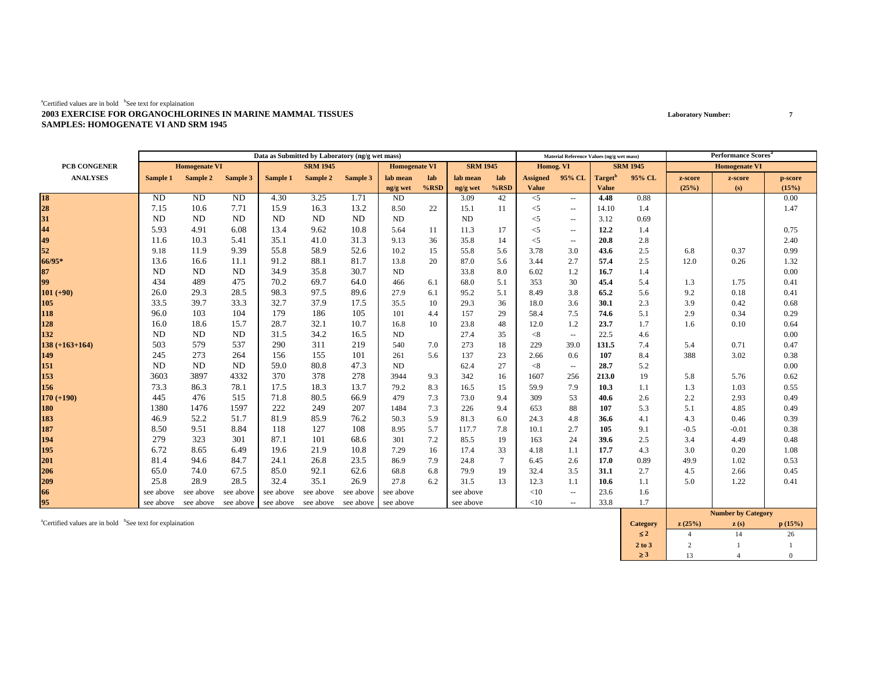|                      |           |                                                   |           | Data as Submitted by Laboratory (ng/g wet mass) |                 |           |                      |         |                 |                 |                 | Material Reference Values (ng/g wet mass) |                     |                 |         | <b>Performance Scores</b> <sup>a</sup> |         |
|----------------------|-----------|---------------------------------------------------|-----------|-------------------------------------------------|-----------------|-----------|----------------------|---------|-----------------|-----------------|-----------------|-------------------------------------------|---------------------|-----------------|---------|----------------------------------------|---------|
| PCB CONGENER         |           | <b>Homogenate VI</b>                              |           |                                                 | <b>SRM 1945</b> |           | <b>Homogenate VI</b> |         | <b>SRM 1945</b> |                 | Homog. VI       |                                           |                     | <b>SRM 1945</b> |         | <b>Homogenate VI</b>                   |         |
| <b>ANALYSES</b>      | Sample 1  | Sample 2                                          | Sample 3  | Sample 1                                        | Sample 2        | Sample 3  | lab mean             | lab     | lab mean        | lab             | <b>Assigned</b> | 95% CL                                    | Target <sup>"</sup> | 95% CL          | z-score | z-score                                | p-score |
|                      |           |                                                   |           |                                                 |                 |           | ng/g wet             | $%$ RSD | ng/g wet        | $%$ RSD         | <b>Value</b>    |                                           | <b>Value</b>        |                 | (25%)   | (s)                                    | (15%)   |
| 18<br>28<br>31<br>44 | ND        | ND                                                | ND        | 4.30                                            | 3.25            | 1.71      | <b>ND</b>            |         | 3.09            | 42              | $<$ 5           | $\sim$                                    | 4.48                | 0.88            |         |                                        | 0.00    |
|                      | 7.15      | 10.6                                              | 7.71      | 15.9                                            | 16.3            | 13.2      | 8.50                 | 22      | 15.1            | 11              | $<$ 5           | $\overline{\phantom{a}}$                  | 14.10               | 1.4             |         |                                        | 1.47    |
|                      | <b>ND</b> | <b>ND</b>                                         | ND        | <b>ND</b>                                       | N <sub>D</sub>  | ND        | ND                   |         | <b>ND</b>       |                 | $<$ 5           | $\sim$                                    | 3.12                | 0.69            |         |                                        |         |
|                      | 5.93      | 4.91                                              | 6.08      | 13.4                                            | 9.62            | 10.8      | 5.64                 | 11      | 11.3            | 17              | $<$ 5           | $\sim$                                    | 12.2                | 1.4             |         |                                        | 0.75    |
| 49                   | 11.6      | 10.3                                              | 5.41      | 35.1                                            | 41.0            | 31.3      | 9.13                 | 36      | 35.8            | 14              | $<$ 5           | $\overline{\phantom{a}}$                  | 20.8                | 2.8             |         |                                        | 2.40    |
| 52                   | 9.18      | 11.9                                              | 9.39      | 55.8                                            | 58.9            | 52.6      | 10.2                 | 15      | 55.8            | 5.6             | 3.78            | 3.0                                       | 43.6                | 2.5             | 6.8     | 0.37                                   | 0.99    |
| 66/95*               | 13.6      | 16.6                                              | 11.1      | 91.2                                            | 88.1            | 81.7      | 13.8                 | 20      | 87.0            | 5.6             | 3.44            | 2.7                                       | 57.4                | 2.5             | 12.0    | 0.26                                   | 1.32    |
| 87                   | <b>ND</b> | <b>ND</b>                                         | ND        | 34.9                                            | 35.8            | 30.7      | ND                   |         | 33.8            | 8.0             | 6.02            | 1.2                                       | 16.7                | 1.4             |         |                                        | 0.00    |
| 99                   | 434       | 489                                               | 475       | 70.2                                            | 69.7            | 64.0      | 466                  | 6.1     | 68.0            | 5.1             | 353             | 30                                        | 45.4                | 5.4             | 1.3     | 1.75                                   | 0.41    |
| $101 (+90)$          | 26.0      | 29.3                                              | 28.5      | 98.3                                            | 97.5            | 89.6      | 27.9                 | 6.1     | 95.2            | 5.1             | 8.49            | 3.8                                       | 65.2                | 5.6             | 9.2     | 0.18                                   | 0.41    |
| 105                  | 33.5      | 39.7                                              | 33.3      | 32.7                                            | 37.9            | 17.5      | 35.5                 | 10      | 29.3            | 36              | 18.0            | 3.6                                       | 30.1                | 2.3             | 3.9     | 0.42                                   | 0.68    |
| 118                  | 96.0      | 103                                               | 104       | 179                                             | 186             | 105       | 101                  | 4.4     | 157             | 29              | 58.4            | 7.5                                       | 74.6                | 5.1             | 2.9     | 0.34                                   | 0.29    |
| 128                  | 16.0      | 18.6                                              | 15.7      | 28.7                                            | 32.1            | 10.7      | 16.8                 | 10      | 23.8            | 48              | 12.0            | 1.2                                       | 23.7                | 1.7             | 1.6     | 0.10                                   | 0.64    |
| 132                  | <b>ND</b> | <b>ND</b>                                         | ND.       | 31.5                                            | 34.2            | 16.5      | ND                   |         | 27.4            | 35              | < 8             | $\overline{\phantom{a}}$                  | 22.5                | 4.6             |         |                                        | 0.00    |
| $138 (+163+164)$     | 503       | 579                                               | 537       | 290                                             | 311             | 219       | 540                  | 7.0     | 273             | 18              | 229             | 39.0                                      | 131.5               | 7.4             | 5.4     | 0.71                                   | 0.47    |
| 149                  | 245       | 273                                               | 264       | 156                                             | 155             | 101       | 261                  | 5.6     | 137             | 23              | 2.66            | 0.6                                       | 107                 | 8.4             | 388     | 3.02                                   | 0.38    |
| 151                  | <b>ND</b> | <b>ND</b>                                         | ND        | 59.0                                            | 80.8            | 47.3      | ND                   |         | 62.4            | 27              | < 8             | $\sim$                                    | 28.7                | 5.2             |         |                                        | 0.00    |
| 153                  | 3603      | 3897                                              | 4332      | 370                                             | 378             | 278       | 3944                 | 9.3     | 342             | 16              | 1607            | 256                                       | 213.0               | 19              | 5.8     | 5.76                                   | 0.62    |
| 156                  | 73.3      | 86.3                                              | 78.1      | 17.5                                            | 18.3            | 13.7      | 79.2                 | 8.3     | 16.5            | 15              | 59.9            | 7.9                                       | 10.3                | 1.1             | 1.3     | 1.03                                   | 0.55    |
| $170 (+190)$         | 445       | 476                                               | 515       | 71.8                                            | 80.5            | 66.9      | 479                  | 7.3     | 73.0            | 9.4             | 309             | 53                                        | 40.6                | 2.6             | 2.2     | 2.93                                   | 0.49    |
| 180                  | 1380      | 1476                                              | 1597      | 222                                             | 249             | 207       | 1484                 | 7.3     | 226             | 9.4             | 653             | 88                                        | 107                 | 5.3             | 5.1     | 4.85                                   | 0.49    |
| 183                  | 46.9      | 52.2                                              | 51.7      | 81.9                                            | 85.9            | 76.2      | 50.3                 | 5.9     | 81.3            | 6.0             | 24.3            | 4.8                                       | 36.6                | 4.1             | 4.3     | 0.46                                   | 0.39    |
| 187                  | 8.50      | 9.51                                              | 8.84      | 118                                             | 127             | 108       | 8.95                 | 5.7     | 117.7           | 7.8             | 10.1            | 2.7                                       | 105                 | 9.1             | $-0.5$  | $-0.01$                                | 0.38    |
| 194                  | 279       | 323                                               | 301       | 87.1                                            | 101             | 68.6      | 301                  | 7.2     | 85.5            | 19              | 163             | 24                                        | 39.6                | 2.5             | 3.4     | 4.49                                   | 0.48    |
| 195                  | 6.72      | 8.65                                              | 6.49      | 19.6                                            | 21.9            | 10.8      | 7.29                 | 16      | 17.4            | 33              | 4.18            | 1.1                                       | 17.7                | 4.3             | 3.0     | 0.20                                   | 1.08    |
| 201                  | 81.4      | 94.6                                              | 84.7      | 24.1                                            | 26.8            | 23.5      | 86.9                 | 7.9     | 24.8            | $7\phantom{.0}$ | 6.45            | 2.6                                       | 17.0                | 0.89            | 49.9    | 1.02                                   | 0.53    |
| 206                  | 65.0      | 74.0                                              | 67.5      | 85.0                                            | 92.1            | 62.6      | 68.8                 | 6.8     | 79.9            | 19              | 32.4            | 3.5                                       | 31.1                | 2.7             | 4.5     | 2.66                                   | 0.45    |
| 209                  | 25.8      | 28.9                                              | 28.5      | 32.4                                            | 35.1            | 26.9      | 27.8                 | 6.2     | 31.5            | 13              | 12.3            | 1.1                                       | 10.6                | 1.1             | 5.0     | 1.22                                   | 0.41    |
| 66                   | see above | see above                                         | see above | see above                                       | see above       | see above | see above            |         | see above       |                 | <10             | $\sim$                                    | 23.6                | 1.6             |         |                                        |         |
| 95                   | see above | see above see above see above see above see above |           |                                                 |                 |           | see above            |         | see above       |                 | $<$ 10          | $\sim$ $\sim$                             | 33.8                | 1.7             |         |                                        |         |
|                      |           |                                                   |           |                                                 |                 |           |                      |         |                 |                 |                 |                                           |                     |                 |         | Number by Category                     |         |

<sup>**aCertified values are in bold <sup>b</sup>See text for explaination</sup>** 

|                 |        | <b>Number by Category</b> |        |
|-----------------|--------|---------------------------|--------|
| <b>Category</b> | z(25%) | z(s)                      | p(15%) |
| $\leq 2$        |        | 14                        | 26     |
| 2 to 3          |        |                           |        |
| $\geq 3$        |        |                           |        |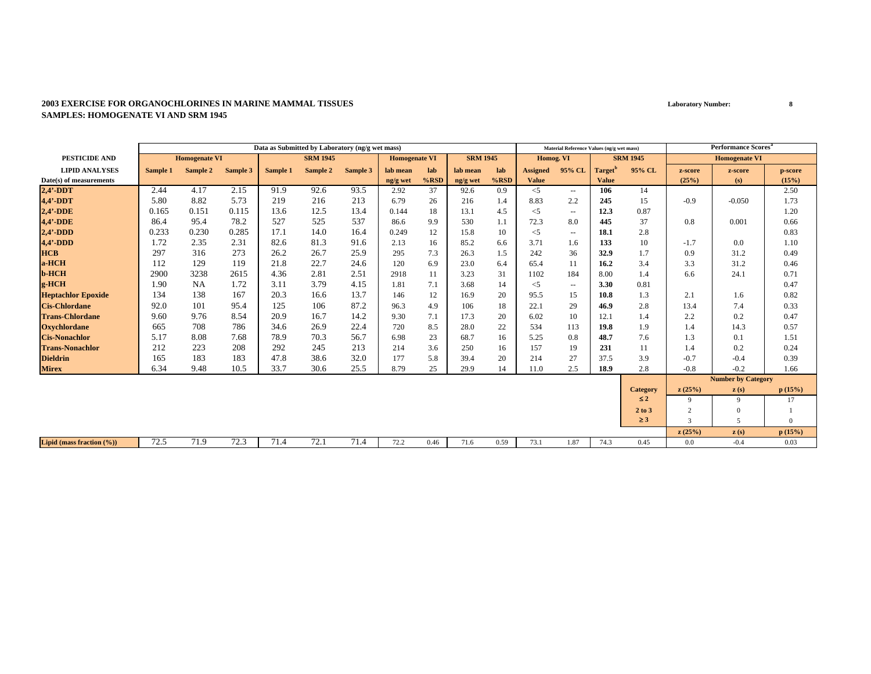|                               | Data as Submitted by Laboratory (ng/g wet mass) |                      |          |          |                 |          |                      |         |                 |         |                 | Material Reference Values (ng/g wet mass) |                     |                 |                | <b>Performance Scores</b> <sup>a</sup> |          |
|-------------------------------|-------------------------------------------------|----------------------|----------|----------|-----------------|----------|----------------------|---------|-----------------|---------|-----------------|-------------------------------------------|---------------------|-----------------|----------------|----------------------------------------|----------|
| <b>PESTICIDE AND</b>          |                                                 | <b>Homogenate VI</b> |          |          | <b>SRM 1945</b> |          | <b>Homogenate VI</b> |         | <b>SRM 1945</b> |         | Homog. VI       |                                           |                     | <b>SRM 1945</b> |                | <b>Homogenate VI</b>                   |          |
| <b>LIPID ANALYSES</b>         | Sample 1                                        | Sample 2             | Sample 3 | Sample 1 | Sample 2        | Sample 3 | lab mean             | lab     | lab mean        | lab     | <b>Assigned</b> | 95% CL                                    | Target <sup>'</sup> | 95% CL          | z-score        | z-score                                | p-score  |
| Date(s) of measurements       |                                                 |                      |          |          |                 |          | ng/g wet             | $%$ RSD | ng/g wet        | $%$ RSD | <b>Value</b>    |                                           | <b>Value</b>        |                 | (25%)          | (s)                                    | (15%)    |
| $2,4'$ -DDT                   | 2.44                                            | 4.17                 | 2.15     | 91.9     | 92.6            | 93.5     | 2.92                 | 37      | 92.6            | 0.9     | $\leq$ 5        | $\overline{\phantom{a}}$                  | 106                 | 14              |                |                                        | 2.50     |
| 4,4'-DDT                      | 5.80                                            | 8.82                 | 5.73     | 219      | 216             | 213      | 6.79                 | 26      | 216             | 1.4     | 8.83            | 2.2                                       | 245                 | 15              | $-0.9$         | $-0.050$                               | 1.73     |
| $2,4'$ -DDE                   | 0.165                                           | 0.151                | 0.115    | 13.6     | 12.5            | 13.4     | 0.144                | 18      | 13.1            | 4.5     | $<$ 5           | $\sim$ $\sim$                             | 12.3                | 0.87            |                |                                        | 1.20     |
| <b>4,4'-DDE</b>               | 86.4                                            | 95.4                 | 78.2     | 527      | 525             | 537      | 86.6                 | 9.9     | 530             | 1.1     | 72.3            | 8.0                                       | 445                 | 37              | 0.8            | 0.001                                  | 0.66     |
| $2,4'$ -DDD                   | 0.233                                           | 0.230                | 0.285    | 17.1     | 14.0            | 16.4     | 0.249                | 12      | 15.8            | 10      | $<$ 5           | $\sim$                                    | 18.1                | 2.8             |                |                                        | 0.83     |
| $4,4'$ -DDD                   | 1.72                                            | 2.35                 | 2.31     | 82.6     | 81.3            | 91.6     | 2.13                 | 16      | 85.2            | 6.6     | 3.71            | 1.6                                       | 133                 | 10              | $-1.7$         | 0.0                                    | 1.10     |
| <b>HCB</b>                    | 297                                             | 316                  | 273      | 26.2     | 26.7            | 25.9     | 295                  | 7.3     | 26.3            | 1.5     | 242             | 36                                        | 32.9                | 1.7             | 0.9            | 31.2                                   | 0.49     |
| a-HCH                         | 112                                             | 129                  | 119      | 21.8     | 22.7            | 24.6     | 120                  | 6.9     | 23.0            | 6.4     | 65.4            | 11                                        | 16.2                | 3.4             | 3.3            | 31.2                                   | 0.46     |
| <b>b-HCH</b>                  | 2900                                            | 3238                 | 2615     | 4.36     | 2.81            | 2.51     | 2918                 | 11      | 3.23            | 31      | 1102            | 184                                       | 8.00                | 1.4             | 6.6            | 24.1                                   | 0.71     |
| g-HCH                         | 1.90                                            | <b>NA</b>            | 1.72     | 3.11     | 3.79            | 4.15     | 1.81                 | 7.1     | 3.68            | 14      | $<$ 5           | $\sim$                                    | 3.30                | 0.81            |                |                                        | 0.47     |
| <b>Heptachlor Epoxide</b>     | 134                                             | 138                  | 167      | 20.3     | 16.6            | 13.7     | 146                  | 12      | 16.9            | 20      | 95.5            | 15                                        | 10.8                | 1.3             | 2.1            | 1.6                                    | 0.82     |
| <b>Cis-Chlordane</b>          | 92.0                                            | 101                  | 95.4     | 125      | 106             | 87.2     | 96.3                 | 4.9     | 106             | 18      | 22.1            | 29                                        | 46.9                | 2.8             | 13.4           | 7.4                                    | 0.33     |
| <b>Trans-Chlordane</b>        | 9.60                                            | 9.76                 | 8.54     | 20.9     | 16.7            | 14.2     | 9.30                 | 7.1     | 17.3            | 20      | 6.02            | 10                                        | 12.1                | 1.4             | 2.2            | 0.2                                    | 0.47     |
| <b>Oxychlordane</b>           | 665                                             | 708                  | 786      | 34.6     | 26.9            | 22.4     | 720                  | 8.5     | 28.0            | 22      | 534             | 113                                       | 19.8                | 1.9             | 1.4            | 14.3                                   | 0.57     |
| <b>Cis-Nonachlor</b>          | 5.17                                            | 8.08                 | 7.68     | 78.9     | 70.3            | 56.7     | 6.98                 | 23      | 68.7            | 16      | 5.25            | 0.8                                       | 48.7                | 7.6             | 1.3            | 0.1                                    | 1.51     |
| <b>Trans-Nonachlor</b>        | 212                                             | 223                  | 208      | 292      | 245             | 213      | 214                  | 3.6     | 250             | 16      | 157             | 19                                        | 231                 | 11              | 1.4            | 0.2                                    | 0.24     |
| <b>Dieldrin</b>               | 165                                             | 183                  | 183      | 47.8     | 38.6            | 32.0     | 177                  | 5.8     | 39.4            | 20      | 214             | 27                                        | 37.5                | 3.9             | $-0.7$         | $-0.4$                                 | 0.39     |
| <b>Mirex</b>                  | 6.34                                            | 9.48                 | 10.5     | 33.7     | 30.6            | 25.5     | 8.79                 | 25      | 29.9            | 14      | 11.0            | 2.5                                       | 18.9                | 2.8             | $-0.8$         | $-0.2$                                 | 1.66     |
|                               |                                                 |                      |          |          |                 |          |                      |         |                 |         |                 |                                           |                     |                 |                | <b>Number by Category</b>              |          |
|                               |                                                 |                      |          |          |                 |          |                      |         |                 |         |                 |                                           |                     | <b>Category</b> | z(25%)         | $\mathbf{z}(s)$                        | p(15%)   |
|                               |                                                 |                      |          |          |                 |          |                      |         |                 |         |                 |                                           |                     | $\leq 2$        | 9              | 9                                      | 17       |
|                               |                                                 |                      |          |          |                 |          |                      |         |                 |         |                 |                                           |                     | 2 to 3          | $\overline{2}$ | $\Omega$                               |          |
|                               |                                                 |                      |          |          |                 |          |                      |         |                 |         |                 |                                           |                     | $\geq 3$        | $\mathcal{R}$  | $\sim$                                 | $\Omega$ |
|                               |                                                 |                      |          |          |                 |          |                      |         |                 |         |                 |                                           |                     |                 | z(25%)         | z(s)                                   | p(15%)   |
| Lipid (mass fraction $(\%)$ ) | 72.5                                            | 71.9                 | 72.3     | 71.4     | 72.1            | 71.4     | 72.2                 | 0.46    | 71.6            | 0.59    | 73.1            | 1.87                                      | 74.3                | 0.45            | 0.0            | $-0.4$                                 | 0.03     |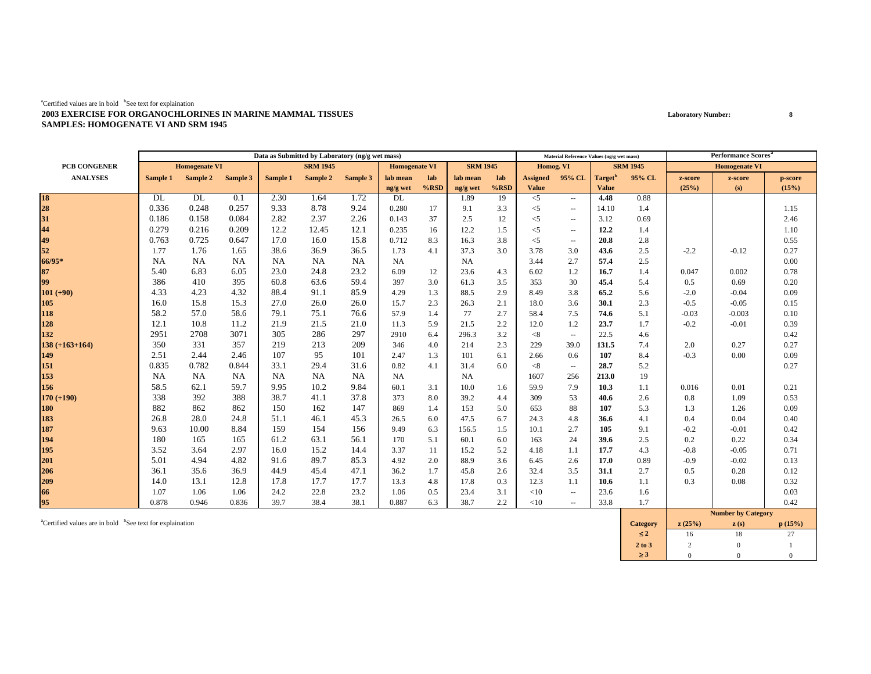|                    |           |                      |           |           | Data as Submitted by Laboratory (ng/g wet mass) |           |                      |         |                 |         |                 | Material Reference Values (ng/g wet mass) |                     |                 |         | <b>Performance Scores</b> <sup>a</sup> |         |
|--------------------|-----------|----------------------|-----------|-----------|-------------------------------------------------|-----------|----------------------|---------|-----------------|---------|-----------------|-------------------------------------------|---------------------|-----------------|---------|----------------------------------------|---------|
| PCB CONGENER       |           | <b>Homogenate VI</b> |           |           | <b>SRM 1945</b>                                 |           | <b>Homogenate VI</b> |         | <b>SRM 1945</b> |         | Homog. VI       |                                           |                     | <b>SRM 1945</b> |         | <b>Homogenate VI</b>                   |         |
| <b>ANALYSES</b>    | Sample 1  | Sample 2             | Sample 3  | Sample 1  | Sample 2                                        | Sample 3  | lab mean             | lab     | lab mean        | lab     | <b>Assigned</b> | 95% CL                                    | Target <sup>t</sup> | 95% CL          | z-score | z-score                                | p-score |
|                    |           |                      |           |           |                                                 |           | ng/g wet             | $%$ RSD | ng/g wet        | $%$ RSD | <b>Value</b>    |                                           | <b>Value</b>        |                 | (25%)   | (s)                                    | (15%)   |
| 18<br>28           | DL        | DL                   | 0.1       | 2.30      | 1.64                                            | 1.72      | DL                   |         | 1.89            | 19      | $<$ 5           | $\sim$ $\sim$                             | 4.48                | 0.88            |         |                                        |         |
|                    | 0.336     | 0.248                | 0.257     | 9.33      | 8.78                                            | 9.24      | 0.280                | 17      | 9.1             | 3.3     | $<$ 5           | $\sim$ $\sim$                             | 14.10               | 1.4             |         |                                        | 1.15    |
| 31                 | 0.186     | 0.158                | 0.084     | 2.82      | 2.37                                            | 2.26      | 0.143                | 37      | 2.5             | 12      | $<$ 5           | $\sim$ $\sim$                             | 3.12                | 0.69            |         |                                        | 2.46    |
| 44                 | 0.279     | 0.216                | 0.209     | 12.2      | 12.45                                           | 12.1      | 0.235                | 16      | 12.2            | 1.5     | $<$ 5           | $\sim$ $\sim$                             | 12.2                | 1.4             |         |                                        | 1.10    |
| 49                 | 0.763     | 0.725                | 0.647     | 17.0      | 16.0                                            | 15.8      | 0.712                | 8.3     | 16.3            | 3.8     | $<$ 5           | $\overline{\phantom{a}}$                  | 20.8                | 2.8             |         |                                        | 0.55    |
| 52                 | 1.77      | 1.76                 | 1.65      | 38.6      | 36.9                                            | 36.5      | 1.73                 | 4.1     | 37.3            | 3.0     | 3.78            | 3.0                                       | 43.6                | 2.5             | $-2.2$  | $-0.12$                                | 0.27    |
| 66/95*             | <b>NA</b> | <b>NA</b>            | <b>NA</b> | <b>NA</b> | NA                                              | <b>NA</b> | <b>NA</b>            |         | NA              |         | 3.44            | 2.7                                       | 57.4                | 2.5             |         |                                        | 0.00    |
| 87                 | 5.40      | 6.83                 | 6.05      | 23.0      | 24.8                                            | 23.2      | 6.09                 | 12      | 23.6            | 4.3     | 6.02            | 1.2                                       | 16.7                | 1.4             | 0.047   | 0.002                                  | 0.78    |
| 99                 | 386       | 410                  | 395       | 60.8      | 63.6                                            | 59.4      | 397                  | 3.0     | 61.3            | 3.5     | 353             | 30                                        | 45.4                | 5.4             | 0.5     | 0.69                                   | 0.20    |
| $101 (+90)$        | 4.33      | 4.23                 | 4.32      | 88.4      | 91.1                                            | 85.9      | 4.29                 | 1.3     | 88.5            | 2.9     | 8.49            | 3.8                                       | 65.2                | 5.6             | $-2.0$  | $-0.04$                                | 0.09    |
| 105                | 16.0      | 15.8                 | 15.3      | 27.0      | 26.0                                            | 26.0      | 15.7                 | 2.3     | 26.3            | 2.1     | 18.0            | 3.6                                       | 30.1                | 2.3             | $-0.5$  | $-0.05$                                | 0.15    |
| 118                | 58.2      | 57.0                 | 58.6      | 79.1      | 75.1                                            | 76.6      | 57.9                 | 1.4     | 77              | 2.7     | 58.4            | 7.5                                       | 74.6                | 5.1             | $-0.03$ | $-0.003$                               | 0.10    |
| 128                | 12.1      | 10.8                 | 11.2      | 21.9      | 21.5                                            | 21.0      | 11.3                 | 5.9     | 21.5            | 2.2     | 12.0            | 1.2                                       | 23.7                | 1.7             | $-0.2$  | $-0.01$                                | 0.39    |
| 132                | 2951      | 2708                 | 3071      | 305       | 286                                             | 297       | 2910                 | 6.4     | 296.3           | 3.2     | < 8             | $\overline{\phantom{a}}$                  | 22.5                | 4.6             |         |                                        | 0.42    |
| $138 (+163 + 164)$ | 350       | 331                  | 357       | 219       | 213                                             | 209       | 346                  | 4.0     | 214             | 2.3     | 229             | 39.0                                      | 131.5               | 7.4             | 2.0     | 0.27                                   | 0.27    |
| 149                | 2.51      | 2.44                 | 2.46      | 107       | 95                                              | 101       | 2.47                 | 1.3     | 101             | 6.1     | 2.66            | 0.6                                       | 107                 | 8.4             | $-0.3$  | 0.00                                   | 0.09    |
| 151                | 0.835     | 0.782                | 0.844     | 33.1      | 29.4                                            | 31.6      | 0.82                 | 4.1     | 31.4            | 6.0     | < 8             | $\sim$                                    | 28.7                | 5.2             |         |                                        | 0.27    |
| 153                | <b>NA</b> | NA                   | NA        | NA        | NA                                              | <b>NA</b> | <b>NA</b>            |         | <b>NA</b>       |         | 1607            | 256                                       | 213.0               | 19              |         |                                        |         |
| 156                | 58.5      | 62.1                 | 59.7      | 9.95      | 10.2                                            | 9.84      | 60.1                 | 3.1     | 10.0            | 1.6     | 59.9            | 7.9                                       | 10.3                | 1.1             | 0.016   | 0.01                                   | 0.21    |
| $170 (+190)$       | 338       | 392                  | 388       | 38.7      | 41.1                                            | 37.8      | 373                  | 8.0     | 39.2            | 4.4     | 309             | 53                                        | 40.6                | 2.6             | 0.8     | 1.09                                   | 0.53    |
| 180                | 882       | 862                  | 862       | 150       | 162                                             | 147       | 869                  | 1.4     | 153             | 5.0     | 653             | 88                                        | 107                 | 5.3             | 1.3     | 1.26                                   | 0.09    |
| 183                | 26.8      | 28.0                 | 24.8      | 51.1      | 46.1                                            | 45.3      | 26.5                 | 6.0     | 47.5            | 6.7     | 24.3            | 4.8                                       | 36.6                | 4.1             | 0.4     | 0.04                                   | 0.40    |
| 187                | 9.63      | 10.00                | 8.84      | 159       | 154                                             | 156       | 9.49                 | 6.3     | 156.5           | 1.5     | 10.1            | 2.7                                       | 105                 | 9.1             | $-0.2$  | $-0.01$                                | 0.42    |
| 194                | 180       | 165                  | 165       | 61.2      | 63.1                                            | 56.1      | 170                  | 5.1     | 60.1            | 6.0     | 163             | 24                                        | 39.6                | 2.5             | 0.2     | 0.22                                   | 0.34    |
| 195                | 3.52      | 3.64                 | 2.97      | 16.0      | 15.2                                            | 14.4      | 3.37                 | 11      | 15.2            | 5.2     | 4.18            | 1.1                                       | 17.7                | 4.3             | $-0.8$  | $-0.05$                                | 0.71    |
| 201                | 5.01      | 4.94                 | 4.82      | 91.6      | 89.7                                            | 85.3      | 4.92                 | 2.0     | 88.9            | 3.6     | 6.45            | 2.6                                       | 17.0                | 0.89            | $-0.9$  | $-0.02$                                | 0.13    |
| 206                | 36.1      | 35.6                 | 36.9      | 44.9      | 45.4                                            | 47.1      | 36.2                 | 1.7     | 45.8            | 2.6     | 32.4            | 3.5                                       | 31.1                | 2.7             | 0.5     | 0.28                                   | 0.12    |
| 209                | 14.0      | 13.1                 | 12.8      | 17.8      | 17.7                                            | 17.7      | 13.3                 | 4.8     | 17.8            | 0.3     | 12.3            | 1.1                                       | 10.6                | 1.1             | 0.3     | 0.08                                   | 0.32    |
| 66                 | 1.07      | 1.06                 | 1.06      | 24.2      | 22.8                                            | 23.2      | 1.06                 | 0.5     | 23.4            | 3.1     | <10             | $\sim$ $\sim$                             | 23.6                | 1.6             |         |                                        | 0.03    |
| 95                 | 0.878     | 0.946                | 0.836     | 39.7      | 38.4                                            | 38.1      | 0.887                | 6.3     | 38.7            | 2.2     | <10             | $\sim$ $\sim$                             | 33.8                | 1.7             |         |                                        | 0.42    |
|                    |           |                      |           |           |                                                 |           |                      |         |                 |         |                 |                                           |                     |                 |         | Number by Cotogory                     |         |

acertified values are in bold bSee text for explaination **p** (15%) **c** (15%) **c** (15%) **c** (15%) ≤ **2**2 16 18 27  $27\,$ **2 to 3**3 | 2 0 1 ≥ **3**3 0 0 0  $\overline{0}$ **Number by Category**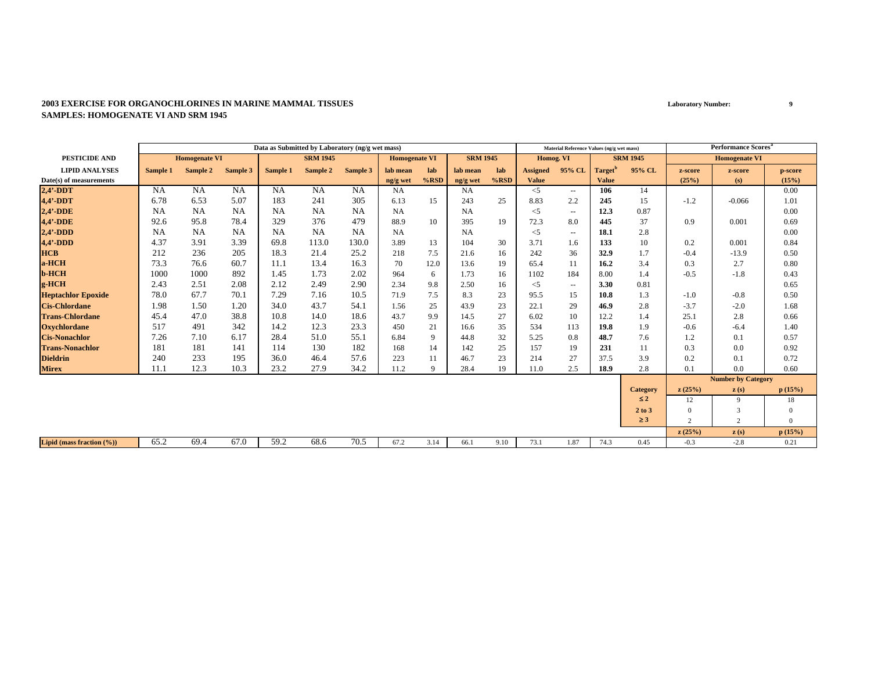|                           | Data as Submitted by Laboratory (ng/g wet mass) |                      |           |           |                 |           |                      |         |                 |         |                 | Material Reference Values (ng/g wet mass) |                     |                 |                | <b>Performance Scores<sup>a</sup></b> |                |
|---------------------------|-------------------------------------------------|----------------------|-----------|-----------|-----------------|-----------|----------------------|---------|-----------------|---------|-----------------|-------------------------------------------|---------------------|-----------------|----------------|---------------------------------------|----------------|
| <b>PESTICIDE AND</b>      |                                                 | <b>Homogenate VI</b> |           |           | <b>SRM 1945</b> |           | <b>Homogenate VI</b> |         | <b>SRM 1945</b> |         | Homog. VI       |                                           |                     | <b>SRM 1945</b> |                | <b>Homogenate VI</b>                  |                |
| <b>LIPID ANALYSES</b>     | Sample 1                                        | Sample 2             | Sample 3  | Sample 1  | Sample 2        | Sample 3  | lab mean             | lab     | lab mean        | lab     | <b>Assigned</b> | 95% CL                                    | Target <sup>'</sup> | 95% CL          | z-score        | z-score                               | p-score        |
| Date(s) of measurements   |                                                 |                      |           |           |                 |           | ng/g wet             | $%$ RSD | ng/g wet        | $%$ RSD | <b>Value</b>    |                                           | <b>Value</b>        |                 | (25%)          | (s)                                   | (15%)          |
| $2,4'$ -DDT               | <b>NA</b>                                       | NA                   | <b>NA</b> | <b>NA</b> | <b>NA</b>       | NA        | NA                   |         | <b>NA</b>       |         | $\leq$ 5        | $\overline{\phantom{a}}$                  | 106                 | 14              |                |                                       | 0.00           |
| 4,4'-DDT                  | 6.78                                            | 6.53                 | 5.07      | 183       | 241             | 305       | 6.13                 | 15      | 243             | 25      | 8.83            | 2.2                                       | 245                 | 15              | $-1.2$         | $-0.066$                              | 1.01           |
| $2,4'$ -DDE               | <b>NA</b>                                       | <b>NA</b>            | NA        | NA        | <b>NA</b>       | <b>NA</b> | NA                   |         | NA              |         | $<$ 5           | $\sim$                                    | 12.3                | 0.87            |                |                                       | 0.00           |
| <b>4,4'-DDE</b>           | 92.6                                            | 95.8                 | 78.4      | 329       | 376             | 479       | 88.9                 | 10      | 395             | 19      | 72.3            | 8.0                                       | 445                 | 37              | 0.9            | 0.001                                 | 0.69           |
| $2,4'$ -DDD               | <b>NA</b>                                       | <b>NA</b>            | NA        | NA        | <b>NA</b>       | NA        | NA                   |         | <b>NA</b>       |         | $<$ 5           | $\sim$                                    | 18.1                | 2.8             |                |                                       | 0.00           |
| $4,4'$ -DDD               | 4.37                                            | 3.91                 | 3.39      | 69.8      | 113.0           | 130.0     | 3.89                 | 13      | 104             | 30      | 3.71            | 1.6                                       | 133                 | 10              | 0.2            | 0.001                                 | 0.84           |
| <b>HCB</b>                | 212                                             | 236                  | 205       | 18.3      | 21.4            | 25.2      | 218                  | 7.5     | 21.6            | 16      | 242             | 36                                        | 32.9                | 1.7             | $-0.4$         | $-13.9$                               | 0.50           |
| a-HCH                     | 73.3                                            | 76.6                 | 60.7      | 11.1      | 13.4            | 16.3      | 70                   | 12.0    | 13.6            | 19      | 65.4            | 11                                        | 16.2                | 3.4             | 0.3            | 2.7                                   | 0.80           |
| <b>b-HCH</b>              | 1000                                            | 1000                 | 892       | 1.45      | 1.73            | 2.02      | 964                  | 6       | 1.73            | 16      | 1102            | 184                                       | 8.00                | 1.4             | $-0.5$         | $-1.8$                                | 0.43           |
| g-HCH                     | 2.43                                            | 2.51                 | 2.08      | 2.12      | 2.49            | 2.90      | 2.34                 | 9.8     | 2.50            | 16      | $<$ 5           | $\sim$ $\sim$                             | 3.30                | 0.81            |                |                                       | 0.65           |
| <b>Heptachlor Epoxide</b> | 78.0                                            | 67.7                 | 70.1      | 7.29      | 7.16            | 10.5      | 71.9                 | 7.5     | 8.3             | 23      | 95.5            | 15                                        | 10.8                | 1.3             | $-1.0$         | $-0.8$                                | 0.50           |
| <b>Cis-Chlordane</b>      | 1.98                                            | 1.50                 | 1.20      | 34.0      | 43.7            | 54.1      | 1.56                 | 25      | 43.9            | 23      | 22.1            | 29                                        | 46.9                | 2.8             | $-3.7$         | $-2.0$                                | 1.68           |
| <b>Trans-Chlordane</b>    | 45.4                                            | 47.0                 | 38.8      | 10.8      | 14.0            | 18.6      | 43.7                 | 9.9     | 14.5            | 27      | 6.02            | 10                                        | 12.2                | 1.4             | 25.1           | 2.8                                   | 0.66           |
| <b>Oxychlordane</b>       | 517                                             | 491                  | 342       | 14.2      | 12.3            | 23.3      | 450                  | 21      | 16.6            | 35      | 534             | 113                                       | 19.8                | 1.9             | $-0.6$         | $-6.4$                                | 1.40           |
| <b>Cis-Nonachlor</b>      | 7.26                                            | 7.10                 | 6.17      | 28.4      | 51.0            | 55.1      | 6.84                 | 9       | 44.8            | 32      | 5.25            | 0.8                                       | 48.7                | 7.6             | 1.2            | 0.1                                   | 0.57           |
| <b>Trans-Nonachlor</b>    | 181                                             | 181                  | 141       | 114       | 130             | 182       | 168                  | 14      | 142             | 25      | 157             | 19                                        | 231                 | 11              | 0.3            | 0.0                                   | 0.92           |
| <b>Dieldrin</b>           | 240                                             | 233                  | 195       | 36.0      | 46.4            | 57.6      | 223                  | 11      | 46.7            | 23      | 214             | 27                                        | 37.5                | 3.9             | 0.2            | 0.1                                   | 0.72           |
| <b>Mirex</b>              | 11.1                                            | 12.3                 | 10.3      | 23.2      | 27.9            | 34.2      | 11.2                 | 9       | 28.4            | 19      | 11.0            | 2.5                                       | 18.9                | 2.8             | 0.1            | 0.0                                   | 0.60           |
|                           |                                                 |                      |           |           |                 |           |                      |         |                 |         |                 |                                           |                     |                 |                | <b>Number by Category</b>             |                |
|                           |                                                 |                      |           |           |                 |           |                      |         |                 |         |                 |                                           |                     | <b>Category</b> | z(25%)         | $\mathbf{z}(s)$                       | p(15%)         |
|                           |                                                 |                      |           |           |                 |           |                      |         |                 |         |                 |                                           |                     | $\leq 2$        | 12             | 9                                     | 18             |
|                           |                                                 |                      |           |           |                 |           |                      |         |                 |         |                 |                                           |                     | 2 to 3          | $\Omega$       | 3                                     | $\Omega$       |
|                           |                                                 |                      |           |           |                 |           |                      |         |                 |         |                 |                                           |                     | $\geq 3$        | $\overline{2}$ | 2                                     | $\overline{0}$ |
|                           |                                                 |                      |           |           |                 |           |                      |         |                 |         |                 |                                           |                     |                 | z(25%)         | z(s)                                  | p(15%)         |
| Lipid (mass fraction (%)) | 65.2                                            | 69.4                 | 67.0      | 59.2      | 68.6            | 70.5      | 67.2                 | 3.14    | 66.1            | 9.10    | 73.1            | 1.87                                      | 74.3                | 0.45            | $-0.3$         | $-2.8$                                | 0.21           |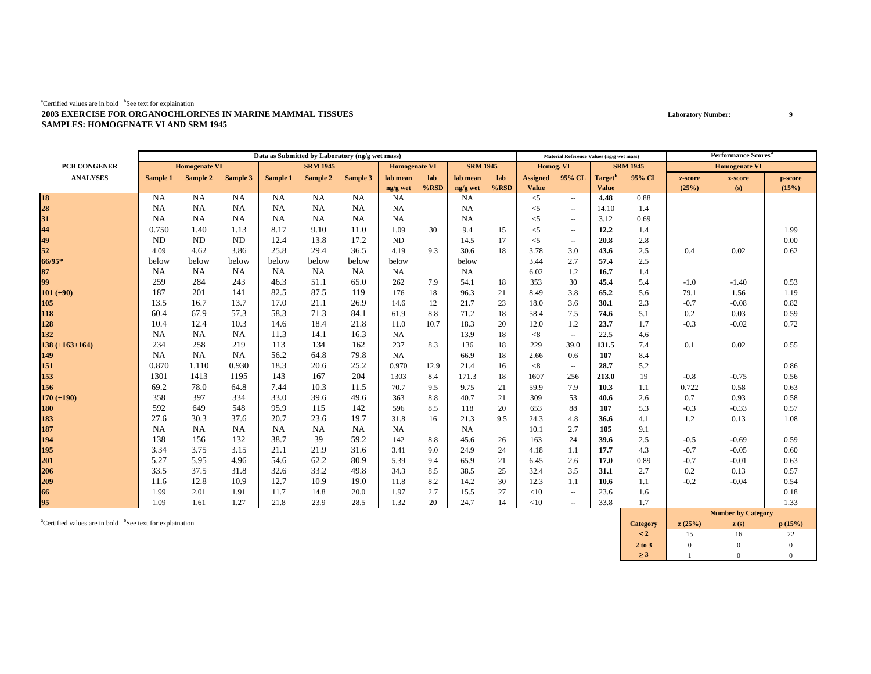|                  |           |                      |           |           | Data as Submitted by Laboratory (ng/g wet mass) |           |                      |         |                 |         |                 | Material Reference Values (ng/g wet mass) |                     |                 |         | <b>Performance Scores</b> <sup>a</sup>              |         |
|------------------|-----------|----------------------|-----------|-----------|-------------------------------------------------|-----------|----------------------|---------|-----------------|---------|-----------------|-------------------------------------------|---------------------|-----------------|---------|-----------------------------------------------------|---------|
| PCB CONGENER     |           | <b>Homogenate VI</b> |           |           | <b>SRM 1945</b>                                 |           | <b>Homogenate VI</b> |         | <b>SRM 1945</b> |         | Homog. VI       |                                           |                     | <b>SRM 1945</b> |         | <b>Homogenate VI</b>                                |         |
| <b>ANALYSES</b>  | Sample 1  | Sample 2             | Sample 3  | Sample 1  | Sample 2                                        | Sample 3  | lab mean             | lab     | lab mean        | lab     | <b>Assigned</b> | 95% CL                                    | Target <sup>t</sup> | 95% CL          | z-score | z-score                                             | p-score |
|                  |           |                      |           |           |                                                 |           | ng/g wet             | $%$ RSD | ng/g wet        | $%$ RSD | <b>Value</b>    |                                           | <b>Value</b>        |                 | (25%)   | (s)                                                 | (15%)   |
| 18<br>28         | NA        | <b>NA</b>            | NA        | <b>NA</b> | <b>NA</b>                                       | NA        | <b>NA</b>            |         | <b>NA</b>       |         | $<$ 5           | $\sim$ $\sim$                             | 4.48                | 0.88            |         |                                                     |         |
|                  | NA        | <b>NA</b>            | NA        | <b>NA</b> | NA                                              | <b>NA</b> | <b>NA</b>            |         | <b>NA</b>       |         | $<$ 5           | $\sim$ $\sim$                             | 14.10               | 1.4             |         |                                                     |         |
| 31               | <b>NA</b> | <b>NA</b>            | NA        | <b>NA</b> | NA                                              | <b>NA</b> | <b>NA</b>            |         | <b>NA</b>       |         | $<$ 5           | $\overline{\phantom{a}}$                  | 3.12                | 0.69            |         |                                                     |         |
| 44               | 0.750     | 1.40                 | 1.13      | 8.17      | 9.10                                            | 11.0      | 1.09                 | 30      | 9.4             | 15      | $<$ 5           | $\sim$ $\sim$                             | 12.2                | 1.4             |         |                                                     | 1.99    |
| 49               | ND        | ND                   | ND        | 12.4      | 13.8                                            | 17.2      | ND                   |         | 14.5            | 17      | $<$ 5           | $\overline{\phantom{a}}$                  | 20.8                | 2.8             |         |                                                     | 0.00    |
| 52               | 4.09      | 4.62                 | 3.86      | 25.8      | 29.4                                            | 36.5      | 4.19                 | 9.3     | 30.6            | 18      | 3.78            | 3.0                                       | 43.6                | 2.5             | 0.4     | 0.02                                                | 0.62    |
| 66/95*           | below     | below                | below     | below     | below                                           | below     | below                |         | below           |         | 3.44            | 2.7                                       | 57.4                | 2.5             |         |                                                     |         |
| 87               | <b>NA</b> | NA                   | NA        | NA        | NA                                              | NA        | <b>NA</b>            |         | NA              |         | 6.02            | 1.2                                       | 16.7                | 1.4             |         |                                                     |         |
| 99               | 259       | 284                  | 243       | 46.3      | 51.1                                            | 65.0      | 262                  | 7.9     | 54.1            | 18      | 353             | 30                                        | 45.4                | 5.4             | $-1.0$  | $-1.40$                                             | 0.53    |
| $101 (+90)$      | 187       | 201                  | 141       | 82.5      | 87.5                                            | 119       | 176                  | 18      | 96.3            | 21      | 8.49            | 3.8                                       | 65.2                | 5.6             | 79.1    | 1.56                                                | 1.19    |
| 105              | 13.5      | 16.7                 | 13.7      | 17.0      | 21.1                                            | 26.9      | 14.6                 | 12      | 21.7            | 23      | 18.0            | 3.6                                       | 30.1                | 2.3             | $-0.7$  | $-0.08$                                             | 0.82    |
| 118              | 60.4      | 67.9                 | 57.3      | 58.3      | 71.3                                            | 84.1      | 61.9                 | 8.8     | 71.2            | 18      | 58.4            | 7.5                                       | 74.6                | 5.1             | 0.2     | 0.03                                                | 0.59    |
| 128              | 10.4      | 12.4                 | 10.3      | 14.6      | 18.4                                            | 21.8      | 11.0                 | 10.7    | 18.3            | 20      | 12.0            | 1.2                                       | 23.7                | 1.7             | $-0.3$  | $-0.02$                                             | 0.72    |
| 132              | <b>NA</b> | <b>NA</b>            | NA        | 11.3      | 14.1                                            | 16.3      | <b>NA</b>            |         | 13.9            | 18      | < 8             | $\overline{\phantom{a}}$                  | 22.5                | 4.6             |         |                                                     |         |
| $138 (+163+164)$ | 234       | 258                  | 219       | 113       | 134                                             | 162       | 237                  | 8.3     | 136             | 18      | 229             | 39.0                                      | 131.5               | 7.4             | 0.1     | 0.02                                                | 0.55    |
| 149              | NA        | <b>NA</b>            | <b>NA</b> | 56.2      | 64.8                                            | 79.8      | <b>NA</b>            |         | 66.9            | 18      | 2.66            | 0.6                                       | 107                 | 8.4             |         |                                                     |         |
| 151              | 0.870     | 1.110                | 0.930     | 18.3      | 20.6                                            | 25.2      | 0.970                | 12.9    | 21.4            | 16      | < 8             | $\sim$ $\sim$                             | 28.7                | 5.2             |         |                                                     | 0.86    |
| 153              | 1301      | 1413                 | 1195      | 143       | 167                                             | 204       | 1303                 | 8.4     | 171.3           | 18      | 1607            | 256                                       | 213.0               | 19              | $-0.8$  | $-0.75$                                             | 0.56    |
| 156              | 69.2      | 78.0                 | 64.8      | 7.44      | 10.3                                            | 11.5      | 70.7                 | 9.5     | 9.75            | 21      | 59.9            | 7.9                                       | 10.3                | 1.1             | 0.722   | 0.58                                                | 0.63    |
| $170 (+190)$     | 358       | 397                  | 334       | 33.0      | 39.6                                            | 49.6      | 363                  | 8.8     | 40.7            | 21      | 309             | 53                                        | 40.6                | 2.6             | 0.7     | 0.93                                                | 0.58    |
| 180              | 592       | 649                  | 548       | 95.9      | 115                                             | 142       | 596                  | 8.5     | 118             | 20      | 653             | 88                                        | 107                 | 5.3             | $-0.3$  | $-0.33$                                             | 0.57    |
| 183              | 27.6      | 30.3                 | 37.6      | 20.7      | 23.6                                            | 19.7      | 31.8                 | 16      | 21.3            | 9.5     | 24.3            | 4.8                                       | 36.6                | 4.1             | 1.2     | 0.13                                                | 1.08    |
| 187              | <b>NA</b> | NA                   | NA        | NA        | NA                                              | <b>NA</b> | <b>NA</b>            |         | <b>NA</b>       |         | 10.1            | 2.7                                       | 105                 | 9.1             |         |                                                     |         |
| 194              | 138       | 156                  | 132       | 38.7      | 39                                              | 59.2      | 142                  | 8.8     | 45.6            | 26      | 163             | 24                                        | 39.6                | 2.5             | $-0.5$  | $-0.69$                                             | 0.59    |
| 195              | 3.34      | 3.75                 | 3.15      | 21.1      | 21.9                                            | 31.6      | 3.41                 | 9.0     | 24.9            | 24      | 4.18            | 1.1                                       | 17.7                | 4.3             | $-0.7$  | $-0.05$                                             | 0.60    |
| 201              | 5.27      | 5.95                 | 4.96      | 54.6      | 62.2                                            | 80.9      | 5.39                 | 9.4     | 65.9            | 21      | 6.45            | 2.6                                       | 17.0                | 0.89            | $-0.7$  | $-0.01$                                             | 0.63    |
| 206              | 33.5      | 37.5                 | 31.8      | 32.6      | 33.2                                            | 49.8      | 34.3                 | 8.5     | 38.5            | 25      | 32.4            | 3.5                                       | 31.1                | 2.7             | 0.2     | 0.13                                                | 0.57    |
| 209              | 11.6      | 12.8                 | 10.9      | 12.7      | 10.9                                            | 19.0      | 11.8                 | 8.2     | 14.2            | 30      | 12.3            | 1.1                                       | 10.6                | 1.1             | $-0.2$  | $-0.04$                                             | 0.54    |
| 66               | 1.99      | 2.01                 | 1.91      | 11.7      | 14.8                                            | 20.0      | 1.97                 | 2.7     | 15.5            | 27      | <10             | $\sim$ $\sim$                             | 23.6                | 1.6             |         |                                                     | 0.18    |
| 95               | 1.09      | 1.61                 | 1.27      | 21.8      | 23.9                                            | 28.5      | 1.32                 | 20      | 24.7            | 14      | <10             | $\sim$ $\sim$                             | 33.8                | 1.7             |         | $\mathbf{M}$ $\mathbf{I}$ $\mathbf{I}$ $\mathbf{M}$ | 1.33    |

acertified values are in bold bSee text for explaination **p** (15%) **c** (s) **c** (15%) **c** (s) **p** (15%) ≤ **2**2 15 16 22  $22\,$ **2 to 3**3 0 0 0 0 ≥ **3**3 1 0 0  $\overline{0}$ **Number by Category**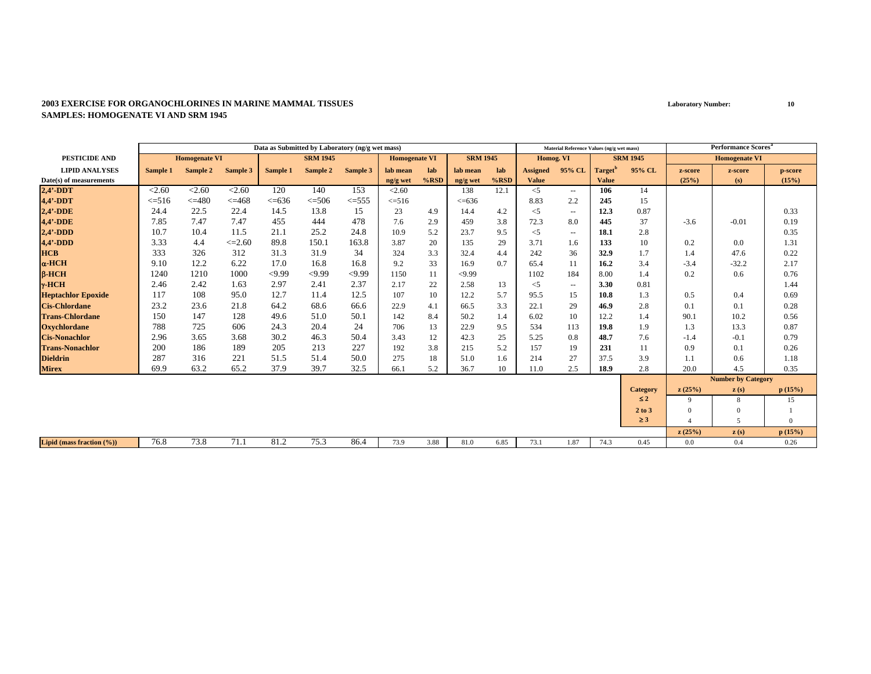|                               | Data as Submitted by Laboratory (ng/g wet mass) |                      |             |            |                 |            |                      |         |                 |         |                 | Material Reference Values (ng/g wet mass) |                     |                 |          | <b>Performance Scores<sup>a</sup></b> |          |
|-------------------------------|-------------------------------------------------|----------------------|-------------|------------|-----------------|------------|----------------------|---------|-----------------|---------|-----------------|-------------------------------------------|---------------------|-----------------|----------|---------------------------------------|----------|
| PESTICIDE AND                 |                                                 | <b>Homogenate VI</b> |             |            | <b>SRM 1945</b> |            | <b>Homogenate VI</b> |         | <b>SRM 1945</b> |         | Homog. VI       |                                           |                     | <b>SRM 1945</b> |          | <b>Homogenate VI</b>                  |          |
| <b>LIPID ANALYSES</b>         | Sample 1                                        | Sample 2             | Sample 3    | Sample 1   | Sample 2        | Sample 3   | lab mean             | lab     | lab mean        | lab     | <b>Assigned</b> | 95% CL                                    | Target <sup>'</sup> | 95% CL          | z-score  | z-score                               | p-score  |
| Date(s) of measurements       |                                                 |                      |             |            |                 |            | ng/g wet             | $%$ RSD | ng/g wet        | $%$ RSD | <b>Value</b>    |                                           | <b>Value</b>        |                 | (25%)    | (s)                                   | (15%)    |
| $2,4'$ -DDT                   | < 2.60                                          | < 2.60               | < 2.60      | 120        | 140             | 153        | < 2.60               |         | 138             | 12.1    | $\leq$ 5        | $  \,$                                    | 106                 | 14              |          |                                       |          |
| 4,4'-DDT                      | $\leq 516$                                      | $\leq$ =480          | $\leq 468$  | $<< = 636$ | $\leq 506$      | $\leq 555$ | $\leq 516$           |         | << 636          |         | 8.83            | 2.2                                       | 245                 | 15              |          |                                       |          |
| $2,4'$ -DDE                   | 24.4                                            | 22.5                 | 22.4        | 14.5       | 13.8            | 15         | 23                   | 4.9     | 14.4            | 4.2     | $<$ 5           | $\overline{\phantom{a}}$                  | 12.3                | 0.87            |          |                                       | 0.33     |
| 4,4'-DDE                      | 7.85                                            | 7.47                 | 7.47        | 455        | 444             | 478        | 7.6                  | 2.9     | 459             | 3.8     | 72.3            | 8.0                                       | 445                 | 37              | $-3.6$   | $-0.01$                               | 0.19     |
| $2,4'$ -DDD                   | 10.7                                            | 10.4                 | 11.5        | 21.1       | 25.2            | 24.8       | 10.9                 | 5.2     | 23.7            | 9.5     | $<$ 5           | $\overline{a}$                            | 18.1                | 2.8             |          |                                       | 0.35     |
| $4,4'$ -DDD                   | 3.33                                            | 4.4                  | $\leq 2.60$ | 89.8       | 150.1           | 163.8      | 3.87                 | 20      | 135             | 29      | 3.71            | 1.6                                       | 133                 | 10              | 0.2      | 0.0                                   | 1.31     |
| <b>HCB</b>                    | 333                                             | 326                  | 312         | 31.3       | 31.9            | 34         | 324                  | 3.3     | 32.4            | 4.4     | 242             | 36                                        | 32.9                | 1.7             | 1.4      | 47.6                                  | 0.22     |
| $\alpha$ -HCH                 | 9.10                                            | 12.2                 | 6.22        | 17.0       | 16.8            | 16.8       | 9.2                  | 33      | 16.9            | 0.7     | 65.4            | 11                                        | 16.2                | 3.4             | $-3.4$   | $-32.2$                               | 2.17     |
| $B$ -HCH                      | 1240                                            | 1210                 | 1000        | < 9.99     | < 9.99          | <9.99      | 1150                 | 11      | < 9.99          |         | 1102            | 184                                       | 8.00                | 1.4             | 0.2      | 0.6                                   | 0.76     |
| $\gamma$ -HCH                 | 2.46                                            | 2.42                 | 1.63        | 2.97       | 2.41            | 2.37       | 2.17                 | 22      | 2.58            | 13      | $<$ 5           | $\overline{\phantom{a}}$                  | 3.30                | 0.81            |          |                                       | 1.44     |
| <b>Heptachlor Epoxide</b>     | 117                                             | 108                  | 95.0        | 12.7       | 11.4            | 12.5       | 107                  | 10      | 12.2            | 5.7     | 95.5            | 15                                        | 10.8                | 1.3             | 0.5      | 0.4                                   | 0.69     |
| <b>Cis-Chlordane</b>          | 23.2                                            | 23.6                 | 21.8        | 64.2       | 68.6            | 66.6       | 22.9                 | 4.1     | 66.5            | 3.3     | 22.1            | 29                                        | 46.9                | 2.8             | 0.1      | 0.1                                   | 0.28     |
| <b>Trans-Chlordane</b>        | 150                                             | 147                  | 128         | 49.6       | 51.0            | 50.1       | 142                  | 8.4     | 50.2            | 1.4     | 6.02            | 10                                        | 12.2                | 1.4             | 90.1     | 10.2                                  | 0.56     |
| <b>Oxychlordane</b>           | 788                                             | 725                  | 606         | 24.3       | 20.4            | 24         | 706                  | 13      | 22.9            | 9.5     | 534             | 113                                       | 19.8                | 1.9             | 1.3      | 13.3                                  | 0.87     |
| <b>Cis-Nonachlor</b>          | 2.96                                            | 3.65                 | 3.68        | 30.2       | 46.3            | 50.4       | 3.43                 | 12      | 42.3            | 25      | 5.25            | 0.8                                       | 48.7                | 7.6             | $-1.4$   | $-0.1$                                | 0.79     |
| <b>Trans-Nonachlor</b>        | 200                                             | 186                  | 189         | 205        | 213             | 227        | 192                  | 3.8     | 215             | 5.2     | 157             | 19                                        | 231                 | 11              | 0.9      | 0.1                                   | 0.26     |
| <b>Dieldrin</b>               | 287                                             | 316                  | 221         | 51.5       | 51.4            | 50.0       | 275                  | 18      | 51.0            | 1.6     | 214             | 27                                        | 37.5                | 3.9             | 1.1      | 0.6                                   | 1.18     |
| <b>Mirex</b>                  | 69.9                                            | 63.2                 | 65.2        | 37.9       | 39.7            | 32.5       | 66.1                 | 5.2     | 36.7            | 10      | 11.0            | 2.5                                       | 18.9                | 2.8             | 20.0     | 4.5                                   | 0.35     |
|                               |                                                 |                      |             |            |                 |            |                      |         |                 |         |                 |                                           |                     |                 |          | <b>Number by Category</b>             |          |
|                               |                                                 |                      |             |            |                 |            |                      |         |                 |         |                 |                                           |                     | <b>Category</b> | z(25%)   | $\mathbf{z}(s)$                       | p(15%)   |
|                               |                                                 |                      |             |            |                 |            |                      |         |                 |         |                 |                                           |                     | $\leq 2$        | 9        | 8                                     | 15       |
|                               |                                                 |                      |             |            |                 |            |                      |         |                 |         |                 |                                           |                     | 2 to 3          | $\Omega$ | $\Omega$                              |          |
|                               |                                                 |                      |             |            |                 |            |                      |         |                 |         |                 |                                           |                     | $\geq 3$        |          | $\sim$                                | $\Omega$ |
|                               |                                                 |                      |             |            |                 |            |                      |         |                 |         |                 |                                           |                     |                 | z(25%)   | z(s)                                  | p(15%)   |
| Lipid (mass fraction $(\%)$ ) | 76.8                                            | 73.8                 | 71.1        | 81.2       | 75.3            | 86.4       | 73.9                 | 3.88    | 81.0            | 6.85    | 73.1            | 1.87                                      | 74.3                | 0.45            | 0.0      | 0.4                                   | 0.26     |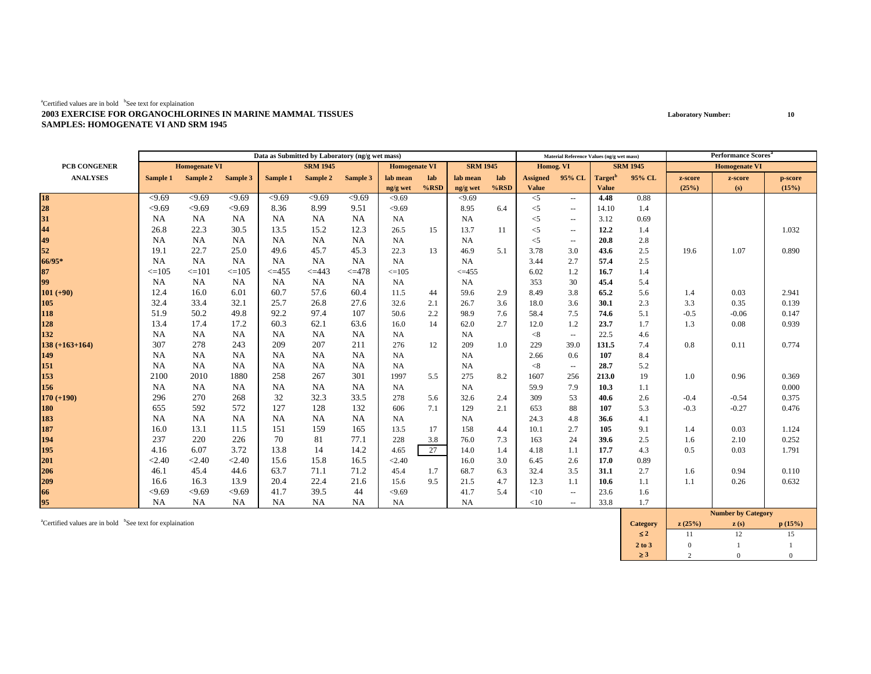|                     |            |                      |            |             | Data as Submitted by Laboratory (ng/g wet mass) |            |                      |         |                 |      |                 | Material Reference Values (ng/g wet mass) |                     |                 |         | <b>Performance Scores</b> <sup>a</sup> |         |
|---------------------|------------|----------------------|------------|-------------|-------------------------------------------------|------------|----------------------|---------|-----------------|------|-----------------|-------------------------------------------|---------------------|-----------------|---------|----------------------------------------|---------|
| <b>PCB CONGENER</b> |            | <b>Homogenate VI</b> |            |             | <b>SRM 1945</b>                                 |            | <b>Homogenate VI</b> |         | <b>SRM 1945</b> |      | Homog. VI       |                                           |                     | <b>SRM 1945</b> |         | <b>Homogenate VI</b>                   |         |
| <b>ANALYSES</b>     | Sample 1   | Sample 2             | Sample 3   | Sample 1    | Sample 2                                        | Sample 3   | lab mean             | lab     | lab mean        | lab  | <b>Assigned</b> | 95% CL                                    | Target <sup>b</sup> | 95% CL          | z-score | z-score                                | p-score |
|                     |            |                      |            |             |                                                 |            | ng/g wet             | $%$ RSD | ng/g wet        | %RSD | <b>Value</b>    |                                           | <b>Value</b>        |                 | (25%)   | (s)                                    | (15%)   |
| 18<br>28<br>31      | < 9.69     | < 9.69               | < 9.69     | < 9.69      | < 9.69                                          | <9.69      | < 9.69               |         | < 9.69          |      | $\leq$ 5        | $\sim$ $\sim$                             | 4.48                | 0.88            |         |                                        |         |
|                     | < 9.69     | < 9.69               | < 9.69     | 8.36        | 8.99                                            | 9.51       | < 9.69               |         | 8.95            | 6.4  | $<$ 5           | $\overline{\phantom{a}}$                  | 14.10               | 1.4             |         |                                        |         |
|                     | <b>NA</b>  | <b>NA</b>            | NA         | NA          | <b>NA</b>                                       | <b>NA</b>  | NA                   |         | <b>NA</b>       |      | $<$ 5           | $\overline{\phantom{a}}$                  | 3.12                | 0.69            |         |                                        |         |
| 44                  | 26.8       | 22.3                 | 30.5       | 13.5        | 15.2                                            | 12.3       | 26.5                 | 15      | 13.7            | 11   | $<$ 5           | $\overline{\phantom{a}}$                  | 12.2                | 1.4             |         |                                        | 1.032   |
| 49                  | <b>NA</b>  | <b>NA</b>            | NA         | <b>NA</b>   | NA                                              | NA         | <b>NA</b>            |         | <b>NA</b>       |      | $<$ 5           | $\overline{\phantom{a}}$                  | 20.8                | 2.8             |         |                                        |         |
| 52                  | 19.1       | 22.7                 | 25.0       | 49.6        | 45.7                                            | 45.3       | 22.3                 | 13      | 46.9            | 5.1  | 3.78            | 3.0                                       | 43.6                | 2.5             | 19.6    | 1.07                                   | 0.890   |
| 66/95*              | NA         | <b>NA</b>            | <b>NA</b>  | NA          | <b>NA</b>                                       | <b>NA</b>  | <b>NA</b>            |         | <b>NA</b>       |      | 3.44            | 2.7                                       | 57.4                | 2.5             |         |                                        |         |
| 87                  | $\leq$ 105 | $\leq$ = 101         | $\leq$ 105 | $\leq$ =455 | $\leq$ =443                                     | $\leq$ 478 | $\leq$ 105           |         | $<=455$         |      | 6.02            | 1.2                                       | 16.7                | 1.4             |         |                                        |         |
| 99                  | <b>NA</b>  | <b>NA</b>            | <b>NA</b>  | NA          | <b>NA</b>                                       | <b>NA</b>  | NA                   |         | <b>NA</b>       |      | 353             | 30                                        | 45.4                | 5.4             |         |                                        |         |
| $101 (+90)$         | 12.4       | 16.0                 | 6.01       | 60.7        | 57.6                                            | 60.4       | 11.5                 | 44      | 59.6            | 2.9  | 8.49            | 3.8                                       | 65.2                | 5.6             | 1.4     | 0.03                                   | 2.941   |
| 105                 | 32.4       | 33.4                 | 32.1       | 25.7        | 26.8                                            | 27.6       | 32.6                 | 2.1     | 26.7            | 3.6  | 18.0            | 3.6                                       | 30.1                | 2.3             | 3.3     | 0.35                                   | 0.139   |
| 118                 | 51.9       | 50.2                 | 49.8       | 92.2        | 97.4                                            | 107        | 50.6                 | 2.2     | 98.9            | 7.6  | 58.4            | 7.5                                       | 74.6                | 5.1             | $-0.5$  | $-0.06$                                | 0.147   |
| 128                 | 13.4       | 17.4                 | 17.2       | 60.3        | 62.1                                            | 63.6       | 16.0                 | 14      | 62.0            | 2.7  | 12.0            | 1.2                                       | 23.7                | 1.7             | 1.3     | 0.08                                   | 0.939   |
| 132                 | <b>NA</b>  | <b>NA</b>            | NA         | <b>NA</b>   | NA                                              | <b>NA</b>  | <b>NA</b>            |         | <b>NA</b>       |      | < 8             | $\overline{\phantom{a}}$                  | 22.5                | 4.6             |         |                                        |         |
| $138 (+163+164)$    | 307        | 278                  | 243        | 209         | 207                                             | 211        | 276                  | 12      | 209             | 1.0  | 229             | 39.0                                      | 131.5               | 7.4             | 0.8     | 0.11                                   | 0.774   |
| 149                 | <b>NA</b>  | <b>NA</b>            | <b>NA</b>  | <b>NA</b>   | <b>NA</b>                                       | <b>NA</b>  | <b>NA</b>            |         | <b>NA</b>       |      | 2.66            | 0.6                                       | 107                 | 8.4             |         |                                        |         |
| 151                 | <b>NA</b>  | <b>NA</b>            | <b>NA</b>  | NA          | NA                                              | NA         | NA                   |         | <b>NA</b>       |      | < 8             | $\overline{\phantom{a}}$                  | 28.7                | 5.2             |         |                                        |         |
| 153                 | 2100       | 2010                 | 1880       | 258         | 267                                             | 301        | 1997                 | 5.5     | 275             | 8.2  | 1607            | 256                                       | 213.0               | 19              | 1.0     | 0.96                                   | 0.369   |
| 156                 | NA         | <b>NA</b>            | NA         | NA          | NA                                              | <b>NA</b>  | <b>NA</b>            |         | <b>NA</b>       |      | 59.9            | 7.9                                       | 10.3                | 1.1             |         |                                        | 0.000   |
| $170 (+190)$        | 296        | 270                  | 268        | 32          | 32.3                                            | 33.5       | 278                  | 5.6     | 32.6            | 2.4  | 309             | 53                                        | 40.6                | 2.6             | $-0.4$  | $-0.54$                                | 0.375   |
| 180                 | 655        | 592                  | 572        | 127         | 128                                             | 132        | 606                  | 7.1     | 129             | 2.1  | 653             | 88                                        | 107                 | 5.3             | $-0.3$  | $-0.27$                                | 0.476   |
| 183                 | <b>NA</b>  | NA                   | NA         | <b>NA</b>   | NA                                              | NA         | NA                   |         | <b>NA</b>       |      | 24.3            | 4.8                                       | 36.6                | 4.1             |         |                                        |         |
| 187                 | 16.0       | 13.1                 | 11.5       | 151         | 159                                             | 165        | 13.5                 | 17      | 158             | 4.4  | 10.1            | 2.7                                       | 105                 | 9.1             | 1.4     | 0.03                                   | 1.124   |
| 194                 | 237        | 220                  | 226        | 70          | 81                                              | 77.1       | 228                  | 3.8     | 76.0            | 7.3  | 163             | 24                                        | 39.6                | 2.5             | 1.6     | 2.10                                   | 0.252   |
| 195                 | 4.16       | 6.07                 | 3.72       | 13.8        | 14                                              | 14.2       | 4.65                 | 27      | 14.0            | 1.4  | 4.18            | 1.1                                       | 17.7                | 4.3             | 0.5     | 0.03                                   | 1.791   |
| 201                 | < 2.40     | < 2.40               | < 2.40     | 15.6        | 15.8                                            | 16.5       | < 2.40               |         | 16.0            | 3.0  | 6.45            | 2.6                                       | 17.0                | 0.89            |         |                                        |         |
| 206                 | 46.1       | 45.4                 | 44.6       | 63.7        | 71.1                                            | 71.2       | 45.4                 | 1.7     | 68.7            | 6.3  | 32.4            | 3.5                                       | 31.1                | 2.7             | 1.6     | 0.94                                   | 0.110   |
| 209                 | 16.6       | 16.3                 | 13.9       | 20.4        | 22.4                                            | 21.6       | 15.6                 | 9.5     | 21.5            | 4.7  | 12.3            | 1.1                                       | 10.6                | 1.1             | 1.1     | 0.26                                   | 0.632   |
| 66                  | < 9.69     | < 9.69               | < 9.69     | 41.7        | 39.5                                            | 44         | < 9.69               |         | 41.7            | 5.4  | <10             | $\overline{\phantom{a}}$                  | 23.6                | 1.6             |         |                                        |         |
| 95                  | NA         | <b>NA</b>            | <b>NA</b>  | <b>NA</b>   | <b>NA</b>                                       | <b>NA</b>  | NA                   |         | NA              |      | <10             | $\overline{a}$                            | 33.8                | 1.7             |         | $\mathbf{M}$ $\mathbf{M}$ $\mathbf{M}$ |         |

<sup>**aCertified values are in bold <sup>b</sup>See text for explaination</sup>** 

|                 |        | <b>Number by Category</b> |        |
|-----------------|--------|---------------------------|--------|
| <b>Category</b> | z(25%) | z(s)                      | p(15%) |
| $\overline{52}$ |        | 12                        | 15     |
| 2 to 3          |        |                           |        |
|                 |        |                           |        |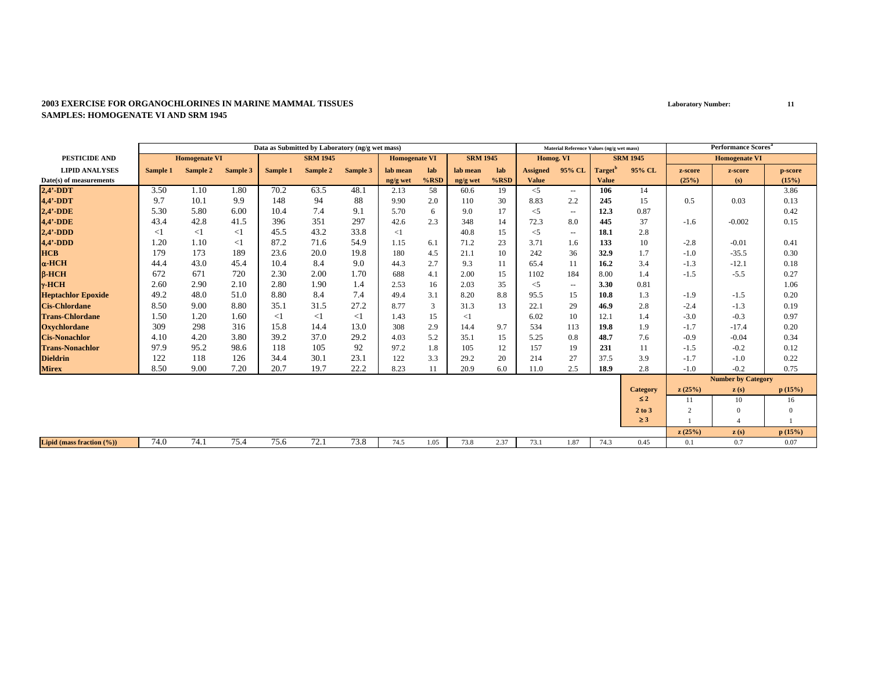|                           | Data as Submitted by Laboratory (ng/g wet mass) |                      |          |          |                 |          |                      |         |                 |         |                 | Material Reference Values (ng/g wet mass) |                     |                 |                | <b>Performance Scores<sup>a</sup></b> |          |
|---------------------------|-------------------------------------------------|----------------------|----------|----------|-----------------|----------|----------------------|---------|-----------------|---------|-----------------|-------------------------------------------|---------------------|-----------------|----------------|---------------------------------------|----------|
| <b>PESTICIDE AND</b>      |                                                 | <b>Homogenate VI</b> |          |          | <b>SRM 1945</b> |          | <b>Homogenate VI</b> |         | <b>SRM 1945</b> |         | Homog. VI       |                                           |                     | <b>SRM 1945</b> |                | <b>Homogenate VI</b>                  |          |
| <b>LIPID ANALYSES</b>     | Sample 1                                        | Sample 2             | Sample 3 | Sample 1 | Sample 2        | Sample 3 | lab mean             | lab     | lab mean        | lab     | <b>Assigned</b> | 95% CL                                    | Target <sup>'</sup> | 95% CL          | z-score        | z-score                               | p-score  |
| Date(s) of measurements   |                                                 |                      |          |          |                 |          | ng/g wet             | $%$ RSD | ng/g wet        | $%$ RSD | <b>Value</b>    |                                           | <b>Value</b>        |                 | (25%)          | (s)                                   | (15%)    |
| $2,4'$ -DDT               | 3.50                                            | 1.10                 | 1.80     | 70.2     | 63.5            | 48.1     | 2.13                 | 58      | 60.6            | 19      | $\leq$          | $\overline{\phantom{a}}$                  | 106                 | 14              |                |                                       | 3.86     |
| 4,4'-DDT                  | 9.7                                             | 10.1                 | 9.9      | 148      | 94              | 88       | 9.90                 | 2.0     | 110             | 30      | 8.83            | 2.2                                       | 245                 | 15              | 0.5            | 0.03                                  | 0.13     |
| $2,4'$ -DDE               | 5.30                                            | 5.80                 | 6.00     | 10.4     | 7.4             | 9.1      | 5.70                 | 6       | 9.0             | 17      | $<$ 5           | $\sim$                                    | 12.3                | 0.87            |                |                                       | 0.42     |
| <b>4,4'-DDE</b>           | 43.4                                            | 42.8                 | 41.5     | 396      | 351             | 297      | 42.6                 | 2.3     | 348             | 14      | 72.3            | 8.0                                       | 445                 | 37              | $-1.6$         | $-0.002$                              | 0.15     |
| $2,4'$ -DDD               | $<$ 1                                           | $<$ 1                | $<$ 1    | 45.5     | 43.2            | 33.8     | <1                   |         | 40.8            | 15      | $<$ 5           | $\sim$                                    | 18.1                | 2.8             |                |                                       |          |
| $4,4'$ -DDD               | 1.20                                            | 1.10                 | $<$ 1    | 87.2     | 71.6            | 54.9     | 1.15                 | 6.1     | 71.2            | 23      | 3.71            | 1.6                                       | 133                 | 10              | $-2.8$         | $-0.01$                               | 0.41     |
| <b>HCB</b>                | 179                                             | 173                  | 189      | 23.6     | 20.0            | 19.8     | 180                  | 4.5     | 21.1            | 10      | 242             | 36                                        | 32.9                | 1.7             | $-1.0$         | $-35.5$                               | 0.30     |
| $\alpha$ -HCH             | 44.4                                            | 43.0                 | 45.4     | 10.4     | 8.4             | 9.0      | 44.3                 | 2.7     | 9.3             | 11      | 65.4            | 11                                        | 16.2                | 3.4             | $-1.3$         | $-12.1$                               | 0.18     |
| $B-HCH$                   | 672                                             | 671                  | 720      | 2.30     | 2.00            | 1.70     | 688                  | 4.1     | 2.00            | 15      | 1102            | 184                                       | 8.00                | 1.4             | $-1.5$         | $-5.5$                                | 0.27     |
| $\gamma$ -HCH             | 2.60                                            | 2.90                 | 2.10     | 2.80     | 1.90            | 1.4      | 2.53                 | 16      | 2.03            | 35      | $<$ 5           | $\sim$ $\sim$                             | 3.30                | 0.81            |                |                                       | 1.06     |
| <b>Heptachlor Epoxide</b> | 49.2                                            | 48.0                 | 51.0     | 8.80     | 8.4             | 7.4      | 49.4                 | 3.1     | 8.20            | 8.8     | 95.5            | 15                                        | 10.8                | 1.3             | $-1.9$         | $-1.5$                                | 0.20     |
| <b>Cis-Chlordane</b>      | 8.50                                            | 9.00                 | 8.80     | 35.1     | 31.5            | 27.2     | 8.77                 | 3       | 31.3            | 13      | 22.1            | 29                                        | 46.9                | 2.8             | $-2.4$         | $-1.3$                                | 0.19     |
| <b>Trans-Chlordane</b>    | 1.50                                            | 1.20                 | 1.60     | $\leq$ 1 | $\leq$ 1        | $<$ 1    | 1.43                 | 15      | $<$ 1           |         | 6.02            | 10                                        | 12.1                | 1.4             | $-3.0$         | $-0.3$                                | 0.97     |
| <b>Oxychlordane</b>       | 309                                             | 298                  | 316      | 15.8     | 14.4            | 13.0     | 308                  | 2.9     | 14.4            | 9.7     | 534             | 113                                       | 19.8                | 1.9             | $-1.7$         | $-17.4$                               | 0.20     |
| <b>Cis-Nonachlor</b>      | 4.10                                            | 4.20                 | 3.80     | 39.2     | 37.0            | 29.2     | 4.03                 | 5.2     | 35.1            | 15      | 5.25            | 0.8                                       | 48.7                | 7.6             | $-0.9$         | $-0.04$                               | 0.34     |
| <b>Trans-Nonachlor</b>    | 97.9                                            | 95.2                 | 98.6     | 118      | 105             | 92       | 97.2                 | 1.8     | 105             | 12      | 157             | 19                                        | 231                 | 11              | $-1.5$         | $-0.2$                                | 0.12     |
| <b>Dieldrin</b>           | 122                                             | 118                  | 126      | 34.4     | 30.1            | 23.1     | 122                  | 3.3     | 29.2            | 20      | 214             | 27                                        | 37.5                | 3.9             | $-1.7$         | $-1.0$                                | 0.22     |
| <b>Mirex</b>              | 8.50                                            | 9.00                 | 7.20     | 20.7     | 19.7            | 22.2     | 8.23                 | 11      | 20.9            | 6.0     | 11.0            | 2.5                                       | 18.9                | 2.8             | $-1.0$         | $-0.2$                                | 0.75     |
|                           |                                                 |                      |          |          |                 |          |                      |         |                 |         |                 |                                           |                     |                 |                | <b>Number by Category</b>             |          |
|                           |                                                 |                      |          |          |                 |          |                      |         |                 |         |                 |                                           |                     | <b>Category</b> | z(25%)         | $\mathbf{z}(s)$                       | p(15%)   |
|                           |                                                 |                      |          |          |                 |          |                      |         |                 |         |                 |                                           |                     | $\leq 2$        | 11             | 10                                    | 16       |
|                           |                                                 |                      |          |          |                 |          |                      |         |                 |         |                 |                                           |                     | 2 to 3          | $\overline{2}$ | $\Omega$                              | $\Omega$ |
|                           |                                                 |                      |          |          |                 |          |                      |         |                 |         |                 |                                           |                     | $\geq 3$        |                |                                       |          |
|                           |                                                 |                      |          |          |                 |          |                      |         |                 |         |                 |                                           |                     |                 | z(25%)         | z(s)                                  | p(15%)   |
| Lipid (mass fraction (%)) | 74.0                                            | 74.1                 | 75.4     | 75.6     | 72.1            | 73.8     | 74.5                 | 1.05    | 73.8            | 2.37    | 73.1            | 1.87                                      | 74.3                | 0.45            | 0.1            | 0.7                                   | 0.07     |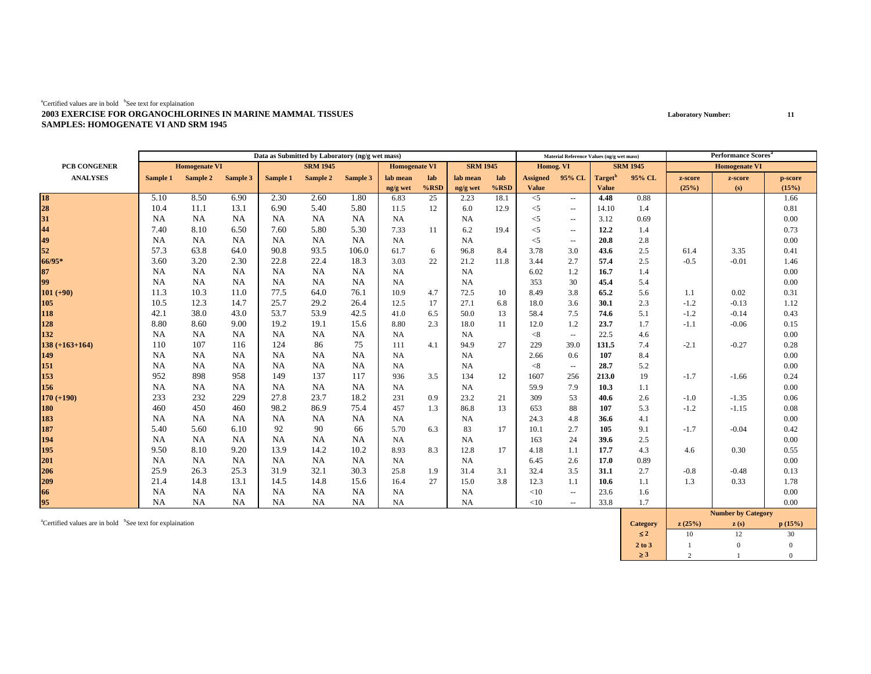|                    |           |                      |           |           | Data as Submitted by Laboratory (ng/g wet mass) |           |                      |         |                 |         |                 | Material Reference Values (ng/g wet mass) |                     |                 |         | Performance Scores <sup>a</sup> |         |
|--------------------|-----------|----------------------|-----------|-----------|-------------------------------------------------|-----------|----------------------|---------|-----------------|---------|-----------------|-------------------------------------------|---------------------|-----------------|---------|---------------------------------|---------|
| PCB CONGENER       |           | <b>Homogenate VI</b> |           |           | <b>SRM 1945</b>                                 |           | <b>Homogenate VI</b> |         | <b>SRM 1945</b> |         | Homog. VI       |                                           |                     | <b>SRM 1945</b> |         | <b>Homogenate VI</b>            |         |
| <b>ANALYSES</b>    | Sample 1  | Sample 2             | Sample 3  | Sample 1  | Sample 2                                        | Sample 3  | lab mean             | lab     | lab mean        | lab     | <b>Assigned</b> | 95% CL                                    | Target <sup>"</sup> | 95% CL          | z-score | z-score                         | p-score |
|                    |           |                      |           |           |                                                 |           | ng/g wet             | $%$ RSD | ng/g wet        | $%$ RSD | <b>Value</b>    |                                           | <b>Value</b>        |                 | (25%)   | (s)                             | (15%)   |
| 18<br>28           | 5.10      | 8.50                 | 6.90      | 2.30      | 2.60                                            | 1.80      | 6.83                 | 25      | 2.23            | 18.1    | $<$ 5           | $\sim$                                    | 4.48                | 0.88            |         |                                 | 1.66    |
|                    | 10.4      | 11.1                 | 13.1      | 6.90      | 5.40                                            | 5.80      | 11.5                 | 12      | 6.0             | 12.9    | $<$ 5           | $\sim$                                    | 14.10               | 1.4             |         |                                 | 0.81    |
| 31                 | NA        | NA                   | NA        | NA        | NA                                              | <b>NA</b> | <b>NA</b>            |         | <b>NA</b>       |         | $<$ 5           | $\sim$                                    | 3.12                | 0.69            |         |                                 | 0.00    |
| 44                 | 7.40      | 8.10                 | 6.50      | 7.60      | 5.80                                            | 5.30      | 7.33                 | 11      | 6.2             | 19.4    | $<$ 5           | $\overline{\phantom{a}}$                  | 12.2                | 1.4             |         |                                 | 0.73    |
| 49                 | <b>NA</b> | <b>NA</b>            | NA        | <b>NA</b> | NA                                              | <b>NA</b> | <b>NA</b>            |         | <b>NA</b>       |         | $<$ 5           | $\overline{\phantom{a}}$                  | 20.8                | 2.8             |         |                                 | 0.00    |
| 52                 | 57.3      | 63.8                 | 64.0      | 90.8      | 93.5                                            | 106.0     | 61.7                 | 6       | 96.8            | 8.4     | 3.78            | 3.0                                       | 43.6                | 2.5             | 61.4    | 3.35                            | 0.41    |
| 66/95*             | 3.60      | 3.20                 | 2.30      | 22.8      | 22.4                                            | 18.3      | 3.03                 | 22      | 21.2            | 11.8    | 3.44            | 2.7                                       | 57.4                | 2.5             | $-0.5$  | $-0.01$                         | 1.46    |
| 87                 | <b>NA</b> | <b>NA</b>            | NA        | NA        | NA                                              | <b>NA</b> | <b>NA</b>            |         | <b>NA</b>       |         | 6.02            | 1.2                                       | 16.7                | 1.4             |         |                                 | 0.00    |
| 99                 | <b>NA</b> | <b>NA</b>            | NA        | NA        | NA                                              | <b>NA</b> | <b>NA</b>            |         | <b>NA</b>       |         | 353             | 30                                        | 45.4                | 5.4             |         |                                 | 0.00    |
| $101 (+90)$        | 11.3      | 10.3                 | 11.0      | 77.5      | 64.0                                            | 76.1      | 10.9                 | 4.7     | 72.5            | 10      | 8.49            | 3.8                                       | 65.2                | 5.6             | 1.1     | 0.02                            | 0.31    |
| 105                | 10.5      | 12.3                 | 14.7      | 25.7      | 29.2                                            | 26.4      | 12.5                 | 17      | 27.1            | 6.8     | 18.0            | 3.6                                       | 30.1                | 2.3             | $-1.2$  | $-0.13$                         | 1.12    |
| 118                | 42.1      | 38.0                 | 43.0      | 53.7      | 53.9                                            | 42.5      | 41.0                 | 6.5     | 50.0            | 13      | 58.4            | 7.5                                       | 74.6                | 5.1             | $-1.2$  | $-0.14$                         | 0.43    |
| 128                | 8.80      | 8.60                 | 9.00      | 19.2      | 19.1                                            | 15.6      | 8.80                 | 2.3     | 18.0            | 11      | 12.0            | 1.2                                       | 23.7                | 1.7             | $-1.1$  | $-0.06$                         | 0.15    |
| 132                | <b>NA</b> | NA                   | NA        | NA        | NA                                              | NA        | <b>NA</b>            |         | <b>NA</b>       |         | < 8             | $\overline{\phantom{a}}$                  | 22.5                | 4.6             |         |                                 | 0.00    |
| $138 (+163 + 164)$ | 110       | 107                  | 116       | 124       | 86                                              | 75        | 111                  | 4.1     | 94.9            | 27      | 229             | 39.0                                      | 131.5               | 7.4             | $-2.1$  | $-0.27$                         | 0.28    |
| 149                | <b>NA</b> | <b>NA</b>            | NA        | <b>NA</b> | <b>NA</b>                                       | NA        | NA                   |         | NA              |         | 2.66            | 0.6                                       | 107                 | 8.4             |         |                                 | 0.00    |
| 151                | <b>NA</b> | <b>NA</b>            | <b>NA</b> | <b>NA</b> | NA                                              | <b>NA</b> | <b>NA</b>            |         | <b>NA</b>       |         | < 8             | $\sim$                                    | 28.7                | 5.2             |         |                                 | 0.00    |
| 153                | 952       | 898                  | 958       | 149       | 137                                             | 117       | 936                  | 3.5     | 134             | 12      | 1607            | 256                                       | 213.0               | 19              | $-1.7$  | $-1.66$                         | 0.24    |
| 156                | <b>NA</b> | <b>NA</b>            | <b>NA</b> | NA        | NA                                              | <b>NA</b> | <b>NA</b>            |         | <b>NA</b>       |         | 59.9            | 7.9                                       | 10.3                | 1.1             |         |                                 | 0.00    |
| $170 (+190)$       | 233       | 232                  | 229       | 27.8      | 23.7                                            | 18.2      | 231                  | 0.9     | 23.2            | 21      | 309             | 53                                        | 40.6                | 2.6             | $-1.0$  | $-1.35$                         | 0.06    |
| 180                | 460       | 450                  | 460       | 98.2      | 86.9                                            | 75.4      | 457                  | 1.3     | 86.8            | 13      | 653             | 88                                        | 107                 | 5.3             | $-1.2$  | $-1.15$                         | 0.08    |
| 183                | <b>NA</b> | <b>NA</b>            | <b>NA</b> | <b>NA</b> | NA                                              | <b>NA</b> | <b>NA</b>            |         | <b>NA</b>       |         | 24.3            | 4.8                                       | 36.6                | 4.1             |         |                                 | 0.00    |
| 187                | 5.40      | 5.60                 | 6.10      | 92        | 90                                              | 66        | 5.70                 | 6.3     | 83              | 17      | 10.1            | 2.7                                       | 105                 | 9.1             | $-1.7$  | $-0.04$                         | 0.42    |
| 194                | <b>NA</b> | NA                   | NA        | <b>NA</b> | NA                                              | NA        | <b>NA</b>            |         | NA              |         | 163             | 24                                        | 39.6                | 2.5             |         |                                 | 0.00    |
| 195                | 9.50      | 8.10                 | 9.20      | 13.9      | 14.2                                            | 10.2      | 8.93                 | 8.3     | 12.8            | 17      | 4.18            | 1.1                                       | 17.7                | 4.3             | 4.6     | 0.30                            | 0.55    |
| 201                | <b>NA</b> | NA                   | NA        | NA        | NA                                              | <b>NA</b> | <b>NA</b>            |         | <b>NA</b>       |         | 6.45            | 2.6                                       | 17.0                | 0.89            |         |                                 | 0.00    |
| 206                | 25.9      | 26.3                 | 25.3      | 31.9      | 32.1                                            | 30.3      | 25.8                 | 1.9     | 31.4            | 3.1     | 32.4            | 3.5                                       | 31.1                | 2.7             | $-0.8$  | $-0.48$                         | 0.13    |
| 209                | 21.4      | 14.8                 | 13.1      | 14.5      | 14.8                                            | 15.6      | 16.4                 | 27      | 15.0            | 3.8     | 12.3            | 1.1                                       | 10.6                | 1.1             | 1.3     | 0.33                            | 1.78    |
| 66                 | <b>NA</b> | NA                   | NA        | NA        | NA                                              | NA        | <b>NA</b>            |         | <b>NA</b>       |         | <10             | $\overline{\phantom{a}}$                  | 23.6                | 1.6             |         |                                 | 0.00    |
| 95                 | <b>NA</b> | <b>NA</b>            | <b>NA</b> | <b>NA</b> | <b>NA</b>                                       | <b>NA</b> | NA                   |         | NA              |         | <10             | $\sim$                                    | 33.8                | 1.7             |         |                                 | 0.00    |
|                    |           |                      |           |           |                                                 |           |                      |         |                 |         |                 |                                           |                     |                 |         | Number by Cotogo                |         |

acertified values are in bold bSee text for explaination **p** (15%) **c** (15%) **c** (15%) **c** (15%) ≤ **2**2 10 12 30  $30\,$ **2 to 3**3 1 0 0 ≥ **3**3 1 2 1 0  $\overline{0}$ **Number by Category**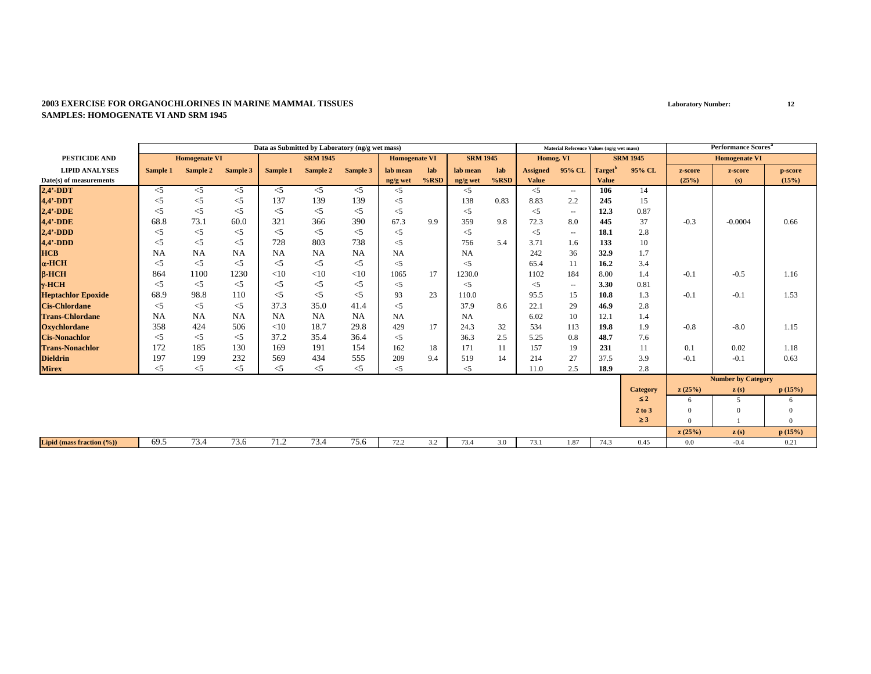|                           |           |                      |          |           | Data as Submitted by Laboratory (ng/g wet mass) |           |                      |         |                 |         |                 | Material Reference Values (ng/g wet mass) |              |                 |          | <b>Performance Scores<sup>a</sup></b> |              |
|---------------------------|-----------|----------------------|----------|-----------|-------------------------------------------------|-----------|----------------------|---------|-----------------|---------|-----------------|-------------------------------------------|--------------|-----------------|----------|---------------------------------------|--------------|
| <b>PESTICIDE AND</b>      |           | <b>Homogenate VI</b> |          |           | <b>SRM 1945</b>                                 |           | <b>Homogenate VI</b> |         | <b>SRM 1945</b> |         | Homog. VI       |                                           |              | <b>SRM 1945</b> |          | <b>Homogenate VI</b>                  |              |
| <b>LIPID ANALYSES</b>     | Sample 1  | Sample 2             | Sample 3 | Sample 1  | Sample 2                                        | Sample 3  | lab mean             | lab     | lab mean        | lab     | <b>Assigned</b> | 95% CL                                    | Target"      | 95% CL          | z-score  | z-score                               | p-score      |
| Date(s) of measurements   |           |                      |          |           |                                                 |           | ng/g wet             | $%$ RSD | ng/g wet        | $%$ RSD | <b>Value</b>    |                                           | <b>Value</b> |                 | (25%)    | (s)                                   | (15%)        |
| $2,4'$ -DDT               | $<$ 5     | $<$ 5                | $<$ 5    | $\leq$ 5  | $<$ 5                                           | $<$ 5     | $<$ 5                |         | $<$ 5           |         | $<$ 5           | $\sim$                                    | 106          | 14              |          |                                       |              |
| $4.4'$ -DDT               | $<$ 5     | $<$ 5                | $<$ 5    | 137       | 139                                             | 139       | $\leq$ 5             |         | 138             | 0.83    | 8.83            | 2.2                                       | 245          | 15              |          |                                       |              |
| $2,4'$ -DDE               | $<$ 5     | $<$ 5                | $<$ 5    | $<$ 5     | $<$ 5                                           | $<$ 5     | $<$ 5                |         | $<$ 5           |         | $<$ 5           | $\sim$ $\sim$                             | 12.3         | 0.87            |          |                                       |              |
| 4,4'-DDE                  | 68.8      | 73.1                 | 60.0     | 321       | 366                                             | 390       | 67.3                 | 9.9     | 359             | 9.8     | 72.3            | 8.0                                       | 445          | 37              | $-0.3$   | $-0.0004$                             | 0.66         |
| $2.4'$ -DDD               | $<$ 5     | $<$ 5                | $<$ 5    | $<$ 5     | $\leq$ 5                                        | $<$ 5     | $\leq$ 5             |         | $<$ 5           |         | $<$ 5           | $\overline{\phantom{a}}$                  | 18.1         | 2.8             |          |                                       |              |
| $4,4'$ -DDD               | $<$ 5     | $<$ 5                | $<$ 5    | 728       | 803                                             | 738       | $<$ 5                |         | 756             | 5.4     | 3.71            | 1.6                                       | 133          | 10              |          |                                       |              |
| <b>HCB</b>                | <b>NA</b> | NA                   | NA       | <b>NA</b> | <b>NA</b>                                       | <b>NA</b> | NA                   |         | <b>NA</b>       |         | 242             | 36                                        | 32.9         | 1.7             |          |                                       |              |
| $\alpha$ -HCH             | $<$ 5     | $<$ 5                | $<$ 5    | $<$ 5     | $\leq$ 5                                        | $<$ 5     | $<$ 5                |         | $<$ 5           |         | 65.4            | 11                                        | 16.2         | 3.4             |          |                                       |              |
| $B-HCH$                   | 864       | 1100                 | 1230     | <10       | <10                                             | <10       | 1065                 | 17      | 1230.0          |         | 1102            | 184                                       | 8.00         | 1.4             | $-0.1$   | $-0.5$                                | 1.16         |
| $\gamma$ -HCH             | $<$ 5     | $<$ 5                | $<$ 5    | $<$ 5     | $<$ 5                                           | $<$ 5     | $\leq$ 5             |         | $<$ 5           |         | $<$ 5           | $\sim$ $\sim$                             | 3.30         | 0.81            |          |                                       |              |
| <b>Heptachlor Epoxide</b> | 68.9      | 98.8                 | 110      | $<$ 5     | $<$ 5                                           | $<$ 5     | 93                   | 23      | 110.0           |         | 95.5            | 15                                        | 10.8         | 1.3             | $-0.1$   | $-0.1$                                | 1.53         |
| <b>Cis-Chlordane</b>      | $<$ 5     | $<$ 5                | $<$ 5    | 37.3      | 35.0                                            | 41.4      | $\leq$ 5             |         | 37.9            | 8.6     | 22.1            | 29                                        | 46.9         | 2.8             |          |                                       |              |
| <b>Trans-Chlordane</b>    | <b>NA</b> | <b>NA</b>            | NA       | <b>NA</b> | <b>NA</b>                                       | <b>NA</b> | <b>NA</b>            |         | <b>NA</b>       |         | 6.02            | 10                                        | 12.1         | 1.4             |          |                                       |              |
| <b>Oxychlordane</b>       | 358       | 424                  | 506      | $<$ 10    | 18.7                                            | 29.8      | 429                  | 17      | 24.3            | 32      | 534             | 113                                       | 19.8         | 1.9             | $-0.8$   | $-8.0$                                | 1.15         |
| <b>Cis-Nonachlor</b>      | $<$ 5     | $<$ 5                | $<$ 5    | 37.2      | 35.4                                            | 36.4      | $<$ 5                |         | 36.3            | 2.5     | 5.25            | 0.8                                       | 48.7         | 7.6             |          |                                       |              |
| <b>Trans-Nonachlor</b>    | 172       | 185                  | 130      | 169       | 191                                             | 154       | 162                  | 18      | 171             | 11      | 157             | 19                                        | 231          | 11              | 0.1      | 0.02                                  | 1.18         |
| <b>Dieldrin</b>           | 197       | 199                  | 232      | 569       | 434                                             | 555       | 209                  | 9.4     | 519             | 14      | 214             | 27                                        | 37.5         | 3.9             | $-0.1$   | $-0.1$                                | 0.63         |
| <b>Mirex</b>              | $<$ 5     | $<$ 5                | $<$ 5    | $<$ 5     | $<$ 5                                           | $<$ 5     | $<$ 5                |         | $<$ 5           |         | 11.0            | 2.5                                       | 18.9         | 2.8             |          |                                       |              |
|                           |           |                      |          |           |                                                 |           |                      |         |                 |         |                 |                                           |              |                 |          | <b>Number by Category</b>             |              |
|                           |           |                      |          |           |                                                 |           |                      |         |                 |         |                 |                                           |              | <b>Category</b> | z(25%)   | z(s)                                  | p(15%)       |
|                           |           |                      |          |           |                                                 |           |                      |         |                 |         |                 |                                           |              | $\leq 2$        | 6        | 5                                     | 6            |
|                           |           |                      |          |           |                                                 |           |                      |         |                 |         |                 |                                           |              | 2 to 3          | $\Omega$ | $\theta$                              | $\mathbf{0}$ |
|                           |           |                      |          |           |                                                 |           |                      |         |                 |         |                 |                                           |              | $\geq$ 3        | $\Omega$ |                                       | $\Omega$     |
|                           |           |                      |          |           |                                                 |           |                      |         |                 |         |                 |                                           |              |                 | z(25%)   | z(s)                                  | p(15%)       |
| Lipid (mass fraction (%)) | 69.5      | 73.4                 | 73.6     | 71.2      | 73.4                                            | 75.6      | 72.2                 | 3.2     | 73.4            | 3.0     | 73.1            | 1.87                                      | 74.3         | 0.45            | 0.0      | $-0.4$                                | 0.21         |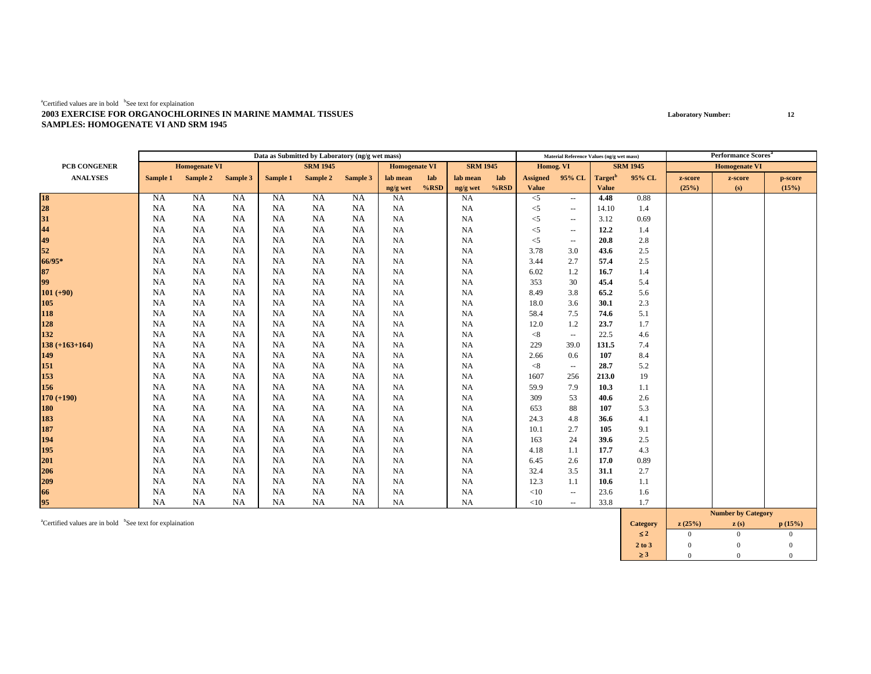|                                  |           |                      |           |           | Data as Submitted by Laboratory (ng/g wet mass) |           |                      |         |                 |         |                 | Material Reference Values (ng/g wet mass) |                     |                 |         | <b>Performance Scores</b> <sup>a</sup> |         |
|----------------------------------|-----------|----------------------|-----------|-----------|-------------------------------------------------|-----------|----------------------|---------|-----------------|---------|-----------------|-------------------------------------------|---------------------|-----------------|---------|----------------------------------------|---------|
| PCB CONGENER                     |           | <b>Homogenate VI</b> |           |           | <b>SRM 1945</b>                                 |           | <b>Homogenate VI</b> |         | <b>SRM 1945</b> |         | Homog. VI       |                                           |                     | <b>SRM 1945</b> |         | <b>Homogenate VI</b>                   |         |
| <b>ANALYSES</b>                  | Sample 1  | Sample 2             | Sample 3  | Sample 1  | Sample 2                                        | Sample 3  | lab mean             | lab     | lab mean        | lab     | <b>Assigned</b> | 95% CL                                    | Target <sup>b</sup> | 95% CL          | z-score | z-score                                | p-score |
|                                  |           |                      |           |           |                                                 |           | ng/g wet             | $%$ RSD | ng/g wet        | $%$ RSD | <b>Value</b>    |                                           | <b>Value</b>        |                 | (25%)   | (s)                                    | (15%)   |
|                                  | <b>NA</b> | NA                   | NA        | <b>NA</b> | NA                                              | <b>NA</b> | <b>NA</b>            |         | NA              |         | $\leq$ 5        | $\sim$                                    | 4.48                | 0.88            |         |                                        |         |
| 18<br>28<br>31<br>44<br>49<br>52 | <b>NA</b> | <b>NA</b>            | <b>NA</b> | <b>NA</b> | NA                                              | NA        | <b>NA</b>            |         | NA              |         | $<$ 5           | $\overline{\phantom{a}}$                  | 14.10               | 1.4             |         |                                        |         |
|                                  | <b>NA</b> | <b>NA</b>            | <b>NA</b> | NA        | NA                                              | NA        | <b>NA</b>            |         | <b>NA</b>       |         | $<$ 5           | $\hspace{0.05cm} -$                       | 3.12                | 0.69            |         |                                        |         |
|                                  | <b>NA</b> | <b>NA</b>            | <b>NA</b> | <b>NA</b> | NA                                              | <b>NA</b> | <b>NA</b>            |         | NA              |         | $<$ 5           | $\overline{\phantom{a}}$                  | 12.2                | 1.4             |         |                                        |         |
|                                  | <b>NA</b> | <b>NA</b>            | NA        | NA        | <b>NA</b>                                       | <b>NA</b> | <b>NA</b>            |         | NA              |         | $<$ 5           | $- -$                                     | 20.8                | 2.8             |         |                                        |         |
|                                  | <b>NA</b> | <b>NA</b>            | <b>NA</b> | NA        | NA                                              | NA        | <b>NA</b>            |         | <b>NA</b>       |         | 3.78            | 3.0                                       | 43.6                | 2.5             |         |                                        |         |
| 66/95*                           | <b>NA</b> | <b>NA</b>            | <b>NA</b> | NA        | NA                                              | NA        | <b>NA</b>            |         | <b>NA</b>       |         | 3.44            | 2.7                                       | 57.4                | 2.5             |         |                                        |         |
| 87<br>99                         | <b>NA</b> | <b>NA</b>            | <b>NA</b> | NA        | NA                                              | NA        | <b>NA</b>            |         | NA              |         | 6.02            | 1.2                                       | 16.7                | 1.4             |         |                                        |         |
|                                  | <b>NA</b> | <b>NA</b>            | <b>NA</b> | <b>NA</b> | <b>NA</b>                                       | NA        | <b>NA</b>            |         | NA              |         | 353             | 30                                        | 45.4                | 5.4             |         |                                        |         |
| $101 (+90)$                      | <b>NA</b> | <b>NA</b>            | <b>NA</b> | NA        | NA                                              | NA        | <b>NA</b>            |         | NA              |         | 8.49            | 3.8                                       | 65.2                | 5.6             |         |                                        |         |
|                                  | <b>NA</b> | <b>NA</b>            | NA        | NA        | NA                                              | NA        | <b>NA</b>            |         | NA              |         | 18.0            | 3.6                                       | 30.1                | 2.3             |         |                                        |         |
| 105<br>118<br>128                | <b>NA</b> | <b>NA</b>            | NA        | NA        | NA                                              | NA        | <b>NA</b>            |         | NA              |         | 58.4            | 7.5                                       | 74.6                | 5.1             |         |                                        |         |
|                                  | <b>NA</b> | <b>NA</b>            | NA        | <b>NA</b> | <b>NA</b>                                       | <b>NA</b> | <b>NA</b>            |         | NA              |         | 12.0            | 1.2                                       | 23.7                | 1.7             |         |                                        |         |
| 132                              | NA        | NA                   | <b>NA</b> | NA        | NA                                              | NA        | <b>NA</b>            |         | NA              |         | < 8             | $\overline{\phantom{a}}$                  | 22.5                | 4.6             |         |                                        |         |
| $138 (+163+164)$                 | NA        | <b>NA</b>            | <b>NA</b> | NA        | NA                                              | NA        | NA                   |         | NA              |         | 229             | 39.0                                      | 131.5               | 7.4             |         |                                        |         |
| 149                              | NA        | NA                   | <b>NA</b> | NA        | NA                                              | NA        | <b>NA</b>            |         | NA              |         | 2.66            | 0.6                                       | 107                 | 8.4             |         |                                        |         |
| 151                              | <b>NA</b> | <b>NA</b>            | NA.       | NA        | NA                                              | NA        | <b>NA</b>            |         | NA              |         | < 8             | $\sim$                                    | 28.7                | 5.2             |         |                                        |         |
| 153                              | <b>NA</b> | NA                   | NA        | NA        | NA                                              | NA        | <b>NA</b>            |         | NA              |         | 1607            | 256                                       | 213.0               | 19              |         |                                        |         |
| 156                              | <b>NA</b> | <b>NA</b>            | <b>NA</b> | NA        | NA                                              | <b>NA</b> | <b>NA</b>            |         | NA              |         | 59.9            | 7.9                                       | 10.3                | 1.1             |         |                                        |         |
| $170 (+190)$                     | <b>NA</b> | <b>NA</b>            | NA        | NA        | NA                                              | NA        | <b>NA</b>            |         | NA              |         | 309             | 53                                        | 40.6                | 2.6             |         |                                        |         |
| <b>180</b>                       | NA        | <b>NA</b>            | <b>NA</b> | NA        | NA                                              | NA        | <b>NA</b>            |         | <b>NA</b>       |         | 653             | 88                                        | 107                 | 5.3             |         |                                        |         |
| 183<br>187                       | <b>NA</b> | <b>NA</b>            | <b>NA</b> | NA        | NA                                              | NA        | <b>NA</b>            |         | NA              |         | 24.3            | 4.8                                       | 36.6                | 4.1             |         |                                        |         |
|                                  | NA        | NA                   | <b>NA</b> | NA        | NA                                              | NA        | <b>NA</b>            |         | NA              |         | 10.1            | 2.7                                       | 105                 | 9.1             |         |                                        |         |
| 194                              | <b>NA</b> | <b>NA</b>            | NA        | <b>NA</b> | NA                                              | NA        | <b>NA</b>            |         | NA              |         | 163             | 24                                        | 39.6                | 2.5             |         |                                        |         |
| 195                              | <b>NA</b> | <b>NA</b>            | NA        | NA        | <b>NA</b>                                       | <b>NA</b> | <b>NA</b>            |         | NA              |         | 4.18            | 1.1                                       | 17.7                | 4.3             |         |                                        |         |
| 201                              | <b>NA</b> | <b>NA</b>            | NA        | NA        | NA                                              | NA.       | <b>NA</b>            |         | NA              |         | 6.45            | 2.6                                       | 17.0                | 0.89            |         |                                        |         |
|                                  | <b>NA</b> | <b>NA</b>            | <b>NA</b> | NA        | NA                                              | <b>NA</b> | <b>NA</b>            |         | NA              |         | 32.4            | 3.5                                       | 31.1                | 2.7             |         |                                        |         |
|                                  | <b>NA</b> | <b>NA</b>            | NA        | <b>NA</b> | NA                                              | NA        | <b>NA</b>            |         | NA              |         | 12.3            | 1.1                                       | 10.6                | 1.1             |         |                                        |         |
|                                  | <b>NA</b> | NA                   | <b>NA</b> | NA        | NA                                              | <b>NA</b> | <b>NA</b>            |         | NA              |         | <10             | $\overline{\phantom{a}}$                  | 23.6                | 1.6             |         |                                        |         |
| $\frac{206}{209}$<br>66<br>95    | <b>NA</b> | <b>NA</b>            | <b>NA</b> | <b>NA</b> | NA                                              | <b>NA</b> | <b>NA</b>            |         | NA              |         | <10             | $\overline{\phantom{a}}$                  | 33.8                | 1.7             |         |                                        |         |
|                                  |           |                      |           |           |                                                 |           |                      |         |                 |         |                 |                                           |                     |                 |         | <b>Number by Category</b>              |         |

acertified values are in bold <sup>b</sup>See text for explaination **p** (15%) **category z** (25%) **z** (s) **p** (15%) ≤ **2**2 0 0 0  $\overline{0}$ **2 to 3**3 0 0 0 0 ≥ **3**3 0 0 0  $\overline{0}$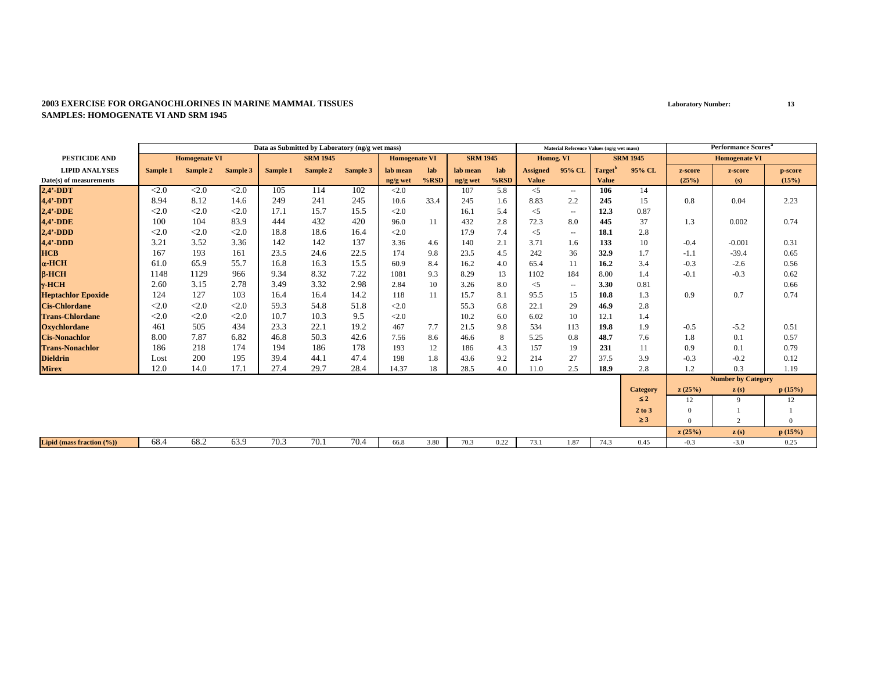|                           |          |                      |          | Data as Submitted by Laboratory (ng/g wet mass) |                 |          |                      |         |                 |         |                 | Material Reference Values (ng/g wet mass) |                     |                 |          | <b>Performance Scores</b> <sup>a</sup> |          |
|---------------------------|----------|----------------------|----------|-------------------------------------------------|-----------------|----------|----------------------|---------|-----------------|---------|-----------------|-------------------------------------------|---------------------|-----------------|----------|----------------------------------------|----------|
| PESTICIDE AND             |          | <b>Homogenate VI</b> |          |                                                 | <b>SRM 1945</b> |          | <b>Homogenate VI</b> |         | <b>SRM 1945</b> |         | Homog. VI       |                                           |                     | <b>SRM 1945</b> |          | <b>Homogenate VI</b>                   |          |
| <b>LIPID ANALYSES</b>     | Sample 1 | Sample 2             | Sample 3 | Sample 1                                        | Sample 2        | Sample 3 | lab mean             | lab     | lab mean        | lab     | <b>Assigned</b> | 95% CL                                    | Target <sup>'</sup> | 95% CL          | z-score  | z-score                                | p-score  |
| Date(s) of measurements   |          |                      |          |                                                 |                 |          | ng/g wet             | $%$ RSD | ng/g wet        | $%$ RSD | <b>Value</b>    |                                           | <b>Value</b>        |                 | (25%)    | (s)                                    | (15%)    |
| $2,4'$ -DDT               | < 2.0    | < 2.0                | < 2.0    | 105                                             | 114             | 102      | <2.0                 |         | 107             | 5.8     | $<$ 5           | $\sim$ $\sim$                             | 106                 | 14              |          |                                        |          |
| 4,4'-DDT                  | 8.94     | 8.12                 | 14.6     | 249                                             | 241             | 245      | 10.6                 | 33.4    | 245             | 1.6     | 8.83            | 2.2                                       | 245                 | 15              | 0.8      | 0.04                                   | 2.23     |
| $2,4'$ -DDE               | < 2.0    | < 2.0                | < 2.0    | 17.1                                            | 15.7            | 15.5     | <2.0                 |         | 16.1            | 5.4     | $<$ 5           | $\overline{\phantom{a}}$                  | 12.3                | 0.87            |          |                                        |          |
| 4,4'-DDE                  | 100      | 104                  | 83.9     | 444                                             | 432             | 420      | 96.0                 | 11      | 432             | 2.8     | 72.3            | 8.0                                       | 445                 | 37              | 1.3      | 0.002                                  | 0.74     |
| $2.4'$ -DDD               | < 2.0    | < 2.0                | < 2.0    | 18.8                                            | 18.6            | 16.4     | <2.0                 |         | 17.9            | 7.4     | $<$ 5           | $\overline{\phantom{a}}$                  | 18.1                | 2.8             |          |                                        |          |
| $4,4'$ -DDD               | 3.21     | 3.52                 | 3.36     | 142                                             | 142             | 137      | 3.36                 | 4.6     | 140             | 2.1     | 3.71            | 1.6                                       | 133                 | 10              | $-0.4$   | $-0.001$                               | 0.31     |
| <b>HCB</b>                | 167      | 193                  | 161      | 23.5                                            | 24.6            | 22.5     | 174                  | 9.8     | 23.5            | 4.5     | 242             | 36                                        | 32.9                | 1.7             | $-1.1$   | $-39.4$                                | 0.65     |
| $\alpha$ -HCH             | 61.0     | 65.9                 | 55.7     | 16.8                                            | 16.3            | 15.5     | 60.9                 | 8.4     | 16.2            | 4.0     | 65.4            | 11                                        | 16.2                | 3.4             | $-0.3$   | $-2.6$                                 | 0.56     |
| $B-HCH$                   | 1148     | 1129                 | 966      | 9.34                                            | 8.32            | 7.22     | 1081                 | 9.3     | 8.29            | 13      | 1102            | 184                                       | 8.00                | 1.4             | $-0.1$   | $-0.3$                                 | 0.62     |
| $\gamma$ -HCH             | 2.60     | 3.15                 | 2.78     | 3.49                                            | 3.32            | 2.98     | 2.84                 | 10      | 3.26            | 8.0     | $<$ 5           | $\sim$ $\sim$                             | 3.30                | 0.81            |          |                                        | 0.66     |
| <b>Heptachlor Epoxide</b> | 124      | 127                  | 103      | 16.4                                            | 16.4            | 14.2     | 118                  | 11      | 15.7            | 8.1     | 95.5            | 15                                        | 10.8                | 1.3             | 0.9      | 0.7                                    | 0.74     |
| <b>Cis-Chlordane</b>      | < 2.0    | < 2.0                | < 2.0    | 59.3                                            | 54.8            | 51.8     | <2.0                 |         | 55.3            | 6.8     | 22.1            | 29                                        | 46.9                | 2.8             |          |                                        |          |
| <b>Trans-Chlordane</b>    | < 2.0    | < 2.0                | < 2.0    | 10.7                                            | 10.3            | 9.5      | <2.0                 |         | 10.2            | 6.0     | 6.02            | 10                                        | 12.1                | 1.4             |          |                                        |          |
| <b>Oxychlordane</b>       | 461      | 505                  | 434      | 23.3                                            | 22.1            | 19.2     | 467                  | 7.7     | 21.5            | 9.8     | 534             | 113                                       | 19.8                | 1.9             | $-0.5$   | $-5.2$                                 | 0.51     |
| <b>Cis-Nonachlor</b>      | 8.00     | 7.87                 | 6.82     | 46.8                                            | 50.3            | 42.6     | 7.56                 | 8.6     | 46.6            | 8       | 5.25            | 0.8                                       | 48.7                | 7.6             | 1.8      | 0.1                                    | 0.57     |
| <b>Trans-Nonachlor</b>    | 186      | 218                  | 174      | 194                                             | 186             | 178      | 193                  | 12      | 186             | 4.3     | 157             | 19                                        | 231                 | 11              | 0.9      | 0.1                                    | 0.79     |
| <b>Dieldrin</b>           | Lost     | 200                  | 195      | 39.4                                            | 44.1            | 47.4     | 198                  | 1.8     | 43.6            | 9.2     | 214             | 27                                        | 37.5                | 3.9             | $-0.3$   | $-0.2$                                 | 0.12     |
| <b>Mirex</b>              | 12.0     | 14.0                 | 17.1     | 27.4                                            | 29.7            | 28.4     | 14.37                | 18      | 28.5            | 4.0     | 11.0            | 2.5                                       | 18.9                | 2.8             | 1.2      | 0.3                                    | 1.19     |
|                           |          |                      |          |                                                 |                 |          |                      |         |                 |         |                 |                                           |                     |                 |          | <b>Number by Category</b>              |          |
|                           |          |                      |          |                                                 |                 |          |                      |         |                 |         |                 |                                           |                     | <b>Category</b> | z(25%)   | $\mathbf{z}(s)$                        | p(15%)   |
|                           |          |                      |          |                                                 |                 |          |                      |         |                 |         |                 |                                           |                     | $\leq 2$        | 12       | $\mathbf Q$                            | 12       |
|                           |          |                      |          |                                                 |                 |          |                      |         |                 |         |                 |                                           |                     | 2 to 3          | $\Omega$ |                                        |          |
|                           |          |                      |          |                                                 |                 |          |                      |         |                 |         |                 |                                           |                     | $\geq$ 3        | $\Omega$ | $\overline{c}$                         | $\Omega$ |
|                           |          |                      |          |                                                 |                 |          |                      |         |                 |         |                 |                                           |                     |                 | z(25%)   | $\mathbf{z}(s)$                        | p(15%)   |
| Lipid (mass fraction (%)) | 68.4     | 68.2                 | 63.9     | 70.3                                            | 70.1            | 70.4     | 66.8                 | 3.80    | 70.3            | 0.22    | 73.1            | 1.87                                      | 74.3                | 0.45            | $-0.3$   | $-3.0$                                 | 0.25     |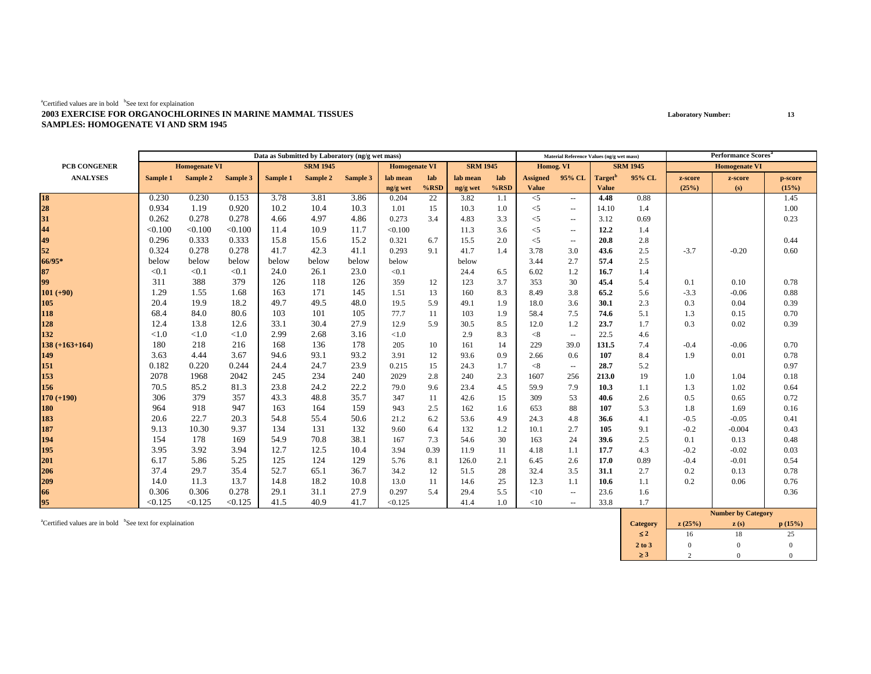|                     |          |                      |          |          | Data as Submitted by Laboratory (ng/g wet mass) |          |                      |         |                 |         |                 | Material Reference Values (ng/g wet mass) |                     |                 |         | <b>Performance Scores</b> <sup>a</sup>                                   |         |
|---------------------|----------|----------------------|----------|----------|-------------------------------------------------|----------|----------------------|---------|-----------------|---------|-----------------|-------------------------------------------|---------------------|-----------------|---------|--------------------------------------------------------------------------|---------|
| <b>PCB CONGENER</b> |          | <b>Homogenate VI</b> |          |          | <b>SRM 1945</b>                                 |          | <b>Homogenate VI</b> |         | <b>SRM 1945</b> |         | Homog. VI       |                                           |                     | <b>SRM 1945</b> |         | <b>Homogenate VI</b>                                                     |         |
| <b>ANALYSES</b>     | Sample 1 | Sample 2             | Sample 3 | Sample 1 | Sample 2                                        | Sample 3 | lab mean             | lab     | lab mean        | lab     | <b>Assigned</b> | 95% CL                                    | Target <sup>t</sup> | 95% CL          | z-score | z-score                                                                  | p-score |
|                     |          |                      |          |          |                                                 |          | ng/g wet             | $%$ RSD | ng/g wet        | $%$ RSD | <b>Value</b>    |                                           | <b>Value</b>        |                 | (25%)   | (s)                                                                      | (15%)   |
| 18<br>28            | 0.230    | 0.230                | 0.153    | 3.78     | 3.81                                            | 3.86     | 0.204                | 22      | 3.82            | 1.1     | $< 5$           | $\sim$ $\sim$                             | 4.48                | 0.88            |         |                                                                          | 1.45    |
|                     | 0.934    | 1.19                 | 0.920    | 10.2     | 10.4                                            | 10.3     | 1.01                 | 15      | 10.3            | 1.0     | $<$ 5           | $\overline{\phantom{a}}$                  | 14.10               | 1.4             |         |                                                                          | 1.00    |
| 31                  | 0.262    | 0.278                | 0.278    | 4.66     | 4.97                                            | 4.86     | 0.273                | 3.4     | 4.83            | 3.3     | $<$ 5           | $\overline{\phantom{a}}$                  | 3.12                | 0.69            |         |                                                                          | 0.23    |
| 44                  | < 0.100  | < 0.100              | < 0.100  | 11.4     | 10.9                                            | 11.7     | < 0.100              |         | 11.3            | 3.6     | $<$ 5           | $\overline{\phantom{a}}$                  | 12.2                | 1.4             |         |                                                                          |         |
| 49                  | 0.296    | 0.333                | 0.333    | 15.8     | 15.6                                            | 15.2     | 0.321                | 6.7     | 15.5            | 2.0     | $<$ 5           | $\sim$                                    | 20.8                | 2.8             |         |                                                                          | 0.44    |
| 52                  | 0.324    | 0.278                | 0.278    | 41.7     | 42.3                                            | 41.1     | 0.293                | 9.1     | 41.7            | 1.4     | 3.78            | 3.0                                       | 43.6                | 2.5             | $-3.7$  | $-0.20$                                                                  | 0.60    |
| 66/95*              | below    | below                | below    | below    | below                                           | below    | below                |         | below           |         | 3.44            | 2.7                                       | 57.4                | 2.5             |         |                                                                          |         |
| 87                  | < 0.1    | < 0.1                | < 0.1    | 24.0     | 26.1                                            | 23.0     | < 0.1                |         | 24.4            | 6.5     | 6.02            | 1.2                                       | 16.7                | 1.4             |         |                                                                          |         |
| 99                  | 311      | 388                  | 379      | 126      | 118                                             | 126      | 359                  | 12      | 123             | 3.7     | 353             | 30                                        | 45.4                | 5.4             | 0.1     | 0.10                                                                     | 0.78    |
| $101 (+90)$         | 1.29     | 1.55                 | 1.68     | 163      | 171                                             | 145      | 1.51                 | 13      | 160             | 8.3     | 8.49            | 3.8                                       | 65.2                | 5.6             | $-3.3$  | $-0.06$                                                                  | 0.88    |
| 105                 | 20.4     | 19.9                 | 18.2     | 49.7     | 49.5                                            | 48.0     | 19.5                 | 5.9     | 49.1            | 1.9     | 18.0            | 3.6                                       | 30.1                | 2.3             | 0.3     | 0.04                                                                     | 0.39    |
| 118                 | 68.4     | 84.0                 | 80.6     | 103      | 101                                             | 105      | 77.7                 | 11      | 103             | 1.9     | 58.4            | 7.5                                       | 74.6                | 5.1             | 1.3     | 0.15                                                                     | 0.70    |
| 128                 | 12.4     | 13.8                 | 12.6     | 33.1     | 30.4                                            | 27.9     | 12.9                 | 5.9     | 30.5            | 8.5     | 12.0            | 1.2                                       | 23.7                | 1.7             | 0.3     | 0.02                                                                     | 0.39    |
| 132                 | < 1.0    | < 1.0                | < 1.0    | 2.99     | 2.68                                            | 3.16     | < 1.0                |         | 2.9             | 8.3     | < 8             | $\overline{\phantom{a}}$                  | 22.5                | 4.6             |         |                                                                          |         |
| $138 (+163+164)$    | 180      | 218                  | 216      | 168      | 136                                             | 178      | 205                  | 10      | 161             | 14      | 229             | 39.0                                      | 131.5               | 7.4             | $-0.4$  | $-0.06$                                                                  | 0.70    |
| 149                 | 3.63     | 4.44                 | 3.67     | 94.6     | 93.1                                            | 93.2     | 3.91                 | 12      | 93.6            | 0.9     | 2.66            | 0.6                                       | 107                 | 8.4             | 1.9     | 0.01                                                                     | 0.78    |
| 151                 | 0.182    | 0.220                | 0.244    | 24.4     | 24.7                                            | 23.9     | 0.215                | 15      | 24.3            | 1.7     | < 8             | $\sim$ $\sim$                             | 28.7                | 5.2             |         |                                                                          | 0.97    |
| 153                 | 2078     | 1968                 | 2042     | 245      | 234                                             | 240      | 2029                 | 2.8     | 240             | 2.3     | 1607            | 256                                       | 213.0               | 19              | 1.0     | 1.04                                                                     | 0.18    |
| 156                 | 70.5     | 85.2                 | 81.3     | 23.8     | 24.2                                            | 22.2     | 79.0                 | 9.6     | 23.4            | 4.5     | 59.9            | 7.9                                       | 10.3                | 1.1             | 1.3     | 1.02                                                                     | 0.64    |
| $170 (+190)$        | 306      | 379                  | 357      | 43.3     | 48.8                                            | 35.7     | 347                  | 11      | 42.6            | 15      | 309             | 53                                        | 40.6                | 2.6             | 0.5     | 0.65                                                                     | 0.72    |
| 180                 | 964      | 918                  | 947      | 163      | 164                                             | 159      | 943                  | 2.5     | 162             | 1.6     | 653             | 88                                        | 107                 | 5.3             | 1.8     | 1.69                                                                     | 0.16    |
| 183                 | 20.6     | 22.7                 | 20.3     | 54.8     | 55.4                                            | 50.6     | 21.2                 | 6.2     | 53.6            | 4.9     | 24.3            | 4.8                                       | 36.6                | 4.1             | $-0.5$  | $-0.05$                                                                  | 0.41    |
| 187                 | 9.13     | 10.30                | 9.37     | 134      | 131                                             | 132      | 9.60                 | 6.4     | 132             | 1.2     | 10.1            | 2.7                                       | 105                 | 9.1             | $-0.2$  | $-0.004$                                                                 | 0.43    |
| 194                 | 154      | 178                  | 169      | 54.9     | 70.8                                            | 38.1     | 167                  | 7.3     | 54.6            | 30      | 163             | 24                                        | 39.6                | 2.5             | 0.1     | 0.13                                                                     | 0.48    |
| 195                 | 3.95     | 3.92                 | 3.94     | 12.7     | 12.5                                            | 10.4     | 3.94                 | 0.39    | 11.9            | 11      | 4.18            | 1.1                                       | 17.7                | 4.3             | $-0.2$  | $-0.02$                                                                  | 0.03    |
| 201                 | 6.17     | 5.86                 | 5.25     | 125      | 124                                             | 129      | 5.76                 | 8.1     | 126.0           | 2.1     | 6.45            | 2.6                                       | 17.0                | 0.89            | $-0.4$  | $-0.01$                                                                  | 0.54    |
| 206                 | 37.4     | 29.7                 | 35.4     | 52.7     | 65.1                                            | 36.7     | 34.2                 | 12      | 51.5            | 28      | 32.4            | 3.5                                       | 31.1                | 2.7             | 0.2     | 0.13                                                                     | 0.78    |
| 209                 | 14.0     | 11.3                 | 13.7     | 14.8     | 18.2                                            | 10.8     | 13.0                 | 11      | 14.6            | 25      | 12.3            | 1.1                                       | 10.6                | 1.1             | 0.2     | 0.06                                                                     | 0.76    |
| 66                  | 0.306    | 0.306                | 0.278    | 29.1     | 31.1                                            | 27.9     | 0.297                | 5.4     | 29.4            | 5.5     | <10             | $\sim$ $\sim$                             | 23.6                | 1.6             |         |                                                                          | 0.36    |
| 95                  | < 0.125  | < 0.125              | < 0.125  | 41.5     | 40.9                                            | 41.7     | < 0.125              |         | 41.4            | 1.0     | <10             | $\sim$                                    | 33.8                | 1.7             |         | $\mathbf{v}$ , $\mathbf{v}$ , $\mathbf{v}$ , $\mathbf{v}$ , $\mathbf{v}$ |         |

<sup>**aCertified values are in bold <sup>b</sup>See text for explaination</sup>** 

|                      |        | <b>Number by Category</b> |        |
|----------------------|--------|---------------------------|--------|
| Category<br>$\leq 2$ | z(25%) | z(s)                      | p(15%) |
|                      | 16     | 18                        | 25     |
| 2 to 3               |        |                           |        |
| $\geq 3$             |        |                           |        |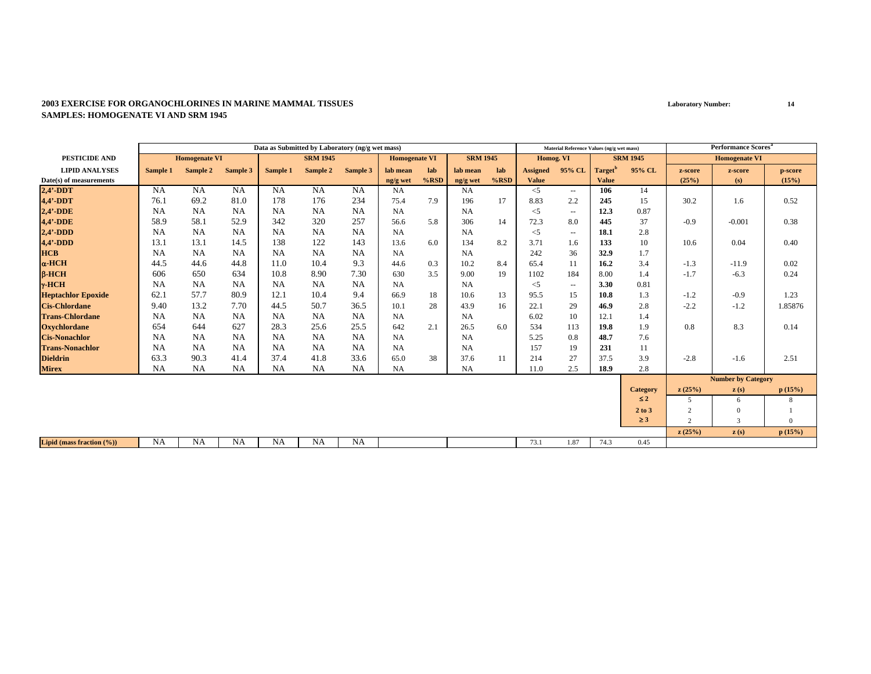|                           |           |                      |           | Data as Submitted by Laboratory (ng/g wet mass) |                 |           |                      |         |                 |         |                 | Material Reference Values (ng/g wet mass) |                     |                 |                | <b>Performance Scores<sup>a</sup></b> |          |
|---------------------------|-----------|----------------------|-----------|-------------------------------------------------|-----------------|-----------|----------------------|---------|-----------------|---------|-----------------|-------------------------------------------|---------------------|-----------------|----------------|---------------------------------------|----------|
| <b>PESTICIDE AND</b>      |           | <b>Homogenate VI</b> |           |                                                 | <b>SRM 1945</b> |           | <b>Homogenate VI</b> |         | <b>SRM 1945</b> |         | Homog. VI       |                                           |                     | <b>SRM 1945</b> |                | <b>Homogenate VI</b>                  |          |
| <b>LIPID ANALYSES</b>     | Sample 1  | Sample 2             | Sample 3  | Sample 1                                        | Sample 2        | Sample 3  | lab mean             | lab     | lab mean        | lab     | <b>Assigned</b> | 95% CL                                    | Target <sup>'</sup> | 95% CL          | z-score        | z-score                               | p-score  |
| Date(s) of measurements   |           |                      |           |                                                 |                 |           | ng/g wet             | $%$ RSD | ng/g wet        | $%$ RSD | <b>Value</b>    |                                           | <b>Value</b>        |                 | (25%)          | (s)                                   | (15%)    |
| $2,4'$ -DDT               | <b>NA</b> | <b>NA</b>            | <b>NA</b> | <b>NA</b>                                       | <b>NA</b>       | <b>NA</b> | <b>NA</b>            |         | NA              |         | $<$ 5           | $\overline{\phantom{a}}$                  | 106                 | 14              |                |                                       |          |
| 4,4'-DDT                  | 76.1      | 69.2                 | 81.0      | 178                                             | 176             | 234       | 75.4                 | 7.9     | 196             | 17      | 8.83            | 2.2                                       | 245                 | 15              | 30.2           | 1.6                                   | 0.52     |
| $2,4'$ -DDE               | <b>NA</b> | <b>NA</b>            | <b>NA</b> | <b>NA</b>                                       | <b>NA</b>       | <b>NA</b> | <b>NA</b>            |         | NA              |         | $<$ 5           | $\sim$                                    | 12.3                | 0.87            |                |                                       |          |
| 4,4'-DDE                  | 58.9      | 58.1                 | 52.9      | 342                                             | 320             | 257       | 56.6                 | 5.8     | 306             | 14      | 72.3            | 8.0                                       | 445                 | 37              | $-0.9$         | $-0.001$                              | 0.38     |
| $2,4'$ -DDD               | <b>NA</b> | <b>NA</b>            | <b>NA</b> | <b>NA</b>                                       | <b>NA</b>       | <b>NA</b> | NA                   |         | NA              |         | $<$ 5           | $\overline{\phantom{a}}$                  | 18.1                | 2.8             |                |                                       |          |
| $4,4'$ -DDD               | 13.1      | 13.1                 | 14.5      | 138                                             | 122             | 143       | 13.6                 | 6.0     | 134             | 8.2     | 3.71            | 1.6                                       | 133                 | 10              | 10.6           | 0.04                                  | 0.40     |
| <b>HCB</b>                | NA        | <b>NA</b>            | <b>NA</b> | <b>NA</b>                                       | <b>NA</b>       | <b>NA</b> | NA                   |         | <b>NA</b>       |         | 242             | 36                                        | 32.9                | 1.7             |                |                                       |          |
| $\alpha$ -HCH             | 44.5      | 44.6                 | 44.8      | 11.0                                            | 10.4            | 9.3       | 44.6                 | 0.3     | 10.2            | 8.4     | 65.4            | 11                                        | 16.2                | 3.4             | $-1.3$         | $-11.9$                               | 0.02     |
| $B-HCH$                   | 606       | 650                  | 634       | 10.8                                            | 8.90            | 7.30      | 630                  | 3.5     | 9.00            | 19      | 1102            | 184                                       | 8.00                | 1.4             | $-1.7$         | $-6.3$                                | 0.24     |
| $\gamma$ -HCH             | <b>NA</b> | <b>NA</b>            | NA        | NA                                              | <b>NA</b>       | NA        | NA                   |         | <b>NA</b>       |         | $<$ 5           | $\sim$                                    | 3.30                | 0.81            |                |                                       |          |
| <b>Heptachlor Epoxide</b> | 62.1      | 57.7                 | 80.9      | 12.1                                            | 10.4            | 9.4       | 66.9                 | 18      | 10.6            | 13      | 95.5            | 15                                        | 10.8                | 1.3             | $-1.2$         | $-0.9$                                | 1.23     |
| <b>Cis-Chlordane</b>      | 9.40      | 13.2                 | 7.70      | 44.5                                            | 50.7            | 36.5      | 10.1                 | 28      | 43.9            | 16      | 22.1            | 29                                        | 46.9                | 2.8             | $-2.2$         | $-1.2$                                | 1.85876  |
| <b>Trans-Chlordane</b>    | <b>NA</b> | NA.                  | NA        | NA                                              | <b>NA</b>       | <b>NA</b> | NA                   |         | <b>NA</b>       |         | 6.02            | 10                                        | 12.1                | 1.4             |                |                                       |          |
| <b>Oxychlordane</b>       | 654       | 644                  | 627       | 28.3                                            | 25.6            | 25.5      | 642                  | 2.1     | 26.5            | 6.0     | 534             | 113                                       | 19.8                | 1.9             | 0.8            | 8.3                                   | 0.14     |
| <b>Cis-Nonachlor</b>      | <b>NA</b> | <b>NA</b>            | NA        | <b>NA</b>                                       | <b>NA</b>       | <b>NA</b> | <b>NA</b>            |         | NA              |         | 5.25            | 0.8                                       | 48.7                | 7.6             |                |                                       |          |
| <b>Trans-Nonachlor</b>    | <b>NA</b> | <b>NA</b>            | <b>NA</b> | NA                                              | <b>NA</b>       | NA        | NA                   |         | NA              |         | 157             | 19                                        | 231                 | 11              |                |                                       |          |
| <b>Dieldrin</b>           | 63.3      | 90.3                 | 41.4      | 37.4                                            | 41.8            | 33.6      | 65.0                 | 38      | 37.6            | 11      | 214             | 27                                        | 37.5                | 3.9             | $-2.8$         | $-1.6$                                | 2.51     |
| <b>Mirex</b>              | <b>NA</b> | <b>NA</b>            | NA        | <b>NA</b>                                       | NA              | NA        | <b>NA</b>            |         | <b>NA</b>       |         | 11.0            | 2.5                                       | 18.9                | 2.8             |                |                                       |          |
|                           |           |                      |           |                                                 |                 |           |                      |         |                 |         |                 |                                           |                     |                 |                | <b>Number by Category</b>             |          |
|                           |           |                      |           |                                                 |                 |           |                      |         |                 |         |                 |                                           |                     | <b>Category</b> | z(25%)         | z(s)                                  | p(15%)   |
|                           |           |                      |           |                                                 |                 |           |                      |         |                 |         |                 |                                           |                     | $\leq 2$        | 5              | 6                                     | 8        |
|                           |           |                      |           |                                                 |                 |           |                      |         |                 |         |                 |                                           |                     | 2 to 3          | 2              | $\Omega$                              |          |
|                           |           |                      |           |                                                 |                 |           |                      |         |                 |         |                 |                                           |                     | $\geq 3$        | $\overline{2}$ | 3                                     | $\Omega$ |
|                           |           |                      |           |                                                 |                 |           |                      |         |                 |         |                 |                                           |                     |                 | z(25%)         | $\mathbf{z}(s)$                       | p(15%)   |
| Lipid (mass fraction (%)) | <b>NA</b> | <b>NA</b>            | <b>NA</b> | <b>NA</b>                                       | <b>NA</b>       | <b>NA</b> |                      |         |                 |         | 73.1            | 1.87                                      | 74.3                | 0.45            |                |                                       |          |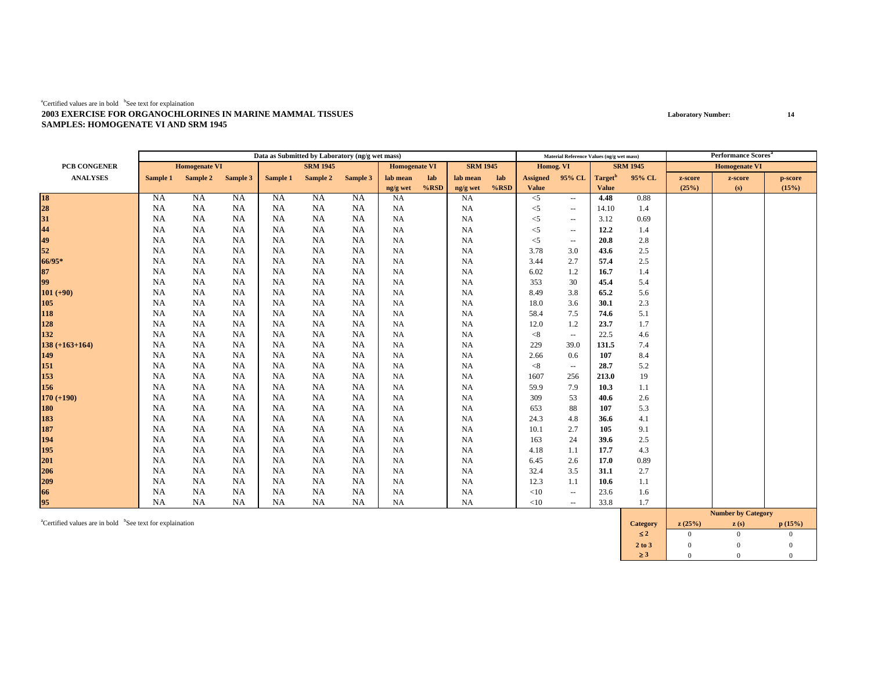|                                         |           |                      |           |           | Data as Submitted by Laboratory (ng/g wet mass) |           |                      |         |                 |         |                 | Material Reference Values (ng/g wet mass) |                     |                 |         | <b>Performance Scores</b> <sup>a</sup> |         |
|-----------------------------------------|-----------|----------------------|-----------|-----------|-------------------------------------------------|-----------|----------------------|---------|-----------------|---------|-----------------|-------------------------------------------|---------------------|-----------------|---------|----------------------------------------|---------|
| PCB CONGENER                            |           | <b>Homogenate VI</b> |           |           | <b>SRM 1945</b>                                 |           | <b>Homogenate VI</b> |         | <b>SRM 1945</b> |         | Homog. VI       |                                           |                     | <b>SRM 1945</b> |         | <b>Homogenate VI</b>                   |         |
| <b>ANALYSES</b>                         | Sample 1  | Sample 2 Sample 3    |           | Sample 1  | Sample 2                                        | Sample 3  | lab mean             | lab     | lab mean        | lab     | <b>Assigned</b> | 95% CL                                    | Target <sup>b</sup> | 95% CL          | z-score | z-score                                | p-score |
|                                         |           |                      |           |           |                                                 |           | ng/g wet             | $%$ RSD | ng/g wet        | $%$ RSD | Value           |                                           | <b>Value</b>        |                 | (25%)   | (s)                                    | (15%)   |
| 18<br>28<br>31                          | <b>NA</b> | <b>NA</b>            | NA        | NA        | <b>NA</b>                                       | NA        | <b>NA</b>            |         | $_{\rm NA}$     |         | $<$ 5           | $\sim$                                    | 4.48                | 0.88            |         |                                        |         |
|                                         | <b>NA</b> | <b>NA</b>            | <b>NA</b> | NA        | NA                                              | NA        | <b>NA</b>            |         | <b>NA</b>       |         | $<$ 5           | $\overline{\phantom{a}}$                  | 14.10               | 1.4             |         |                                        |         |
|                                         | <b>NA</b> | <b>NA</b>            | NA        | NA        | NA                                              | <b>NA</b> | <b>NA</b>            |         | NA              |         | $\leq$ 5        | $\overline{\phantom{a}}$                  | 3.12                | 0.69            |         |                                        |         |
| $44$<br>$49$<br>$52$                    | <b>NA</b> | <b>NA</b>            | NA        | NA        | NA                                              | NA        | <b>NA</b>            |         | NA              |         | $<$ 5           | $\overline{\phantom{a}}$                  | 12.2                | 1.4             |         |                                        |         |
|                                         | <b>NA</b> | <b>NA</b>            | <b>NA</b> | NA        | NA                                              | <b>NA</b> | <b>NA</b>            |         | <b>NA</b>       |         | $<$ 5           | $\sim$                                    | 20.8                | 2.8             |         |                                        |         |
|                                         | <b>NA</b> | NA                   | <b>NA</b> | NA        | NA                                              | NA        | <b>NA</b>            |         | NA              |         | 3.78            | 3.0                                       | 43.6                | 2.5             |         |                                        |         |
| 66/95*                                  | <b>NA</b> | <b>NA</b>            | <b>NA</b> | NA        | NA                                              | NA        | <b>NA</b>            |         | NA              |         | 3.44            | 2.7                                       | 57.4                | 2.5             |         |                                        |         |
| $\begin{array}{c} 87 \\ 99 \end{array}$ | <b>NA</b> | <b>NA</b>            | NA        | NA        | NA                                              | NA        | <b>NA</b>            |         | NA              |         | 6.02            | 1.2                                       | 16.7                | 1.4             |         |                                        |         |
|                                         | <b>NA</b> | NA                   | <b>NA</b> | NA        | NA                                              | NA        | <b>NA</b>            |         | NA              |         | 353             | 30                                        | 45.4                | 5.4             |         |                                        |         |
| $101 (+90)$                             | <b>NA</b> | <b>NA</b>            | NA        | NA        | NA                                              | NA        | <b>NA</b>            |         | NA              |         | 8.49            | 3.8                                       | 65.2                | 5.6             |         |                                        |         |
|                                         | <b>NA</b> | <b>NA</b>            | NA        | NA        | NA                                              | NA        | <b>NA</b>            |         | NA              |         | 18.0            | 3.6                                       | 30.1                | 2.3             |         |                                        |         |
| 105<br>118<br>128                       | <b>NA</b> | <b>NA</b>            | NA        | NA        | NA                                              | NA        | <b>NA</b>            |         | NA              |         | 58.4            | 7.5                                       | 74.6                | 5.1             |         |                                        |         |
|                                         | <b>NA</b> | <b>NA</b>            | NA        | <b>NA</b> | <b>NA</b>                                       | <b>NA</b> | <b>NA</b>            |         | NA              |         | 12.0            | 1.2                                       | 23.7                | 1.7             |         |                                        |         |
| 132                                     | NA        | NA                   | <b>NA</b> | NA        | NA                                              | NA        | <b>NA</b>            |         | NA              |         | < 8             | $\overline{\phantom{a}}$                  | 22.5                | 4.6             |         |                                        |         |
| $138 (+163+164)$                        | NA        | <b>NA</b>            | <b>NA</b> | NA        | NA                                              | NA        | NA                   |         | <b>NA</b>       |         | 229             | 39.0                                      | 131.5               | 7.4             |         |                                        |         |
| 149                                     | <b>NA</b> | NA                   | <b>NA</b> | NA        | NA                                              | NA        | <b>NA</b>            |         | NA              |         | 2.66            | 0.6                                       | 107                 | 8.4             |         |                                        |         |
| 151                                     | <b>NA</b> | <b>NA</b>            | NA        | NA        | <b>NA</b>                                       | NA        | <b>NA</b>            |         | NA              |         | < 8             | $\sim$                                    | 28.7                | 5.2             |         |                                        |         |
| 153                                     | <b>NA</b> | <b>NA</b>            | NA        | NA        | <b>NA</b>                                       | <b>NA</b> | <b>NA</b>            |         | NA              |         | 1607            | 256                                       | 213.0               | 19              |         |                                        |         |
| 156                                     | <b>NA</b> | <b>NA</b>            | NA        | NA        | NA                                              | NA        | <b>NA</b>            |         | NA              |         | 59.9            | 7.9                                       | 10.3                | 1.1             |         |                                        |         |
| $170 (+190)$                            | <b>NA</b> | <b>NA</b>            | NA        | NA        | NA                                              | NA        | <b>NA</b>            |         | NA              |         | 309             | 53                                        | 40.6                | 2.6             |         |                                        |         |
| <b>180</b>                              | <b>NA</b> | <b>NA</b>            | NA        | <b>NA</b> | <b>NA</b>                                       | NA        | <b>NA</b>            |         | <b>NA</b>       |         | 653             | 88                                        | 107                 | 5.3             |         |                                        |         |
| 183<br>187                              | <b>NA</b> | NA                   | <b>NA</b> | NA        | NA                                              | NA.       | <b>NA</b>            |         | <b>NA</b>       |         | 24.3            | 4.8                                       | 36.6                | 4.1             |         |                                        |         |
|                                         | <b>NA</b> | <b>NA</b>            | <b>NA</b> | NA        | NA                                              | NA        | <b>NA</b>            |         | NA              |         | 10.1            | 2.7                                       | 105                 | 9.1             |         |                                        |         |
| 194                                     | <b>NA</b> | <b>NA</b>            | <b>NA</b> | NA        | NA                                              | NA        | <b>NA</b>            |         | NA              |         | 163             | 24                                        | 39.6                | 2.5             |         |                                        |         |
| 195                                     | <b>NA</b> | <b>NA</b>            | NA        | NA        | <b>NA</b>                                       | <b>NA</b> | <b>NA</b>            |         | NA              |         | 4.18            | 1.1                                       | 17.7                | 4.3             |         |                                        |         |
| 201                                     | <b>NA</b> | <b>NA</b>            | NA        | NA        | NA                                              | NA        | <b>NA</b>            |         | NA              |         | 6.45            | 2.6                                       | 17.0                | 0.89            |         |                                        |         |
| 206                                     | <b>NA</b> | <b>NA</b>            | NA        | NA        | NA                                              | NA        | <b>NA</b>            |         | NA              |         | 32.4            | 3.5                                       | 31.1                | 2.7             |         |                                        |         |
| 209<br>66                               | <b>NA</b> | <b>NA</b>            | NA        | <b>NA</b> | NA                                              | NA        | <b>NA</b>            |         | NA              |         | 12.3            | 1.1                                       | 10.6                | 1.1             |         |                                        |         |
|                                         | <b>NA</b> | NA                   | <b>NA</b> | NA        | NA                                              | <b>NA</b> | <b>NA</b>            |         | NA              |         | <10             | $\sim$                                    | 23.6                | 1.6             |         |                                        |         |
| 95                                      | <b>NA</b> | NA                   | NA        | <b>NA</b> | NA                                              | NA        | <b>NA</b>            |         | NA              |         | <10             | $\overline{a}$                            | 33.8                | 1.7             |         |                                        |         |
|                                         |           |                      |           |           |                                                 |           |                      |         |                 |         |                 |                                           |                     |                 |         | <b>Number by Category</b>              |         |

acertified values are in bold <sup>b</sup>See text for explaination **p** (15%) **category z** (25%) **z** (s) **p** (15%) ≤ **2**2 0 0 0  $\overline{0}$ **2 to 3**3 0 0 0 0 ≥ **3**3 0 0 0  $\overline{0}$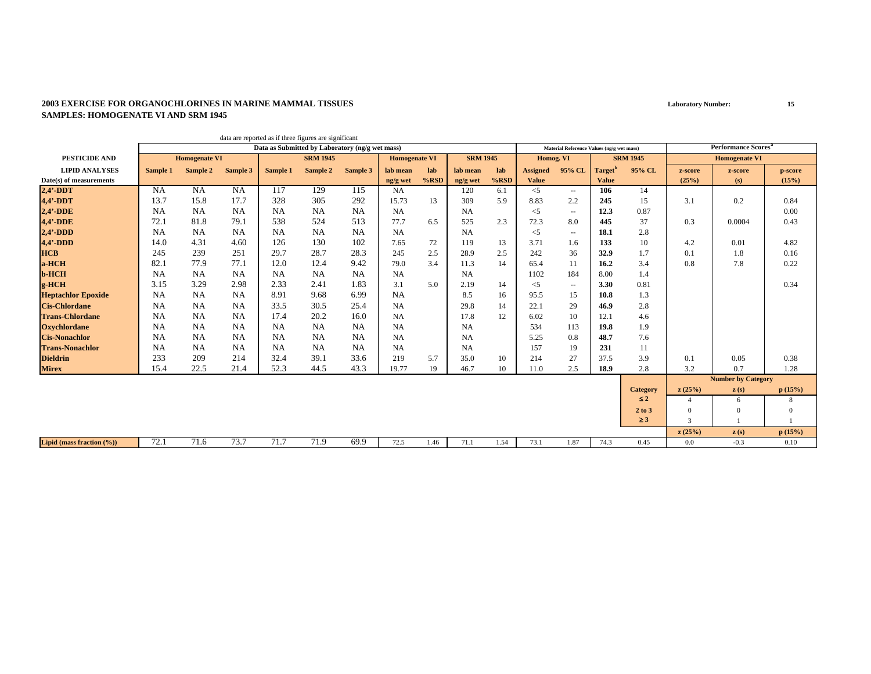|                           |           |                      |           |           | data are reported as if three figures are significant |           |                      |         |                 |         |                 |                                           |                     |                 |                |                                        |              |
|---------------------------|-----------|----------------------|-----------|-----------|-------------------------------------------------------|-----------|----------------------|---------|-----------------|---------|-----------------|-------------------------------------------|---------------------|-----------------|----------------|----------------------------------------|--------------|
|                           |           |                      |           |           | Data as Submitted by Laboratory (ng/g wet mass)       |           |                      |         |                 |         |                 | Material Reference Values (ng/g wet mass) |                     |                 |                | <b>Performance Scores</b> <sup>a</sup> |              |
| <b>PESTICIDE AND</b>      |           | <b>Homogenate VI</b> |           |           | <b>SRM 1945</b>                                       |           | <b>Homogenate VI</b> |         | <b>SRM 1945</b> |         | Homog. VI       |                                           |                     | <b>SRM 1945</b> |                | <b>Homogenate VI</b>                   |              |
| <b>LIPID ANALYSES</b>     | Sample 1  | Sample 2             | Sample 3  | Sample 1  | Sample 2                                              | Sample 3  | lab mean             | lab     | lab mean        | lab     | <b>Assigned</b> | 95% CL                                    | Target <sup>"</sup> | 95% CL          | z-score        | z-score                                | p-score      |
| Date(s) of measurements   |           |                      |           |           |                                                       |           | ng/g wet             | $%$ RSD | ng/g wet        | $%$ RSD | <b>Value</b>    |                                           | <b>Value</b>        |                 | (25%)          | (s)                                    | (15%)        |
| $2,4'$ -DDT               | <b>NA</b> | NA                   | <b>NA</b> | 117       | 129                                                   | 115       | <b>NA</b>            |         | 120             | 6.1     | $<$ 5           | $\sim$                                    | 106                 | 14              |                |                                        |              |
| $4.4'$ -DDT               | 13.7      | 15.8                 | 17.7      | 328       | 305                                                   | 292       | 15.73                | 13      | 309             | 5.9     | 8.83            | 2.2                                       | 245                 | 15              | 3.1            | 0.2                                    | 0.84         |
| $2.4'$ -DDE               | <b>NA</b> | NA                   | <b>NA</b> | NA        | <b>NA</b>                                             | <b>NA</b> | NA                   |         | <b>NA</b>       |         | $<$ 5           | $\sim$                                    | 12.3                | 0.87            |                |                                        | 0.00         |
| 4,4'-DDE                  | 72.1      | 81.8                 | 79.1      | 538       | 524                                                   | 513       | 77.7                 | 6.5     | 525             | 2.3     | 72.3            | 8.0                                       | 445                 | 37              | 0.3            | 0.0004                                 | 0.43         |
| $2.4' - DDD$              | <b>NA</b> | <b>NA</b>            | <b>NA</b> | <b>NA</b> | <b>NA</b>                                             | <b>NA</b> | <b>NA</b>            |         | <b>NA</b>       |         | $<$ 5           | $\overline{\phantom{a}}$                  | 18.1                | 2.8             |                |                                        |              |
| $4,4'$ -DDD               | 14.0      | 4.31                 | 4.60      | 126       | 130                                                   | 102       | 7.65                 | 72      | 119             | 13      | 3.71            | 1.6                                       | 133                 | 10              | 4.2            | 0.01                                   | 4.82         |
| <b>HCB</b>                | 245       | 239                  | 251       | 29.7      | 28.7                                                  | 28.3      | 245                  | 2.5     | 28.9            | 2.5     | 242             | 36                                        | 32.9                | 1.7             | 0.1            | 1.8                                    | 0.16         |
| a-HCH                     | 82.1      | 77.9                 | 77.1      | 12.0      | 12.4                                                  | 9.42      | 79.0                 | 3.4     | 11.3            | 14      | 65.4            | 11                                        | 16.2                | 3.4             | 0.8            | 7.8                                    | 0.22         |
| <b>b-HCH</b>              | <b>NA</b> | NA.                  | <b>NA</b> | NA        | <b>NA</b>                                             | <b>NA</b> | <b>NA</b>            |         | <b>NA</b>       |         | 1102            | 184                                       | 8.00                | 1.4             |                |                                        |              |
| g-HCH                     | 3.15      | 3.29                 | 2.98      | 2.33      | 2.41                                                  | 1.83      | 3.1                  | 5.0     | 2.19            | 14      | $<$ 5           | $\overline{\phantom{a}}$                  | 3.30                | 0.81            |                |                                        | 0.34         |
| <b>Heptachlor Epoxide</b> | <b>NA</b> | NA                   | <b>NA</b> | 8.91      | 9.68                                                  | 6.99      | <b>NA</b>            |         | 8.5             | 16      | 95.5            | 15                                        | 10.8                | 1.3             |                |                                        |              |
| <b>Cis-Chlordane</b>      | NA        | NA.                  | <b>NA</b> | 33.5      | 30.5                                                  | 25.4      | NA                   |         | 29.8            | 14      | 22.1            | 29                                        | 46.9                | 2.8             |                |                                        |              |
| <b>Trans-Chlordane</b>    | <b>NA</b> | <b>NA</b>            | <b>NA</b> | 17.4      | 20.2                                                  | 16.0      | <b>NA</b>            |         | 17.8            | 12      | 6.02            | 10                                        | 12.1                | 4.6             |                |                                        |              |
| <b>Oxychlordane</b>       | <b>NA</b> | NA                   | <b>NA</b> | <b>NA</b> | <b>NA</b>                                             | <b>NA</b> | <b>NA</b>            |         | <b>NA</b>       |         | 534             | 113                                       | 19.8                | 1.9             |                |                                        |              |
| <b>Cis-Nonachlor</b>      | NA        | <b>NA</b>            | <b>NA</b> | NA        | <b>NA</b>                                             | <b>NA</b> | <b>NA</b>            |         | <b>NA</b>       |         | 5.25            | 0.8                                       | 48.7                | 7.6             |                |                                        |              |
| <b>Trans-Nonachlor</b>    | <b>NA</b> | <b>NA</b>            | <b>NA</b> | NA        | <b>NA</b>                                             | <b>NA</b> | <b>NA</b>            |         | <b>NA</b>       |         | 157             | 19                                        | 231                 | 11              |                |                                        |              |
| <b>Dieldrin</b>           | 233       | 209                  | 214       | 32.4      | 39.1                                                  | 33.6      | 219                  | 5.7     | 35.0            | 10      | 214             | 27                                        | 37.5                | 3.9             | 0.1            | 0.05                                   | 0.38         |
| <b>Mirex</b>              | 15.4      | 22.5                 | 21.4      | 52.3      | 44.5                                                  | 43.3      | 19.77                | 19      | 46.7            | 10      | 11.0            | 2.5                                       | 18.9                | 2.8             | 3.2            | 0.7                                    | 1.28         |
|                           |           |                      |           |           |                                                       |           |                      |         |                 |         |                 |                                           |                     |                 |                | <b>Number by Category</b>              |              |
|                           |           |                      |           |           |                                                       |           |                      |         |                 |         |                 |                                           |                     | <b>Category</b> | z(25%)         | z(s)                                   | p(15%)       |
|                           |           |                      |           |           |                                                       |           |                      |         |                 |         |                 |                                           |                     | $\leq 2$        | $\overline{4}$ | 6                                      | 8            |
|                           |           |                      |           |           |                                                       |           |                      |         |                 |         |                 |                                           |                     | 2 to 3          | $\mathbf{0}$   | $\Omega$                               | $\mathbf{0}$ |
|                           |           |                      |           |           |                                                       |           |                      |         |                 |         |                 |                                           |                     | $\geq$ 3        | $\overline{2}$ |                                        |              |
|                           |           |                      |           |           |                                                       |           |                      |         |                 |         |                 |                                           |                     |                 | z(25%)         | $\mathbf{z}(s)$                        | p(15%)       |
| Lipid (mass fraction (%)) | 72.1      | 71.6                 | 73.7      | 71.7      | 71.9                                                  | 69.9      | 72.5                 | 1.46    | 71.1            | 1.54    | 73.1            | 1.87                                      | 74.3                | 0.45            | 0.0            | $-0.3$                                 | 0.10         |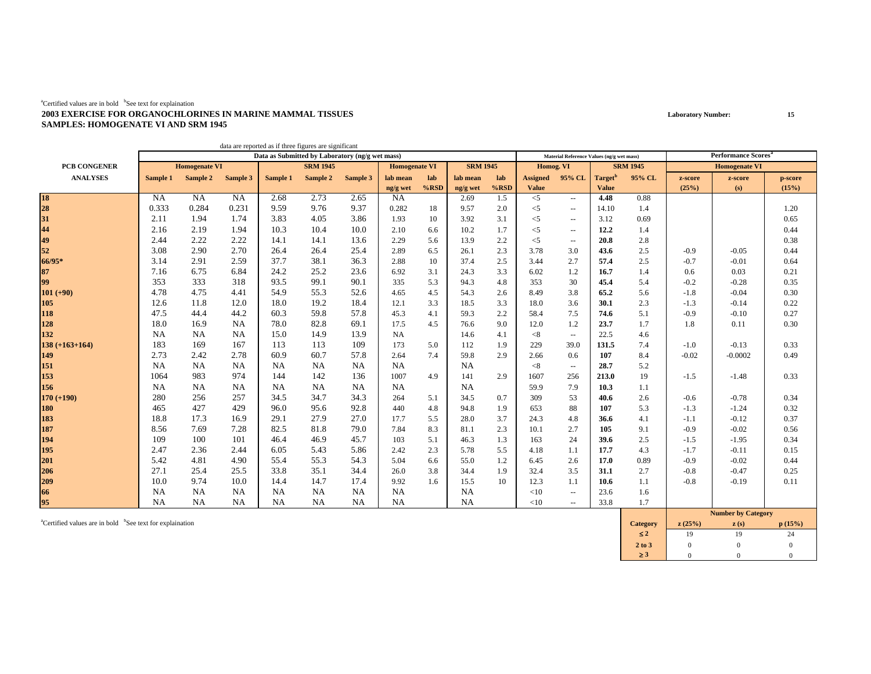|                     |           |                      |           | data are reported as if three figures are significant |                 |           |                      |         |                 |         |                 |                                           |                     |                 |         |                                       |         |
|---------------------|-----------|----------------------|-----------|-------------------------------------------------------|-----------------|-----------|----------------------|---------|-----------------|---------|-----------------|-------------------------------------------|---------------------|-----------------|---------|---------------------------------------|---------|
|                     |           |                      |           | Data as Submitted by Laboratory (ng/g wet mass)       |                 |           |                      |         |                 |         |                 | Material Reference Values (ng/g wet mass) |                     |                 |         | <b>Performance Scores<sup>a</sup></b> |         |
| <b>PCB CONGENER</b> |           | <b>Homogenate VI</b> |           |                                                       | <b>SRM 1945</b> |           | <b>Homogenate VI</b> |         | <b>SRM 1945</b> |         | Homog. VI       |                                           |                     | <b>SRM 1945</b> |         | <b>Homogenate VI</b>                  |         |
| <b>ANALYSES</b>     | Sample 1  | Sample 2             | Sample 3  | Sample 1                                              | Sample 2        | Sample 3  | lab mean             | lab     | lab mean        | lab     | <b>Assigned</b> | 95% CL                                    | Target <sup>b</sup> | 95% CL          | z-score | z-score                               | p-score |
|                     |           |                      |           |                                                       |                 |           | ng/g wet             | $%$ RSD | ng/g wet        | $%$ RSD | <b>Value</b>    |                                           | <b>Value</b>        |                 | (25%)   | (s)                                   | (15%)   |
| 18                  | NA        | NA                   | <b>NA</b> | 2.68                                                  | 2.73            | 2.65      | <b>NA</b>            |         | 2.69            | 1.5     | $<$ 5           | $\overline{\phantom{a}}$                  | 4.48                | 0.88            |         |                                       |         |
| 28                  | 0.333     | 0.284                | 0.231     | 9.59                                                  | 9.76            | 9.37      | 0.282                | 18      | 9.57            | 2.0     | $<$ 5           | $\overline{\phantom{a}}$                  | 14.10               | 1.4             |         |                                       | 1.20    |
|                     | 2.11      | 1.94                 | 1.74      | 3.83                                                  | 4.05            | 3.86      | 1.93                 | 10      | 3.92            | 3.1     | $<$ 5           | $\mathbf{u}$                              | 3.12                | 0.69            |         |                                       | 0.65    |
| 31<br>44<br>49      | 2.16      | 2.19                 | 1.94      | 10.3                                                  | 10.4            | 10.0      | 2.10                 | 6.6     | 10.2            | 1.7     | $<$ 5           | $\hspace{0.05cm} -$                       | 12.2                | 1.4             |         |                                       | 0.44    |
|                     | 2.44      | 2.22                 | 2.22      | 14.1                                                  | 14.1            | 13.6      | 2.29                 | 5.6     | 13.9            | 2.2     | $<$ 5           | $\hspace{0.05cm} -$                       | 20.8                | 2.8             |         |                                       | 0.38    |
| 52                  | 3.08      | 2.90                 | 2.70      | 26.4                                                  | 26.4            | 25.4      | 2.89                 | 6.5     | 26.1            | 2.3     | 3.78            | 3.0                                       | 43.6                | 2.5             | $-0.9$  | $-0.05$                               | 0.44    |
| 66/95*              | 3.14      | 2.91                 | 2.59      | 37.7                                                  | 38.1            | 36.3      | 2.88                 | 10      | 37.4            | 2.5     | 3.44            | 2.7                                       | 57.4                | 2.5             | $-0.7$  | $-0.01$                               | 0.64    |
| 87                  | 7.16      | 6.75                 | 6.84      | 24.2                                                  | 25.2            | 23.6      | 6.92                 | 3.1     | 24.3            | 3.3     | 6.02            | 1.2                                       | 16.7                | 1.4             | 0.6     | 0.03                                  | 0.21    |
| 99                  | 353       | 333                  | 318       | 93.5                                                  | 99.1            | 90.1      | 335                  | 5.3     | 94.3            | 4.8     | 353             | 30                                        | 45.4                | 5.4             | $-0.2$  | $-0.28$                               | 0.35    |
| $101 (+90)$         | 4.78      | 4.75                 | 4.41      | 54.9                                                  | 55.3            | 52.6      | 4.65                 | 4.5     | 54.3            | 2.6     | 8.49            | 3.8                                       | 65.2                | 5.6             | $-1.8$  | $-0.04$                               | 0.30    |
| 105                 | 12.6      | 11.8                 | 12.0      | 18.0                                                  | 19.2            | 18.4      | 12.1                 | 3.3     | 18.5            | 3.3     | 18.0            | 3.6                                       | 30.1                | 2.3             | $-1.3$  | $-0.14$                               | 0.22    |
| 118                 | 47.5      | 44.4                 | 44.2      | 60.3                                                  | 59.8            | 57.8      | 45.3                 | 4.1     | 59.3            | 2.2     | 58.4            | 7.5                                       | 74.6                | 5.1             | $-0.9$  | $-0.10$                               | 0.27    |
| 128                 | 18.0      | 16.9                 | NA        | 78.0                                                  | 82.8            | 69.1      | 17.5                 | 4.5     | 76.6            | 9.0     | 12.0            | 1.2                                       | 23.7                | 1.7             | 1.8     | 0.11                                  | 0.30    |
| 132                 | <b>NA</b> | <b>NA</b>            | NA        | 15.0                                                  | 14.9            | 13.9      | <b>NA</b>            |         | 14.6            | 4.1     | < 8             | $\mathbf{u}$                              | 22.5                | 4.6             |         |                                       |         |
| $138 (+163 + 164)$  | 183       | 169                  | 167       | 113                                                   | 113             | 109       | 173                  | 5.0     | 112             | 1.9     | 229             | 39.0                                      | 131.5               | 7.4             | $-1.0$  | $-0.13$                               | 0.33    |
| 149                 | 2.73      | 2.42                 | 2.78      | 60.9                                                  | 60.7            | 57.8      | 2.64                 | 7.4     | 59.8            | 2.9     | 2.66            | 0.6                                       | 107                 | 8.4             | $-0.02$ | $-0.0002$                             | 0.49    |
| 151                 | <b>NA</b> | <b>NA</b>            | <b>NA</b> | <b>NA</b>                                             | <b>NA</b>       | <b>NA</b> | <b>NA</b>            |         | <b>NA</b>       |         | $<$ 8           | $\mathbf{u}$                              | 28.7                | 5.2             |         |                                       |         |
| 153                 | 1064      | 983                  | 974       | 144                                                   | 142             | 136       | 1007                 | 4.9     | 141             | 2.9     | 1607            | 256                                       | 213.0               | 19              | $-1.5$  | $-1.48$                               | 0.33    |
| 156                 | <b>NA</b> | <b>NA</b>            | NA        | <b>NA</b>                                             | NA              | <b>NA</b> | <b>NA</b>            |         | NA              |         | 59.9            | 7.9                                       | 10.3                | 1.1             |         |                                       |         |
| $170 (+190)$        | 280       | 256                  | 257       | 34.5                                                  | 34.7            | 34.3      | 264                  | 5.1     | 34.5            | 0.7     | 309             | 53                                        | 40.6                | 2.6             | $-0.6$  | $-0.78$                               | 0.34    |
| 180                 | 465       | 427                  | 429       | 96.0                                                  | 95.6            | 92.8      | 440                  | 4.8     | 94.8            | 1.9     | 653             | 88                                        | 107                 | 5.3             | $-1.3$  | $-1.24$                               | 0.32    |
| 183                 | 18.8      | 17.3                 | 16.9      | 29.1                                                  | 27.9            | 27.0      | 17.7                 | 5.5     | 28.0            | 3.7     | 24.3            | 4.8                                       | 36.6                | 4.1             | $-1.1$  | $-0.12$                               | 0.37    |
| 187                 | 8.56      | 7.69                 | 7.28      | 82.5                                                  | 81.8            | 79.0      | 7.84                 | 8.3     | 81.1            | 2.3     | 10.1            | 2.7                                       | 105                 | 9.1             | $-0.9$  | $-0.02$                               | 0.56    |
| 194                 | 109       | 100                  | 101       | 46.4                                                  | 46.9            | 45.7      | 103                  | 5.1     | 46.3            | 1.3     | 163             | 24                                        | 39.6                | 2.5             | $-1.5$  | $-1.95$                               | 0.34    |
| 195                 | 2.47      | 2.36                 | 2.44      | 6.05                                                  | 5.43            | 5.86      | 2.42                 | 2.3     | 5.78            | 5.5     | 4.18            | 1.1                                       | 17.7                | 4.3             | $-1.7$  | $-0.11$                               | 0.15    |
| 201                 | 5.42      | 4.81                 | 4.90      | 55.4                                                  | 55.3            | 54.3      | 5.04                 | 6.6     | 55.0            | 1.2     | 6.45            | 2.6                                       | 17.0                | 0.89            | $-0.9$  | $-0.02$                               | 0.44    |
| 206                 | 27.1      | 25.4                 | 25.5      | 33.8                                                  | 35.1            | 34.4      | 26.0                 | 3.8     | 34.4            | 1.9     | 32.4            | 3.5                                       | 31.1                | 2.7             | $-0.8$  | $-0.47$                               | 0.25    |
| 209                 | 10.0      | 9.74                 | 10.0      | 14.4                                                  | 14.7            | 17.4      | 9.92                 | 1.6     | 15.5            | 10      | 12.3            | 1.1                                       | 10.6                | 1.1             | $-0.8$  | $-0.19$                               | 0.11    |
| 66                  | <b>NA</b> | <b>NA</b>            | NA        | <b>NA</b>                                             | <b>NA</b>       | <b>NA</b> | NA                   |         | <b>NA</b>       |         | <10             | $\overline{\phantom{a}}$                  | 23.6                | 1.6             |         |                                       |         |
| 95                  | NA        | <b>NA</b>            | <b>NA</b> | <b>NA</b>                                             | <b>NA</b>       | NA        | <b>NA</b>            |         | <b>NA</b>       |         | <10             | $\mathbf{u}$                              | 33.8                | 1.7             |         |                                       |         |

acertified values are in bold bSee text for explaination **p** (15%) **c** (15%) **c** (15%) **c** (15%) ≤ **2**2 19 19 24  $24\,$ **2 to 3**3 0 0 0 0 ≥ **3**3 0 0 0  $\overline{0}$ **Number by Category**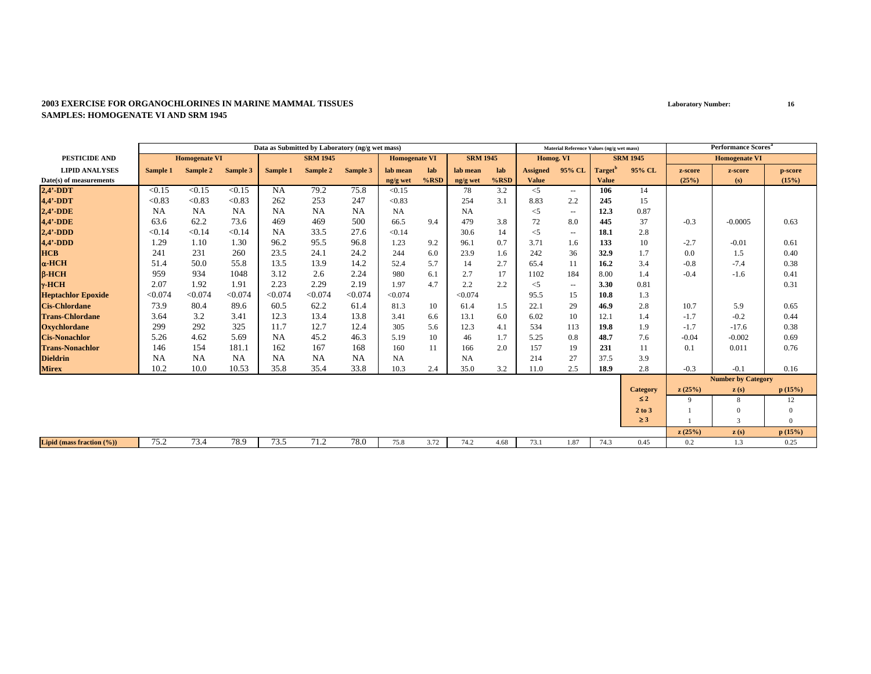|                           |           |                      |           | Data as Submitted by Laboratory (ng/g wet mass) |                 |           |                      |         |                 |         |                 | Material Reference Values (ng/g wet mass) |               |                 |         | Performance Scores <sup>a</sup> |                |
|---------------------------|-----------|----------------------|-----------|-------------------------------------------------|-----------------|-----------|----------------------|---------|-----------------|---------|-----------------|-------------------------------------------|---------------|-----------------|---------|---------------------------------|----------------|
| PESTICIDE AND             |           | <b>Homogenate VI</b> |           |                                                 | <b>SRM 1945</b> |           | <b>Homogenate VI</b> |         | <b>SRM 1945</b> |         | Homog. VI       |                                           |               | <b>SRM 1945</b> |         | <b>Homogenate VI</b>            |                |
| <b>LIPID ANALYSES</b>     | Sample 1  | Sample 2             | Sample 3  | Sample 1                                        | Sample 2        | Sample 3  | lab mean             | lab     | lab mean        | lab     | <b>Assigned</b> | 95% CL                                    | <b>Target</b> | 95% CL          | z-score | z-score                         | p-score        |
| Date(s) of measurements   |           |                      |           |                                                 |                 |           | ng/g wet             | $%$ RSD | ng/g wet        | $%$ RSD | <b>Value</b>    |                                           | <b>Value</b>  |                 | (25%)   | (s)                             | (15%)          |
| $2,4'$ -DDT               | < 0.15    | < 0.15               | < 0.15    | NA                                              | 79.2            | 75.8      | < 0.15               |         | 78              | 3.2     | $\leq$          | $\overline{a}$                            | 106           | 14              |         |                                 |                |
| $4,4'$ -DDT               | < 0.83    | < 0.83               | < 0.83    | 262                                             | 253             | 247       | < 0.83               |         | 254             | 3.1     | 8.83            | 2.2                                       | 245           | 15              |         |                                 |                |
| $2,4'$ -DDE               | <b>NA</b> | <b>NA</b>            | <b>NA</b> | <b>NA</b>                                       | <b>NA</b>       | <b>NA</b> | NA                   |         | NA              |         | $<$ 5           | $\overline{\phantom{a}}$                  | 12.3          | 0.87            |         |                                 |                |
| 4,4'-DDE                  | 63.6      | 62.2                 | 73.6      | 469                                             | 469             | 500       | 66.5                 | 9.4     | 479             | 3.8     | 72              | 8.0                                       | 445           | 37              | $-0.3$  | $-0.0005$                       | 0.63           |
| $2,4'$ -DDD               | < 0.14    | < 0.14               | < 0.14    | <b>NA</b>                                       | 33.5            | 27.6      | < 0.14               |         | 30.6            | 14      | $\leq$ 5        | $\sim$ $\sim$                             | 18.1          | 2.8             |         |                                 |                |
| $4,4'$ -DDD               | 1.29      | 1.10                 | 1.30      | 96.2                                            | 95.5            | 96.8      | 1.23                 | 9.2     | 96.1            | 0.7     | 3.71            | 1.6                                       | 133           | 10              | $-2.7$  | $-0.01$                         | 0.61           |
| <b>HCB</b>                | 241       | 231                  | 260       | 23.5                                            | 24.1            | 24.2      | 244                  | 6.0     | 23.9            | 1.6     | 242             | 36                                        | 32.9          | 1.7             | 0.0     | 1.5                             | 0.40           |
| $\alpha$ -HCH             | 51.4      | 50.0                 | 55.8      | 13.5                                            | 13.9            | 14.2      | 52.4                 | 5.7     | 14              | 2.7     | 65.4            | 11                                        | 16.2          | 3.4             | $-0.8$  | $-7.4$                          | 0.38           |
| $B-HCH$                   | 959       | 934                  | 1048      | 3.12                                            | 2.6             | 2.24      | 980                  | 6.1     | 2.7             | 17      | 1102            | 184                                       | 8.00          | 1.4             | $-0.4$  | $-1.6$                          | 0.41           |
| $\gamma$ -HCH             | 2.07      | 1.92                 | 1.91      | 2.23                                            | 2.29            | 2.19      | 1.97                 | 4.7     | 2.2             | 2.2     | $<$ 5           | $\overline{\phantom{a}}$                  | 3.30          | 0.81            |         |                                 | 0.31           |
| <b>Heptachlor Epoxide</b> | < 0.074   | < 0.074              | < 0.074   | < 0.074                                         | < 0.074         | < 0.074   | < 0.074              |         | < 0.074         |         | 95.5            | 15                                        | 10.8          | 1.3             |         |                                 |                |
| <b>Cis-Chlordane</b>      | 73.9      | 80.4                 | 89.6      | 60.5                                            | 62.2            | 61.4      | 81.3                 | 10      | 61.4            | 1.5     | 22.1            | 29                                        | 46.9          | 2.8             | 10.7    | 5.9                             | 0.65           |
| <b>Trans-Chlordane</b>    | 3.64      | 3.2                  | 3.41      | 12.3                                            | 13.4            | 13.8      | 3.41                 | 6.6     | 13.1            | 6.0     | 6.02            | 10                                        | 12.1          | 1.4             | $-1.7$  | $-0.2$                          | 0.44           |
| <b>Oxychlordane</b>       | 299       | 292                  | 325       | 11.7                                            | 12.7            | 12.4      | 305                  | 5.6     | 12.3            | 4.1     | 534             | 113                                       | 19.8          | 1.9             | $-1.7$  | $-17.6$                         | 0.38           |
| <b>Cis-Nonachlor</b>      | 5.26      | 4.62                 | 5.69      | <b>NA</b>                                       | 45.2            | 46.3      | 5.19                 | 10      | 46              | 1.7     | 5.25            | 0.8                                       | 48.7          | 7.6             | $-0.04$ | $-0.002$                        | 0.69           |
| <b>Trans-Nonachlor</b>    | 146       | 154                  | 181.1     | 162                                             | 167             | 168       | 160                  | 11      | 166             | 2.0     | 157             | 19                                        | 231           | 11              | 0.1     | 0.011                           | 0.76           |
| <b>Dieldrin</b>           | <b>NA</b> | <b>NA</b>            | <b>NA</b> | <b>NA</b>                                       | <b>NA</b>       | <b>NA</b> | <b>NA</b>            |         | <b>NA</b>       |         | 214             | 27                                        | 37.5          | 3.9             |         |                                 |                |
| <b>Mirex</b>              | 10.2      | 10.0                 | 10.53     | 35.8                                            | 35.4            | 33.8      | 10.3                 | 2.4     | 35.0            | 3.2     | 11.0            | 2.5                                       | 18.9          | 2.8             | $-0.3$  | $-0.1$                          | 0.16           |
|                           |           |                      |           |                                                 |                 |           |                      |         |                 |         |                 |                                           |               |                 |         | <b>Number by Category</b>       |                |
|                           |           |                      |           |                                                 |                 |           |                      |         |                 |         |                 |                                           |               | <b>Category</b> | z(25%)  | $\mathbf{z}(s)$                 | p(15%)         |
|                           |           |                      |           |                                                 |                 |           |                      |         |                 |         |                 |                                           |               | $\leq 2$        | 9       | 8                               | 12             |
|                           |           |                      |           |                                                 |                 |           |                      |         |                 |         |                 |                                           |               | 2 to 3          |         | $\Omega$                        | $\mathbf{0}$   |
|                           |           |                      |           |                                                 |                 |           |                      |         |                 |         |                 |                                           |               | $\geq 3$        |         | 3                               | $\overline{0}$ |
|                           |           |                      |           |                                                 |                 |           |                      |         |                 |         |                 |                                           |               |                 | z(25%)  | z(s)                            | p(15%)         |
| Lipid (mass fraction (%)) | 75.2      | 73.4                 | 78.9      | 73.5                                            | 71.2            | 78.0      | 75.8                 | 3.72    | 74.2            | 4.68    | 73.1            | 1.87                                      | 74.3          | 0.45            | 0.2     | 1.3                             | 0.25           |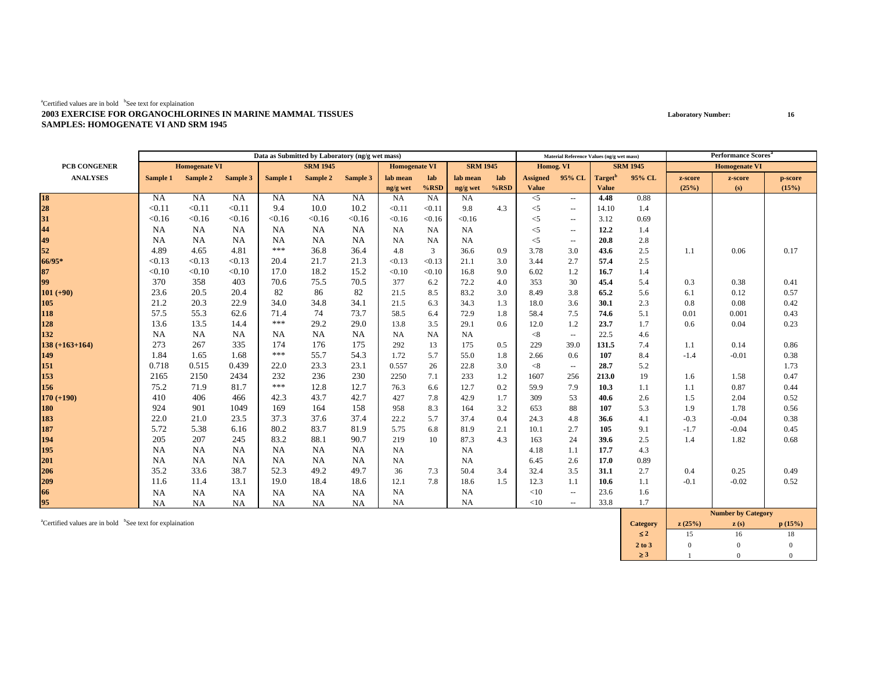|                      |           |                      |           |           | Data as Submitted by Laboratory (ng/g wet mass) |           |                      |           |                 |         |                 | Material Reference Values (ng/g wet mass) |                     |                 |         | Performance Scores <sup>a</sup> |         |
|----------------------|-----------|----------------------|-----------|-----------|-------------------------------------------------|-----------|----------------------|-----------|-----------------|---------|-----------------|-------------------------------------------|---------------------|-----------------|---------|---------------------------------|---------|
| <b>PCB CONGENER</b>  |           | <b>Homogenate VI</b> |           |           | <b>SRM 1945</b>                                 |           | <b>Homogenate VI</b> |           | <b>SRM 1945</b> |         | Homog. VI       |                                           |                     | <b>SRM 1945</b> |         | <b>Homogenate VI</b>            |         |
| <b>ANALYSES</b>      | Sample 1  | Sample 2             | Sample 3  | Sample 1  | Sample 2                                        | Sample 3  | lab mean             | lab       | lab mean        | lab     | <b>Assigned</b> | 95% CL                                    | Target <sup>"</sup> | 95% CL          | z-score | z-score                         | p-score |
|                      |           |                      |           |           |                                                 |           | ng/g wet             | $%$ RSD   | ng/g wet        | $%$ RSD | <b>Value</b>    |                                           | <b>Value</b>        |                 | (25%)   | (s)                             | (15%)   |
|                      | <b>NA</b> | <b>NA</b>            | <b>NA</b> | <b>NA</b> | NA                                              | NA        | <b>NA</b>            | NA        | <b>NA</b>       |         | $<$ 5           | $\sim$ $\sim$                             | 4.48                | 0.88            |         |                                 |         |
|                      | < 0.11    | < 0.11               | < 0.11    | 9.4       | 10.0                                            | 10.2      | < 0.11               | < 0.11    | 9.8             | 4.3     | $<$ 5           | $\sim$ $\sim$                             | 14.10               | 1.4             |         |                                 |         |
|                      | < 0.16    | < 0.16               | < 0.16    | < 0.16    | < 0.16                                          | < 0.16    | < 0.16               | < 0.16    | < 0.16          |         | $<$ 5           | $\overline{\phantom{a}}$                  | 3.12                | 0.69            |         |                                 |         |
| 18<br>28<br>31<br>44 | <b>NA</b> | NA                   | NA        | <b>NA</b> | NA                                              | <b>NA</b> | <b>NA</b>            | NA        | <b>NA</b>       |         | $<$ 5           | $\overline{\phantom{a}}$                  | 12.2                | 1.4             |         |                                 |         |
| 49                   | <b>NA</b> | NA                   | NA        | NA        | NA                                              | <b>NA</b> | <b>NA</b>            | <b>NA</b> | <b>NA</b>       |         | $<$ 5           | $\sim$ $\sim$                             | 20.8                | 2.8             |         |                                 |         |
| 52                   | 4.89      | 4.65                 | 4.81      | ***       | 36.8                                            | 36.4      | 4.8                  | 3         | 36.6            | 0.9     | 3.78            | 3.0                                       | 43.6                | 2.5             | 1.1     | 0.06                            | 0.17    |
| 66/95*               | < 0.13    | < 0.13               | < 0.13    | 20.4      | 21.7                                            | 21.3      | < 0.13               | < 0.13    | 21.1            | 3.0     | 3.44            | 2.7                                       | 57.4                | 2.5             |         |                                 |         |
| 87                   | < 0.10    | < 0.10               | < 0.10    | 17.0      | 18.2                                            | 15.2      | < 0.10               | < 0.10    | 16.8            | 9.0     | 6.02            | 1.2                                       | 16.7                | 1.4             |         |                                 |         |
| 99                   | 370       | 358                  | 403       | 70.6      | 75.5                                            | 70.5      | 377                  | 6.2       | 72.2            | 4.0     | 353             | 30                                        | 45.4                | 5.4             | 0.3     | 0.38                            | 0.41    |
| $101 (+90)$          | 23.6      | 20.5                 | 20.4      | 82        | 86                                              | 82        | 21.5                 | 8.5       | 83.2            | 3.0     | 8.49            | 3.8                                       | 65.2                | 5.6             | 6.1     | 0.12                            | 0.57    |
| 105                  | 21.2      | 20.3                 | 22.9      | 34.0      | 34.8                                            | 34.1      | 21.5                 | 6.3       | 34.3            | 1.3     | 18.0            | 3.6                                       | 30.1                | 2.3             | 0.8     | 0.08                            | 0.42    |
| 118                  | 57.5      | 55.3                 | 62.6      | 71.4      | 74                                              | 73.7      | 58.5                 | 6.4       | 72.9            | 1.8     | 58.4            | 7.5                                       | 74.6                | 5.1             | 0.01    | 0.001                           | 0.43    |
| 128                  | 13.6      | 13.5                 | 14.4      | ***       | 29.2                                            | 29.0      | 13.8                 | 3.5       | 29.1            | 0.6     | 12.0            | 1.2                                       | 23.7                | 1.7             | 0.6     | 0.04                            | 0.23    |
| 132                  | <b>NA</b> | NA                   | NA        | NA        | NA                                              | <b>NA</b> | <b>NA</b>            | <b>NA</b> | <b>NA</b>       |         | < 8             | $\overline{\phantom{a}}$                  | 22.5                | 4.6             |         |                                 |         |
| $138 (+163+164)$     | 273       | 267                  | 335       | 174       | 176                                             | 175       | 292                  | 13        | 175             | 0.5     | 229             | 39.0                                      | 131.5               | 7.4             | 1.1     | 0.14                            | 0.86    |
| 149                  | 1.84      | 1.65                 | 1.68      | ***       | 55.7                                            | 54.3      | 1.72                 | 5.7       | 55.0            | 1.8     | 2.66            | 0.6                                       | 107                 | 8.4             | $-1.4$  | $-0.01$                         | 0.38    |
| 151                  | 0.718     | 0.515                | 0.439     | 22.0      | 23.3                                            | 23.1      | 0.557                | 26        | 22.8            | 3.0     | < 8             | $\sim$                                    | 28.7                | 5.2             |         |                                 | 1.73    |
| 153                  | 2165      | 2150                 | 2434      | 232       | 236                                             | 230       | 2250                 | 7.1       | 233             | 1.2     | 1607            | 256                                       | 213.0               | 19              | 1.6     | 1.58                            | 0.47    |
| 156                  | 75.2      | 71.9                 | 81.7      | ***       | 12.8                                            | 12.7      | 76.3                 | 6.6       | 12.7            | 0.2     | 59.9            | 7.9                                       | 10.3                | 1.1             | 1.1     | 0.87                            | 0.44    |
| $170 (+190)$         | 410       | 406                  | 466       | 42.3      | 43.7                                            | 42.7      | 427                  | 7.8       | 42.9            | 1.7     | 309             | 53                                        | 40.6                | 2.6             | 1.5     | 2.04                            | 0.52    |
| 180                  | 924       | 901                  | 1049      | 169       | 164                                             | 158       | 958                  | 8.3       | 164             | 3.2     | 653             | 88                                        | 107                 | 5.3             | 1.9     | 1.78                            | 0.56    |
| 183                  | 22.0      | 21.0                 | 23.5      | 37.3      | 37.6                                            | 37.4      | 22.2                 | 5.7       | 37.4            | 0.4     | 24.3            | 4.8                                       | 36.6                | 4.1             | $-0.3$  | $-0.04$                         | 0.38    |
| 187                  | 5.72      | 5.38                 | 6.16      | 80.2      | 83.7                                            | 81.9      | 5.75                 | 6.8       | 81.9            | 2.1     | 10.1            | 2.7                                       | 105                 | 9.1             | $-1.7$  | $-0.04$                         | 0.45    |
| 194                  | 205       | 207                  | 245       | 83.2      | 88.1                                            | 90.7      | 219                  | 10        | 87.3            | 4.3     | 163             | 24                                        | 39.6                | 2.5             | 1.4     | 1.82                            | 0.68    |
| 195                  | <b>NA</b> | NA                   | NA        | <b>NA</b> | NA                                              | <b>NA</b> | <b>NA</b>            |           | NA              |         | 4.18            | 1.1                                       | 17.7                | 4.3             |         |                                 |         |
| 201                  | NA        | <b>NA</b>            | NA        | NA        | NA                                              | <b>NA</b> | <b>NA</b>            |           | <b>NA</b>       |         | 6.45            | 2.6                                       | 17.0                | 0.89            |         |                                 |         |
| 206                  | 35.2      | 33.6                 | 38.7      | 52.3      | 49.2                                            | 49.7      | 36                   | 7.3       | 50.4            | 3.4     | 32.4            | 3.5                                       | 31.1                | 2.7             | 0.4     | 0.25                            | 0.49    |
| 209                  | 11.6      | 11.4                 | 13.1      | 19.0      | 18.4                                            | 18.6      | 12.1                 | 7.8       | 18.6            | 1.5     | 12.3            | 1.1                                       | 10.6                | 1.1             | $-0.1$  | $-0.02$                         | 0.52    |
| 66                   | <b>NA</b> | NA                   | NA        | NA        | NA                                              | <b>NA</b> | <b>NA</b>            |           | <b>NA</b>       |         | <10             | $\overline{\phantom{a}}$                  | 23.6                | 1.6             |         |                                 |         |
| 95                   | <b>NA</b> | <b>NA</b>            | <b>NA</b> | <b>NA</b> | NA                                              | <b>NA</b> | <b>NA</b>            |           | <b>NA</b>       |         | <10             | $\sim$ $\sim$                             | 33.8                | 1.7             |         |                                 |         |
|                      |           |                      |           |           |                                                 |           |                      |           |                 |         |                 |                                           |                     |                 |         | Number by Cotogory              |         |

acertified values are in bold bSee text for explaination **p** (15%) **c** (15%) **c** (15%) **c** (15%) ≤ **2** 15 16 18 $18\,$ **2 to 3**3 0 0 0 0 ≥ **3**3 1 0 0  $\overline{0}$ **Dy**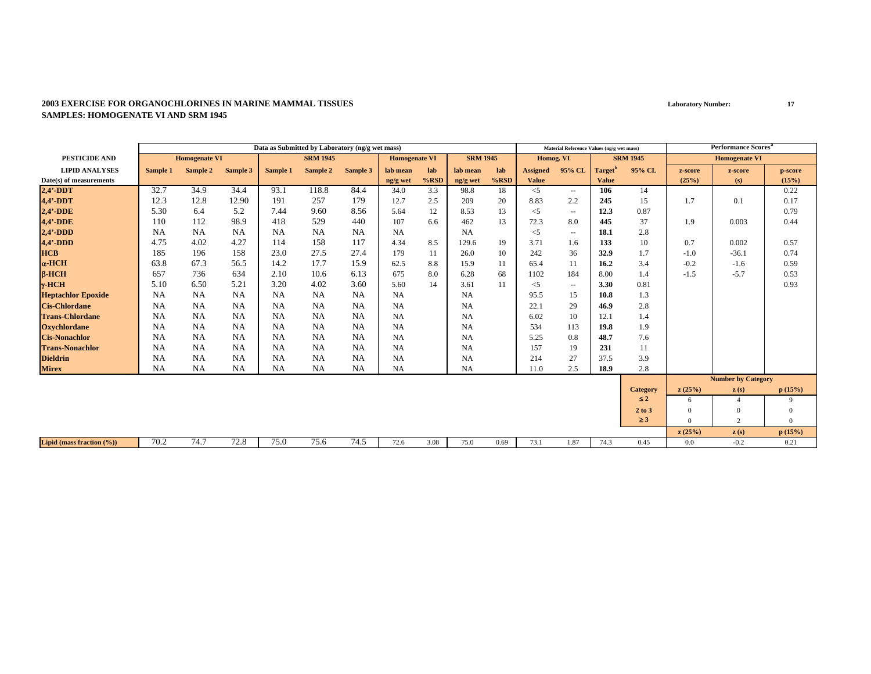|                           |           |                      |           | Data as Submitted by Laboratory (ng/g wet mass) |                 |           |                      |         |                 |      |                 | Material Reference Values (ng/g wet mass) |                     |                 |          | <b>Performance Scores</b> <sup>a</sup> |              |
|---------------------------|-----------|----------------------|-----------|-------------------------------------------------|-----------------|-----------|----------------------|---------|-----------------|------|-----------------|-------------------------------------------|---------------------|-----------------|----------|----------------------------------------|--------------|
| <b>PESTICIDE AND</b>      |           | <b>Homogenate VI</b> |           |                                                 | <b>SRM 1945</b> |           | <b>Homogenate VI</b> |         | <b>SRM 1945</b> |      | Homog. VI       |                                           |                     | <b>SRM 1945</b> |          | <b>Homogenate VI</b>                   |              |
| <b>LIPID ANALYSES</b>     | Sample 1  | Sample 2             | Sample 3  | Sample 1                                        | Sample 2        | Sample 3  | lab mean             | lab     | lab mean        | lab  | <b>Assigned</b> | 95% CL                                    | Target <sup>'</sup> | 95% CL          | z-score  | z-score                                | p-score      |
| Date(s) of measurements   |           |                      |           |                                                 |                 |           | ng/g wet             | $%$ RSD | ng/g wet        | %RSD | <b>Value</b>    |                                           | <b>Value</b>        |                 | (25%)    | (s)                                    | (15%)        |
| $2,4'$ -DDT               | 32.7      | 34.9                 | 34.4      | 93.1                                            | 118.8           | 84.4      | 34.0                 | 3.3     | 98.8            | 18   | $\leq$ 5        | $\overline{\phantom{a}}$                  | 106                 | 14              |          |                                        | 0.22         |
| 4,4'-DDT                  | 12.3      | 12.8                 | 12.90     | 191                                             | 257             | 179       | 12.7                 | 2.5     | 209             | 20   | 8.83            | 2.2                                       | 245                 | 15              | 1.7      | 0.1                                    | 0.17         |
| $2,4'$ -DDE               | 5.30      | 6.4                  | 5.2       | 7.44                                            | 9.60            | 8.56      | 5.64                 | 12      | 8.53            | 13   | $<$ 5           | $\sim$ $\sim$                             | 12.3                | 0.87            |          |                                        | 0.79         |
| $4,4'$ -DDE               | 110       | 112                  | 98.9      | 418                                             | 529             | 440       | 107                  | 6.6     | 462             | 13   | 72.3            | 8.0                                       | 445                 | 37              | 1.9      | 0.003                                  | 0.44         |
| $2.4' - DDD$              | <b>NA</b> | <b>NA</b>            | NA        | NA                                              | <b>NA</b>       | <b>NA</b> | <b>NA</b>            |         | <b>NA</b>       |      | $<$ 5           | $\sim$ $\sim$                             | 18.1                | 2.8             |          |                                        |              |
| $4,4'$ -DDD               | 4.75      | 4.02                 | 4.27      | 114                                             | 158             | 117       | 4.34                 | 8.5     | 129.6           | 19   | 3.71            | 1.6                                       | 133                 | 10              | 0.7      | 0.002                                  | 0.57         |
| <b>HCB</b>                | 185       | 196                  | 158       | 23.0                                            | 27.5            | 27.4      | 179                  | 11      | 26.0            | 10   | 242             | 36                                        | 32.9                | 1.7             | $-1.0$   | $-36.1$                                | 0.74         |
| $\alpha$ -HCH             | 63.8      | 67.3                 | 56.5      | 14.2                                            | 17.7            | 15.9      | 62.5                 | 8.8     | 15.9            | 11   | 65.4            | 11                                        | 16.2                | 3.4             | $-0.2$   | $-1.6$                                 | 0.59         |
| $B-HCH$                   | 657       | 736                  | 634       | 2.10                                            | 10.6            | 6.13      | 675                  | 8.0     | 6.28            | 68   | 1102            | 184                                       | 8.00                | 1.4             | $-1.5$   | $-5.7$                                 | 0.53         |
| $\gamma$ -HCH             | 5.10      | 6.50                 | 5.21      | 3.20                                            | 4.02            | 3.60      | 5.60                 | 14      | 3.61            | 11   | $<$ 5           | $\sim$ $\sim$                             | 3.30                | 0.81            |          |                                        | 0.93         |
| <b>Heptachlor Epoxide</b> | <b>NA</b> | <b>NA</b>            | <b>NA</b> | NA                                              | <b>NA</b>       | <b>NA</b> | <b>NA</b>            |         | NA              |      | 95.5            | 15                                        | 10.8                | 1.3             |          |                                        |              |
| <b>Cis-Chlordane</b>      | NA        | <b>NA</b>            | NA        | NA                                              | NA              | NA        | <b>NA</b>            |         | <b>NA</b>       |      | 22.1            | 29                                        | 46.9                | 2.8             |          |                                        |              |
| <b>Trans-Chlordane</b>    | <b>NA</b> | <b>NA</b>            | NA        | <b>NA</b>                                       | <b>NA</b>       | <b>NA</b> | <b>NA</b>            |         | <b>NA</b>       |      | 6.02            | 10                                        | 12.1                | 1.4             |          |                                        |              |
| <b>Oxychlordane</b>       | <b>NA</b> | <b>NA</b>            | NA        | <b>NA</b>                                       | <b>NA</b>       | <b>NA</b> | <b>NA</b>            |         | <b>NA</b>       |      | 534             | 113                                       | 19.8                | 1.9             |          |                                        |              |
| <b>Cis-Nonachlor</b>      | <b>NA</b> | <b>NA</b>            | NA        | <b>NA</b>                                       | <b>NA</b>       | <b>NA</b> | <b>NA</b>            |         | <b>NA</b>       |      | 5.25            | 0.8                                       | 48.7                | 7.6             |          |                                        |              |
| <b>Trans-Nonachlor</b>    | NA        | NA                   | NA        | NA                                              | <b>NA</b>       | <b>NA</b> | <b>NA</b>            |         | <b>NA</b>       |      | 157             | 19                                        | 231                 | 11              |          |                                        |              |
| <b>Dieldrin</b>           | <b>NA</b> | <b>NA</b>            | NA        | NA                                              | <b>NA</b>       | <b>NA</b> | <b>NA</b>            |         | <b>NA</b>       |      | 214             | 27                                        | 37.5                | 3.9             |          |                                        |              |
| <b>Mirex</b>              | <b>NA</b> | <b>NA</b>            | <b>NA</b> | <b>NA</b>                                       | NA              | <b>NA</b> | <b>NA</b>            |         | NA              |      | 11.0            | 2.5                                       | 18.9                | 2.8             |          |                                        |              |
|                           |           |                      |           |                                                 |                 |           |                      |         |                 |      |                 |                                           |                     |                 |          | <b>Number by Category</b>              |              |
|                           |           |                      |           |                                                 |                 |           |                      |         |                 |      |                 |                                           |                     | Category        | z(25%)   | $\mathbf{z}(s)$                        | p(15%)       |
|                           |           |                      |           |                                                 |                 |           |                      |         |                 |      |                 |                                           |                     | $\leq 2$        | 6        |                                        | 9            |
|                           |           |                      |           |                                                 |                 |           |                      |         |                 |      |                 |                                           |                     | 2 to 3          | $\Omega$ | $\Omega$                               | $\mathbf{0}$ |
|                           |           |                      |           |                                                 |                 |           |                      |         |                 |      |                 |                                           |                     | $\geq$ 3        | $\Omega$ | 2                                      | $\Omega$     |
|                           |           |                      |           |                                                 |                 |           |                      |         |                 |      |                 |                                           |                     |                 | z(25%)   | z(s)                                   | p(15%)       |
| Lipid (mass fraction (%)) | 70.2      | 74.7                 | 72.8      | 75.0                                            | 75.6            | 74.5      | 72.6                 | 3.08    | 75.0            | 0.69 | 73.1            | 1.87                                      | 74.3                | 0.45            | 0.0      | $-0.2$                                 | 0.21         |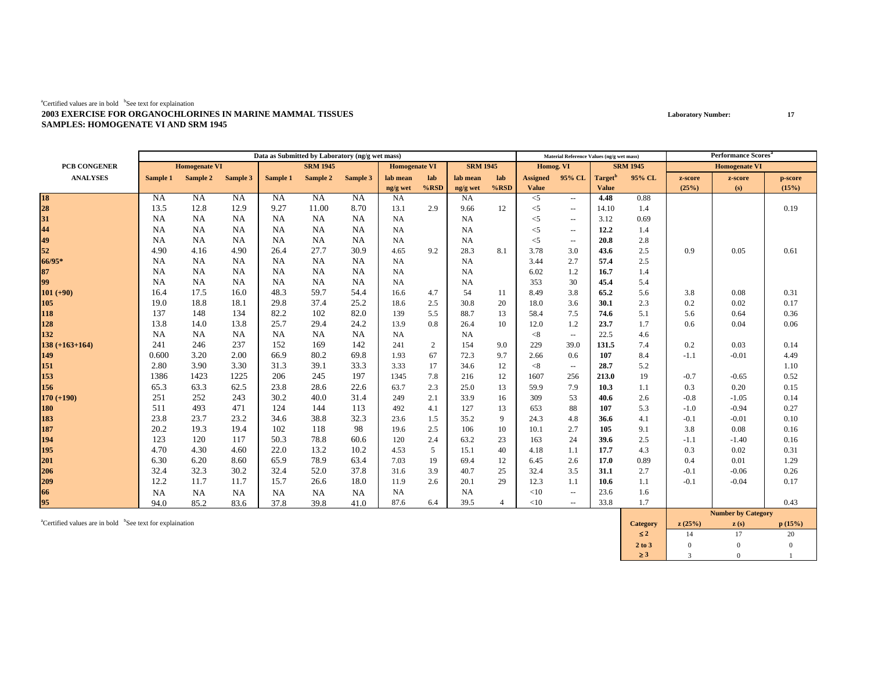|                  |           |                      |           |           | Data as Submitted by Laboratory (ng/g wet mass) |           |                      |         |                 |                |                 | Material Reference Values (ng/g wet mass) |                     |                 |         | <b>Performance Scores</b> <sup>a</sup> |         |
|------------------|-----------|----------------------|-----------|-----------|-------------------------------------------------|-----------|----------------------|---------|-----------------|----------------|-----------------|-------------------------------------------|---------------------|-----------------|---------|----------------------------------------|---------|
| PCB CONGENER     |           | <b>Homogenate VI</b> |           |           | <b>SRM 1945</b>                                 |           | <b>Homogenate VI</b> |         | <b>SRM 1945</b> |                | Homog. VI       |                                           |                     | <b>SRM 1945</b> |         | <b>Homogenate VI</b>                   |         |
| <b>ANALYSES</b>  | Sample 1  | Sample 2             | Sample 3  | Sample 1  | Sample 2                                        | Sample 3  | lab mean             | lab     | lab mean        | lab            | <b>Assigned</b> | 95% CL                                    | Target <sup>t</sup> | 95% CL          | z-score | z-score                                | p-score |
|                  |           |                      |           |           |                                                 |           | ng/g wet             | $%$ RSD | ng/g wet        | $%$ RSD        | <b>Value</b>    |                                           | <b>Value</b>        |                 | (25%)   | (s)                                    | (15%)   |
| 18<br>28<br>31   | <b>NA</b> | <b>NA</b>            | NA        | <b>NA</b> | <b>NA</b>                                       | NA        | <b>NA</b>            |         | <b>NA</b>       |                | $<$ 5           | $\sim$ $\sim$                             | 4.48                | 0.88            |         |                                        |         |
|                  | 13.5      | 12.8                 | 12.9      | 9.27      | 11.00                                           | 8.70      | 13.1                 | 2.9     | 9.66            | 12             | $\leq$          | $\sim$ $\sim$                             | 14.10               | 1.4             |         |                                        | 0.19    |
|                  | <b>NA</b> | NA                   | NA        | NA        | NA                                              | <b>NA</b> | <b>NA</b>            |         | <b>NA</b>       |                | $<$ 5           | $\sim$ $\sim$                             | 3.12                | 0.69            |         |                                        |         |
| 44               | <b>NA</b> | <b>NA</b>            | <b>NA</b> | <b>NA</b> | NA                                              | <b>NA</b> | <b>NA</b>            |         | <b>NA</b>       |                | $<$ 5           | $\overline{\phantom{a}}$                  | 12.2                | 1.4             |         |                                        |         |
| 49               | <b>NA</b> | <b>NA</b>            | NA        | <b>NA</b> | NA                                              | <b>NA</b> | <b>NA</b>            |         | <b>NA</b>       |                | $<$ 5           | $\sim$                                    | 20.8                | 2.8             |         |                                        |         |
| 52               | 4.90      | 4.16                 | 4.90      | 26.4      | 27.7                                            | 30.9      | 4.65                 | 9.2     | 28.3            | 8.1            | 3.78            | 3.0                                       | 43.6                | 2.5             | 0.9     | 0.05                                   | 0.61    |
| 66/95*           | <b>NA</b> | <b>NA</b>            | NA        | <b>NA</b> | NA                                              | <b>NA</b> | NA                   |         | <b>NA</b>       |                | 3.44            | 2.7                                       | 57.4                | 2.5             |         |                                        |         |
| 87               | <b>NA</b> | <b>NA</b>            | <b>NA</b> | <b>NA</b> | NA                                              | <b>NA</b> | <b>NA</b>            |         | <b>NA</b>       |                | 6.02            | 1.2                                       | 16.7                | 1.4             |         |                                        |         |
| 99               | <b>NA</b> | <b>NA</b>            | <b>NA</b> | <b>NA</b> | NA                                              | <b>NA</b> | <b>NA</b>            |         | <b>NA</b>       |                | 353             | 30                                        | 45.4                | 5.4             |         |                                        |         |
| $101 (+90)$      | 16.4      | 17.5                 | 16.0      | 48.3      | 59.7                                            | 54.4      | 16.6                 | 4.7     | 54              | 11             | 8.49            | 3.8                                       | 65.2                | 5.6             | 3.8     | 0.08                                   | 0.31    |
| 105              | 19.0      | 18.8                 | 18.1      | 29.8      | 37.4                                            | 25.2      | 18.6                 | 2.5     | 30.8            | 20             | 18.0            | 3.6                                       | 30.1                | 2.3             | 0.2     | 0.02                                   | 0.17    |
| 118              | 137       | 148                  | 134       | 82.2      | 102                                             | 82.0      | 139                  | 5.5     | 88.7            | 13             | 58.4            | 7.5                                       | 74.6                | 5.1             | 5.6     | 0.64                                   | 0.36    |
| 128              | 13.8      | 14.0                 | 13.8      | 25.7      | 29.4                                            | 24.2      | 13.9                 | 0.8     | 26.4            | 10             | 12.0            | 1.2                                       | 23.7                | 1.7             | 0.6     | 0.04                                   | 0.06    |
| 132              | NA        | <b>NA</b>            | <b>NA</b> | <b>NA</b> | NA                                              | <b>NA</b> | <b>NA</b>            |         | <b>NA</b>       |                | < 8             | $\overline{\phantom{a}}$                  | 22.5                | 4.6             |         |                                        |         |
| $138 (+163+164)$ | 241       | 246                  | 237       | 152       | 169                                             | 142       | 241                  | 2       | 154             | 9.0            | 229             | 39.0                                      | 131.5               | 7.4             | 0.2     | 0.03                                   | 0.14    |
| 149              | 0.600     | 3.20                 | 2.00      | 66.9      | 80.2                                            | 69.8      | 1.93                 | 67      | 72.3            | 9.7            | 2.66            | 0.6                                       | 107                 | 8.4             | $-1.1$  | $-0.01$                                | 4.49    |
| 151              | 2.80      | 3.90                 | 3.30      | 31.3      | 39.1                                            | 33.3      | 3.33                 | 17      | 34.6            | 12             | < 8             | $\sim$                                    | 28.7                | 5.2             |         |                                        | 1.10    |
| 153              | 1386      | 1423                 | 1225      | 206       | 245                                             | 197       | 1345                 | 7.8     | 216             | 12             | 1607            | 256                                       | 213.0               | 19              | $-0.7$  | $-0.65$                                | 0.52    |
| 156              | 65.3      | 63.3                 | 62.5      | 23.8      | 28.6                                            | 22.6      | 63.7                 | 2.3     | 25.0            | 13             | 59.9            | 7.9                                       | 10.3                | 1.1             | 0.3     | 0.20                                   | 0.15    |
| $170 (+190)$     | 251       | 252                  | 243       | 30.2      | 40.0                                            | 31.4      | 249                  | 2.1     | 33.9            | 16             | 309             | 53                                        | 40.6                | 2.6             | $-0.8$  | $-1.05$                                | 0.14    |
| 180              | 511       | 493                  | 471       | 124       | 144                                             | 113       | 492                  | 4.1     | 127             | 13             | 653             | 88                                        | 107                 | 5.3             | $-1.0$  | $-0.94$                                | 0.27    |
| 183              | 23.8      | 23.7                 | 23.2      | 34.6      | 38.8                                            | 32.3      | 23.6                 | 1.5     | 35.2            | 9              | 24.3            | 4.8                                       | 36.6                | 4.1             | $-0.1$  | $-0.01$                                | 0.10    |
| 187              | 20.2      | 19.3                 | 19.4      | 102       | 118                                             | 98        | 19.6                 | 2.5     | 106             | 10             | 10.1            | 2.7                                       | 105                 | 9.1             | 3.8     | 0.08                                   | 0.16    |
| 194              | 123       | 120                  | 117       | 50.3      | 78.8                                            | 60.6      | 120                  | 2.4     | 63.2            | 23             | 163             | 24                                        | 39.6                | 2.5             | $-1.1$  | $-1.40$                                | 0.16    |
| 195              | 4.70      | 4.30                 | 4.60      | 22.0      | 13.2                                            | 10.2      | 4.53                 | 5       | 15.1            | 40             | 4.18            | 1.1                                       | 17.7                | 4.3             | 0.3     | 0.02                                   | 0.31    |
| 201              | 6.30      | 6.20                 | 8.60      | 65.9      | 78.9                                            | 63.4      | 7.03                 | 19      | 69.4            | 12             | 6.45            | 2.6                                       | 17.0                | 0.89            | 0.4     | 0.01                                   | 1.29    |
| 206              | 32.4      | 32.3                 | 30.2      | 32.4      | 52.0                                            | 37.8      | 31.6                 | 3.9     | 40.7            | 25             | 32.4            | 3.5                                       | 31.1                | 2.7             | $-0.1$  | $-0.06$                                | 0.26    |
| 209              | 12.2      | 11.7                 | 11.7      | 15.7      | 26.6                                            | 18.0      | 11.9                 | 2.6     | 20.1            | 29             | 12.3            | 1.1                                       | 10.6                | 1.1             | $-0.1$  | $-0.04$                                | 0.17    |
| 66               | <b>NA</b> | <b>NA</b>            | NA        | <b>NA</b> | NA                                              | <b>NA</b> | <b>NA</b>            |         | <b>NA</b>       |                | <10             | $\overline{\phantom{a}}$                  | 23.6                | 1.6             |         |                                        |         |
| 95               | 94.0      | 85.2                 | 83.6      | 37.8      | 39.8                                            | 41.0      | 87.6                 | 6.4     | 39.5            | $\overline{4}$ | <10             | $\sim$                                    | 33.8                | 1.7             |         |                                        | 0.43    |
|                  |           |                      |           |           |                                                 |           |                      |         |                 |                |                 |                                           |                     |                 |         | Number by Category                     |         |

acertified values are in bold bSee text for explaination **p** (15%) **c** (15%) **c** (15%) **c** (15%) ≤ **2**2 14 17 20  $20\,$ **2 to 3**3 0 0 0 0 ≥ **3**3 0 1 **Dy**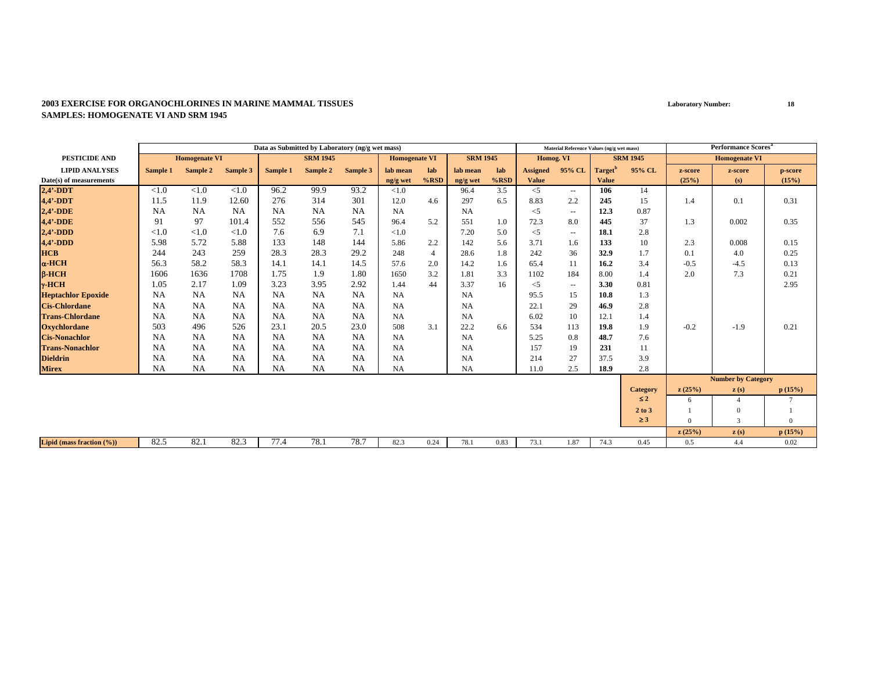|                               |           |                      |           |           | Data as Submitted by Laboratory (ng/g wet mass)<br><b>SRM 1945</b> |           |                      |                |                 |         |                 | Material Reference Values (ng/g wet mass) |                     |                 |          | <b>Performance Scores</b> <sup>a</sup> |          |
|-------------------------------|-----------|----------------------|-----------|-----------|--------------------------------------------------------------------|-----------|----------------------|----------------|-----------------|---------|-----------------|-------------------------------------------|---------------------|-----------------|----------|----------------------------------------|----------|
| PESTICIDE AND                 |           | <b>Homogenate VI</b> |           |           |                                                                    |           | <b>Homogenate VI</b> |                | <b>SRM 1945</b> |         | Homog. VI       |                                           |                     | <b>SRM 1945</b> |          | <b>Homogenate VI</b>                   |          |
| <b>LIPID ANALYSES</b>         | Sample 1  | Sample 2             | Sample 3  | Sample 1  | Sample 2                                                           | Sample 3  | lab mean             | lab            | lab mean        | lab     | <b>Assigned</b> | 95% CL                                    | Target <sup>'</sup> | 95% CL          | z-score  | z-score                                | p-score  |
| Date(s) of measurements       |           |                      |           |           |                                                                    |           | ng/g wet             | $%$ RSD        | ng/g wet        | $%$ RSD | <b>Value</b>    |                                           | <b>Value</b>        |                 | (25%)    | (s)                                    | (15%)    |
| $2,4'$ -DDT                   | ${<}1.0$  | < 1.0                | < 1.0     | 96.2      | 99.9                                                               | 93.2      | < 1.0                |                | 96.4            | 3.5     | $<$ 5           | $\sim$ $\sim$                             | 106                 | 14              |          |                                        |          |
| 4,4'-DDT                      | 11.5      | 11.9                 | 12.60     | 276       | 314                                                                | 301       | 12.0                 | 4.6            | 297             | 6.5     | 8.83            | 2.2                                       | 245                 | 15              | 1.4      | 0.1                                    | 0.31     |
| $2,4'$ -DDE                   | <b>NA</b> | <b>NA</b>            | <b>NA</b> | <b>NA</b> | NA                                                                 | <b>NA</b> | <b>NA</b>            |                | <b>NA</b>       |         | $<$ 5           | $\overline{\phantom{a}}$                  | 12.3                | 0.87            |          |                                        |          |
| 4,4'-DDE                      | 91        | 97                   | 101.4     | 552       | 556                                                                | 545       | 96.4                 | 5.2            | 551             | 1.0     | 72.3            | 8.0                                       | 445                 | 37              | 1.3      | 0.002                                  | 0.35     |
| $2,4'$ -DDD                   | ${<}1.0$  | ${<}1.0$             | < 1.0     | 7.6       | 6.9                                                                | 7.1       | < 1.0                |                | 7.20            | 5.0     | $<$ 5           | $\overline{\phantom{a}}$                  | 18.1                | 2.8             |          |                                        |          |
| $4,4'$ -DDD                   | 5.98      | 5.72                 | 5.88      | 133       | 148                                                                | 144       | 5.86                 | 2.2            | 142             | 5.6     | 3.71            | 1.6                                       | 133                 | 10              | 2.3      | 0.008                                  | 0.15     |
| <b>HCB</b>                    | 244       | 243                  | 259       | 28.3      | 28.3                                                               | 29.2      | 248                  | $\overline{4}$ | 28.6            | 1.8     | 242             | 36                                        | 32.9                | 1.7             | 0.1      | 4.0                                    | 0.25     |
| $\alpha$ -HCH                 | 56.3      | 58.2                 | 58.3      | 14.1      | 14.1                                                               | 14.5      | 57.6                 | 2.0            | 14.2            | 1.6     | 65.4            | 11                                        | 16.2                | 3.4             | $-0.5$   | $-4.5$                                 | 0.13     |
| $B-HCH$                       | 1606      | 1636                 | 1708      | 1.75      | 1.9                                                                | 1.80      | 1650                 | 3.2            | 1.81            | 3.3     | 1102            | 184                                       | 8.00                | 1.4             | 2.0      | 7.3                                    | 0.21     |
| $v$ -HCH                      | 1.05      | 2.17                 | 1.09      | 3.23      | 3.95                                                               | 2.92      | 1.44                 | 44             | 3.37            | 16      | $<$ 5           | $\sim$ $\sim$                             | 3.30                | 0.81            |          |                                        | 2.95     |
| <b>Heptachlor Epoxide</b>     | <b>NA</b> | <b>NA</b>            | <b>NA</b> | <b>NA</b> | NA                                                                 | <b>NA</b> | <b>NA</b>            |                | <b>NA</b>       |         | 95.5            | 15                                        | 10.8                | 1.3             |          |                                        |          |
| <b>Cis-Chlordane</b>          | <b>NA</b> | <b>NA</b>            | <b>NA</b> | <b>NA</b> | <b>NA</b>                                                          | <b>NA</b> | <b>NA</b>            |                | <b>NA</b>       |         | 22.1            | 29                                        | 46.9                | 2.8             |          |                                        |          |
| <b>Trans-Chlordane</b>        | <b>NA</b> | <b>NA</b>            | <b>NA</b> | NA        | NA                                                                 | <b>NA</b> | <b>NA</b>            |                | <b>NA</b>       |         | 6.02            | 10                                        | 12.1                | 1.4             |          |                                        |          |
| <b>Oxychlordane</b>           | 503       | 496                  | 526       | 23.1      | 20.5                                                               | 23.0      | 508                  | 3.1            | 22.2            | 6.6     | 534             | 113                                       | 19.8                | 1.9             | $-0.2$   | $-1.9$                                 | 0.21     |
| <b>Cis-Nonachlor</b>          | <b>NA</b> | <b>NA</b>            | <b>NA</b> | <b>NA</b> | NA                                                                 | <b>NA</b> | <b>NA</b>            |                | NA              |         | 5.25            | 0.8                                       | 48.7                | 7.6             |          |                                        |          |
| <b>Trans-Nonachlor</b>        | <b>NA</b> | <b>NA</b>            | <b>NA</b> | NA        | <b>NA</b>                                                          | <b>NA</b> | <b>NA</b>            |                | NA              |         | 157             | 19                                        | 231                 | 11              |          |                                        |          |
| <b>Dieldrin</b>               | <b>NA</b> | <b>NA</b>            | <b>NA</b> | <b>NA</b> | NA                                                                 | <b>NA</b> | <b>NA</b>            |                | <b>NA</b>       |         | 214             | 27                                        | 37.5                | 3.9             |          |                                        |          |
| <b>Mirex</b>                  | <b>NA</b> | <b>NA</b>            | <b>NA</b> | NA        | NA                                                                 | <b>NA</b> | <b>NA</b>            |                | <b>NA</b>       |         | 11.0            | 2.5                                       | 18.9                | 2.8             |          |                                        |          |
|                               |           |                      |           |           |                                                                    |           |                      |                |                 |         |                 |                                           |                     |                 |          | <b>Number by Category</b>              |          |
|                               |           |                      |           |           |                                                                    |           |                      |                |                 |         |                 |                                           |                     | Category        | z(25%)   | $\mathbf{z}(s)$                        | p(15%)   |
|                               |           |                      |           |           |                                                                    |           |                      |                |                 |         |                 |                                           |                     | $\leq 2$        | 6        |                                        |          |
|                               |           |                      |           |           |                                                                    |           |                      |                |                 |         |                 |                                           |                     | 2 to 3          |          | $\Omega$                               |          |
|                               |           |                      |           |           |                                                                    |           |                      |                |                 |         |                 |                                           |                     | $\geq$ 3        | $\Omega$ | 3                                      | $\Omega$ |
|                               |           |                      |           |           |                                                                    |           |                      |                |                 |         |                 |                                           |                     |                 | z(25%)   | z(s)                                   | p(15%)   |
| Lipid (mass fraction $(\%)$ ) | 82.5      | 82.1                 | 82.3      | 77.4      | 78.1                                                               | 78.7      | 82.3                 | 0.24           | 78.1            | 0.83    | 73.1            | 1.87                                      | 74.3                | 0.45            | 0.5      | 4.4                                    | 0.02     |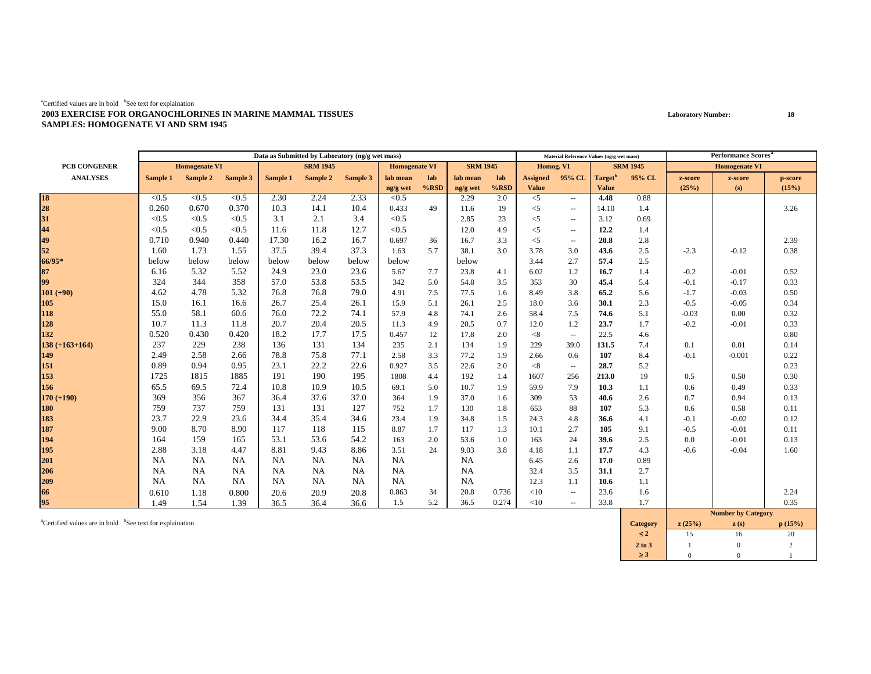|                    |           |                      |           |           | Data as Submitted by Laboratory (ng/g wet mass) |           |                      |         |                 |         |                 | Material Reference Values (ng/g wet mass) |                     |                 |         | Performance Scores <sup>a</sup> |         |
|--------------------|-----------|----------------------|-----------|-----------|-------------------------------------------------|-----------|----------------------|---------|-----------------|---------|-----------------|-------------------------------------------|---------------------|-----------------|---------|---------------------------------|---------|
| PCB CONGENER       |           | <b>Homogenate VI</b> |           |           | <b>SRM 1945</b>                                 |           | <b>Homogenate VI</b> |         | <b>SRM 1945</b> |         | Homog. VI       |                                           |                     | <b>SRM 1945</b> |         | <b>Homogenate VI</b>            |         |
| <b>ANALYSES</b>    | Sample 1  | Sample 2             | Sample 3  | Sample 1  | Sample 2                                        | Sample 3  | lab mean             | lab     | lab mean        | lab     | <b>Assigned</b> | 95% CL                                    | Target <sup>"</sup> | 95% CL          | z-score | z-score                         | p-score |
|                    |           |                      |           |           |                                                 |           | ng/g wet             | $%$ RSD | ng/g wet        | $%$ RSD | <b>Value</b>    |                                           | <b>Value</b>        |                 | (25%)   | (s)                             | (15%)   |
| 18<br>28           | < 0.5     | < 0.5                | < 0.5     | 2.30      | 2.24                                            | 2.33      | < 0.5                |         | 2.29            | 2.0     | $<$ 5           | $\sim$ $\sim$                             | 4.48                | 0.88            |         |                                 |         |
|                    | 0.260     | 0.670                | 0.370     | 10.3      | 14.1                                            | 10.4      | 0.433                | 49      | 11.6            | -19     | $<$ 5           | $\sim$ $\sim$                             | 14.10               | 1.4             |         |                                 | 3.26    |
| 31                 | < 0.5     | < 0.5                | < 0.5     | 3.1       | 2.1                                             | 3.4       | < 0.5                |         | 2.85            | 23      | $<$ 5           | $\sim$                                    | 3.12                | 0.69            |         |                                 |         |
| 44                 | < 0.5     | < 0.5                | < 0.5     | 11.6      | 11.8                                            | 12.7      | < 0.5                |         | 12.0            | 4.9     | $<$ 5           | $\sim$                                    | 12.2                | 1.4             |         |                                 |         |
| 49                 | 0.710     | 0.940                | 0.440     | 17.30     | 16.2                                            | 16.7      | 0.697                | 36      | 16.7            | 3.3     | $<$ 5           | $\sim$                                    | 20.8                | 2.8             |         |                                 | 2.39    |
| 52                 | 1.60      | 1.73                 | 1.55      | 37.5      | 39.4                                            | 37.3      | 1.63                 | 5.7     | 38.1            | 3.0     | 3.78            | 3.0                                       | 43.6                | 2.5             | $-2.3$  | $-0.12$                         | 0.38    |
| 66/95*             | below     | below                | below     | below     | below                                           | below     | below                |         | below           |         | 3.44            | 2.7                                       | 57.4                | 2.5             |         |                                 |         |
| 87                 | 6.16      | 5.32                 | 5.52      | 24.9      | 23.0                                            | 23.6      | 5.67                 | 7.7     | 23.8            | 4.1     | 6.02            | 1.2                                       | 16.7                | 1.4             | $-0.2$  | $-0.01$                         | 0.52    |
| 99                 | 324       | 344                  | 358       | 57.0      | 53.8                                            | 53.5      | 342                  | 5.0     | 54.8            | 3.5     | 353             | 30                                        | 45.4                | 5.4             | $-0.1$  | $-0.17$                         | 0.33    |
| $101 (+90)$        | 4.62      | 4.78                 | 5.32      | 76.8      | 76.8                                            | 79.0      | 4.91                 | 7.5     | 77.5            | 1.6     | 8.49            | 3.8                                       | 65.2                | 5.6             | $-1.7$  | $-0.03$                         | 0.50    |
| 105                | 15.0      | 16.1                 | 16.6      | 26.7      | 25.4                                            | 26.1      | 15.9                 | 5.1     | 26.1            | 2.5     | 18.0            | 3.6                                       | 30.1                | 2.3             | $-0.5$  | $-0.05$                         | 0.34    |
| 118                | 55.0      | 58.1                 | 60.6      | 76.0      | 72.2                                            | 74.1      | 57.9                 | 4.8     | 74.1            | 2.6     | 58.4            | 7.5                                       | 74.6                | 5.1             | $-0.03$ | 0.00                            | 0.32    |
| 128                | 10.7      | 11.3                 | 11.8      | 20.7      | 20.4                                            | 20.5      | 11.3                 | 4.9     | 20.5            | 0.7     | 12.0            | 1.2                                       | 23.7                | 1.7             | $-0.2$  | $-0.01$                         | 0.33    |
| 132                | 0.520     | 0.430                | 0.420     | 18.2      | 17.7                                            | 17.5      | 0.457                | 12      | 17.8            | 2.0     | < 8             | $\sim$                                    | 22.5                | 4.6             |         |                                 | 0.80    |
| $138 (+163 + 164)$ | 237       | 229                  | 238       | 136       | 131                                             | 134       | 235                  | 2.1     | 134             | 1.9     | 229             | 39.0                                      | 131.5               | 7.4             | 0.1     | 0.01                            | 0.14    |
| 149                | 2.49      | 2.58                 | 2.66      | 78.8      | 75.8                                            | 77.1      | 2.58                 | 3.3     | 77.2            | 1.9     | 2.66            | 0.6                                       | 107                 | 8.4             | $-0.1$  | $-0.001$                        | 0.22    |
| 151                | 0.89      | 0.94                 | 0.95      | 23.1      | 22.2                                            | 22.6      | 0.927                | 3.5     | 22.6            | 2.0     | < 8             | $\sim$ $\sim$                             | 28.7                | 5.2             |         |                                 | 0.23    |
| 153                | 1725      | 1815                 | 1885      | 191       | 190                                             | 195       | 1808                 | 4.4     | 192             | 1.4     | 1607            | 256                                       | 213.0               | 19              | 0.5     | 0.50                            | 0.30    |
| 156                | 65.5      | 69.5                 | 72.4      | 10.8      | 10.9                                            | 10.5      | 69.1                 | 5.0     | 10.7            | 1.9     | 59.9            | 7.9                                       | 10.3                | 1.1             | 0.6     | 0.49                            | 0.33    |
| $170 (+190)$       | 369       | 356                  | 367       | 36.4      | 37.6                                            | 37.0      | 364                  | 1.9     | 37.0            | 1.6     | 309             | 53                                        | 40.6                | 2.6             | 0.7     | 0.94                            | 0.13    |
| 180                | 759       | 737                  | 759       | 131       | 131                                             | 127       | 752                  | 1.7     | 130             | 1.8     | 653             | 88                                        | 107                 | 5.3             | 0.6     | 0.58                            | 0.11    |
| 183                | 23.7      | 22.9                 | 23.6      | 34.4      | 35.4                                            | 34.6      | 23.4                 | 1.9     | 34.8            | 1.5     | 24.3            | 4.8                                       | 36.6                | 4.1             | $-0.1$  | $-0.02$                         | 0.12    |
| 187                | 9.00      | 8.70                 | 8.90      | 117       | 118                                             | 115       | 8.87                 | 1.7     | 117             | 1.3     | 10.1            | 2.7                                       | 105                 | 9.1             | $-0.5$  | $-0.01$                         | 0.11    |
| 194                | 164       | 159                  | 165       | 53.1      | 53.6                                            | 54.2      | 163                  | 2.0     | 53.6            | 1.0     | 163             | 24                                        | 39.6                | 2.5             | 0.0     | $-0.01$                         | 0.13    |
| 195                | 2.88      | 3.18                 | 4.47      | 8.81      | 9.43                                            | 8.86      | 3.51                 | 24      | 9.03            | 3.8     | 4.18            | 1.1                                       | 17.7                | 4.3             | $-0.6$  | $-0.04$                         | 1.60    |
| 201                | <b>NA</b> | NA                   | <b>NA</b> | NA        | NA                                              | <b>NA</b> | <b>NA</b>            |         | <b>NA</b>       |         | 6.45            | 2.6                                       | 17.0                | 0.89            |         |                                 |         |
| 206                | <b>NA</b> | NA                   | NA        | <b>NA</b> | NA                                              | <b>NA</b> | <b>NA</b>            |         | <b>NA</b>       |         | 32.4            | 3.5                                       | 31.1                | 2.7             |         |                                 |         |
| 209                | <b>NA</b> | NA                   | NA        | NA        | NA                                              | <b>NA</b> | <b>NA</b>            |         | <b>NA</b>       |         | 12.3            | 1.1                                       | 10.6                | 1.1             |         |                                 |         |
| 66                 | 0.610     | 1.18                 | 0.800     | 20.6      | 20.9                                            | 20.8      | 0.863                | 34      | 20.8            | 0.736   | <10             | $\overline{\phantom{a}}$                  | 23.6                | 1.6             |         |                                 | 2.24    |
| 95                 | 1.49      | 1.54                 | 1.39      | 36.5      | 36.4                                            | 36.6      | 1.5                  | 5.2     | 36.5            | 0.274   | <10             | $\sim$ $\sim$                             | 33.8                | 1.7             |         |                                 | 0.35    |
|                    |           |                      |           |           |                                                 |           |                      |         |                 |         |                 |                                           |                     |                 |         | <b>Number by Category</b>       |         |

acertified values are in bold bSee text for explaination **p** (15%) **c** (15%) **c** (15%) **c** (15%) ≤ **2**2 15 16 20  $20\,$ **2 to 3**3 1 1 0 2 ≥ **3**3 0 0 1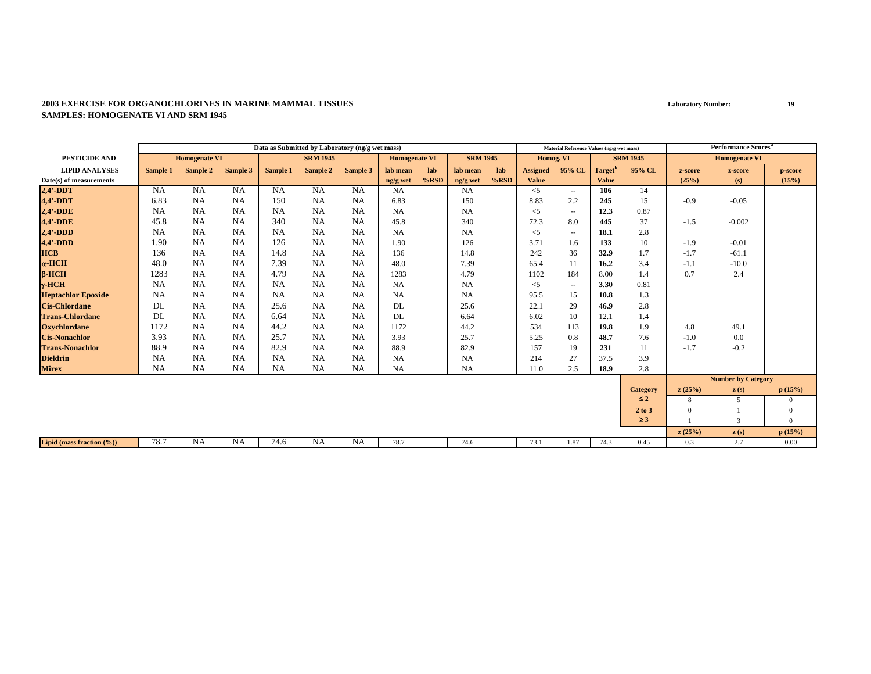|                               |           |                      |           |           | Data as Submitted by Laboratory (ng/g wet mass) |           |                      |         |                 |      |                 | Material Reference Values (ng/g wet mass) |                     |                 |          | <b>Performance Scores<sup>a</sup></b> |                |
|-------------------------------|-----------|----------------------|-----------|-----------|-------------------------------------------------|-----------|----------------------|---------|-----------------|------|-----------------|-------------------------------------------|---------------------|-----------------|----------|---------------------------------------|----------------|
| <b>PESTICIDE AND</b>          |           | <b>Homogenate VI</b> |           |           | <b>SRM 1945</b>                                 |           | <b>Homogenate VI</b> |         | <b>SRM 1945</b> |      | Homog. VI       |                                           |                     | <b>SRM 1945</b> |          | <b>Homogenate VI</b>                  |                |
| <b>LIPID ANALYSES</b>         | Sample 1  | Sample 2             | Sample 3  | Sample 1  | Sample 2                                        | Sample 3  | lab mean             | lab     | lab mean        | lab  | <b>Assigned</b> | 95% CL                                    | Target <sup>'</sup> | 95% CL          | z-score  | z-score                               | p-score        |
| Date(s) of measurements       |           |                      |           |           |                                                 |           | ng/g wet             | $%$ RSD | ng/g wet        | %RSD | <b>Value</b>    |                                           | <b>Value</b>        |                 | (25%)    | (s)                                   | (15%)          |
| $2,4'$ -DDT                   | <b>NA</b> | <b>NA</b>            | <b>NA</b> | <b>NA</b> | NA                                              | <b>NA</b> | <b>NA</b>            |         | NA              |      | $<$ 5           | $\sim$ $-$                                | 106                 | 14              |          |                                       |                |
| 4,4'-DDT                      | 6.83      | <b>NA</b>            | <b>NA</b> | 150       | NA                                              | <b>NA</b> | 6.83                 |         | 150             |      | 8.83            | 2.2                                       | 245                 | 15              | $-0.9$   | $-0.05$                               |                |
| $2,4'$ -DDE                   | <b>NA</b> | <b>NA</b>            | <b>NA</b> | <b>NA</b> | <b>NA</b>                                       | <b>NA</b> | <b>NA</b>            |         | NA              |      | $<$ 5           | $\sim$ $\sim$                             | 12.3                | 0.87            |          |                                       |                |
| 4,4'-DDE                      | 45.8      | <b>NA</b>            | NA        | 340       | <b>NA</b>                                       | <b>NA</b> | 45.8                 |         | 340             |      | 72.3            | 8.0                                       | 445                 | 37              | $-1.5$   | $-0.002$                              |                |
| $2,4'$ -DDD                   | NA        | <b>NA</b>            | NA        | <b>NA</b> | NA                                              | <b>NA</b> | <b>NA</b>            |         | NA              |      | $<$ 5           | $\sim$ $\sim$                             | 18.1                | 2.8             |          |                                       |                |
| $4,4'$ -DDD                   | 1.90      | <b>NA</b>            | <b>NA</b> | 126       | NA                                              | <b>NA</b> | 1.90                 |         | 126             |      | 3.71            | 1.6                                       | 133                 | 10              | $-1.9$   | $-0.01$                               |                |
| <b>HCB</b>                    | 136       | <b>NA</b>            | <b>NA</b> | 14.8      | <b>NA</b>                                       | <b>NA</b> | 136                  |         | 14.8            |      | 242             | 36                                        | 32.9                | 1.7             | $-1.7$   | $-61.1$                               |                |
| $\alpha$ -HCH                 | 48.0      | <b>NA</b>            | <b>NA</b> | 7.39      | <b>NA</b>                                       | <b>NA</b> | 48.0                 |         | 7.39            |      | 65.4            | 11                                        | 16.2                | 3.4             | $-1.1$   | $-10.0$                               |                |
| $B-HCH$                       | 1283      | <b>NA</b>            | <b>NA</b> | 4.79      | <b>NA</b>                                       | <b>NA</b> | 1283                 |         | 4.79            |      | 1102            | 184                                       | 8.00                | 1.4             | 0.7      | 2.4                                   |                |
| $\gamma$ -HCH                 | <b>NA</b> | <b>NA</b>            | NA        | <b>NA</b> | <b>NA</b>                                       | <b>NA</b> | <b>NA</b>            |         | NA              |      | $<$ 5           | $\sim$ $\sim$                             | 3.30                | 0.81            |          |                                       |                |
| <b>Heptachlor Epoxide</b>     | <b>NA</b> | <b>NA</b>            | NA        | <b>NA</b> | <b>NA</b>                                       | <b>NA</b> | <b>NA</b>            |         | NA              |      | 95.5            | 15                                        | 10.8                | 1.3             |          |                                       |                |
| <b>Cis-Chlordane</b>          | DL        | <b>NA</b>            | NA        | 25.6      | <b>NA</b>                                       | <b>NA</b> | DL                   |         | 25.6            |      | 22.1            | 29                                        | 46.9                | 2.8             |          |                                       |                |
| <b>Trans-Chlordane</b>        | DL        | <b>NA</b>            | NA        | 6.64      | <b>NA</b>                                       | <b>NA</b> | DL                   |         | 6.64            |      | 6.02            | 10                                        | 12.1                | 1.4             |          |                                       |                |
| <b>Oxychlordane</b>           | 1172      | <b>NA</b>            | <b>NA</b> | 44.2      | <b>NA</b>                                       | <b>NA</b> | 1172                 |         | 44.2            |      | 534             | 113                                       | 19.8                | 1.9             | 4.8      | 49.1                                  |                |
| <b>Cis-Nonachlor</b>          | 3.93      | <b>NA</b>            | NA        | 25.7      | <b>NA</b>                                       | <b>NA</b> | 3.93                 |         | 25.7            |      | 5.25            | 0.8                                       | 48.7                | 7.6             | $-1.0$   | 0.0                                   |                |
| <b>Trans-Nonachlor</b>        | 88.9      | <b>NA</b>            | NA        | 82.9      | NA                                              | <b>NA</b> | 88.9                 |         | 82.9            |      | 157             | 19                                        | 231                 | 11              | $-1.7$   | $-0.2$                                |                |
| <b>Dieldrin</b>               | <b>NA</b> | <b>NA</b>            | NA        | <b>NA</b> | <b>NA</b>                                       | <b>NA</b> | <b>NA</b>            |         | NA              |      | 214             | 27                                        | 37.5                | 3.9             |          |                                       |                |
| <b>Mirex</b>                  | NA        | <b>NA</b>            | <b>NA</b> | <b>NA</b> | NA                                              | <b>NA</b> | <b>NA</b>            |         | NA              |      | 11.0            | 2.5                                       | 18.9                | 2.8             |          |                                       |                |
|                               |           |                      |           |           |                                                 |           |                      |         |                 |      |                 |                                           |                     |                 |          | <b>Number by Category</b>             |                |
|                               |           |                      |           |           |                                                 |           |                      |         |                 |      |                 |                                           |                     | <b>Category</b> | z(25%)   | $\mathbf{z}(s)$                       | p(15%)         |
|                               |           |                      |           |           |                                                 |           |                      |         |                 |      |                 |                                           |                     | $\leq 2$        | 8        | 5                                     | $\mathbf{0}$   |
|                               |           |                      |           |           |                                                 |           |                      |         |                 |      |                 |                                           |                     | 2 to 3          | $\Omega$ |                                       | $\mathbf{0}$   |
|                               |           |                      |           |           |                                                 |           |                      |         |                 |      |                 |                                           |                     | $\geq 3$        |          | 3                                     | $\overline{0}$ |
|                               |           |                      |           |           |                                                 |           |                      |         |                 |      |                 |                                           |                     |                 | z(25%)   | z(s)                                  | p(15%)         |
| Lipid (mass fraction $(\%)$ ) | 78.7      | <b>NA</b>            | NA        | 74.6      | <b>NA</b>                                       | <b>NA</b> | 78.7                 |         | 74.6            |      | 73.1            | 1.87                                      | 74.3                | 0.45            | 0.3      | 2.7                                   | 0.00           |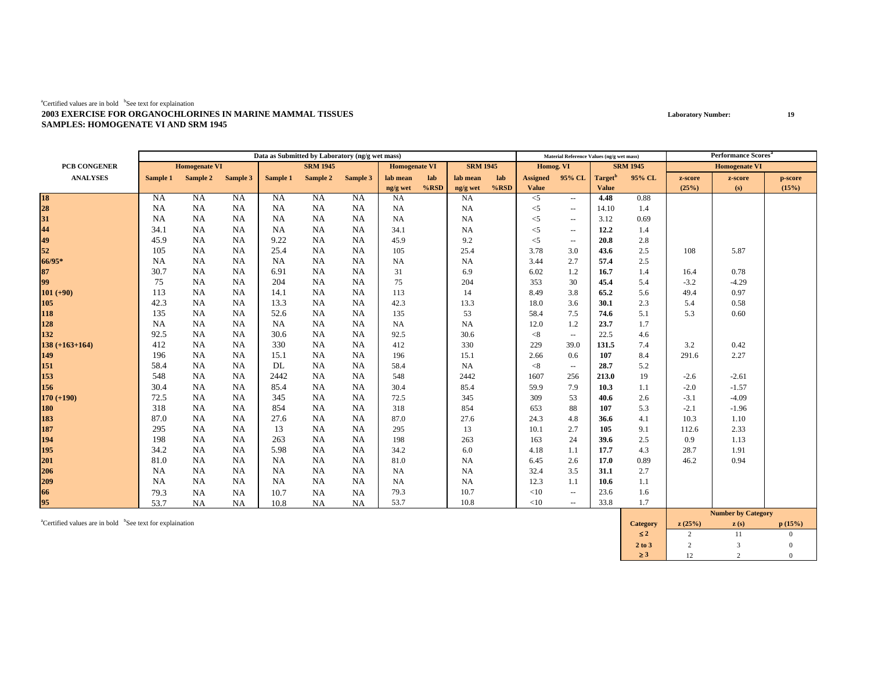|                       |           |                      |           |           | Data as Submitted by Laboratory (ng/g wet mass) |           |                      |         |                 |      |                 | Material Reference Values (ng/g wet mass) |                     |                 |         | <b>Performance Scores</b> <sup>a</sup> |         |
|-----------------------|-----------|----------------------|-----------|-----------|-------------------------------------------------|-----------|----------------------|---------|-----------------|------|-----------------|-------------------------------------------|---------------------|-----------------|---------|----------------------------------------|---------|
| PCB CONGENER          |           | <b>Homogenate VI</b> |           |           | <b>SRM 1945</b>                                 |           | <b>Homogenate VI</b> |         | <b>SRM 1945</b> |      | Homog. VI       |                                           |                     | <b>SRM 1945</b> |         | <b>Homogenate VI</b>                   |         |
| <b>ANALYSES</b>       | Sample 1  | Sample 2             | Sample 3  | Sample 1  | Sample 2                                        | Sample 3  | lab mean             | lab     | lab mean        | lab  | <b>Assigned</b> | 95% CL                                    | Target <sup>b</sup> | 95% CL          | z-score | z-score                                | p-score |
|                       |           |                      |           |           |                                                 |           | ng/g wet             | $%$ RSD | ng/g wet        | %RSD | <b>Value</b>    |                                           | <b>Value</b>        |                 | (25%)   | (s)                                    | (15%)   |
| 18<br>28<br>31        | <b>NA</b> | <b>NA</b>            | <b>NA</b> | <b>NA</b> | NA                                              | <b>NA</b> | <b>NA</b>            |         | <b>NA</b>       |      | $<$ 5           | $\sim$ $\sim$                             | 4.48                | 0.88            |         |                                        |         |
|                       | <b>NA</b> | <b>NA</b>            | <b>NA</b> | <b>NA</b> | <b>NA</b>                                       | <b>NA</b> | <b>NA</b>            |         | <b>NA</b>       |      | $<$ 5           | $\sim$                                    | 14.10               | 1.4             |         |                                        |         |
|                       | <b>NA</b> | NA                   | NA        | NA        | NA                                              | <b>NA</b> | <b>NA</b>            |         | <b>NA</b>       |      | $<$ 5           | $\overline{\phantom{a}}$                  | 3.12                | 0.69            |         |                                        |         |
| $\frac{44}{49}$<br>52 | 34.1      | NA                   | <b>NA</b> | <b>NA</b> | NA                                              | <b>NA</b> | 34.1                 |         | NA              |      | $<$ 5           | $\overline{\phantom{a}}$                  | 12.2                | 1.4             |         |                                        |         |
|                       | 45.9      | <b>NA</b>            | <b>NA</b> | 9.22      | NA                                              | <b>NA</b> | 45.9                 |         | 9.2             |      | $<$ 5           | $\overline{\phantom{a}}$                  | 20.8                | 2.8             |         |                                        |         |
|                       | 105       | NA                   | <b>NA</b> | 25.4      | NA                                              | <b>NA</b> | 105                  |         | 25.4            |      | 3.78            | 3.0                                       | 43.6                | 2.5             | 108     | 5.87                                   |         |
| 66/95*                | <b>NA</b> | <b>NA</b>            | NA        | <b>NA</b> | NA                                              | NA        | NA                   |         | NA              |      | 3.44            | 2.7                                       | 57.4                | 2.5             |         |                                        |         |
| 87                    | 30.7      | <b>NA</b>            | <b>NA</b> | 6.91      | NA                                              | <b>NA</b> | 31                   |         | 6.9             |      | 6.02            | 1.2                                       | 16.7                | 1.4             | 16.4    | 0.78                                   |         |
| 99                    | 75        | <b>NA</b>            | <b>NA</b> | 204       | NA                                              | <b>NA</b> | 75                   |         | 204             |      | 353             | 30                                        | 45.4                | 5.4             | $-3.2$  | $-4.29$                                |         |
| $101 (+90)$           | 113       | <b>NA</b>            | <b>NA</b> | 14.1      | NA                                              | NA        | 113                  |         | 14              |      | 8.49            | 3.8                                       | 65.2                | 5.6             | 49.4    | 0.97                                   |         |
|                       | 42.3      | <b>NA</b>            | NA        | 13.3      | NA                                              | <b>NA</b> | 42.3                 |         | 13.3            |      | 18.0            | 3.6                                       | 30.1                | 2.3             | 5.4     | 0.58                                   |         |
| 105<br>118<br>128     | 135       | <b>NA</b>            | <b>NA</b> | 52.6      | NA                                              | <b>NA</b> | 135                  |         | 53              |      | 58.4            | 7.5                                       | 74.6                | 5.1             | 5.3     | 0.60                                   |         |
|                       | <b>NA</b> | <b>NA</b>            | <b>NA</b> | <b>NA</b> | NA                                              | <b>NA</b> | <b>NA</b>            |         | NA              |      | 12.0            | 1.2                                       | 23.7                | 1.7             |         |                                        |         |
| 132                   | 92.5      | NA                   | <b>NA</b> | 30.6      | NA                                              | <b>NA</b> | 92.5                 |         | 30.6            |      | < 8             | $\overline{\phantom{a}}$                  | 22.5                | 4.6             |         |                                        |         |
| $138 (+163+164)$      | 412       | NA                   | NA        | 330       | NA                                              | NA        | 412                  |         | 330             |      | 229             | 39.0                                      | 131.5               | 7.4             | 3.2     | 0.42                                   |         |
| 149                   | 196       | NA                   | <b>NA</b> | 15.1      | NA                                              | <b>NA</b> | 196                  |         | 15.1            |      | 2.66            | 0.6                                       | 107                 | 8.4             | 291.6   | 2.27                                   |         |
| 151                   | 58.4      | <b>NA</b>            | <b>NA</b> | DL        | NA                                              | NA        | 58.4                 |         | NA              |      | < 8             | $\sim$                                    | 28.7                | 5.2             |         |                                        |         |
| 153                   | 548       | <b>NA</b>            | <b>NA</b> | 2442      | NA                                              | <b>NA</b> | 548                  |         | 2442            |      | 1607            | 256                                       | 213.0               | 19              | $-2.6$  | $-2.61$                                |         |
| 156                   | 30.4      | NA                   | NA        | 85.4      | NA                                              | <b>NA</b> | 30.4                 |         | 85.4            |      | 59.9            | 7.9                                       | 10.3                | 1.1             | $-2.0$  | $-1.57$                                |         |
| $170 (+190)$          | 72.5      | <b>NA</b>            | NA        | 345       | NA                                              | <b>NA</b> | 72.5                 |         | 345             |      | 309             | 53                                        | 40.6                | 2.6             | $-3.1$  | $-4.09$                                |         |
| <b>180</b>            | 318       | NA                   | <b>NA</b> | 854       | NA                                              | <b>NA</b> | 318                  |         | 854             |      | 653             | 88                                        | 107                 | 5.3             | $-2.1$  | $-1.96$                                |         |
| 183<br>187            | 87.0      | <b>NA</b>            | NA        | 27.6      | NA                                              | <b>NA</b> | 87.0                 |         | 27.6            |      | 24.3            | 4.8                                       | 36.6                | 4.1             | 10.3    | 1.10                                   |         |
|                       | 295       | NA                   | <b>NA</b> | 13        | NA                                              | <b>NA</b> | 295                  |         | 13              |      | 10.1            | 2.7                                       | 105                 | 9.1             | 112.6   | 2.33                                   |         |
| 194                   | 198       | <b>NA</b>            | <b>NA</b> | 263       | NA                                              | <b>NA</b> | 198                  |         | 263             |      | 163             | 24                                        | 39.6                | 2.5             | 0.9     | 1.13                                   |         |
| 195                   | 34.2      | NA                   | <b>NA</b> | 5.98      | NA                                              | <b>NA</b> | 34.2                 |         | 6.0             |      | 4.18            | 1.1                                       | 17.7                | 4.3             | 28.7    | 1.91                                   |         |
| 201                   | 81.0      | NA                   | NA        | NA        | NA                                              | <b>NA</b> | 81.0                 |         | <b>NA</b>       |      | 6.45            | 2.6                                       | 17.0                | 0.89            | 46.2    | 0.94                                   |         |
|                       | <b>NA</b> | <b>NA</b>            | <b>NA</b> | <b>NA</b> | NA                                              | <b>NA</b> | <b>NA</b>            |         | NA              |      | 32.4            | 3.5                                       | 31.1                | 2.7             |         |                                        |         |
| 206<br>209<br>66      | <b>NA</b> | <b>NA</b>            | NA        | <b>NA</b> | NA                                              | <b>NA</b> | <b>NA</b>            |         | NA              |      | 12.3            | 1.1                                       | 10.6                | 1.1             |         |                                        |         |
|                       | 79.3      | NA                   | NA        | 10.7      | NA                                              | <b>NA</b> | 79.3                 |         | 10.7            |      | <10             | $\sim$                                    | 23.6                | 1.6             |         |                                        |         |
| 95                    | 53.7      | <b>NA</b>            | NA        | 10.8      | NA                                              | <b>NA</b> | 53.7                 |         | 10.8            |      | <10             | $\sim$ $\sim$                             | 33.8                | 1.7             |         |                                        |         |
|                       |           |                      |           |           |                                                 |           |                      |         |                 |      |                 |                                           |                     |                 |         | <b>Number by Category</b>              |         |

acertified values are in bold <sup>b</sup>See text for explaination **p** (15%) **category z** (25%) **z** (s) **p** (15%) ≤ **2**2 11 0  $\overline{0}$ **2 to 33** 1 2 3 0 ≥ **33** 12 2 0  $\mathbf{0}$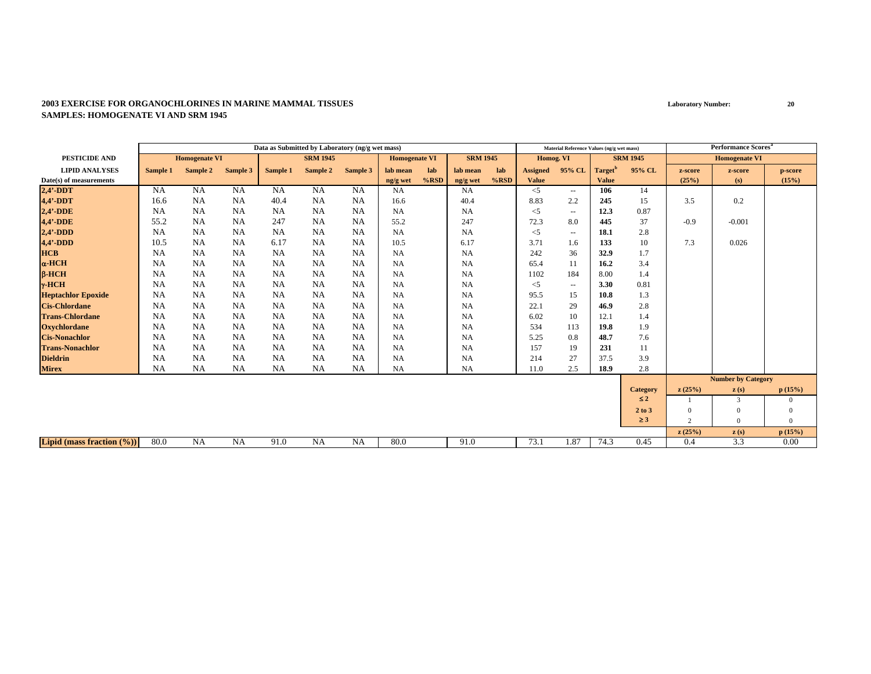|                               |           |                      |           |           | Data as Submitted by Laboratory (ng/g wet mass) |           |                      |         |                 |      |                 | Material Reference Values (ng/g wet mass) |                     |                 |          | <b>Performance Scores<sup>a</sup></b> |                |
|-------------------------------|-----------|----------------------|-----------|-----------|-------------------------------------------------|-----------|----------------------|---------|-----------------|------|-----------------|-------------------------------------------|---------------------|-----------------|----------|---------------------------------------|----------------|
| <b>PESTICIDE AND</b>          |           | <b>Homogenate VI</b> |           |           | <b>SRM 1945</b>                                 |           | <b>Homogenate VI</b> |         | <b>SRM 1945</b> |      | Homog. VI       |                                           |                     | <b>SRM 1945</b> |          | <b>Homogenate VI</b>                  |                |
| <b>LIPID ANALYSES</b>         | Sample 1  | Sample 2             | Sample 3  | Sample 1  | Sample 2                                        | Sample 3  | lab mean             | lab     | lab mean        | lab  | <b>Assigned</b> | 95% CL                                    | Target <sup>'</sup> | 95% CL          | z-score  | z-score                               | p-score        |
| Date(s) of measurements       |           |                      |           |           |                                                 |           | ng/g wet             | $%$ RSD | ng/g wet        | %RSD | <b>Value</b>    |                                           | <b>Value</b>        |                 | (25%)    | (s)                                   | (15%)          |
| $2,4'$ -DDT                   | <b>NA</b> | <b>NA</b>            | <b>NA</b> | NA        | NA                                              | <b>NA</b> | <b>NA</b>            |         | NA              |      | $<$ 5           | $\sim$ $-$                                | 106                 | 14              |          |                                       |                |
| 4,4'-DDT                      | 16.6      | <b>NA</b>            | <b>NA</b> | 40.4      | NA                                              | <b>NA</b> | 16.6                 |         | 40.4            |      | 8.83            | 2.2                                       | 245                 | 15              | 3.5      | 0.2                                   |                |
| $2,4'$ -DDE                   | <b>NA</b> | <b>NA</b>            | <b>NA</b> | <b>NA</b> | NA                                              | <b>NA</b> | <b>NA</b>            |         | NA              |      | $<$ 5           | $\sim$ $\sim$                             | 12.3                | 0.87            |          |                                       |                |
| 4,4'-DDE                      | 55.2      | <b>NA</b>            | NA        | 247       | <b>NA</b>                                       | <b>NA</b> | 55.2                 |         | 247             |      | 72.3            | 8.0                                       | 445                 | 37              | $-0.9$   | $-0.001$                              |                |
| $2,4'$ -DDD                   | <b>NA</b> | NA                   | NA        | <b>NA</b> | NA                                              | <b>NA</b> | <b>NA</b>            |         | NA              |      | $<$ 5           | $\sim$ $\sim$                             | 18.1                | 2.8             |          |                                       |                |
| $4.4'$ -DDD                   | 10.5      | <b>NA</b>            | <b>NA</b> | 6.17      | NA                                              | <b>NA</b> | 10.5                 |         | 6.17            |      | 3.71            | 1.6                                       | 133                 | 10              | 7.3      | 0.026                                 |                |
| <b>HCB</b>                    | <b>NA</b> | <b>NA</b>            | NA        | <b>NA</b> | <b>NA</b>                                       | <b>NA</b> | <b>NA</b>            |         | <b>NA</b>       |      | 242             | 36                                        | 32.9                | 1.7             |          |                                       |                |
| $\alpha$ -HCH                 | <b>NA</b> | <b>NA</b>            | <b>NA</b> | <b>NA</b> | <b>NA</b>                                       | <b>NA</b> | <b>NA</b>            |         | <b>NA</b>       |      | 65.4            | 11                                        | 16.2                | 3.4             |          |                                       |                |
| $\beta$ -HCH                  | <b>NA</b> | <b>NA</b>            | NA        | <b>NA</b> | <b>NA</b>                                       | <b>NA</b> | <b>NA</b>            |         | <b>NA</b>       |      | 1102            | 184                                       | 8.00                | 1.4             |          |                                       |                |
| $\gamma$ -HCH                 | <b>NA</b> | <b>NA</b>            | <b>NA</b> | <b>NA</b> | <b>NA</b>                                       | <b>NA</b> | <b>NA</b>            |         | NA              |      | $<$ 5           | $\sim$ $\sim$                             | 3.30                | 0.81            |          |                                       |                |
| <b>Heptachlor Epoxide</b>     | <b>NA</b> | <b>NA</b>            | NA        | <b>NA</b> | <b>NA</b>                                       | <b>NA</b> | <b>NA</b>            |         | <b>NA</b>       |      | 95.5            | 15                                        | 10.8                | 1.3             |          |                                       |                |
| <b>Cis-Chlordane</b>          | <b>NA</b> | <b>NA</b>            | NA        | <b>NA</b> | <b>NA</b>                                       | <b>NA</b> | <b>NA</b>            |         | NA              |      | 22.1            | 29                                        | 46.9                | 2.8             |          |                                       |                |
| <b>Trans-Chlordane</b>        | NA        | <b>NA</b>            | <b>NA</b> | <b>NA</b> | <b>NA</b>                                       | <b>NA</b> | <b>NA</b>            |         | NA              |      | 6.02            | 10                                        | 12.1                | 1.4             |          |                                       |                |
| <b>Oxychlordane</b>           | <b>NA</b> | <b>NA</b>            | NA        | <b>NA</b> | <b>NA</b>                                       | <b>NA</b> | <b>NA</b>            |         | <b>NA</b>       |      | 534             | 113                                       | 19.8                | 1.9             |          |                                       |                |
| <b>Cis-Nonachlor</b>          | <b>NA</b> | <b>NA</b>            | NA        | <b>NA</b> | <b>NA</b>                                       | <b>NA</b> | <b>NA</b>            |         | <b>NA</b>       |      | 5.25            | 0.8                                       | 48.7                | 7.6             |          |                                       |                |
| <b>Trans-Nonachlor</b>        | NA        | <b>NA</b>            | NA        | NA        | NA                                              | NA        | <b>NA</b>            |         | NA              |      | 157             | 19                                        | 231                 | 11              |          |                                       |                |
| <b>Dieldrin</b>               | <b>NA</b> | <b>NA</b>            | NA        | <b>NA</b> | <b>NA</b>                                       | NA        | <b>NA</b>            |         | <b>NA</b>       |      | 214             | 27                                        | 37.5                | 3.9             |          |                                       |                |
| <b>Mirex</b>                  | NA        | <b>NA</b>            | NA        | NA        | NA                                              | <b>NA</b> | <b>NA</b>            |         | NA              |      | 11.0            | 2.5                                       | 18.9                | 2.8             |          |                                       |                |
|                               |           |                      |           |           |                                                 |           |                      |         |                 |      |                 |                                           |                     |                 |          | <b>Number by Category</b>             |                |
|                               |           |                      |           |           |                                                 |           |                      |         |                 |      |                 |                                           |                     | <b>Category</b> | z(25%)   | $\mathbf{z}(s)$                       | p(15%)         |
|                               |           |                      |           |           |                                                 |           |                      |         |                 |      |                 |                                           |                     | $\leq 2$        |          | 3                                     | $\mathbf{0}$   |
|                               |           |                      |           |           |                                                 |           |                      |         |                 |      |                 |                                           |                     | 2 to 3          | $\Omega$ | $\Omega$                              | $\mathbf{0}$   |
|                               |           |                      |           |           |                                                 |           |                      |         |                 |      |                 |                                           |                     | $\geq$ 3        | 2        | $\mathbf{0}$                          | $\overline{0}$ |
|                               |           |                      |           |           |                                                 |           |                      |         |                 |      |                 |                                           |                     |                 | z(25%)   | z(s)                                  | p(15%)         |
| Lipid (mass fraction $(\%)$ ) | 80.0      | NA                   | <b>NA</b> | 91.0      | <b>NA</b>                                       | <b>NA</b> | 80.0                 |         | 91.0            |      | 73.1            | 1.87                                      | 74.3                | 0.45            | 0.4      | 3.3                                   | 0.00           |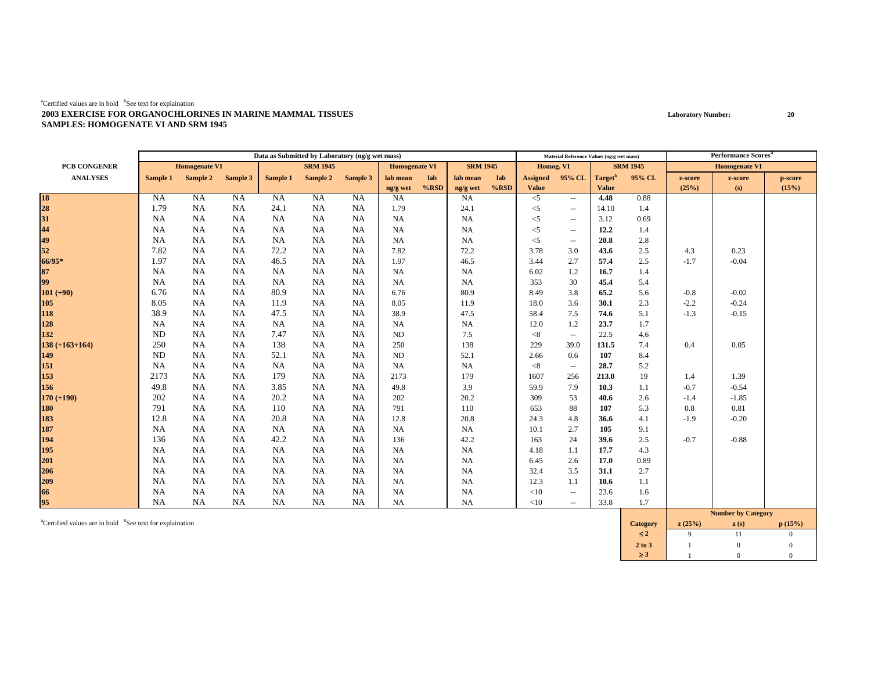|                                     |           |                      |          |           | Data as Submitted by Laboratory (ng/g wet mass) |           |                      |         |                 |         |                 | Material Reference Values (ng/g wet mass) |                     |                 |         | Performance Scores <sup>®</sup> |         |
|-------------------------------------|-----------|----------------------|----------|-----------|-------------------------------------------------|-----------|----------------------|---------|-----------------|---------|-----------------|-------------------------------------------|---------------------|-----------------|---------|---------------------------------|---------|
| PCB CONGENER                        |           | <b>Homogenate VI</b> |          |           | <b>SRM 1945</b>                                 |           | <b>Homogenate VI</b> |         | <b>SRM 1945</b> |         | Homog. VI       |                                           |                     | <b>SRM 1945</b> |         | <b>Homogenate VI</b>            |         |
| <b>ANALYSES</b>                     | Sample 1  | Sample 2             | Sample 3 | Sample 1  | Sample 2                                        | Sample 3  | lab mean             | lab     | lab mean        | lab     | <b>Assigned</b> | 95% CL                                    | Target <sup>b</sup> | 95% CL          | z-score | z-score                         | p-score |
|                                     |           |                      |          |           |                                                 |           | ng/g wet             | $%$ RSD | ng/g wet        | $%$ RSD | Value           |                                           | <b>Value</b>        |                 | (25%)   | (s)                             | (15%)   |
| 18<br>28<br>31<br>44<br>49<br>52    | <b>NA</b> | <b>NA</b>            | NA       | <b>NA</b> | NA                                              | <b>NA</b> | <b>NA</b>            |         | <b>NA</b>       |         | $<$ 5           | $\sim$                                    | 4.48                | 0.88            |         |                                 |         |
|                                     | 1.79      | <b>NA</b>            | NA       | 24.1      | NA                                              | NA        | 1.79                 |         | 24.1            |         | $<$ 5           | $\overline{\phantom{a}}$                  | 14.10               | 1.4             |         |                                 |         |
|                                     | <b>NA</b> | NA                   | NA       | NA        | NA                                              | NA        | <b>NA</b>            |         | <b>NA</b>       |         | $<$ 5           | $\sim$                                    | 3.12                | 0.69            |         |                                 |         |
|                                     | <b>NA</b> | <b>NA</b>            | NA       | <b>NA</b> | NA                                              | <b>NA</b> | <b>NA</b>            |         | <b>NA</b>       |         | $<$ 5           | $\overline{\phantom{a}}$                  | 12.2                | 1.4             |         |                                 |         |
|                                     | <b>NA</b> | <b>NA</b>            | NA       | <b>NA</b> | NA                                              | NA        | <b>NA</b>            |         | NA              |         | $<$ 5           | $\overline{\phantom{a}}$                  | 20.8                | 2.8             |         |                                 |         |
|                                     | 7.82      | <b>NA</b>            | NA       | 72.2      | NA                                              | <b>NA</b> | 7.82                 |         | 72.2            |         | 3.78            | 3.0                                       | 43.6                | 2.5             | 4.3     | 0.23                            |         |
| $66/95*$                            | 1.97      | <b>NA</b>            | NA       | 46.5      | NA                                              | <b>NA</b> | 1.97                 |         | 46.5            |         | 3.44            | 2.7                                       | 57.4                | 2.5             | $-1.7$  | $-0.04$                         |         |
| 87<br>99                            | <b>NA</b> | NA                   | NA       | NA        | NA                                              | NA        | <b>NA</b>            |         | NA              |         | 6.02            | 1.2                                       | 16.7                | 1.4             |         |                                 |         |
|                                     | <b>NA</b> | <b>NA</b>            | NA       | <b>NA</b> | NA                                              | <b>NA</b> | <b>NA</b>            |         | NA              |         | 353             | 30                                        | 45.4                | 5.4             |         |                                 |         |
| $101 (+90)$                         | 6.76      | <b>NA</b>            | NA       | 80.9      | NA                                              | <b>NA</b> | 6.76                 |         | 80.9            |         | 8.49            | 3.8                                       | 65.2                | 5.6             | $-0.8$  | $-0.02$                         |         |
| 105                                 | 8.05      | NA                   | NA       | 11.9      | NA                                              | <b>NA</b> | 8.05                 |         | 11.9            |         | 18.0            | 3.6                                       | 30.1                | 2.3             | $-2.2$  | $-0.24$                         |         |
| 118                                 | 38.9      | NA                   | NA       | 47.5      | NA                                              | <b>NA</b> | 38.9                 |         | 47.5            |         | 58.4            | 7.5                                       | 74.6                | 5.1             | $-1.3$  | $-0.15$                         |         |
| 128                                 | <b>NA</b> | NA                   | NA       | NA        | NA                                              | <b>NA</b> | <b>NA</b>            |         | <b>NA</b>       |         | 12.0            | 1.2                                       | 23.7                | 1.7             |         |                                 |         |
| 132                                 | <b>ND</b> | NA                   | NA       | 7.47      | NA                                              | NA        | <b>ND</b>            |         | 7.5             |         | < 8             | $\overline{\phantom{a}}$                  | 22.5                | 4.6             |         |                                 |         |
| $138 (+163+164)$                    | 250       | NA                   | NA       | 138       | NA                                              | NA        | 250                  |         | 138             |         | 229             | 39.0                                      | 131.5               | 7.4             | 0.4     | 0.05                            |         |
| 149                                 | <b>ND</b> | NA                   | NA       | 52.1      | NA                                              | NA        | ND                   |         | 52.1            |         | 2.66            | 0.6                                       | 107                 | 8.4             |         |                                 |         |
| 151                                 | <b>NA</b> | NA                   | NA       | NA        | NA                                              | <b>NA</b> | <b>NA</b>            |         | NA              |         | < 8             | $\overline{\phantom{a}}$                  | 28.7                | 5.2             |         |                                 |         |
| 153                                 | 2173      | <b>NA</b>            | NA       | 179       | NA                                              | <b>NA</b> | 2173                 |         | 179             |         | 1607            | 256                                       | 213.0               | 19              | 1.4     | 1.39                            |         |
| 156                                 | 49.8      | <b>NA</b>            | NA       | 3.85      | NA                                              | NA        | 49.8                 |         | 3.9             |         | 59.9            | 7.9                                       | 10.3                | 1.1             | $-0.7$  | $-0.54$                         |         |
| $170 (+190)$                        | 202       | <b>NA</b>            | NA       | 20.2      | NA                                              | <b>NA</b> | 202                  |         | 20.2            |         | 309             | 53                                        | 40.6                | 2.6             | $-1.4$  | $-1.85$                         |         |
| 180                                 | 791       | <b>NA</b>            | NA       | 110       | NA                                              | NA        | 791                  |         | 110             |         | 653             | 88                                        | 107                 | 5.3             | 0.8     | 0.81                            |         |
| 183                                 | 12.8      | NA                   | NA       | 20.8      | NA                                              | NA        | 12.8                 |         | 20.8            |         | 24.3            | 4.8                                       | 36.6                | 4.1             | $-1.9$  | $-0.20$                         |         |
| 187<br>194<br>195                   | <b>NA</b> | <b>NA</b>            | NA       | <b>NA</b> | NA                                              | <b>NA</b> | <b>NA</b>            |         | NA              |         | 10.1            | 2.7                                       | 105                 | 9.1             |         |                                 |         |
|                                     | 136       | <b>NA</b>            | NA       | 42.2      | NA                                              | NA        | 136                  |         | 42.2            |         | 163             | 24                                        | 39.6                | 2.5             | $-0.7$  | $-0.88$                         |         |
|                                     | <b>NA</b> | <b>NA</b>            | NA       | NA        | NA                                              | NA        | <b>NA</b>            |         | NA              |         | 4.18            | 1.1                                       | 17.7                | 4.3             |         |                                 |         |
|                                     | <b>NA</b> | NA                   | NA       | NA        | NA                                              | <b>NA</b> | <b>NA</b>            |         | NA              |         | 6.45            | 2.6                                       | 17.0                | 0.89            |         |                                 |         |
|                                     | NA        | <b>NA</b>            | NA       | <b>NA</b> | NA                                              | NA        | <b>NA</b>            |         | NA              |         | 32.4            | 3.5                                       | 31.1                | 2.7             |         |                                 |         |
| 201<br>206<br>209<br>66<br>66<br>95 | NA        | NA                   | NA       | NA        | NA                                              | NA        | <b>NA</b>            |         | <b>NA</b>       |         | 12.3            | 1.1                                       | 10.6                | 1.1             |         |                                 |         |
|                                     | <b>NA</b> | NA                   | NA       | NA        | NA                                              | NA        | <b>NA</b>            |         | <b>NA</b>       |         | <10             | $\overline{\phantom{a}}$                  | 23.6                | 1.6             |         |                                 |         |
|                                     | <b>NA</b> | <b>NA</b>            | NA       | <b>NA</b> | NA                                              | <b>NA</b> | NA                   |         | NA              |         | <10             | $\overline{\phantom{a}}$                  | 33.8                | 1.7             |         |                                 |         |
|                                     |           |                      |          |           |                                                 |           |                      |         |                 |         |                 |                                           |                     |                 |         | <b>Number by Category</b>       |         |

acertified values are in bold bSee text for explaination **p** (15%) **c** (15%) **c** (15%) **c** (15%) ≤ **2** 9 11 0 $\overline{0}$ **2 to 3**3 1 0 0 ≥ **3**3 1 0 0  $\overline{0}$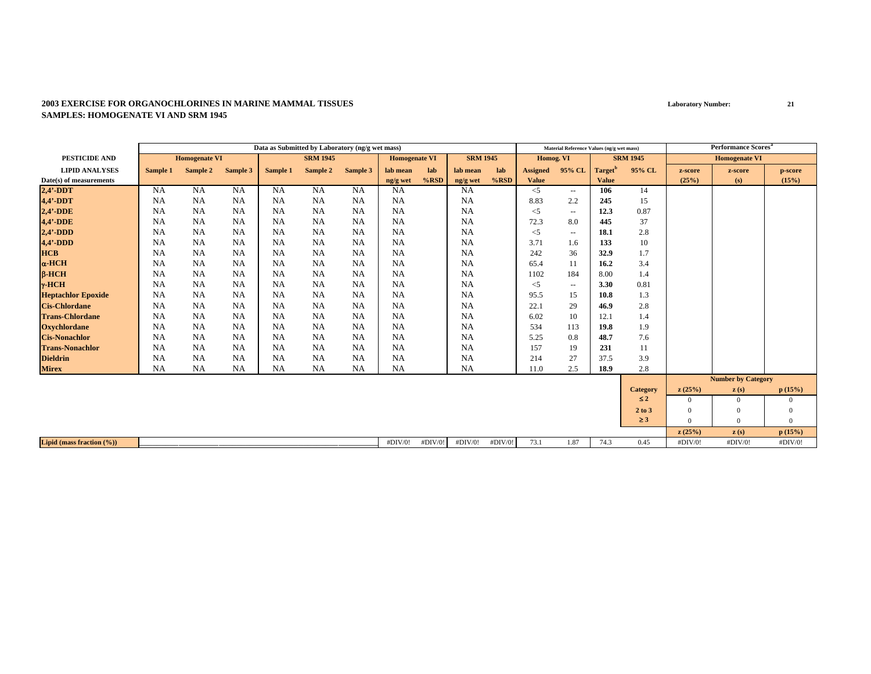|                              |           |                      |           |           | Data as Submitted by Laboratory (ng/g wet mass) |           |                      |         |                 |         |                 | Material Reference Values (ng/g wet mass) |                     |                 |          | <b>Performance Scores</b> <sup>a</sup> |                |
|------------------------------|-----------|----------------------|-----------|-----------|-------------------------------------------------|-----------|----------------------|---------|-----------------|---------|-----------------|-------------------------------------------|---------------------|-----------------|----------|----------------------------------------|----------------|
| PESTICIDE AND                |           | <b>Homogenate VI</b> |           |           | <b>SRM 1945</b>                                 |           | <b>Homogenate VI</b> |         | <b>SRM 1945</b> |         | Homog. VI       |                                           |                     | <b>SRM 1945</b> |          | <b>Homogenate VI</b>                   |                |
| <b>LIPID ANALYSES</b>        | Sample 1  | Sample 2             | Sample 3  | Sample 1  | Sample 2                                        | Sample 3  | lab mean             | lab     | lab mean        | lab     | <b>Assigned</b> | 95% CL                                    | Target <sup>t</sup> | 95% CL          | z-score  | z-score                                | p-score        |
| Date(s) of measurements      |           |                      |           |           |                                                 |           | ng/g wet             | $%$ RSD | ng/g wet        | $%$ RSD | Value           |                                           | <b>Value</b>        |                 | (25%)    | (s)                                    | (15%)          |
| $2,4'$ -DDT                  | <b>NA</b> | NA                   | <b>NA</b> | NA        | <b>NA</b>                                       | <b>NA</b> | NA                   |         | <b>NA</b>       |         | $<$ 5           | $\overline{\phantom{a}}$                  | 106                 | 14              |          |                                        |                |
| 4,4'-DDT                     | <b>NA</b> | <b>NA</b>            | <b>NA</b> | NA        | <b>NA</b>                                       | <b>NA</b> | <b>NA</b>            |         | <b>NA</b>       |         | 8.83            | 2.2                                       | 245                 | 15              |          |                                        |                |
| $2,4'$ -DDE                  | NA        | <b>NA</b>            | <b>NA</b> | <b>NA</b> | <b>NA</b>                                       | <b>NA</b> | <b>NA</b>            |         | <b>NA</b>       |         | $<$ 5           | $\sim$ $\sim$                             | 12.3                | 0.87            |          |                                        |                |
| 4,4'-DDE                     | <b>NA</b> | <b>NA</b>            | NA        | <b>NA</b> | NA                                              | <b>NA</b> | <b>NA</b>            |         | <b>NA</b>       |         | 72.3            | 8.0                                       | 445                 | 37              |          |                                        |                |
| $2,4'$ -DDD                  | <b>NA</b> | NA                   | <b>NA</b> | <b>NA</b> | NA                                              | NA        | <b>NA</b>            |         | NA              |         | $<$ 5           | $\sim$ $\sim$                             | 18.1                | 2.8             |          |                                        |                |
| $4,4'$ -DDD                  | <b>NA</b> | <b>NA</b>            | <b>NA</b> | NA        | <b>NA</b>                                       | <b>NA</b> | <b>NA</b>            |         | <b>NA</b>       |         | 3.71            | 1.6                                       | 133                 | 10              |          |                                        |                |
| <b>HCB</b>                   | <b>NA</b> | NA                   | <b>NA</b> | <b>NA</b> | <b>NA</b>                                       | <b>NA</b> | <b>NA</b>            |         | <b>NA</b>       |         | 242             | 36                                        | 32.9                | 1.7             |          |                                        |                |
| $\alpha$ -HCH                | <b>NA</b> | <b>NA</b>            | <b>NA</b> | <b>NA</b> | <b>NA</b>                                       | <b>NA</b> | <b>NA</b>            |         | <b>NA</b>       |         | 65.4            | 11                                        | 16.2                | 3.4             |          |                                        |                |
| $\beta$ -HCH                 | <b>NA</b> | <b>NA</b>            | <b>NA</b> | <b>NA</b> | <b>NA</b>                                       | <b>NA</b> | <b>NA</b>            |         | <b>NA</b>       |         | 1102            | 184                                       | 8.00                | 1.4             |          |                                        |                |
| $\gamma$ -HCH                | <b>NA</b> | <b>NA</b>            | <b>NA</b> | <b>NA</b> | <b>NA</b>                                       | <b>NA</b> | <b>NA</b>            |         | <b>NA</b>       |         | $<$ 5           | $\sim$ $\sim$                             | 3.30                | 0.81            |          |                                        |                |
| <b>Heptachlor Epoxide</b>    | <b>NA</b> | <b>NA</b>            | <b>NA</b> | <b>NA</b> | NA                                              | <b>NA</b> | <b>NA</b>            |         | <b>NA</b>       |         | 95.5            | 15                                        | 10.8                | 1.3             |          |                                        |                |
| <b>Cis-Chlordane</b>         | <b>NA</b> | NA                   | <b>NA</b> | NA        | NA                                              | <b>NA</b> | <b>NA</b>            |         | <b>NA</b>       |         | 22.1            | 29                                        | 46.9                | 2.8             |          |                                        |                |
| <b>Trans-Chlordane</b>       | <b>NA</b> | NA                   | NA        | NA        | <b>NA</b>                                       | <b>NA</b> | <b>NA</b>            |         | <b>NA</b>       |         | 6.02            | 10                                        | 12.1                | 1.4             |          |                                        |                |
| <b>Oxychlordane</b>          | <b>NA</b> | <b>NA</b>            | <b>NA</b> | <b>NA</b> | <b>NA</b>                                       | <b>NA</b> | <b>NA</b>            |         | <b>NA</b>       |         | 534             | 113                                       | 19.8                | 1.9             |          |                                        |                |
| <b>Cis-Nonachlor</b>         | <b>NA</b> | <b>NA</b>            | <b>NA</b> | NA        | <b>NA</b>                                       | <b>NA</b> | <b>NA</b>            |         | <b>NA</b>       |         | 5.25            | 0.8                                       | 48.7                | 7.6             |          |                                        |                |
| <b>Trans-Nonachlor</b>       | <b>NA</b> | NA                   | <b>NA</b> | NA        | <b>NA</b>                                       | <b>NA</b> | <b>NA</b>            |         | NA              |         | 157             | 19                                        | 231                 | 11              |          |                                        |                |
| <b>Dieldrin</b>              | <b>NA</b> | <b>NA</b>            | <b>NA</b> | <b>NA</b> | NA                                              | <b>NA</b> | <b>NA</b>            |         | NA              |         | 214             | 27                                        | 37.5                | 3.9             |          |                                        |                |
| <b>Mirex</b>                 | <b>NA</b> | <b>NA</b>            | <b>NA</b> | <b>NA</b> | NA                                              | <b>NA</b> | NA                   |         | NA              |         | 11.0            | 2.5                                       | 18.9                | 2.8             |          |                                        |                |
|                              |           |                      |           |           |                                                 |           |                      |         |                 |         |                 |                                           |                     |                 |          | <b>Number by Category</b>              |                |
|                              |           |                      |           |           |                                                 |           |                      |         |                 |         |                 |                                           |                     | <b>Category</b> | z(25%)   | $\mathbf{z}(s)$                        | p(15%)         |
|                              |           |                      |           |           |                                                 |           |                      |         |                 |         |                 |                                           |                     | $\leq 2$        | $\Omega$ | $\mathbf{0}$                           | $\mathbf{0}$   |
|                              |           |                      |           |           |                                                 |           |                      |         |                 |         |                 |                                           |                     | $2$ to $3$      | $\Omega$ | $\overline{0}$                         | $\mathbf{0}$   |
|                              |           |                      |           |           |                                                 |           |                      |         |                 |         |                 |                                           |                     | $\geq$ 3        | $\Omega$ | $\theta$                               | $\overline{0}$ |
|                              |           |                      |           |           |                                                 |           |                      |         |                 |         |                 |                                           |                     |                 | z(25%)   | $\mathbf{z}(s)$                        | p(15%)         |
| Lipid (mass fraction $(\%))$ |           |                      |           |           |                                                 |           | #DIV/0!              | #DIV/0! | #DIV/0!         | #DIV/0! | 73.1            | 1.87                                      | 74.3                | 0.45            | #DIV/0!  | #DIV/0!                                | #DIV/0!        |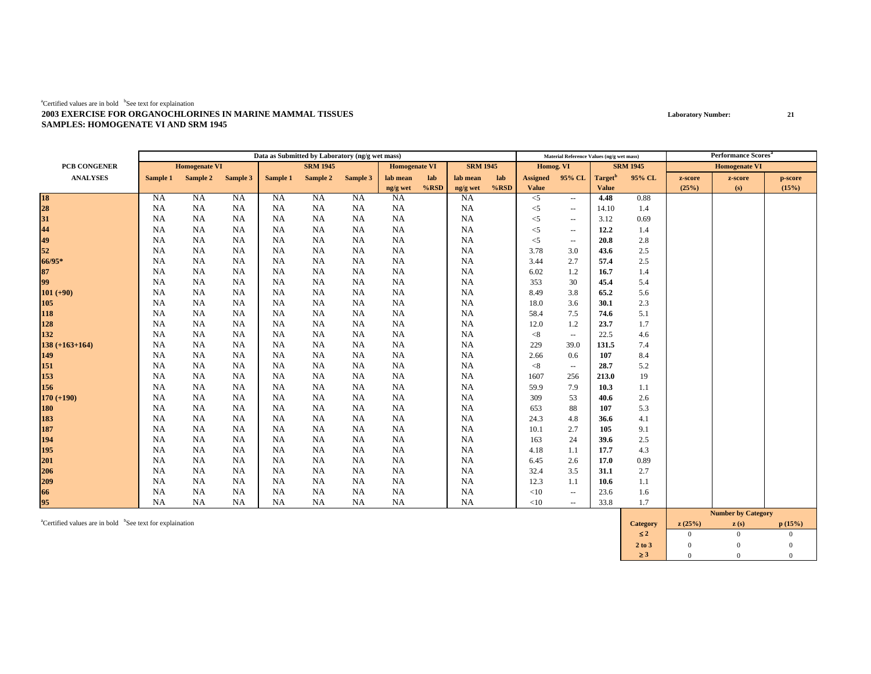|                                         |           |                      |           |           | Data as Submitted by Laboratory (ng/g wet mass) |           |                      |         |                 |         |                 | Material Reference Values (ng/g wet mass) |                     |                 |         | <b>Performance Scores<sup>a</sup></b> |         |
|-----------------------------------------|-----------|----------------------|-----------|-----------|-------------------------------------------------|-----------|----------------------|---------|-----------------|---------|-----------------|-------------------------------------------|---------------------|-----------------|---------|---------------------------------------|---------|
| PCB CONGENER                            |           | <b>Homogenate VI</b> |           |           | <b>SRM 1945</b>                                 |           | <b>Homogenate VI</b> |         | <b>SRM 1945</b> |         | Homog. VI       |                                           |                     | <b>SRM 1945</b> |         | <b>Homogenate VI</b>                  |         |
| <b>ANALYSES</b>                         | Sample 1  | Sample 2 Sample 3    |           | Sample 1  | Sample 2                                        | Sample 3  | lab mean             | lab     | lab mean        | lab     | <b>Assigned</b> | 95% CL                                    | Target <sup>b</sup> | 95% CL          | z-score | z-score                               | p-score |
|                                         |           |                      |           |           |                                                 |           | ng/g wet             | $%$ RSD | ng/g wet        | $%$ RSD | Value           |                                           | <b>Value</b>        |                 | (25%)   | (s)                                   | (15%)   |
| 18<br>28<br>31                          | <b>NA</b> | <b>NA</b>            | NA        | <b>NA</b> | <b>NA</b>                                       | NA        | <b>NA</b>            |         | <b>NA</b>       |         | $<$ 5           | $\overline{\phantom{a}}$                  | 4.48                | 0.88            |         |                                       |         |
|                                         | <b>NA</b> | <b>NA</b>            | NA        | <b>NA</b> | NA                                              | <b>NA</b> | <b>NA</b>            |         | <b>NA</b>       |         | $<$ 5           | $\overline{\phantom{a}}$                  | 14.10               | 1.4             |         |                                       |         |
|                                         | <b>NA</b> | NA                   | NA        | NA        | NA                                              | <b>NA</b> | NA                   |         | <b>NA</b>       |         | $<$ 5           | $\overline{\phantom{a}}$                  | 3.12                | 0.69            |         |                                       |         |
|                                         | <b>NA</b> | <b>NA</b>            | NA        | <b>NA</b> | NA                                              | <b>NA</b> | <b>NA</b>            |         | NA              |         | $<$ 5           | $\overline{\phantom{a}}$                  | 12.2                | 1.4             |         |                                       |         |
| $44$<br>$49$<br>$52$                    | <b>NA</b> | NA                   | <b>NA</b> | NA        | NA                                              | <b>NA</b> | <b>NA</b>            |         | NA              |         | $<$ 5           | $\sim$                                    | 20.8                | 2.8             |         |                                       |         |
|                                         | <b>NA</b> | NA                   | <b>NA</b> | NA        | NA                                              | <b>NA</b> | NA                   |         | NA              |         | 3.78            | 3.0                                       | 43.6                | 2.5             |         |                                       |         |
| 66/95*                                  | <b>NA</b> | <b>NA</b>            | <b>NA</b> | NA        | NA                                              | <b>NA</b> | <b>NA</b>            |         | NA              |         | 3.44            | 2.7                                       | 57.4                | 2.5             |         |                                       |         |
| $\begin{array}{c} 87 \\ 99 \end{array}$ | <b>NA</b> | <b>NA</b>            | <b>NA</b> | <b>NA</b> | NA                                              | <b>NA</b> | <b>NA</b>            |         | <b>NA</b>       |         | 6.02            | 1.2                                       | 16.7                | 1.4             |         |                                       |         |
|                                         | <b>NA</b> | <b>NA</b>            | <b>NA</b> | NA        | NA                                              | <b>NA</b> | <b>NA</b>            |         | NA              |         | 353             | 30                                        | 45.4                | 5.4             |         |                                       |         |
| $101 (+90)$                             | <b>NA</b> | <b>NA</b>            | NA        | NA        | NA                                              | <b>NA</b> | <b>NA</b>            |         | NA              |         | 8.49            | 3.8                                       | 65.2                | 5.6             |         |                                       |         |
| 105                                     | <b>NA</b> | <b>NA</b>            | <b>NA</b> | <b>NA</b> | NA                                              | <b>NA</b> | <b>NA</b>            |         | <b>NA</b>       |         | 18.0            | 3.6                                       | 30.1                | 2.3             |         |                                       |         |
| 118<br>128                              | <b>NA</b> | <b>NA</b>            | <b>NA</b> | NA        | NA                                              | NA        | <b>NA</b>            |         | NA              |         | 58.4            | 7.5                                       | 74.6                | 5.1             |         |                                       |         |
|                                         | <b>NA</b> | NA                   | <b>NA</b> | NA        | NA                                              | NA        | NA                   |         | NA              |         | 12.0            | 1.2                                       | 23.7                | 1.7             |         |                                       |         |
| 132                                     | <b>NA</b> | <b>NA</b>            | <b>NA</b> | NA        | NA                                              | <b>NA</b> | <b>NA</b>            |         | NA              |         | $<\!\!8$        | $\overline{\phantom{a}}$                  | 22.5                | 4.6             |         |                                       |         |
| $138 (+163 + 164)$                      | NA        | NA                   | <b>NA</b> | NA        | NA                                              | <b>NA</b> | NA                   |         | NA              |         | 229             | 39.0                                      | 131.5               | 7.4             |         |                                       |         |
| 149                                     | <b>NA</b> | <b>NA</b>            | NA        | NA        | NA                                              | <b>NA</b> | <b>NA</b>            |         | NA              |         | 2.66            | 0.6                                       | 107                 | 8.4             |         |                                       |         |
| 151                                     | <b>NA</b> | <b>NA</b>            | <b>NA</b> | NA        | NA                                              | NA        | <b>NA</b>            |         | <b>NA</b>       |         | $<\!\!8$        | $\sim$                                    | 28.7                | 5.2             |         |                                       |         |
| 153                                     | <b>NA</b> | <b>NA</b>            | NA        | NA        | NA                                              | NA        | <b>NA</b>            |         | <b>NA</b>       |         | 1607            | 256                                       | 213.0               | 19              |         |                                       |         |
| 156                                     | <b>NA</b> | <b>NA</b>            | <b>NA</b> | <b>NA</b> | NA                                              | <b>NA</b> | <b>NA</b>            |         | NA              |         | 59.9            | 7.9                                       | 10.3                | 1.1             |         |                                       |         |
| $170 (+190)$                            | <b>NA</b> | <b>NA</b>            | NA        | <b>NA</b> | NA                                              | <b>NA</b> | <b>NA</b>            |         | NA              |         | 309             | 53                                        | 40.6                | 2.6             |         |                                       |         |
|                                         | <b>NA</b> | NA                   | <b>NA</b> | NA        | NA                                              | NA        | <b>NA</b>            |         | <b>NA</b>       |         | 653             | 88                                        | 107                 | 5.3             |         |                                       |         |
| 180<br>183<br>187                       | <b>NA</b> | <b>NA</b>            | <b>NA</b> | NA        | NA                                              | <b>NA</b> | <b>NA</b>            |         | NA              |         | 24.3            | 4.8                                       | 36.6                | 4.1             |         |                                       |         |
|                                         | <b>NA</b> | <b>NA</b>            | NA        | <b>NA</b> | NA                                              | <b>NA</b> | <b>NA</b>            |         | NA              |         | 10.1            | 2.7                                       | 105                 | 9.1             |         |                                       |         |
| 194                                     | <b>NA</b> | <b>NA</b>            | NA        | NA        | NA                                              | NA        | <b>NA</b>            |         | <b>NA</b>       |         | 163             | 24                                        | 39.6                | 2.5             |         |                                       |         |
| 195                                     | <b>NA</b> | <b>NA</b>            | <b>NA</b> | NA        | NA                                              | <b>NA</b> | <b>NA</b>            |         | NA              |         | 4.18            | 1.1                                       | 17.7                | 4.3             |         |                                       |         |
| 201                                     | <b>NA</b> | NA                   | NA        | NA        | NA                                              | <b>NA</b> | <b>NA</b>            |         | <b>NA</b>       |         | 6.45            | 2.6                                       | 17.0                | 0.89            |         |                                       |         |
| 206                                     | <b>NA</b> | <b>NA</b>            | <b>NA</b> | NA        | NA                                              | <b>NA</b> | <b>NA</b>            |         | NA              |         | 32.4            | 3.5                                       | 31.1                | 2.7             |         |                                       |         |
| 209<br>66<br>95                         | <b>NA</b> | <b>NA</b>            | <b>NA</b> | NA        | NA                                              | NA        | <b>NA</b>            |         | NA              |         | 12.3            | 1.1                                       | 10.6                | 1.1             |         |                                       |         |
|                                         | <b>NA</b> | NA                   | <b>NA</b> | NA        | NA                                              | NA        | <b>NA</b>            |         | <b>NA</b>       |         | <10             | $\overline{\phantom{a}}$                  | 23.6                | 1.6             |         |                                       |         |
|                                         | <b>NA</b> | NA                   | <b>NA</b> | NA.       | NA                                              | <b>NA</b> | NA                   |         | NA              |         | <10             | $\overline{\phantom{a}}$                  | 33.8                | 1.7             |         |                                       |         |
|                                         |           |                      |           |           |                                                 |           |                      |         |                 |         |                 |                                           |                     |                 |         | <b>Number by Category</b>             |         |

acertified values are in bold bSee text for explaination **p** (15%) **c** (s) **c** (15%) **c** (s) **p** (15%) ≤ **2**2 0 0 0  $\overline{0}$ **2 to 3**3 0 0 0 0 ≥ **3**3 0 0 0  $\overline{0}$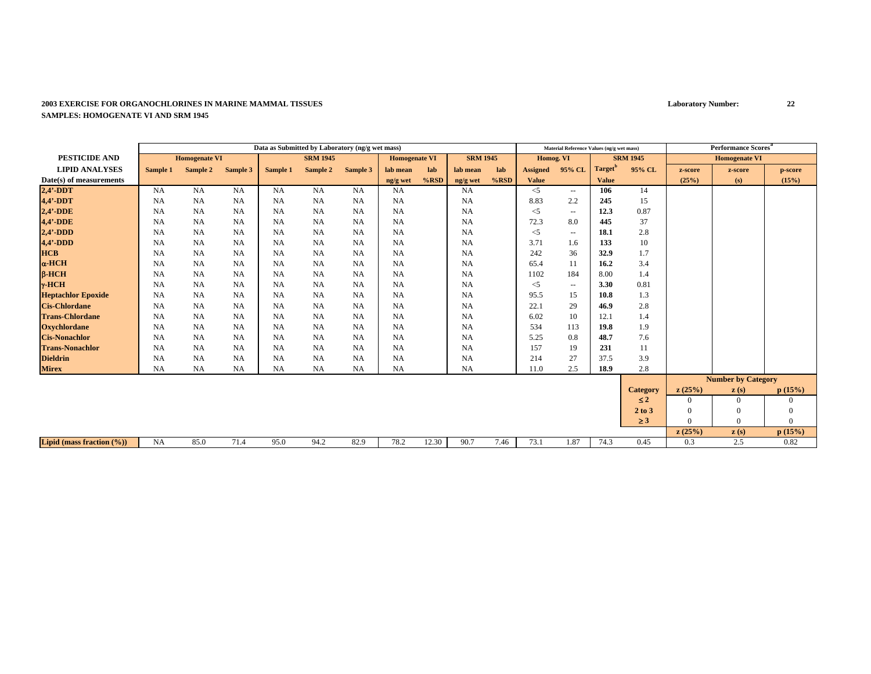|                               |           |                      |           | Data as Submitted by Laboratory (ng/g wet mass) |                 |           |                      |         |                 |         |                 | Material Reference Values (ng/g wet mass) |                     |                 |                | Performance Scores <sup>a</sup> |                |
|-------------------------------|-----------|----------------------|-----------|-------------------------------------------------|-----------------|-----------|----------------------|---------|-----------------|---------|-----------------|-------------------------------------------|---------------------|-----------------|----------------|---------------------------------|----------------|
| <b>PESTICIDE AND</b>          |           | <b>Homogenate VI</b> |           |                                                 | <b>SRM 1945</b> |           | <b>Homogenate VI</b> |         | <b>SRM 1945</b> |         | Homog. VI       |                                           |                     | <b>SRM 1945</b> |                | <b>Homogenate VI</b>            |                |
| <b>LIPID ANALYSES</b>         | Sample 1  | Sample 2             | Sample 3  | Sample 1                                        | Sample 2        | Sample 3  | lab mean             | lab     | lab mean        | lab     | <b>Assigned</b> | 95% CL                                    | Target <sup>'</sup> | 95% CL          | z-score        | z-score                         | p-score        |
| Date(s) of measurements       |           |                      |           |                                                 |                 |           | ng/g wet             | $%$ RSD | ng/g wet        | $%$ RSD | <b>Value</b>    |                                           | <b>Value</b>        |                 | (25%)          | (s)                             | (15%)          |
| $2,4'$ -DDT                   | <b>NA</b> | <b>NA</b>            | NA        | <b>NA</b>                                       | NA              | <b>NA</b> | <b>NA</b>            |         | <b>NA</b>       |         | $<$ 5           | $- -$                                     | 106                 | 14              |                |                                 |                |
| 4,4'-DDT                      | <b>NA</b> | <b>NA</b>            | NA        | <b>NA</b>                                       | NA              | <b>NA</b> | <b>NA</b>            |         | <b>NA</b>       |         | 8.83            | 2.2                                       | 245                 | 15              |                |                                 |                |
| $2,4'$ -DDE                   | NA        | <b>NA</b>            | NA        | <b>NA</b>                                       | NA              | <b>NA</b> | NA                   |         | <b>NA</b>       |         | $<$ 5           | $\sim$ $\sim$                             | 12.3                | 0.87            |                |                                 |                |
| 4,4'-DDE                      | <b>NA</b> | <b>NA</b>            | NA        | <b>NA</b>                                       | <b>NA</b>       | <b>NA</b> | <b>NA</b>            |         | <b>NA</b>       |         | 72.3            | 8.0                                       | 445                 | 37              |                |                                 |                |
| $2,4'$ -DDD                   | <b>NA</b> | <b>NA</b>            | NA        | NA                                              | <b>NA</b>       | <b>NA</b> | <b>NA</b>            |         | NA              |         | $<$ 5           | $\sim$                                    | 18.1                | 2.8             |                |                                 |                |
| $4,4'$ -DDD                   | <b>NA</b> | <b>NA</b>            | NA        | <b>NA</b>                                       | <b>NA</b>       | <b>NA</b> | <b>NA</b>            |         | NA              |         | 3.71            | 1.6                                       | 133                 | 10              |                |                                 |                |
| <b>HCB</b>                    | <b>NA</b> | <b>NA</b>            | NA        | <b>NA</b>                                       | <b>NA</b>       | <b>NA</b> | <b>NA</b>            |         | NA              |         | 242             | 36                                        | 32.9                | 1.7             |                |                                 |                |
| $\alpha$ -HCH                 | <b>NA</b> | <b>NA</b>            | NA        | <b>NA</b>                                       | <b>NA</b>       | <b>NA</b> | <b>NA</b>            |         | NA              |         | 65.4            | 11                                        | 16.2                | 3.4             |                |                                 |                |
| $B$ -HCH                      | <b>NA</b> | <b>NA</b>            | NA        | <b>NA</b>                                       | <b>NA</b>       | <b>NA</b> | <b>NA</b>            |         | NA              |         | 1102            | 184                                       | 8.00                | 1.4             |                |                                 |                |
| $\gamma$ -HCH                 | <b>NA</b> | <b>NA</b>            | NA        | <b>NA</b>                                       | <b>NA</b>       | <b>NA</b> | <b>NA</b>            |         | NA              |         | $\leq$ 5        | $\hspace{0.05cm} -$                       | 3.30                | 0.81            |                |                                 |                |
| <b>Heptachlor Epoxide</b>     | <b>NA</b> | <b>NA</b>            | NA        | <b>NA</b>                                       | <b>NA</b>       | <b>NA</b> | <b>NA</b>            |         | NA              |         | 95.5            | 15                                        | 10.8                | 1.3             |                |                                 |                |
| <b>Cis-Chlordane</b>          | <b>NA</b> | <b>NA</b>            | NA        | <b>NA</b>                                       | NA              | <b>NA</b> | <b>NA</b>            |         | <b>NA</b>       |         | 22.1            | 29                                        | 46.9                | 2.8             |                |                                 |                |
| <b>Trans-Chlordane</b>        | <b>NA</b> | <b>NA</b>            | NA        | <b>NA</b>                                       | NA              | <b>NA</b> | <b>NA</b>            |         | <b>NA</b>       |         | 6.02            | 10                                        | 12.1                | 1.4             |                |                                 |                |
| <b>Oxychlordane</b>           | <b>NA</b> | <b>NA</b>            | NA        | <b>NA</b>                                       | NA              | <b>NA</b> | <b>NA</b>            |         | NA              |         | 534             | 113                                       | 19.8                | 1.9             |                |                                 |                |
| <b>Cis-Nonachlor</b>          | <b>NA</b> | <b>NA</b>            | NA        | NA                                              | <b>NA</b>       | <b>NA</b> | <b>NA</b>            |         | NA              |         | 5.25            | 0.8                                       | 48.7                | 7.6             |                |                                 |                |
| <b>Trans-Nonachlor</b>        | <b>NA</b> | <b>NA</b>            | NA        | NA                                              | <b>NA</b>       | <b>NA</b> | <b>NA</b>            |         | NA              |         | 157             | 19                                        | 231                 | 11              |                |                                 |                |
| <b>Dieldrin</b>               | <b>NA</b> | <b>NA</b>            | <b>NA</b> | <b>NA</b>                                       | <b>NA</b>       | <b>NA</b> | <b>NA</b>            |         | NA              |         | 214             | 27                                        | 37.5                | 3.9             |                |                                 |                |
| <b>Mirex</b>                  | <b>NA</b> | <b>NA</b>            | NA        | <b>NA</b>                                       | <b>NA</b>       | NA        | <b>NA</b>            |         | <b>NA</b>       |         | 11.0            | 2.5                                       | 18.9                | 2.8             |                |                                 |                |
|                               |           |                      |           |                                                 |                 |           |                      |         |                 |         |                 |                                           |                     |                 |                | <b>Number by Category</b>       |                |
|                               |           |                      |           |                                                 |                 |           |                      |         |                 |         |                 |                                           |                     | <b>Category</b> | z(25%)         | $\mathbf{z}(s)$                 | p(15%)         |
|                               |           |                      |           |                                                 |                 |           |                      |         |                 |         |                 |                                           |                     | $\leq 2$        | $\overline{0}$ | $\overline{0}$                  | $\overline{0}$ |
|                               |           |                      |           |                                                 |                 |           |                      |         |                 |         |                 |                                           |                     | 2 to 3          | $\overline{0}$ | $\mathbf{0}$                    | $\mathbf{0}$   |
|                               |           |                      |           |                                                 |                 |           |                      |         |                 |         |                 |                                           |                     | $\geq 3$        | $\Omega$       | $\overline{0}$                  | $\mathbf{0}$   |
|                               |           |                      |           |                                                 |                 |           |                      |         |                 |         |                 |                                           |                     |                 | z(25%)         | z(s)                            | p(15%)         |
| Lipid (mass fraction $(\%)$ ) | <b>NA</b> | 85.0                 | 71.4      | 95.0                                            | 94.2            | 82.9      | 78.2                 | 12.30   | 90.7            | 7.46    | 73.1            | 1.87                                      | 74.3                | 0.45            | 0.3            | 2.5                             | 0.82           |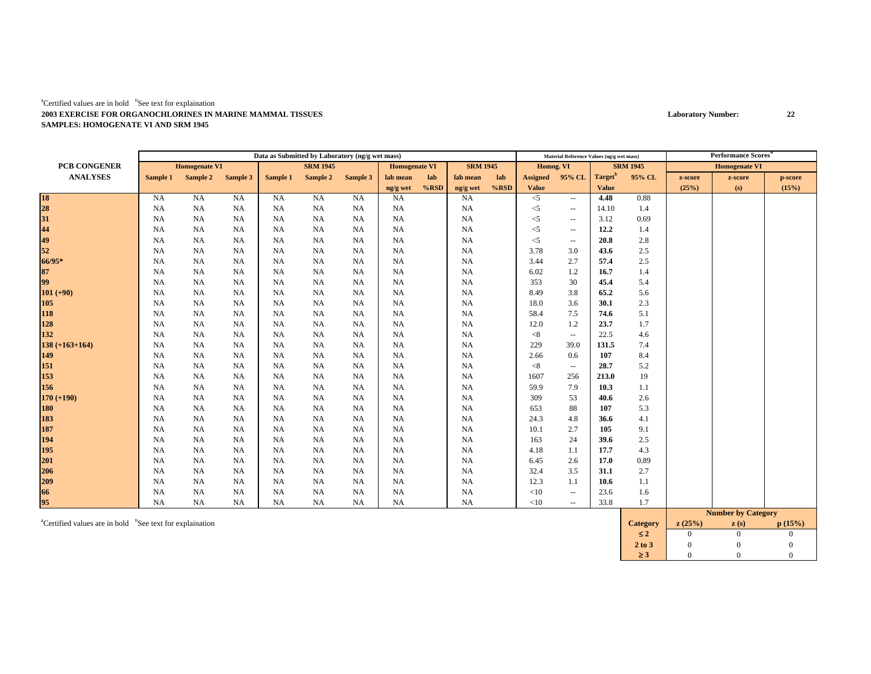|                      |           |                      |           |           | Data as Submitted by Laboratory (ng/g wet mass) |           |                      |         |                 |         |                 | Material Reference Values (ng/g wet mass) |                     |                 |         | <b>Performance Scores</b> <sup>*</sup> |         |
|----------------------|-----------|----------------------|-----------|-----------|-------------------------------------------------|-----------|----------------------|---------|-----------------|---------|-----------------|-------------------------------------------|---------------------|-----------------|---------|----------------------------------------|---------|
| PCB CONGENER         |           | <b>Homogenate VI</b> |           |           | <b>SRM 1945</b>                                 |           | <b>Homogenate VI</b> |         | <b>SRM 1945</b> |         | Homog. VI       |                                           |                     | <b>SRM 1945</b> |         | <b>Homogenate VI</b>                   |         |
| <b>ANALYSES</b>      | Sample 1  | Sample 2 Sample 3    |           | Sample 1  | Sample 2                                        | Sample 3  | lab mean             | lab     | lab mean        | lab     | <b>Assigned</b> | 95% CL                                    | Target <sup>b</sup> | 95% CL          | z-score | z-score                                | p-score |
|                      |           |                      |           |           |                                                 |           | ng/g wet             | $%$ RSD | ng/g wet        | $%$ RSD | <b>Value</b>    |                                           | <b>Value</b>        |                 | (25%)   | (s)                                    | (15%)   |
|                      | NA        | <b>NA</b>            | <b>NA</b> | <b>NA</b> | <b>NA</b>                                       | <b>NA</b> | <b>NA</b>            |         | <b>NA</b>       |         | $<$ 5           | $\sim$                                    | 4.48                | 0.88            |         |                                        |         |
| 18<br>28<br>31<br>44 | <b>NA</b> | <b>NA</b>            | NA        | <b>NA</b> | <b>NA</b>                                       | <b>NA</b> | <b>NA</b>            |         | <b>NA</b>       |         | $<$ 5           | $\overline{\phantom{a}}$                  | 14.10               | 1.4             |         |                                        |         |
|                      | <b>NA</b> | <b>NA</b>            | <b>NA</b> | NA        | NA                                              | NA        | <b>NA</b>            |         | <b>NA</b>       |         | $<$ 5           | $\sim$                                    | 3.12                | 0.69            |         |                                        |         |
|                      | <b>NA</b> | <b>NA</b>            | <b>NA</b> | NA        | NA                                              | <b>NA</b> | <b>NA</b>            |         | <b>NA</b>       |         | $<$ 5           | $\overline{\phantom{a}}$                  | 12.2                | 1.4             |         |                                        |         |
| 49<br>52             | <b>NA</b> | <b>NA</b>            | <b>NA</b> | NA        | <b>NA</b>                                       | <b>NA</b> | <b>NA</b>            |         | <b>NA</b>       |         | $<$ 5           | $\sim$                                    | 20.8                | 2.8             |         |                                        |         |
|                      | <b>NA</b> | <b>NA</b>            | NA.       | NA        | NA                                              | <b>NA</b> | <b>NA</b>            |         | <b>NA</b>       |         | 3.78            | 3.0                                       | 43.6                | 2.5             |         |                                        |         |
| 66/95*               | <b>NA</b> | NA                   | NA        | NA        | <b>NA</b>                                       | <b>NA</b> | <b>NA</b>            |         | <b>NA</b>       |         | 3.44            | 2.7                                       | 57.4                | 2.5             |         |                                        |         |
| 87                   | <b>NA</b> | <b>NA</b>            | <b>NA</b> | <b>NA</b> | <b>NA</b>                                       | <b>NA</b> | <b>NA</b>            |         | NA              |         | 6.02            | 1.2                                       | 16.7                | 1.4             |         |                                        |         |
| 99                   | <b>NA</b> | <b>NA</b>            | <b>NA</b> | NA        | NA                                              | <b>NA</b> | <b>NA</b>            |         | <b>NA</b>       |         | 353             | 30                                        | 45.4                | 5.4             |         |                                        |         |
| $101 (+90)$          | <b>NA</b> | <b>NA</b>            | <b>NA</b> | NA        | NA                                              | <b>NA</b> | <b>NA</b>            |         | <b>NA</b>       |         | 8.49            | 3.8                                       | 65.2                | 5.6             |         |                                        |         |
| 105                  | <b>NA</b> | <b>NA</b>            | <b>NA</b> | NA        | NA                                              | <b>NA</b> | <b>NA</b>            |         | <b>NA</b>       |         | 18.0            | 3.6                                       | 30.1                | 2.3             |         |                                        |         |
| 118                  | <b>NA</b> | <b>NA</b>            | NA        | <b>NA</b> | <b>NA</b>                                       | NA        | <b>NA</b>            |         | <b>NA</b>       |         | 58.4            | 7.5                                       | 74.6                | 5.1             |         |                                        |         |
| 128                  | <b>NA</b> | NA                   | <b>NA</b> | NA        | NA                                              | <b>NA</b> | <b>NA</b>            |         | <b>NA</b>       |         | 12.0            | 1.2                                       | 23.7                | 1.7             |         |                                        |         |
| 132                  | <b>NA</b> | NA                   | <b>NA</b> | <b>NA</b> | NA                                              | <b>NA</b> | NA                   |         | <b>NA</b>       |         | < 8             | $\overline{\phantom{a}}$                  | 22.5                | 4.6             |         |                                        |         |
| $138 (+163+164)$     | <b>NA</b> | <b>NA</b>            | <b>NA</b> | NA        | NA                                              | <b>NA</b> | NA                   |         | <b>NA</b>       |         | 229             | 39.0                                      | 131.5               | 7.4             |         |                                        |         |
| 149                  | <b>NA</b> | <b>NA</b>            | <b>NA</b> | NA        | <b>NA</b>                                       | <b>NA</b> | <b>NA</b>            |         | <b>NA</b>       |         | 2.66            | 0.6                                       | 107                 | 8.4             |         |                                        |         |
| 151                  | <b>NA</b> | <b>NA</b>            | <b>NA</b> | NA        | <b>NA</b>                                       | <b>NA</b> | <b>NA</b>            |         | <b>NA</b>       |         | < 8             | $\sim$                                    | 28.7                | 5.2             |         |                                        |         |
| 153                  | <b>NA</b> | <b>NA</b>            | <b>NA</b> | NA        | NA                                              | <b>NA</b> | <b>NA</b>            |         | <b>NA</b>       |         | 1607            | 256                                       | 213.0               | 19              |         |                                        |         |
| 156                  | <b>NA</b> | <b>NA</b>            | <b>NA</b> | NA        | <b>NA</b>                                       | <b>NA</b> | <b>NA</b>            |         | <b>NA</b>       |         | 59.9            | 7.9                                       | 10.3                | 1.1             |         |                                        |         |
| $170 (+190)$         | <b>NA</b> | <b>NA</b>            | NA        | <b>NA</b> | <b>NA</b>                                       | NA        | <b>NA</b>            |         | <b>NA</b>       |         | 309             | 53                                        | 40.6                | 2.6             |         |                                        |         |
| 180                  | NA        | <b>NA</b>            | NA.       | NA        | NA                                              | <b>NA</b> | <b>NA</b>            |         | <b>NA</b>       |         | 653             | 88                                        | 107                 | 5.3             |         |                                        |         |
| 183                  | <b>NA</b> | <b>NA</b>            | <b>NA</b> | NA        | <b>NA</b>                                       | <b>NA</b> | <b>NA</b>            |         | <b>NA</b>       |         | 24.3            | 4.8                                       | 36.6                | 4.1             |         |                                        |         |
| 187                  | <b>NA</b> | <b>NA</b>            | <b>NA</b> | NA        | NA                                              | <b>NA</b> | <b>NA</b>            |         | <b>NA</b>       |         | 10.1            | 2.7                                       | 105                 | 9.1             |         |                                        |         |
| 194                  | <b>NA</b> | <b>NA</b>            | <b>NA</b> | NA        | <b>NA</b>                                       | <b>NA</b> | <b>NA</b>            |         | <b>NA</b>       |         | 163             | 24                                        | 39.6                | 2.5             |         |                                        |         |
| 195                  | <b>NA</b> | <b>NA</b>            | <b>NA</b> | NA        | <b>NA</b>                                       | <b>NA</b> | <b>NA</b>            |         | <b>NA</b>       |         | 4.18            | 1.1                                       | 17.7                | 4.3             |         |                                        |         |
| 201                  | <b>NA</b> | <b>NA</b>            | <b>NA</b> | NA        | NA                                              | NA        | <b>NA</b>            |         | <b>NA</b>       |         | 6.45            | 2.6                                       | 17.0                | 0.89            |         |                                        |         |
| 206                  | <b>NA</b> | NA                   | <b>NA</b> | NA        | NA                                              | <b>NA</b> | <b>NA</b>            |         | <b>NA</b>       |         | 32.4            | 3.5                                       | 31.1                | 2.7             |         |                                        |         |
| 209                  | NA        | NA                   | <b>NA</b> | NA        | NA                                              | <b>NA</b> | NA                   |         | <b>NA</b>       |         | 12.3            | 1.1                                       | 10.6                | 1.1             |         |                                        |         |
| 66                   | NA        | NA                   | NA.       | NA        | NA                                              | <b>NA</b> | NA                   |         | <b>NA</b>       |         | <10             | $\sim$                                    | 23.6                | 1.6             |         |                                        |         |
| 95                   | NA        | NA                   | NA        | <b>NA</b> | NA                                              | NA        | <b>NA</b>            |         | NA              |         | $<10$           | $\sim$                                    | 33.8                | 1.7             |         |                                        |         |
|                      |           |                      |           |           |                                                 |           |                      |         |                 |         |                 |                                           |                     |                 |         | <b>Number by Category</b>              |         |

<sup>a</sup>Certified values are in bold <sup>b</sup>See text for explaination **Category z** (s) **Category z** (s) *z* (s) *p* (15%) ≤ $\leq 2$  0 0 0  $\overline{0}$ **2 to 3**3 0 0 0 ≥ $\geq 3$  0 0 0  $\mathbf{0}$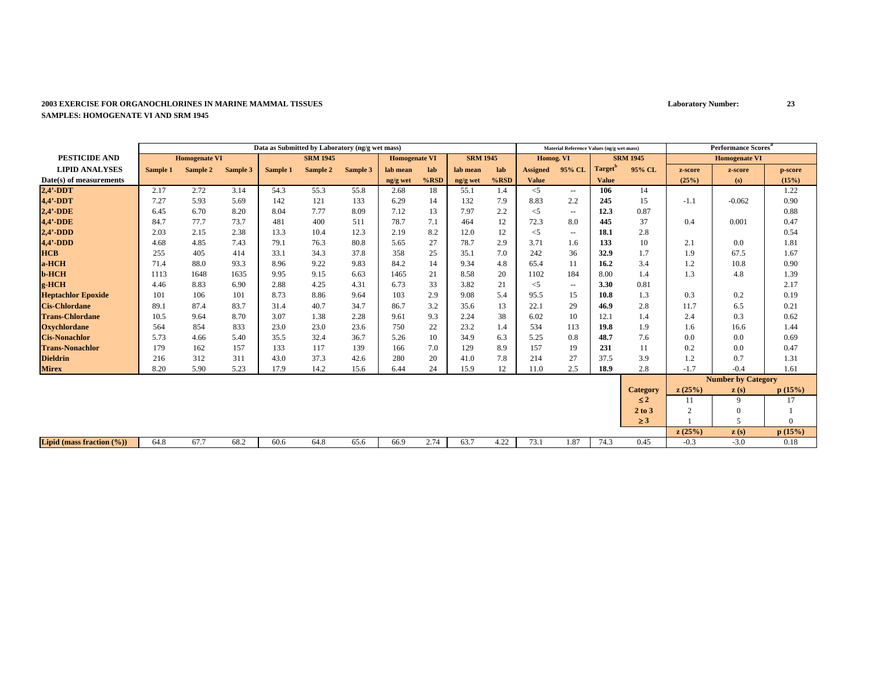|                                      |          |                      |          |          | Data as Submitted by Laboratory (ng/g wet mass) |          |                      |         |                 |      |                 | Material Reference Values (ng/g wet mass) |               |                 |                | <b>Performance Scores</b> <sup>ª</sup> |              |
|--------------------------------------|----------|----------------------|----------|----------|-------------------------------------------------|----------|----------------------|---------|-----------------|------|-----------------|-------------------------------------------|---------------|-----------------|----------------|----------------------------------------|--------------|
| <b>PESTICIDE AND</b>                 |          | <b>Homogenate VI</b> |          |          | <b>SRM 1945</b>                                 |          | <b>Homogenate VI</b> |         | <b>SRM 1945</b> |      | Homog. VI       |                                           |               | <b>SRM 1945</b> |                | <b>Homogenate VI</b>                   |              |
| <b>LIPID ANALYSES</b>                | Sample 1 | Sample 2             | Sample 3 | Sample 1 | Sample 2                                        | Sample 3 | lab mean             | lab     | lab mean        | lab  | <b>Assigned</b> | 95% CL                                    | <b>Target</b> | 95% CL          | z-score        | z-score                                | p-score      |
| Date(s) of measurements              |          |                      |          |          |                                                 |          | ng/g wet             | $%$ RSD | ng/g wet        | %RSD | <b>Value</b>    |                                           | <b>Value</b>  |                 | (25%)          | (s)                                    | (15%)        |
| $2,4'$ -DDT                          | 2.17     | 2.72                 | 3.14     | 54.3     | 55.3                                            | 55.8     | 2.68                 | 18      | 55.1            | 1.4  | $<$ 5           | $\sim$                                    | 106           | 14              |                |                                        | 1.22         |
| $4,4'$ -DDT                          | 7.27     | 5.93                 | 5.69     | 142      | 121                                             | 133      | 6.29                 | 14      | 132             | 7.9  | 8.83            | 2.2                                       | 245           | 15              | $-1.1$         | $-0.062$                               | 0.90         |
| $2,4'$ -DDE                          | 6.45     | 6.70                 | 8.20     | 8.04     | 7.77                                            | 8.09     | 7.12                 | 13      | 7.97            | 2.2  | $<$ 5           | $\sim$ $\sim$                             | 12.3          | 0.87            |                |                                        | 0.88         |
| 4,4'-DDE                             | 84.7     | 77.7                 | 73.7     | 481      | 400                                             | 511      | 78.7                 | 7.1     | 464             | 12   | 72.3            | 8.0                                       | 445           | 37              | 0.4            | 0.001                                  | 0.47         |
| $2,4'$ -DDD                          | 2.03     | 2.15                 | 2.38     | 13.3     | 10.4                                            | 12.3     | 2.19                 | 8.2     | 12.0            | 12   | $<$ 5           | $\sim$ $\sim$                             | 18.1          | 2.8             |                |                                        | 0.54         |
| $4,4'$ -DDD                          | 4.68     | 4.85                 | 7.43     | 79.1     | 76.3                                            | 80.8     | 5.65                 | 27      | 78.7            | 2.9  | 3.71            | 1.6                                       | 133           | 10              | 2.1            | 0.0                                    | 1.81         |
| <b>HCB</b>                           | 255      | 405                  | 414      | 33.1     | 34.3                                            | 37.8     | 358                  | 25      | 35.1            | 7.0  | 242             | 36                                        | 32.9          | 1.7             | 1.9            | 67.5                                   | 1.67         |
| a-HCH                                | 71.4     | 88.0                 | 93.3     | 8.96     | 9.22                                            | 9.83     | 84.2                 | 14      | 9.34            | 4.8  | 65.4            | 11                                        | 16.2          | 3.4             | 1.2            | 10.8                                   | 0.90         |
| <b>b-HCH</b>                         | 1113     | 1648                 | 1635     | 9.95     | 9.15                                            | 6.63     | 1465                 | 21      | 8.58            | 20   | 1102            | 184                                       | 8.00          | 1.4             | 1.3            | 4.8                                    | 1.39         |
| g-HCH                                | 4.46     | 8.83                 | 6.90     | 2.88     | 4.25                                            | 4.31     | 6.73                 | 33      | 3.82            | 21   | $<$ 5           | $\hspace{0.05cm} -$                       | 3.30          | 0.81            |                |                                        | 2.17         |
| <b>Heptachlor Epoxide</b>            | 101      | 106                  | 101      | 8.73     | 8.86                                            | 9.64     | 103                  | 2.9     | 9.08            | 5.4  | 95.5            | 15                                        | 10.8          | 1.3             | 0.3            | 0.2                                    | 0.19         |
| <b>Cis-Chlordane</b>                 | 89.1     | 87.4                 | 83.7     | 31.4     | 40.7                                            | 34.7     | 86.7                 | 3.2     | 35.6            | 13   | 22.1            | 29                                        | 46.9          | 2.8             | 11.7           | 6.5                                    | 0.21         |
| <b>Trans-Chlordane</b>               | 10.5     | 9.64                 | 8.70     | 3.07     | 1.38                                            | 2.28     | 9.61                 | 9.3     | 2.24            | 38   | 6.02            | 10                                        | 12.1          | 1.4             | 2.4            | 0.3                                    | 0.62         |
| <b>Oxychlordane</b>                  | 564      | 854                  | 833      | 23.0     | 23.0                                            | 23.6     | 750                  | 22      | 23.2            | 1.4  | 534             | 113                                       | 19.8          | 1.9             | 1.6            | 16.6                                   | 1.44         |
| <b>Cis-Nonachlor</b>                 | 5.73     | 4.66                 | 5.40     | 35.5     | 32.4                                            | 36.7     | 5.26                 | 10      | 34.9            | 6.3  | 5.25            | 0.8                                       | 48.7          | 7.6             | 0.0            | 0.0                                    | 0.69         |
| <b>Trans-Nonachlor</b>               | 179      | 162                  | 157      | 133      | 117                                             | 139      | 166                  | 7.0     | 129             | 8.9  | 157             | 19                                        | 231           | 11              | 0.2            | 0.0                                    | 0.47         |
| <b>Dieldrin</b>                      | 216      | 312                  | 311      | 43.0     | 37.3                                            | 42.6     | 280                  | 20      | 41.0            | 7.8  | 214             | 27                                        | 37.5          | 3.9             | 1.2            | 0.7                                    | 1.31         |
| <b>Mirex</b>                         | 8.20     | 5.90                 | 5.23     | 17.9     | 14.2                                            | 15.6     | 6.44                 | 24      | 15.9            | 12   | 11.0            | 2.5                                       | 18.9          | 2.8             | $-1.7$         | $-0.4$                                 | 1.61         |
|                                      |          |                      |          |          |                                                 |          |                      |         |                 |      |                 |                                           |               |                 |                | <b>Number by Category</b>              |              |
|                                      |          |                      |          |          |                                                 |          |                      |         |                 |      |                 |                                           |               | <b>Category</b> | z(25%)         | z(s)                                   | p(15%)       |
|                                      |          |                      |          |          |                                                 |          |                      |         |                 |      |                 |                                           |               | $\leq 2$        | 11             | 9                                      | 17           |
|                                      |          |                      |          |          |                                                 |          |                      |         |                 |      |                 |                                           |               | 2 to 3          | $\overline{c}$ | $\Omega$                               |              |
|                                      |          |                      |          |          |                                                 |          |                      |         |                 |      |                 |                                           |               | $\geq 3$        |                | $\overline{5}$                         | $\mathbf{0}$ |
|                                      |          |                      |          |          |                                                 |          |                      |         |                 |      |                 |                                           |               |                 | z(25%)         | z(s)                                   | p(15%)       |
| <b>Lipid</b> (mass fraction $(\%)$ ) | 64.8     | 67.7                 | 68.2     | 60.6     | 64.8                                            | 65.6     | 66.9                 | 2.74    | 63.7            | 4.22 | 73.1            | 1.87                                      | 74.3          | 0.45            | $-0.3$         | $-3.0$                                 | 0.18         |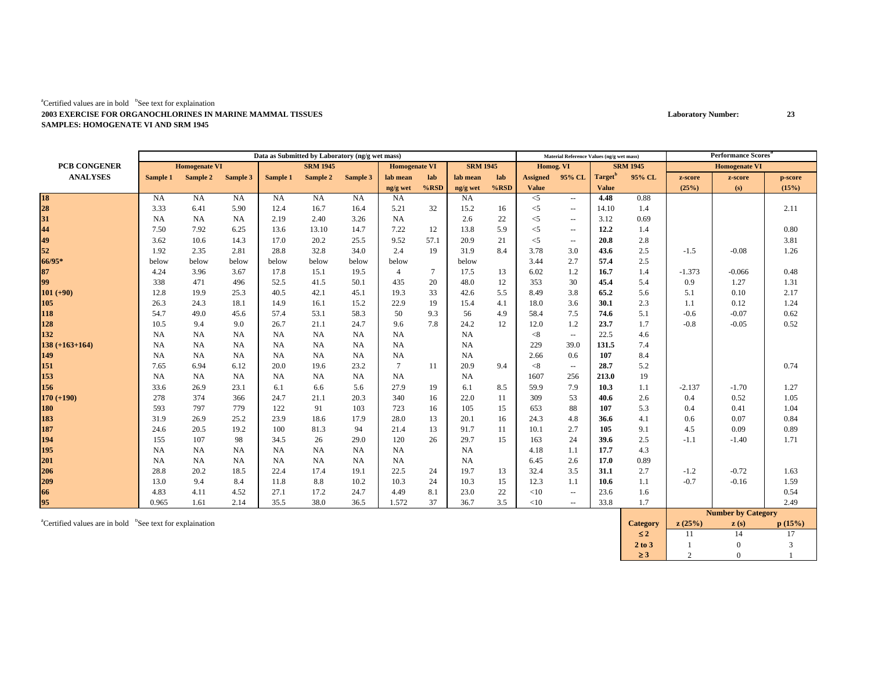|                     | Data as Submitted by Laboratory (ng/g wet mass) |           |           |                 |           |                      | Material Reference Values (ng/g wet mass) |                 |           |           | <b>Performance Scores</b> <sup>8</sup> |                          |                     |                      |          |                    |         |
|---------------------|-------------------------------------------------|-----------|-----------|-----------------|-----------|----------------------|-------------------------------------------|-----------------|-----------|-----------|----------------------------------------|--------------------------|---------------------|----------------------|----------|--------------------|---------|
| <b>PCB CONGENER</b> | <b>Homogenate VI</b>                            |           |           | <b>SRM 1945</b> |           | <b>Homogenate VI</b> |                                           | <b>SRM 1945</b> |           | Homog. VI |                                        | <b>SRM 1945</b>          |                     | <b>Homogenate VI</b> |          |                    |         |
| <b>ANALYSES</b>     | Sample 1                                        | Sample 2  | Sample 3  | Sample 1        | Sample 2  | Sample 3             | lab mean                                  | lab             | lab mean  | lab       | <b>Assigned</b>                        | 95% CL                   | Target <sup>b</sup> | 95% CL               | z-score  | z-score            | p-score |
|                     |                                                 |           |           |                 |           |                      | ng/g wet                                  | $%$ RSD         | ng/g wet  | $%$ RSD   | <b>Value</b>                           |                          | <b>Value</b>        |                      | (25%)    | (s)                | (15%)   |
| 18<br>28<br>31      | <b>NA</b>                                       | <b>NA</b> | NA        | <b>NA</b>       | <b>NA</b> | <b>NA</b>            | <b>NA</b>                                 |                 | <b>NA</b> |           | $<$ 5                                  | $\sim$ $\sim$            | 4.48                | 0.88                 |          |                    |         |
|                     | 3.33                                            | 6.41      | 5.90      | 12.4            | 16.7      | 16.4                 | 5.21                                      | 32              | 15.2      | 16        | $<$ 5                                  | $\overline{\phantom{a}}$ | 14.10               | 1.4                  |          |                    | 2.11    |
|                     | <b>NA</b>                                       | NA        | <b>NA</b> | 2.19            | 2.40      | 3.26                 | <b>NA</b>                                 |                 | 2.6       | 22        | $<$ 5                                  | $\overline{\phantom{a}}$ | 3.12                | 0.69                 |          |                    |         |
| 44<br>49            | 7.50                                            | 7.92      | 6.25      | 13.6            | 13.10     | 14.7                 | 7.22                                      | 12              | 13.8      | 5.9       | $<$ 5                                  | $\overline{\phantom{a}}$ | 12.2                | 1.4                  |          |                    | 0.80    |
|                     | 3.62                                            | 10.6      | 14.3      | 17.0            | 20.2      | 25.5                 | 9.52                                      | 57.1            | 20.9      | 21        | $<$ 5                                  | $\overline{\phantom{a}}$ | 20.8                | 2.8                  |          |                    | 3.81    |
| 52                  | 1.92                                            | 2.35      | 2.81      | 28.8            | 32.8      | 34.0                 | 2.4                                       | 19              | 31.9      | 8.4       | 3.78                                   | 3.0                      | 43.6                | 2.5                  | $-1.5$   | $-0.08$            | 1.26    |
| 66/95*              | below                                           | below     | below     | below           | below     | below                | below                                     |                 | below     |           | 3.44                                   | 2.7                      | 57.4                | 2.5                  |          |                    |         |
| 87                  | 4.24                                            | 3.96      | 3.67      | 17.8            | 15.1      | 19.5                 | $\overline{4}$                            | $\tau$          | 17.5      | 13        | 6.02                                   | 1.2                      | 16.7                | 1.4                  | $-1.373$ | $-0.066$           | 0.48    |
| 99                  | 338                                             | 471       | 496       | 52.5            | 41.5      | 50.1                 | 435                                       | 20              | 48.0      | 12        | 353                                    | 30                       | 45.4                | 5.4                  | 0.9      | 1.27               | 1.31    |
| $101 (+90)$         | 12.8                                            | 19.9      | 25.3      | 40.5            | 42.1      | 45.1                 | 19.3                                      | 33              | 42.6      | 5.5       | 8.49                                   | 3.8                      | 65.2                | 5.6                  | 5.1      | 0.10               | 2.17    |
| 105                 | 26.3                                            | 24.3      | 18.1      | 14.9            | 16.1      | 15.2                 | 22.9                                      | 19              | 15.4      | 4.1       | 18.0                                   | 3.6                      | 30.1                | 2.3                  | 1.1      | 0.12               | 1.24    |
| 118                 | 54.7                                            | 49.0      | 45.6      | 57.4            | 53.1      | 58.3                 | 50                                        | 9.3             | 56        | 4.9       | 58.4                                   | 7.5                      | 74.6                | 5.1                  | $-0.6$   | $-0.07$            | 0.62    |
| 128                 | 10.5                                            | 9.4       | 9.0       | 26.7            | 21.1      | 24.7                 | 9.6                                       | 7.8             | 24.2      | 12        | 12.0                                   | 1.2                      | 23.7                | 1.7                  | $-0.8$   | $-0.05$            | 0.52    |
| 132                 | <b>NA</b>                                       | <b>NA</b> | <b>NA</b> | <b>NA</b>       | NA        | <b>NA</b>            | <b>NA</b>                                 |                 | <b>NA</b> |           | < 8                                    | $\overline{\phantom{a}}$ | 22.5                | 4.6                  |          |                    |         |
| $138 (+163+164)$    | <b>NA</b>                                       | <b>NA</b> | <b>NA</b> | <b>NA</b>       | NA        | <b>NA</b>            | <b>NA</b>                                 |                 | <b>NA</b> |           | 229                                    | 39.0                     | 131.5               | 7.4                  |          |                    |         |
| 149                 | <b>NA</b>                                       | <b>NA</b> | <b>NA</b> | <b>NA</b>       | <b>NA</b> | <b>NA</b>            | <b>NA</b>                                 |                 | <b>NA</b> |           | 2.66                                   | 0.6                      | 107                 | 8.4                  |          |                    |         |
| 151                 | 7.65                                            | 6.94      | 6.12      | 20.0            | 19.6      | 23.2                 | $7\phantom{.0}$                           | 11              | 20.9      | 9.4       | < 8                                    | $\overline{\phantom{a}}$ | 28.7                | 5.2                  |          |                    | 0.74    |
| 153                 | <b>NA</b>                                       | NA        | <b>NA</b> | NA              | NA        | <b>NA</b>            | NA                                        |                 | <b>NA</b> |           | 1607                                   | 256                      | 213.0               | 19                   |          |                    |         |
| 156                 | 33.6                                            | 26.9      | 23.1      | 6.1             | 6.6       | 5.6                  | 27.9                                      | 19              | 6.1       | 8.5       | 59.9                                   | 7.9                      | 10.3                | 1.1                  | $-2.137$ | $-1.70$            | 1.27    |
| $170 (+190)$        | 278                                             | 374       | 366       | 24.7            | 21.1      | 20.3                 | 340                                       | 16              | 22.0      | -11       | 309                                    | 53                       | 40.6                | 2.6                  | 0.4      | 0.52               | 1.05    |
| 180                 | 593                                             | 797       | 779       | 122             | 91        | 103                  | 723                                       | 16              | 105       | 15        | 653                                    | 88                       | 107                 | 5.3                  | 0.4      | 0.41               | 1.04    |
| 183                 | 31.9                                            | 26.9      | 25.2      | 23.9            | 18.6      | 17.9                 | 28.0                                      | 13              | 20.1      | 16        | 24.3                                   | 4.8                      | 36.6                | 4.1                  | 0.6      | 0.07               | 0.84    |
| 187                 | 24.6                                            | 20.5      | 19.2      | 100             | 81.3      | 94                   | 21.4                                      | 13              | 91.7      | 11        | 10.1                                   | 2.7                      | 105                 | 9.1                  | 4.5      | 0.09               | 0.89    |
| 194                 | 155                                             | 107       | 98        | 34.5            | 26        | 29.0                 | 120                                       | 26              | 29.7      | 15        | 163                                    | 24                       | 39.6                | 2.5                  | $-1.1$   | $-1.40$            | 1.71    |
| 195                 | <b>NA</b>                                       | <b>NA</b> | <b>NA</b> | <b>NA</b>       | NA        | <b>NA</b>            | <b>NA</b>                                 |                 | <b>NA</b> |           | 4.18                                   | 1.1                      | 17.7                | 4.3                  |          |                    |         |
| 201                 | <b>NA</b>                                       | <b>NA</b> | NA        | NA              | NA        | <b>NA</b>            | NA                                        |                 | <b>NA</b> |           | 6.45                                   | 2.6                      | 17.0                | 0.89                 |          |                    |         |
| 206                 | 28.8                                            | 20.2      | 18.5      | 22.4            | 17.4      | 19.1                 | 22.5                                      | 24              | 19.7      | 13        | 32.4                                   | 3.5                      | 31.1                | 2.7                  | $-1.2$   | $-0.72$            | 1.63    |
| 209                 | 13.0                                            | 9.4       | 8.4       | 11.8            | 8.8       | 10.2                 | 10.3                                      | 24              | 10.3      | 15        | 12.3                                   | 1.1                      | 10.6                | 1.1                  | $-0.7$   | $-0.16$            | 1.59    |
| 66                  | 4.83                                            | 4.11      | 4.52      | 27.1            | 17.2      | 24.7                 | 4.49                                      | 8.1             | 23.0      | 22        | <10                                    | $\overline{\phantom{a}}$ | 23.6                | 1.6                  |          |                    | 0.54    |
| 95                  | 0.965                                           | 1.61      | 2.14      | 35.5            | 38.0      | 36.5                 | 1.572                                     | 37              | 36.7      | 3.5       | <10                                    | $\sim$ $\sim$            | 33.8                | 1.7                  |          |                    | 2.49    |
|                     |                                                 |           |           |                 |           |                      |                                           |                 |           |           |                                        |                          |                     |                      |          | Number by Category |         |

<sup>a</sup>Certified values are in bold <sup>b</sup>See text for explaination **Category Z** (S) **Category z** (S) **z** (S) **p** (15%) **p** (15%)  $≤ 2$ **2** 11 14 17  $17$ **2 to 33** 1 0 3 ≥**23** 1 2 0 1 **Number by Category**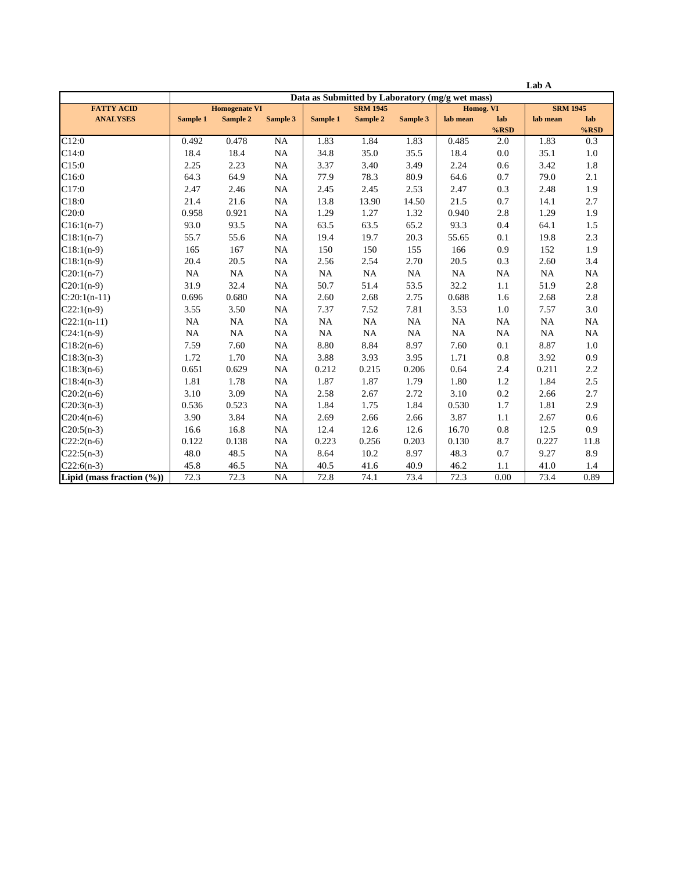|                              |                                                 |           |                 |                 |          |          |           |                | Lab A           |                |
|------------------------------|-------------------------------------------------|-----------|-----------------|-----------------|----------|----------|-----------|----------------|-----------------|----------------|
|                              | Data as Submitted by Laboratory (mg/g wet mass) |           |                 |                 |          |          |           |                |                 |                |
| <b>FATTY ACID</b>            | <b>Homogenate VI</b>                            |           |                 | <b>SRM 1945</b> |          |          | Homog. VI |                | <b>SRM 1945</b> |                |
| <b>ANALYSES</b>              | Sample 1                                        | Sample 2  | <b>Sample 3</b> | Sample 1        | Sample 2 | Sample 3 | lab mean  | lab<br>$%$ RSD | lab mean        | lab<br>$%$ RSD |
| C12:0                        | 0.492                                           | 0.478     | <b>NA</b>       | 1.83            | 1.84     | 1.83     | 0.485     | 2.0            | 1.83            | 0.3            |
| C14:0                        | 18.4                                            | 18.4      | NA              | 34.8            | 35.0     | 35.5     | 18.4      | 0.0            | 35.1            | 1.0            |
| C15:0                        | 2.25                                            | 2.23      | $_{\rm NA}$     | 3.37            | 3.40     | 3.49     | 2.24      | 0.6            | 3.42            | 1.8            |
| C16:0                        | 64.3                                            | 64.9      | NA              | 77.9            | 78.3     | 80.9     | 64.6      | 0.7            | 79.0            | 2.1            |
| C17:0                        | 2.47                                            | 2.46      | NA              | 2.45            | 2.45     | 2.53     | 2.47      | 0.3            | 2.48            | 1.9            |
| C18:0                        | 21.4                                            | 21.6      | NA              | 13.8            | 13.90    | 14.50    | 21.5      | 0.7            | 14.1            | 2.7            |
| C20:0                        | 0.958                                           | 0.921     | <b>NA</b>       | 1.29            | 1.27     | 1.32     | 0.940     | 2.8            | 1.29            | 1.9            |
| $C16:1(n-7)$                 | 93.0                                            | 93.5      | NA              | 63.5            | 63.5     | 65.2     | 93.3      | 0.4            | 64.1            | 1.5            |
| $C18:1(n-7)$                 | 55.7                                            | 55.6      | NA              | 19.4            | 19.7     | 20.3     | 55.65     | 0.1            | 19.8            | 2.3            |
| $C18:1(n-9)$                 | 165                                             | 167       | NA              | 150             | 150      | 155      | 166       | 0.9            | 152             | 1.9            |
| $C18:1(n-9)$                 | 20.4                                            | 20.5      | NA              | 2.56            | 2.54     | 2.70     | 20.5      | 0.3            | 2.60            | 3.4            |
| $C20:1(n-7)$                 | NA                                              | NA        | NA              | NA              | NA       | NA       | <b>NA</b> | <b>NA</b>      | <b>NA</b>       | NA             |
| $C20:1(n-9)$                 | 31.9                                            | 32.4      | NA              | 50.7            | 51.4     | 53.5     | 32.2      | 1.1            | 51.9            | 2.8            |
| $C:20:1(n-11)$               | 0.696                                           | 0.680     | NA              | 2.60            | 2.68     | 2.75     | 0.688     | 1.6            | 2.68            | 2.8            |
| $C22:1(n-9)$                 | 3.55                                            | 3.50      | <b>NA</b>       | 7.37            | 7.52     | 7.81     | 3.53      | 1.0            | 7.57            | 3.0            |
| $C22:1(n-11)$                | <b>NA</b>                                       | <b>NA</b> | <b>NA</b>       | $\rm NA$        | NA       | NA       | <b>NA</b> | <b>NA</b>      | <b>NA</b>       | NA             |
| $C24:1(n-9)$                 | NA                                              | NA        | NA              | NA              | NA       | NA       | <b>NA</b> | <b>NA</b>      | <b>NA</b>       | NA             |
| $C18:2(n-6)$                 | 7.59                                            | 7.60      | NA              | 8.80            | 8.84     | 8.97     | 7.60      | 0.1            | 8.87            | 1.0            |
| $C18:3(n-3)$                 | 1.72                                            | 1.70      | NA              | 3.88            | 3.93     | 3.95     | 1.71      | 0.8            | 3.92            | 0.9            |
| $C18:3(n-6)$                 | 0.651                                           | 0.629     | NA              | 0.212           | 0.215    | 0.206    | 0.64      | 2.4            | 0.211           | 2.2            |
| $C18:4(n-3)$                 | 1.81                                            | 1.78      | <b>NA</b>       | 1.87            | 1.87     | 1.79     | 1.80      | 1.2            | 1.84            | 2.5            |
| $C20:2(n-6)$                 | 3.10                                            | 3.09      | NA              | 2.58            | 2.67     | 2.72     | 3.10      | 0.2            | 2.66            | 2.7            |
| $C20:3(n-3)$                 | 0.536                                           | 0.523     | NA              | 1.84            | 1.75     | 1.84     | 0.530     | 1.7            | 1.81            | 2.9            |
| $C20:4(n-6)$                 | 3.90                                            | 3.84      | NA              | 2.69            | 2.66     | 2.66     | 3.87      | 1.1            | 2.67            | 0.6            |
| $C20:5(n-3)$                 | 16.6                                            | 16.8      | <b>NA</b>       | 12.4            | 12.6     | 12.6     | 16.70     | $0.8\,$        | 12.5            | 0.9            |
| $C22:2(n-6)$                 | 0.122                                           | 0.138     | <b>NA</b>       | 0.223           | 0.256    | 0.203    | 0.130     | 8.7            | 0.227           | 11.8           |
| $C22:5(n-3)$                 | 48.0                                            | 48.5      | NA              | 8.64            | 10.2     | 8.97     | 48.3      | 0.7            | 9.27            | 8.9            |
| $C22:6(n-3)$                 | 45.8                                            | 46.5      | NA              | 40.5            | 41.6     | 40.9     | 46.2      | 1.1            | 41.0            | 1.4            |
| Lipid (mass fraction $(\%))$ | 72.3                                            | 72.3      | <b>NA</b>       | 72.8            | 74.1     | 73.4     | 72.3      | 0.00           | 73.4            | 0.89           |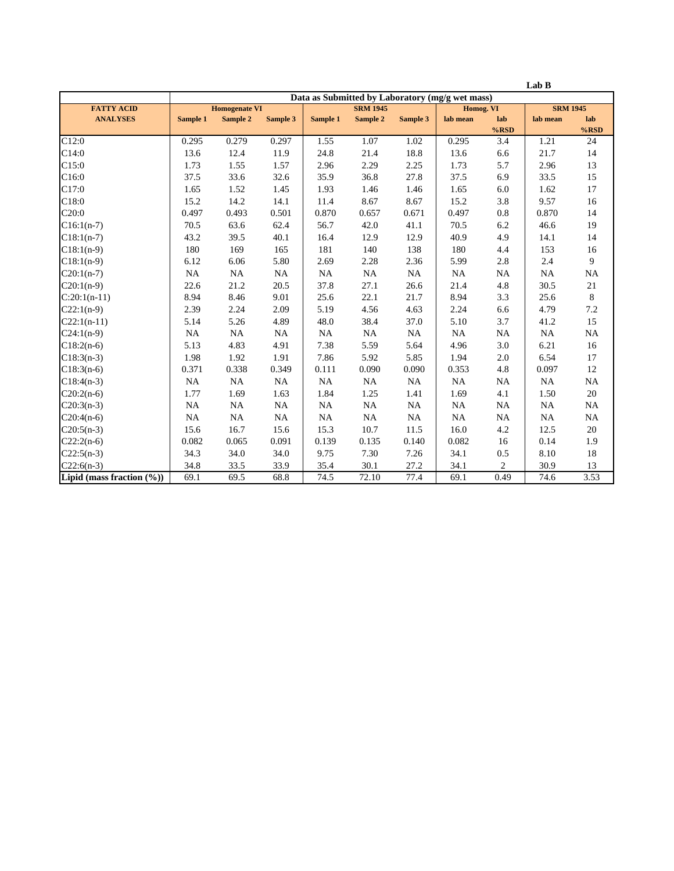|                              |                                                 |           |           |           |                 |           |          |                | Lab B           |                |
|------------------------------|-------------------------------------------------|-----------|-----------|-----------|-----------------|-----------|----------|----------------|-----------------|----------------|
|                              | Data as Submitted by Laboratory (mg/g wet mass) |           |           |           |                 |           |          |                |                 |                |
| <b>FATTY ACID</b>            | <b>Homogenate VI</b>                            |           |           |           | <b>SRM 1945</b> |           |          | Homog. VI      | <b>SRM 1945</b> |                |
| <b>ANALYSES</b>              | Sample 1                                        | Sample 2  | Sample 3  | Sample 1  | Sample 2        | Sample 3  | lab mean | lab<br>$%$ RSD | lab mean        | lab<br>$%$ RSD |
| C12:0                        | 0.295                                           | 0.279     | 0.297     | 1.55      | 1.07            | 1.02      | 0.295    | 3.4            | 1.21            | 24             |
| C14:0                        | 13.6                                            | 12.4      | 11.9      | 24.8      | 21.4            | 18.8      | 13.6     | 6.6            | 21.7            | 14             |
| C15:0                        |                                                 |           |           |           |                 |           |          | 5.7            |                 | 13             |
|                              | 1.73                                            | 1.55      | 1.57      | 2.96      | 2.29            | 2.25      | 1.73     |                | 2.96            |                |
| C16:0                        | 37.5                                            | 33.6      | 32.6      | 35.9      | 36.8            | 27.8      | 37.5     | 6.9            | 33.5            | 15             |
| C17:0                        | 1.65                                            | 1.52      | 1.45      | 1.93      | 1.46            | 1.46      | 1.65     | 6.0            | 1.62            | 17             |
| C18:0                        | 15.2                                            | 14.2      | 14.1      | 11.4      | 8.67            | 8.67      | 15.2     | 3.8            | 9.57            | 16             |
| C20:0                        | 0.497                                           | 0.493     | 0.501     | 0.870     | 0.657           | 0.671     | 0.497    | 0.8            | 0.870           | 14             |
| $C16:1(n-7)$                 | 70.5                                            | 63.6      | 62.4      | 56.7      | 42.0            | 41.1      | 70.5     | 6.2            | 46.6            | 19             |
| $C18:1(n-7)$                 | 43.2                                            | 39.5      | 40.1      | 16.4      | 12.9            | 12.9      | 40.9     | 4.9            | 14.1            | 14             |
| $C18:1(n-9)$                 | 180                                             | 169       | 165       | 181       | 140             | 138       | 180      | 4.4            | 153             | 16             |
| $C18:1(n-9)$                 | 6.12                                            | 6.06      | 5.80      | 2.69      | 2.28            | 2.36      | 5.99     | 2.8            | 2.4             | 9              |
| $C20:1(n-7)$                 | NA                                              | NA        | NA        | NA        | <b>NA</b>       | NA        | NA       | <b>NA</b>      | NA              | NA             |
| $C20:1(n-9)$                 | 22.6                                            | 21.2      | 20.5      | 37.8      | 27.1            | 26.6      | 21.4     | 4.8            | 30.5            | 21             |
| $C:20:1(n-11)$               | 8.94                                            | 8.46      | 9.01      | 25.6      | 22.1            | 21.7      | 8.94     | 3.3            | 25.6            | 8              |
| $C22:1(n-9)$                 | 2.39                                            | 2.24      | 2.09      | 5.19      | 4.56            | 4.63      | 2.24     | 6.6            | 4.79            | 7.2            |
| $C22:1(n-11)$                | 5.14                                            | 5.26      | 4.89      | 48.0      | 38.4            | 37.0      | 5.10     | 3.7            | 41.2            | 15             |
| $C24:1(n-9)$                 | NA                                              | NA        | NA        | NA        | NA              | NA        | NA       | NA             | <b>NA</b>       | NA             |
| $C18:2(n-6)$                 | 5.13                                            | 4.83      | 4.91      | 7.38      | 5.59            | 5.64      | 4.96     | 3.0            | 6.21            | 16             |
| $C18:3(n-3)$                 | 1.98                                            | 1.92      | 1.91      | 7.86      | 5.92            | 5.85      | 1.94     | 2.0            | 6.54            | 17             |
| $C18:3(n-6)$                 | 0.371                                           | 0.338     | 0.349     | 0.111     | 0.090           | 0.090     | 0.353    | 4.8            | 0.097           | 12             |
| $C18:4(n-3)$                 | <b>NA</b>                                       | <b>NA</b> | <b>NA</b> | <b>NA</b> | <b>NA</b>       | <b>NA</b> | NA       | <b>NA</b>      | <b>NA</b>       | NA             |
| $C20:2(n-6)$                 | 1.77                                            | 1.69      | 1.63      | 1.84      | 1.25            | 1.41      | 1.69     | 4.1            | 1.50            | 20             |
| $C20:3(n-3)$                 | NA                                              | NA        | NA        | NA        | <b>NA</b>       | NA        | NA       | NA             | NA              | NA             |
| $C20:4(n-6)$                 | NA                                              | NA        | NA        | NA        | NA              | NA        | NA       | NA             | <b>NA</b>       | NA             |
| $C20:5(n-3)$                 | 15.6                                            | 16.7      | 15.6      | 15.3      | 10.7            | 11.5      | 16.0     | 4.2            | 12.5            | 20             |
| $C22:2(n-6)$                 | 0.082                                           | 0.065     | 0.091     | 0.139     | 0.135           | 0.140     | 0.082    | 16             | 0.14            | 1.9            |
| $C22:5(n-3)$                 | 34.3                                            | 34.0      | 34.0      | 9.75      | 7.30            | 7.26      | 34.1     | 0.5            | 8.10            | 18             |
| $C22:6(n-3)$                 | 34.8                                            | 33.5      | 33.9      | 35.4      | 30.1            | 27.2      | 34.1     | 2              | 30.9            | 13             |
| Lipid (mass fraction $(\%))$ | 69.1                                            | 69.5      | 68.8      | 74.5      | 72.10           | 77.4      | 69.1     | 0.49           | 74.6            | 3.53           |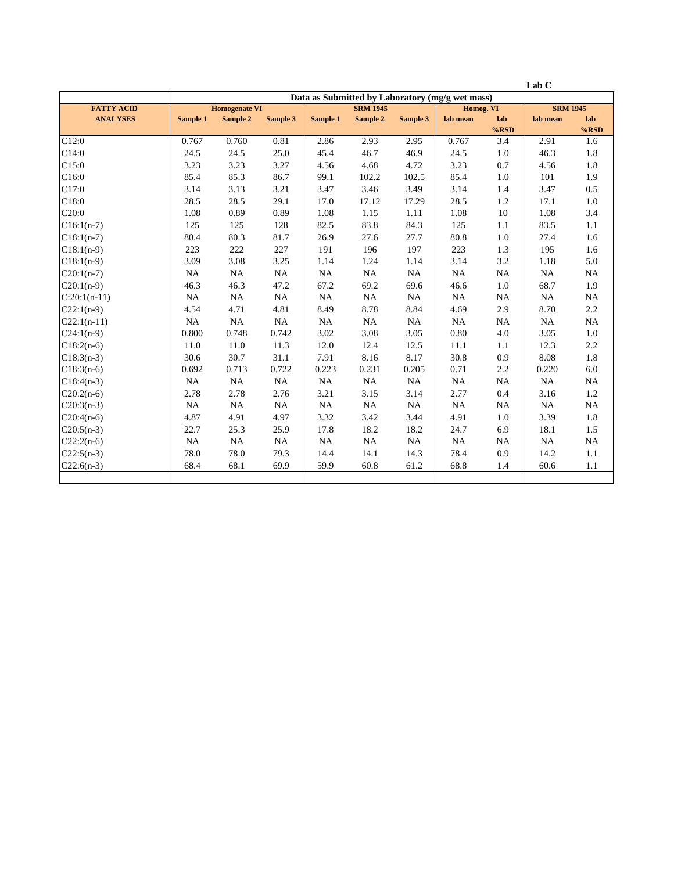|                   |           |                      |                 |           |                 |           |                                                 |                | Lab C           |                |
|-------------------|-----------|----------------------|-----------------|-----------|-----------------|-----------|-------------------------------------------------|----------------|-----------------|----------------|
|                   |           |                      |                 |           |                 |           | Data as Submitted by Laboratory (mg/g wet mass) |                |                 |                |
| <b>FATTY ACID</b> |           | <b>Homogenate VI</b> |                 |           | <b>SRM 1945</b> |           | Homog. VI                                       |                | <b>SRM 1945</b> |                |
| <b>ANALYSES</b>   | Sample 1  | Sample 2             | <b>Sample 3</b> | Sample 1  | Sample 2        | Sample 3  | lab mean                                        | lab<br>$%$ RSD | lab mean        | lab<br>$%$ RSD |
| C12:0             | 0.767     | 0.760                | 0.81            | 2.86      | 2.93            | 2.95      | 0.767                                           | 3.4            | 2.91            | 1.6            |
| C14:0             | 24.5      | 24.5                 | 25.0            | 45.4      | 46.7            | 46.9      | 24.5                                            | 1.0            | 46.3            | 1.8            |
| C15:0             | 3.23      | 3.23                 | 3.27            | 4.56      | 4.68            | 4.72      | 3.23                                            | 0.7            | 4.56            | 1.8            |
| C16:0             | 85.4      | 85.3                 | 86.7            | 99.1      | 102.2           | 102.5     | 85.4                                            | 1.0            | 101             | 1.9            |
| C17:0             | 3.14      | 3.13                 | 3.21            | 3.47      | 3.46            | 3.49      | 3.14                                            | 1.4            | 3.47            | 0.5            |
| C18:0             | 28.5      | 28.5                 | 29.1            | 17.0      | 17.12           | 17.29     | 28.5                                            | 1.2            | 17.1            | $1.0\,$        |
| C20:0             | 1.08      | 0.89                 | 0.89            | 1.08      | 1.15            | 1.11      | 1.08                                            | 10             | 1.08            | 3.4            |
| $C16:1(n-7)$      | 125       | 125                  | 128             | 82.5      | 83.8            | 84.3      | 125                                             | 1.1            | 83.5            | 1.1            |
| $C18:1(n-7)$      | 80.4      | 80.3                 | 81.7            | 26.9      | 27.6            | 27.7      | 80.8                                            | 1.0            | 27.4            | 1.6            |
| $C18:1(n-9)$      | 223       | 222                  | 227             | 191       | 196             | 197       | 223                                             | 1.3            | 195             | 1.6            |
| $C18:1(n-9)$      | 3.09      | 3.08                 | 3.25            | 1.14      | 1.24            | 1.14      | 3.14                                            | 3.2            | 1.18            | 5.0            |
| $C20:1(n-7)$      | NA        | NA                   | NA              | <b>NA</b> | NA              | NA        | <b>NA</b>                                       | <b>NA</b>      | <b>NA</b>       | NA             |
| $C20:1(n-9)$      | 46.3      | 46.3                 | 47.2            | 67.2      | 69.2            | 69.6      | 46.6                                            | 1.0            | 68.7            | 1.9            |
| $C:20:1(n-11)$    | NA        | <b>NA</b>            | NA              | <b>NA</b> | NA              | <b>NA</b> | <b>NA</b>                                       | <b>NA</b>      | <b>NA</b>       | <b>NA</b>      |
| $C22:1(n-9)$      | 4.54      | 4.71                 | 4.81            | 8.49      | 8.78            | 8.84      | 4.69                                            | 2.9            | 8.70            | 2.2            |
| $C22:1(n-11)$     | NA        | NA                   | NA              | <b>NA</b> | NA              | NA        | <b>NA</b>                                       | <b>NA</b>      | <b>NA</b>       | <b>NA</b>      |
| $C24:1(n-9)$      | 0.800     | 0.748                | 0.742           | 3.02      | 3.08            | 3.05      | 0.80                                            | 4.0            | 3.05            | 1.0            |
| $C18:2(n-6)$      | 11.0      | 11.0                 | 11.3            | 12.0      | 12.4            | 12.5      | 11.1                                            | 1.1            | 12.3            | 2.2            |
| $C18:3(n-3)$      | 30.6      | 30.7                 | 31.1            | 7.91      | 8.16            | 8.17      | 30.8                                            | 0.9            | 8.08            | 1.8            |
| $C18:3(n-6)$      | 0.692     | 0.713                | 0.722           | 0.223     | 0.231           | 0.205     | 0.71                                            | 2.2            | 0.220           | 6.0            |
| $C18:4(n-3)$      | <b>NA</b> | NA                   | NA              | <b>NA</b> | NA              | NA        | <b>NA</b>                                       | <b>NA</b>      | <b>NA</b>       | NA             |
| $C20:2(n-6)$      | 2.78      | 2.78                 | 2.76            | 3.21      | 3.15            | 3.14      | 2.77                                            | 0.4            | 3.16            | 1.2            |
| $C20:3(n-3)$      | NA        | NA                   | NA              | NA        | NA              | NA        | <b>NA</b>                                       | <b>NA</b>      | <b>NA</b>       | NA             |
| $C20:4(n-6)$      | 4.87      | 4.91                 | 4.97            | 3.32      | 3.42            | 3.44      | 4.91                                            | 1.0            | 3.39            | 1.8            |
| $C20:5(n-3)$      | 22.7      | 25.3                 | 25.9            | 17.8      | 18.2            | 18.2      | 24.7                                            | 6.9            | 18.1            | 1.5            |
| $C22:2(n-6)$      | <b>NA</b> | <b>NA</b>            | NA              | <b>NA</b> | <b>NA</b>       | NA        | <b>NA</b>                                       | <b>NA</b>      | <b>NA</b>       | <b>NA</b>      |
| $C22:5(n-3)$      | 78.0      | 78.0                 | 79.3            | 14.4      | 14.1            | 14.3      | 78.4                                            | 0.9            | 14.2            | 1.1            |
| $C22:6(n-3)$      | 68.4      | 68.1                 | 69.9            | 59.9      | 60.8            | 61.2      | 68.8                                            | 1.4            | 60.6            | 1.1            |
|                   |           |                      |                 |           |                 |           |                                                 |                |                 |                |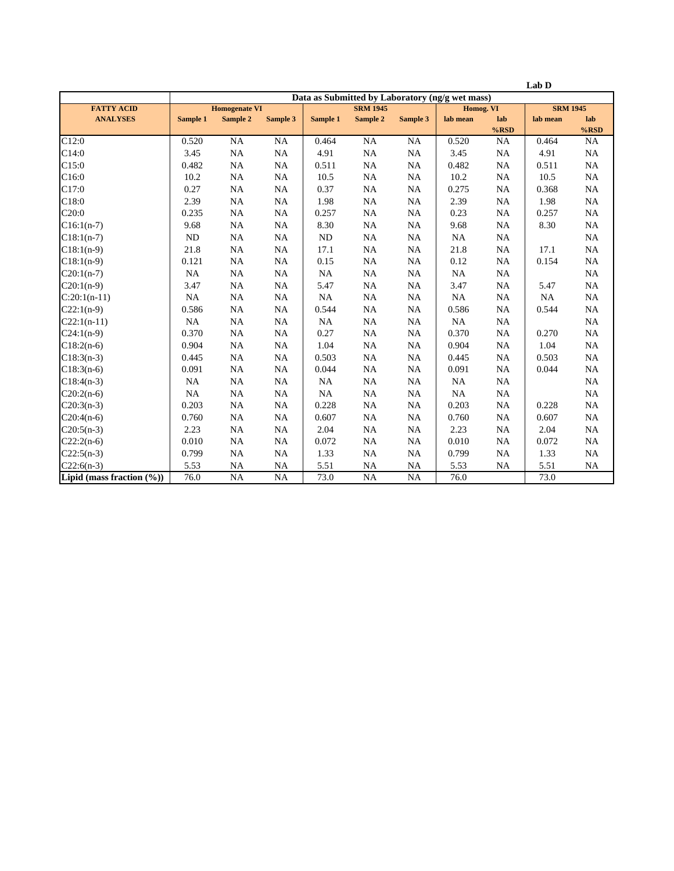|                               |           |                      |             |           |                 |           |                                                 |                | Lab D           |                |
|-------------------------------|-----------|----------------------|-------------|-----------|-----------------|-----------|-------------------------------------------------|----------------|-----------------|----------------|
|                               |           |                      |             |           |                 |           | Data as Submitted by Laboratory (ng/g wet mass) |                |                 |                |
| <b>FATTY ACID</b>             |           | <b>Homogenate VI</b> |             |           | <b>SRM 1945</b> |           | Homog. VI                                       |                | <b>SRM 1945</b> |                |
| <b>ANALYSES</b>               | Sample 1  | Sample 2             | Sample 3    | Sample 1  | Sample 2        | Sample 3  | lab mean                                        | lab<br>$%$ RSD | lab mean        | lab<br>$%$ RSD |
| C12:0                         | 0.520     | <b>NA</b>            | NA          | 0.464     | <b>NA</b>       | <b>NA</b> | 0.520                                           | <b>NA</b>      | 0.464           | NA             |
| C14:0                         | 3.45      | NA                   | NA          | 4.91      | NA              | <b>NA</b> | 3.45                                            | <b>NA</b>      | 4.91            | NA             |
| C15:0                         | 0.482     | NA                   | NA          | 0.511     | NA              | <b>NA</b> | 0.482                                           | NA             | 0.511           | NA             |
| C16:0                         | 10.2      | NA                   | NA          | 10.5      | NA              | <b>NA</b> | 10.2                                            | NA             | 10.5            | NA             |
| C17:0                         | 0.27      |                      |             | 0.37      |                 |           | 0.275                                           | NA             | 0.368           | NA             |
|                               |           | $\rm NA$             | $_{\rm NA}$ |           | <b>NA</b>       | <b>NA</b> |                                                 |                |                 |                |
| C18:0                         | 2.39      | NA                   | $_{\rm NA}$ | 1.98      | <b>NA</b>       | <b>NA</b> | 2.39                                            | <b>NA</b>      | 1.98            | NA             |
| C20:0                         | 0.235     | NA                   | NA          | 0.257     | NA              | <b>NA</b> | 0.23                                            | NA             | 0.257           | NA             |
| $C16:1(n-7)$                  | 9.68      | <b>NA</b>            | NA          | 8.30      | NA              | NA        | 9.68                                            | NA             | 8.30            | <b>NA</b>      |
| $C18:1(n-7)$                  | ND        | NA                   | NA          | ND        | NA              | <b>NA</b> | <b>NA</b>                                       | NA             |                 | NA             |
| $C18:1(n-9)$                  | 21.8      | NA                   | NA          | 17.1      | NA              | <b>NA</b> | 21.8                                            | NA             | 17.1            | NA             |
| $C18:1(n-9)$                  | 0.121     | NA                   | NA          | 0.15      | <b>NA</b>       | <b>NA</b> | 0.12                                            | NA             | 0.154           | NA             |
| $C20:1(n-7)$                  | NA        | NA                   | NA          | <b>NA</b> | NA              | <b>NA</b> | NA                                              | NA             |                 | NA             |
| $C20:1(n-9)$                  | 3.47      | NA                   | NA          | 5.47      | NA              | <b>NA</b> | 3.47                                            | NA             | 5.47            | NA             |
| $C:20:1(n-11)$                | NA        | NA                   | NA          | NA        | NA              | <b>NA</b> | <b>NA</b>                                       | NA             | NA              | NA             |
| $C22:1(n-9)$                  | 0.586     | NA                   | NA          | 0.544     | <b>NA</b>       | <b>NA</b> | 0.586                                           | $\rm NA$       | 0.544           | NA             |
| $C22:1(n-11)$                 | <b>NA</b> | NA                   | NA          | <b>NA</b> | NA              | <b>NA</b> | <b>NA</b>                                       | <b>NA</b>      |                 | NA             |
| $C24:1(n-9)$                  | 0.370     | NA                   | NA          | 0.27      | NA              | <b>NA</b> | 0.370                                           | NA             | 0.270           | <b>NA</b>      |
| $C18:2(n-6)$                  | 0.904     | <b>NA</b>            | <b>NA</b>   | 1.04      | <b>NA</b>       | <b>NA</b> | 0.904                                           | NA             | 1.04            | NA             |
| $C18:3(n-3)$                  | 0.445     | NA                   | NA          | 0.503     | NA              | <b>NA</b> | 0.445                                           | NA             | 0.503           | NA             |
| $C18:3(n-6)$                  | 0.091     | NA                   | NA          | 0.044     | <b>NA</b>       | <b>NA</b> | 0.091                                           | NA             | 0.044           | <b>NA</b>      |
| $C18:4(n-3)$                  | <b>NA</b> | NA                   | NA          | NA        | <b>NA</b>       | <b>NA</b> | NA                                              | NA             |                 | NA             |
| $C20:2(n-6)$                  | NA        | NA                   | NA          | NA        | <b>NA</b>       | <b>NA</b> | NA                                              | NA             |                 | NA             |
| $C20:3(n-3)$                  | 0.203     | NA                   | NA          | 0.228     | <b>NA</b>       | <b>NA</b> | 0.203                                           | NA             | 0.228           | NA             |
| $C20:4(n-6)$                  | 0.760     | NA                   | NA          | 0.607     | NA              | NA        | 0.760                                           | NA             | 0.607           | NA             |
| $C20:5(n-3)$                  | 2.23      | NA                   | NA          | 2.04      | <b>NA</b>       | <b>NA</b> | 2.23                                            | NA             | 2.04            | <b>NA</b>      |
| $C22:2(n-6)$                  | 0.010     | NA                   | NA          | 0.072     | <b>NA</b>       | <b>NA</b> | 0.010                                           | NA             | 0.072           | NA             |
| $C22:5(n-3)$                  | 0.799     | <b>NA</b>            | <b>NA</b>   | 1.33      | <b>NA</b>       | <b>NA</b> | 0.799                                           | NA             | 1.33            | NA             |
| $C22:6(n-3)$                  | 5.53      | <b>NA</b>            | <b>NA</b>   | 5.51      | <b>NA</b>       | <b>NA</b> | 5.53                                            | <b>NA</b>      | 5.51            | <b>NA</b>      |
| Lipid (mass fraction $(\%)$ ) | 76.0      | NA                   | NA          | 73.0      | <b>NA</b>       | <b>NA</b> | 76.0                                            |                | 73.0            |                |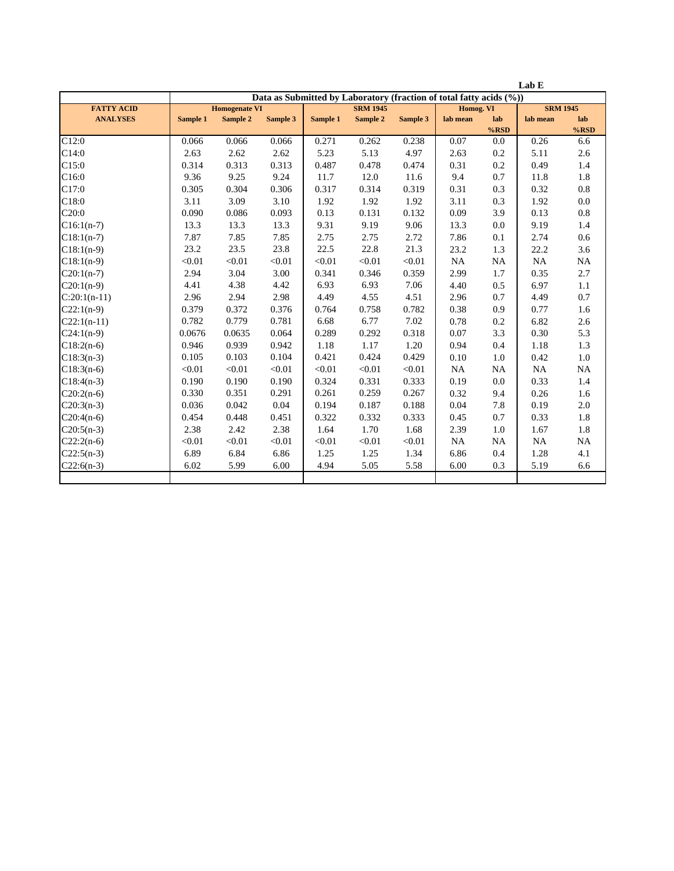|                   | Lab E    |                      |                 |          |                 |          |                                                                     |           |                 |         |
|-------------------|----------|----------------------|-----------------|----------|-----------------|----------|---------------------------------------------------------------------|-----------|-----------------|---------|
|                   |          |                      |                 |          |                 |          | Data as Submitted by Laboratory (fraction of total fatty acids (%)) |           |                 |         |
| <b>FATTY ACID</b> |          | <b>Homogenate VI</b> |                 |          | <b>SRM 1945</b> |          |                                                                     | Homog. VI | <b>SRM 1945</b> |         |
| <b>ANALYSES</b>   | Sample 1 | Sample 2             | <b>Sample 3</b> | Sample 1 | Sample 2        | Sample 3 | lab mean                                                            | lab       | lab mean        | lab     |
|                   |          |                      |                 |          |                 |          |                                                                     | $%$ RSD   |                 | $%$ RSD |
| C12:0             | 0.066    | 0.066                | 0.066           | 0.271    | 0.262           | 0.238    | 0.07                                                                | 0.0       | 0.26            | 6.6     |
| C14:0             | 2.63     | 2.62                 | 2.62            | 5.23     | 5.13            | 4.97     | 2.63                                                                | 0.2       | 5.11            | 2.6     |
| C15:0             | 0.314    | 0.313                | 0.313           | 0.487    | 0.478           | 0.474    | 0.31                                                                | 0.2       | 0.49            | 1.4     |
| C16:0             | 9.36     | 9.25                 | 9.24            | 11.7     | 12.0            | 11.6     | 9.4                                                                 | 0.7       | 11.8            | 1.8     |
| C17:0             | 0.305    | 0.304                | 0.306           | 0.317    | 0.314           | 0.319    | 0.31                                                                | 0.3       | 0.32            | $0.8\,$ |
| C18:0             | 3.11     | 3.09                 | 3.10            | 1.92     | 1.92            | 1.92     | 3.11                                                                | 0.3       | 1.92            | $0.0\,$ |
| C20:0             | 0.090    | 0.086                | 0.093           | 0.13     | 0.131           | 0.132    | 0.09                                                                | 3.9       | 0.13            | 0.8     |
| $C16:1(n-7)$      | 13.3     | 13.3                 | 13.3            | 9.31     | 9.19            | 9.06     | 13.3                                                                | 0.0       | 9.19            | 1.4     |
| $C18:1(n-7)$      | 7.87     | 7.85                 | 7.85            | 2.75     | 2.75            | 2.72     | 7.86                                                                | 0.1       | 2.74            | 0.6     |
| $C18:1(n-9)$      | 23.2     | 23.5                 | 23.8            | 22.5     | 22.8            | 21.3     | 23.2                                                                | 1.3       | 22.2            | 3.6     |
| $C18:1(n-9)$      | < 0.01   | < 0.01               | < 0.01          | < 0.01   | < 0.01          | < 0.01   | NA                                                                  | NA        | NA              | NA      |
| $C20:1(n-7)$      | 2.94     | 3.04                 | 3.00            | 0.341    | 0.346           | 0.359    | 2.99                                                                | 1.7       | 0.35            | $2.7\,$ |
| $C20:1(n-9)$      | 4.41     | 4.38                 | 4.42            | 6.93     | 6.93            | 7.06     | 4.40                                                                | 0.5       | 6.97            | 1.1     |
| $C:20:1(n-11)$    | 2.96     | 2.94                 | 2.98            | 4.49     | 4.55            | 4.51     | 2.96                                                                | 0.7       | 4.49            | 0.7     |
| $C22:1(n-9)$      | 0.379    | 0.372                | 0.376           | 0.764    | 0.758           | 0.782    | 0.38                                                                | 0.9       | 0.77            | 1.6     |
| $C22:1(n-11)$     | 0.782    | 0.779                | 0.781           | 6.68     | 6.77            | 7.02     | 0.78                                                                | 0.2       | 6.82            | 2.6     |
| $C24:1(n-9)$      | 0.0676   | 0.0635               | 0.064           | 0.289    | 0.292           | 0.318    | 0.07                                                                | 3.3       | 0.30            | 5.3     |
| $C18:2(n-6)$      | 0.946    | 0.939                | 0.942           | 1.18     | 1.17            | 1.20     | 0.94                                                                | 0.4       | 1.18            | 1.3     |
| $C18:3(n-3)$      | 0.105    | 0.103                | 0.104           | 0.421    | 0.424           | 0.429    | 0.10                                                                | 1.0       | 0.42            | $1.0\,$ |
| $C18:3(n-6)$      | < 0.01   | < 0.01               | < 0.01          | < 0.01   | < 0.01          | < 0.01   | NA                                                                  | NA        | NA              | NA      |
| $C18:4(n-3)$      | 0.190    | 0.190                | 0.190           | 0.324    | 0.331           | 0.333    | 0.19                                                                | 0.0       | 0.33            | 1.4     |
| $C20:2(n-6)$      | 0.330    | 0.351                | 0.291           | 0.261    | 0.259           | 0.267    | 0.32                                                                | 9.4       | 0.26            | 1.6     |
| $C20:3(n-3)$      | 0.036    | 0.042                | 0.04            | 0.194    | 0.187           | 0.188    | 0.04                                                                | 7.8       | 0.19            | $2.0\,$ |
| $C20:4(n-6)$      | 0.454    | 0.448                | 0.451           | 0.322    | 0.332           | 0.333    | 0.45                                                                | 0.7       | 0.33            | 1.8     |
| $C20:5(n-3)$      | 2.38     | 2.42                 | 2.38            | 1.64     | 1.70            | 1.68     | 2.39                                                                | 1.0       | 1.67            | 1.8     |
| $C22:2(n-6)$      | < 0.01   | < 0.01               | < 0.01          | < 0.01   | < 0.01          | < 0.01   | NA                                                                  | NA        | NA              | NA      |
| $C22:5(n-3)$      | 6.89     | 6.84                 | 6.86            | 1.25     | 1.25            | 1.34     | 6.86                                                                | 0.4       | 1.28            | 4.1     |
| $C22:6(n-3)$      | 6.02     | 5.99                 | 6.00            | 4.94     | 5.05            | 5.58     | 6.00                                                                | 0.3       | 5.19            | 6.6     |
|                   |          |                      |                 |          |                 |          |                                                                     |           |                 |         |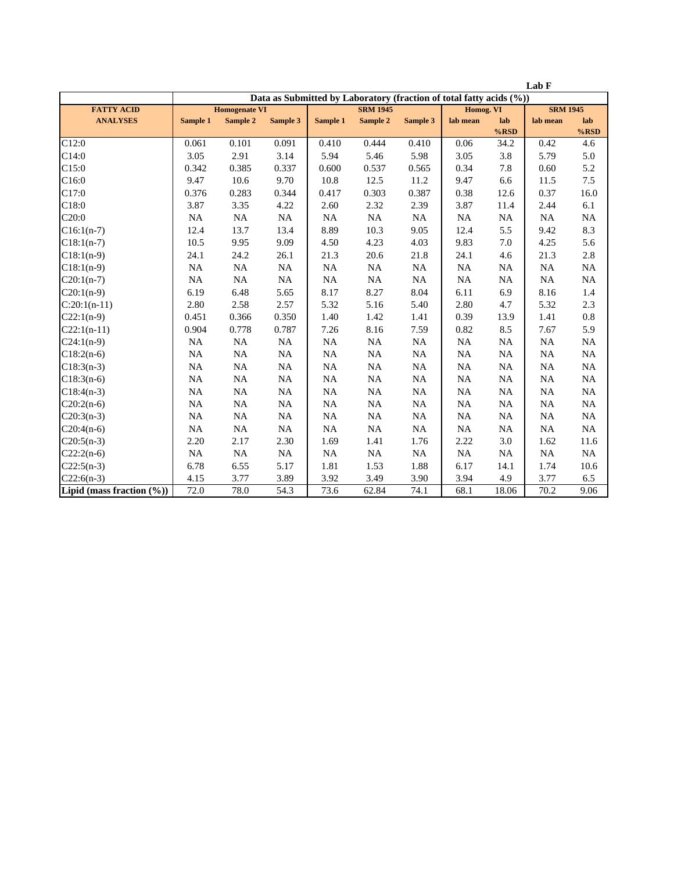|                               |                                                                     |                      |          |           |                 |             |           |                | Lab F           |                |
|-------------------------------|---------------------------------------------------------------------|----------------------|----------|-----------|-----------------|-------------|-----------|----------------|-----------------|----------------|
|                               | Data as Submitted by Laboratory (fraction of total fatty acids (%)) |                      |          |           |                 |             |           |                |                 |                |
| <b>FATTY ACID</b>             |                                                                     | <b>Homogenate VI</b> |          |           | <b>SRM 1945</b> |             | Homog. VI |                | <b>SRM 1945</b> |                |
| <b>ANALYSES</b>               | Sample 1                                                            | Sample 2             | Sample 3 | Sample 1  | Sample 2        | Sample 3    | lab mean  | lab<br>$%$ RSD | lab mean        | lab<br>$%$ RSD |
| C12:0                         | 0.061                                                               | 0.101                | 0.091    | 0.410     | 0.444           | 0.410       | 0.06      | 34.2           | 0.42            | 4.6            |
| C14:0                         | 3.05                                                                | 2.91                 | 3.14     | 5.94      | 5.46            | 5.98        | 3.05      | 3.8            | 5.79            | 5.0            |
| C15:0                         | 0.342                                                               | 0.385                | 0.337    | 0.600     | 0.537           | 0.565       | 0.34      | 7.8            | 0.60            | 5.2            |
| C16:0                         | 9.47                                                                | 10.6                 | 9.70     | 10.8      | 12.5            | 11.2        | 9.47      | 6.6            | 11.5            | 7.5            |
| C17:0                         | 0.376                                                               | 0.283                | 0.344    | 0.417     | 0.303           | 0.387       | 0.38      | 12.6           | 0.37            | 16.0           |
| C18:0                         | 3.87                                                                | 3.35                 | 4.22     | 2.60      | 2.32            | 2.39        | 3.87      | 11.4           | 2.44            | 6.1            |
| C20:0                         | $\rm NA$                                                            | $\rm NA$             | NA       | NA        | $\rm NA$        | $_{\rm NA}$ | $\rm NA$  | $\rm NA$       | NA              | $\rm NA$       |
| $C16:1(n-7)$                  | 12.4                                                                | 13.7                 | 13.4     | 8.89      | 10.3            | 9.05        | 12.4      | 5.5            | 9.42            | 8.3            |
| $C18:1(n-7)$                  | 10.5                                                                | 9.95                 | 9.09     | 4.50      | 4.23            | 4.03        | 9.83      | 7.0            | 4.25            | 5.6            |
| $C18:1(n-9)$                  | 24.1                                                                | 24.2                 | 26.1     | 21.3      | 20.6            | 21.8        | 24.1      | 4.6            | 21.3            | 2.8            |
| $C18:1(n-9)$                  | NA                                                                  | NA                   | NA       | NA        | NA              | <b>NA</b>   | NA        | NA             | NA              | NA             |
| $C20:1(n-7)$                  | NA                                                                  | NA                   | NA       | NA        | <b>NA</b>       | $_{\rm NA}$ | $\rm NA$  | <b>NA</b>      | NA              | <b>NA</b>      |
| $C20:1(n-9)$                  | 6.19                                                                | 6.48                 | 5.65     | 8.17      | 8.27            | 8.04        | 6.11      | 6.9            | 8.16            | 1.4            |
| $C:20:1(n-11)$                | 2.80                                                                | 2.58                 | 2.57     | 5.32      | 5.16            | 5.40        | 2.80      | 4.7            | 5.32            | 2.3            |
| $C22:1(n-9)$                  | 0.451                                                               | 0.366                | 0.350    | 1.40      | 1.42            | 1.41        | 0.39      | 13.9           | 1.41            | $0.8\,$        |
| $C22:1(n-11)$                 | 0.904                                                               | 0.778                | 0.787    | 7.26      | 8.16            | 7.59        | 0.82      | 8.5            | 7.67            | 5.9            |
| $C24:1(n-9)$                  | NA                                                                  | $\rm NA$             | $\rm NA$ | $\rm NA$  | $\rm NA$        | $\rm NA$    | $\rm NA$  | NA             | NA              | $\rm NA$       |
| $C18:2(n-6)$                  | NA                                                                  | NA                   | $\rm NA$ | $\rm NA$  | NA              | $_{\rm NA}$ | $\rm NA$  | $_{\rm NA}$    | NA              | NA             |
| $C18:3(n-3)$                  | NA                                                                  | NA                   | NA       | NA        | NA              | <b>NA</b>   | NA        | NA             | NA              | <b>NA</b>      |
| $C18:3(n-6)$                  | NA                                                                  | NA                   | NA       | <b>NA</b> | NA              | <b>NA</b>   | <b>NA</b> | <b>NA</b>      | <b>NA</b>       | NA             |
| $C18:4(n-3)$                  | NA                                                                  | NA                   | NA       | NA        | $\rm NA$        | $_{\rm NA}$ | NA        | NA             | NA              | NA             |
| $C20:2(n-6)$                  | NA                                                                  | $\rm NA$             | NA       | $\rm NA$  | <b>NA</b>       | $\rm NA$    | $\rm NA$  | NA             | NA              | NA             |
| $C20:3(n-3)$                  | NA                                                                  | NA                   | NA       | NA        | <b>NA</b>       | $\rm NA$    | NA        | $_{\rm NA}$    | NA              | NA             |
| $C20:4(n-6)$                  | NA                                                                  | NA                   | NA       | NA        | <b>NA</b>       | <b>NA</b>   | NA        | NA             | NA              | $\rm NA$       |
| $C20:5(n-3)$                  | 2.20                                                                | 2.17                 | 2.30     | 1.69      | 1.41            | 1.76        | 2.22      | 3.0            | 1.62            | 11.6           |
| $C22:2(n-6)$                  | NA                                                                  | NA                   | NA       | <b>NA</b> | <b>NA</b>       | NA          | <b>NA</b> | NA             | NA              | <b>NA</b>      |
| $C22:5(n-3)$                  | 6.78                                                                | 6.55                 | 5.17     | 1.81      | 1.53            | 1.88        | 6.17      | 14.1           | 1.74            | 10.6           |
| $C22:6(n-3)$                  | 4.15                                                                | 3.77                 | 3.89     | 3.92      | 3.49            | 3.90        | 3.94      | 4.9            | 3.77            | 6.5            |
| Lipid (mass fraction $(\%)$ ) | 72.0                                                                | 78.0                 | 54.3     | 73.6      | 62.84           | 74.1        | 68.1      | 18.06          | 70.2            | 9.06           |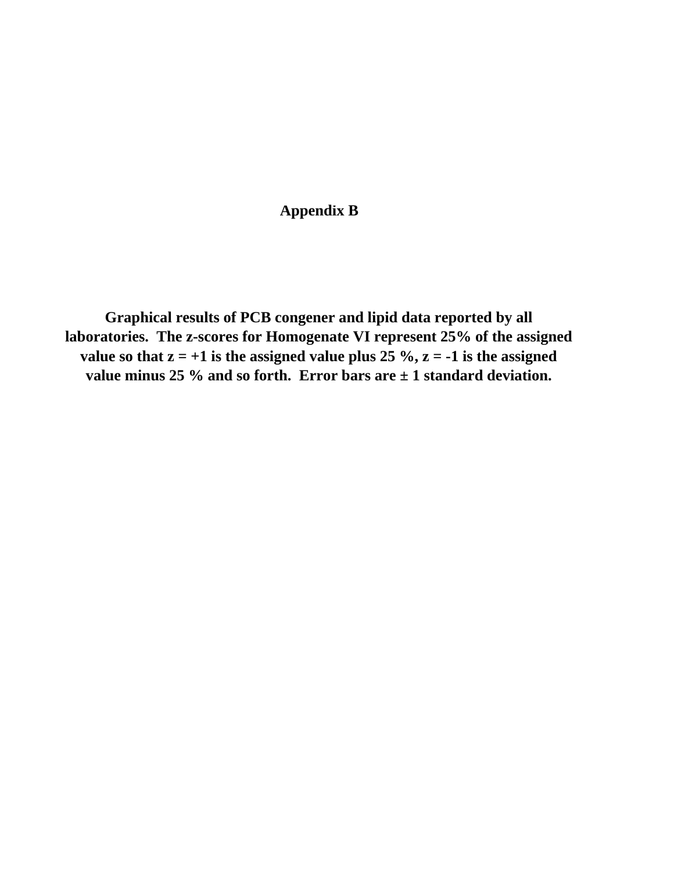## **Appendix B**

**Graphical results of PCB congener and lipid data reported by all laboratories. The z-scores for Homogenate VI represent 25% of the assigned**  value so that  $z = +1$  is the assigned value plus 25 %,  $z = -1$  is the assigned **value minus 25 % and so forth. Error bars are ± 1 standard deviation.**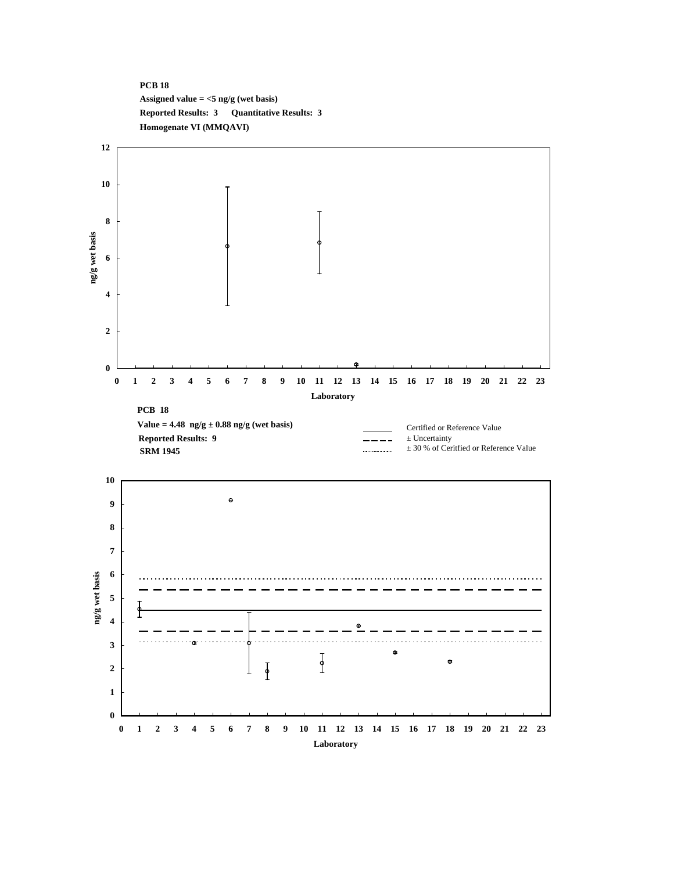## **PCB 18 Assigned value = <5 ng/g (wet basis) Reported Results: 3 Quantitative Results: 3 Homogenate VI (MMQAVI)**

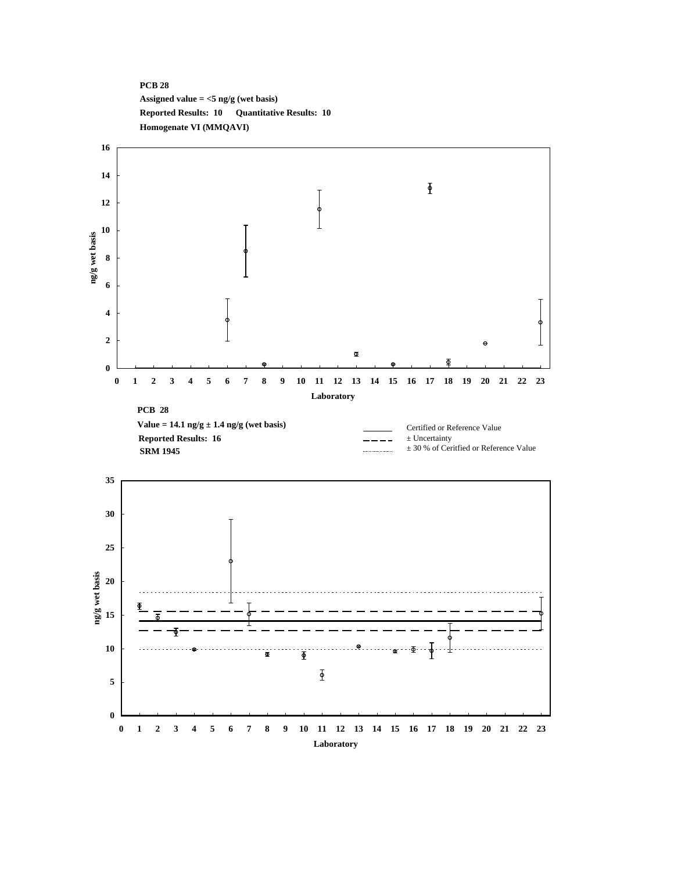## **PCB 28 Assigned value = <5 ng/g (wet basis) Reported Results: 10 Quantitative Results: 10 Homogenate VI (MMQAVI)**

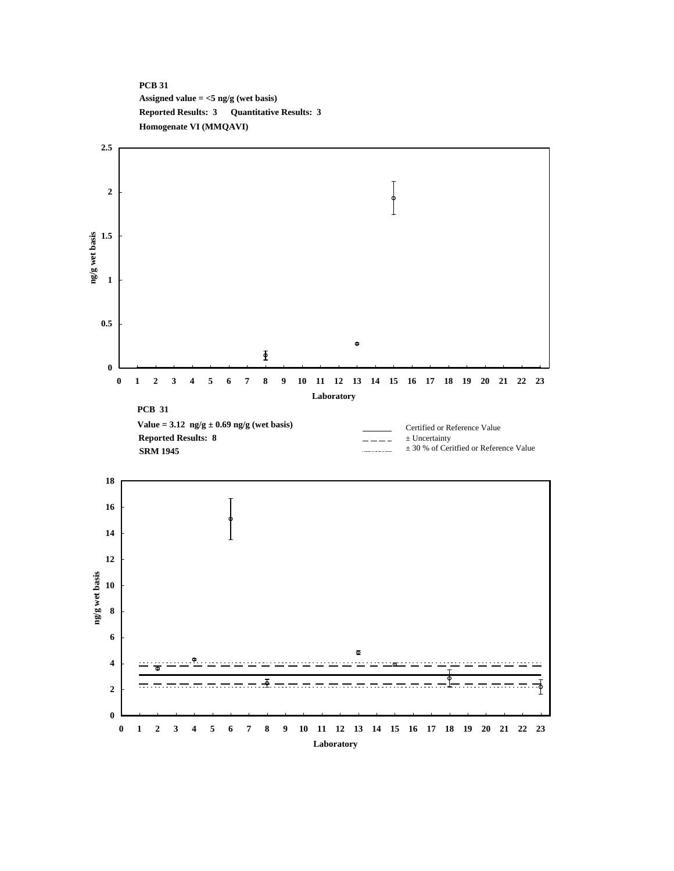#### **PCB 31 Assigned value = <5 ng/g (wet basis) Reported Results: 3 Quantitative Results: 3 Homogenate VI (MMQAVI)**

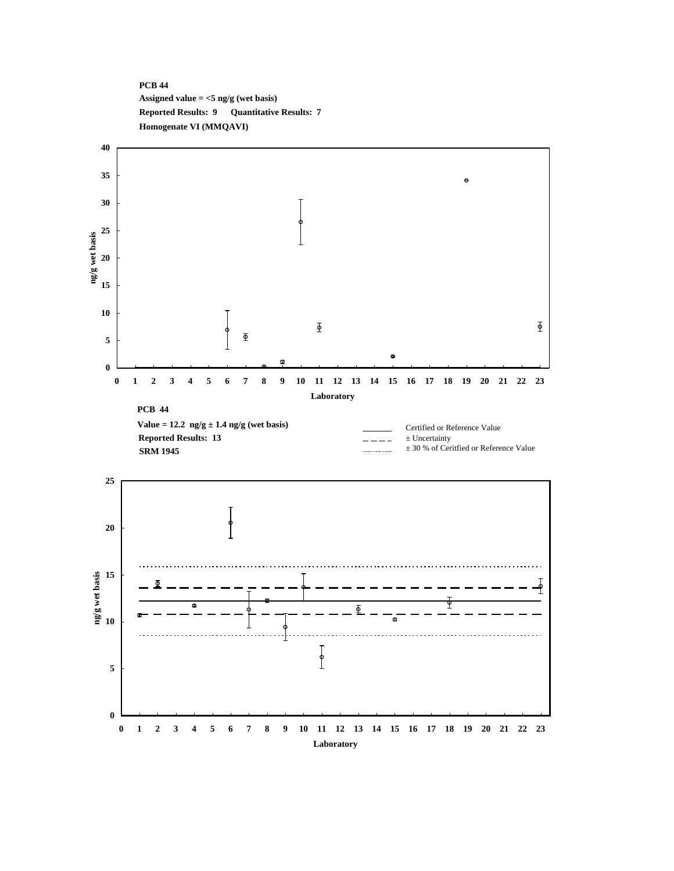#### **PCB 44 Assigned value = <5 ng/g (wet basis) Reported Results: 9 Quantitative Results: 7 Homogenate VI (MMQAVI)**

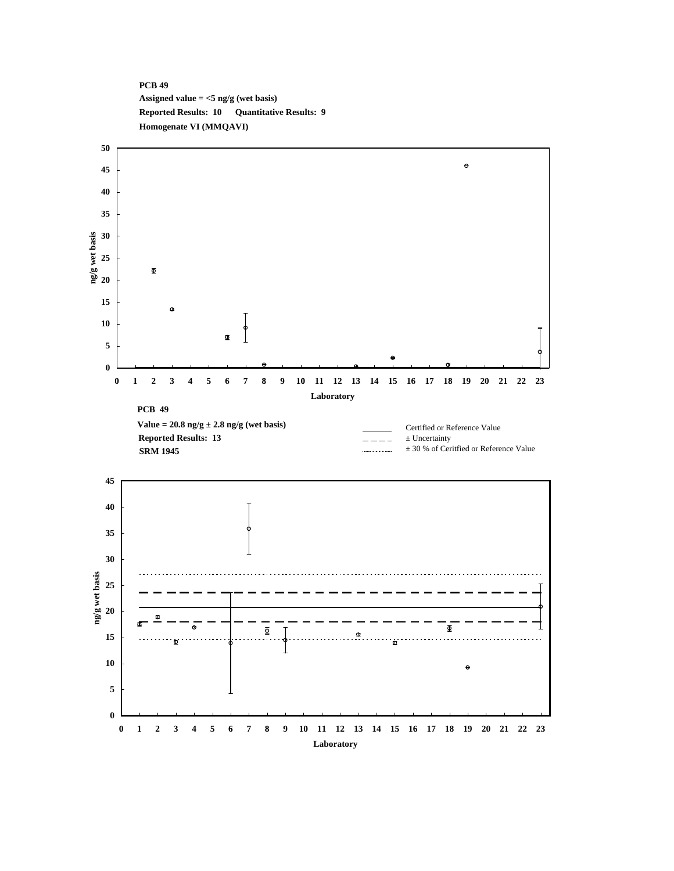#### **PCB 49 Assigned value = <5 ng/g (wet basis) Reported Results: 10 Quantitative Results: 9 Homogenate VI (MMQAVI)**

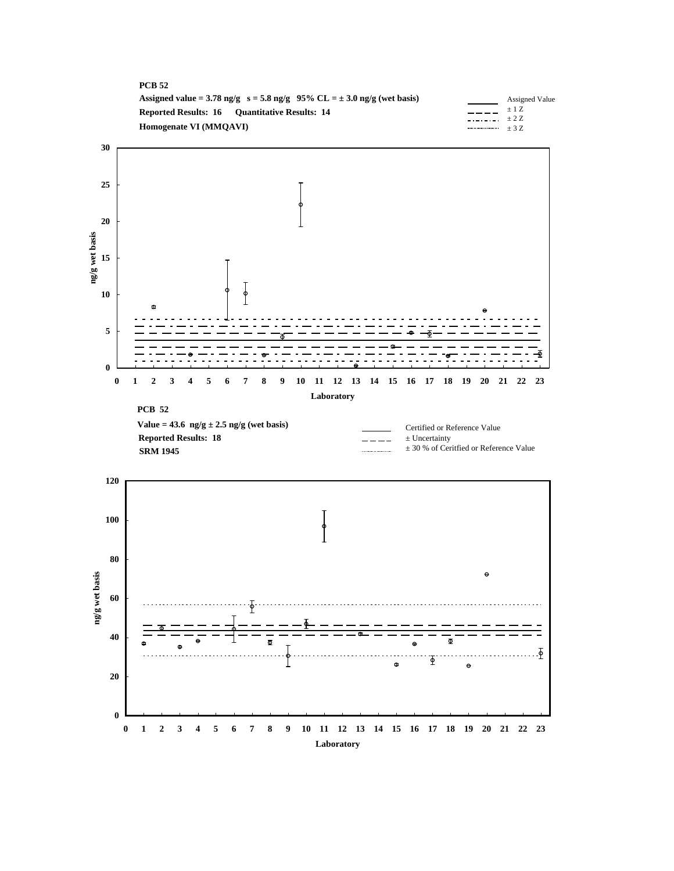



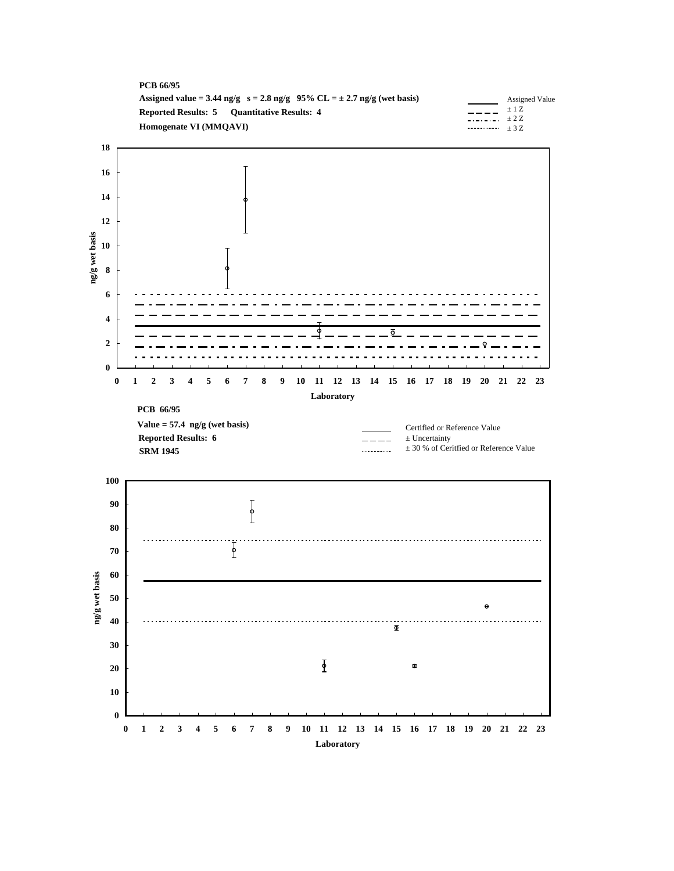

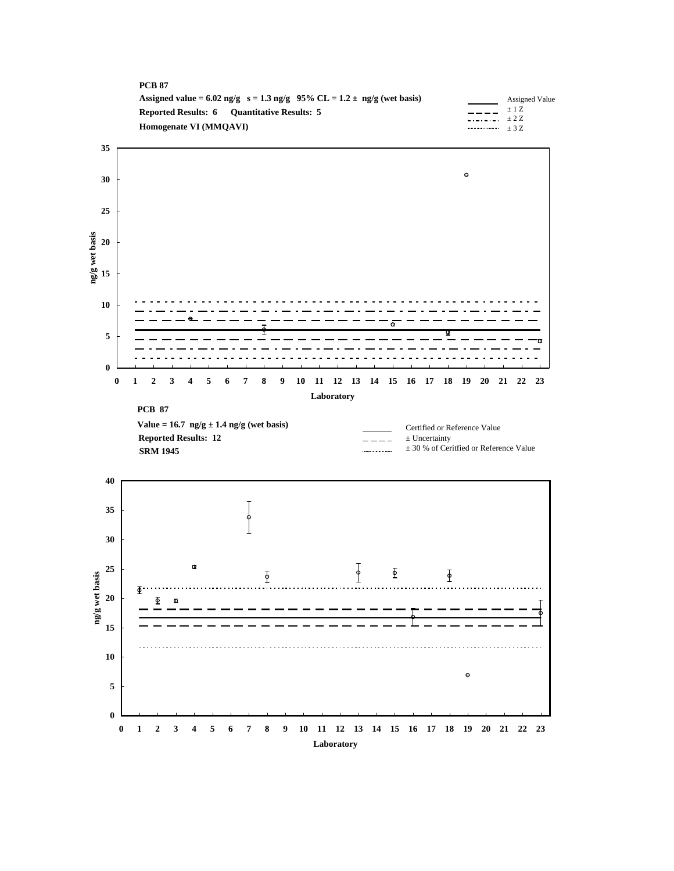

**Laboratory**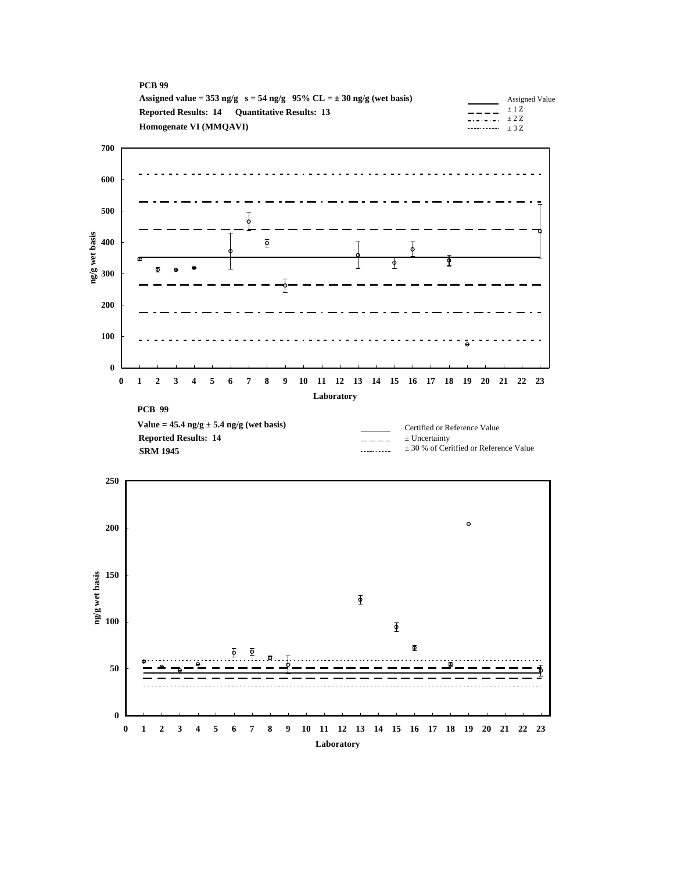



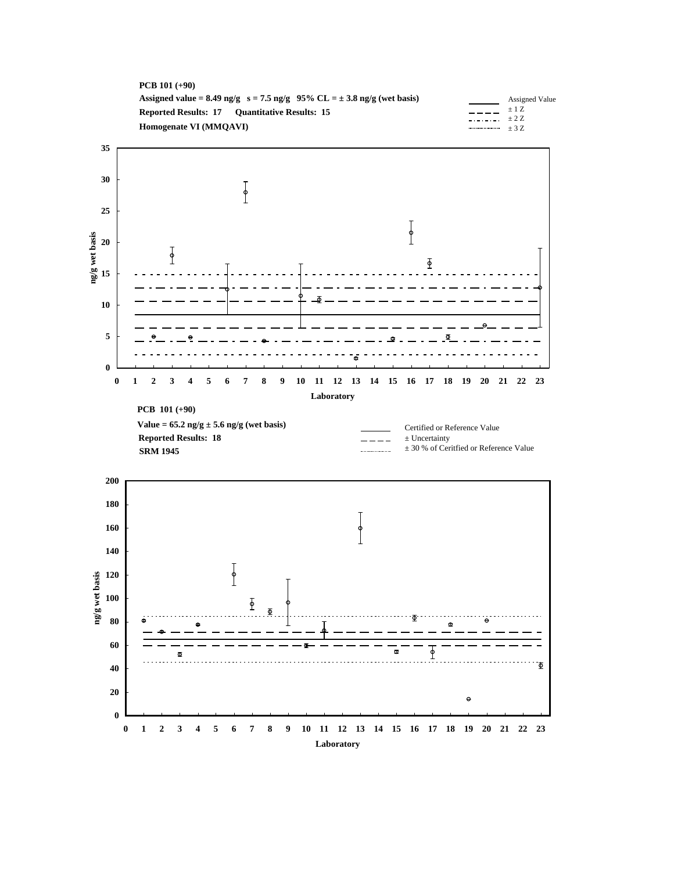



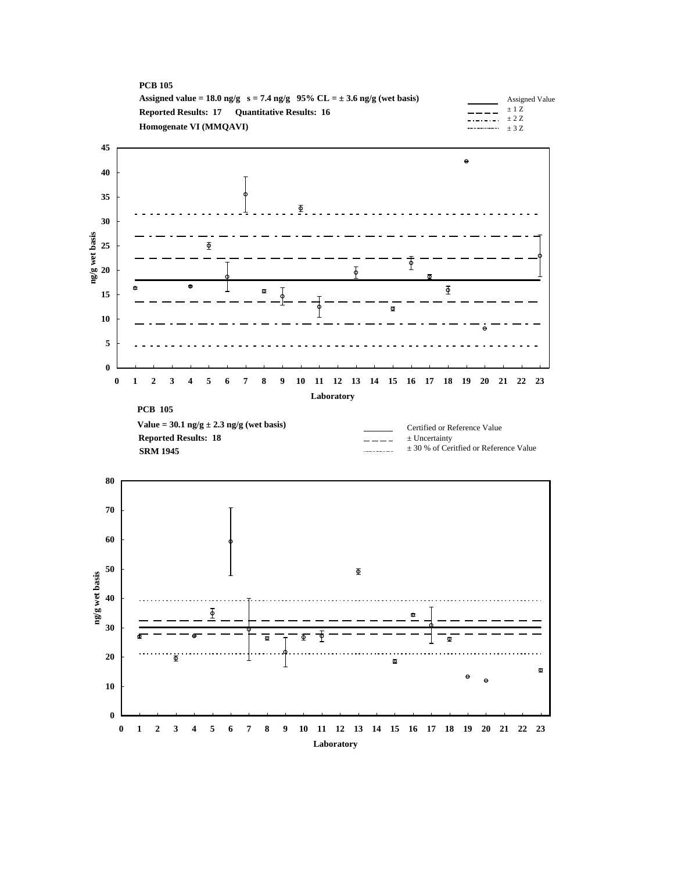



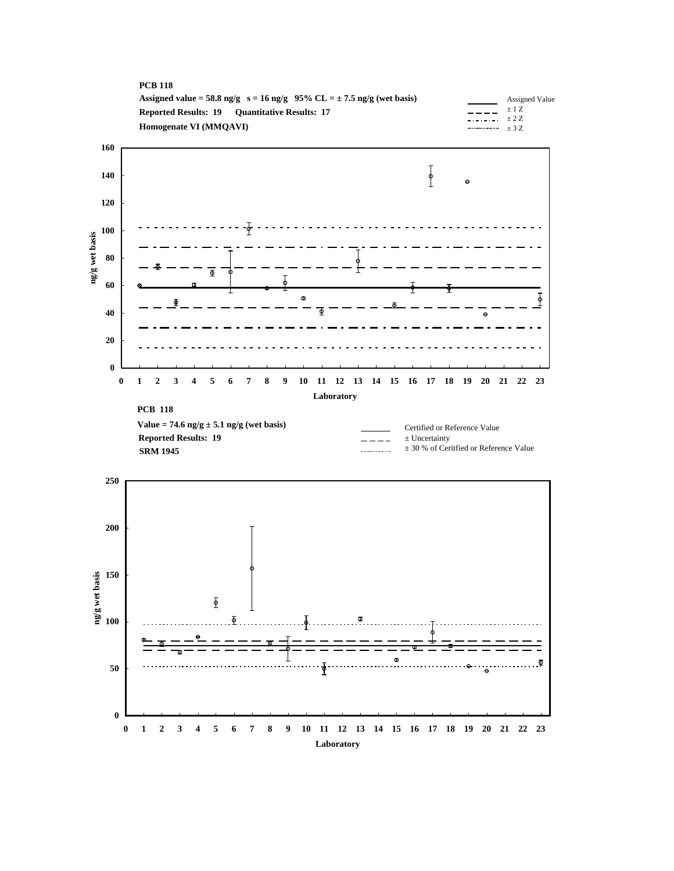



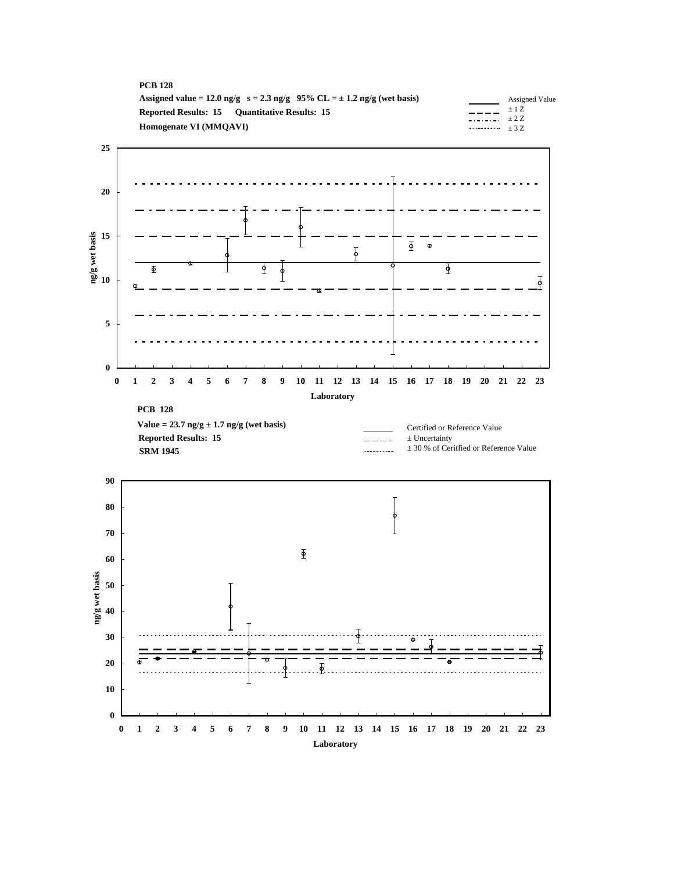| <b>PCB 128</b>                                                                |         |                |
|-------------------------------------------------------------------------------|---------|----------------|
| Assigned value = 12.0 ng/g $s = 2.3$ ng/g 95% CL = $\pm$ 1.2 ng/g (wet basis) |         | Assigned Value |
| <b>Reported Results: 15 Ouantitative Results: 15</b>                          | $-$ +2Z | $\pm$ 1 Z      |
| Homogenate VI (MMOAVI)                                                        |         |                |
|                                                                               |         |                |

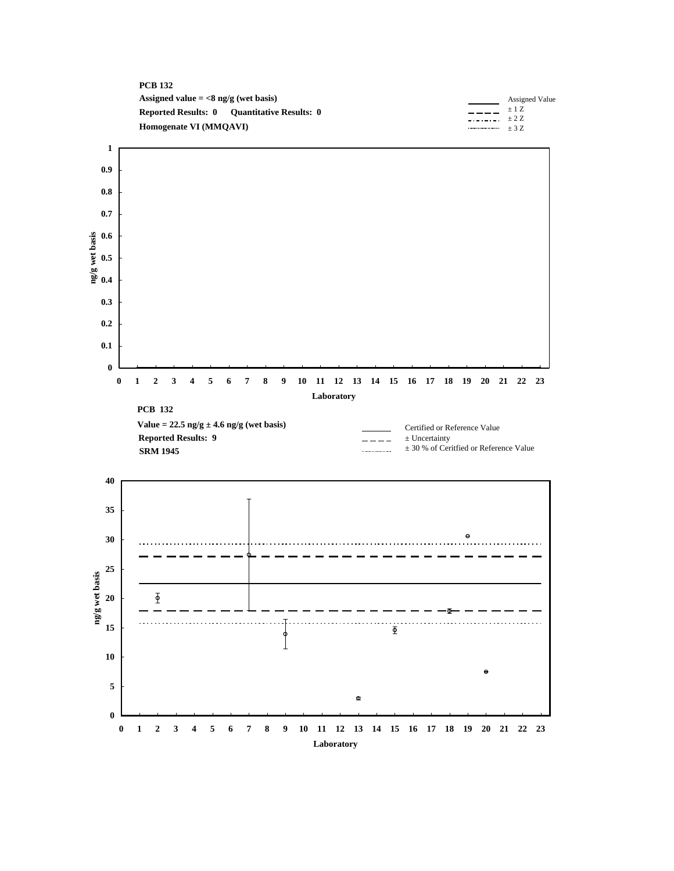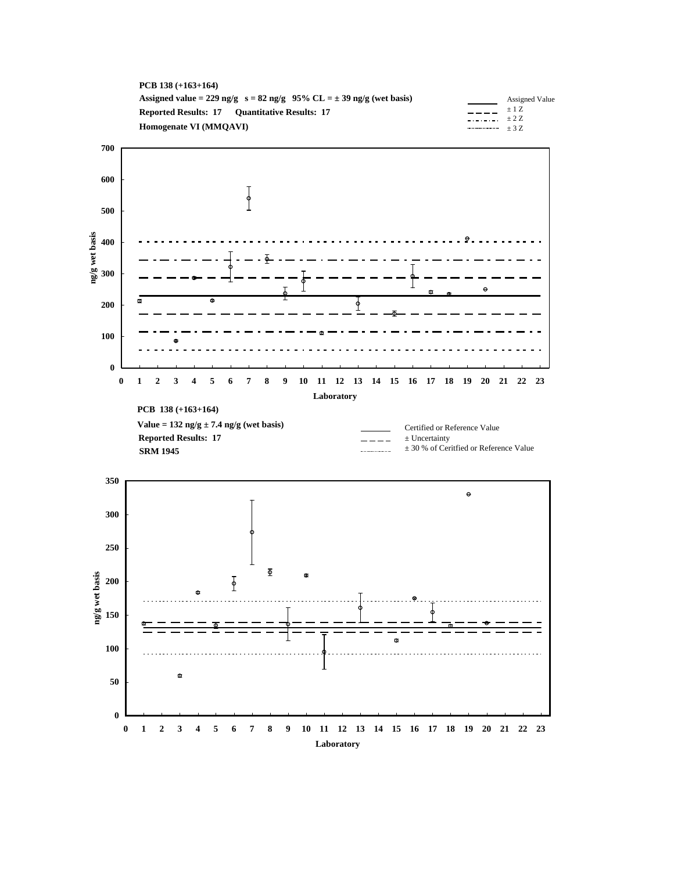





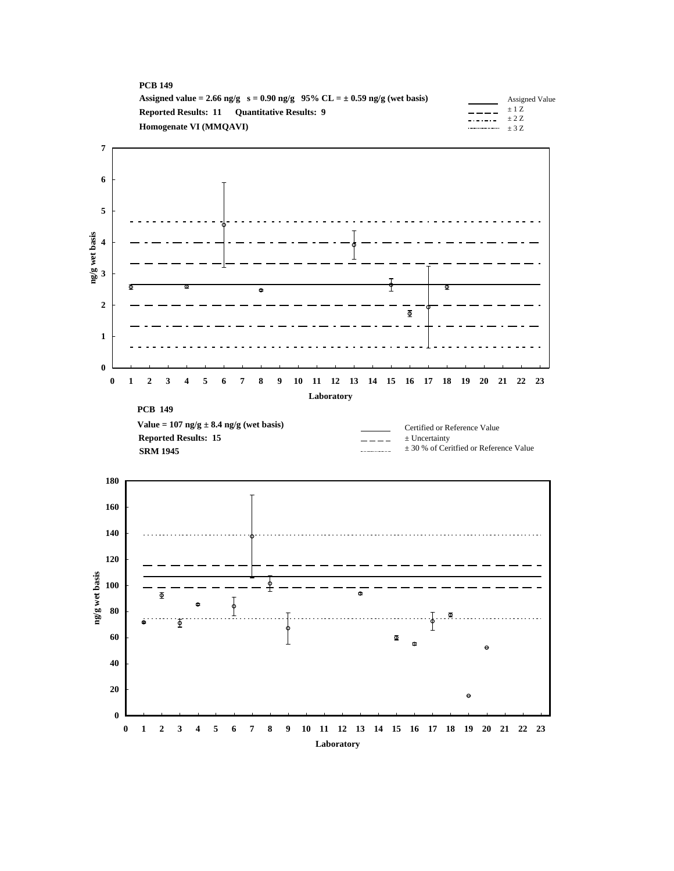| <b>PCB 149</b>                                                                     |                                                           |
|------------------------------------------------------------------------------------|-----------------------------------------------------------|
| Assigned value = 2.66 ng/g $s = 0.90$ ng/g $95\%$ CL = $\pm$ 0.59 ng/g (wet basis) | Assigned Value                                            |
| <b>Reported Results: 11 Ouantitative Results: 9</b>                                | $+1$ Z<br>$\frac{1}{2}$ . $\frac{1}{2}$ . $\frac{1}{2}$ . |
| Homogenate VI (MMOAVI)                                                             |                                                           |
|                                                                                    |                                                           |



**0 1 2 3 4 5 6 7 8 9 10 11 12 13 14 15 16 17 18 19 20 21 22 23 Laboratory**

**0**

**20**

**40**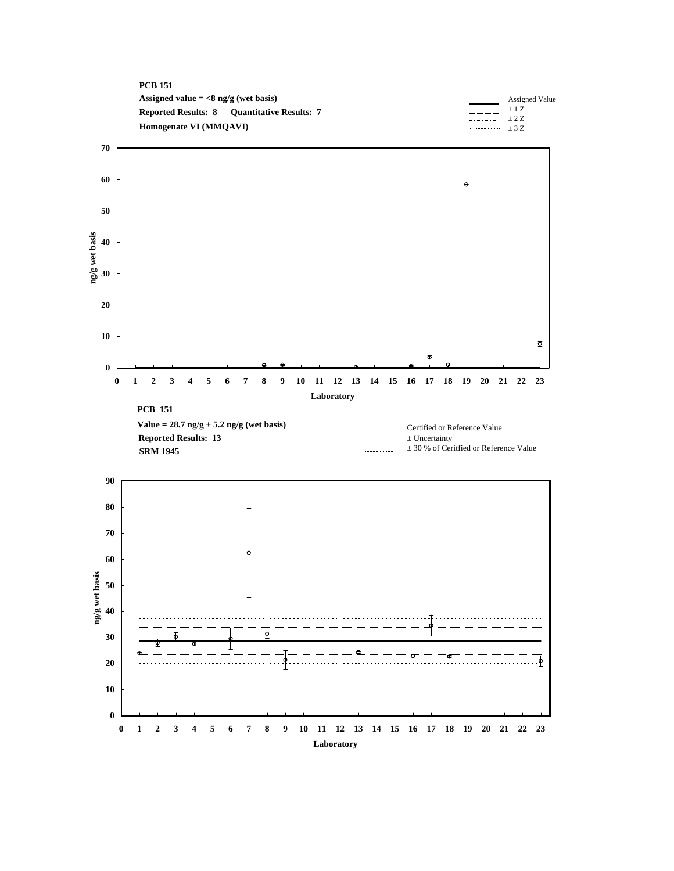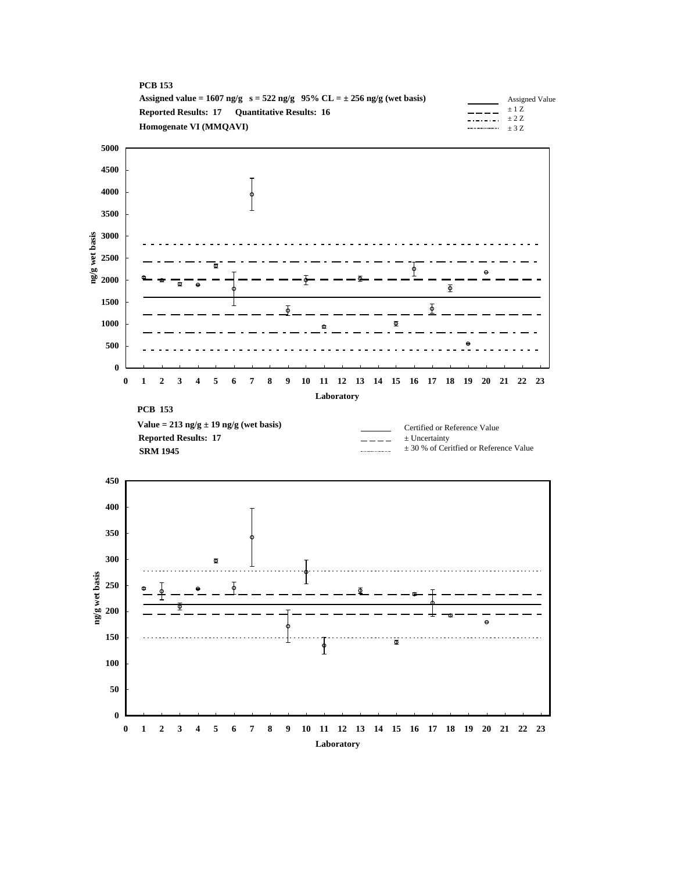



**0 1 2 3 4 5 6 7 8 9 10 11 12 13 14 15 16 17 18 19 20 21 22 23 Laboratory**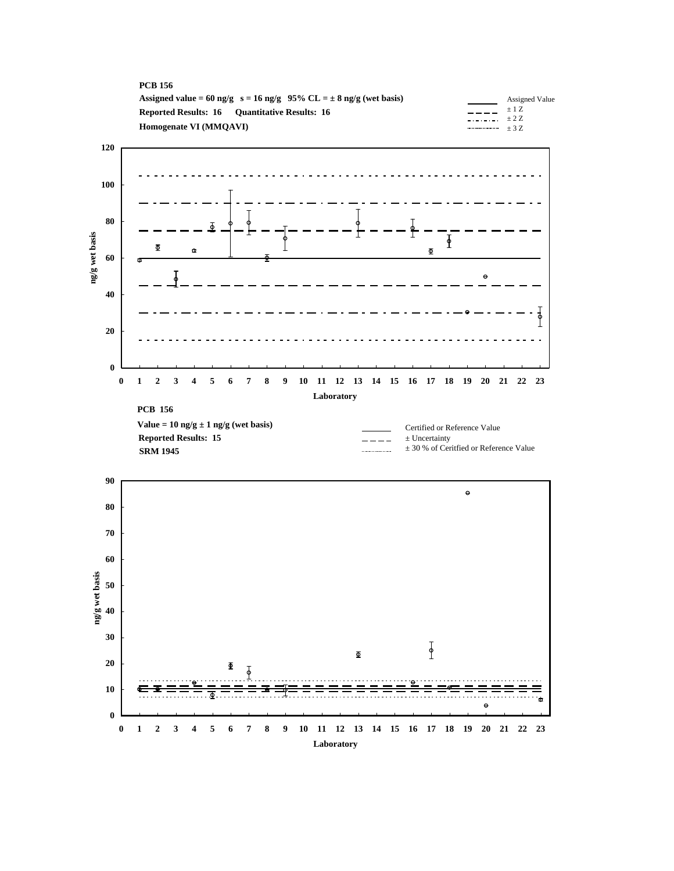





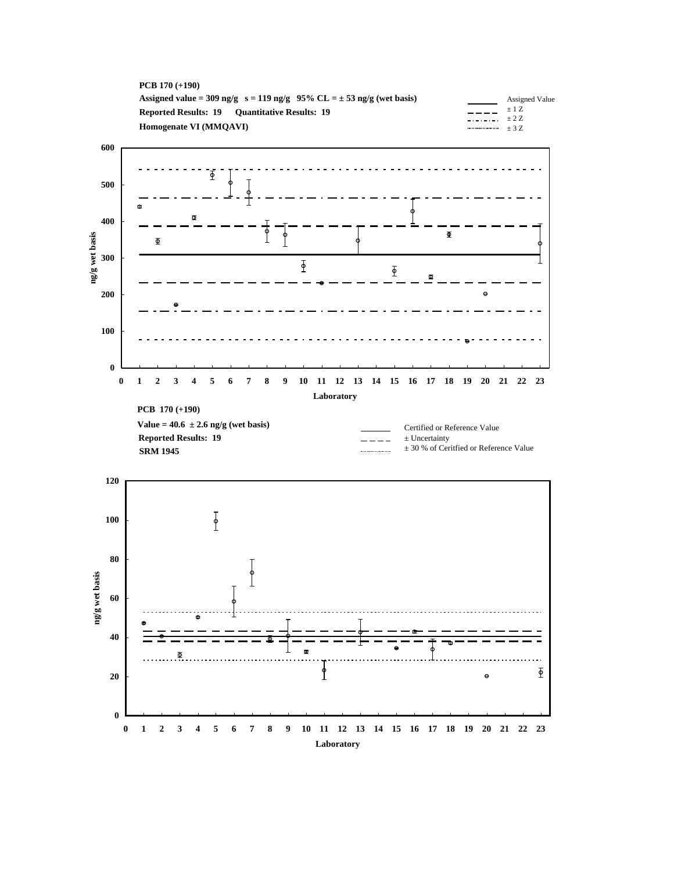



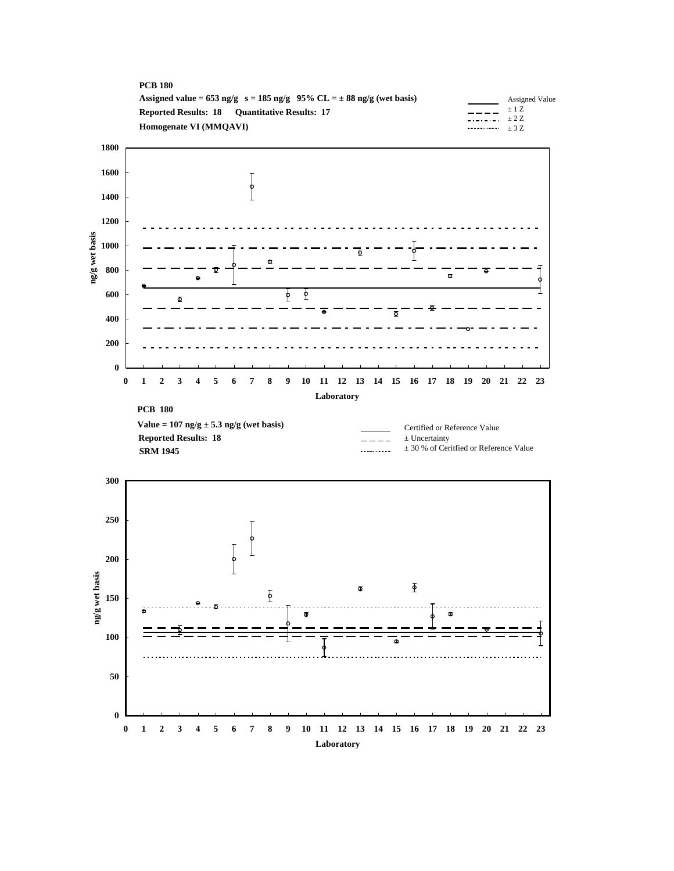



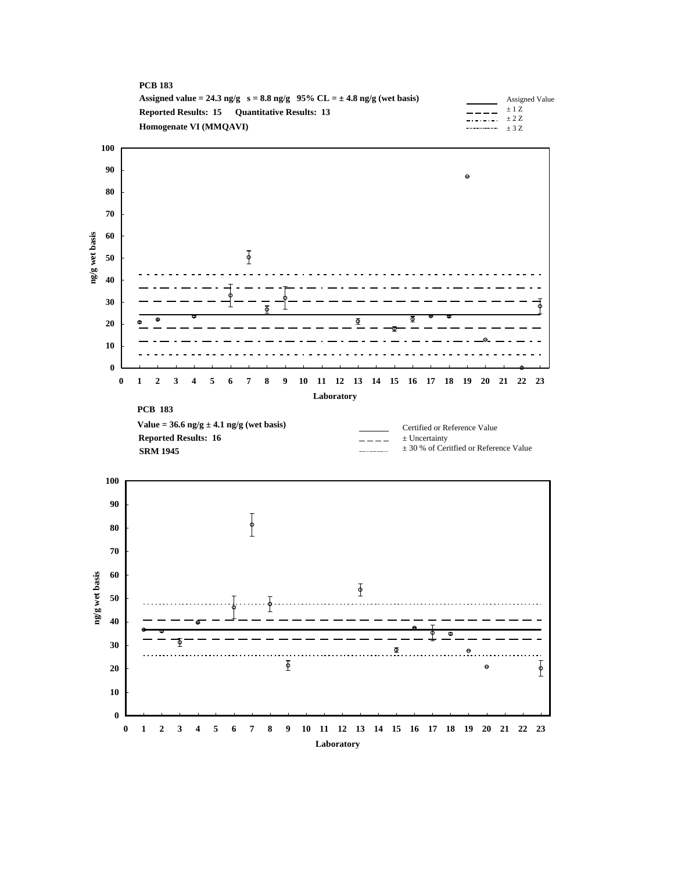



**0 1 2 3 4 5 6 7 8 9 10 11 12 13 14 15 16 17 18 19 20 21 22 23 Laboratory**

Φ

**0**

**PCB 183**

**10**

**20 30**

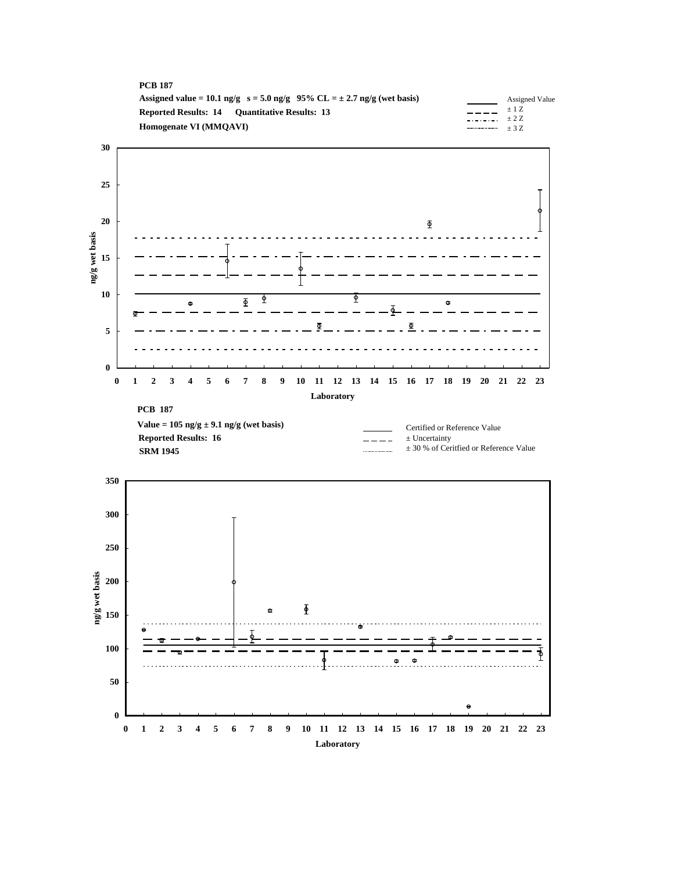| Assigned Value                 |
|--------------------------------|
| $+1Z$                          |
| $     +$ 2 Z<br>$\cdots$ + 3.7 |
|                                |



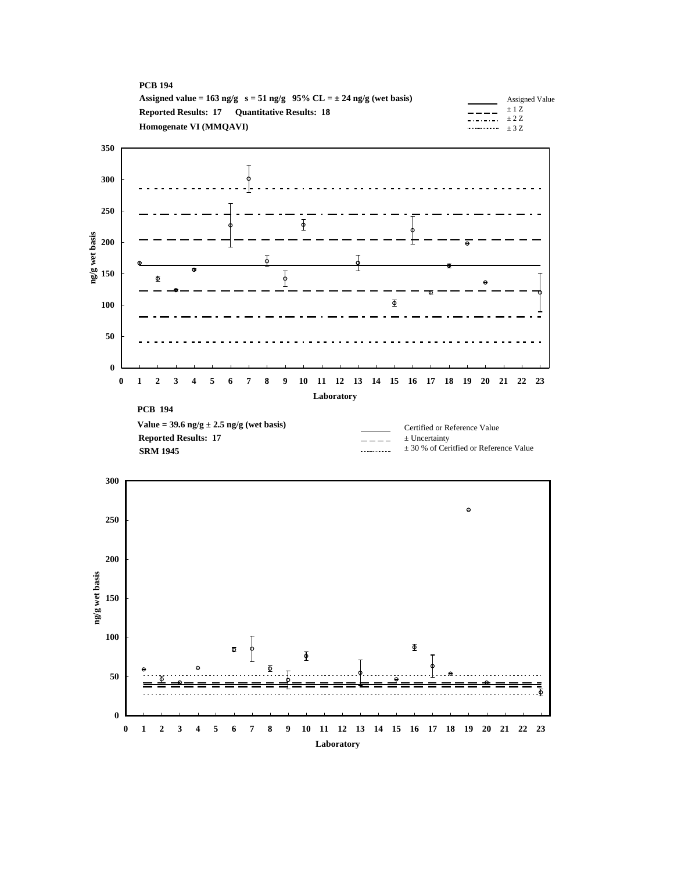



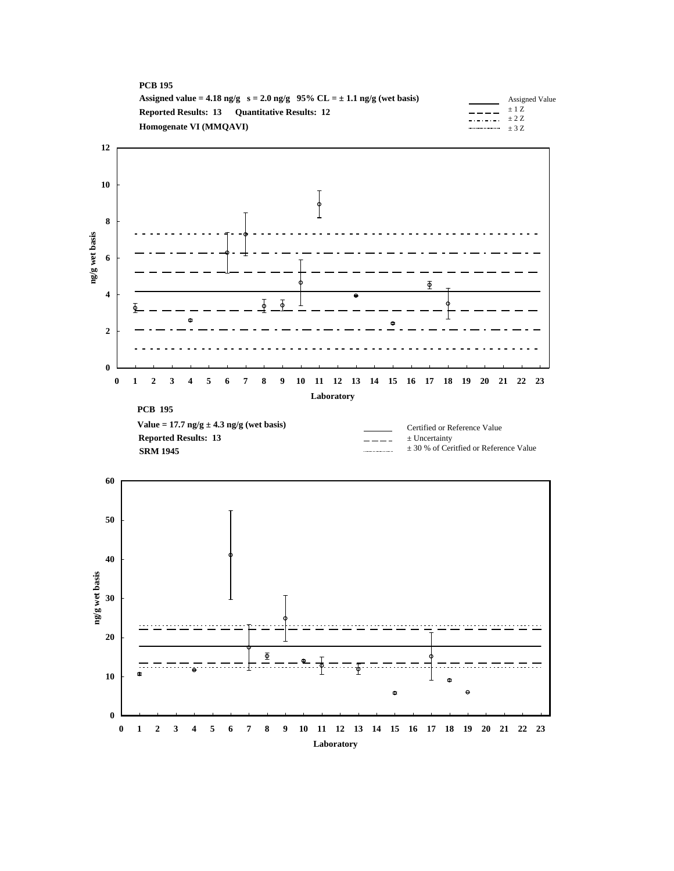



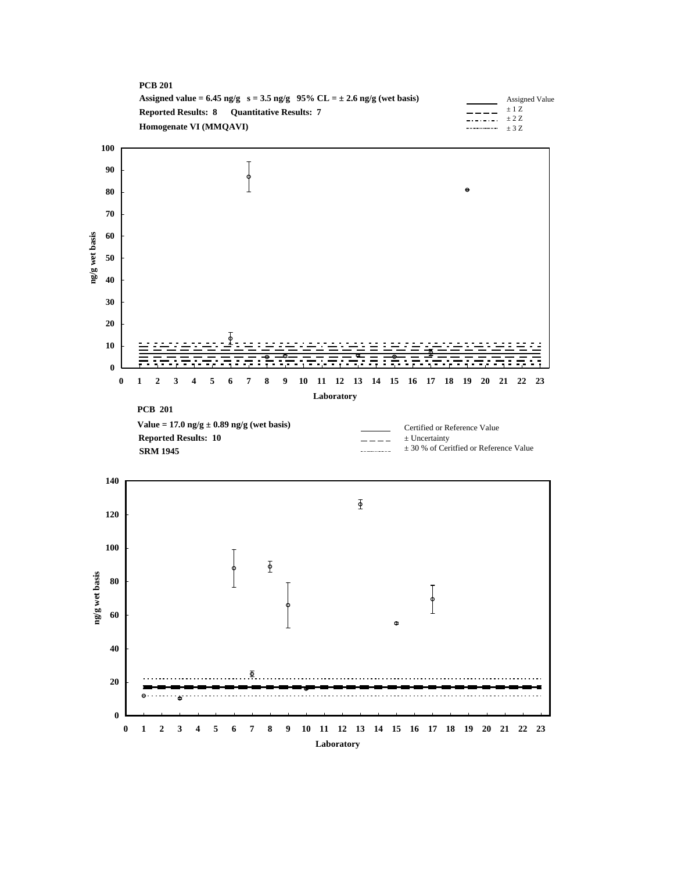



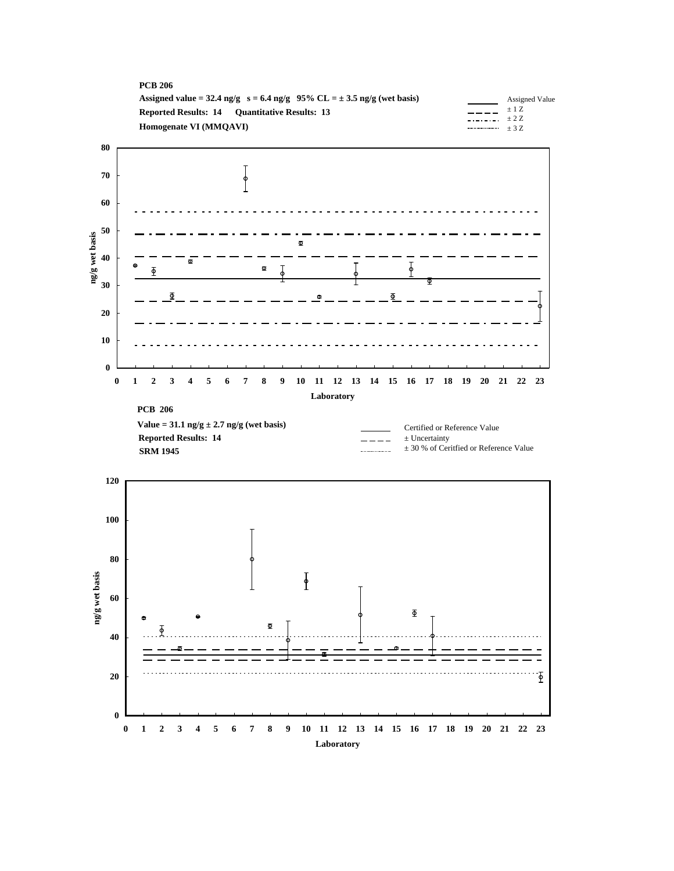| <b>PCB 206</b>                                                                |                                                                                   |                |
|-------------------------------------------------------------------------------|-----------------------------------------------------------------------------------|----------------|
| Assigned value = 32.4 ng/g $s = 6.4$ ng/g 95% CL = $\pm$ 3.5 ng/g (wet basis) |                                                                                   | Assigned Value |
| <b>Reported Results: 14 Ouantitative Results: 13</b>                          |                                                                                   | $+17$ .        |
| Homogenate VI (MMOAVI)                                                        | $\frac{1}{2}$ . $\frac{1}{2}$ . $\frac{1}{2}$ . $\frac{1}{2}$ .<br>$\cdots$ $+37$ |                |
|                                                                               |                                                                                   |                |



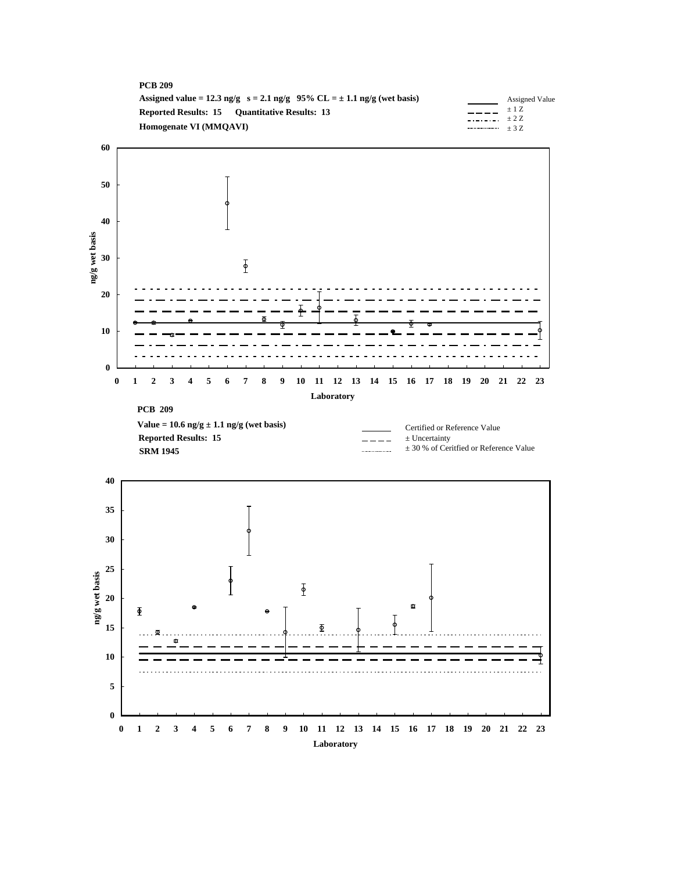| <b>PCB 209</b>                                                                   |                                                                                                 |                |
|----------------------------------------------------------------------------------|-------------------------------------------------------------------------------------------------|----------------|
| Assigned value = 12.3 ng/g $s = 2.1$ ng/g $95\%$ CL = $\pm$ 1.1 ng/g (wet basis) |                                                                                                 | Assigned Value |
| <b>Reported Results: 15 Ouantitative Results: 13</b>                             |                                                                                                 | ±1Z            |
| Homogenate VI (MMOAVI)                                                           | $\frac{1}{2}$ . $\frac{1}{2}$ . $\frac{1}{2}$ . $\frac{1}{2}$ . $\frac{1}{2}$<br>$\cdots$ $+37$ |                |
|                                                                                  |                                                                                                 |                |



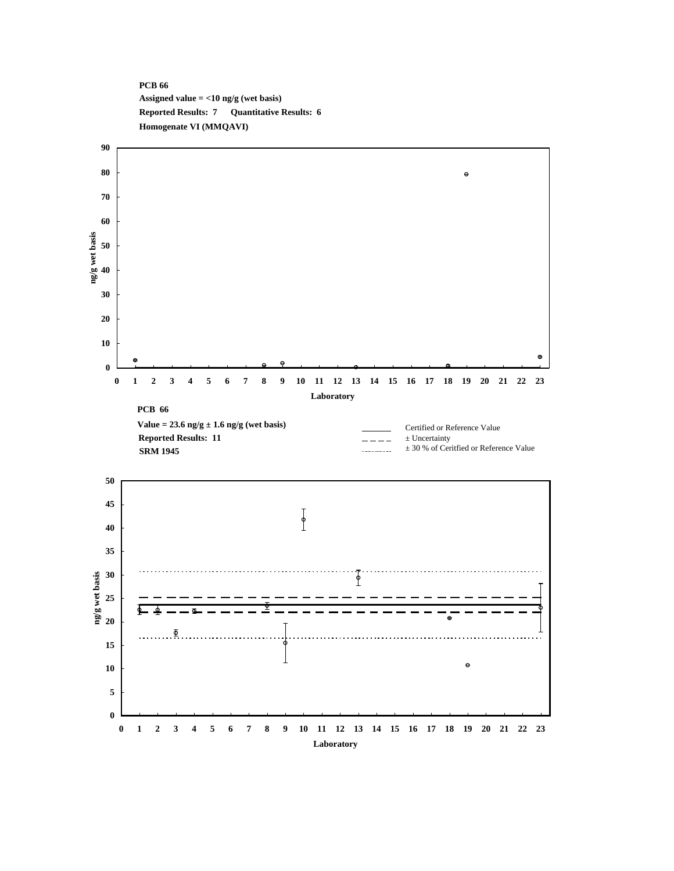#### **PCB 66 Assigned value = <10 ng/g (wet basis) Reported Results: 7 Quantitative Results: 6 Homogenate VI (MMQAVI)**

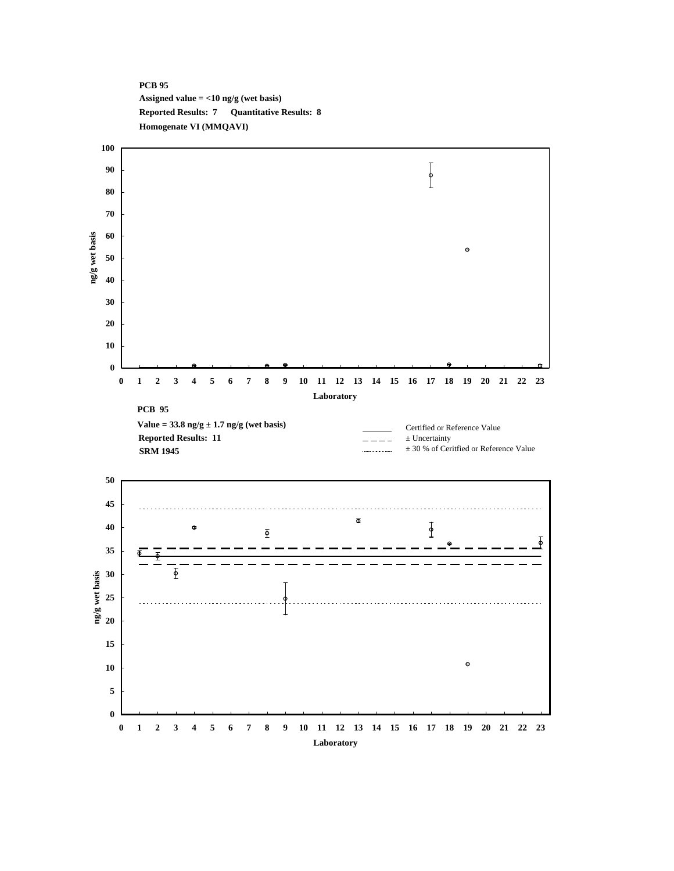

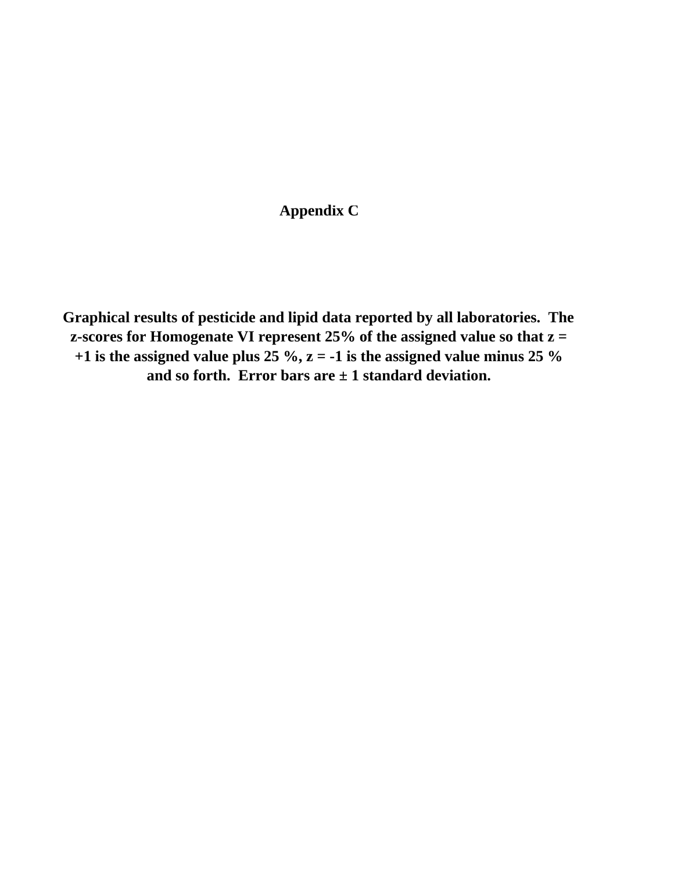# **Appendix C**

**Graphical results of pesticide and lipid data reported by all laboratories. The z-scores for Homogenate VI represent 25% of the assigned value so that z = +1 is the assigned value plus 25 %,**  $z = -1$  **is the assigned value minus 25 % and so forth. Error bars are ± 1 standard deviation.**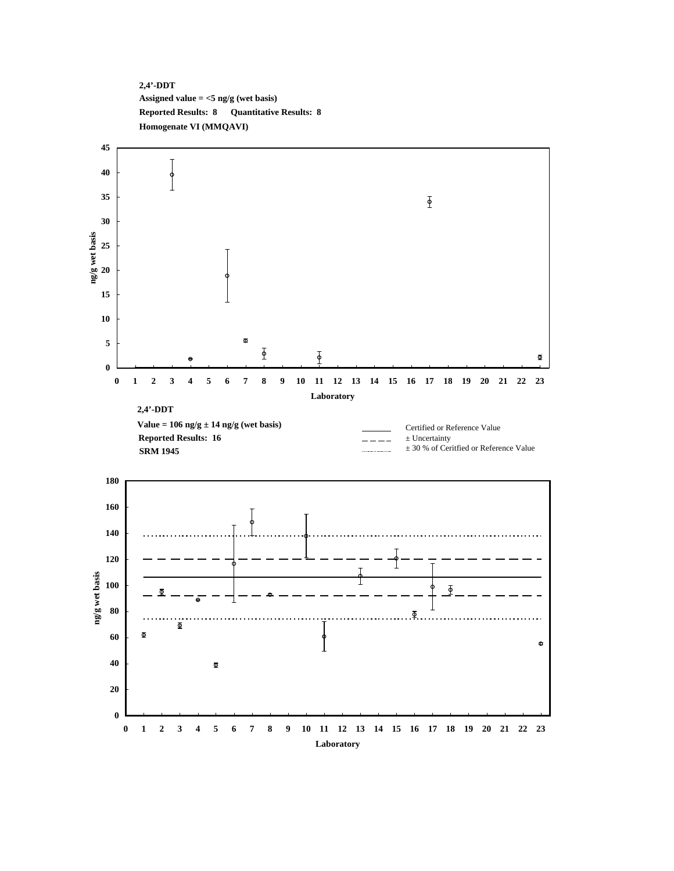**2,4'-DDT Assigned value = <5 ng/g (wet basis) Reported Results: 8 Quantitative Results: 8 Homogenate VI (MMQAVI)**

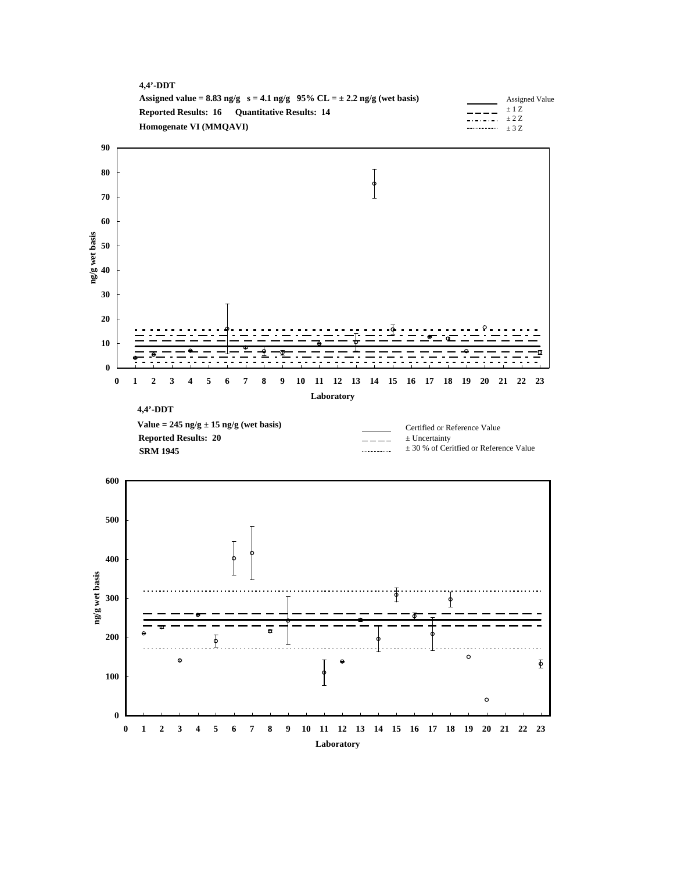



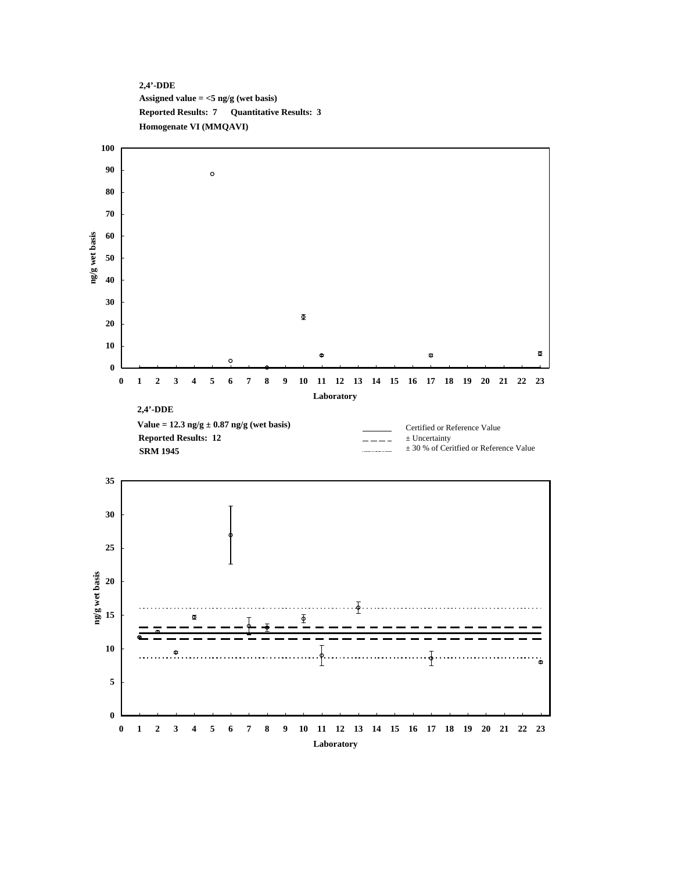



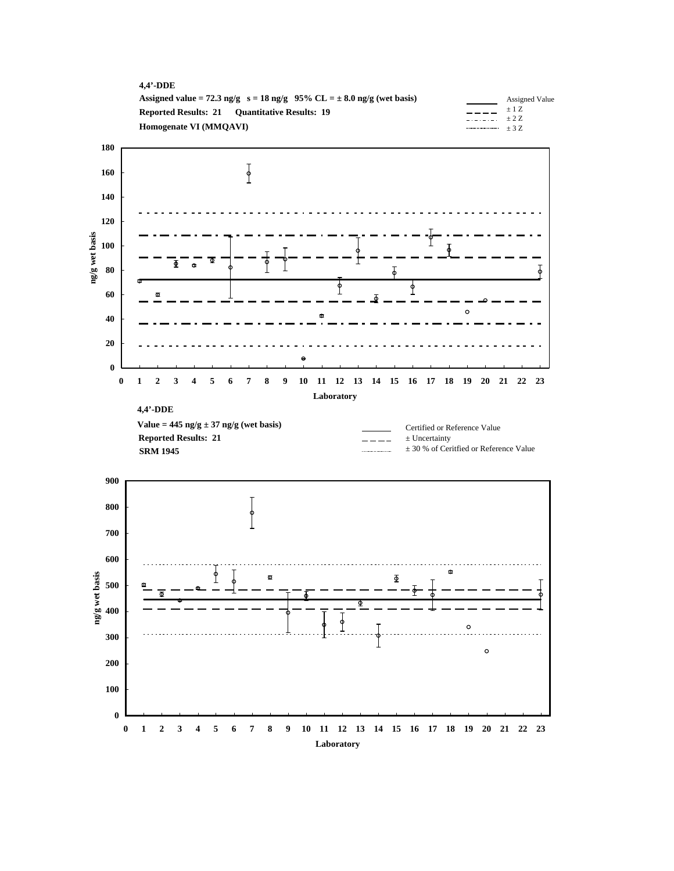| $4.4'$ -DDE                                                                     |                                           |                |
|---------------------------------------------------------------------------------|-------------------------------------------|----------------|
| Assigned value = 72.3 ng/g $s = 18$ ng/g $95\%$ CL = $\pm 8.0$ ng/g (wet basis) |                                           | Assigned Value |
| <b>Reported Results: 21 Ouantitative Results: 19</b>                            |                                           | $\pm$ 1 Z      |
| Homogenate VI (MMQAVI)                                                          | $-$ . $-$ . $-$ . $+2Z$<br>$\cdots$ $+37$ |                |
|                                                                                 |                                           |                |



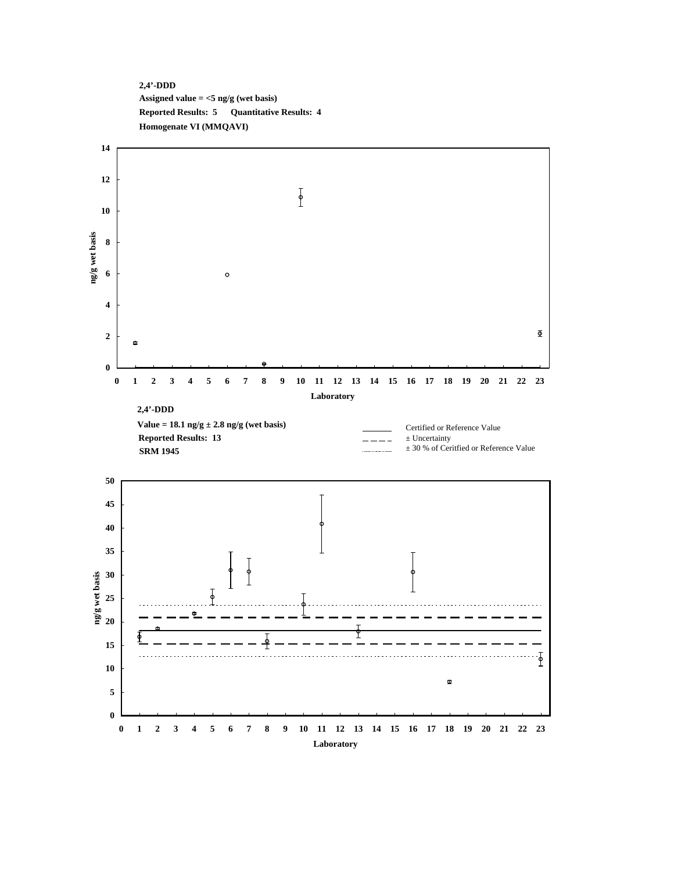## **2,4'-DDD Assigned value = <5 ng/g (wet basis) Reported Results: 5 Quantitative Results: 4 Homogenate VI (MMQAVI)**

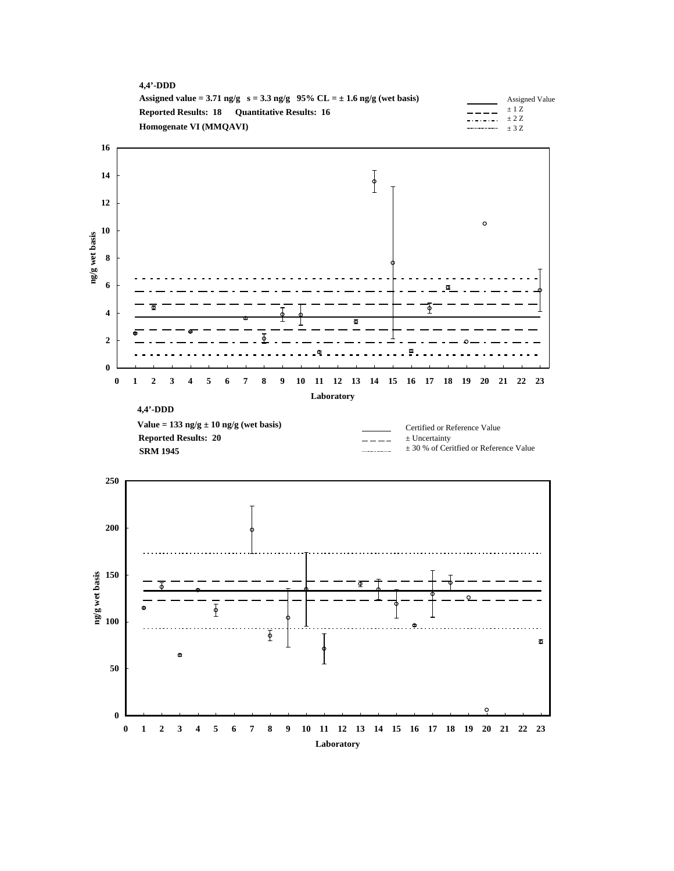



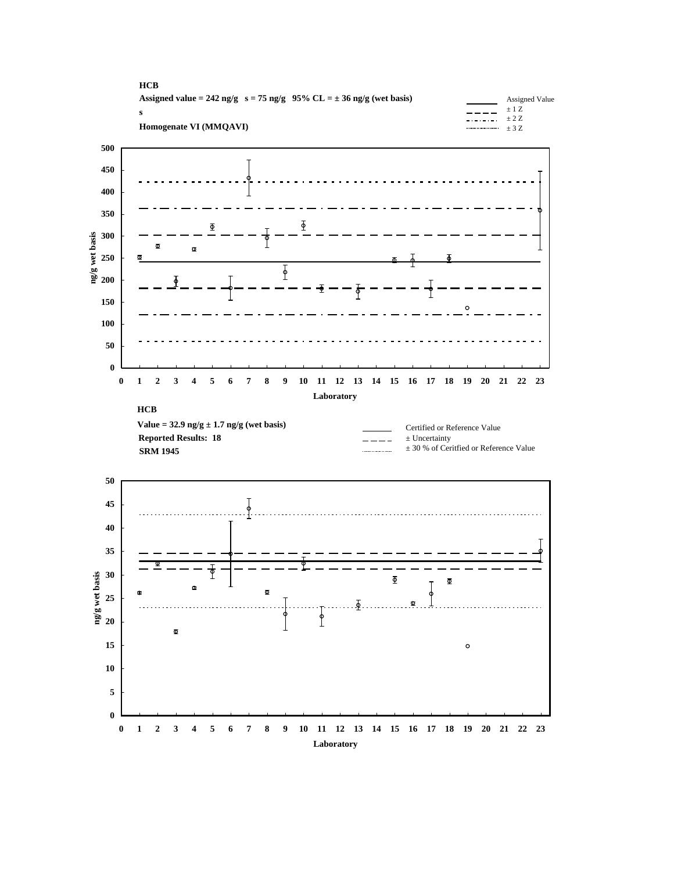





 $\circ$ 

**0**

**5**

**10**

**15**

**20**

 $\Phi$ 

**25**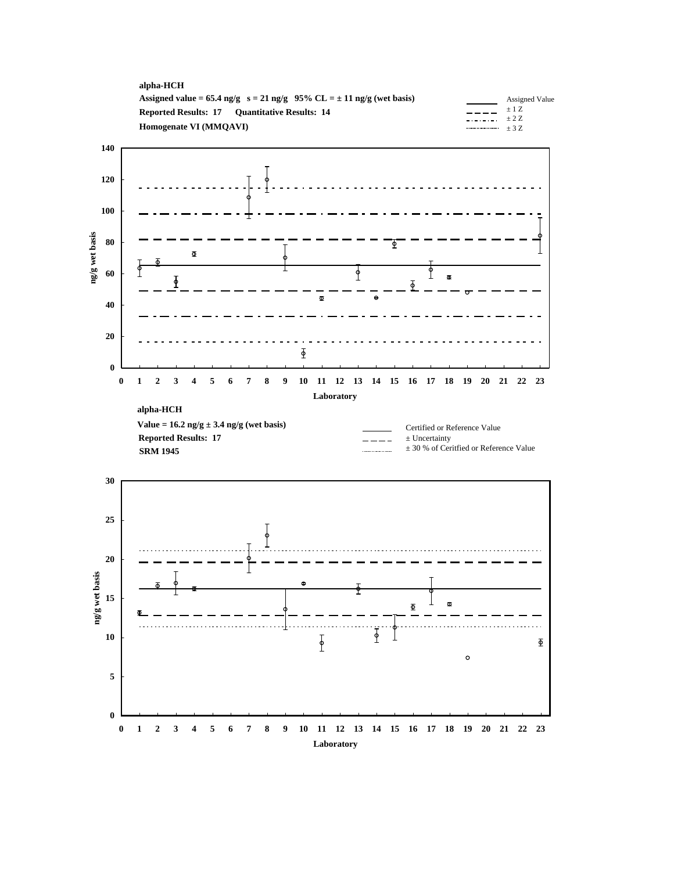



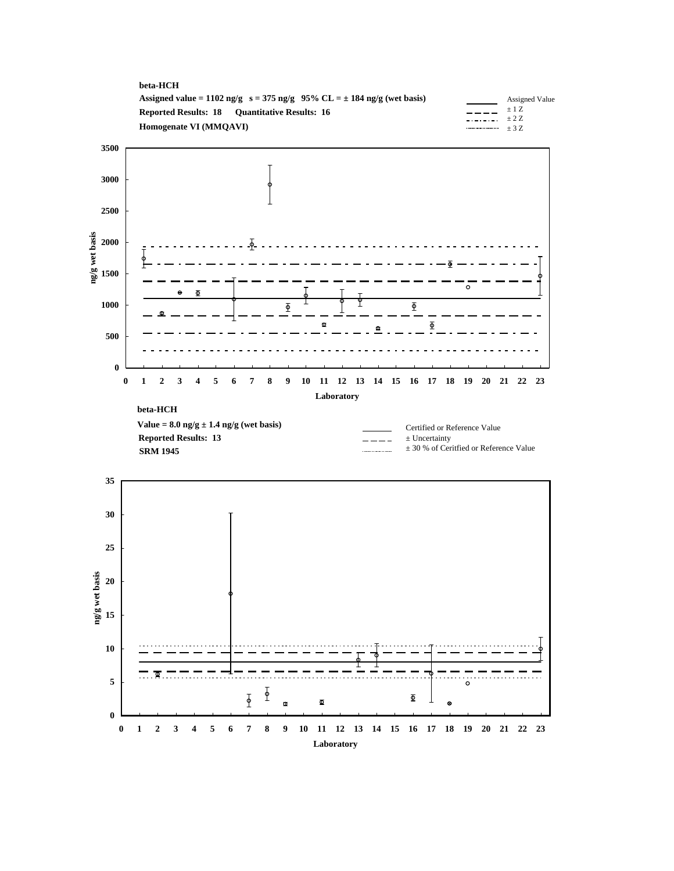



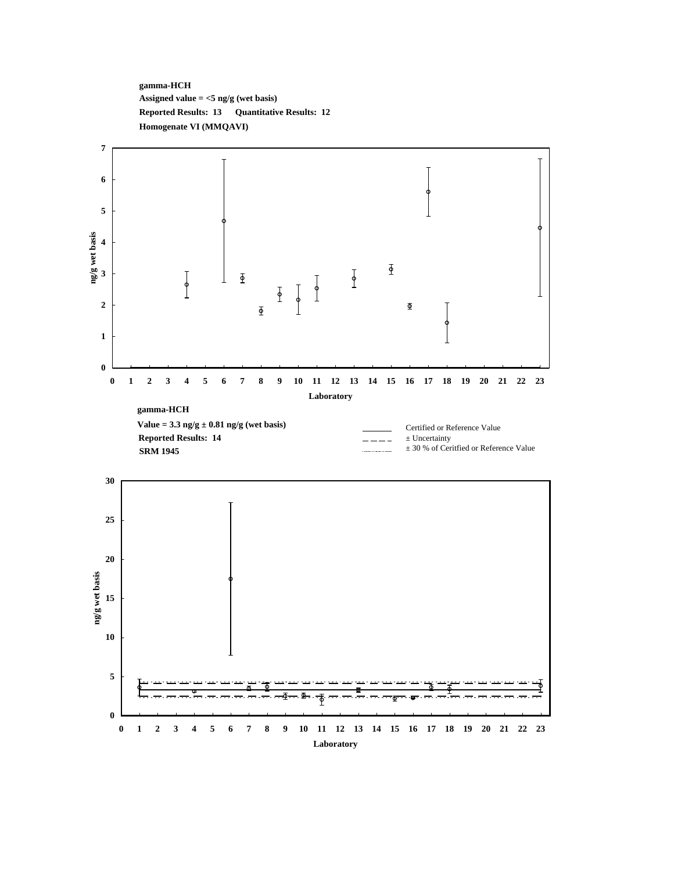**gamma-HCH Assigned value = <5 ng/g (wet basis) Reported Results: 13 Quantitative Results: 12 Homogenate VI (MMQAVI)**



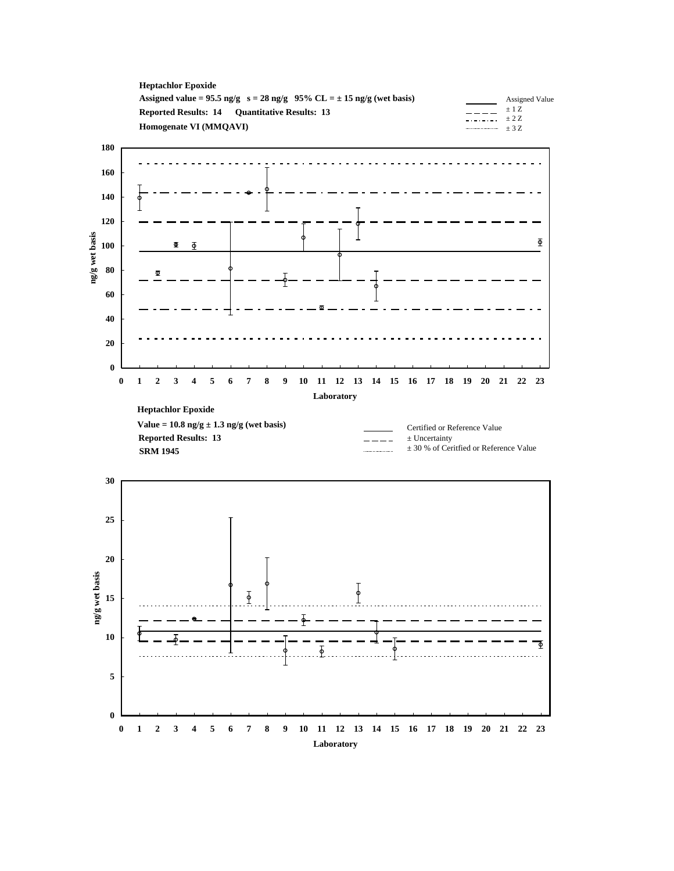



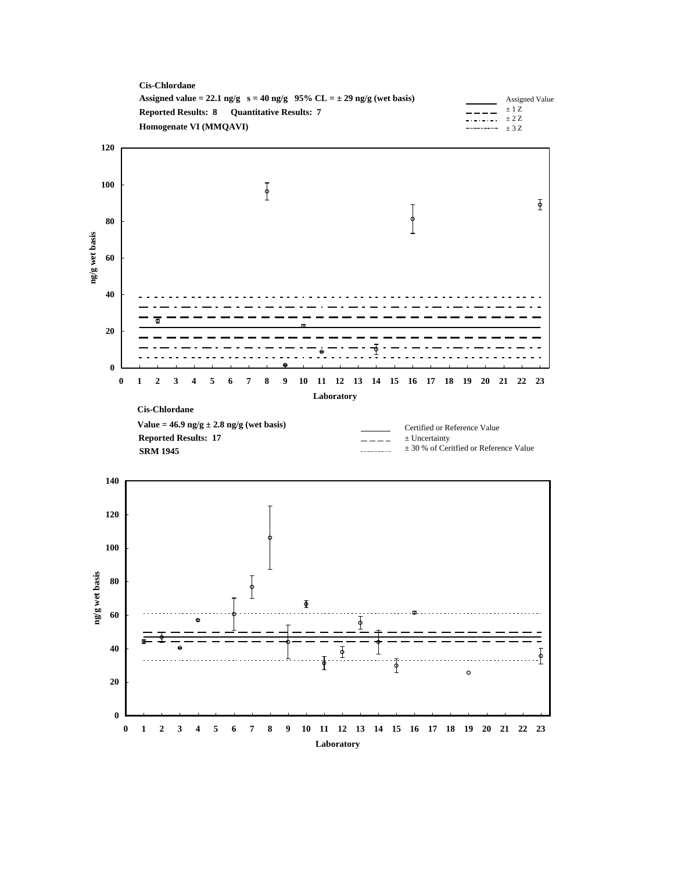



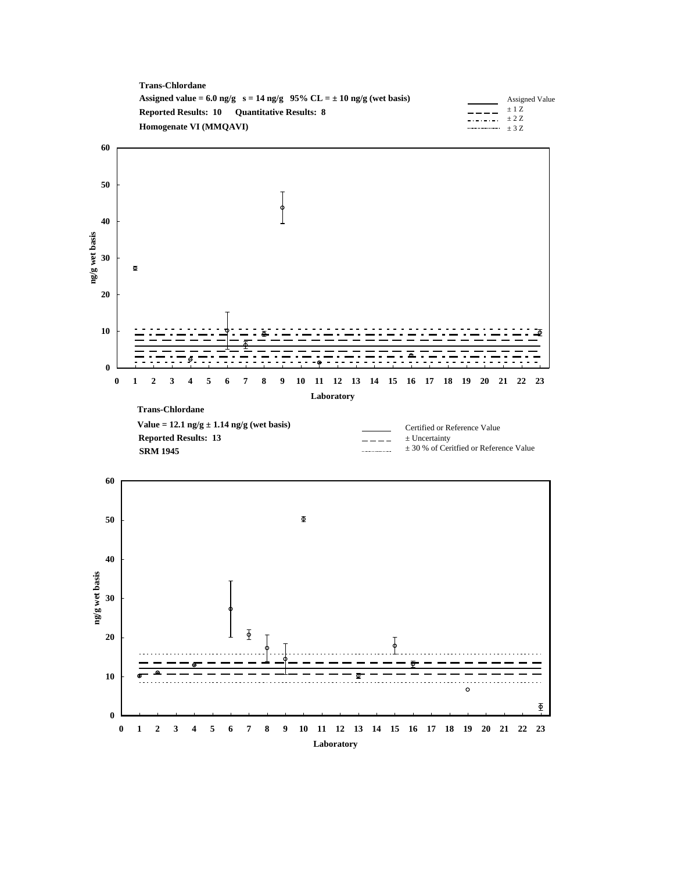



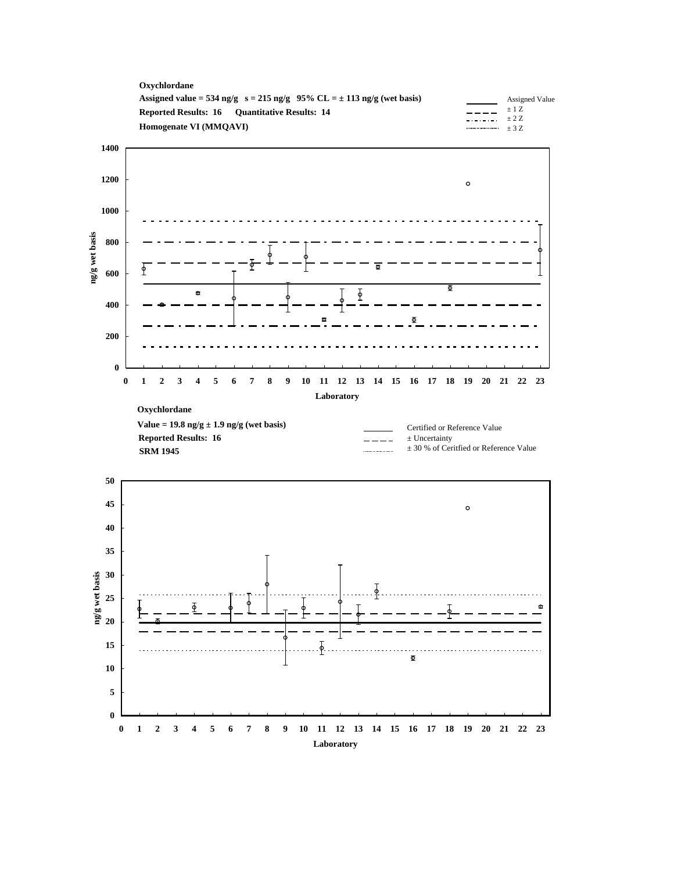





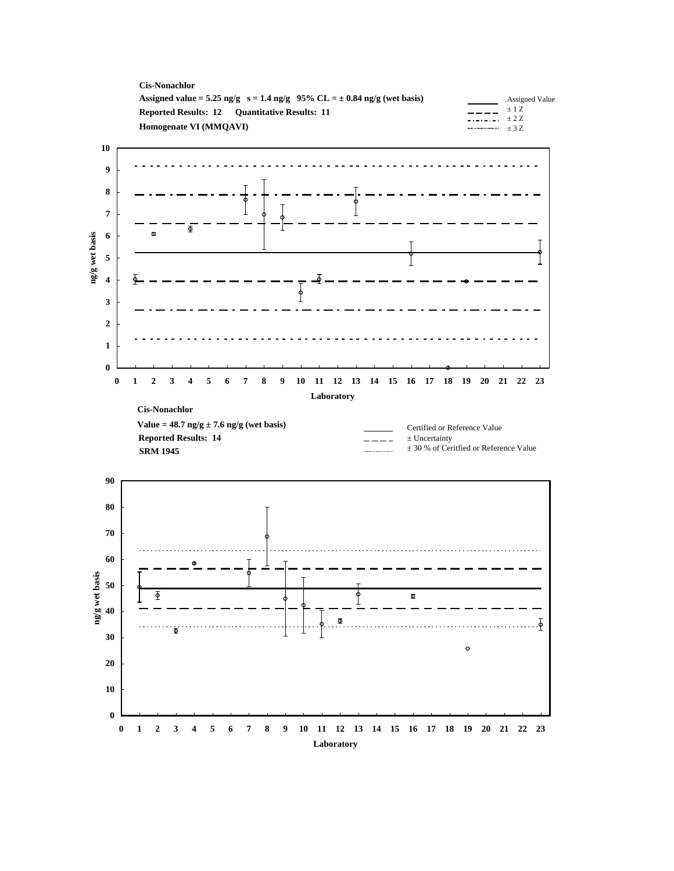



**Laboratory**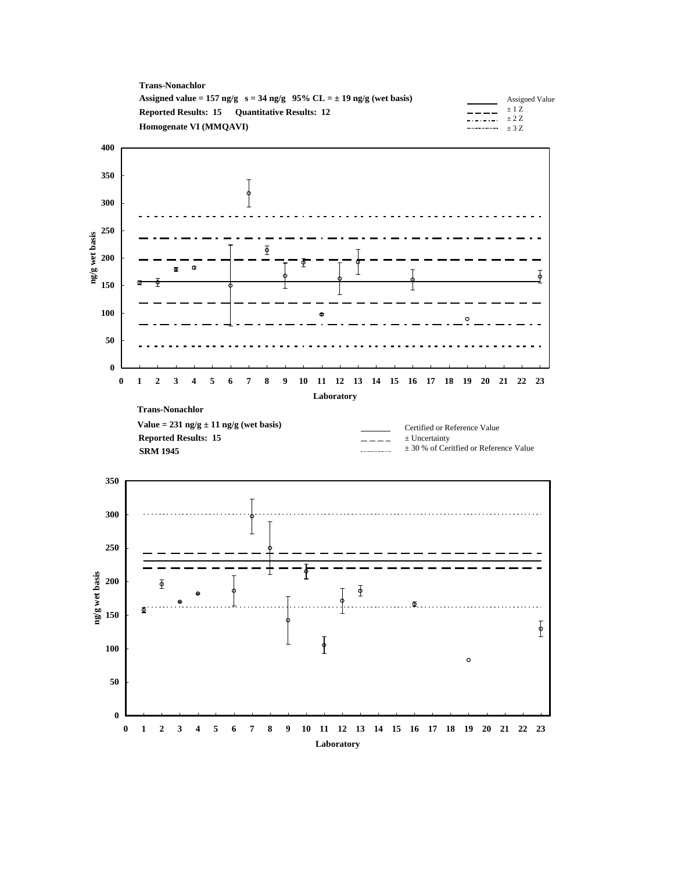



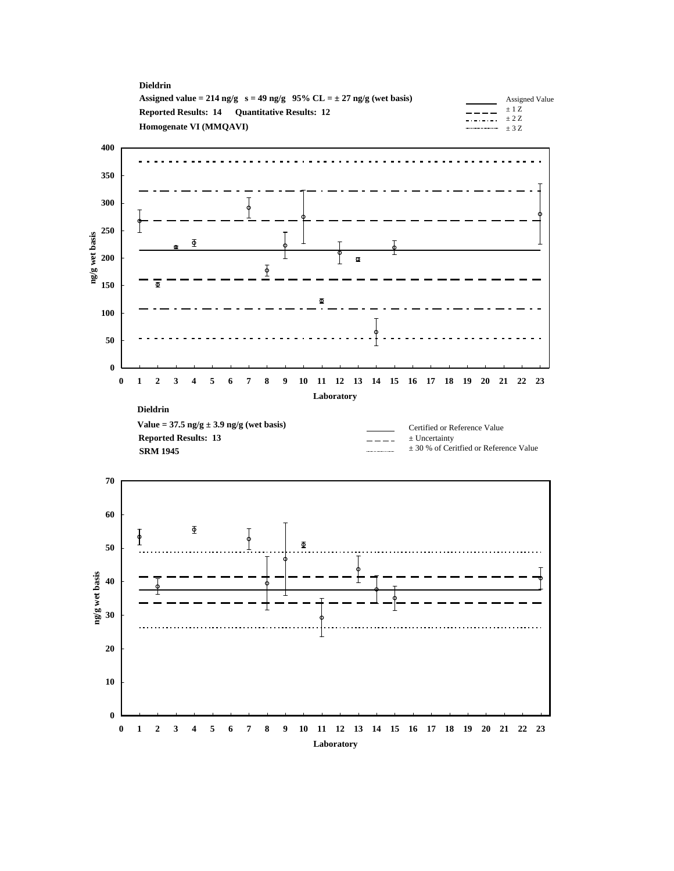



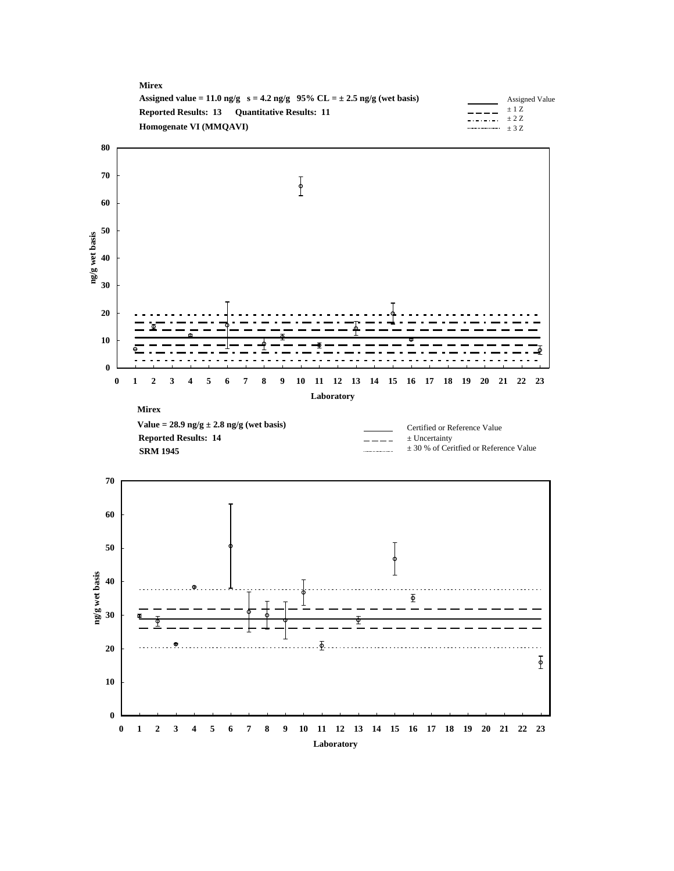| <b>Mirex</b>                                                                  |                         |
|-------------------------------------------------------------------------------|-------------------------|
| Assigned value = 11.0 ng/g $s = 4.2$ ng/g 95% CL = $\pm 2.5$ ng/g (wet basis) | Assigned Value          |
| <b>Reported Results: 13 Ouantitative Results: 11</b>                          | $+17$ .<br>$     +$ 2.7 |
| Homogenate VI (MMOAVI)                                                        | $\cdots$ + 3.7          |

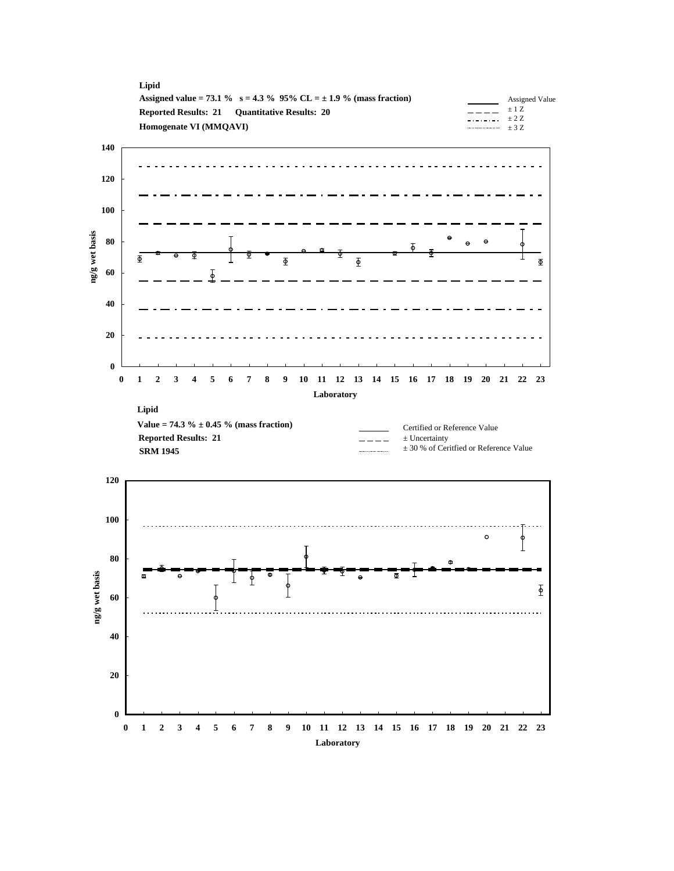



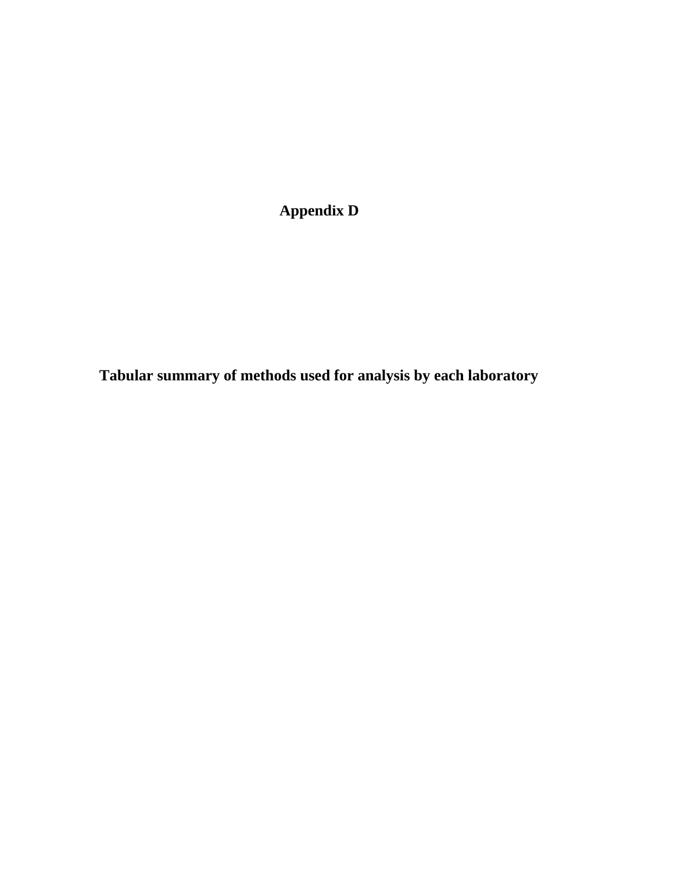**Appendix D**

**Tabular summary of methods used for analysis by each laboratory**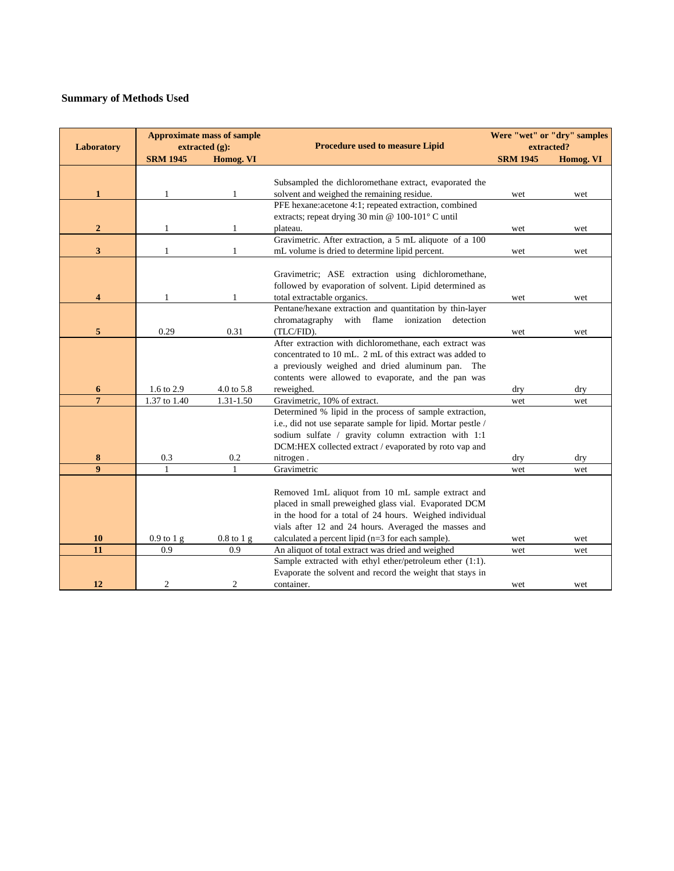| Laboratory     |                 | <b>Approximate mass of sample</b><br>extracted (g): | <b>Procedure used to measure Lipid</b>                       | extracted?      | Were "wet" or "dry" samples |
|----------------|-----------------|-----------------------------------------------------|--------------------------------------------------------------|-----------------|-----------------------------|
|                | <b>SRM 1945</b> | Homog. VI                                           |                                                              | <b>SRM 1945</b> | Homog. VI                   |
|                |                 |                                                     |                                                              |                 |                             |
|                |                 |                                                     | Subsampled the dichloromethane extract, evaporated the       |                 |                             |
| $\mathbf{1}$   | 1               | 1                                                   | solvent and weighed the remaining residue.                   | wet             | wet                         |
|                |                 |                                                     | PFE hexane:acetone 4:1; repeated extraction, combined        |                 |                             |
|                |                 |                                                     | extracts; repeat drying 30 min @ 100-101° C until            |                 |                             |
| $\overline{2}$ | 1               | 1                                                   | plateau.                                                     | wet             | wet                         |
|                |                 |                                                     | Gravimetric. After extraction, a 5 mL aliquote of a 100      |                 |                             |
| 3              | 1               | 1                                                   | mL volume is dried to determine lipid percent.               | wet             | wet                         |
|                |                 |                                                     |                                                              |                 |                             |
|                |                 |                                                     | Gravimetric; ASE extraction using dichloromethane,           |                 |                             |
|                |                 |                                                     | followed by evaporation of solvent. Lipid determined as      |                 |                             |
| 4              | 1               | 1                                                   | total extractable organics.                                  | wet             | wet                         |
|                |                 |                                                     | Pentane/hexane extraction and quantitation by thin-layer     |                 |                             |
|                |                 |                                                     | chromatagraphy<br>with flame ionization<br>detection         |                 |                             |
| 5              | 0.29            | 0.31                                                | (TLC/FID).                                                   | wet             | wet                         |
|                |                 |                                                     | After extraction with dichloromethane, each extract was      |                 |                             |
|                |                 |                                                     | concentrated to 10 mL. 2 mL of this extract was added to     |                 |                             |
|                |                 |                                                     | a previously weighed and dried aluminum pan.<br>The          |                 |                             |
|                |                 |                                                     | contents were allowed to evaporate, and the pan was          |                 |                             |
| 6              | 1.6 to 2.9      | 4.0 to 5.8                                          | reweighed.                                                   | dry             | dry                         |
| $\overline{7}$ | 1.37 to 1.40    | $1.31 - 1.50$                                       | Gravimetric, 10% of extract.                                 | wet             | wet                         |
|                |                 |                                                     | Determined % lipid in the process of sample extraction,      |                 |                             |
|                |                 |                                                     | i.e., did not use separate sample for lipid. Mortar pestle / |                 |                             |
|                |                 |                                                     | sodium sulfate / gravity column extraction with 1:1          |                 |                             |
|                |                 |                                                     | DCM:HEX collected extract / evaporated by roto vap and       |                 |                             |
| 8              | 0.3             | 0.2                                                 | nitrogen.                                                    | dry             | dry                         |
| 9              | 1               | 1                                                   | Gravimetric                                                  | wet             | wet                         |
|                |                 |                                                     |                                                              |                 |                             |
|                |                 |                                                     | Removed 1mL aliquot from 10 mL sample extract and            |                 |                             |
|                |                 |                                                     | placed in small preweighed glass vial. Evaporated DCM        |                 |                             |
|                |                 |                                                     | in the hood for a total of 24 hours. Weighed individual      |                 |                             |
|                |                 |                                                     | vials after 12 and 24 hours. Averaged the masses and         |                 |                             |
| <b>10</b>      | $0.9$ to $1$ g  | $0.8$ to $1$ g                                      | calculated a percent lipid (n=3 for each sample).            | wet             | wet                         |
| 11             | 0.9             | 0.9                                                 | An aliquot of total extract was dried and weighed            | wet             | wet                         |
|                |                 |                                                     | Sample extracted with ethyl ether/petroleum ether (1:1).     |                 |                             |
|                |                 |                                                     | Evaporate the solvent and record the weight that stays in    |                 |                             |
| 12             | 2               | 2                                                   | container.                                                   | wet             | wet                         |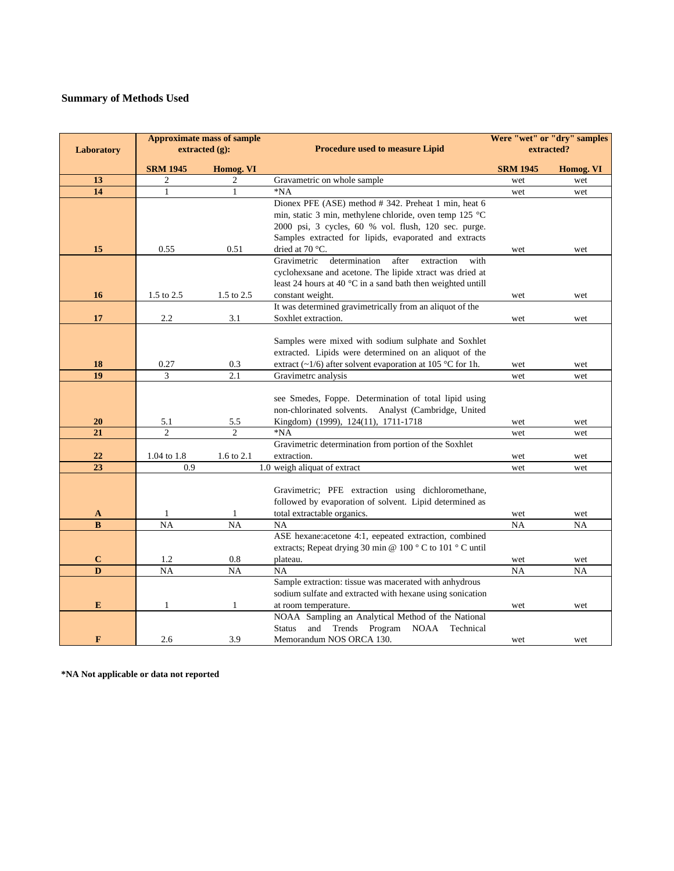| <b>Approximate mass of sample</b> |                 |                   |                                                                      | Were "wet" or "dry" samples |           |  |
|-----------------------------------|-----------------|-------------------|----------------------------------------------------------------------|-----------------------------|-----------|--|
| Laboratory                        |                 | extracted $(g)$ : | <b>Procedure used to measure Lipid</b>                               | extracted?                  |           |  |
|                                   | <b>SRM 1945</b> | Homog. VI         |                                                                      | <b>SRM 1945</b>             | Homog. VI |  |
| 13                                | $\mathfrak{2}$  | 2                 | Gravametric on whole sample                                          | wet                         | wet       |  |
| 14                                | $\mathbf{1}$    | 1                 | $*NA$                                                                | wet                         | wet       |  |
|                                   |                 |                   | Dionex PFE (ASE) method # 342. Preheat 1 min, heat 6                 |                             |           |  |
|                                   |                 |                   | min, static 3 min, methylene chloride, oven temp 125 °C              |                             |           |  |
|                                   |                 |                   | 2000 psi, 3 cycles, 60 % vol. flush, 120 sec. purge.                 |                             |           |  |
|                                   |                 |                   | Samples extracted for lipids, evaporated and extracts                |                             |           |  |
| 15                                | 0.55            | 0.51              | dried at 70 °C.                                                      | wet                         | wet       |  |
|                                   |                 |                   | Gravimetric<br>determination<br>after<br>extraction<br>with          |                             |           |  |
|                                   |                 |                   | cyclohexsane and acetone. The lipide xtract was dried at             |                             |           |  |
|                                   |                 |                   | least 24 hours at 40 $\degree$ C in a sand bath then weighted untill |                             |           |  |
| 16                                | 1.5 to 2.5      | 1.5 to 2.5        | constant weight.                                                     | wet                         | wet       |  |
|                                   |                 |                   | It was determined gravimetrically from an aliquot of the             |                             |           |  |
| 17                                | 2.2             | 3.1               | Soxhlet extraction.                                                  | wet                         | wet       |  |
|                                   |                 |                   |                                                                      |                             |           |  |
|                                   |                 |                   | Samples were mixed with sodium sulphate and Soxhlet                  |                             |           |  |
|                                   |                 |                   | extracted. Lipids were determined on an aliquot of the               |                             |           |  |
| 18                                | 0.27            | 0.3               | extract (~1/6) after solvent evaporation at 105 °C for 1h.           | wet                         | wet       |  |
| 19                                | 3               | 2.1               | Gravimetrc analysis                                                  | wet                         | wet       |  |
|                                   |                 |                   | see Smedes, Foppe. Determination of total lipid using                |                             |           |  |
|                                   |                 |                   | non-chlorinated solvents. Analyst (Cambridge, United                 |                             |           |  |
| <b>20</b>                         | 5.1             | 5.5               | Kingdom) (1999), 124(11), 1711-1718                                  | wet                         | wet       |  |
| 21                                | $\overline{2}$  | $\overline{2}$    | $*NA$                                                                | wet                         | wet       |  |
|                                   |                 |                   | Gravimetric determination from portion of the Soxhlet                |                             |           |  |
| 22                                | 1.04 to 1.8     | 1.6 to 2.1        | extraction.                                                          | wet                         | wet       |  |
| 23                                | 0.9             |                   | 1.0 weigh aliquat of extract                                         | wet                         | wet       |  |
|                                   |                 |                   |                                                                      |                             |           |  |
|                                   |                 |                   | Gravimetric; PFE extraction using dichloromethane,                   |                             |           |  |
|                                   |                 |                   | followed by evaporation of solvent. Lipid determined as              |                             |           |  |
| A                                 | 1               | 1                 | total extractable organics.                                          | wet                         | wet       |  |
| B                                 | $\overline{NA}$ | NA                | <b>NA</b>                                                            | <b>NA</b>                   | <b>NA</b> |  |
|                                   |                 |                   | ASE hexane:acetone 4:1, eepeated extraction, combined                |                             |           |  |
|                                   |                 |                   | extracts; Repeat drying 30 min @ 100 °C to 101 °C until              |                             |           |  |
| $\mathbf C$                       | 1.2             | 0.8               | plateau.                                                             | wet                         | wet       |  |
| $\overline{\mathbf{D}}$           | $\overline{NA}$ | $\overline{NA}$   | NA                                                                   | NA                          | <b>NA</b> |  |
|                                   |                 |                   | Sample extraction: tissue was macerated with anhydrous               |                             |           |  |
|                                   |                 |                   | sodium sulfate and extracted with hexane using sonication            |                             |           |  |
| E                                 | $\mathbf{1}$    | 1                 | at room temperature.                                                 | wet                         | wet       |  |
|                                   |                 |                   | NOAA Sampling an Analytical Method of the National                   |                             |           |  |
|                                   |                 |                   | and Trends Program NOAA<br><b>Status</b><br>Technical                |                             |           |  |
| F                                 | 2.6             | 3.9               | Memorandum NOS ORCA 130.                                             | wet                         | wet       |  |

**\*NA Not applicable or data not reported**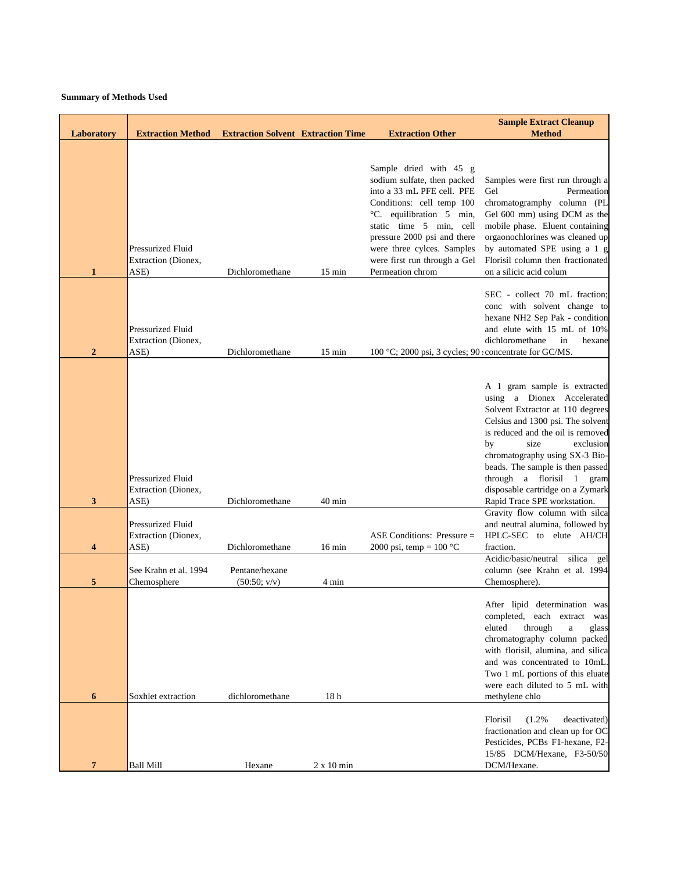| Laboratory     | <b>Extraction Method</b>                                                  | <b>Extraction Solvent Extraction Time</b> |                          | <b>Extraction Other</b>                                                                                                                                                 | <b>Sample Extract Cleanup</b><br><b>Method</b>                                                                                                                                                                                                                                                                                                                             |
|----------------|---------------------------------------------------------------------------|-------------------------------------------|--------------------------|-------------------------------------------------------------------------------------------------------------------------------------------------------------------------|----------------------------------------------------------------------------------------------------------------------------------------------------------------------------------------------------------------------------------------------------------------------------------------------------------------------------------------------------------------------------|
|                |                                                                           |                                           |                          | Sample dried with 45 g<br>sodium sulfate, then packed<br>into a 33 mL PFE cell. PFE<br>Conditions: cell temp 100<br>°C. equilibration 5 min,<br>static time 5 min, cell | Samples were first run through a<br>Permeation<br>Gel<br>chromatogramphy column (PL<br>Gel 600 mm) using DCM as the<br>mobile phase. Eluent containing                                                                                                                                                                                                                     |
| $\mathbf{1}$   | Pressurized Fluid<br>Extraction (Dionex,<br>ASE)                          | Dichloromethane                           | $15 \text{ min}$         | pressure 2000 psi and there<br>were three cylces. Samples<br>were first run through a Gel<br>Permeation chrom                                                           | orgaonochlorines was cleaned up<br>by automated SPE using a 1 g<br>Florisil column then fractionated<br>on a silicic acid colum                                                                                                                                                                                                                                            |
| $\overline{2}$ | Pressurized Fluid<br>Extraction (Dionex,<br>ASE)                          | Dichloromethane                           | $15 \text{ min}$         | 100 °C; 2000 psi, 3 cycles; 90 concentrate for GC/MS.                                                                                                                   | SEC - collect 70 mL fraction;<br>conc with solvent change to<br>hexane NH2 Sep Pak - condition<br>and elute with 15 mL of 10%<br>dichloromethane<br>in<br>hexane                                                                                                                                                                                                           |
| 3              | Pressurized Fluid<br>Extraction (Dionex,<br>ASE)                          | Dichloromethane                           | $40 \text{ min}$         |                                                                                                                                                                         | A 1 gram sample is extracted<br>using a Dionex Accelerated<br>Solvent Extractor at 110 degrees<br>Celsius and 1300 psi. The solvent<br>is reduced and the oil is removed<br>size<br>by<br>exclusion<br>chromatography using SX-3 Bio-<br>beads. The sample is then passed<br>through a florisil 1 gram<br>disposable cartridge on a Zymark<br>Rapid Trace SPE workstation. |
| 4              | Pressurized Fluid<br>Extraction (Dionex,<br>ASE)<br>See Krahn et al. 1994 | Dichloromethane<br>Pentane/hexane         | $16 \text{ min}$         | ASE Conditions: Pressure $=$<br>2000 psi, temp = $100 °C$                                                                                                               | Gravity flow column with silca<br>and neutral alumina, followed by<br>HPLC-SEC to elute AH/CH<br>fraction.<br>Acidic/basic/neutral<br>silica gel<br>column (see Krahn et al. 1994                                                                                                                                                                                          |
| 5<br>6         | Chemosphere<br>Soxhlet extraction                                         | (50:50; v/v)<br>dichloromethane           | 4 min<br>18 <sub>h</sub> |                                                                                                                                                                         | Chemosphere).<br>After lipid determination was<br>completed, each extract was<br>eluted<br>through<br>$\rm{a}$<br>glass<br>chromatography column packed<br>with florisil, alumina, and silica<br>and was concentrated to 10mL.<br>Two 1 mL portions of this eluate<br>were each diluted to 5 mL with<br>methylene chlo                                                     |
| 7              | <b>Ball Mill</b>                                                          | Hexane                                    | $2 \times 10$ min        |                                                                                                                                                                         | Florisil<br>(1.2%<br>deactivated)<br>fractionation and clean up for OC<br>Pesticides, PCBs F1-hexane, F2-<br>15/85 DCM/Hexane, F3-50/50<br>DCM/Hexane.                                                                                                                                                                                                                     |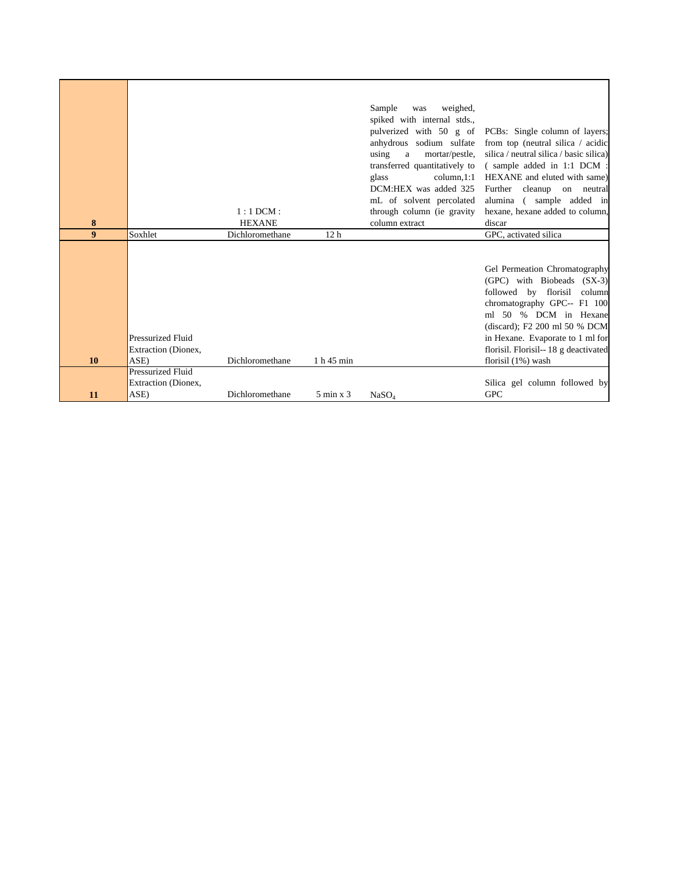|                  |                          |                 |                      | Sample<br>weighed,<br>was                     |                                                                    |
|------------------|--------------------------|-----------------|----------------------|-----------------------------------------------|--------------------------------------------------------------------|
|                  |                          |                 |                      | spiked with internal stds.,                   |                                                                    |
|                  |                          |                 |                      | pulverized with 50 g of                       | PCBs: Single column of layers;                                     |
|                  |                          |                 |                      | anhydrous sodium sulfate                      | from top (neutral silica / acidic                                  |
|                  |                          |                 |                      | using<br>mortar/pestle.<br>$\mathbf{a}$       | silica / neutral silica / basic silica)                            |
|                  |                          |                 |                      | transferred quantitatively to                 | (sample added in 1:1 DCM :                                         |
|                  |                          |                 |                      | column, 1:1<br>glass<br>DCM:HEX was added 325 | HEXANE and eluted with same)                                       |
|                  |                          |                 |                      | mL of solvent percolated                      | Further<br>cleanup<br>on<br>neutral<br>(sample added in<br>alumina |
|                  |                          | $1:1$ DCM:      |                      | through column (ie gravity                    | hexane, hexane added to column,                                    |
| 8                |                          | <b>HEXANE</b>   |                      | column extract                                | discar                                                             |
| $\boldsymbol{9}$ | Soxhlet                  | Dichloromethane | 12 <sub>h</sub>      |                                               | GPC, activated silica                                              |
|                  |                          |                 |                      |                                               |                                                                    |
|                  |                          |                 |                      |                                               |                                                                    |
|                  |                          |                 |                      |                                               | Gel Permeation Chromatography<br>(GPC) with Biobeads (SX-3)        |
|                  |                          |                 |                      |                                               | followed by florisil<br>column                                     |
|                  |                          |                 |                      |                                               | chromatography GPC-- F1 100                                        |
|                  |                          |                 |                      |                                               | ml 50 % DCM in Hexane                                              |
|                  |                          |                 |                      |                                               | (discard); F2 200 ml 50 % DCM                                      |
|                  | <b>Pressurized Fluid</b> |                 |                      |                                               | in Hexane. Evaporate to 1 ml for                                   |
|                  | Extraction (Dionex,      |                 |                      |                                               | florisil. Florisil-- 18 g deactivated                              |
| 10               | ASE)                     | Dichloromethane | 1 h 45 min           |                                               | florisil $(1%)$ wash                                               |
|                  | <b>Pressurized Fluid</b> |                 |                      |                                               |                                                                    |
|                  | Extraction (Dionex,      |                 |                      |                                               | Silica gel column followed by                                      |
| 11               | ASE)                     | Dichloromethane | $5 \text{ min } x 3$ | NaSO <sub>4</sub>                             | <b>GPC</b>                                                         |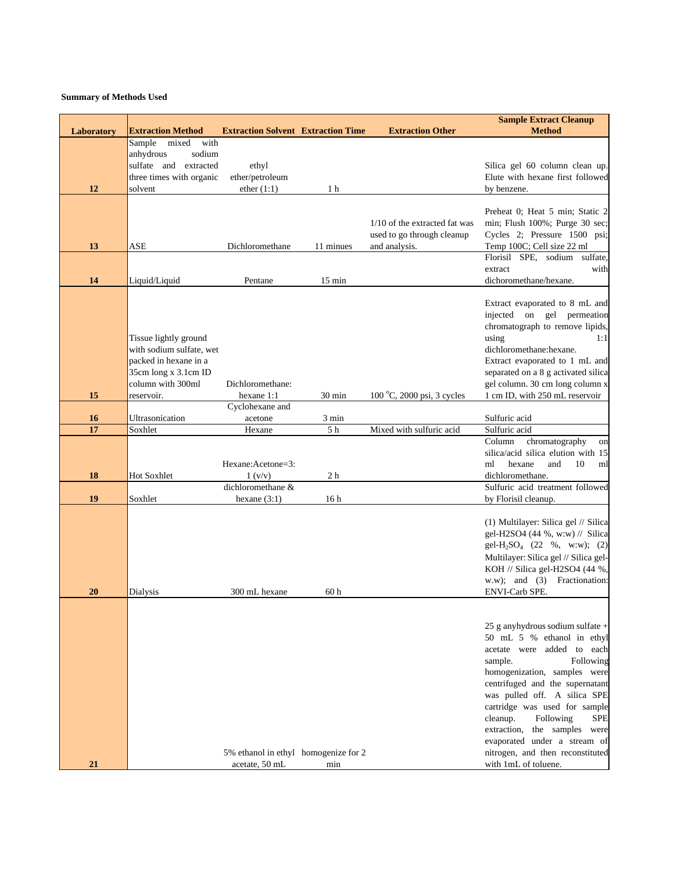|            |                                                     |                                           |                  |                               | <b>Sample Extract Cleanup</b>                                           |
|------------|-----------------------------------------------------|-------------------------------------------|------------------|-------------------------------|-------------------------------------------------------------------------|
| Laboratory | <b>Extraction Method</b><br>with<br>Sample<br>mixed | <b>Extraction Solvent Extraction Time</b> |                  | <b>Extraction Other</b>       | <b>Method</b>                                                           |
|            | sodium<br>anhydrous                                 |                                           |                  |                               |                                                                         |
|            | sulfate and extracted                               | ethyl                                     |                  |                               | Silica gel 60 column clean up.                                          |
|            | three times with organic                            | ether/petroleum                           |                  |                               | Elute with hexane first followed                                        |
| 12         | solvent                                             | ether $(1:1)$                             | 1 <sub>h</sub>   |                               | by benzene.                                                             |
|            |                                                     |                                           |                  |                               |                                                                         |
|            |                                                     |                                           |                  |                               | Preheat 0; Heat 5 min; Static 2                                         |
|            |                                                     |                                           |                  | 1/10 of the extracted fat was | min; Flush 100%; Purge 30 sec;                                          |
|            |                                                     |                                           |                  | used to go through cleanup    | Cycles 2; Pressure 1500 psi;                                            |
| 13         | ASE                                                 | Dichloromethane                           | 11 minues        | and analysis.                 | Temp 100C; Cell size 22 ml                                              |
|            |                                                     |                                           |                  |                               | Florisil SPE, sodium sulfate,<br>with<br>extract                        |
| 14         | Liquid/Liquid                                       | Pentane                                   | $15 \text{ min}$ |                               | dichoromethane/hexane.                                                  |
|            |                                                     |                                           |                  |                               |                                                                         |
|            |                                                     |                                           |                  |                               | Extract evaporated to 8 mL and                                          |
|            |                                                     |                                           |                  |                               | injected on gel permeation                                              |
|            |                                                     |                                           |                  |                               | chromatograph to remove lipids,                                         |
|            | Tissue lightly ground                               |                                           |                  |                               | using<br>1:1                                                            |
|            | with sodium sulfate, wet                            |                                           |                  |                               | dichloromethane:hexane.                                                 |
|            | packed in hexane in a<br>35cm long x 3.1cm ID       |                                           |                  |                               | Extract evaporated to 1 mL and<br>separated on a 8 g activated silica   |
|            | column with 300ml                                   | Dichloromethane:                          |                  |                               | gel column. 30 cm long column x                                         |
| 15         | reservoir.                                          | hexane 1:1                                | $30 \text{ min}$ | 100 °C, 2000 psi, 3 cycles    | 1 cm ID, with 250 mL reservoir                                          |
|            |                                                     | Cyclohexane and                           |                  |                               |                                                                         |
| 16         | Ultrasonication                                     | acetone                                   | 3 min            |                               | Sulfuric acid                                                           |
| 17         | Soxhlet                                             | Hexane                                    | 5 <sub>h</sub>   | Mixed with sulfuric acid      | Sulfuric acid                                                           |
|            |                                                     |                                           |                  |                               | chromatography<br>Column<br>on                                          |
|            |                                                     | Hexane: Acetone=3:                        |                  |                               | silica/acid silica elution with 15<br>10<br>ml<br>hexane<br>and<br>ml   |
| 18         | Hot Soxhlet                                         | 1 (v/v)                                   | 2 <sub>h</sub>   |                               | dichloromethane.                                                        |
|            |                                                     | dichloromethane &                         |                  |                               | Sulfuric acid treatment followed                                        |
| 19         | Soxhlet                                             | hexane $(3:1)$                            | 16 <sub>h</sub>  |                               | by Florisil cleanup.                                                    |
|            |                                                     |                                           |                  |                               |                                                                         |
|            |                                                     |                                           |                  |                               | (1) Multilayer: Silica gel // Silica                                    |
|            |                                                     |                                           |                  |                               | gel-H2SO4 (44 %, w:w) // Silica                                         |
|            |                                                     |                                           |                  |                               | gel-H <sub>2</sub> SO <sub>4</sub> (22 %, w:w); (2)                     |
|            |                                                     |                                           |                  |                               | Multilayer: Silica gel // Silica gel-<br>KOH // Silica gel-H2SO4 (44 %, |
|            |                                                     |                                           |                  |                               | w.w); and (3) Fractionation:                                            |
| 20         | Dialysis                                            | 300 mL hexane                             | 60 h             |                               | ENVI-Carb SPE.                                                          |
|            |                                                     |                                           |                  |                               |                                                                         |
|            |                                                     |                                           |                  |                               |                                                                         |
|            |                                                     |                                           |                  |                               | 25 g anyhydrous sodium sulfate +                                        |
|            |                                                     |                                           |                  |                               | 50 mL 5 % ethanol in ethyl                                              |
|            |                                                     |                                           |                  |                               | acetate were added to each                                              |
|            |                                                     |                                           |                  |                               | Following<br>sample.<br>homogenization, samples were                    |
|            |                                                     |                                           |                  |                               | centrifuged and the supernatant                                         |
|            |                                                     |                                           |                  |                               | was pulled off. A silica SPE                                            |
|            |                                                     |                                           |                  |                               | cartridge was used for sample                                           |
|            |                                                     |                                           |                  |                               | cleanup.<br>Following<br><b>SPE</b>                                     |
|            |                                                     |                                           |                  |                               | extraction, the samples were                                            |
|            |                                                     |                                           |                  |                               | evaporated under a stream of                                            |
|            |                                                     | 5% ethanol in ethyl homogenize for 2      |                  |                               | nitrogen, and then reconstituted                                        |
| 21         |                                                     | acetate, 50 mL                            | min              |                               | with 1mL of toluene.                                                    |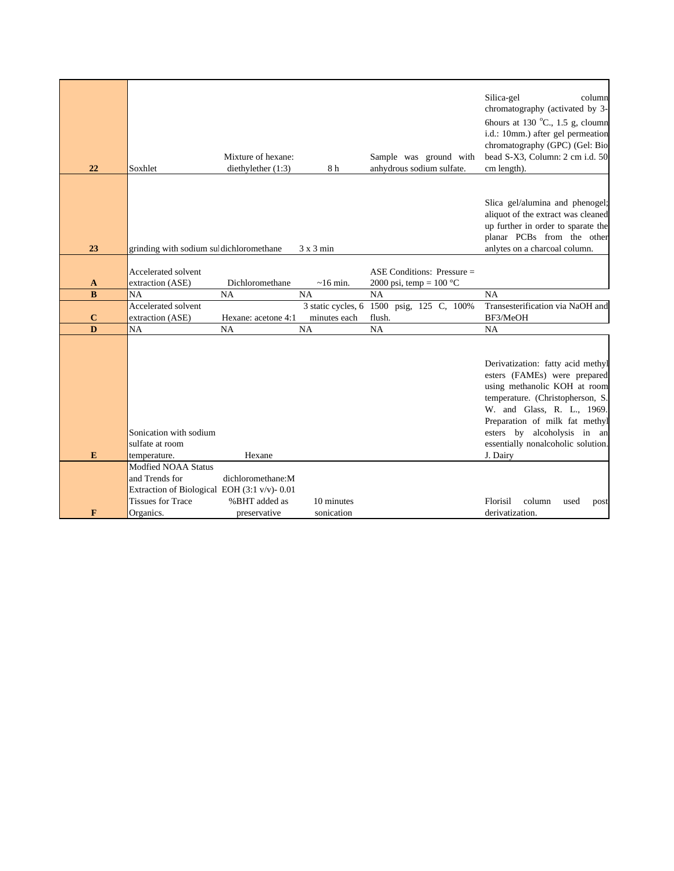| 22           | Soxhlet                                                                                    | Mixture of hexane:<br>diethylether (1:3) | 8h                 | Sample was ground with<br>anhydrous sodium sulfate. | Silica-gel<br>column<br>chromatography (activated by 3-<br>6hours at 130 $^{\circ}$ C., 1.5 g, cloumn<br>i.d.: 10mm.) after gel permeation<br>chromatography (GPC) (Gel: Bio-<br>bead S-X3, Column: 2 cm i.d. 50<br>cm length).                                                        |
|--------------|--------------------------------------------------------------------------------------------|------------------------------------------|--------------------|-----------------------------------------------------|----------------------------------------------------------------------------------------------------------------------------------------------------------------------------------------------------------------------------------------------------------------------------------------|
| 23           | grinding with sodium sul dichloromethane                                                   |                                          | $3x3$ min          |                                                     | Slica gel/alumina and phenogel;<br>aliquot of the extract was cleaned<br>up further in order to sparate the<br>planar PCBs from the other<br>anlytes on a charcoal column.                                                                                                             |
|              |                                                                                            |                                          |                    |                                                     |                                                                                                                                                                                                                                                                                        |
|              | Accelerated solvent                                                                        |                                          |                    | ASE Conditions: Pressure $=$                        |                                                                                                                                                                                                                                                                                        |
|              |                                                                                            |                                          |                    |                                                     |                                                                                                                                                                                                                                                                                        |
| $\mathbf{A}$ | extraction (ASE)                                                                           | Dichloromethane                          | $\sim$ 16 min.     | 2000 psi, temp = $100 °C$                           |                                                                                                                                                                                                                                                                                        |
| $\bf{B}$     | <b>NA</b>                                                                                  | <b>NA</b>                                | <b>NA</b>          | NA                                                  | NA                                                                                                                                                                                                                                                                                     |
|              | Accelerated solvent                                                                        |                                          | 3 static cycles, 6 | 1500 psig, 125 C, 100%                              | Transesterification via NaOH and                                                                                                                                                                                                                                                       |
| $\bf C$      | extraction (ASE)                                                                           | Hexane: acetone 4:1                      | minutes each       | flush.                                              | BF3/MeOH                                                                                                                                                                                                                                                                               |
| D            | NA                                                                                         | <b>NA</b>                                | <b>NA</b>          | <b>NA</b>                                           | <b>NA</b>                                                                                                                                                                                                                                                                              |
| E            | Sonication with sodium<br>sulfate at room<br>temperature.<br>Modfied NOAA Status           | Hexane                                   |                    |                                                     | Derivatization: fatty acid methyl<br>esters (FAMEs) were prepared<br>using methanolic KOH at room<br>temperature. (Christopherson, S.<br>W. and Glass, R. L., 1969.<br>Preparation of milk fat methyl<br>esters by alcoholysis in an<br>essentially nonalcoholic solution.<br>J. Dairy |
|              | and Trends for<br>Extraction of Biological EOH (3:1 v/v)- 0.01<br><b>Tissues for Trace</b> | dichloromethane:M<br>%BHT added as       |                    |                                                     |                                                                                                                                                                                                                                                                                        |
|              |                                                                                            |                                          | 10 minutes         |                                                     | Florisil<br>column<br>used<br>post                                                                                                                                                                                                                                                     |
| F            | Organics.                                                                                  | preservative                             | sonication         |                                                     | derivatization.                                                                                                                                                                                                                                                                        |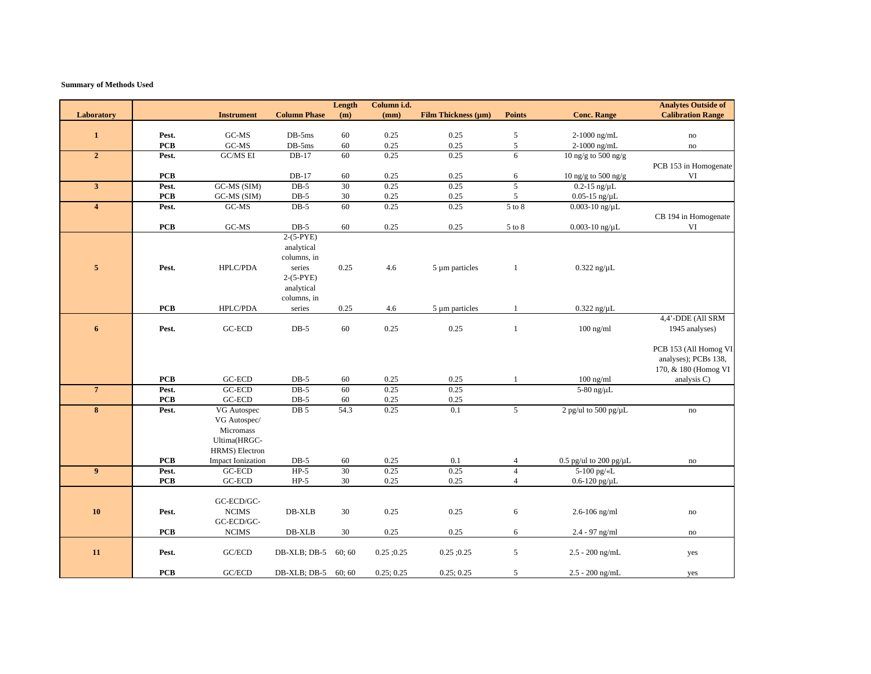| <b>Column Phase</b><br><b>Film Thickness (µm)</b><br><b>Conc. Range</b><br><b>Calibration Range</b><br><b>Instrument</b><br>(m)<br>(mm)<br><b>Points</b><br>Laboratory<br>$\mathbf{1}$<br>GC-MS<br>$DB-5ms$<br>60<br>0.25<br>0.25<br>5<br>2-1000 ng/mL<br>Pest.<br>$\mathop{\mathrm{no}}$<br>$\mbox{G}\mbox{C-MS}$<br>$\rm DB\text{-}5ms$<br>$\sqrt{5}$<br><b>PCB</b><br>60<br>0.25<br>0.25<br>2-1000 ng/mL<br>$\mathop{\mathrm{no}}$<br>$\overline{2}$<br><b>GC/MS EI</b><br>60<br>0.25<br>6<br>Pest.<br>DB-17<br>0.25<br>10 ng/g to 500 ng/g<br>PCB 153 in Homogenate<br>$DB-17$<br>VI<br><b>PCB</b><br>10 ng/g to 500 ng/g<br>60<br>0.25<br>0.25<br>6<br>30<br>0.25<br>5<br>$\mathbf{3}$<br>GC-MS (SIM)<br>$DB-5$<br>0.25<br>$0.2 - 15$ ng/ $\mu$ L<br>Pest.<br><b>PCB</b><br>$30\,$<br>$\sqrt{5}$<br>GC-MS (SIM)<br>$DB-5$<br>0.25<br>0.25<br>$0.05$ -15 ng/ $\mu$ L<br>$GC-MS$<br>$DB-5$<br>60<br>0.25<br>0.25<br>5 to 8<br>$0.003 - 10$ ng/ $\mu$ L<br>$\overline{\mathbf{4}}$<br>Pest.<br>CB 194 in Homogenate<br>$GC-MS$<br>$DB-5$<br><b>PCB</b><br>0.25<br>0.25<br>$0.003 - 10$ ng/ $\mu$ L<br>VI<br>60<br>$5$ to $8\,$<br>$2-(5-PYE)$<br>analytical<br>columns, in<br>$\overline{\mathbf{5}}$<br>HPLC/PDA<br>0.25<br>Pest.<br>series<br>4.6<br>$5 \mu m$ particles<br>$\mathbf{1}$<br>$0.322$ ng/ $\mu$ L<br>$2-(5-PYE)$<br>analytical<br>columns, in<br><b>PCB</b><br>HPLC/PDA<br>0.25<br>4.6<br>$\mathbf{1}$<br>$0.322$ ng/ $\mu$ L<br>series<br>5 µm particles<br>4,4'-DDE (All SRM<br>0.25<br>6<br>GC-ECD<br>$DB-5$<br>60<br>0.25<br>$\mathbf{1}$<br>1945 analyses)<br>Pest.<br>$100$ ng/ml<br>PCB 153 (All Homog VI<br>analyses); PCBs 138,<br>170, & 180 (Homog VI<br><b>PCB</b><br>$\operatorname{GC-ECD}$<br>$DB-5$<br>$60\,$<br>0.25<br>0.25<br>$100$ ng/ml<br>analysis C)<br>1<br>$\overline{7}$<br>GC-ECD<br>$DB-5$<br>60<br>0.25<br>0.25<br>5-80 ng/ $\mu$ L<br>Pest.<br>GC-ECD<br><b>PCB</b><br>$DB-5$<br>0.25<br>60<br>0.25<br>$\bf{8}$<br>DB <sub>5</sub><br>54.3<br>0.25<br>5<br>2 pg/ul to 500 pg/ $\mu$ L<br>Pest.<br>VG Autospec<br>0.1<br>no<br>VG Autospec/<br>Micromass<br>Ultima(HRGC-<br>HRMS) Electron<br><b>PCB</b><br><b>Impact Ionization</b><br>0.5 pg/ul to 200 pg/ $\mu$ L<br>$DB-5$<br>60<br>0.25<br>0.1<br>$\overline{4}$<br>no<br>30<br>0.25<br>9<br>Pest.<br>$HP-5$<br>0.25<br>$\overline{4}$<br>5-100 pg/«L<br>GC-ECD<br>$GC-ECD$<br><b>PCB</b><br>$HP-5$<br>30<br>0.25<br>0.25<br>$\overline{4}$<br>$0.6 - 120$ pg/ $\mu$ L<br>GC-ECD/GC-<br><b>NCIMS</b><br>DB-XLB<br>0.25<br>0.25<br><b>10</b><br>Pest.<br>30<br>6<br>$2.6 - 106$ ng/ml<br>$\mathbf{no}$<br>GC-ECD/GC-<br>0.25<br>PCB<br><b>NCIMS</b><br>DB-XLB<br>30<br>0.25<br>6<br>2.4 - 97 ng/ml<br>no<br>11<br>Pest.<br>GC/ECD<br>$\sqrt{5}$<br>DB-XLB; DB-5<br>60; 60<br>$0.25$ ; 0.25<br>$0.25$ ; 0.25<br>$2.5 - 200$ ng/mL<br>yes<br>GC/ECD<br><b>PCB</b><br>DB-XLB; DB-5<br>$2.5 - 200$ ng/mL<br>60; 60<br>0.25; 0.25<br>0.25; 0.25<br>5<br>yes |  |  | Length | Column i.d. |  | <b>Analytes Outside of</b> |
|-----------------------------------------------------------------------------------------------------------------------------------------------------------------------------------------------------------------------------------------------------------------------------------------------------------------------------------------------------------------------------------------------------------------------------------------------------------------------------------------------------------------------------------------------------------------------------------------------------------------------------------------------------------------------------------------------------------------------------------------------------------------------------------------------------------------------------------------------------------------------------------------------------------------------------------------------------------------------------------------------------------------------------------------------------------------------------------------------------------------------------------------------------------------------------------------------------------------------------------------------------------------------------------------------------------------------------------------------------------------------------------------------------------------------------------------------------------------------------------------------------------------------------------------------------------------------------------------------------------------------------------------------------------------------------------------------------------------------------------------------------------------------------------------------------------------------------------------------------------------------------------------------------------------------------------------------------------------------------------------------------------------------------------------------------------------------------------------------------------------------------------------------------------------------------------------------------------------------------------------------------------------------------------------------------------------------------------------------------------------------------------------------------------------------------------------------------------------------------------------------------------------------------------------------------------------------------------------------------------------------------------------------------------------------------------------------------------------------------------------------------------------------------------------------------------------------------------------------------------------------------------------------------------------------------------------------------------|--|--|--------|-------------|--|----------------------------|
|                                                                                                                                                                                                                                                                                                                                                                                                                                                                                                                                                                                                                                                                                                                                                                                                                                                                                                                                                                                                                                                                                                                                                                                                                                                                                                                                                                                                                                                                                                                                                                                                                                                                                                                                                                                                                                                                                                                                                                                                                                                                                                                                                                                                                                                                                                                                                                                                                                                                                                                                                                                                                                                                                                                                                                                                                                                                                                                                                           |  |  |        |             |  |                            |
|                                                                                                                                                                                                                                                                                                                                                                                                                                                                                                                                                                                                                                                                                                                                                                                                                                                                                                                                                                                                                                                                                                                                                                                                                                                                                                                                                                                                                                                                                                                                                                                                                                                                                                                                                                                                                                                                                                                                                                                                                                                                                                                                                                                                                                                                                                                                                                                                                                                                                                                                                                                                                                                                                                                                                                                                                                                                                                                                                           |  |  |        |             |  |                            |
|                                                                                                                                                                                                                                                                                                                                                                                                                                                                                                                                                                                                                                                                                                                                                                                                                                                                                                                                                                                                                                                                                                                                                                                                                                                                                                                                                                                                                                                                                                                                                                                                                                                                                                                                                                                                                                                                                                                                                                                                                                                                                                                                                                                                                                                                                                                                                                                                                                                                                                                                                                                                                                                                                                                                                                                                                                                                                                                                                           |  |  |        |             |  |                            |
|                                                                                                                                                                                                                                                                                                                                                                                                                                                                                                                                                                                                                                                                                                                                                                                                                                                                                                                                                                                                                                                                                                                                                                                                                                                                                                                                                                                                                                                                                                                                                                                                                                                                                                                                                                                                                                                                                                                                                                                                                                                                                                                                                                                                                                                                                                                                                                                                                                                                                                                                                                                                                                                                                                                                                                                                                                                                                                                                                           |  |  |        |             |  |                            |
|                                                                                                                                                                                                                                                                                                                                                                                                                                                                                                                                                                                                                                                                                                                                                                                                                                                                                                                                                                                                                                                                                                                                                                                                                                                                                                                                                                                                                                                                                                                                                                                                                                                                                                                                                                                                                                                                                                                                                                                                                                                                                                                                                                                                                                                                                                                                                                                                                                                                                                                                                                                                                                                                                                                                                                                                                                                                                                                                                           |  |  |        |             |  |                            |
|                                                                                                                                                                                                                                                                                                                                                                                                                                                                                                                                                                                                                                                                                                                                                                                                                                                                                                                                                                                                                                                                                                                                                                                                                                                                                                                                                                                                                                                                                                                                                                                                                                                                                                                                                                                                                                                                                                                                                                                                                                                                                                                                                                                                                                                                                                                                                                                                                                                                                                                                                                                                                                                                                                                                                                                                                                                                                                                                                           |  |  |        |             |  |                            |
|                                                                                                                                                                                                                                                                                                                                                                                                                                                                                                                                                                                                                                                                                                                                                                                                                                                                                                                                                                                                                                                                                                                                                                                                                                                                                                                                                                                                                                                                                                                                                                                                                                                                                                                                                                                                                                                                                                                                                                                                                                                                                                                                                                                                                                                                                                                                                                                                                                                                                                                                                                                                                                                                                                                                                                                                                                                                                                                                                           |  |  |        |             |  |                            |
|                                                                                                                                                                                                                                                                                                                                                                                                                                                                                                                                                                                                                                                                                                                                                                                                                                                                                                                                                                                                                                                                                                                                                                                                                                                                                                                                                                                                                                                                                                                                                                                                                                                                                                                                                                                                                                                                                                                                                                                                                                                                                                                                                                                                                                                                                                                                                                                                                                                                                                                                                                                                                                                                                                                                                                                                                                                                                                                                                           |  |  |        |             |  |                            |
|                                                                                                                                                                                                                                                                                                                                                                                                                                                                                                                                                                                                                                                                                                                                                                                                                                                                                                                                                                                                                                                                                                                                                                                                                                                                                                                                                                                                                                                                                                                                                                                                                                                                                                                                                                                                                                                                                                                                                                                                                                                                                                                                                                                                                                                                                                                                                                                                                                                                                                                                                                                                                                                                                                                                                                                                                                                                                                                                                           |  |  |        |             |  |                            |
|                                                                                                                                                                                                                                                                                                                                                                                                                                                                                                                                                                                                                                                                                                                                                                                                                                                                                                                                                                                                                                                                                                                                                                                                                                                                                                                                                                                                                                                                                                                                                                                                                                                                                                                                                                                                                                                                                                                                                                                                                                                                                                                                                                                                                                                                                                                                                                                                                                                                                                                                                                                                                                                                                                                                                                                                                                                                                                                                                           |  |  |        |             |  |                            |
|                                                                                                                                                                                                                                                                                                                                                                                                                                                                                                                                                                                                                                                                                                                                                                                                                                                                                                                                                                                                                                                                                                                                                                                                                                                                                                                                                                                                                                                                                                                                                                                                                                                                                                                                                                                                                                                                                                                                                                                                                                                                                                                                                                                                                                                                                                                                                                                                                                                                                                                                                                                                                                                                                                                                                                                                                                                                                                                                                           |  |  |        |             |  |                            |
|                                                                                                                                                                                                                                                                                                                                                                                                                                                                                                                                                                                                                                                                                                                                                                                                                                                                                                                                                                                                                                                                                                                                                                                                                                                                                                                                                                                                                                                                                                                                                                                                                                                                                                                                                                                                                                                                                                                                                                                                                                                                                                                                                                                                                                                                                                                                                                                                                                                                                                                                                                                                                                                                                                                                                                                                                                                                                                                                                           |  |  |        |             |  |                            |
|                                                                                                                                                                                                                                                                                                                                                                                                                                                                                                                                                                                                                                                                                                                                                                                                                                                                                                                                                                                                                                                                                                                                                                                                                                                                                                                                                                                                                                                                                                                                                                                                                                                                                                                                                                                                                                                                                                                                                                                                                                                                                                                                                                                                                                                                                                                                                                                                                                                                                                                                                                                                                                                                                                                                                                                                                                                                                                                                                           |  |  |        |             |  |                            |
|                                                                                                                                                                                                                                                                                                                                                                                                                                                                                                                                                                                                                                                                                                                                                                                                                                                                                                                                                                                                                                                                                                                                                                                                                                                                                                                                                                                                                                                                                                                                                                                                                                                                                                                                                                                                                                                                                                                                                                                                                                                                                                                                                                                                                                                                                                                                                                                                                                                                                                                                                                                                                                                                                                                                                                                                                                                                                                                                                           |  |  |        |             |  |                            |
|                                                                                                                                                                                                                                                                                                                                                                                                                                                                                                                                                                                                                                                                                                                                                                                                                                                                                                                                                                                                                                                                                                                                                                                                                                                                                                                                                                                                                                                                                                                                                                                                                                                                                                                                                                                                                                                                                                                                                                                                                                                                                                                                                                                                                                                                                                                                                                                                                                                                                                                                                                                                                                                                                                                                                                                                                                                                                                                                                           |  |  |        |             |  |                            |
|                                                                                                                                                                                                                                                                                                                                                                                                                                                                                                                                                                                                                                                                                                                                                                                                                                                                                                                                                                                                                                                                                                                                                                                                                                                                                                                                                                                                                                                                                                                                                                                                                                                                                                                                                                                                                                                                                                                                                                                                                                                                                                                                                                                                                                                                                                                                                                                                                                                                                                                                                                                                                                                                                                                                                                                                                                                                                                                                                           |  |  |        |             |  |                            |
|                                                                                                                                                                                                                                                                                                                                                                                                                                                                                                                                                                                                                                                                                                                                                                                                                                                                                                                                                                                                                                                                                                                                                                                                                                                                                                                                                                                                                                                                                                                                                                                                                                                                                                                                                                                                                                                                                                                                                                                                                                                                                                                                                                                                                                                                                                                                                                                                                                                                                                                                                                                                                                                                                                                                                                                                                                                                                                                                                           |  |  |        |             |  |                            |
|                                                                                                                                                                                                                                                                                                                                                                                                                                                                                                                                                                                                                                                                                                                                                                                                                                                                                                                                                                                                                                                                                                                                                                                                                                                                                                                                                                                                                                                                                                                                                                                                                                                                                                                                                                                                                                                                                                                                                                                                                                                                                                                                                                                                                                                                                                                                                                                                                                                                                                                                                                                                                                                                                                                                                                                                                                                                                                                                                           |  |  |        |             |  |                            |
|                                                                                                                                                                                                                                                                                                                                                                                                                                                                                                                                                                                                                                                                                                                                                                                                                                                                                                                                                                                                                                                                                                                                                                                                                                                                                                                                                                                                                                                                                                                                                                                                                                                                                                                                                                                                                                                                                                                                                                                                                                                                                                                                                                                                                                                                                                                                                                                                                                                                                                                                                                                                                                                                                                                                                                                                                                                                                                                                                           |  |  |        |             |  |                            |
|                                                                                                                                                                                                                                                                                                                                                                                                                                                                                                                                                                                                                                                                                                                                                                                                                                                                                                                                                                                                                                                                                                                                                                                                                                                                                                                                                                                                                                                                                                                                                                                                                                                                                                                                                                                                                                                                                                                                                                                                                                                                                                                                                                                                                                                                                                                                                                                                                                                                                                                                                                                                                                                                                                                                                                                                                                                                                                                                                           |  |  |        |             |  |                            |
|                                                                                                                                                                                                                                                                                                                                                                                                                                                                                                                                                                                                                                                                                                                                                                                                                                                                                                                                                                                                                                                                                                                                                                                                                                                                                                                                                                                                                                                                                                                                                                                                                                                                                                                                                                                                                                                                                                                                                                                                                                                                                                                                                                                                                                                                                                                                                                                                                                                                                                                                                                                                                                                                                                                                                                                                                                                                                                                                                           |  |  |        |             |  |                            |
|                                                                                                                                                                                                                                                                                                                                                                                                                                                                                                                                                                                                                                                                                                                                                                                                                                                                                                                                                                                                                                                                                                                                                                                                                                                                                                                                                                                                                                                                                                                                                                                                                                                                                                                                                                                                                                                                                                                                                                                                                                                                                                                                                                                                                                                                                                                                                                                                                                                                                                                                                                                                                                                                                                                                                                                                                                                                                                                                                           |  |  |        |             |  |                            |
|                                                                                                                                                                                                                                                                                                                                                                                                                                                                                                                                                                                                                                                                                                                                                                                                                                                                                                                                                                                                                                                                                                                                                                                                                                                                                                                                                                                                                                                                                                                                                                                                                                                                                                                                                                                                                                                                                                                                                                                                                                                                                                                                                                                                                                                                                                                                                                                                                                                                                                                                                                                                                                                                                                                                                                                                                                                                                                                                                           |  |  |        |             |  |                            |
|                                                                                                                                                                                                                                                                                                                                                                                                                                                                                                                                                                                                                                                                                                                                                                                                                                                                                                                                                                                                                                                                                                                                                                                                                                                                                                                                                                                                                                                                                                                                                                                                                                                                                                                                                                                                                                                                                                                                                                                                                                                                                                                                                                                                                                                                                                                                                                                                                                                                                                                                                                                                                                                                                                                                                                                                                                                                                                                                                           |  |  |        |             |  |                            |
|                                                                                                                                                                                                                                                                                                                                                                                                                                                                                                                                                                                                                                                                                                                                                                                                                                                                                                                                                                                                                                                                                                                                                                                                                                                                                                                                                                                                                                                                                                                                                                                                                                                                                                                                                                                                                                                                                                                                                                                                                                                                                                                                                                                                                                                                                                                                                                                                                                                                                                                                                                                                                                                                                                                                                                                                                                                                                                                                                           |  |  |        |             |  |                            |
|                                                                                                                                                                                                                                                                                                                                                                                                                                                                                                                                                                                                                                                                                                                                                                                                                                                                                                                                                                                                                                                                                                                                                                                                                                                                                                                                                                                                                                                                                                                                                                                                                                                                                                                                                                                                                                                                                                                                                                                                                                                                                                                                                                                                                                                                                                                                                                                                                                                                                                                                                                                                                                                                                                                                                                                                                                                                                                                                                           |  |  |        |             |  |                            |
|                                                                                                                                                                                                                                                                                                                                                                                                                                                                                                                                                                                                                                                                                                                                                                                                                                                                                                                                                                                                                                                                                                                                                                                                                                                                                                                                                                                                                                                                                                                                                                                                                                                                                                                                                                                                                                                                                                                                                                                                                                                                                                                                                                                                                                                                                                                                                                                                                                                                                                                                                                                                                                                                                                                                                                                                                                                                                                                                                           |  |  |        |             |  |                            |
|                                                                                                                                                                                                                                                                                                                                                                                                                                                                                                                                                                                                                                                                                                                                                                                                                                                                                                                                                                                                                                                                                                                                                                                                                                                                                                                                                                                                                                                                                                                                                                                                                                                                                                                                                                                                                                                                                                                                                                                                                                                                                                                                                                                                                                                                                                                                                                                                                                                                                                                                                                                                                                                                                                                                                                                                                                                                                                                                                           |  |  |        |             |  |                            |
|                                                                                                                                                                                                                                                                                                                                                                                                                                                                                                                                                                                                                                                                                                                                                                                                                                                                                                                                                                                                                                                                                                                                                                                                                                                                                                                                                                                                                                                                                                                                                                                                                                                                                                                                                                                                                                                                                                                                                                                                                                                                                                                                                                                                                                                                                                                                                                                                                                                                                                                                                                                                                                                                                                                                                                                                                                                                                                                                                           |  |  |        |             |  |                            |
|                                                                                                                                                                                                                                                                                                                                                                                                                                                                                                                                                                                                                                                                                                                                                                                                                                                                                                                                                                                                                                                                                                                                                                                                                                                                                                                                                                                                                                                                                                                                                                                                                                                                                                                                                                                                                                                                                                                                                                                                                                                                                                                                                                                                                                                                                                                                                                                                                                                                                                                                                                                                                                                                                                                                                                                                                                                                                                                                                           |  |  |        |             |  |                            |
|                                                                                                                                                                                                                                                                                                                                                                                                                                                                                                                                                                                                                                                                                                                                                                                                                                                                                                                                                                                                                                                                                                                                                                                                                                                                                                                                                                                                                                                                                                                                                                                                                                                                                                                                                                                                                                                                                                                                                                                                                                                                                                                                                                                                                                                                                                                                                                                                                                                                                                                                                                                                                                                                                                                                                                                                                                                                                                                                                           |  |  |        |             |  |                            |
|                                                                                                                                                                                                                                                                                                                                                                                                                                                                                                                                                                                                                                                                                                                                                                                                                                                                                                                                                                                                                                                                                                                                                                                                                                                                                                                                                                                                                                                                                                                                                                                                                                                                                                                                                                                                                                                                                                                                                                                                                                                                                                                                                                                                                                                                                                                                                                                                                                                                                                                                                                                                                                                                                                                                                                                                                                                                                                                                                           |  |  |        |             |  |                            |
|                                                                                                                                                                                                                                                                                                                                                                                                                                                                                                                                                                                                                                                                                                                                                                                                                                                                                                                                                                                                                                                                                                                                                                                                                                                                                                                                                                                                                                                                                                                                                                                                                                                                                                                                                                                                                                                                                                                                                                                                                                                                                                                                                                                                                                                                                                                                                                                                                                                                                                                                                                                                                                                                                                                                                                                                                                                                                                                                                           |  |  |        |             |  |                            |
|                                                                                                                                                                                                                                                                                                                                                                                                                                                                                                                                                                                                                                                                                                                                                                                                                                                                                                                                                                                                                                                                                                                                                                                                                                                                                                                                                                                                                                                                                                                                                                                                                                                                                                                                                                                                                                                                                                                                                                                                                                                                                                                                                                                                                                                                                                                                                                                                                                                                                                                                                                                                                                                                                                                                                                                                                                                                                                                                                           |  |  |        |             |  |                            |
|                                                                                                                                                                                                                                                                                                                                                                                                                                                                                                                                                                                                                                                                                                                                                                                                                                                                                                                                                                                                                                                                                                                                                                                                                                                                                                                                                                                                                                                                                                                                                                                                                                                                                                                                                                                                                                                                                                                                                                                                                                                                                                                                                                                                                                                                                                                                                                                                                                                                                                                                                                                                                                                                                                                                                                                                                                                                                                                                                           |  |  |        |             |  |                            |
|                                                                                                                                                                                                                                                                                                                                                                                                                                                                                                                                                                                                                                                                                                                                                                                                                                                                                                                                                                                                                                                                                                                                                                                                                                                                                                                                                                                                                                                                                                                                                                                                                                                                                                                                                                                                                                                                                                                                                                                                                                                                                                                                                                                                                                                                                                                                                                                                                                                                                                                                                                                                                                                                                                                                                                                                                                                                                                                                                           |  |  |        |             |  |                            |
|                                                                                                                                                                                                                                                                                                                                                                                                                                                                                                                                                                                                                                                                                                                                                                                                                                                                                                                                                                                                                                                                                                                                                                                                                                                                                                                                                                                                                                                                                                                                                                                                                                                                                                                                                                                                                                                                                                                                                                                                                                                                                                                                                                                                                                                                                                                                                                                                                                                                                                                                                                                                                                                                                                                                                                                                                                                                                                                                                           |  |  |        |             |  |                            |
|                                                                                                                                                                                                                                                                                                                                                                                                                                                                                                                                                                                                                                                                                                                                                                                                                                                                                                                                                                                                                                                                                                                                                                                                                                                                                                                                                                                                                                                                                                                                                                                                                                                                                                                                                                                                                                                                                                                                                                                                                                                                                                                                                                                                                                                                                                                                                                                                                                                                                                                                                                                                                                                                                                                                                                                                                                                                                                                                                           |  |  |        |             |  |                            |
|                                                                                                                                                                                                                                                                                                                                                                                                                                                                                                                                                                                                                                                                                                                                                                                                                                                                                                                                                                                                                                                                                                                                                                                                                                                                                                                                                                                                                                                                                                                                                                                                                                                                                                                                                                                                                                                                                                                                                                                                                                                                                                                                                                                                                                                                                                                                                                                                                                                                                                                                                                                                                                                                                                                                                                                                                                                                                                                                                           |  |  |        |             |  |                            |
|                                                                                                                                                                                                                                                                                                                                                                                                                                                                                                                                                                                                                                                                                                                                                                                                                                                                                                                                                                                                                                                                                                                                                                                                                                                                                                                                                                                                                                                                                                                                                                                                                                                                                                                                                                                                                                                                                                                                                                                                                                                                                                                                                                                                                                                                                                                                                                                                                                                                                                                                                                                                                                                                                                                                                                                                                                                                                                                                                           |  |  |        |             |  |                            |
|                                                                                                                                                                                                                                                                                                                                                                                                                                                                                                                                                                                                                                                                                                                                                                                                                                                                                                                                                                                                                                                                                                                                                                                                                                                                                                                                                                                                                                                                                                                                                                                                                                                                                                                                                                                                                                                                                                                                                                                                                                                                                                                                                                                                                                                                                                                                                                                                                                                                                                                                                                                                                                                                                                                                                                                                                                                                                                                                                           |  |  |        |             |  |                            |
|                                                                                                                                                                                                                                                                                                                                                                                                                                                                                                                                                                                                                                                                                                                                                                                                                                                                                                                                                                                                                                                                                                                                                                                                                                                                                                                                                                                                                                                                                                                                                                                                                                                                                                                                                                                                                                                                                                                                                                                                                                                                                                                                                                                                                                                                                                                                                                                                                                                                                                                                                                                                                                                                                                                                                                                                                                                                                                                                                           |  |  |        |             |  |                            |
|                                                                                                                                                                                                                                                                                                                                                                                                                                                                                                                                                                                                                                                                                                                                                                                                                                                                                                                                                                                                                                                                                                                                                                                                                                                                                                                                                                                                                                                                                                                                                                                                                                                                                                                                                                                                                                                                                                                                                                                                                                                                                                                                                                                                                                                                                                                                                                                                                                                                                                                                                                                                                                                                                                                                                                                                                                                                                                                                                           |  |  |        |             |  |                            |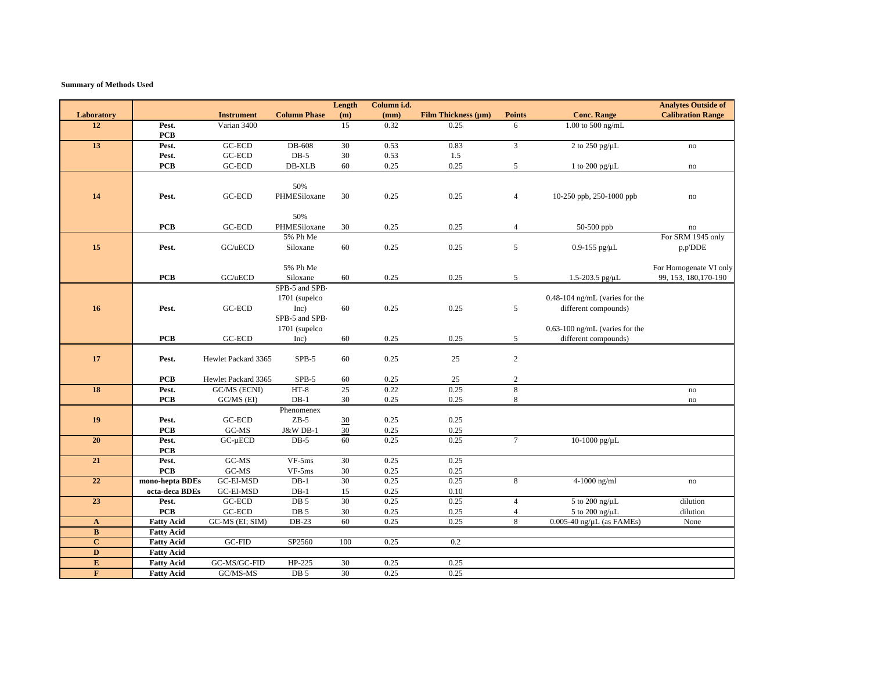|                         |                     |                                              |                      | Length          | Column i.d. |                     |                |                                    | <b>Analytes Outside of</b>     |
|-------------------------|---------------------|----------------------------------------------|----------------------|-----------------|-------------|---------------------|----------------|------------------------------------|--------------------------------|
| Laboratory              |                     | <b>Instrument</b>                            | <b>Column Phase</b>  | (m)             | (mm)        | Film Thickness (µm) | <b>Points</b>  | <b>Conc. Range</b>                 | <b>Calibration Range</b>       |
| 12                      | Pest.               | Varian 3400                                  |                      | $\overline{15}$ | 0.32        | 0.25                | 6              | 1.00 to 500 ng/mL                  |                                |
|                         | <b>PCB</b>          |                                              |                      |                 |             |                     |                |                                    |                                |
| 13                      | Pest.               | GC-ECD                                       | DB-608               | 30              | 0.53        | 0.83                | $\overline{3}$ | 2 to 250 pg/µL                     | $\mathbf{no}$                  |
|                         | Pest.               | GC-ECD                                       | $DB-5$               | 30              | 0.53        | 1.5                 |                |                                    |                                |
|                         | <b>PCB</b>          | $GC-ECD$                                     | DB-XLB               | 60              | 0.25        | 0.25                | 5              | 1 to 200 pg/ $\mu$ L               | no                             |
|                         |                     |                                              |                      |                 |             |                     |                |                                    |                                |
|                         |                     |                                              | 50%                  |                 |             |                     |                |                                    |                                |
| 14                      | Pest.               | GC-ECD                                       | PHMESiloxane         | 30              | 0.25        | 0.25                | $\overline{4}$ | 10-250 ppb, 250-1000 ppb           | no                             |
|                         |                     |                                              | 50%                  |                 |             |                     |                |                                    |                                |
|                         | <b>PCB</b>          | $GC-ECD$                                     | PHMESiloxane         | 30              | 0.25        | 0.25                | $\overline{4}$ | 50-500 ppb                         |                                |
|                         |                     |                                              | 5% Ph Me             |                 |             |                     |                |                                    | $\rm{no}$<br>For SRM 1945 only |
| 15                      | Pest.               | GC/uECD                                      | Siloxane             | 60              | 0.25        | 0.25                | 5              | $0.9 - 155$ pg/ $\mu$ L            | p,p'DDE                        |
|                         |                     |                                              |                      |                 |             |                     |                |                                    |                                |
|                         |                     |                                              | 5% Ph Me             |                 |             |                     |                |                                    | For Homogenate VI only         |
|                         | <b>PCB</b>          | GC/uECD                                      | Siloxane             | 60              | 0.25        | 0.25                | 5              | 1.5-203.5 $pg/µL$                  | 99, 153, 180, 170-190          |
|                         |                     |                                              | SPB-5 and SPB-       |                 |             |                     |                |                                    |                                |
|                         |                     |                                              | 1701 (supelco        |                 |             |                     |                | $0.48-104$ ng/mL (varies for the   |                                |
| 16                      | Pest.               | GC-ECD                                       | Inc)                 | 60              | 0.25        | 0.25                | 5              | different compounds)               |                                |
|                         |                     |                                              | SPB-5 and SPB-       |                 |             |                     |                |                                    |                                |
|                         |                     |                                              | 1701 (supelco        |                 |             |                     |                | $0.63 - 100$ ng/mL (varies for the |                                |
|                         | <b>PCB</b>          | GC-ECD                                       | Inc)                 | 60              | 0.25        | 0.25                | 5              | different compounds)               |                                |
|                         |                     |                                              |                      |                 |             |                     |                |                                    |                                |
| 17                      | Pest.               | Hewlet Packard 3365                          | $SPB-5$              | 60              | 0.25        | 25                  | $\sqrt{2}$     |                                    |                                |
|                         |                     |                                              |                      |                 |             |                     |                |                                    |                                |
|                         | <b>PCB</b>          | Hewlet Packard 3365                          | SPB-5                | 60              | 0.25        | 25                  | $\overline{c}$ |                                    |                                |
| 18                      | Pest.               | GC/MS (ECNI)                                 | $HT-8$               | 25              | 0.22        | 0.25                | $\,8\,$        |                                    | no                             |
|                         | <b>PCB</b>          | GC/MS (EI)                                   | $DB-1$               | 30              | 0.25        | 0.25                | 8              |                                    | no                             |
| 19                      |                     | GC-ECD                                       | Phenomenex<br>$ZB-5$ |                 | 0.25        | 0.25                |                |                                    |                                |
|                         | Pest.<br><b>PCB</b> | GC-MS                                        | J&W DB-1             | 30<br>30        | 0.25        | 0.25                |                |                                    |                                |
| 20                      | Pest.               | $GC$ - $\mu ECD$                             | $DB-5$               | 60              | 0.25        | 0.25                | $\tau$         | 10-1000 pg/uL                      |                                |
|                         | <b>PCB</b>          |                                              |                      |                 |             |                     |                |                                    |                                |
| 21                      | Pest.               | GC-MS                                        | $VF-5ms$             | 30              | 0.25        | 0.25                |                |                                    |                                |
|                         | <b>PCB</b>          | $GC-MS$                                      | $VF-5ms$             | $30\,$          | 0.25        | 0.25                |                |                                    |                                |
| $\overline{22}$         | mono-hepta BDEs     | <b>GC-EI-MSD</b>                             | $DB-1$               | 30              | 0.25        | 0.25                | 8              | 4-1000 ng/ml                       | no                             |
|                         | octa-deca BDEs      | GC-EI-MSD                                    | $DB-1$               | 15              | 0.25        | $0.10\,$            |                |                                    |                                |
| $\overline{23}$         | Pest.               | GC-ECD                                       | DB <sub>5</sub>      | 30              | 0.25        | 0.25                | $\overline{4}$ | 5 to 200 ng/ $\mu$ L               | dilution                       |
|                         | <b>PCB</b>          | $GC-ECD$                                     | DB <sub>5</sub>      | 30              | 0.25        | 0.25                | $\overline{4}$ | 5 to 200 ng/ $\mu$ L               | dilution                       |
| $\mathbf{A}$            | <b>Fatty Acid</b>   | GC-MS (EI; SIM)                              | $DB-23$              | 60              | 0.25        | 0.25                | 8              | $0.005-40$ ng/ $\mu$ L (as FAMEs)  | None                           |
| $\overline{\mathbf{B}}$ | <b>Fatty Acid</b>   |                                              |                      |                 |             |                     |                |                                    |                                |
| $\mathbf C$             | <b>Fatty Acid</b>   | $GC-FID$                                     | SP2560               | 100             | 0.25        | 0.2                 |                |                                    |                                |
| $\mathbf D$             | <b>Fatty Acid</b>   |                                              |                      |                 |             |                     |                |                                    |                                |
| $\mathbf{E}$            | <b>Fatty Acid</b>   | GC-MS/GC-FID                                 | HP-225               | 30              | 0.25        | 0.25                |                |                                    |                                |
| $\overline{\mathbf{F}}$ | <b>Fatty Acid</b>   | $\mathrm{GC}/\mathrm{MS}\text{-}\mathrm{MS}$ | DB <sub>5</sub>      | 30              | 0.25        | 0.25                |                |                                    |                                |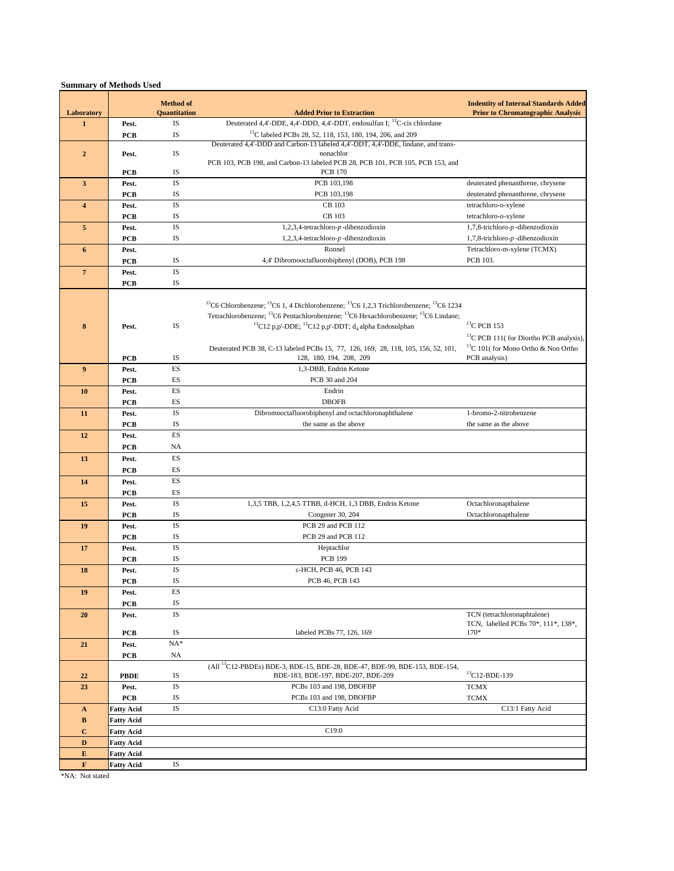|                            |                     | <b>Method of</b>   |                                                                                                                                       | <b>Indentity of Internal Standards Added</b><br><b>Prior to Chromatographic Analysis</b> |
|----------------------------|---------------------|--------------------|---------------------------------------------------------------------------------------------------------------------------------------|------------------------------------------------------------------------------------------|
| Laboratory<br>$\mathbf{1}$ |                     | Quantitation<br>IS | <b>Added Prior to Extraction</b><br>Deuterated 4,4'-DDE, 4,4'-DDD, 4,4'-DDT, endosulfan I; <sup>13</sup> C-cis chlordane              |                                                                                          |
|                            | Pest.               | IS                 | <sup>13</sup> C labeled PCBs 28, 52, 118, 153, 180, 194, 206, and 209                                                                 |                                                                                          |
|                            | <b>PCB</b>          |                    | Deuterated 4,4'-DDD and Carbon-13 labeled 4,4'-DDT, 4,4'-DDE, lindane, and trans-                                                     |                                                                                          |
| $\mathbf{2}$               | Pest.               | IS                 | nonachlor                                                                                                                             |                                                                                          |
|                            |                     |                    | PCB 103, PCB 198, and Carbon-13 labeled PCB 28, PCB 101, PCB 105, PCB 153, and                                                        |                                                                                          |
|                            | <b>PCB</b>          | IS                 | <b>PCB 170</b>                                                                                                                        |                                                                                          |
| $\overline{\mathbf{3}}$    | Pest.               | <b>IS</b>          | PCB 103,198                                                                                                                           | deuterated phenanthrene, chrysene                                                        |
|                            | <b>PCB</b>          | IS                 | PCB 103,198                                                                                                                           | deuterated phenanthrene, chrysene                                                        |
| $\overline{\mathbf{4}}$    | Pest.               | <b>IS</b>          | CB 103                                                                                                                                | tetrachloro-o-xylene                                                                     |
|                            | <b>PCB</b>          | IS                 | CB 103                                                                                                                                | tetrachloro-o-xylene                                                                     |
| 5                          | Pest.               | IS<br>IS           | 1,2,3,4-tetrachloro- $p$ -dibenzodioxin                                                                                               | 1,7,8-trichloro-p-dibenzodioxin                                                          |
|                            | <b>PCB</b><br>Pest. |                    | 1,2,3,4-tetrachloro- $p$ -dibenzodioxin<br>Ronnel                                                                                     | $1,7,8$ -trichloro- $p$ -dibenzodioxin<br>Tetrachloro-m-xylene (TCMX)                    |
| $\boldsymbol{6}$           | PCB                 | IS                 | 4,4' Dibromooctafluorobiphenyl (DOB), PCB 198                                                                                         | PCB 103.                                                                                 |
| $7\overline{ }$            | Pest.               | <b>IS</b>          |                                                                                                                                       |                                                                                          |
|                            | <b>PCB</b>          | IS                 |                                                                                                                                       |                                                                                          |
|                            |                     |                    |                                                                                                                                       |                                                                                          |
|                            |                     |                    | <sup>13</sup> C6 Chlorobenzene; <sup>13</sup> C6 1, 4 Dichlorobenzene; <sup>13</sup> C6 1,2,3 Trichlorobenzene; <sup>13</sup> C6 1234 |                                                                                          |
|                            |                     |                    | Tetrachlorobenzene; <sup>13</sup> C6 Pentachlorobenzene; <sup>13</sup> C6 Hexachlorobenzene; <sup>13</sup> C6 Lindane;                |                                                                                          |
| 8                          | Pest.               | IS                 | <sup>13</sup> C12 p,p'-DDE; <sup>13</sup> C12 p,p'-DDT; d <sub>4</sub> alpha Endosulphan                                              | ${}^{13}$ C PCB 153                                                                      |
|                            |                     |                    |                                                                                                                                       | <sup>13</sup> C PCB 111( for Diortho PCB analysis),                                      |
|                            |                     |                    | Deuterated PCB 38, C-13 labeled PCBs 15, 77, 126, 169, 28, 118, 105, 156, 52, 101,                                                    | <sup>13</sup> C 101( for Mono Ortho & Non Ortho                                          |
|                            | PCB                 | IS                 | 128, 180, 194, 208, 209                                                                                                               | PCB analysis)                                                                            |
| $\overline{9}$             | Pest.               | ES                 | 1,3-DBB, Endrin Ketone                                                                                                                |                                                                                          |
|                            | <b>PCB</b>          | ES                 | PCB 30 and 204                                                                                                                        |                                                                                          |
| 10                         | Pest.               | ES                 | Endrin                                                                                                                                |                                                                                          |
|                            | <b>PCB</b>          | ES                 | <b>DBOFB</b>                                                                                                                          |                                                                                          |
| 11                         | Pest.               | IS                 | Dibromooctafluorobiphenyl and octachloronaphthalene                                                                                   | 1-bromo-2-nitrobenzene                                                                   |
|                            | PCB                 | IS                 | the same as the above                                                                                                                 | the same as the above                                                                    |
| 12                         | Pest.               | ES                 |                                                                                                                                       |                                                                                          |
|                            | <b>PCB</b>          | NA                 |                                                                                                                                       |                                                                                          |
| 13                         | Pest.               | ES                 |                                                                                                                                       |                                                                                          |
|                            | PCB                 | ES                 |                                                                                                                                       |                                                                                          |
| 14                         | Pest.               | ES                 |                                                                                                                                       |                                                                                          |
|                            | <b>PCB</b>          | ES                 |                                                                                                                                       |                                                                                          |
| 15                         | Pest.               | IS                 | 1,3,5 TBB, 1,2,4,5 TTBB, d-HCH, 1,3 DBB, Endrin Ketone                                                                                | Octachloronapthalene                                                                     |
|                            | PCB                 | IS<br>IS           | Congener 30, 204<br>PCB 29 and PCB 112                                                                                                | Octachloronapthalene                                                                     |
| 19                         | Pest.               | IS                 | PCB 29 and PCB 112                                                                                                                    |                                                                                          |
| 17                         | <b>PCB</b><br>Pest. | <b>IS</b>          | Heptachlor                                                                                                                            |                                                                                          |
|                            | <b>PCB</b>          | IS                 | <b>PCB 199</b>                                                                                                                        |                                                                                          |
| 18                         | Pest.               | IS                 | ε-HCH, PCB 46, PCB 143                                                                                                                |                                                                                          |
|                            | <b>PCB</b>          | IS                 | PCB 46, PCB 143                                                                                                                       |                                                                                          |
| 19                         | Pest.               | ES                 |                                                                                                                                       |                                                                                          |
|                            | <b>PCB</b>          | IS                 |                                                                                                                                       |                                                                                          |
| 20                         | Pest.               | IS                 |                                                                                                                                       | TCN (tetrachloronaphtalene)                                                              |
|                            |                     |                    |                                                                                                                                       | TCN, labelled PCBs 70*, 111*, 138*,                                                      |
|                            | PCB                 | IS                 | labeled PCBs 77, 126, 169                                                                                                             | $170*$                                                                                   |
| 21                         | Pest.               | $NA*$              |                                                                                                                                       |                                                                                          |
|                            | PCB                 | NA                 |                                                                                                                                       |                                                                                          |
|                            |                     |                    | (All <sup>13</sup> C12-PBDEs) BDE-3, BDE-15, BDE-28, BDE-47, BDE-99, BDE-153, BDE-154,<br>BDE-183, BDE-197, BDE-207, BDE-209          | $^{13}$ C12-BDE-139                                                                      |
| 22<br>23                   | <b>PBDE</b>         | IS<br>IS           | PCBs 103 and 198, DBOFBP                                                                                                              | <b>TCMX</b>                                                                              |
|                            | Pest.<br><b>PCB</b> | IS                 | PCBs 103 and 198, DBOFBP                                                                                                              |                                                                                          |
| $\mathbf A$                | <b>Fatty Acid</b>   | IS                 | C13:0 Fatty Acid                                                                                                                      | <b>TCMX</b><br>C13:1 Fatty Acid                                                          |
| B                          | <b>Fatty Acid</b>   |                    |                                                                                                                                       |                                                                                          |
| $\bf C$                    | <b>Fatty Acid</b>   |                    | C19:0                                                                                                                                 |                                                                                          |
| $\mathbf D$                | <b>Fatty Acid</b>   |                    |                                                                                                                                       |                                                                                          |
| ${\bf E}$                  | <b>Fatty Acid</b>   |                    |                                                                                                                                       |                                                                                          |
| $\mathbf F$                | <b>Fatty Acid</b>   | IS                 |                                                                                                                                       |                                                                                          |
|                            |                     |                    |                                                                                                                                       |                                                                                          |

\*NA: Not stated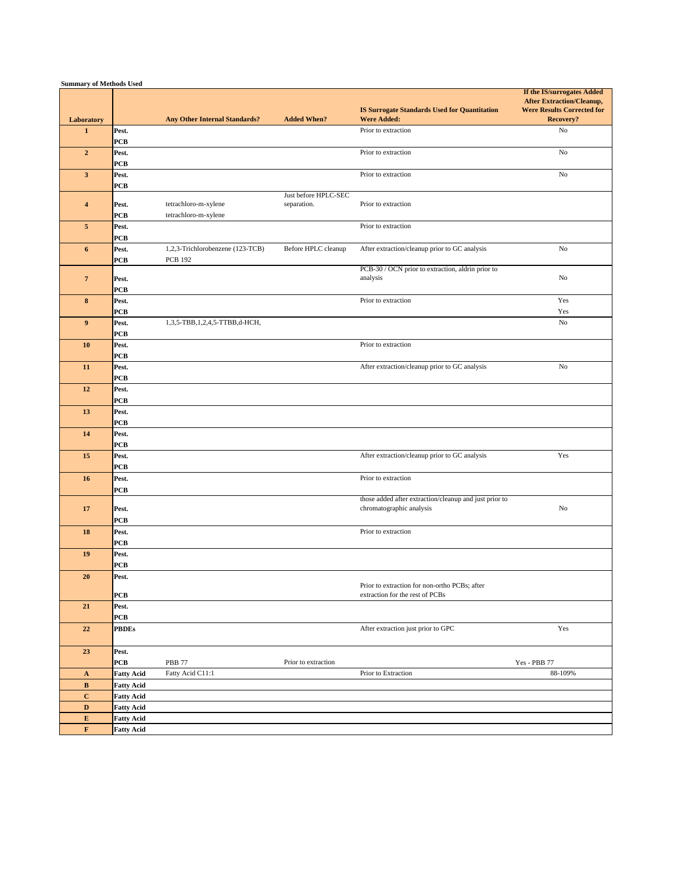| <b>Summary of Methods Used</b> |                                        |                                      |                                     |                                                                           |                                                                                                                  |
|--------------------------------|----------------------------------------|--------------------------------------|-------------------------------------|---------------------------------------------------------------------------|------------------------------------------------------------------------------------------------------------------|
| Laboratory                     |                                        | <b>Any Other Internal Standards?</b> | <b>Added When?</b>                  | <b>IS Surrogate Standards Used for Quantitation</b><br><b>Were Added:</b> | If the IS/surrogates Added<br><b>After Extraction/Cleanup,</b><br><b>Were Results Corrected for</b><br>Recovery? |
| $\mathbf{1}$                   | Pest.                                  |                                      |                                     | Prior to extraction                                                       | No                                                                                                               |
|                                | <b>PCB</b>                             |                                      |                                     |                                                                           |                                                                                                                  |
| $\overline{2}$                 | Pest.                                  |                                      |                                     | Prior to extraction                                                       | No                                                                                                               |
|                                | <b>PCB</b>                             |                                      |                                     |                                                                           |                                                                                                                  |
| $\mathbf{3}$                   | Pest.<br><b>PCB</b>                    |                                      |                                     | Prior to extraction                                                       | No                                                                                                               |
| $\overline{4}$                 | Pest.                                  | tetrachloro-m-xylene                 | Just before HPLC-SEC<br>separation. | Prior to extraction                                                       |                                                                                                                  |
|                                | <b>PCB</b>                             | tetrachloro-m-xylene                 |                                     |                                                                           |                                                                                                                  |
| $5\phantom{.0}$                | Pest.<br><b>PCB</b>                    |                                      |                                     | Prior to extraction                                                       |                                                                                                                  |
| 6                              | Pest.                                  | 1,2,3-Trichlorobenzene (123-TCB)     | Before HPLC cleanup                 | After extraction/cleanup prior to GC analysis                             | No                                                                                                               |
|                                | <b>PCB</b>                             | <b>PCB 192</b>                       |                                     |                                                                           |                                                                                                                  |
|                                |                                        |                                      |                                     | PCB-30 / OCN prior to extraction, aldrin prior to                         |                                                                                                                  |
| $7\phantom{.0}$                | Pest.                                  |                                      |                                     | analysis                                                                  | No                                                                                                               |
| 8                              | <b>PCB</b><br>Pest.                    |                                      |                                     | Prior to extraction                                                       | Yes                                                                                                              |
|                                | <b>PCB</b>                             |                                      |                                     |                                                                           | Yes                                                                                                              |
| $\overline{9}$                 | Pest.                                  | 1,3,5-TBB,1,2,4,5-TTBB,d-HCH,        |                                     |                                                                           | No                                                                                                               |
|                                | <b>PCB</b>                             |                                      |                                     |                                                                           |                                                                                                                  |
| 10                             | Pest.                                  |                                      |                                     | Prior to extraction                                                       |                                                                                                                  |
|                                | <b>PCB</b>                             |                                      |                                     |                                                                           |                                                                                                                  |
| 11                             | Pest.                                  |                                      |                                     | After extraction/cleanup prior to GC analysis                             | No                                                                                                               |
|                                | <b>PCB</b>                             |                                      |                                     |                                                                           |                                                                                                                  |
| 12                             | Pest.<br><b>PCB</b>                    |                                      |                                     |                                                                           |                                                                                                                  |
| 13                             | Pest.                                  |                                      |                                     |                                                                           |                                                                                                                  |
|                                | <b>PCB</b>                             |                                      |                                     |                                                                           |                                                                                                                  |
| 14                             | Pest.                                  |                                      |                                     |                                                                           |                                                                                                                  |
|                                | PCB                                    |                                      |                                     |                                                                           |                                                                                                                  |
| 15                             | Pest.                                  |                                      |                                     | After extraction/cleanup prior to GC analysis                             | Yes                                                                                                              |
|                                | PCB                                    |                                      |                                     | Prior to extraction                                                       |                                                                                                                  |
| 16                             | Pest.<br><b>PCB</b>                    |                                      |                                     |                                                                           |                                                                                                                  |
|                                |                                        |                                      |                                     | those added after extraction/cleanup and just prior to                    |                                                                                                                  |
| 17                             | Pest.                                  |                                      |                                     | chromatographic analysis                                                  | No                                                                                                               |
|                                | <b>PCB</b>                             |                                      |                                     |                                                                           |                                                                                                                  |
| 18                             | Pest.                                  |                                      |                                     | Prior to extraction                                                       |                                                                                                                  |
|                                | <b>PCB</b>                             |                                      |                                     |                                                                           |                                                                                                                  |
| 19                             | Pest.<br><b>PCB</b>                    |                                      |                                     |                                                                           |                                                                                                                  |
| 20                             | Pest.                                  |                                      |                                     |                                                                           |                                                                                                                  |
|                                |                                        |                                      |                                     | Prior to extraction for non-ortho PCBs; after                             |                                                                                                                  |
|                                | <b>PCB</b>                             |                                      |                                     | extraction for the rest of PCBs                                           |                                                                                                                  |
| 21                             | Pest.<br>PCB                           |                                      |                                     |                                                                           |                                                                                                                  |
| 22                             | <b>PBDEs</b>                           |                                      |                                     | After extraction just prior to GPC                                        | Yes                                                                                                              |
| 23                             | Pest.                                  |                                      |                                     |                                                                           |                                                                                                                  |
|                                | <b>PCB</b>                             | <b>PBB 77</b>                        | Prior to extraction                 |                                                                           | Yes - PBB 77                                                                                                     |
| $\mathbf A$                    | <b>Fatty Acid</b>                      | Fatty Acid C11:1                     |                                     | Prior to Extraction                                                       | 88-109%                                                                                                          |
| $\, {\bf B}$                   | <b>Fatty Acid</b>                      |                                      |                                     |                                                                           |                                                                                                                  |
| $\mathbf C$                    | <b>Fatty Acid</b>                      |                                      |                                     |                                                                           |                                                                                                                  |
| $\mathbf D$<br>${\bf E}$       | <b>Fatty Acid</b>                      |                                      |                                     |                                                                           |                                                                                                                  |
| $\mathbf F$                    | <b>Fatty Acid</b><br><b>Fatty Acid</b> |                                      |                                     |                                                                           |                                                                                                                  |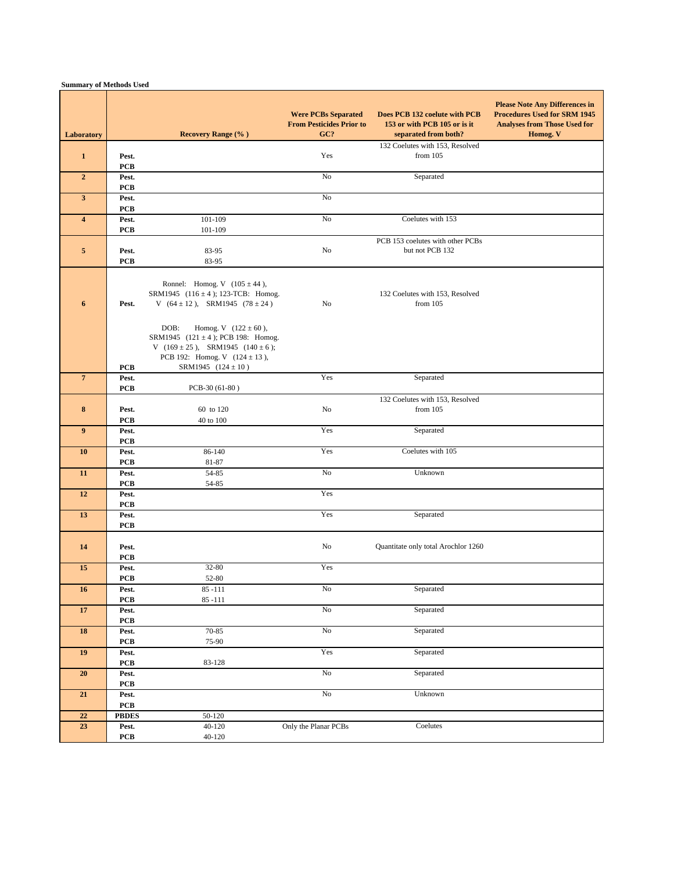| Laboratory              |                      | <b>Recovery Range (%)</b>                                                                                                                                                             | <b>Were PCBs Separated</b><br><b>From Pesticides Prior to</b><br>GC? | Does PCB 132 coelute with PCB<br>153 or with PCB 105 or is it<br>separated from both? | <b>Please Note Any Differences in</b><br><b>Procedures Used for SRM 1945</b><br><b>Analyses from Those Used for</b><br>Homog. V |
|-------------------------|----------------------|---------------------------------------------------------------------------------------------------------------------------------------------------------------------------------------|----------------------------------------------------------------------|---------------------------------------------------------------------------------------|---------------------------------------------------------------------------------------------------------------------------------|
| $\mathbf{1}$            | Pest.<br><b>PCB</b>  |                                                                                                                                                                                       | Yes                                                                  | 132 Coelutes with 153, Resolved<br>from $105$                                         |                                                                                                                                 |
| $\overline{2}$          | Pest.<br><b>PCB</b>  |                                                                                                                                                                                       | No                                                                   | Separated                                                                             |                                                                                                                                 |
| $\mathbf{3}$            | Pest.<br><b>PCB</b>  |                                                                                                                                                                                       | No                                                                   |                                                                                       |                                                                                                                                 |
| $\overline{\mathbf{4}}$ | Pest.<br><b>PCB</b>  | 101-109<br>101-109                                                                                                                                                                    | $\rm No$                                                             | Coelutes with 153                                                                     |                                                                                                                                 |
| $\sqrt{5}$              | Pest.<br><b>PCB</b>  | 83-95<br>83-95                                                                                                                                                                        | No                                                                   | PCB 153 coelutes with other PCBs<br>but not PCB 132                                   |                                                                                                                                 |
| 6                       | Pest.                | Ronnel: Homog. V $(105 \pm 44)$ ,<br>SRM1945 $(116 \pm 4)$ ; 123-TCB: Homog.<br>V $(64 \pm 12)$ , SRM1945 $(78 \pm 24)$                                                               | No                                                                   | 132 Coelutes with 153, Resolved<br>from $105$                                         |                                                                                                                                 |
|                         | <b>PCB</b>           | DOB:<br>Homog. V $(122 \pm 60)$ ,<br>SRM1945 (121 ± 4); PCB 198: Homog.<br>V $(169 \pm 25)$ , SRM1945 $(140 \pm 6)$ ;<br>PCB 192: Homog. V $(124 \pm 13)$ ,<br>SRM1945 $(124 \pm 10)$ |                                                                      |                                                                                       |                                                                                                                                 |
| $\overline{7}$          | Pest.<br><b>PCB</b>  | PCB-30 (61-80)                                                                                                                                                                        | Yes                                                                  | Separated                                                                             |                                                                                                                                 |
| $8\phantom{1}$          | Pest.<br><b>PCB</b>  | 60 to 120<br>40 to 100                                                                                                                                                                | No                                                                   | 132 Coelutes with 153, Resolved<br>from $105$                                         |                                                                                                                                 |
| 9                       | Pest.<br><b>PCB</b>  |                                                                                                                                                                                       | Yes                                                                  | Separated                                                                             |                                                                                                                                 |
| 10                      | Pest.<br><b>PCB</b>  | 86-140<br>81-87                                                                                                                                                                       | Yes                                                                  | Coelutes with 105                                                                     |                                                                                                                                 |
| 11                      | Pest.<br><b>PCB</b>  | 54-85<br>54-85                                                                                                                                                                        | No                                                                   | Unknown                                                                               |                                                                                                                                 |
| 12                      | Pest.<br><b>PCB</b>  |                                                                                                                                                                                       | Yes                                                                  |                                                                                       |                                                                                                                                 |
| 13                      | Pest.<br><b>PCB</b>  |                                                                                                                                                                                       | Yes                                                                  | Separated                                                                             |                                                                                                                                 |
| 14                      | Pest.<br><b>PCB</b>  |                                                                                                                                                                                       | No                                                                   | Quantitate only total Arochlor 1260                                                   |                                                                                                                                 |
| 15                      | Pest.<br><b>PCB</b>  | 32-80<br>52-80                                                                                                                                                                        | Yes                                                                  |                                                                                       |                                                                                                                                 |
| 16                      | Pest.<br>${\bf PCB}$ | $85 - 111$<br>$85 - 111$                                                                                                                                                              | No                                                                   | Separated                                                                             |                                                                                                                                 |
| 17                      | Pest.<br><b>PCB</b>  |                                                                                                                                                                                       | N <sub>0</sub>                                                       | Separated                                                                             |                                                                                                                                 |
| 18                      | Pest.<br>PCB         | 70-85<br>75-90                                                                                                                                                                        | $\rm No$                                                             | Separated                                                                             |                                                                                                                                 |
| 19                      | Pest.<br>PCB         | 83-128                                                                                                                                                                                | Yes                                                                  | Separated                                                                             |                                                                                                                                 |
| $20\,$                  | Pest.<br>PCB         |                                                                                                                                                                                       | N <sub>0</sub>                                                       | Separated                                                                             |                                                                                                                                 |
| 21                      | Pest.<br>${\bf PCB}$ |                                                                                                                                                                                       | No                                                                   | Unknown                                                                               |                                                                                                                                 |
| $\bf 22$                | <b>PBDES</b>         | 50-120                                                                                                                                                                                |                                                                      |                                                                                       |                                                                                                                                 |
| $23\,$                  | Pest.<br>PCB         | $40-120$<br>$40 - 120$                                                                                                                                                                | Only the Planar PCBs                                                 | Coelutes                                                                              |                                                                                                                                 |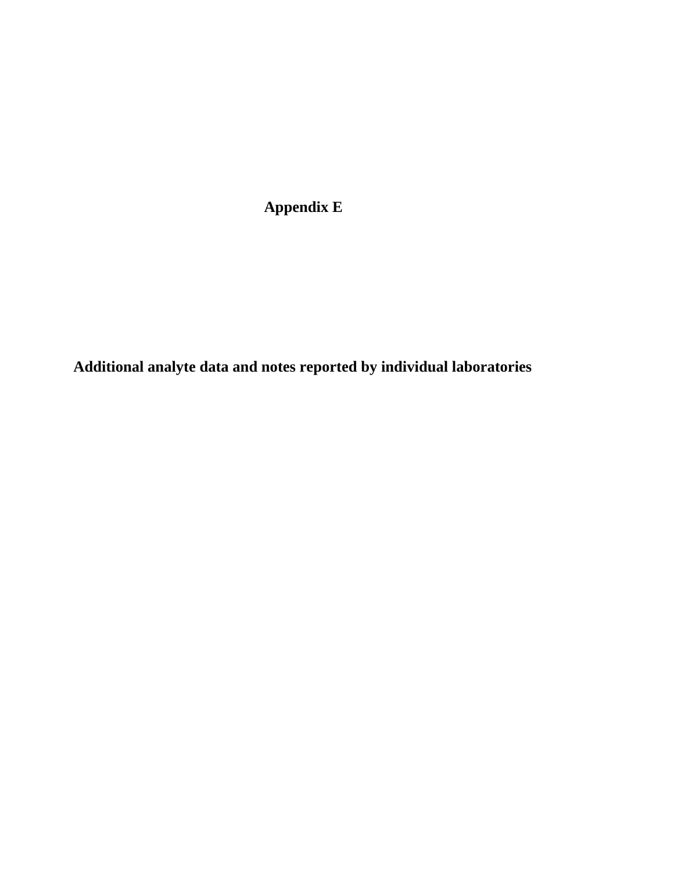**Appendix E**

**Additional analyte data and notes reported by individual laboratories**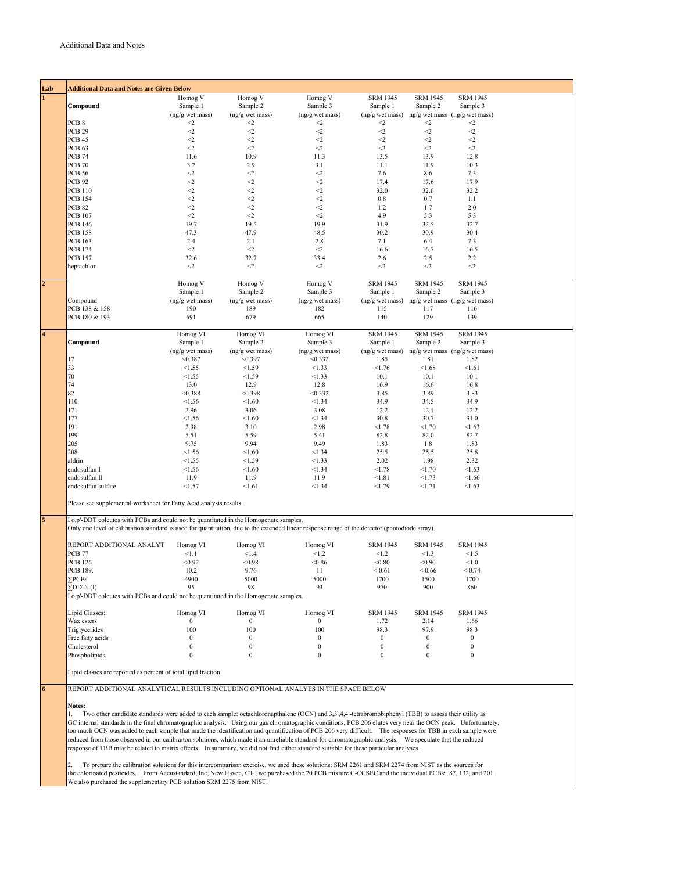| Lab                     | <b>Additional Data and Notes are Given Below</b>                                                                                               |                  |                  |                  |                  |                  |                                   |
|-------------------------|------------------------------------------------------------------------------------------------------------------------------------------------|------------------|------------------|------------------|------------------|------------------|-----------------------------------|
|                         |                                                                                                                                                | Homog V          | Homog V          | Homog V          | <b>SRM 1945</b>  | <b>SRM 1945</b>  | <b>SRM 1945</b>                   |
|                         | Compound                                                                                                                                       | Sample 1         | Sample 2         | Sample 3         | Sample 1         | Sample 2         | Sample 3                          |
|                         |                                                                                                                                                | (ng/g wet mass)  | (ng/g wet mass)  | (ng/g wet mass)  | (ng/g wet mass)  |                  | ng/g wet mass (ng/g wet mass)     |
|                         | PCB <sub>8</sub>                                                                                                                               | $<\!\!2$         | $\triangleleft$  | $\leq$           | $\leq$           | $\leq$           | $\leq$                            |
|                         | <b>PCB 29</b>                                                                                                                                  | $\leq$           | $<$ 2            | $\leq$           | $<$ 2            | $<\!\!2$         | $<\!\!2$                          |
|                         | PCB 45                                                                                                                                         | $<\!\!2$         | $\leq$           | $\leq$           | $<$ 2            | $<\!\!2$         | $\leq$                            |
|                         | PCB <sub>63</sub>                                                                                                                              | $<\!\!2$         | $<$ 2            | $\leq$           | $<\!\!2$         | $<\!\!2$         | $\leq$                            |
|                         | <b>PCB 74</b>                                                                                                                                  | 11.6             | 10.9             | 11.3             | 13.5             | 13.9             | 12.8                              |
|                         | <b>PCB 70</b>                                                                                                                                  | 3.2              | 2.9              | 3.1              | 11.1             | 11.9             | 10.3                              |
|                         | <b>PCB 56</b>                                                                                                                                  | $\leq$           | $<\!\!2$         | $\leq$           | 7.6              | 8.6              | 7.3                               |
|                         | <b>PCB 92</b>                                                                                                                                  | $\mathord{<}2$   | $<$ 2            | $\mathord{<}2$   | 17.4             | 17.6             | 17.9                              |
|                         | <b>PCB 110</b>                                                                                                                                 | $<\!\!2$         | $<$ 2            | $\leq$           | 32.0             | 32.6             | 32.2                              |
|                         | <b>PCB 154</b>                                                                                                                                 | $<\!\!2$         | $\leq$           | $\leq$           | $0.8\,$          | 0.7              | 1.1                               |
|                         | <b>PCB 82</b>                                                                                                                                  | $<\!\!2$         | $\leq$           | $\leq$           | 1.2              | 1.7              | 2.0                               |
|                         | <b>PCB 107</b>                                                                                                                                 | $<\!\!2$         | $\leq$           | $<\!\!2$         | 4.9              | 5.3              | 5.3                               |
|                         | <b>PCB 146</b>                                                                                                                                 | 19.7             | 19.5             | 19.9             | 31.9             | 32.5             | 32.7                              |
|                         | <b>PCB 158</b>                                                                                                                                 | 47.3             | 47.9             | 48.5             | 30.2             | 30.9             | 30.4                              |
|                         | <b>PCB 163</b>                                                                                                                                 | 2.4              | 2.1              | 2.8              | 7.1              | 6.4              | 7.3                               |
|                         | <b>PCB 174</b>                                                                                                                                 | $<$ $\!\!2$      | $<$ 2            | $<\!\!2$         | 16.6             | 16.7             | 16.5                              |
|                         | <b>PCB 157</b>                                                                                                                                 | 32.6             | 32.7             | 33.4             | 2.6              | 2.5              | 2.2                               |
|                         |                                                                                                                                                | $<$ $\!\!2$      | $<\!\!2$         | $<\!\!2$         |                  | $<\!\!2$         | $<\!\!2$                          |
|                         | heptachlor                                                                                                                                     |                  |                  |                  | $\leq$           |                  |                                   |
|                         |                                                                                                                                                | Homog V          | Homog V          | Homog V          | <b>SRM 1945</b>  | <b>SRM 1945</b>  | <b>SRM 1945</b>                   |
| $\overline{a}$          |                                                                                                                                                | Sample 1         |                  |                  | Sample 1         |                  |                                   |
|                         |                                                                                                                                                |                  | Sample 2         | Sample 3         |                  | Sample 2         | Sample 3                          |
|                         | Compound                                                                                                                                       | (ng/g wet mass)  | (ng/g wet mass)  | (ng/g wet mass)  | (ng/g wet mass)  |                  | ng/g wet mass (ng/g wet mass)     |
|                         | PCB 138 & 158                                                                                                                                  | 190              | 189              | 182              | 115              | 117              | 116                               |
|                         | PCB 180 & 193                                                                                                                                  | 691              | 679              | 665              | 140              | 129              | 139                               |
|                         |                                                                                                                                                |                  |                  |                  |                  |                  |                                   |
| $\overline{\mathbf{4}}$ |                                                                                                                                                | Homog VI         | Homog VI         | Homog VI         | <b>SRM 1945</b>  | <b>SRM 1945</b>  | <b>SRM 1945</b>                   |
|                         | Compound                                                                                                                                       | Sample 1         | Sample 2         | Sample 3         | Sample 1         | Sample 2         | Sample 3                          |
|                         |                                                                                                                                                | (ng/g wet mass)  | (ng/g wet mass)  | (ng/g wet mass)  | (ng/g wet mass)  |                  | $ng/g$ wet mass $(ng/g$ wet mass) |
|                         | 17                                                                                                                                             | < 0.387          | < 0.397          | < 0.332          | 1.85             | 1.81             | 1.82                              |
|                         | 33                                                                                                                                             | < 1.55           | < 1.59           | < 1.33           | < 1.76           | < 1.68           | < 1.61                            |
|                         | 70                                                                                                                                             | < 1.55           | < 1.59           | < 1.33           | 10.1             | 10.1             | 10.1                              |
|                         | 74                                                                                                                                             | 13.0             | 12.9             | 12.8             | 16.9             | 16.6             | 16.8                              |
|                         | 82                                                                                                                                             | < 0.388          | < 0.398          | < 0.332          | 3.85             | 3.89             | 3.83                              |
|                         | 110                                                                                                                                            | < 1.56           | < 1.60           | < 1.34           | 34.9             | 34.5             | 34.9                              |
|                         | 171                                                                                                                                            | 2.96             | 3.06             | 3.08             | 12.2             | 12.1             | 12.2                              |
|                         | 177                                                                                                                                            | < 1.56           | < 1.60           | < 1.34           | 30.8             | 30.7             | 31.0                              |
|                         | 191                                                                                                                                            | 2.98             | 3.10             | 2.98             | < 1.78           | < 1.70           | < 1.63                            |
|                         | 199                                                                                                                                            | 5.51             | 5.59             | 5.41             | 82.8             | 82.0             | 82.7                              |
|                         | 205                                                                                                                                            | 9.75             | 9.94             | 9.49             |                  |                  |                                   |
|                         |                                                                                                                                                |                  |                  |                  | 1.83             | 1.8              | 1.83                              |
|                         | 208                                                                                                                                            | < 1.56           | < 1.60           | < 1.34           | 25.5             | 25.5             | 25.8                              |
|                         | aldrin                                                                                                                                         | < 1.55           | < 1.59           | < 1.33           | 2.02             | 1.98             | 2.32                              |
|                         | endosulfan I                                                                                                                                   | < 1.56           | < 1.60           | < 1.34           | < 1.78           | < 1.70           | < 1.63                            |
|                         | endosulfan II                                                                                                                                  | 11.9             | 11.9             | 11.9             | < 1.81           | < 1.73           | < 1.66                            |
|                         | endosulfan sulfate                                                                                                                             | < 1.57           | < 1.61           | < 1.34           | < 1.79           | <1.71            | < 1.63                            |
|                         |                                                                                                                                                |                  |                  |                  |                  |                  |                                   |
|                         | Please see supplemental worksheet for Fatty Acid analysis results.                                                                             |                  |                  |                  |                  |                  |                                   |
|                         |                                                                                                                                                |                  |                  |                  |                  |                  |                                   |
|                         | I 0,p'-DDT coleutes with PCBs and could not be quantitated in the Homogenate samples.                                                          |                  |                  |                  |                  |                  |                                   |
|                         | Only one level of calibration standard is used for quantitation, due to the extended linear response range of the detector (photodiode array). |                  |                  |                  |                  |                  |                                   |
|                         |                                                                                                                                                |                  |                  |                  |                  |                  |                                   |
|                         | REPORT ADDITIONAL ANALYT                                                                                                                       | Homog VI         | Homog VI         | Homog VI         | <b>SRM 1945</b>  | <b>SRM 1945</b>  | <b>SRM 1945</b>                   |
|                         | <b>PCB 77</b>                                                                                                                                  | < 1.1            | <1.4             | < 1.2            | < 1.2            | <1.3             | <1.5                              |
|                         | <b>PCB 126</b>                                                                                                                                 | < 0.92           | < 0.98           | < 0.86           | < 0.80           | < 0.90           | < 1.0                             |
|                         | PCB 189:                                                                                                                                       | 10.2             | 9.76             | 11               | ${}_{0.61}$      | 0.66             | < 0.74                            |
|                         | $\Sigma$ PCBs                                                                                                                                  | 4900             | 5000             | 5000             | 1700             | 1500             | 1700                              |
|                         | $\Sigma$ DDTs $(I)$                                                                                                                            | 95               | 98               | 93               | 970              | 900              | 860                               |
|                         | I o,p'-DDT coleutes with PCBs and could not be quantitated in the Homogenate samples.                                                          |                  |                  |                  |                  |                  |                                   |
|                         |                                                                                                                                                |                  |                  |                  |                  |                  |                                   |
|                         | Lipid Classes:                                                                                                                                 | Homog VI         | Homog VI         | Homog VI         | <b>SRM 1945</b>  | <b>SRM 1945</b>  | <b>SRM 1945</b>                   |
|                         | Wax esters                                                                                                                                     | $\boldsymbol{0}$ | $\bf{0}$         | $\mathbf{0}$     | 1.72             | 2.14             | 1.66                              |
|                         | Triglycerides                                                                                                                                  | 100              | 100              | 100              | 98.3             | 97.9             | 98.3                              |
|                         | Free fatty acids                                                                                                                               | $\boldsymbol{0}$ | $\bf{0}$         | $\bf{0}$         | $\bf{0}$         | $\boldsymbol{0}$ | $\bf{0}$                          |
|                         | Cholesterol                                                                                                                                    | $\boldsymbol{0}$ | $\boldsymbol{0}$ | $\boldsymbol{0}$ | $\boldsymbol{0}$ | $\boldsymbol{0}$ | $\boldsymbol{0}$                  |
|                         | Phospholipids                                                                                                                                  | $\boldsymbol{0}$ | $\boldsymbol{0}$ | $\boldsymbol{0}$ | $\mathbf{0}$     | $\boldsymbol{0}$ | $\boldsymbol{0}$                  |
|                         |                                                                                                                                                |                  |                  |                  |                  |                  |                                   |
|                         | Lipid classes are reported as percent of total lipid fraction.                                                                                 |                  |                  |                  |                  |                  |                                   |
|                         |                                                                                                                                                |                  |                  |                  |                  |                  |                                   |
| 6                       | REPORT ADDITIONAL ANALYTICAL RESULTS INCLUDING OPTIONAL ANALYES IN THE SPACE BELOW                                                             |                  |                  |                  |                  |                  |                                   |
|                         |                                                                                                                                                |                  |                  |                  |                  |                  |                                   |

**Notes:**

1. Two other candidate standards were added to each sample: octachloronapthalene (OCN) and 3,3',4,4'-tetrabromobiphenyl (TBB) to assess their utility as GC internal standards in the final chromatographic analysis. Using our gas chromatographic conditions, PCB 206 elutes very near the OCN peak. Unfortunately, too much OCN was added to each sample that made the identification and quantification of PCB 206 very difficult. The responses for TBB in each sample were reduced from those observed in our calibraiton solutions, which made it an unreliable standard for chromatographic analysis. We speculate that the reduced response of TBB may be related to matrix effects. In summary, we did not find either standard suitable for these particular analyses.

2. To prepare the calibration solutions for this intercomparison exercise, we used these solutions: SRM 2261 and SRM 2274 from NIST as the sources for<br>the chlorinated pesticides. From Accustandard, Inc, New Haven, CT., we We also purchased the supplementary PCB solution SRM 2275 from NIST.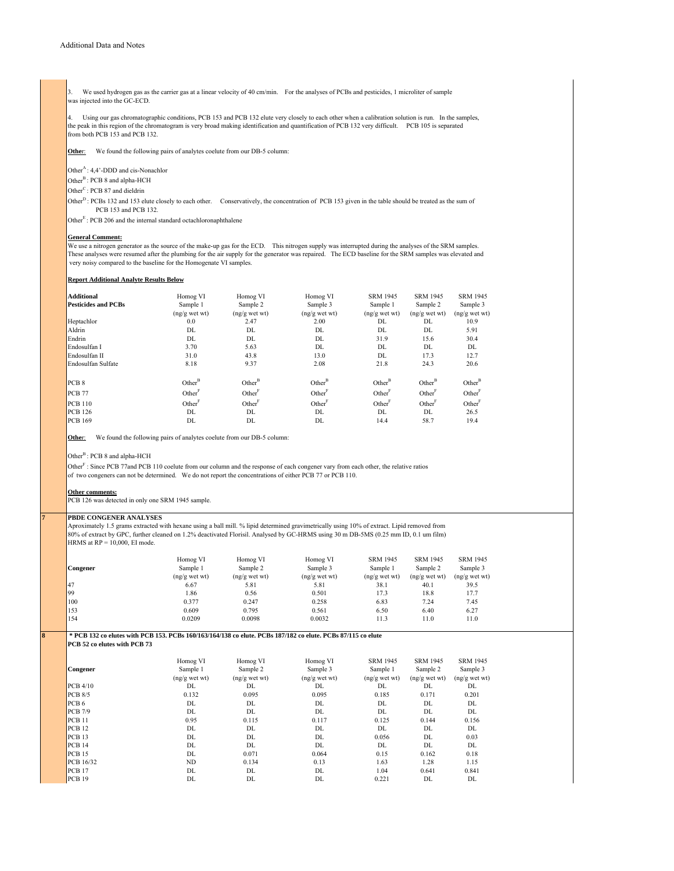3. We used hydrogen gas as the carrier gas at a linear velocity of 40 cm/min. For the analyses of PCBs and pesticides, 1 microliter of sample was injected into the GC-ECD.

4. Using our gas chromatographic conditions, PCB 153 and PCB 132 elute very closely to each other when a calibration solution is run. In the samples, the peak in this region of the chromatogram is very broad making identification and quantification of PCB 132 very difficult. PCB 105 is separated from both PCB 153 and PCB 132.

**Other:** We found the following pairs of analytes coelute from our DB-5 column:

Other $A$ : 4,4'-DDD and cis-Nonachlor

Other<sup>B</sup>: PCB 8 and alpha-HCH

Other<sup>C</sup>: PCB 87 and dieldrin

Other<sup>D</sup>: PCBs 132 and 153 elute closely to each other. Conservatively, the concentration of PCB 153 given in the table should be treated as the sum of PCB 153 and PCB 132.

Other<sup>E</sup>: PCB 206 and the internal standard octachloronaphthalene

#### **General Comment:**

We use a nitrogen generator as the source of the make-up gas for the ECD. This nitrogen supply was interrupted during the analyses of the SRM samples. These analyses were resumed after the plumbing for the air supply for the generator was repaired. The ECD baseline for the SRM samples was elevated and very noisy compared to the baseline for the Homogenate VI samples.

#### **Report Additional Analyte Results Below**

| <b>Additional</b>          | Homog VI           | Homog VI           | Homog VI           | <b>SRM 1945</b>    | <b>SRM 1945</b>    | <b>SRM 1945</b>    |
|----------------------------|--------------------|--------------------|--------------------|--------------------|--------------------|--------------------|
| <b>Pesticides and PCBs</b> | Sample 1           | Sample 2           | Sample 3           | Sample 1           | Sample 2           | Sample 3           |
|                            | $(ng/g$ wet wt)    | $(ng/g$ wet wt)    | $(ng/g$ wet wt)    | $(ng/g$ wet wt)    | $(ng/g$ wet wt)    | $(ng/g$ wet wt)    |
| Heptachlor                 | 0.0                | 2.47               | 2.00               | DL                 | DL                 | 10.9               |
| Aldrin                     | DL                 | DL                 | DL                 | DL                 | DL                 | 5.91               |
| Endrin                     | DL                 | DL                 | DL                 | 31.9               | 15.6               | 30.4               |
| Endosulfan I               | 3.70               | 5.63               | DL                 | DL                 | DL                 | DL                 |
| Endosulfan II              | 31.0               | 43.8               | 13.0               | DL                 | 17.3               | 12.7               |
| Endosulfan Sulfate         | 8.18               | 9.37               | 2.08               | 21.8               | 24.3               | 20.6               |
| PCB <sub>8</sub>           | $Other^B$          | $Other^B$          | $Other^B$          | $Other^B$          | Other <sup>B</sup> | Other <sup>B</sup> |
| <b>PCB</b> 77              | Other <sup>F</sup> | Other <sup>F</sup> | Other <sup>F</sup> | Other <sup>F</sup> | Other <sup>t</sup> | Other <sup>F</sup> |
| <b>PCB</b> 110             | Other <sup>t</sup> | Other <sup>F</sup> | Other <sup>F</sup> | Other <sup>F</sup> | Other <sup>t</sup> | Other <sup>F</sup> |
| <b>PCB</b> 126             | DL                 | DL                 | DL                 | DL                 | DL                 | 26.5               |
| <b>PCB 169</b>             | DL                 | DL                 | DL                 | 14.4               | 58.7               | 19.4               |

**Other:** We found the following pairs of analytes coelute from our DB-5 column:

Other<sup>B</sup>: PCB 8 and alpha-HCH

Other<sup>F</sup>: Since PCB 77and PCB 110 coelute from our column and the response of each congener vary from each other, the relative ratios of two congeners can not be determined. We do not report the concentrations of either PCB 77 or PCB 110.

### **Other comments:**

PCB 126 was detected in only one SRM 1945 sample.

#### **7 PBDE CONGENER ANALYSES**

Aproximately 1.5 grams extracted with hexane using a ball mill. % lipid determined gravimetrically using 10% of extract. Lipid removed from 80% of extract by GPC, further cleaned on 1.2% deactivated Florisil. Analysed by GC-HRMS using 30 m DB-5MS (0.25 mm ID, 0.1 um film) HRMS at  $RP = 10,000$ , EI mode.

| Congener  | Homog VI<br>Sample 1<br>$(ng/g$ wet wt | Homog VI<br>Sample 2<br>$(ng/g$ wet wt | Homog VI<br>Sample 3<br>$(ng/g$ wet wt) | <b>SRM 1945</b><br>Sample 1<br>$(ng/g$ wet wt) | <b>SRM 1945</b><br>Sample 2<br>$(ng/g$ wet wt | <b>SRM 1945</b><br>Sample 3<br>$(ng/g$ wet wt) |
|-----------|----------------------------------------|----------------------------------------|-----------------------------------------|------------------------------------------------|-----------------------------------------------|------------------------------------------------|
| <b>47</b> | 6.67                                   | 5.81                                   | 5.81                                    | 38.1                                           | 40.1                                          | 39.5                                           |
|           |                                        |                                        |                                         |                                                |                                               |                                                |
| 99        | 1.86                                   | 0.56                                   | 0.501                                   | 17.3                                           | 18.8                                          | 17.7                                           |
| 100       | 0.377                                  | 0.247                                  | 0.258                                   | 6.83                                           | 7.24                                          | 7.45                                           |
| 153       | 0.609                                  | 0.795                                  | 0.561                                   | 6.50                                           | 6.40                                          | 6.27                                           |
| 154       | 0.0209                                 | 0.0098                                 | 0.0032                                  | 11.3                                           | 11.0                                          | 11.0                                           |
|           |                                        |                                        |                                         |                                                |                                               |                                                |

**8 \* PCB 132 co elutes with PCB 153. PCBs 160/163/164/138 co elute. PCBs 187/182 co elute. PCBs 87/115 co elute**

**PCB 52 co elutes with PCB 73**

|                  |                |                 |                 | <b>SRM 1945</b> | <b>SRM 1945</b> | <b>SRM 1945</b> |
|------------------|----------------|-----------------|-----------------|-----------------|-----------------|-----------------|
|                  | Homog VI       | Homog VI        | Homog VI        |                 |                 |                 |
| <b>Congener</b>  | Sample 1       | Sample 2        | Sample 3        | Sample 1        | Sample 2        | Sample 3        |
|                  | $(ng/g$ wet wt | $(ng/g$ wet wt) | $(ng/g$ wet wt) | $(ng/g$ wet wt) | $(ng/g$ wet wt) | $(ng/g$ wet wt) |
| PCB4/10          | DL             | DL              | DL              | DL              | DL              | DL              |
| $PCB$ 8/5        | 0.132          | 0.095           | 0.095           | 0.185           | 0.171           | 0.201           |
| PCB <sub>6</sub> | DL             | DL              | DL              | DL              | DL              | DL              |
| $PCB$ 7/9        | DL             | DL              | DL              | DL              | DL              | DL              |
| PCB11            | 0.95           | 0.115           | 0.117           | 0.125           | 0.144           | 0.156           |
| PCB12            | DL             | DL              | DL              | DL              | DL              | DL              |
| PCB13            | DL             | DL              | DL              | 0.056           | DL              | 0.03            |
| PCB14            | DL             | DL              | DL              | DL              | DL              | DL              |
| PCB15            | DL             | 0.071           | 0.064           | 0.15            | 0.162           | 0.18            |
| PCB 16/32        | <b>ND</b>      | 0.134           | 0.13            | 1.63            | 1.28            | 1.15            |
| PCB17            | DL             | DL              | DL              | 1.04            | 0.641           | 0.841           |
| PCB19            | DL             | DL              | DL              | 0.221           | DL              | DL              |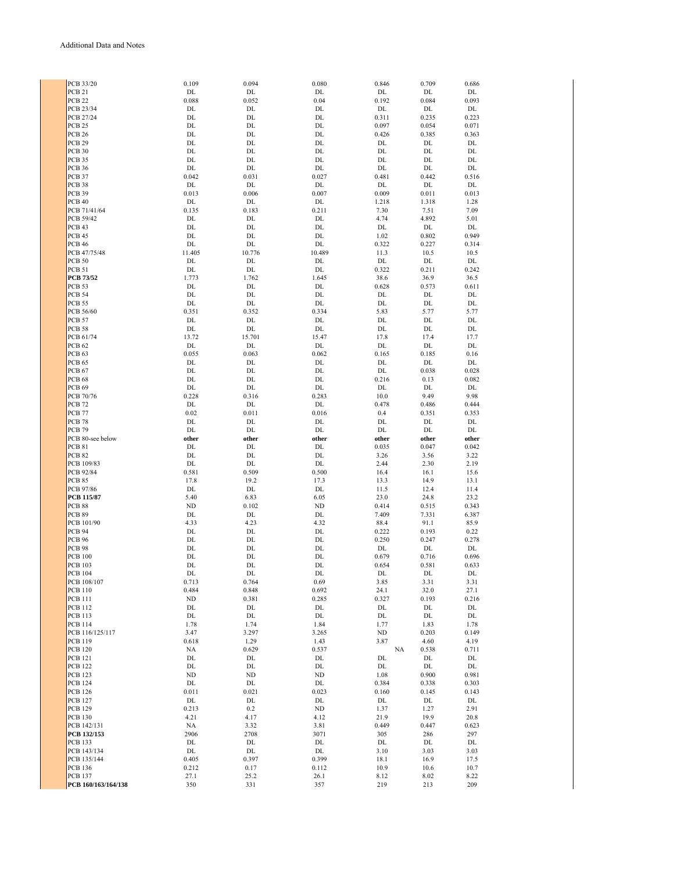| PCB 33/20                             | 0.109       | 0.094       | 0.080       | 0.846       | 0.709       | 0.686       |
|---------------------------------------|-------------|-------------|-------------|-------------|-------------|-------------|
| PCB <sub>21</sub>                     | DL          | DL          | DL          | DL          | DL          | DL.         |
|                                       |             |             |             |             |             |             |
| PCB <sub>22</sub>                     | 0.088       | 0.052       | 0.04        | 0.192       | 0.084       | 0.093       |
| PCB 23/34                             | DL          | DL          | DL          | DL          | DL          | DL          |
|                                       |             |             |             |             |             |             |
| PCB 27/24                             | DL          | DL          | DL          | 0.311       | 0.235       | 0.223       |
| PCB <sub>25</sub>                     | DL          | DL          | DL          | 0.097       | 0.054       | 0.071       |
|                                       |             | DL          | DL          |             |             |             |
| <b>PCB 26</b>                         | DL          |             |             | 0.426       | 0.385       | 0.363       |
| <b>PCB 29</b>                         | DL          | DL          | DL          | DL          | DL          | DL          |
| <b>PCB 30</b>                         | DL          | DL          | DL          | DL          | DL          | DL          |
|                                       |             |             |             |             |             |             |
| PCB 35                                | DL          | DL          | DL          | DL          | DL          | DL          |
| <b>PCB 36</b>                         | DL          | DL          | DL          | DL          | DL          | DL          |
|                                       |             |             |             |             |             |             |
| <b>PCB 37</b>                         | 0.042       | 0.031       | 0.027       | 0.481       | 0.442       | 0.516       |
| PCB 38                                | DL          | DL          | DL          | DL          | DL          | DL          |
| <b>PCB 39</b>                         | 0.013       | 0.006       | 0.007       | 0.009       | 0.011       | 0.013       |
|                                       |             |             |             |             |             |             |
| PCB <sub>40</sub>                     | DL          | DL          | DL          | 1.218       | 1.318       | 1.28        |
| PCB 71/41/64                          | 0.135       | 0.183       | 0.211       | 7.30        | 7.51        | 7.09        |
|                                       |             |             |             |             |             |             |
| PCB 59/42                             | DL          | DL          | DL          | 4.74        | 4.892       | 5.01        |
| PCB <sub>43</sub>                     | DL          | DL          | DL          | DL          | $\rm DL$    | DL          |
| <b>PCB 45</b>                         | DL          | DL          | DL          | 1.02        | 0.802       | 0.949       |
|                                       |             |             |             |             |             |             |
| <b>PCB 46</b>                         | DL          | DL          | DL          | 0.322       | 0.227       | 0.314       |
| PCB 47/75/48                          | 11.405      | 10.776      | 10.489      | 11.3        | 10.5        | 10.5        |
|                                       |             |             |             |             |             |             |
| <b>PCB 50</b>                         | DL          | DL          | DL          | DL          | DL          | DL          |
| <b>PCB 51</b>                         | DL          | DL          | DL          | 0.322       | 0.211       | 0.242       |
| <b>PCB 73/52</b>                      | 1.773       | 1.762       | 1.645       | 38.6        | 36.9        | 36.5        |
|                                       |             |             |             |             |             |             |
| <b>PCB 53</b>                         | DL          | DL          | DL          | 0.628       | 0.573       | 0.611       |
| <b>PCB 54</b>                         | DL          | DL          | DL          | DL          | DL          | DL          |
|                                       |             |             |             |             |             |             |
| <b>PCB 55</b>                         | DL          | DL          | DL          | DL          | DL          | DL          |
| PCB 56/60                             | 0.351       | 0.352       | 0.334       | 5.83        | 5.77        | 5.77        |
|                                       | DL          |             |             | DL          |             |             |
| <b>PCB 57</b>                         |             | DL          | DL          |             | DL          | DL          |
| <b>PCB 58</b>                         | DL          | DL          | DL          | DL          | DL          | DL          |
| PCB 61/74                             | 13.72       | 15.701      | 15.47       | 17.8        | 17.4        | 17.7        |
|                                       |             |             |             |             |             |             |
| PCB <sub>62</sub>                     | DL          | DL          | DL          | DL          | DL          | DL          |
| PCB <sub>63</sub>                     | 0.055       | 0.063       | 0.062       | 0.165       | 0.185       | 0.16        |
| <b>PCB 65</b>                         | DL          | DL          | DL          | DL          | DL          | DL          |
|                                       |             |             |             |             |             |             |
| PCB <sub>67</sub>                     | DL          | DL          | DL          | DL          | 0.038       | 0.028       |
| <b>PCB 68</b>                         | DL          | DL          | DL          | 0.216       | 0.13        | 0.082       |
|                                       |             |             |             |             |             |             |
| <b>PCB 69</b>                         | DL          | DL          | DL          | DL          | DL          | DL          |
| PCB 70/76                             | 0.228       | 0.316       | 0.283       | 10.0        | 9.49        | 9.98        |
| <b>PCB 72</b>                         | DL          | DL          | DL          | 0.478       | 0.486       | 0.444       |
|                                       |             |             |             |             |             |             |
| <b>PCB 77</b>                         | 0.02        | 0.011       | 0.016       | 0.4         | 0.351       | 0.353       |
| <b>PCB 78</b>                         | DL          | DL          | DL          | DL          | DL          | DL          |
|                                       |             |             |             |             |             |             |
| <b>PCB 79</b>                         | DL          | DL          | DL          | DL          | DL          | DL          |
|                                       |             |             |             |             |             |             |
|                                       | other       | other       | other       | other       | other       | other       |
| PCB 80-see below                      |             |             |             |             |             |             |
| <b>PCB 81</b>                         | DL          | DL          | DL          | 0.035       | 0.047       | 0.042       |
| <b>PCB 82</b>                         | DL          | DL          | DL          | 3.26        | 3.56        | 3.22        |
|                                       |             |             |             |             |             |             |
| PCB 109/83                            | DL          | DL          | DL          | 2.44        | 2.30        | 2.19        |
| PCB 92/84                             | 0.581       | 0.509       | 0.500       | 16.4        | 16.1        | 15.6        |
| <b>PCB 85</b>                         | 17.8        | 19.2        | 17.3        | 13.3        | 14.9        | 13.1        |
|                                       |             |             |             |             |             |             |
| PCB 97/86                             | DL          | DL          | DL          | 11.5        | 12.4        | 11.4        |
| <b>PCB 115/87</b>                     | 5.40        | 6.83        | 6.05        | 23.0        | 24.8        | 23.2        |
|                                       |             |             |             |             |             |             |
| PCB <sub>88</sub>                     | ND          | 0.102       | ND          | 0.414       | 0.515       | 0.343       |
| <b>PCB 89</b>                         | DL          | DL          | DL          | 7.409       | 7.331       | 6.387       |
| PCB 101/90                            | 4.33        | 4.23        | 4.32        | 88.4        | 91.1        | 85.9        |
|                                       |             |             |             |             |             |             |
| <b>PCB 94</b>                         | DL          | DL          | DL          | 0.222       | 0.193       | 0.22        |
| <b>PCB 96</b>                         | DL          | DL          | DL          | 0.250       | 0.247       | 0.278       |
| <b>PCB 98</b>                         | DL          | DL          | DL          | DL          | DL          | DL          |
|                                       |             |             |             |             |             |             |
| <b>PCB 100</b>                        | DL          | DL          | DL          | 0.679       | 0.716       | 0.696       |
| <b>PCB 103</b>                        | DL          | DL          | DL          | 0.654       | 0.581       | 0.633       |
| PCB 104                               | DL          | DL          | DL          | DL          | DL          | DL          |
|                                       |             |             |             |             |             |             |
| PCB 108/107                           | 0.713       | 0.764       | 0.69        | 3.85        | 3.31        | 3.31        |
| <b>PCB 110</b>                        | 0.484       | 0.848       | 0.692       | 24.1        | 32.0        | 27.1        |
| <b>PCB 111</b>                        | ND          | 0.381       | 0.285       | 0.327       | 0.193       | 0.216       |
|                                       |             |             |             |             |             |             |
| <b>PCB 112</b>                        | DL          | DL          | DL          | DL          | DL          | DL          |
| <b>PCB 113</b>                        | DL          | DL          | DL          | DL          | DL          | DL          |
| <b>PCB 114</b>                        | 1.78        | 1.74        | 1.84        | 1.77        | 1.83        | 1.78        |
|                                       |             |             |             |             |             |             |
| PCB 116/125/117                       | 3.47        | 3.297       | 3.265       | <b>ND</b>   | 0.203       | 0.149       |
| <b>PCB 119</b>                        | 0.618       | 1.29        | 1.43        | 3.87        | 4.60        | 4.19        |
|                                       |             |             |             |             |             |             |
| <b>PCB 120</b>                        | NA          | 0.629       | 0.537       | NA          | 0.538       | 0.711       |
| <b>PCB 121</b>                        | DL          | DL          | DL          | DL          | DL          | DL          |
| <b>PCB 122</b>                        | DL          | DL          | DL          | DL          | DL          | DL          |
|                                       |             |             |             |             |             |             |
| <b>PCB 123</b>                        | ND          | ND          | $\rm ND$    | 1.08        | 0.900       | 0.981       |
| <b>PCB 124</b>                        | DL          | DL          | DL          | 0.384       | 0.338       | 0.303       |
|                                       | 0.011       |             |             |             |             |             |
| <b>PCB 126</b>                        |             | 0.021       | 0.023       | 0.160       | 0.145       | 0.143       |
| <b>PCB 127</b>                        | DL          | DL          | DL          | DL          | DL          | DL          |
| <b>PCB 129</b>                        | 0.213       | 0.2         | ND          | 1.37        | 1.27        | 2.91        |
|                                       |             |             |             |             |             |             |
| <b>PCB 130</b>                        | 4.21        | 4.17        | 4.12        | 21.9        | 19.9        | 20.8        |
| PCB 142/131                           | NA          | 3.32        | 3.81        | 0.449       | 0.447       | 0.623       |
| PCB 132/153                           | 2906        | 2708        | 3071        | 305         | 286         | 297         |
|                                       |             |             |             |             |             |             |
| <b>PCB 133</b>                        | DL          | DL          | DL          | DL          | DL          | DL          |
| PCB 143/134                           | DL          | DL          | DL          | 3.10        | 3.03        | 3.03        |
| PCB 135/144                           | 0.405       | 0.397       | 0.399       | 18.1        | 16.9        | 17.5        |
|                                       |             |             |             |             |             |             |
| <b>PCB 136</b>                        | 0.212       | 0.17        | 0.112       | 10.9        | 10.6        | 10.7        |
| <b>PCB 137</b><br>PCB 160/163/164/138 | 27.1<br>350 | 25.2<br>331 | 26.1<br>357 | 8.12<br>219 | 8.02<br>213 | 8.22<br>209 |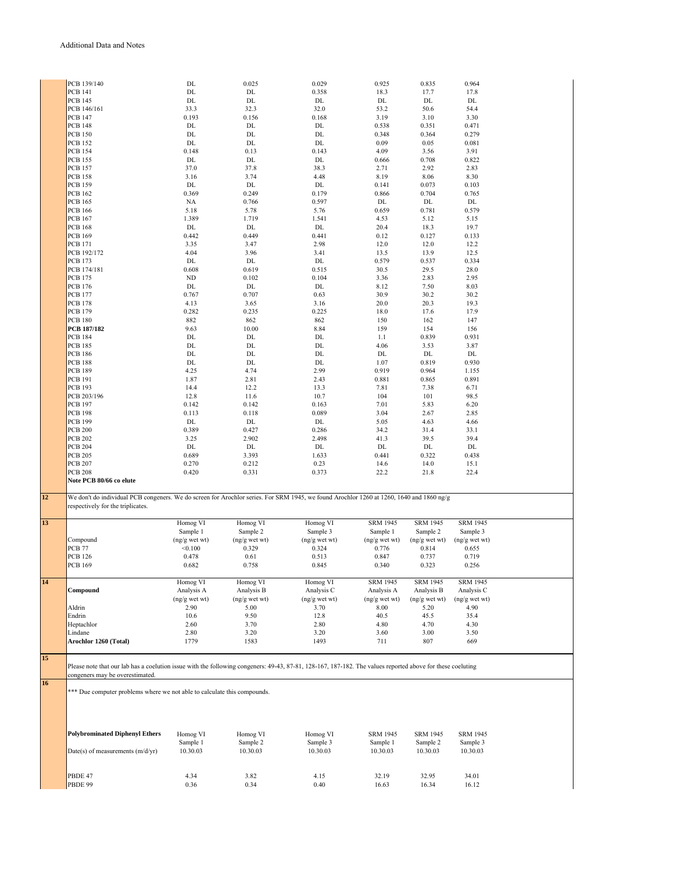|                            | PCB 139/140                                                                                                                                                | DL            | 0.025                      | 0.029           | 0.925           | 0.835              | 0.964              |
|----------------------------|------------------------------------------------------------------------------------------------------------------------------------------------------------|---------------|----------------------------|-----------------|-----------------|--------------------|--------------------|
|                            | <b>PCB 141</b>                                                                                                                                             | DL            | DL                         | 0.358           | 18.3            | 17.7               | 17.8               |
|                            | <b>PCB 145</b>                                                                                                                                             | DL            | DL                         | DL              | DL              | DL                 | DL                 |
|                            | PCB 146/161                                                                                                                                                | 33.3          | 32.3                       | 32.0            | 53.2            | 50.6               | 54.4               |
|                            | <b>PCB 147</b>                                                                                                                                             | 0.193         | 0.156                      | 0.168           | 3.19            | 3.10               | 3.30               |
|                            |                                                                                                                                                            |               |                            |                 |                 |                    |                    |
|                            | <b>PCB 148</b>                                                                                                                                             | DL            | DL                         | DL<br>DL        | 0.538           | 0.351              | 0.471              |
|                            | <b>PCB 150</b>                                                                                                                                             | DL            | DL                         |                 | 0.348           | 0.364              | 0.279              |
|                            | <b>PCB 152</b>                                                                                                                                             | DL            | DL                         | DL              | 0.09            | 0.05               | 0.081              |
|                            | <b>PCB 154</b>                                                                                                                                             | 0.148         | 0.13                       | 0.143           | 4.09            | 3.56               | 3.91               |
|                            | <b>PCB 155</b>                                                                                                                                             | DL            | DL                         | DL              | 0.666           | 0.708              | 0.822              |
|                            | <b>PCB 157</b>                                                                                                                                             | 37.0          | 37.8                       | 38.3            | 2.71            | 2.92               | 2.83               |
|                            | <b>PCB 158</b>                                                                                                                                             | 3.16          | 3.74                       | 4.48            | 8.19            | 8.06               | 8.30               |
|                            | <b>PCB 159</b>                                                                                                                                             | DL            | DL                         | DL              | 0.141           | 0.073              | 0.103              |
|                            | <b>PCB 162</b>                                                                                                                                             | 0.369         | 0.249                      | 0.179           | 0.866           | 0.704              | 0.765              |
|                            | <b>PCB 165</b>                                                                                                                                             | NA            | 0.766                      | 0.597           | DL              | DL                 | DL                 |
|                            | <b>PCB 166</b>                                                                                                                                             | 5.18          | 5.78                       | 5.76            | 0.659           | 0.781              | 0.579              |
|                            | <b>PCB 167</b>                                                                                                                                             | 1.389         | 1.719                      | 1.541           |                 | 5.12               |                    |
|                            |                                                                                                                                                            |               |                            |                 | 4.53            |                    | 5.15               |
|                            | <b>PCB 168</b>                                                                                                                                             | DL            | $\mathop{\rm DL}\nolimits$ | DL              | 20.4            | 18.3               | 19.7               |
|                            | <b>PCB 169</b>                                                                                                                                             | 0.442         | 0.449                      | 0.441           | 0.12            | 0.127              | 0.133              |
|                            | <b>PCB 171</b>                                                                                                                                             | 3.35          | 3.47                       | 2.98            | 12.0            | 12.0               | 12.2               |
|                            | PCB 192/172                                                                                                                                                | 4.04          | 3.96                       | 3.41            | 13.5            | 13.9               | 12.5               |
|                            | <b>PCB 173</b>                                                                                                                                             | DL            | DL                         | DL              | 0.579           | 0.537              | 0.334              |
|                            | PCB 174/181                                                                                                                                                | 0.608         | 0.619                      | 0.515           | 30.5            | 29.5               | 28.0               |
|                            | <b>PCB 175</b>                                                                                                                                             | $\rm ND$      | 0.102                      | 0.104           | 3.36            | 2.83               | 2.95               |
|                            | <b>PCB 176</b>                                                                                                                                             | DL            | DL                         | DL              | 8.12            | 7.50               | 8.03               |
|                            | <b>PCB 177</b>                                                                                                                                             | 0.767         | 0.707                      | 0.63            | 30.9            | 30.2               | 30.2               |
|                            | <b>PCB 178</b>                                                                                                                                             | 4.13          | 3.65                       | 3.16            | 20.0            | 20.3               | 19.3               |
|                            |                                                                                                                                                            | 0.282         |                            | 0.225           |                 |                    | 17.9               |
|                            | <b>PCB 179</b>                                                                                                                                             |               | 0.235                      |                 | 18.0            | 17.6               |                    |
|                            | <b>PCB 180</b>                                                                                                                                             | 882           | 862                        | 862             | 150             | 162                | 147                |
|                            | <b>PCB 187/182</b>                                                                                                                                         | 9.63          | 10.00                      | 8.84            | 159             | 154                | 156                |
|                            | <b>PCB 184</b>                                                                                                                                             | DL            | DL                         | DL              | 1.1             | 0.839              | 0.931              |
|                            | <b>PCB 185</b>                                                                                                                                             | DL            | $\rm DL$                   | DL              | 4.06            | 3.53               | 3.87               |
|                            | <b>PCB 186</b>                                                                                                                                             | DL            | DL                         | DL              | DL              | DL                 | DL                 |
|                            | <b>PCB 188</b>                                                                                                                                             | DL            | $\rm DL$                   | DL              | 1.07            | 0.819              | 0.930              |
|                            | <b>PCB 189</b>                                                                                                                                             | 4.25          | 4.74                       | 2.99            | 0.919           | 0.964              | 1.155              |
|                            | <b>PCB 191</b>                                                                                                                                             | 1.87          | 2.81                       | 2.43            | 0.881           | 0.865              | 0.891              |
|                            | <b>PCB 193</b>                                                                                                                                             | 14.4          | 12.2                       | 13.3            | 7.81            | 7.38               | 6.71               |
|                            | PCB 203/196                                                                                                                                                | 12.8          | 11.6                       | 10.7            | 104             | 101                | 98.5               |
|                            | <b>PCB 197</b>                                                                                                                                             | 0.142         | 0.142                      | 0.163           | 7.01            | 5.83               | 6.20               |
|                            | <b>PCB 198</b>                                                                                                                                             |               |                            |                 |                 |                    |                    |
|                            |                                                                                                                                                            | 0.113         | 0.118                      | 0.089           | 3.04            | 2.67               | 2.85               |
|                            | <b>PCB 199</b>                                                                                                                                             | DL            | DL                         | DL              | 5.05            | 4.63               | 4.66               |
|                            |                                                                                                                                                            |               |                            |                 |                 |                    |                    |
|                            | <b>PCB 200</b>                                                                                                                                             | 0.389         | 0.427                      | 0.286           | 34.2            | 31.4               | 33.1               |
|                            | <b>PCB 202</b>                                                                                                                                             | 3.25          | 2.902                      | 2.498           | 41.3            | 39.5               | 39.4               |
|                            | <b>PCB 204</b>                                                                                                                                             | DL            | DL                         | DL              | $\rm DL$        | DL                 | DL                 |
|                            | <b>PCB 205</b>                                                                                                                                             | 0.689         | 3.393                      | 1.633           | 0.441           | 0.322              | 0.438              |
|                            |                                                                                                                                                            |               |                            |                 |                 |                    |                    |
|                            | <b>PCB 207</b>                                                                                                                                             | 0.270         | 0.212                      | 0.23            | 14.6            | 14.0               | 15.1               |
|                            | <b>PCB 208</b>                                                                                                                                             | 0.420         | 0.331                      | 0.373           | 22.2            | 21.8               | 22.4               |
|                            | Note PCB 80/66 co elute                                                                                                                                    |               |                            |                 |                 |                    |                    |
|                            |                                                                                                                                                            |               |                            |                 |                 |                    |                    |
|                            | We don't do individual PCB congeners. We do screen for Arochlor series. For SRM 1945, we found Arochlor 1260 at 1260, 1640 and 1860 ng/g                   |               |                            |                 |                 |                    |                    |
|                            | respectively for the triplicates.                                                                                                                          |               |                            |                 |                 |                    |                    |
|                            |                                                                                                                                                            |               |                            |                 |                 |                    |                    |
|                            |                                                                                                                                                            | Homog VI      | Homog VI                   | Homog VI        | <b>SRM 1945</b> | <b>SRM 1945</b>    | <b>SRM 1945</b>    |
|                            |                                                                                                                                                            | Sample 1      | Sample 2                   | Sample 3        | Sample 1        | Sample 2           | Sample 3           |
|                            | Compound                                                                                                                                                   | (ng/g wet wt) | (ng/g wet wt)              | $(ng/g$ wet wt) | (ng/g wet wt)   | $(ng/g$ wet wt $)$ | $(ng/g$ wet wt $)$ |
|                            | PCB <sub>77</sub>                                                                                                                                          | < 0.100       | 0.329                      | 0.324           | 0.776           | 0.814              | 0.655              |
|                            | <b>PCB 126</b>                                                                                                                                             | 0.478         | 0.61                       | 0.513           | 0.847           | 0.737              | 0.719              |
|                            | <b>PCB 169</b>                                                                                                                                             | 0.682         | 0.758                      | 0.845           | 0.340           | 0.323              | 0.256              |
|                            |                                                                                                                                                            |               |                            |                 |                 |                    |                    |
|                            |                                                                                                                                                            | Homog VI      | Homog VI                   | Homog VI        | <b>SRM 1945</b> | <b>SRM 1945</b>    | <b>SRM 1945</b>    |
|                            | Compound                                                                                                                                                   | Analysis A    | Analysis B                 | Analysis C      | Analysis A      | Analysis B         | Analysis C         |
|                            |                                                                                                                                                            |               |                            |                 |                 |                    |                    |
|                            |                                                                                                                                                            | (ng/g wet wt) | $(ng/g$ wet wt)            | $(ng/g$ wet wt) | $(ng/g$ wet wt) | $(ng/g$ wet wt)    | $(ng/g$ wet wt)    |
|                            | Aldrin                                                                                                                                                     | 2.90          | 5.00                       | 3.70            | 8.00            | 5.20               | 4.90               |
|                            | Endrin                                                                                                                                                     | 10.6          | 9.50                       | 12.8            | 40.5            | 45.5               | 35.4               |
|                            | Heptachlor                                                                                                                                                 | 2.60          | 3.70                       | 2.80            | 4.80            | 4.70               | 4.30               |
|                            | Lindane                                                                                                                                                    | 2.80          | 3.20                       | 3.20            | 3.60            | 3.00               | 3.50               |
|                            | Arochlor 1260 (Total)                                                                                                                                      | 1779          | 1583                       | 1493            | 711             | 807                | 669                |
|                            |                                                                                                                                                            |               |                            |                 |                 |                    |                    |
|                            |                                                                                                                                                            |               |                            |                 |                 |                    |                    |
|                            | Please note that our lab has a coelution issue with the following congeners: 49-43, 87-81, 128-167, 187-182. The values reported above for these coeluting |               |                            |                 |                 |                    |                    |
|                            | congeners may be overestimated.                                                                                                                            |               |                            |                 |                 |                    |                    |
|                            |                                                                                                                                                            |               |                            |                 |                 |                    |                    |
|                            |                                                                                                                                                            |               |                            |                 |                 |                    |                    |
|                            | *** Due computer problems where we not able to calculate this compounds.                                                                                   |               |                            |                 |                 |                    |                    |
|                            |                                                                                                                                                            |               |                            |                 |                 |                    |                    |
| 12<br>13<br>14<br>15<br>16 |                                                                                                                                                            |               |                            |                 |                 |                    |                    |
|                            |                                                                                                                                                            |               |                            |                 |                 |                    |                    |
|                            |                                                                                                                                                            |               |                            |                 |                 |                    |                    |
|                            | <b>Polybrominated Diphenyl Ethers</b>                                                                                                                      | Homog VI      | Homog VI                   | Homog VI        | <b>SRM 1945</b> | <b>SRM 1945</b>    | <b>SRM 1945</b>    |
|                            |                                                                                                                                                            | Sample 1      | Sample 2                   | Sample 3        | Sample 1        | Sample 2           | Sample 3           |
|                            | Date(s) of measurements $(m/d/yr)$                                                                                                                         | 10.30.03      | 10.30.03                   | 10.30.03        | 10.30.03        | 10.30.03           | 10.30.03           |
|                            |                                                                                                                                                            |               |                            |                 |                 |                    |                    |
|                            |                                                                                                                                                            |               |                            |                 |                 |                    |                    |
|                            | PBDE 47                                                                                                                                                    | 4.34          | 3.82                       | 4.15            | 32.19           | 32.95              | 34.01              |

PBDE 99 0.36 0.34 0.40 16.63 16.34 16.12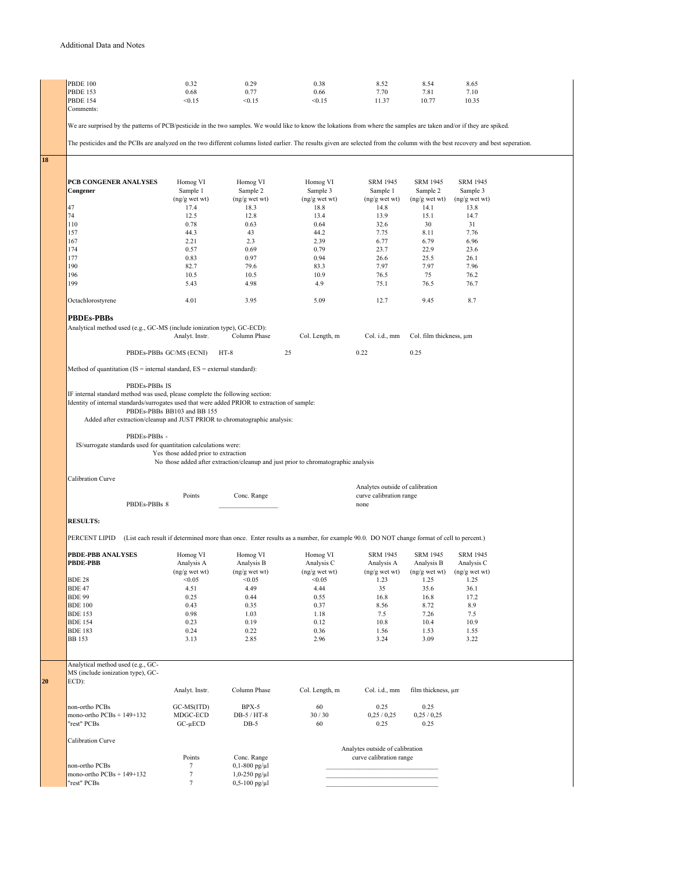| <b>PBDE 100</b>                                                                                                                                                                  | 0.32                                | 0.29                                              | 0.38                                                                                                                                   | 8.52                            | 8.54                    | 8.65            |  |
|----------------------------------------------------------------------------------------------------------------------------------------------------------------------------------|-------------------------------------|---------------------------------------------------|----------------------------------------------------------------------------------------------------------------------------------------|---------------------------------|-------------------------|-----------------|--|
| <b>PBDE 153</b>                                                                                                                                                                  | 0.68                                | 0.77                                              | 0.66                                                                                                                                   | 7.70                            | 7.81                    | 7.10            |  |
| <b>PBDE 154</b>                                                                                                                                                                  | < 0.15                              | < 0.15                                            | < 0.15                                                                                                                                 | 11.37                           | 10.77                   | 10.35           |  |
| Comments:                                                                                                                                                                        |                                     |                                                   |                                                                                                                                        |                                 |                         |                 |  |
|                                                                                                                                                                                  |                                     |                                                   |                                                                                                                                        |                                 |                         |                 |  |
| We are surprised by the patterns of PCB/pesticide in the two samples. We would like to know the lokations from where the samples are taken and/or if they are spiked.            |                                     |                                                   |                                                                                                                                        |                                 |                         |                 |  |
| The pesticides and the PCBs are analyzed on the two different columns listed earlier. The results given are selected from the column with the best recovery and best seperation. |                                     |                                                   |                                                                                                                                        |                                 |                         |                 |  |
|                                                                                                                                                                                  |                                     |                                                   |                                                                                                                                        |                                 |                         |                 |  |
|                                                                                                                                                                                  |                                     |                                                   |                                                                                                                                        |                                 |                         |                 |  |
|                                                                                                                                                                                  |                                     |                                                   |                                                                                                                                        |                                 |                         |                 |  |
|                                                                                                                                                                                  |                                     |                                                   |                                                                                                                                        |                                 |                         |                 |  |
| PCB CONGENER ANALYSES                                                                                                                                                            | Homog VI                            | Homog VI                                          | Homog VI                                                                                                                               | <b>SRM 1945</b>                 | <b>SRM 1945</b>         | <b>SRM 1945</b> |  |
| Congener                                                                                                                                                                         | Sample 1                            | Sample 2                                          | Sample 3                                                                                                                               | Sample 1                        | Sample 2                | Sample 3        |  |
|                                                                                                                                                                                  | $(ng/g$ wet wt $)$                  | $(ng/g$ wet wt $)$                                | (ng/g wet wt)                                                                                                                          | (ng/g wet wt)                   | $(ng/g$ wet wt $)$      | (ng/g wet wt)   |  |
| 47                                                                                                                                                                               | 17.4                                | 18.3                                              | 18.8                                                                                                                                   | 14.8                            | 14.1                    | 13.8            |  |
| 74                                                                                                                                                                               | 12.5                                | 12.8                                              | 13.4                                                                                                                                   | 13.9                            | 15.1                    | 14.7            |  |
| 110                                                                                                                                                                              | 0.78                                | 0.63                                              | 0.64                                                                                                                                   | 32.6                            | 30                      | 31              |  |
| 157<br>167                                                                                                                                                                       | 44.3<br>2.21                        | 43<br>2.3                                         | 44.2<br>2.39                                                                                                                           | 7.75<br>6.77                    | 8.11<br>6.79            | 7.76<br>6.96    |  |
| 174                                                                                                                                                                              | 0.57                                | 0.69                                              | 0.79                                                                                                                                   | 23.7                            | 22.9                    | 23.6            |  |
| 177                                                                                                                                                                              | 0.83                                | 0.97                                              | 0.94                                                                                                                                   | 26.6                            | 25.5                    | 26.1            |  |
| 190                                                                                                                                                                              | 82.7                                | 79.6                                              | 83.3                                                                                                                                   | 7.97                            | 7.97                    | 7.96            |  |
| 196                                                                                                                                                                              | 10.5                                | 10.5                                              | 10.9                                                                                                                                   | 76.5                            | 75                      | 76.2            |  |
| 199                                                                                                                                                                              |                                     |                                                   |                                                                                                                                        |                                 |                         |                 |  |
|                                                                                                                                                                                  | 5.43                                | 4.98                                              | 4.9                                                                                                                                    | 75.1                            | 76.5                    | 76.7            |  |
| Octachlorostyrene                                                                                                                                                                | 4.01                                | 3.95                                              | 5.09                                                                                                                                   | 12.7                            | 9.45                    | 8.7             |  |
|                                                                                                                                                                                  |                                     |                                                   |                                                                                                                                        |                                 |                         |                 |  |
|                                                                                                                                                                                  |                                     |                                                   |                                                                                                                                        |                                 |                         |                 |  |
| PBDEs-PBBs                                                                                                                                                                       |                                     |                                                   |                                                                                                                                        |                                 |                         |                 |  |
| Analytical method used (e.g., GC-MS (include ionization type), GC-ECD):                                                                                                          |                                     |                                                   |                                                                                                                                        |                                 |                         |                 |  |
|                                                                                                                                                                                  | Analyt. Instr.                      | Column Phase                                      | Col. Length, m                                                                                                                         | Col. i.d., mm                   | Col. film thickness, um |                 |  |
|                                                                                                                                                                                  | PBDEs-PBBs GC/MS (ECNI)             | $HT-8$                                            | 25                                                                                                                                     | 0.22                            | 0.25                    |                 |  |
|                                                                                                                                                                                  |                                     |                                                   |                                                                                                                                        |                                 |                         |                 |  |
| Method of quantitation ( $IS =$ internal standard, $ES =$ external standard):                                                                                                    |                                     |                                                   |                                                                                                                                        |                                 |                         |                 |  |
| PBDEs-PBBs IS                                                                                                                                                                    |                                     |                                                   |                                                                                                                                        |                                 |                         |                 |  |
|                                                                                                                                                                                  |                                     |                                                   |                                                                                                                                        |                                 |                         |                 |  |
| IF internal standard method was used, please complete the following section:                                                                                                     |                                     |                                                   |                                                                                                                                        |                                 |                         |                 |  |
| Identity of internal standards/surrogates used that were added PRIOR to extraction of sample:                                                                                    |                                     |                                                   |                                                                                                                                        |                                 |                         |                 |  |
|                                                                                                                                                                                  | PBDEs-PBBs BB103 and BB 155         |                                                   |                                                                                                                                        |                                 |                         |                 |  |
| Added after extraction/cleanup and JUST PRIOR to chromatographic analysis:                                                                                                       |                                     |                                                   |                                                                                                                                        |                                 |                         |                 |  |
|                                                                                                                                                                                  |                                     |                                                   |                                                                                                                                        |                                 |                         |                 |  |
| PBDEs-PBBs -                                                                                                                                                                     |                                     |                                                   |                                                                                                                                        |                                 |                         |                 |  |
| IS/surrogate standards used for quantitation calculations were:                                                                                                                  |                                     |                                                   |                                                                                                                                        |                                 |                         |                 |  |
|                                                                                                                                                                                  | Yes those added prior to extraction |                                                   |                                                                                                                                        |                                 |                         |                 |  |
|                                                                                                                                                                                  |                                     |                                                   |                                                                                                                                        |                                 |                         |                 |  |
|                                                                                                                                                                                  |                                     |                                                   | No those added after extraction/cleanup and just prior to chromatographic analysis                                                     |                                 |                         |                 |  |
|                                                                                                                                                                                  |                                     |                                                   |                                                                                                                                        |                                 |                         |                 |  |
| <b>Calibration Curve</b>                                                                                                                                                         |                                     |                                                   |                                                                                                                                        |                                 |                         |                 |  |
|                                                                                                                                                                                  |                                     |                                                   |                                                                                                                                        | Analytes outside of calibration |                         |                 |  |
|                                                                                                                                                                                  | Points                              | Conc. Range                                       |                                                                                                                                        | curve calibration range         |                         |                 |  |
| PBDEs-PBBs 8                                                                                                                                                                     |                                     |                                                   |                                                                                                                                        | none                            |                         |                 |  |
|                                                                                                                                                                                  |                                     |                                                   |                                                                                                                                        |                                 |                         |                 |  |
| <b>RESULTS:</b>                                                                                                                                                                  |                                     |                                                   |                                                                                                                                        |                                 |                         |                 |  |
|                                                                                                                                                                                  |                                     |                                                   |                                                                                                                                        |                                 |                         |                 |  |
| PERCENT LIPID                                                                                                                                                                    |                                     |                                                   | (List each result if determined more than once. Enter results as a number, for example 90.0. DO NOT change format of cell to percent.) |                                 |                         |                 |  |
|                                                                                                                                                                                  |                                     |                                                   |                                                                                                                                        |                                 |                         |                 |  |
| PBDE-PBB ANALYSES                                                                                                                                                                | Homog VI                            | Homog VI                                          | Homog VI                                                                                                                               | <b>SRM 1945</b>                 | <b>SRM 1945</b>         | <b>SRM 1945</b> |  |
| <b>PBDE-PBB</b>                                                                                                                                                                  | Analysis A                          | Analysis B                                        | Analysis C                                                                                                                             | Analysis A                      | Analysis B              | Analysis C      |  |
|                                                                                                                                                                                  | (ng/g wet wt)                       | $(ng/g$ wet wt $)$                                | (ng/g wet wt)                                                                                                                          | (ng/g wet wt)                   | $(ng/g$ wet wt $)$      | (ng/g wet wt)   |  |
| <b>BDE 28</b>                                                                                                                                                                    | < 0.05                              | < 0.05                                            | < 0.05                                                                                                                                 | 1.23                            | 1.25                    | 1.25            |  |
| <b>BDE 47</b>                                                                                                                                                                    | 4.51                                | 4.49                                              | 4.44                                                                                                                                   | 35                              | 35.6                    | 36.1            |  |
| <b>BDE 99</b>                                                                                                                                                                    | 0.25                                | 0.44                                              | 0.55                                                                                                                                   | 16.8                            | 16.8                    | 17.2            |  |
| <b>BDE 100</b>                                                                                                                                                                   | 0.43                                | 0.35                                              | 0.37                                                                                                                                   | 8.56                            | 8.72                    | 8.9             |  |
| <b>BDE 153</b>                                                                                                                                                                   | 0.98                                | 1.03                                              | 1.18                                                                                                                                   | 7.5                             | 7.26                    | 7.5             |  |
| <b>BDE 154</b>                                                                                                                                                                   | 0.23                                | 0.19                                              | 0.12                                                                                                                                   | 10.8                            | 10.4                    | 10.9            |  |
| <b>BDE 183</b>                                                                                                                                                                   | 0.24                                | 0.22                                              | 0.36                                                                                                                                   | 1.56                            | 1.53                    | 1.55            |  |
| <b>BB</b> 153                                                                                                                                                                    | 3.13                                | 2.85                                              | 2.96                                                                                                                                   | 3.24                            | 3.09                    | 3.22            |  |
|                                                                                                                                                                                  |                                     |                                                   |                                                                                                                                        |                                 |                         |                 |  |
|                                                                                                                                                                                  |                                     |                                                   |                                                                                                                                        |                                 |                         |                 |  |
| Analytical method used (e.g., GC-<br>MS (include ionization type), GC-                                                                                                           |                                     |                                                   |                                                                                                                                        |                                 |                         |                 |  |
|                                                                                                                                                                                  |                                     |                                                   |                                                                                                                                        |                                 |                         |                 |  |
| ECD):                                                                                                                                                                            | Analyt. Instr.                      | Column Phase                                      | Col. Length, m                                                                                                                         | Col. i.d., mm                   | film thickness, un      |                 |  |
|                                                                                                                                                                                  |                                     |                                                   |                                                                                                                                        |                                 |                         |                 |  |
| non-ortho PCBs                                                                                                                                                                   | GC-MS(ITD)                          | BPX-5                                             | 60                                                                                                                                     | 0.25                            | 0.25                    |                 |  |
| mono-ortho PCBs + 149+132                                                                                                                                                        | MDGC-ECD                            | DB-5 / HT-8                                       | 30/30                                                                                                                                  | 0,25/0,25                       | 0,25/0,25               |                 |  |
| "rest" PCBs                                                                                                                                                                      | $GC$ - $\mu ECD$                    | $DB-5$                                            | 60                                                                                                                                     | 0.25                            | 0.25                    |                 |  |
|                                                                                                                                                                                  |                                     |                                                   |                                                                                                                                        |                                 |                         |                 |  |
| <b>Calibration Curve</b>                                                                                                                                                         |                                     |                                                   |                                                                                                                                        |                                 |                         |                 |  |
|                                                                                                                                                                                  |                                     |                                                   |                                                                                                                                        | Analytes outside of calibration |                         |                 |  |
|                                                                                                                                                                                  | Points                              | Conc. Range                                       |                                                                                                                                        | curve calibration range         |                         |                 |  |
| non-ortho PCBs                                                                                                                                                                   | 7                                   | $0,1-800$ pg/ $\mu$ l                             |                                                                                                                                        |                                 |                         |                 |  |
| mono-ortho PCBs + 149+132<br>"rest" PCBs                                                                                                                                         | $\tau$<br>$\tau$                    | $1,0-250$ pg/ $\mu$ l<br>$0, 5 - 100$ pg/ $\mu$ l |                                                                                                                                        |                                 |                         |                 |  |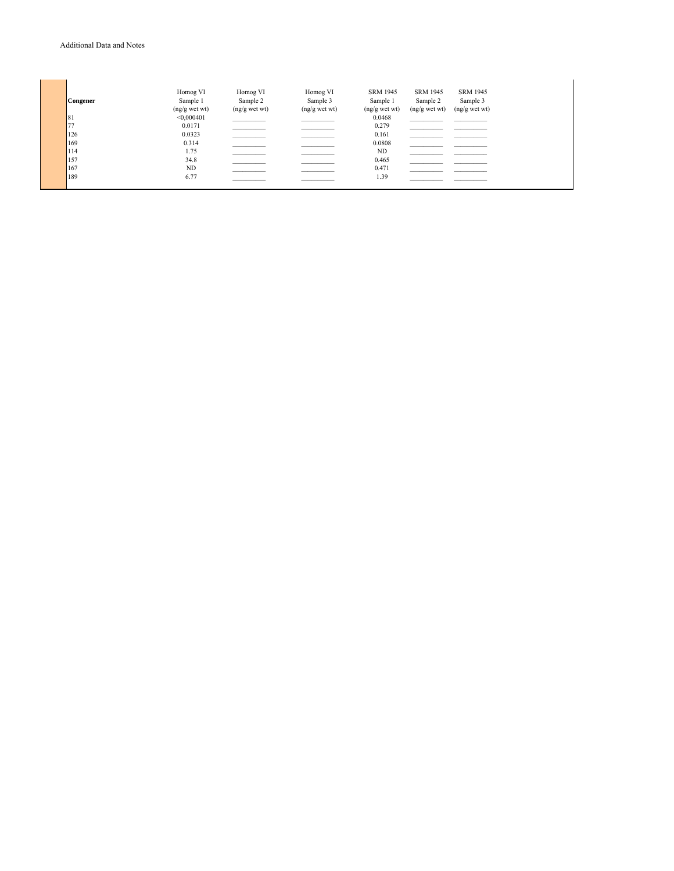| Congener | Homog VI<br>Sample 1<br>$(ng/g$ wet wt $)$ | Homog VI<br>Sample 2<br>$(ng/g$ wet wt $)$ | Homog VI<br>Sample 3<br>$(ng/g$ wet wt) | SRM 1945<br>Sample 1<br>$(ng/g$ wet wt) | SRM 1945<br>Sample 2<br>$(ng/g$ wet wt $)$ | <b>SRM 1945</b><br>Sample 3<br>$(ng/g$ wet wt) |
|----------|--------------------------------------------|--------------------------------------------|-----------------------------------------|-----------------------------------------|--------------------------------------------|------------------------------------------------|
| 81       | < 0,000401                                 |                                            |                                         | 0.0468                                  |                                            |                                                |
| 77       | 0.0171                                     |                                            |                                         | 0.279                                   |                                            |                                                |
| 126      | 0.0323                                     |                                            |                                         | 0.161                                   |                                            |                                                |
| 169      | 0.314                                      |                                            |                                         | 0.0808                                  |                                            |                                                |
| 114      | 1.75                                       |                                            |                                         | ND                                      |                                            |                                                |
| 157      | 34.8                                       |                                            |                                         | 0.465                                   |                                            |                                                |
| 167      | ND                                         |                                            |                                         | 0.471                                   |                                            |                                                |
| 189      | 6.77                                       |                                            |                                         | 1.39                                    |                                            |                                                |
|          |                                            |                                            |                                         |                                         |                                            |                                                |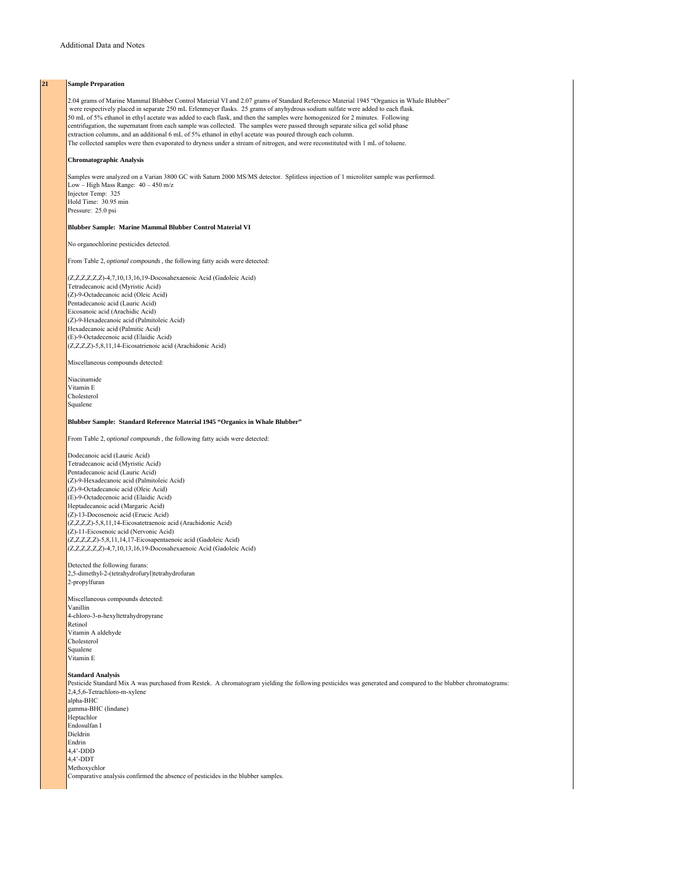## **21 Sample Preparation**

2.04 grams of Marine Mammal Blubber Control Material VI and 2.07 grams of Standard Reference Material 1945 "Organics in Whale Blubber" were respectively placed in separate 250 mL Erlenmeyer flasks. 25 grams of anyhydrous sodium sulfate were added to each flask. 50 mL of 5% ethanol in ethyl acetate was added to each flask, and then the samples were homogenized for 2 minutes. Following centrifugation, the supernatant from each sample was collected. The samples were passed through separate silica gel solid phase extraction columns, and an additional 6 mL of 5% ethanol in ethyl acetate was poured through each column. The collected samples were then evaporated to dryness under a stream of nitrogen, and were reconstituted with 1 mL of toluene.

### **Chromatographic Analysis**

Samples were analyzed on a Varian 3800 GC with Saturn 2000 MS/MS detector. Splitless injection of 1 microliter sample was performed. Low – High Mass Range: 40 – 450 m/z Injector Temp: 325 Hold Time: 30.95 min Pressure: 25.0 psi

## **Blubber Sample: Marine Mammal Blubber Control Material VI**

No organochlorine pesticides detected.

From Table 2, *optional compounds*, the following fatty acids were detected:

(Z,Z,Z,Z,Z,Z)-4,7,10,13,16,19-Docosahexaenoic Acid (Gadoleic Acid) Tetradecanoic acid (Myristic Acid) (Z)-9-Octadecanoic acid (Oleic Acid) Pentadecanoic acid (Lauric Acid) Eicosanoic acid (Arachidic Acid) (Z)-9-Hexadecanoic acid (Palmitoleic Acid) Hexadecanoic acid (Palmitic Acid) (E)-9-Octadecenoic acid (Elaidic Acid) (Z,Z,Z,Z)-5,8,11,14-Eicosatrienoic acid (Arachidonic Acid)

Miscellaneous compounds detected:

Niacinamide Vitamin E Cholesterol Squalene

#### **Blubber Sample: Standard Reference Material 1945 "Organics in Whale Blubber"**

From Table 2, *optional compounds*, the following fatty acids were detected:

Dodecanoic acid (Lauric Acid) Tetradecanoic acid (Myristic Acid) Pentadecanoic acid (Lauric Acid) (Z)-9-Hexadecanoic acid (Palmitoleic Acid) (Z)-9-Octadecanoic acid (Oleic Acid) (E)-9-Octadecenoic acid (Elaidic Acid) Heptadecanoic acid (Margaric Acid) (Z)-13-Docosenoic acid (Erucic Acid) (Z,Z,Z,Z)-5,8,11,14-Eicosatetraenoic acid (Arachidonic Acid) (Z)-11-Eicosenoic acid (Nervonic Acid) (Z,Z,Z,Z,Z)-5,8,11,14,17-Eicosapentaenoic acid (Gadoleic Acid) (Z,Z,Z,Z,Z,Z)-4,7,10,13,16,19-Docosahexaenoic Acid (Gadoleic Acid)

Detected the following furans: 2,5-dimethyl-2-(tetrahydrofuryl)tetrahydrofuran 2-propylfuran

Miscellaneous compounds detected: Vanillin 4-chloro-3-n-hexyltetrahydropyrane Retinol Vitamin A aldehyde Cholesterol Squalene Vitamin E

#### **Standard Analysis**

Pesticide Standard Mix A was purchased from Restek. A chromatogram yielding the following pesticides was generated and compared to the blubber chromatograms: 2,4,5,6-Tetrachloro-m-xylene alpha-BHC gamma-BHC (lindane) **Heptachlor** Endosulfan I Dieldrin Endrin 4,4'-DDD 4,4'-DDT Methoxychlor Comparative analysis confirmed the absence of pesticides in the blubber samples.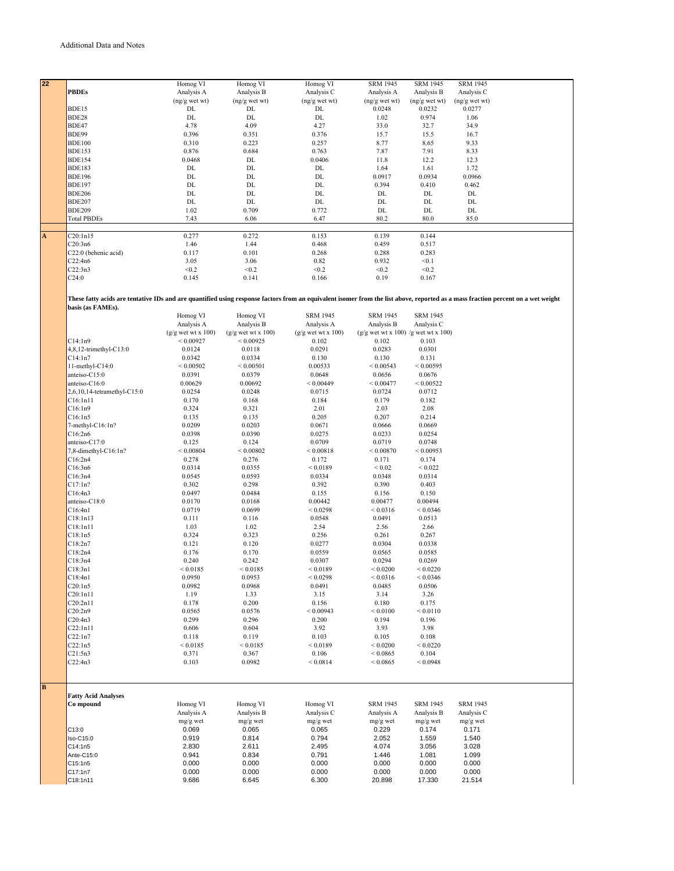| 22                      |                                                                                                                                                                                  | Homog VI             | Homog VI             | Homog VI             | <b>SRM 1945</b>                       | <b>SRM 1945</b> | <b>SRM 1945</b> |  |
|-------------------------|----------------------------------------------------------------------------------------------------------------------------------------------------------------------------------|----------------------|----------------------|----------------------|---------------------------------------|-----------------|-----------------|--|
|                         | <b>PBDEs</b>                                                                                                                                                                     | Analysis A           | Analysis B           | Analysis C           | Analysis A                            | Analysis B      | Analysis C      |  |
|                         |                                                                                                                                                                                  |                      |                      |                      |                                       |                 |                 |  |
|                         |                                                                                                                                                                                  | $(ng/g$ wet wt)      | $(ng/g$ wet wt)      | $(ng/g$ wet wt)      | $(ng/g$ wet wt)                       | $(ng/g$ wet wt) | $(ng/g$ wet wt) |  |
|                         | BDE15                                                                                                                                                                            | DL                   | DL                   | DL                   | 0.0248                                | 0.0232          | 0.0277          |  |
|                         | BDE28                                                                                                                                                                            | $\rm DL$             | DL                   | DL                   | 1.02                                  | 0.974           | 1.06            |  |
|                         | BDE47                                                                                                                                                                            | 4.78                 | 4.09                 | 4.27                 | 33.0                                  | 32.7            | 34.9            |  |
|                         |                                                                                                                                                                                  |                      |                      |                      |                                       |                 |                 |  |
|                         | BDE99                                                                                                                                                                            | 0.396                | 0.351                | 0.376                | 15.7                                  | 15.5            | 16.7            |  |
|                         | <b>BDE100</b>                                                                                                                                                                    | 0.310                | 0.223                | 0.257                | 8.77                                  | 8.65            | 9.33            |  |
|                         | <b>BDE153</b>                                                                                                                                                                    | 0.876                | 0.684                | 0.763                | 7.87                                  | 7.91            | 8.33            |  |
|                         | <b>BDE154</b>                                                                                                                                                                    |                      |                      |                      |                                       |                 |                 |  |
|                         |                                                                                                                                                                                  | 0.0468               | DL                   | 0.0406               | 11.8                                  | 12.2            | 12.3            |  |
|                         | <b>BDE183</b>                                                                                                                                                                    | $\rm DL$             | DL                   | DL                   | 1.64                                  | 1.61            | 1.72            |  |
|                         | <b>BDE196</b>                                                                                                                                                                    | DL                   | DL                   | DL                   | 0.0917                                | 0.0934          | 0.0966          |  |
|                         | <b>BDE197</b>                                                                                                                                                                    | DL                   | DL                   | DL                   | 0.394                                 | 0.410           | 0.462           |  |
|                         |                                                                                                                                                                                  |                      |                      |                      |                                       |                 |                 |  |
|                         | <b>BDE206</b>                                                                                                                                                                    | DL                   | DL                   | DL                   | DL                                    | DL              | DL              |  |
|                         | <b>BDE207</b>                                                                                                                                                                    | $\rm DL$             | DL                   | DL                   | DL                                    | DL              | DL              |  |
|                         | <b>BDE209</b>                                                                                                                                                                    | 1.02                 | 0.709                | 0.772                | DL                                    | DL              | $\rm DL$        |  |
|                         |                                                                                                                                                                                  |                      |                      |                      |                                       |                 |                 |  |
|                         | <b>Total PBDEs</b>                                                                                                                                                               | 7.43                 | 6.06                 | 6.47                 | 80.2                                  | 80.0            | 85.0            |  |
|                         |                                                                                                                                                                                  |                      |                      |                      |                                       |                 |                 |  |
| $\overline{\mathbf{A}}$ | C20:1n15                                                                                                                                                                         | 0.277                | 0.272                | 0.153                | 0.139                                 | 0.144           |                 |  |
|                         | C20:3n6                                                                                                                                                                          | 1.46                 | 1.44                 | 0.468                | 0.459                                 | 0.517           |                 |  |
|                         |                                                                                                                                                                                  |                      |                      |                      |                                       |                 |                 |  |
|                         | C22:0 (behenic acid)                                                                                                                                                             | 0.117                | 0.101                | 0.268                | 0.288                                 | 0.283           |                 |  |
|                         | C22:4n6                                                                                                                                                                          | 3.05                 | 3.06                 | 0.82                 | 0.932                                 | < 0.1           |                 |  |
|                         | C22:3n3                                                                                                                                                                          | < 0.2                | < 0.2                | < 0.2                | < 0.2                                 | < 0.2           |                 |  |
|                         |                                                                                                                                                                                  |                      |                      |                      |                                       |                 |                 |  |
|                         | C24:0                                                                                                                                                                            | 0.145                | 0.141                | 0.166                | 0.19                                  | 0.167           |                 |  |
|                         |                                                                                                                                                                                  |                      |                      |                      |                                       |                 |                 |  |
|                         |                                                                                                                                                                                  |                      |                      |                      |                                       |                 |                 |  |
|                         | These fatty acids are tentative IDs and are quantified using response factors from an equivalent isomer from the list above, reported as a mass fraction percent on a wet weight |                      |                      |                      |                                       |                 |                 |  |
|                         | basis (as FAMEs).                                                                                                                                                                |                      |                      |                      |                                       |                 |                 |  |
|                         |                                                                                                                                                                                  | Homog VI             | Homog VI             | <b>SRM 1945</b>      | <b>SRM 1945</b>                       | <b>SRM 1945</b> |                 |  |
|                         |                                                                                                                                                                                  |                      |                      |                      |                                       |                 |                 |  |
|                         |                                                                                                                                                                                  | Analysis A           | Analysis B           | Analysis A           | Analysis B                            | Analysis C      |                 |  |
|                         |                                                                                                                                                                                  | $(g/g$ wet wt x 100) | $(g/g$ wet wt x 100) | $(g/g$ wet wt x 100) | $(g/g$ wet wt x 100) /g wet wt x 100) |                 |                 |  |
|                         | C14:1n9                                                                                                                                                                          | ${}< 0.00927$        | ${}< 0.00925$        | 0.102                | 0.102                                 | 0.103           |                 |  |
|                         |                                                                                                                                                                                  |                      |                      |                      |                                       |                 |                 |  |
|                         | 4,8,12-trimethyl-C13:0                                                                                                                                                           | 0.0124               | 0.0118               | 0.0291               | 0.0283                                | 0.0301          |                 |  |
|                         | C14:1n7                                                                                                                                                                          | 0.0342               | 0.0334               | 0.130                | 0.130                                 | 0.131           |                 |  |
|                         | 11-methyl-C14:0                                                                                                                                                                  | ${}< 0.00502$        | ${}_{\leq 0.00501}$  | 0.00533              | ${}< 0.00543$                         | ${}< 0.00595$   |                 |  |
|                         |                                                                                                                                                                                  |                      |                      |                      |                                       |                 |                 |  |
|                         | anteiso-C15:0                                                                                                                                                                    | 0.0391               | 0.0379               | 0.0648               | 0.0656                                | 0.0676          |                 |  |
|                         | anteiso-C16:0                                                                                                                                                                    | 0.00629              | 0.00692              | ${}< 0.00449$        | < 0.00477                             | ${}< 0.00522$   |                 |  |
|                         | 2,6,10,14-tetramethyl-C15:0                                                                                                                                                      | 0.0254               | 0.0248               | 0.0715               | 0.0724                                | 0.0712          |                 |  |
|                         | C16:1n11                                                                                                                                                                         | 0.170                | 0.168                | 0.184                | 0.179                                 | 0.182           |                 |  |
|                         |                                                                                                                                                                                  |                      |                      |                      |                                       |                 |                 |  |
|                         | C16:1n9                                                                                                                                                                          | 0.324                | 0.321                | 2.01                 | 2.03                                  | 2.08            |                 |  |
|                         | C16:1n5                                                                                                                                                                          | 0.135                | 0.135                | 0.205                | 0.207                                 | 0.214           |                 |  |
|                         | $7$ -methyl- $C16:1n?$                                                                                                                                                           | 0.0209               | 0.0203               | 0.0671               | 0.0666                                | 0.0669          |                 |  |
|                         |                                                                                                                                                                                  |                      |                      |                      |                                       |                 |                 |  |
|                         | C16:2n6                                                                                                                                                                          | 0.0398               | 0.0390               | 0.0275               | 0.0233                                | 0.0254          |                 |  |
|                         | anteiso-C17:0                                                                                                                                                                    | 0.125                | 0.124                | 0.0709               | 0.0719                                | 0.0748          |                 |  |
|                         | 7,8-dimethyl-C16:1n?                                                                                                                                                             | ${}< 0.00804$        | ${}< 0.00802$        | ${}< 0.00818$        | ${}< 0.00870$                         | < 0.00953       |                 |  |
|                         |                                                                                                                                                                                  |                      |                      |                      |                                       |                 |                 |  |
|                         | C16:2n4                                                                                                                                                                          | 0.278                | 0.276                | 0.172                | 0.171                                 | 0.174           |                 |  |
|                         | C16:3n6                                                                                                                                                                          | 0.0314               | 0.0355               | < 0.0189             | ${}< 0.02$                            | ${}< 0.022$     |                 |  |
|                         | C16:3n4                                                                                                                                                                          | 0.0545               | 0.0593               | 0.0334               | 0.0348                                | 0.0314          |                 |  |
|                         |                                                                                                                                                                                  |                      |                      |                      |                                       |                 |                 |  |
|                         | C17:1n?                                                                                                                                                                          | 0.302                | 0.298                | 0.392                | 0.390                                 | 0.403           |                 |  |
|                         | C16:4n3                                                                                                                                                                          | 0.0497               | 0.0484               | 0.155                | 0.156                                 | 0.150           |                 |  |
|                         | anteiso-C18:0                                                                                                                                                                    | 0.0170               | 0.0168               | 0.00442              | 0.00477                               | 0.00494         |                 |  |
|                         | C16:4n1                                                                                                                                                                          |                      |                      |                      |                                       |                 |                 |  |
|                         |                                                                                                                                                                                  | 0.0719               | 0.0699               | ${}< 0.0298$         | ${}< 0.0316$                          | ${}< 0.0346$    |                 |  |
|                         | C18:1n13                                                                                                                                                                         | 0.111                | 0.116                | 0.0548               | 0.0491                                | 0.0513          |                 |  |
|                         | C18:1n11                                                                                                                                                                         | 1.03                 | 1.02                 | 2.54                 | 2.56                                  | 2.66            |                 |  |
|                         | C18:1n5                                                                                                                                                                          | 0.324                | 0.323                | 0.256                | 0.261                                 | 0.267           |                 |  |
|                         |                                                                                                                                                                                  |                      |                      |                      |                                       |                 |                 |  |
|                         | C18:2n7                                                                                                                                                                          | 0.121                | 0.120                | 0.0277               | 0.0304                                | 0.0338          |                 |  |
|                         | C18:2n4                                                                                                                                                                          | 0.176                | 0.170                | 0.0559               | 0.0565                                | 0.0585          |                 |  |
|                         | C18:3n4                                                                                                                                                                          | 0.240                | 0.242                | 0.0307               | 0.0294                                | 0.0269          |                 |  |
|                         |                                                                                                                                                                                  |                      |                      |                      |                                       |                 |                 |  |
|                         | C18:3n1                                                                                                                                                                          | ${}_{\leq 0.0185}$   | ${}_{\leq 0.0185}$   | ${}_{< 0.0189}$      | ${}_{0.0200}$                         | ${}_{0.0220}$   |                 |  |
|                         | C18:4n1                                                                                                                                                                          | 0.0950               | 0.0953               | ${}< 0.0298$         | ${}< 0.0316$                          | ${}< 0.0346$    |                 |  |
|                         | C20:1n5                                                                                                                                                                          | 0.0982               | 0.0968               | 0.0491               | 0.0485                                | 0.0506          |                 |  |
|                         | C20:1n11                                                                                                                                                                         | 1.19                 | 1.33                 | 3.15                 | 3.14                                  | 3.26            |                 |  |
|                         |                                                                                                                                                                                  |                      |                      |                      |                                       |                 |                 |  |
|                         | C20:2n11                                                                                                                                                                         | 0.178                | 0.200                | 0.156                | 0.180                                 | 0.175           |                 |  |
|                         | C20:2n9                                                                                                                                                                          | 0.0565               | 0.0576               | ${}< 0.00943$        | ${}< 0.0100$                          | < 0.0110        |                 |  |
|                         | C20:4n3                                                                                                                                                                          | 0.299                | 0.296                | 0.200                | 0.194                                 | 0.196           |                 |  |
|                         | C22:1n11                                                                                                                                                                         | 0.606                | 0.604                | 3.92                 | 3.93                                  | 3.98            |                 |  |
|                         |                                                                                                                                                                                  |                      |                      |                      |                                       |                 |                 |  |
|                         | C22:1n7                                                                                                                                                                          | 0.118                | 0.119                | 0.103                | 0.105                                 | 0.108           |                 |  |
|                         | C22:1n5                                                                                                                                                                          | ${}< 0.0185$         | ${}< 0.0185$         | ${}< 0.0189$         | ${}_{0.0200}$                         | < 0.0220        |                 |  |
|                         | C21:5n3                                                                                                                                                                          | 0.371                | 0.367                | 0.106                | ${}< 0.0865$                          | 0.104           |                 |  |
|                         |                                                                                                                                                                                  |                      |                      |                      |                                       |                 |                 |  |
|                         | C22:4n3                                                                                                                                                                          | 0.103                | 0.0982               | ${}_{0.0814}$        | ${}< 0.0865$                          | < 0.0948        |                 |  |
|                         |                                                                                                                                                                                  |                      |                      |                      |                                       |                 |                 |  |
|                         |                                                                                                                                                                                  |                      |                      |                      |                                       |                 |                 |  |
| $\, {\bf B}$            |                                                                                                                                                                                  |                      |                      |                      |                                       |                 |                 |  |
|                         |                                                                                                                                                                                  |                      |                      |                      |                                       |                 |                 |  |
|                         | <b>Fatty Acid Analyses</b>                                                                                                                                                       |                      |                      |                      |                                       |                 |                 |  |
|                         | Co mpound                                                                                                                                                                        | Homog VI             | Homog VI             | Homog VI             | <b>SRM 1945</b>                       | <b>SRM 1945</b> | <b>SRM 1945</b> |  |
|                         |                                                                                                                                                                                  | Analysis A           | Analysis B           | Analysis C           | Analysis A                            | Analysis B      | Analysis C      |  |
|                         |                                                                                                                                                                                  |                      |                      |                      |                                       |                 |                 |  |
|                         |                                                                                                                                                                                  | mg/g wet             | mg/g wet             | $mg/g$ wet           | $mg/g$ wet                            | $mg/g$ wet      | mg/g wet        |  |
|                         | C13:0                                                                                                                                                                            | 0.069                | 0.065                | 0.065                | 0.229                                 | 0.174           | 0.171           |  |
|                         | Iso-C15:0                                                                                                                                                                        | 0.919                | 0.814                | 0.794                | 2.052                                 | 1.559           | 1.540           |  |
|                         |                                                                                                                                                                                  | 2.830                | 2.611                | 2.495                | 4.074                                 |                 | 3.028           |  |
|                         | C14:1n5                                                                                                                                                                          |                      |                      |                      |                                       | 3.056           |                 |  |
|                         | Ante-C15:0                                                                                                                                                                       | 0.941                | 0.834                | 0.791                | 1.446                                 | 1.081           | 1.099           |  |
|                         | C15:1n5                                                                                                                                                                          | 0.000                | 0.000                | 0.000                | 0.000                                 | 0.000           | 0.000           |  |
|                         | C17:1n7                                                                                                                                                                          | 0.000                | 0.000                | 0.000                | 0.000                                 | 0.000           | 0.000           |  |
|                         |                                                                                                                                                                                  |                      |                      |                      |                                       |                 |                 |  |
|                         | C18:1n11                                                                                                                                                                         | 9.686                | 6.645                | 6.300                | 20.898                                | 17.330          | 21.514          |  |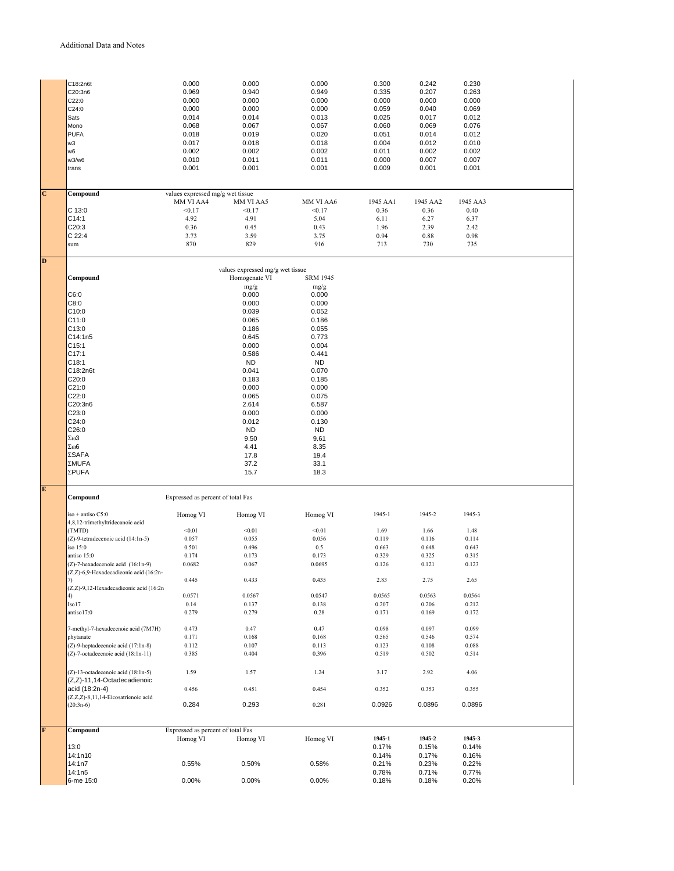|                         | C18:2n6t                               | 0.000                             | 0.000                            | 0.000           | 0.300          | 0.242          | 0.230          |  |
|-------------------------|----------------------------------------|-----------------------------------|----------------------------------|-----------------|----------------|----------------|----------------|--|
|                         | C20:3n6                                | 0.969                             | 0.940                            | 0.949           | 0.335          | 0.207          | 0.263          |  |
|                         | C22:0                                  | 0.000                             | 0.000                            | 0.000           | 0.000          | 0.000          | 0.000          |  |
|                         | C24:0                                  | 0.000                             | 0.000                            | 0.000           | 0.059          | 0.040          | 0.069          |  |
|                         |                                        |                                   | 0.014                            |                 |                | 0.017          | 0.012          |  |
|                         | Sats                                   | 0.014                             |                                  | 0.013           | 0.025          |                |                |  |
|                         | Mono                                   | 0.068                             | 0.067                            | 0.067           | 0.060          | 0.069          | 0.076          |  |
|                         | <b>PUFA</b>                            | 0.018                             | 0.019                            | 0.020           | 0.051          | 0.014          | 0.012          |  |
|                         | w3                                     | 0.017                             | 0.018                            | 0.018           | 0.004          | 0.012          | 0.010          |  |
|                         | w6                                     | 0.002                             | 0.002                            | 0.002           | 0.011          | 0.002          | 0.002          |  |
|                         | w3/w6                                  | 0.010                             | 0.011                            | 0.011           | 0.000          | 0.007          | 0.007          |  |
|                         | trans                                  | 0.001                             | 0.001                            | 0.001           | 0.009          | 0.001          | 0.001          |  |
|                         |                                        |                                   |                                  |                 |                |                |                |  |
|                         |                                        |                                   |                                  |                 |                |                |                |  |
| $\overline{\mathbf{C}}$ | Compound                               | values expressed mg/g wet tissue  |                                  |                 |                |                |                |  |
|                         |                                        | MM VI AA4                         | MM VI AA5                        | MM VI AA6       | 1945 AA1       | 1945 AA2       | 1945 AA3       |  |
|                         | C 13:0                                 | < 0.17                            | < 0.17                           | < 0.17          | 0.36           | 0.36           | 0.40           |  |
|                         |                                        | 4.92                              | 4.91                             | 5.04            |                | 6.27           | 6.37           |  |
|                         | C14:1                                  |                                   |                                  |                 | 6.11           |                |                |  |
|                         | C20:3                                  | 0.36                              | 0.45                             | 0.43            | 1.96           | 2.39           | 2.42           |  |
|                         | $C$ 22:4                               | 3.73                              | 3.59                             | 3.75            | 0.94           | 0.88           | 0.98           |  |
|                         | sum                                    | 870                               | 829                              | 916             | 713            | 730            | 735            |  |
|                         |                                        |                                   |                                  |                 |                |                |                |  |
| D                       |                                        |                                   |                                  |                 |                |                |                |  |
|                         |                                        |                                   | values expressed mg/g wet tissue |                 |                |                |                |  |
|                         | Compound                               |                                   | Homogenate VI                    | <b>SRM 1945</b> |                |                |                |  |
|                         |                                        |                                   | mg/g                             | mg/g            |                |                |                |  |
|                         | C6:0                                   |                                   | 0.000                            | 0.000           |                |                |                |  |
|                         | C8:0                                   |                                   | 0.000                            | 0.000           |                |                |                |  |
|                         | C10:0                                  |                                   | 0.039                            | 0.052           |                |                |                |  |
|                         | C11:0                                  |                                   | 0.065                            | 0.186           |                |                |                |  |
|                         | C13:0                                  |                                   | 0.186                            | 0.055           |                |                |                |  |
|                         | C14:1n5                                |                                   | 0.645                            | 0.773           |                |                |                |  |
|                         | C15:1                                  |                                   | 0.000                            | 0.004           |                |                |                |  |
|                         | C17:1                                  |                                   | 0.586                            | 0.441           |                |                |                |  |
|                         | C18:1                                  |                                   | <b>ND</b>                        | <b>ND</b>       |                |                |                |  |
|                         | C18:2n6t                               |                                   |                                  |                 |                |                |                |  |
|                         |                                        |                                   | 0.041                            | 0.070           |                |                |                |  |
|                         | C20:0                                  |                                   | 0.183                            | 0.185           |                |                |                |  |
|                         | C21:0                                  |                                   | 0.000                            | 0.000           |                |                |                |  |
|                         | C22:0                                  |                                   | 0.065                            | 0.075           |                |                |                |  |
|                         | C20:3n6                                |                                   | 2.614                            | 6.587           |                |                |                |  |
|                         | C23:0                                  |                                   | 0.000                            | 0.000           |                |                |                |  |
|                         | C24:0                                  |                                   | 0.012                            | 0.130           |                |                |                |  |
|                         | C26:0                                  |                                   | <b>ND</b>                        | <b>ND</b>       |                |                |                |  |
|                         | $\Sigma\omega3$                        |                                   | 9.50                             | 9.61            |                |                |                |  |
|                         | $\Sigma\omega$ 6                       |                                   | 4.41                             | 8.35            |                |                |                |  |
|                         | ΣSAFA                                  |                                   | 17.8                             | 19.4            |                |                |                |  |
|                         | ΣMUFA                                  |                                   | 37.2                             | 33.1            |                |                |                |  |
|                         | ΣPUFA                                  |                                   | 15.7                             | 18.3            |                |                |                |  |
|                         |                                        |                                   |                                  |                 |                |                |                |  |
| ${\bf E}$               |                                        |                                   |                                  |                 |                |                |                |  |
|                         | Compound                               | Expressed as percent of total Fas |                                  |                 |                |                |                |  |
|                         |                                        |                                   |                                  |                 |                |                |                |  |
|                         | iso + antiso C5:0                      | Homog VI                          | Homog VI                         | Homog VI        | 1945-1         | 1945-2         | 1945-3         |  |
|                         | 4,8,12-trimethyltridecanoic acid       |                                   |                                  |                 |                |                |                |  |
|                         | (TMTD)                                 | < 0.01                            | < 0.01                           | < 0.01          | 1.69           | 1.66           | 1.48           |  |
|                         | (Z)-9-tetradecenoic acid (14:1n-5)     | 0.057                             | 0.055                            | 0.056           | 0.119          | 0.116          | 0.114          |  |
|                         | iso 15:0                               | 0.501                             | 0.496                            | 0.5             | 0.663          | 0.648          | 0.643          |  |
|                         | antiso 15:0                            | 0.174                             | 0.173                            | 0.173           | 0.329          | 0.325          | 0.315          |  |
|                         | (Z)-7-hexadecenoic acid (16:1n-9)      | 0.0682                            | 0.067                            | 0.0695          | 0.126          | 0.121          | 0.123          |  |
|                         | (Z,Z)-6,9-Hexadecadieonic acid (16:2n- |                                   |                                  |                 |                |                |                |  |
|                         | 7)                                     | 0.445                             | 0.433                            | 0.435           | 2.83           | 2.75           | 2.65           |  |
|                         | (Z,Z)-9,12-Hexadecadieonic acid (16:2n |                                   |                                  |                 |                |                |                |  |
|                         | 4)                                     | 0.0571                            | 0.0567                           | 0.0547          | 0.0565         | 0.0563         | 0.0564         |  |
|                         |                                        |                                   |                                  |                 |                |                | 0.212          |  |
|                         | Iso17                                  | 0.14                              | 0.137                            | 0.138           | 0.207          | 0.206          |                |  |
|                         | antiso17:0                             | 0.279                             | 0.279                            | 0.28            | 0.171          | 0.169          | 0.172          |  |
|                         |                                        |                                   |                                  |                 |                |                |                |  |
|                         | 7-methyl-7-hexadecenoic acid (7M7H)    | 0.473                             | 0.47                             | 0.47            | 0.098          | 0.097          | 0.099          |  |
|                         | phytanate                              | 0.171                             | 0.168                            | 0.168           | 0.565          | 0.546          | 0.574          |  |
|                         | (Z)-9-heptadecenoic acid (17:1n-8)     | 0.112                             | 0.107                            | 0.113           | 0.123          | 0.108          | 0.088          |  |
|                         | (Z)-7-octadecenoic acid (18:1n-11)     | 0.385                             | 0.404                            | 0.396           | 0.519          | 0.502          | 0.514          |  |
|                         |                                        |                                   |                                  |                 |                |                |                |  |
|                         |                                        |                                   |                                  |                 |                |                |                |  |
|                         | (Z)-13-octadecenoic acid (18:1n-5)     | 1.59                              | 1.57                             | 1.24            | 3.17           | 2.92           | 4.06           |  |
|                         | (Z,Z)-11,14-Octadecadienoic            |                                   |                                  |                 |                |                |                |  |
|                         | acid (18:2n-4)                         | 0.456                             | 0.451                            | 0.454           | 0.352          | 0.353          | 0.355          |  |
|                         | (Z,Z,Z)-8,11,14-Eicosatrienoic acid    |                                   |                                  |                 |                |                |                |  |
|                         | $(20:3n-6)$                            | 0.284                             | 0.293                            | 0.281           | 0.0926         | 0.0896         | 0.0896         |  |
|                         |                                        |                                   |                                  |                 |                |                |                |  |
| F                       | Compound                               | Expressed as percent of total Fas |                                  |                 |                |                |                |  |
|                         |                                        | Homog VI                          | Homog VI                         | Homog VI        | 1945-1         | 1945-2         | 1945-3         |  |
|                         |                                        |                                   |                                  |                 |                |                |                |  |
|                         | 13:0                                   |                                   |                                  |                 | 0.17%          | 0.15%          | 0.14%          |  |
|                         | 14:1n10                                |                                   |                                  |                 | 0.14%          | 0.17%          | 0.16%          |  |
|                         | 14:1n7                                 | 0.55%                             | 0.50%                            | 0.58%           | 0.21%          | 0.23%          | 0.22%          |  |
|                         | 14:1n5<br>6-me 15:0                    | 0.00%                             | 0.00%                            | 0.00%           | 0.78%<br>0.18% | 0.71%<br>0.18% | 0.77%<br>0.20% |  |